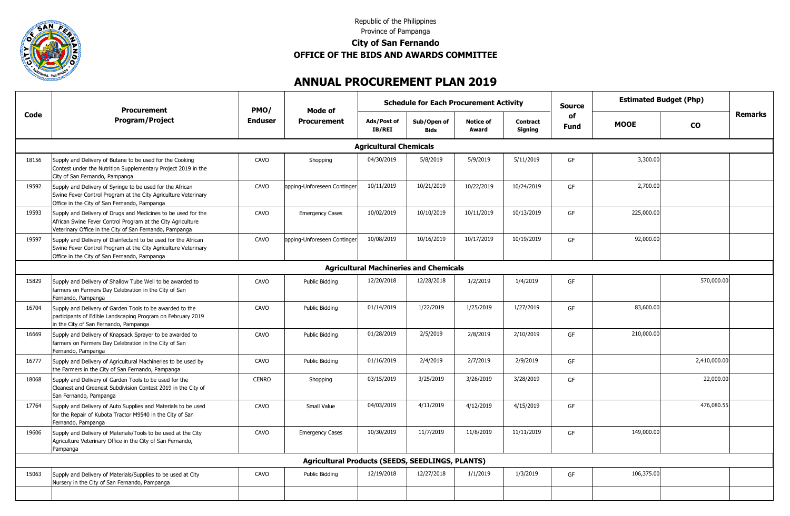

## Republic of the Philippines Province of Pampanga **City of San Fernando OFFICE OF THE BIDS AND AWARDS COMMITTEE**

## **ANNUAL PROCUREMENT PLAN 2019**

|       | <b>Procurement</b>                                                                                                                                                                      |                | PMO/                                                    | Mode of                       |                                               | <b>Schedule for Each Procurement Activity</b> |                                   |                   | Source      |               | <b>Estimated Budget (Php)</b> |  |
|-------|-----------------------------------------------------------------------------------------------------------------------------------------------------------------------------------------|----------------|---------------------------------------------------------|-------------------------------|-----------------------------------------------|-----------------------------------------------|-----------------------------------|-------------------|-------------|---------------|-------------------------------|--|
| Code  | <b>Program/Project</b>                                                                                                                                                                  | <b>Enduser</b> | <b>Procurement</b>                                      | Ads/Post of<br><b>IB/REI</b>  | Sub/Open of<br>Bids                           | <b>Notice of</b><br>Award                     | <b>Contract</b><br><b>Signing</b> | of<br><b>Fund</b> | <b>MOOE</b> | $\mathbf{co}$ | Remarks                       |  |
|       |                                                                                                                                                                                         |                |                                                         | <b>Agricultural Chemicals</b> |                                               |                                               |                                   |                   |             |               |                               |  |
| 18156 | Supply and Delivery of Butane to be used for the Cooking<br>Contest under the Nutrition Supplementary Project 2019 in the<br>City of San Fernando, Pampanga                             | CAVO           | Shopping                                                | 04/30/2019                    | 5/8/2019                                      | 5/9/2019                                      | 5/11/2019                         | GF                | 3,300.00    |               |                               |  |
| 19592 | Supply and Delivery of Syringe to be used for the African<br>Swine Fever Control Program at the City Agriculture Veterinary<br>Office in the City of San Fernando, Pampanga             | CAVO           | opping-Unforeseen Continger                             | 10/11/2019                    | 10/21/2019                                    | 10/22/2019                                    | 10/24/2019                        | GF                | 2,700.00    |               |                               |  |
| 19593 | Supply and Delivery of Drugs and Medicines to be used for the<br>African Swine Fever Control Program at the City Agriculture<br>Veterinary Office in the City of San Fernando, Pampanga | CAVO           | <b>Emergency Cases</b>                                  | 10/02/2019                    | 10/10/2019                                    | 10/11/2019                                    | 10/13/2019                        | GF                | 225,000.00  |               |                               |  |
| 19597 | Supply and Delivery of Disinfectant to be used for the African<br>Swine Fever Control Program at the City Agriculture Veterinary<br>Office in the City of San Fernando, Pampanga        | CAVO           | opping-Unforeseen Continger                             | 10/08/2019                    | 10/16/2019                                    | 10/17/2019                                    | 10/19/2019                        | GF                | 92,000.00   |               |                               |  |
|       |                                                                                                                                                                                         |                |                                                         |                               | <b>Agricultural Machineries and Chemicals</b> |                                               |                                   |                   |             |               |                               |  |
| 15829 | Supply and Delivery of Shallow Tube Well to be awarded to<br>farmers on Farmers Day Celebration in the City of San<br>Fernando, Pampanga                                                | CAVO           | <b>Public Bidding</b>                                   | 12/20/2018                    | 12/28/2018                                    | 1/2/2019                                      | 1/4/2019                          | GF                |             | 570,000.00    |                               |  |
| 16704 | Supply and Delivery of Garden Tools to be awarded to the<br>participants of Edible Landscaping Program on February 2019<br>in the City of San Fernando, Pampanga                        | CAVO           | <b>Public Bidding</b>                                   | 01/14/2019                    | 1/22/2019                                     | 1/25/2019                                     | 1/27/2019                         | GF                | 83,600.00   |               |                               |  |
| 16669 | Supply and Delivery of Knapsack Sprayer to be awarded to<br>farmers on Farmers Day Celebration in the City of San<br>Fernando, Pampanga                                                 | CAVO           | <b>Public Bidding</b>                                   | 01/28/2019                    | 2/5/2019                                      | 2/8/2019                                      | 2/10/2019                         | GF                | 210,000.00  |               |                               |  |
| 16777 | Supply and Delivery of Agricultural Machineries to be used by<br>the Farmers in the City of San Fernando, Pampanga                                                                      | CAVO           | <b>Public Bidding</b>                                   | 01/16/2019                    | 2/4/2019                                      | 2/7/2019                                      | 2/9/2019                          | GF                |             | 2,410,000.00  |                               |  |
| 18068 | Supply and Delivery of Garden Tools to be used for the<br>Cleanest and Greenest Subdivision Contest 2019 in the City of<br>San Fernando, Pampanga                                       | <b>CENRO</b>   | Shopping                                                | 03/15/2019                    | 3/25/2019                                     | 3/26/2019                                     | 3/28/2019                         | GF                |             | 22,000.00     |                               |  |
| 17764 | Supply and Delivery of Auto Supplies and Materials to be used<br>for the Repair of Kubota Tractor M9540 in the City of San<br>Fernando, Pampanga                                        | CAVO           | Small Value                                             | 04/03/2019                    | 4/11/2019                                     | 4/12/2019                                     | 4/15/2019                         | GF                |             | 476,080.55    |                               |  |
| 19606 | Supply and Delivery of Materials/Tools to be used at the City<br>Agriculture Veterinary Office in the City of San Fernando,<br>Pampanga                                                 | CAVO           | <b>Emergency Cases</b>                                  | 10/30/2019                    | 11/7/2019                                     | 11/8/2019                                     | 11/11/2019                        | GF                | 149,000.00  |               |                               |  |
|       |                                                                                                                                                                                         |                | <b>Agricultural Products (SEEDS, SEEDLINGS, PLANTS)</b> |                               |                                               |                                               |                                   |                   |             |               |                               |  |
| 15063 | Supply and Delivery of Materials/Supplies to be used at City<br>Nursery in the City of San Fernando, Pampanga                                                                           | CAVO           | Public Bidding                                          | 12/19/2018                    | 12/27/2018                                    | 1/1/2019                                      | 1/3/2019                          | GF                | 106,375.00  |               |                               |  |
|       |                                                                                                                                                                                         |                |                                                         |                               |                                               |                                               |                                   |                   |             |               |                               |  |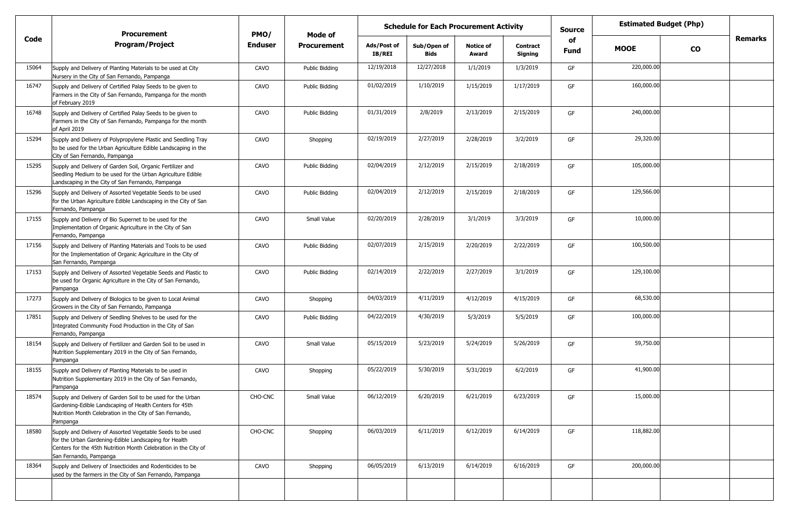|       | <b>Procurement</b>                                                                                                                                                                                               | <b>Schedule for Each Procurement Activity</b><br>PMO/<br>Mode of |                    |                              |                            |                           |                            | <b>Source</b>     | <b>Estimated Budget (Php)</b> |           |                |
|-------|------------------------------------------------------------------------------------------------------------------------------------------------------------------------------------------------------------------|------------------------------------------------------------------|--------------------|------------------------------|----------------------------|---------------------------|----------------------------|-------------------|-------------------------------|-----------|----------------|
| Code  | <b>Program/Project</b>                                                                                                                                                                                           | Enduser                                                          | <b>Procurement</b> | Ads/Post of<br><b>IB/REI</b> | Sub/Open of<br><b>Bids</b> | <b>Notice of</b><br>Award | <b>Contract</b><br>Signing | of<br><b>Fund</b> | <b>MOOE</b>                   | <b>CO</b> | <b>Remarks</b> |
| 15064 | Supply and Delivery of Planting Materials to be used at City<br>Nursery in the City of San Fernando, Pampanga                                                                                                    | CAVO                                                             | Public Bidding     | 12/19/2018                   | 12/27/2018                 | 1/1/2019                  | 1/3/2019                   | GF                | 220,000.00                    |           |                |
| 16747 | Supply and Delivery of Certified Palay Seeds to be given to<br>Farmers in the City of San Fernando, Pampanga for the month<br>of February 2019                                                                   | CAVO                                                             | Public Bidding     | 01/02/2019                   | 1/10/2019                  | 1/15/2019                 | 1/17/2019                  | GF                | 160,000.00                    |           |                |
| 16748 | Supply and Delivery of Certified Palay Seeds to be given to<br>Farmers in the City of San Fernando, Pampanga for the month<br>of April 2019                                                                      | CAVO                                                             | Public Bidding     | 01/31/2019                   | 2/8/2019                   | 2/13/2019                 | 2/15/2019                  | GF                | 240,000.00                    |           |                |
| 15294 | Supply and Delivery of Polypropylene Plastic and Seedling Tray<br>to be used for the Urban Agriculture Edible Landscaping in the<br>City of San Fernando, Pampanga                                               | CAVO                                                             | Shopping           | 02/19/2019                   | 2/27/2019                  | 2/28/2019                 | 3/2/2019                   | GF                | 29,320.00                     |           |                |
| 15295 | Supply and Delivery of Garden Soil, Organic Fertilizer and<br>Seedling Medium to be used for the Urban Agriculture Edible<br>Landscaping in the City of San Fernando, Pampanga                                   | CAVO                                                             | Public Bidding     | 02/04/2019                   | 2/12/2019                  | 2/15/2019                 | 2/18/2019                  | GF                | 105,000.00                    |           |                |
| 15296 | Supply and Delivery of Assorted Vegetable Seeds to be used<br>for the Urban Agriculture Edible Landscaping in the City of San<br>Fernando, Pampanga                                                              | CAVO                                                             | Public Bidding     | 02/04/2019                   | 2/12/2019                  | 2/15/2019                 | 2/18/2019                  | GF                | 129,566.00                    |           |                |
| 17155 | Supply and Delivery of Bio Supernet to be used for the<br>Implementation of Organic Agriculture in the City of San<br>Fernando, Pampanga                                                                         | CAVO                                                             | Small Value        | 02/20/2019                   | 2/28/2019                  | 3/1/2019                  | 3/3/2019                   | GF                | 10,000.00                     |           |                |
| 17156 | Supply and Delivery of Planting Materials and Tools to be used<br>for the Implementation of Organic Agriculture in the City of<br>San Fernando, Pampanga                                                         | CAVO                                                             | Public Bidding     | 02/07/2019                   | 2/15/2019                  | 2/20/2019                 | 2/22/2019                  | GF                | 100,500.00                    |           |                |
| 17153 | Supply and Delivery of Assorted Vegetable Seeds and Plastic to<br>be used for Organic Agriculture in the City of San Fernando,<br>Pampanga                                                                       | CAVO                                                             | Public Bidding     | 02/14/2019                   | 2/22/2019                  | 2/27/2019                 | 3/1/2019                   | GF                | 129,100.00                    |           |                |
| 17273 | Supply and Delivery of Biologics to be given to Local Animal<br>Growers in the City of San Fernando, Pampanga                                                                                                    | CAVO                                                             | Shopping           | 04/03/2019                   | 4/11/2019                  | 4/12/2019                 | 4/15/2019                  | GF                | 68,530.00                     |           |                |
| 17851 | Supply and Delivery of Seedling Shelves to be used for the<br>Integrated Community Food Production in the City of San<br>Fernando, Pampanga                                                                      | CAVO                                                             | Public Bidding     | 04/22/2019                   | 4/30/2019                  | 5/3/2019                  | 5/5/2019                   | GF                | 100,000.00                    |           |                |
| 18154 | Supply and Delivery of Fertilizer and Garden Soil to be used in<br>Nutrition Supplementary 2019 in the City of San Fernando,<br>Pampanga                                                                         | CAVO                                                             | Small Value        | 05/15/2019                   | 5/23/2019                  | 5/24/2019                 | 5/26/2019                  | GF                | 59,750.00                     |           |                |
| 18155 | Supply and Delivery of Planting Materials to be used in<br>Nutrition Supplementary 2019 in the City of San Fernando,<br>Pampanga                                                                                 | CAVO                                                             | Shopping           | 05/22/2019                   | 5/30/2019                  | 5/31/2019                 | 6/2/2019                   | GF                | 41,900.00                     |           |                |
| 18574 | Supply and Delivery of Garden Soil to be used for the Urban<br>Gardening-Edible Landscaping of Health Centers for 45th<br>Nutrition Month Celebration in the City of San Fernando,<br>Pampanga                   | CHO-CNC                                                          | Small Value        | 06/12/2019                   | 6/20/2019                  | 6/21/2019                 | 6/23/2019                  | GF                | 15,000.00                     |           |                |
| 18580 | Supply and Delivery of Assorted Vegetable Seeds to be used<br>for the Urban Gardening-Edible Landscaping for Health<br>Centers for the 45th Nutrition Month Celebration in the City of<br>San Fernando, Pampanga | CHO-CNC                                                          | Shopping           | 06/03/2019                   | 6/11/2019                  | 6/12/2019                 | 6/14/2019                  | GF                | 118,882.00                    |           |                |
| 18364 | Supply and Delivery of Insecticides and Rodenticides to be<br>used by the farmers in the City of San Fernando, Pampanga                                                                                          | CAVO                                                             | Shopping           | 06/05/2019                   | 6/13/2019                  | 6/14/2019                 | 6/16/2019                  | GF                | 200,000.00                    |           |                |
|       |                                                                                                                                                                                                                  |                                                                  |                    |                              |                            |                           |                            |                   |                               |           |                |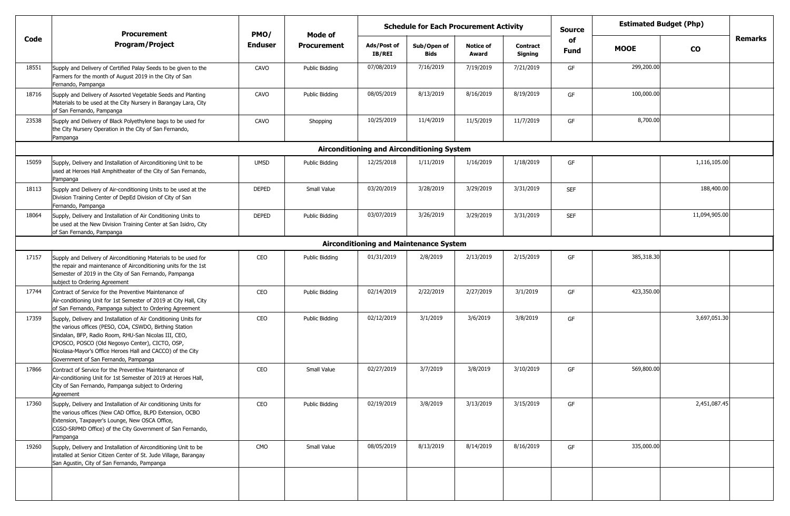|       | <b>Procurement</b>                                                                                                                                                                                                                                                                                                                          | PMO/           | <b>Schedule for Each Procurement Activity</b><br>Mode of |                              |                                                   |                           |                            | <b>Source</b>     | <b>Estimated Budget (Php)</b> |               |                |
|-------|---------------------------------------------------------------------------------------------------------------------------------------------------------------------------------------------------------------------------------------------------------------------------------------------------------------------------------------------|----------------|----------------------------------------------------------|------------------------------|---------------------------------------------------|---------------------------|----------------------------|-------------------|-------------------------------|---------------|----------------|
| Code  | Program/Project                                                                                                                                                                                                                                                                                                                             | <b>Enduser</b> | <b>Procurement</b>                                       | Ads/Post of<br><b>IB/REI</b> | Sub/Open of<br><b>Bids</b>                        | <b>Notice of</b><br>Award | <b>Contract</b><br>Signing | of<br><b>Fund</b> | <b>MOOE</b>                   | <b>CO</b>     | <b>Remarks</b> |
| 18551 | Supply and Delivery of Certified Palay Seeds to be given to the<br>Farmers for the month of August 2019 in the City of San<br>Fernando, Pampanga                                                                                                                                                                                            | CAVO           | <b>Public Bidding</b>                                    | 07/08/2019                   | 7/16/2019                                         | 7/19/2019                 | 7/21/2019                  | GF                | 299,200.00                    |               |                |
| 18716 | Supply and Delivery of Assorted Vegetable Seeds and Planting<br>Materials to be used at the City Nursery in Barangay Lara, City<br>of San Fernando, Pampanga                                                                                                                                                                                | CAVO           | <b>Public Bidding</b>                                    | 08/05/2019                   | 8/13/2019                                         | 8/16/2019                 | 8/19/2019                  | GF                | 100,000.00                    |               |                |
| 23538 | Supply and Delivery of Black Polyethylene bags to be used for<br>the City Nursery Operation in the City of San Fernando,<br>Pampanga                                                                                                                                                                                                        | CAVO           | Shopping                                                 | 10/25/2019                   | 11/4/2019                                         | 11/5/2019                 | 11/7/2019                  | GF                | 8,700.00                      |               |                |
|       |                                                                                                                                                                                                                                                                                                                                             |                |                                                          |                              | <b>Airconditioning and Airconditioning System</b> |                           |                            |                   |                               |               |                |
| 15059 | Supply, Delivery and Installation of Airconditioning Unit to be<br>used at Heroes Hall Amphitheater of the City of San Fernando,<br>Pampanga                                                                                                                                                                                                | <b>UMSD</b>    | <b>Public Bidding</b>                                    | 12/25/2018                   | 1/11/2019                                         | 1/16/2019                 | 1/18/2019                  | GF                |                               | 1,116,105.00  |                |
| 18113 | Supply and Delivery of Air-conditioning Units to be used at the<br>Division Training Center of DepEd Division of City of San<br>Fernando, Pampanga                                                                                                                                                                                          | <b>DEPED</b>   | Small Value                                              | 03/20/2019                   | 3/28/2019                                         | 3/29/2019                 | 3/31/2019                  | <b>SEF</b>        |                               | 188,400.00    |                |
| 18064 | Supply, Delivery and Installation of Air Conditioning Units to<br>be used at the New Division Training Center at San Isidro, City<br>of San Fernando, Pampanga                                                                                                                                                                              | DEPED          | <b>Public Bidding</b>                                    | 03/07/2019                   | 3/26/2019                                         | 3/29/2019                 | 3/31/2019                  | <b>SEF</b>        |                               | 11,094,905.00 |                |
|       |                                                                                                                                                                                                                                                                                                                                             |                |                                                          |                              | <b>Airconditioning and Maintenance System</b>     |                           |                            |                   |                               |               |                |
| 17157 | Supply and Delivery of Airconditioning Materials to be used for<br>the repair and maintenance of Airconditioning units for the 1st<br>Semester of 2019 in the City of San Fernando, Pampanga<br>subject to Ordering Agreement                                                                                                               | CEO            | <b>Public Bidding</b>                                    | 01/31/2019                   | 2/8/2019                                          | 2/13/2019                 | 2/15/2019                  | GF                | 385,318.30                    |               |                |
| 17744 | Contract of Service for the Preventive Maintenance of<br>Air-conditioning Unit for 1st Semester of 2019 at City Hall, City<br>of San Fernando, Pampanga subject to Ordering Agreement                                                                                                                                                       | CEO            | <b>Public Bidding</b>                                    | 02/14/2019                   | 2/22/2019                                         | 2/27/2019                 | 3/1/2019                   | GF                | 423,350.00                    |               |                |
| 17359 | Supply, Delivery and Installation of Air Conditioning Units for<br>the various offices (PESO, COA, CSWDO, Birthing Station<br>Sindalan, BFP, Radio Room, RHU-San Nicolas III, CEO,<br>CPOSCO, POSCO (Old Negosyo Center), CICTO, OSP,<br>Nicolasa-Mayor's Office Heroes Hall and CACCO) of the City<br>Government of San Fernando, Pampanga | CEO            | <b>Public Bidding</b>                                    | 02/12/2019                   | 3/1/2019                                          | 3/6/2019                  | 3/8/2019                   | GF                |                               | 3,697,051.30  |                |
| 17866 | Contract of Service for the Preventive Maintenance of<br>Air-conditioning Unit for 1st Semester of 2019 at Heroes Hall,<br>City of San Fernando, Pampanga subject to Ordering<br>Agreement                                                                                                                                                  | CEO            | Small Value                                              | 02/27/2019                   | 3/7/2019                                          | 3/8/2019                  | 3/10/2019                  | GF                | 569,800.00                    |               |                |
| 17360 | Supply, Delivery and Installation of Air conditioning Units for<br>the various offices (New CAD Office, BLPD Extension, OCBO<br>Extension, Taxpayer's Lounge, New OSCA Office,<br>CGSO-SRPMD Office) of the City Government of San Fernando,<br>Pampanga                                                                                    | CEO            | <b>Public Bidding</b>                                    | 02/19/2019                   | 3/8/2019                                          | 3/13/2019                 | 3/15/2019                  | GF                |                               | 2,451,087.45  |                |
| 19260 | Supply, Delivery and Installation of Airconditioning Unit to be<br>installed at Senior Citizen Center of St. Jude Village, Barangay<br>San Agustin, City of San Fernando, Pampanga                                                                                                                                                          | CMO            | Small Value                                              | 08/05/2019                   | 8/13/2019                                         | 8/14/2019                 | 8/16/2019                  | GF                | 335,000.00                    |               |                |
|       |                                                                                                                                                                                                                                                                                                                                             |                |                                                          |                              |                                                   |                           |                            |                   |                               |               |                |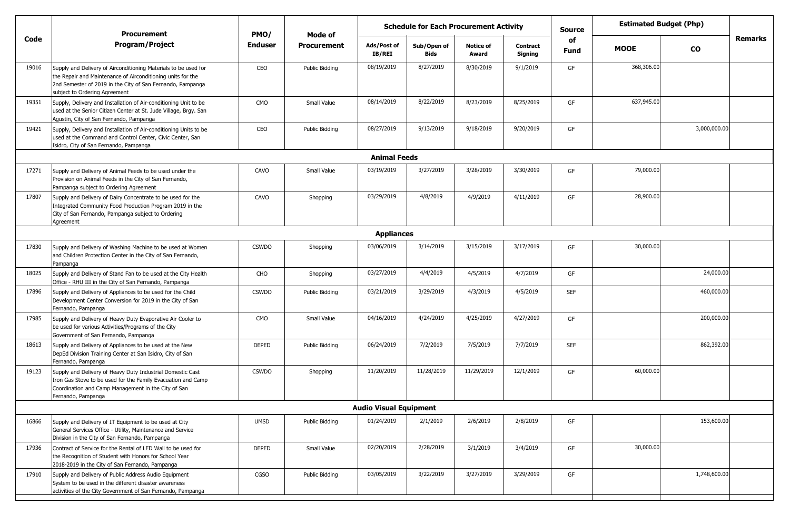|       | <b>Procurement</b>                                                                                                                                                                                                            | PMO/           | Mode of               | <b>Schedule for Each Procurement Activity</b> |                            |                           |                            |                   |             | <b>Estimated Budget (Php)</b> |                |
|-------|-------------------------------------------------------------------------------------------------------------------------------------------------------------------------------------------------------------------------------|----------------|-----------------------|-----------------------------------------------|----------------------------|---------------------------|----------------------------|-------------------|-------------|-------------------------------|----------------|
| Code  | <b>Program/Project</b>                                                                                                                                                                                                        | <b>Enduser</b> | <b>Procurement</b>    | Ads/Post of<br><b>IB/REI</b>                  | Sub/Open of<br><b>Bids</b> | <b>Notice of</b><br>Award | <b>Contract</b><br>Signing | of<br><b>Fund</b> | <b>MOOE</b> | <b>CO</b>                     | <b>Remarks</b> |
| 19016 | Supply and Delivery of Airconditioning Materials to be used for<br>the Repair and Maintenance of Airconditioning units for the<br>2nd Semester of 2019 in the City of San Fernando, Pampanga<br>subject to Ordering Agreement | CEO            | Public Bidding        | 08/19/2019                                    | 8/27/2019                  | 8/30/2019                 | 9/1/2019                   | GF                | 368,306.00  |                               |                |
| 19351 | Supply, Delivery and Installation of Air-conditioning Unit to be<br>used at the Senior Citizen Center at St. Jude Village, Brgy. San<br>Agustin, City of San Fernando, Pampanga                                               | CMO            | Small Value           | 08/14/2019                                    | 8/22/2019                  | 8/23/2019                 | 8/25/2019                  | GF                | 637,945.00  |                               |                |
| 19421 | Supply, Delivery and Installation of Air-conditioning Units to be<br>used at the Command and Control Center, Civic Center, San<br>Isidro, City of San Fernando, Pampanga                                                      | CEO            | Public Bidding        | 08/27/2019                                    | 9/13/2019                  | 9/18/2019                 | 9/20/2019                  | GF                |             | 3,000,000.00                  |                |
|       |                                                                                                                                                                                                                               |                |                       | <b>Animal Feeds</b>                           |                            |                           |                            |                   |             |                               |                |
| 17271 | Supply and Delivery of Animal Feeds to be used under the<br>Provision on Animal Feeds in the City of San Fernando,<br>Pampanga subject to Ordering Agreement                                                                  | CAVO           | Small Value           | 03/19/2019                                    | 3/27/2019                  | 3/28/2019                 | 3/30/2019                  | GF                | 79,000.00   |                               |                |
| 17807 | Supply and Delivery of Dairy Concentrate to be used for the<br>Integrated Community Food Production Program 2019 in the<br>City of San Fernando, Pampanga subject to Ordering<br>Agreement                                    | CAVO           | Shopping              | 03/29/2019                                    | 4/8/2019                   | 4/9/2019                  | 4/11/2019                  | GF                | 28,900.00   |                               |                |
|       |                                                                                                                                                                                                                               |                |                       | <b>Appliances</b>                             |                            |                           |                            |                   |             |                               |                |
| 17830 | Supply and Delivery of Washing Machine to be used at Women<br>and Children Protection Center in the City of San Fernando,<br>Pampanga                                                                                         | <b>CSWDO</b>   | Shopping              | 03/06/2019                                    | 3/14/2019                  | 3/15/2019                 | 3/17/2019                  | GF                | 30,000.00   |                               |                |
| 18025 | Supply and Delivery of Stand Fan to be used at the City Health<br>Office - RHU III in the City of San Fernando, Pampanga                                                                                                      | CHO            | Shopping              | 03/27/2019                                    | 4/4/2019                   | 4/5/2019                  | 4/7/2019                   | GF                |             | 24,000.00                     |                |
| 17896 | Supply and Delivery of Appliances to be used for the Child<br>Development Center Conversion for 2019 in the City of San<br>Fernando, Pampanga                                                                                 | <b>CSWDO</b>   | Public Bidding        | 03/21/2019                                    | 3/29/2019                  | 4/3/2019                  | 4/5/2019                   | <b>SEF</b>        |             | 460,000.00                    |                |
| 17985 | Supply and Delivery of Heavy Duty Evaporative Air Cooler to<br>be used for various Activities/Programs of the City<br>Government of San Fernando, Pampanga                                                                    | CMO            | Small Value           | 04/16/2019                                    | 4/24/2019                  | 4/25/2019                 | 4/27/2019                  | GF                |             | 200,000.00                    |                |
| 18613 | Supply and Delivery of Appliances to be used at the New<br>DepEd Division Training Center at San Isidro, City of San<br>Fernando, Pampanga                                                                                    | <b>DEPED</b>   | Public Bidding        | 06/24/2019                                    | 7/2/2019                   | 7/5/2019                  | 7/7/2019                   | <b>SEF</b>        |             | 862,392.00                    |                |
| 19123 | Supply and Delivery of Heavy Duty Industrial Domestic Cast<br>Iron Gas Stove to be used for the Family Evacuation and Camp<br>Coordination and Camp Management in the City of San<br>Fernando, Pampanga                       | <b>CSWDO</b>   | Shopping              | 11/20/2019                                    | 11/28/2019                 | 11/29/2019                | 12/1/2019                  | GF                | 60,000.00   |                               |                |
|       |                                                                                                                                                                                                                               |                |                       | <b>Audio Visual Equipment</b>                 |                            |                           |                            |                   |             |                               |                |
| 16866 | Supply and Delivery of IT Equipment to be used at City<br>General Services Office - Utility, Maintenance and Service<br>Division in the City of San Fernando, Pampanga                                                        | <b>UMSD</b>    | <b>Public Bidding</b> | 01/24/2019                                    | 2/1/2019                   | 2/6/2019                  | 2/8/2019                   | GF                |             | 153,600.00                    |                |
| 17936 | Contract of Service for the Rental of LED Wall to be used for<br>the Recognition of Student with Honors for School Year<br>2018-2019 in the City of San Fernando, Pampanga                                                    | <b>DEPED</b>   | Small Value           | 02/20/2019                                    | 2/28/2019                  | 3/1/2019                  | 3/4/2019                   | GF                | 30,000.00   |                               |                |
| 17910 | Supply and Delivery of Public Address Audio Equipment<br>System to be used in the different disaster awareness<br>activities of the City Government of San Fernando, Pampanga                                                 | CGSO           | Public Bidding        | 03/05/2019                                    | 3/22/2019                  | 3/27/2019                 | 3/29/2019                  | GF                |             | 1,748,600.00                  |                |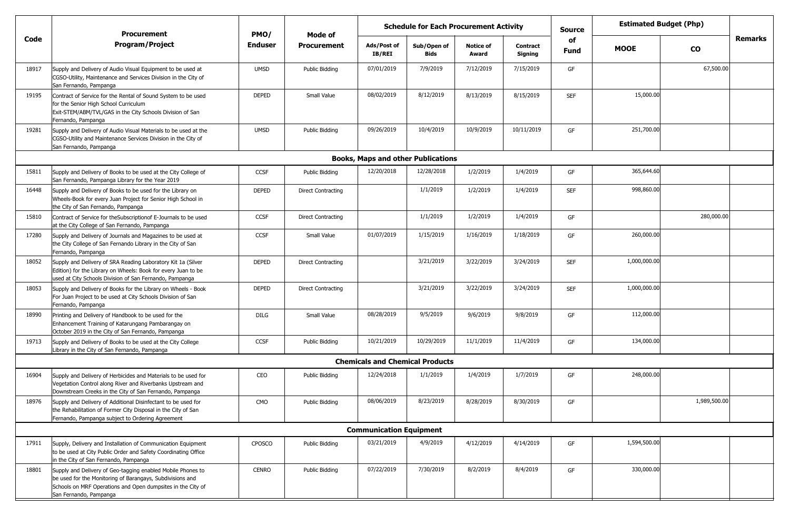|       | <b>Procurement</b>                                                                                                                                                                                                |                | <b>Schedule for Each Procurement Activity</b><br>PMO/<br>Mode of |                                           |                     |                           |                            | <b>Source</b> | <b>Estimated Budget (Php)</b> |              |                |
|-------|-------------------------------------------------------------------------------------------------------------------------------------------------------------------------------------------------------------------|----------------|------------------------------------------------------------------|-------------------------------------------|---------------------|---------------------------|----------------------------|---------------|-------------------------------|--------------|----------------|
| Code  | <b>Program/Project</b>                                                                                                                                                                                            | <b>Enduser</b> | <b>Procurement</b>                                               | Ads/Post of<br>IB/REI                     | Sub/Open of<br>Bids | <b>Notice of</b><br>Award | <b>Contract</b><br>Signing | of<br>Fund    | <b>MOOE</b>                   | <b>CO</b>    | <b>Remarks</b> |
| 18917 | Supply and Delivery of Audio Visual Equipment to be used at<br>CGSO-Utility, Maintenance and Services Division in the City of<br>San Fernando, Pampanga                                                           | <b>UMSD</b>    | Public Bidding                                                   | 07/01/2019                                | 7/9/2019            | 7/12/2019                 | 7/15/2019                  | GF            |                               | 67,500.00    |                |
| 19195 | Contract of Service for the Rental of Sound System to be used<br>for the Senior High School Curriculum<br>Exit-STEM/ABM/TVL/GAS in the City Schools Division of San<br>Fernando, Pampanga                         | <b>DEPED</b>   | Small Value                                                      | 08/02/2019                                | 8/12/2019           | 8/13/2019                 | 8/15/2019                  | <b>SEF</b>    | 15,000.00                     |              |                |
| 19281 | Supply and Delivery of Audio Visual Materials to be used at the<br>CGSO-Utility and Maintenance Services Division in the City of<br>San Fernando, Pampanga                                                        | <b>UMSD</b>    | Public Bidding                                                   | 09/26/2019                                | 10/4/2019           | 10/9/2019                 | 10/11/2019                 | GF            | 251,700.00                    |              |                |
|       |                                                                                                                                                                                                                   |                |                                                                  | <b>Books, Maps and other Publications</b> |                     |                           |                            |               |                               |              |                |
| 15811 | Supply and Delivery of Books to be used at the City College of<br>San Fernando, Pampanga Library for the Year 2019                                                                                                | <b>CCSF</b>    | Public Bidding                                                   | 12/20/2018                                | 12/28/2018          | 1/2/2019                  | 1/4/2019                   | GF            | 365,644.60                    |              |                |
| 16448 | Supply and Delivery of Books to be used for the Library on<br>Wheels-Book for every Juan Project for Senior High School in<br>the City of San Fernando, Pampanga                                                  | <b>DEPED</b>   | <b>Direct Contracting</b>                                        |                                           | 1/1/2019            | 1/2/2019                  | 1/4/2019                   | <b>SEF</b>    | 998,860.00                    |              |                |
| 15810 | Contract of Service for the Subscription of E-Journals to be used<br>at the City College of San Fernando, Pampanga                                                                                                | <b>CCSF</b>    | <b>Direct Contracting</b>                                        |                                           | 1/1/2019            | 1/2/2019                  | 1/4/2019                   | GF            |                               | 280,000.00   |                |
| 17280 | Supply and Delivery of Journals and Magazines to be used at<br>the City College of San Fernando Library in the City of San<br>Fernando, Pampanga                                                                  | <b>CCSF</b>    | Small Value                                                      | 01/07/2019                                | 1/15/2019           | 1/16/2019                 | 1/18/2019                  | GF            | 260,000.00                    |              |                |
| 18052 | Supply and Delivery of SRA Reading Laboratory Kit 1a (Silver<br>Edition) for the Library on Wheels: Book for every Juan to be<br>used at City Schools Division of San Fernando, Pampanga                          | <b>DEPED</b>   | <b>Direct Contracting</b>                                        |                                           | 3/21/2019           | 3/22/2019                 | 3/24/2019                  | <b>SEF</b>    | 1,000,000.00                  |              |                |
| 18053 | Supply and Delivery of Books for the Library on Wheels - Book<br>For Juan Project to be used at City Schools Division of San<br>Fernando, Pampanga                                                                | <b>DEPED</b>   | <b>Direct Contracting</b>                                        |                                           | 3/21/2019           | 3/22/2019                 | 3/24/2019                  | <b>SEF</b>    | 1,000,000.00                  |              |                |
| 18990 | Printing and Delivery of Handbook to be used for the<br>Enhancement Training of Katarungang Pambarangay on<br>October 2019 in the City of San Fernando, Pampanga                                                  | <b>DILG</b>    | Small Value                                                      | 08/28/2019                                | 9/5/2019            | 9/6/2019                  | 9/8/2019                   | GF            | 112,000.00                    |              |                |
| 19713 | Supply and Delivery of Books to be used at the City College<br>Library in the City of San Fernando, Pampanga                                                                                                      | CCSF           | Public Bidding                                                   | 10/21/2019                                | 10/29/2019          | 11/1/2019                 | 11/4/2019                  | GF            | 134,000.00                    |              |                |
|       |                                                                                                                                                                                                                   |                |                                                                  | <b>Chemicals and Chemical Products</b>    |                     |                           |                            |               |                               |              |                |
| 16904 | Supply and Delivery of Herbicides and Materials to be used for<br>Vegetation Control along River and Riverbanks Upstream and<br>Downstream Creeks in the City of San Fernando, Pampanga                           | CEO            | Public Biddina                                                   | 12/24/2018                                | 1/1/2019            | 1/4/2019                  | 1/7/2019                   | GF            | 248,000.00                    |              |                |
| 18976 | Supply and Delivery of Additional Disinfectant to be used for<br>the Rehabilitation of Former City Disposal in the City of San<br>Fernando, Pampanga subject to Ordering Agreement                                | CMO            | Public Bidding                                                   | 08/06/2019                                | 8/23/2019           | 8/28/2019                 | 8/30/2019                  | GF            |                               | 1,989,500.00 |                |
|       |                                                                                                                                                                                                                   |                |                                                                  | <b>Communication Equipment</b>            |                     |                           |                            |               |                               |              |                |
| 17911 | Supply, Delivery and Installation of Communication Equipment<br>to be used at City Public Order and Safety Coordinating Office<br>in the City of San Fernando, Pampanga                                           | CPOSCO         | Public Bidding                                                   | 03/21/2019                                | 4/9/2019            | 4/12/2019                 | 4/14/2019                  | GF            | 1,594,500.00                  |              |                |
| 18801 | Supply and Delivery of Geo-tagging enabled Mobile Phones to<br>be used for the Monitoring of Barangays, Subdivisions and<br>Schools on MRF Operations and Open dumpsites in the City of<br>San Fernando, Pampanga | <b>CENRO</b>   | Public Bidding                                                   | 07/22/2019                                | 7/30/2019           | 8/2/2019                  | 8/4/2019                   | GF            | 330,000.00                    |              |                |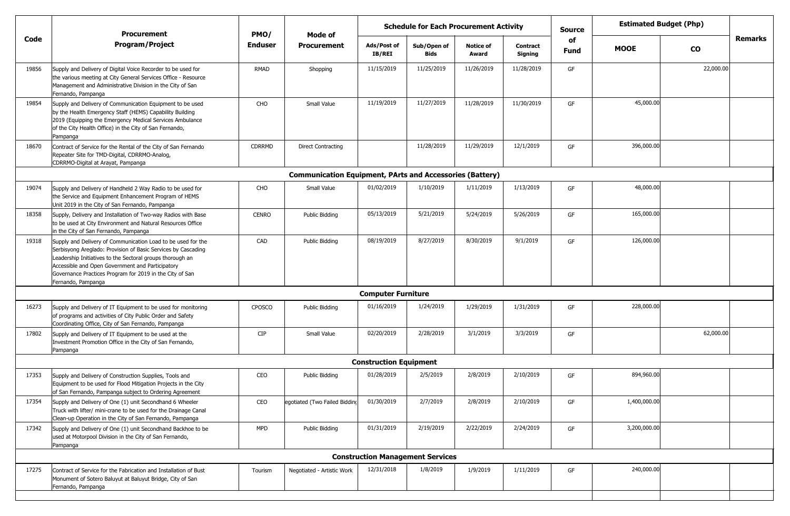|       | <b>Schedule for Each Procurement Activity</b><br><b>Procurement</b><br>PMO/<br>Mode of                                                                                                                                                                                                                                           |                |                                                                 |                               |                                         |                           |                            | <b>Source</b> | <b>Estimated Budget (Php)</b> |               |                |
|-------|----------------------------------------------------------------------------------------------------------------------------------------------------------------------------------------------------------------------------------------------------------------------------------------------------------------------------------|----------------|-----------------------------------------------------------------|-------------------------------|-----------------------------------------|---------------------------|----------------------------|---------------|-------------------------------|---------------|----------------|
| Code  | <b>Program/Project</b>                                                                                                                                                                                                                                                                                                           | <b>Enduser</b> | <b>Procurement</b>                                              | Ads/Post of<br>IB/REI         | Sub/Open of<br><b>Bids</b>              | <b>Notice of</b><br>Award | <b>Contract</b><br>Signing | of<br>Fund    | <b>MOOE</b>                   | $\mathbf{co}$ | <b>Remarks</b> |
| 19856 | Supply and Delivery of Digital Voice Recorder to be used for<br>the various meeting at City General Services Office - Resource<br>Management and Administrative Division in the City of San<br>Fernando, Pampanga                                                                                                                | RMAD           | Shopping                                                        | 11/15/2019                    | 11/25/2019                              | 11/26/2019                | 11/28/2019                 | GF            |                               | 22,000.00     |                |
| 19854 | Supply and Delivery of Communication Equipment to be used<br>by the Health Emergency Staff (HEMS) Capability Building<br>2019 (Equipping the Emergency Medical Services Ambulance<br>of the City Health Office) in the City of San Fernando,<br>Pampanga                                                                         | CHO            | Small Value                                                     | 11/19/2019                    | 11/27/2019                              | 11/28/2019                | 11/30/2019                 | GF            | 45,000.00                     |               |                |
| 18670 | Contract of Service for the Rental of the City of San Fernando<br>Repeater Site for TMD-Digital, CDRRMO-Analog,<br>CDRRMO-Digital at Arayat, Pampanga                                                                                                                                                                            | <b>CDRRMD</b>  | <b>Direct Contracting</b>                                       |                               | 11/28/2019                              | 11/29/2019                | 12/1/2019                  | GF            | 396,000.00                    |               |                |
|       |                                                                                                                                                                                                                                                                                                                                  |                | <b>Communication Equipment, PArts and Accessories (Battery)</b> |                               |                                         |                           |                            |               |                               |               |                |
| 19074 | Supply and Delivery of Handheld 2 Way Radio to be used for<br>the Service and Equipment Enhancement Program of HEMS<br>Unit 2019 in the City of San Fernando, Pampanga                                                                                                                                                           | CHO            | Small Value                                                     | 01/02/2019                    | 1/10/2019                               | 1/11/2019                 | 1/13/2019                  | GF            | 48,000.00                     |               |                |
| 18358 | Supply, Delivery and Installation of Two-way Radios with Base<br>to be used at City Environment and Natural Resources Office<br>in the City of San Fernando, Pampanga                                                                                                                                                            | <b>CENRO</b>   | Public Bidding                                                  | 05/13/2019                    | 5/21/2019                               | 5/24/2019                 | 5/26/2019                  | GF            | 165,000.00                    |               |                |
| 19318 | Supply and Delivery of Communication Load to be used for the<br>Serbisyong Areglado: Provision of Basic Services by Cascading<br>Leadership Initiatives to the Sectoral groups thorough an<br>Accessible and Open Government and Participatory<br>Governance Practices Program for 2019 in the City of San<br>Fernando, Pampanga | CAD            | Public Bidding                                                  | 08/19/2019                    | 8/27/2019                               | 8/30/2019                 | 9/1/2019                   | GF            | 126,000.00                    |               |                |
|       |                                                                                                                                                                                                                                                                                                                                  |                |                                                                 | <b>Computer Furniture</b>     |                                         |                           |                            |               |                               |               |                |
| 16273 | Supply and Delivery of IT Equipment to be used for monitoring<br>of programs and activities of City Public Order and Safety<br>Coordinating Office, City of San Fernando, Pampanga                                                                                                                                               | CPOSCO         | Public Bidding                                                  | 01/16/2019                    | 1/24/2019                               | 1/29/2019                 | 1/31/2019                  | GF            | 228,000.00                    |               |                |
| 17802 | Supply and Delivery of IT Equipment to be used at the<br>Investment Promotion Office in the City of San Fernando,<br>Pampanga                                                                                                                                                                                                    | <b>CIP</b>     | Small Value                                                     | 02/20/2019                    | 2/28/2019                               | 3/1/2019                  | 3/3/2019                   | GF            |                               | 62,000.00     |                |
|       |                                                                                                                                                                                                                                                                                                                                  |                |                                                                 | <b>Construction Equipment</b> |                                         |                           |                            |               |                               |               |                |
| 17353 | Supply and Delivery of Construction Supplies, Tools and<br>Equipment to be used for Flood Mitigation Projects in the City<br>of San Fernando, Pampanga subject to Ordering Agreement                                                                                                                                             | CEO            | Public Bidding                                                  | 01/28/2019                    | 2/5/2019                                | 2/8/2019                  | 2/10/2019                  | GF            | 894,960.00                    |               |                |
| 17354 | Supply and Delivery of One (1) unit Secondhand 6 Wheeler<br>Truck with lifter/ mini-crane to be used for the Drainage Canal<br>Clean-up Operation in the City of San Fernando, Pampanga                                                                                                                                          | CEO            | egotiated (Two Failed Bidding                                   | 01/30/2019                    | 2/7/2019                                | 2/8/2019                  | 2/10/2019                  | GF            | 1,400,000.00                  |               |                |
| 17342 | Supply and Delivery of One (1) unit Secondhand Backhoe to be<br>used at Motorpool Division in the City of San Fernando,<br>Pampanga                                                                                                                                                                                              | <b>MPD</b>     | Public Bidding                                                  | 01/31/2019                    | 2/19/2019                               | 2/22/2019                 | 2/24/2019                  | GF            | 3,200,000.00                  |               |                |
|       |                                                                                                                                                                                                                                                                                                                                  |                |                                                                 |                               | <b>Construction Management Services</b> |                           |                            |               |                               |               |                |
| 17275 | Contract of Service for the Fabrication and Installation of Bust<br>Monument of Sotero Baluyut at Baluyut Bridge, City of San<br>Fernando, Pampanga                                                                                                                                                                              | Tourism        | Negotiated - Artistic Work                                      | 12/31/2018                    | 1/8/2019                                | 1/9/2019                  | 1/11/2019                  | GF            | 240,000.00                    |               |                |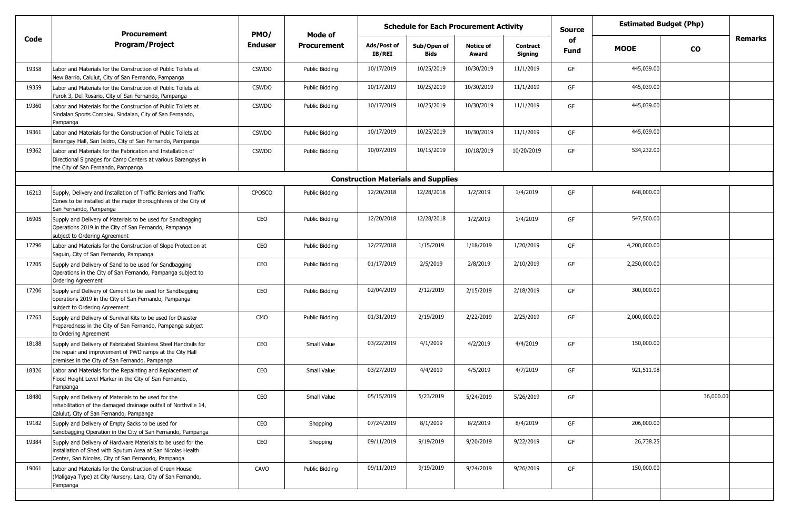|       | <b>Procurement</b>                                                                                                                                                                 | PMO/           | <b>Schedule for Each Procurement Activity</b><br>Mode of |                                            |                            |                           |                            | <b>Source</b>     | <b>Estimated Budget (Php)</b> |           |                |
|-------|------------------------------------------------------------------------------------------------------------------------------------------------------------------------------------|----------------|----------------------------------------------------------|--------------------------------------------|----------------------------|---------------------------|----------------------------|-------------------|-------------------------------|-----------|----------------|
| Code  | <b>Program/Project</b>                                                                                                                                                             | <b>Enduser</b> | <b>Procurement</b>                                       | Ads/Post of<br><b>IB/REI</b>               | Sub/Open of<br><b>Bids</b> | <b>Notice of</b><br>Award | <b>Contract</b><br>Signing | of<br><b>Fund</b> | <b>MOOE</b>                   | <b>CO</b> | <b>Remarks</b> |
| 19358 | Labor and Materials for the Construction of Public Toilets at<br>New Barrio, Calulut, City of San Fernando, Pampanga                                                               | <b>CSWDO</b>   | Public Bidding                                           | 10/17/2019                                 | 10/25/2019                 | 10/30/2019                | 11/1/2019                  | GF                | 445,039.00                    |           |                |
| 19359 | Labor and Materials for the Construction of Public Toilets at<br>Purok 3, Del Rosario, City of San Fernando, Pampanga                                                              | <b>CSWDO</b>   | Public Bidding                                           | 10/17/2019                                 | 10/25/2019                 | 10/30/2019                | 11/1/2019                  | GF                | 445,039.00                    |           |                |
| 19360 | Labor and Materials for the Construction of Public Toilets at<br>Sindalan Sports Complex, Sindalan, City of San Fernando,<br>Pampanga                                              | <b>CSWDO</b>   | Public Bidding                                           | 10/17/2019                                 | 10/25/2019                 | 10/30/2019                | 11/1/2019                  | GF                | 445,039.00                    |           |                |
| 19361 | Labor and Materials for the Construction of Public Toilets at<br>Barangay Hall, San Isidro, City of San Fernando, Pampanga                                                         | <b>CSWDO</b>   | Public Bidding                                           | 10/17/2019                                 | 10/25/2019                 | 10/30/2019                | 11/1/2019                  | GF                | 445,039.00                    |           |                |
| 19362 | Labor and Materials for the Fabrication and Installation of<br>Directional Signages for Camp Centers at various Barangays in<br>the City of San Fernando, Pampanga                 | <b>CSWDO</b>   | Public Bidding                                           | 10/07/2019                                 | 10/15/2019                 | 10/18/2019                | 10/20/2019                 | GF                | 534,232.00                    |           |                |
|       |                                                                                                                                                                                    |                |                                                          | <b>Construction Materials and Supplies</b> |                            |                           |                            |                   |                               |           |                |
| 16213 | Supply, Delivery and Installation of Traffic Barriers and Traffic<br>Cones to be installed at the major thoroughfares of the City of<br>San Fernando, Pampanga                     | CPOSCO         | <b>Public Bidding</b>                                    | 12/20/2018                                 | 12/28/2018                 | 1/2/2019                  | 1/4/2019                   | GF                | 648,000.00                    |           |                |
| 16905 | Supply and Delivery of Materials to be used for Sandbagging<br>Operations 2019 in the City of San Fernando, Pampanga<br>subject to Ordering Agreement                              | CEO            | Public Bidding                                           | 12/20/2018                                 | 12/28/2018                 | 1/2/2019                  | 1/4/2019                   | GF                | 547,500.00                    |           |                |
| 17296 | Labor and Materials for the Construction of Slope Protection at<br>Saguin, City of San Fernando, Pampanga                                                                          | CEO            | Public Bidding                                           | 12/27/2018                                 | 1/15/2019                  | 1/18/2019                 | 1/20/2019                  | GF                | 4,200,000.00                  |           |                |
| 17205 | Supply and Delivery of Sand to be used for Sandbagging<br>Operations in the City of San Fernando, Pampanga subject to<br><b>Ordering Agreement</b>                                 | CEO            | Public Bidding                                           | 01/17/2019                                 | 2/5/2019                   | 2/8/2019                  | 2/10/2019                  | GF                | 2,250,000.00                  |           |                |
| 17206 | Supply and Delivery of Cement to be used for Sandbagging<br>operations 2019 in the City of San Fernando, Pampanga<br>subject to Ordering Agreement                                 | CEO            | Public Bidding                                           | 02/04/2019                                 | 2/12/2019                  | 2/15/2019                 | 2/18/2019                  | GF                | 300,000.00                    |           |                |
| 17263 | Supply and Delivery of Survival Kits to be used for Disaster<br>Preparedness in the City of San Fernando, Pampanga subject<br>to Ordering Agreement                                | CMO            | Public Bidding                                           | 01/31/2019                                 | 2/19/2019                  | 2/22/2019                 | 2/25/2019                  | GF                | 2,000,000.00                  |           |                |
| 18188 | Supply and Delivery of Fabricated Stainless Steel Handrails for<br>the repair and improvement of PWD ramps at the City Hall<br>premises in the City of San Fernando, Pampanga      | CEO            | Small Value                                              | 03/22/2019                                 | 4/1/2019                   | 4/2/2019                  | 4/4/2019                   | GF                | 150,000.00                    |           |                |
| 18326 | Labor and Materials for the Repainting and Replacement of<br>Flood Height Level Marker in the City of San Fernando,<br>Pampanga                                                    | CEO            | Small Value                                              | 03/27/2019                                 | 4/4/2019                   | 4/5/2019                  | 4/7/2019                   | GF                | 921,511.98                    |           |                |
| 18480 | Supply and Delivery of Materials to be used for the<br>rehabilitation of the damaged drainage outfall of Northville 14,<br>Calulut, City of San Fernando, Pampanga                 | CEO            | Small Value                                              | 05/15/2019                                 | 5/23/2019                  | 5/24/2019                 | 5/26/2019                  | GF                |                               | 36,000.00 |                |
| 19182 | Supply and Delivery of Empty Sacks to be used for<br>Sandbagging Operation in the City of San Fernando, Pampanga                                                                   | CEO            | Shopping                                                 | 07/24/2019                                 | 8/1/2019                   | 8/2/2019                  | 8/4/2019                   | GF                | 206,000.00                    |           |                |
| 19384 | Supply and Delivery of Hardware Materials to be used for the<br>installation of Shed with Sputum Area at San Nicolas Health<br>Center, San Nicolas, City of San Fernando, Pampanga | CEO            | Shopping                                                 | 09/11/2019                                 | 9/19/2019                  | 9/20/2019                 | 9/22/2019                  | GF                | 26,738.25                     |           |                |
| 19061 | Labor and Materials for the Construction of Green House<br>(Maligaya Type) at City Nursery, Lara, City of San Fernando,<br>Pampanga                                                | CAVO           | Public Bidding                                           | 09/11/2019                                 | 9/19/2019                  | 9/24/2019                 | 9/26/2019                  | GF                | 150,000.00                    |           |                |
|       |                                                                                                                                                                                    |                |                                                          |                                            |                            |                           |                            |                   |                               |           |                |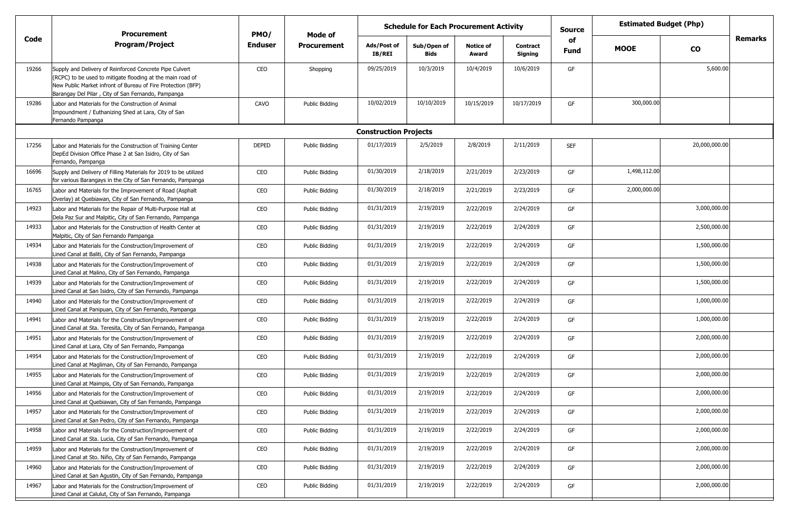|       | <b>Procurement</b>                                                                                                                                                                                                                          | PMO/         | Mode of            | <b>Schedule for Each Procurement Activity</b> |                            |                           |                     |            | <b>Estimated Budget (Php)</b> |               |                |
|-------|---------------------------------------------------------------------------------------------------------------------------------------------------------------------------------------------------------------------------------------------|--------------|--------------------|-----------------------------------------------|----------------------------|---------------------------|---------------------|------------|-------------------------------|---------------|----------------|
| Code  | Program/Project                                                                                                                                                                                                                             | Enduser      | <b>Procurement</b> | Ads/Post of<br><b>IB/REI</b>                  | Sub/Open of<br><b>Bids</b> | <b>Notice of</b><br>Award | Contract<br>Signing | of<br>Fund | <b>MOOE</b>                   | $\mathbf{co}$ | <b>Remarks</b> |
| 19266 | Supply and Delivery of Reinforced Concrete Pipe Culvert<br>(RCPC) to be used to mitigate flooding at the main road of<br>New Public Market infront of Bureau of Fire Protection (BFP)<br>Barangay Del Pilar, City of San Fernando, Pampanga | CEO          | Shopping           | 09/25/2019                                    | 10/3/2019                  | 10/4/2019                 | 10/6/2019           | GF         |                               | 5,600.00      |                |
| 19286 | Labor and Materials for the Construction of Animal<br>Impoundment / Euthanizing Shed at Lara, City of San<br>Fernando Pampanga                                                                                                              | CAVO         | Public Bidding     | 10/02/2019                                    | 10/10/2019                 | 10/15/2019                | 10/17/2019          | GF         | 300,000.00                    |               |                |
|       |                                                                                                                                                                                                                                             |              |                    | <b>Construction Projects</b>                  |                            |                           |                     |            |                               |               |                |
| 17256 | Labor and Materials for the Construction of Training Center<br>DepEd Division Office Phase 2 at San Isidro, City of San<br>Fernando, Pampanga                                                                                               | <b>DEPED</b> | Public Bidding     | 01/17/2019                                    | 2/5/2019                   | 2/8/2019                  | 2/11/2019           | <b>SEF</b> |                               | 20,000,000.00 |                |
| 16696 | Supply and Delivery of Filling Materials for 2019 to be utilized<br>for various Barangays in the City of San Fernando, Pampanga                                                                                                             | CEO          | Public Bidding     | 01/30/2019                                    | 2/18/2019                  | 2/21/2019                 | 2/23/2019           | GF         | 1,498,112.00                  |               |                |
| 16765 | Labor and Materials for the Improvement of Road (Asphalt<br>Overlay) at Quebiawan, City of San Fernando, Pampanga                                                                                                                           | CEO          | Public Bidding     | 01/30/2019                                    | 2/18/2019                  | 2/21/2019                 | 2/23/2019           | GF         | 2,000,000.00                  |               |                |
| 14923 | Labor and Materials for the Repair of Multi-Purpose Hall at<br>Dela Paz Sur and Malpitic, City of San Fernando, Pampanga                                                                                                                    | CEO          | Public Bidding     | 01/31/2019                                    | 2/19/2019                  | 2/22/2019                 | 2/24/2019           | GF         |                               | 3,000,000.00  |                |
| 14933 | Labor and Materials for the Construction of Health Center at<br>Malpitic, City of San Fernando Pampanga                                                                                                                                     | CEO          | Public Bidding     | 01/31/2019                                    | 2/19/2019                  | 2/22/2019                 | 2/24/2019           | GF         |                               | 2,500,000.00  |                |
| 14934 | Labor and Materials for the Construction/Improvement of<br>Lined Canal at Baliti, City of San Fernando, Pampanga                                                                                                                            | CEO          | Public Bidding     | 01/31/2019                                    | 2/19/2019                  | 2/22/2019                 | 2/24/2019           | GF         |                               | 1,500,000.00  |                |
| 14938 | Labor and Materials for the Construction/Improvement of<br>Lined Canal at Malino, City of San Fernando, Pampanga                                                                                                                            | CEO          | Public Bidding     | 01/31/2019                                    | 2/19/2019                  | 2/22/2019                 | 2/24/2019           | GF         |                               | 1,500,000.00  |                |
| 14939 | Labor and Materials for the Construction/Improvement of<br>Lined Canal at San Isidro, City of San Fernando, Pampanga                                                                                                                        | CEO          | Public Bidding     | 01/31/2019                                    | 2/19/2019                  | 2/22/2019                 | 2/24/2019           | GF         |                               | 1,500,000.00  |                |
| 14940 | Labor and Materials for the Construction/Improvement of<br>Lined Canal at Panipuan, City of San Fernando, Pampanga                                                                                                                          | CEO          | Public Bidding     | 01/31/2019                                    | 2/19/2019                  | 2/22/2019                 | 2/24/2019           | GF         |                               | 1,000,000.00  |                |
| 14941 | Labor and Materials for the Construction/Improvement of<br>Lined Canal at Sta. Teresita, City of San Fernando, Pampanga                                                                                                                     | CEO          | Public Bidding     | 01/31/2019                                    | 2/19/2019                  | 2/22/2019                 | 2/24/2019           | GF         |                               | 1,000,000.00  |                |
| 14951 | Labor and Materials for the Construction/Improvement of<br>Lined Canal at Lara, City of San Fernando, Pampanga                                                                                                                              | CEO          | Public Bidding     | 01/31/2019                                    | 2/19/2019                  | 2/22/2019                 | 2/24/2019           | GF         |                               | 2,000,000.00  |                |
| 14954 | Labor and Materials for the Construction/Improvement of<br>Lined Canal at Magliman, City of San Fernando, Pampanga                                                                                                                          | CEO          | Public Bidding     | 01/31/2019                                    | 2/19/2019                  | 2/22/2019                 | 2/24/2019           | GF         |                               | 2,000,000.00  |                |
| 14955 | Labor and Materials for the Construction/Improvement of<br>Lined Canal at Maimpis, City of San Fernando, Pampanga                                                                                                                           | CEO          | Public Bidding     | 01/31/2019                                    | 2/19/2019                  | 2/22/2019                 | 2/24/2019           | GF         |                               | 2,000,000.00  |                |
| 14956 | Labor and Materials for the Construction/Improvement of<br>Lined Canal at Quebiawan, City of San Fernando, Pampanga                                                                                                                         | CEO          | Public Bidding     | 01/31/2019                                    | 2/19/2019                  | 2/22/2019                 | 2/24/2019           | GF         |                               | 2,000,000.00  |                |
| 14957 | Labor and Materials for the Construction/Improvement of<br>Lined Canal at San Pedro, City of San Fernando, Pampanga                                                                                                                         | CEO          | Public Bidding     | 01/31/2019                                    | 2/19/2019                  | 2/22/2019                 | 2/24/2019           | GF         |                               | 2,000,000.00  |                |
| 14958 | Labor and Materials for the Construction/Improvement of<br>Lined Canal at Sta. Lucia, City of San Fernando, Pampanga                                                                                                                        | CEO          | Public Bidding     | 01/31/2019                                    | 2/19/2019                  | 2/22/2019                 | 2/24/2019           | GF         |                               | 2,000,000.00  |                |
| 14959 | Labor and Materials for the Construction/Improvement of<br>Lined Canal at Sto. Niño, City of San Fernando, Pampanga                                                                                                                         | CEO          | Public Bidding     | 01/31/2019                                    | 2/19/2019                  | 2/22/2019                 | 2/24/2019           | GF         |                               | 2,000,000.00  |                |
| 14960 | Labor and Materials for the Construction/Improvement of<br>Lined Canal at San Agustin, City of San Fernando, Pampanga                                                                                                                       | CEO          | Public Bidding     | 01/31/2019                                    | 2/19/2019                  | 2/22/2019                 | 2/24/2019           | GF         |                               | 2,000,000.00  |                |
| 14967 | Labor and Materials for the Construction/Improvement of<br>Lined Canal at Calulut, City of San Fernando, Pampanga                                                                                                                           | CEO          | Public Bidding     | 01/31/2019                                    | 2/19/2019                  | 2/22/2019                 | 2/24/2019           | GF         |                               | 2,000,000.00  |                |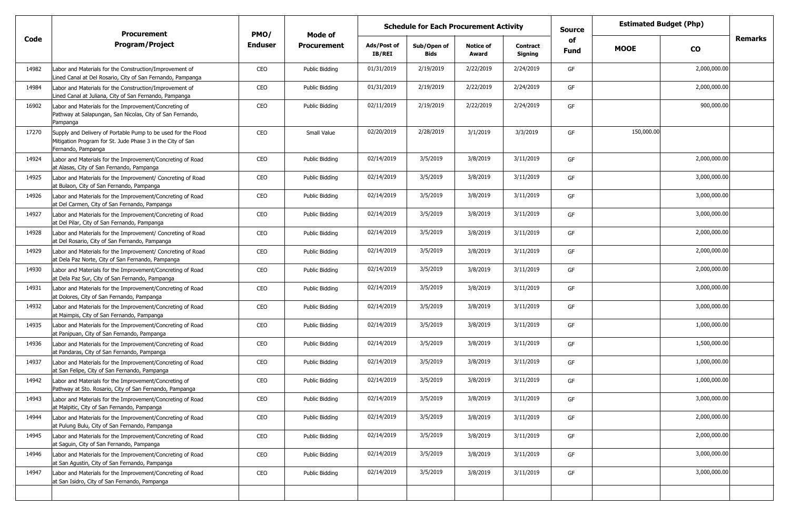|       |                                                                                                                                                   | <b>Estimated Budget (Php)</b><br><b>Schedule for Each Procurement Activity</b><br><b>Source</b><br>PMO/<br><b>Procurement</b><br>Mode of |                |                       |                            |                           |                            |            |             |              |         |
|-------|---------------------------------------------------------------------------------------------------------------------------------------------------|------------------------------------------------------------------------------------------------------------------------------------------|----------------|-----------------------|----------------------------|---------------------------|----------------------------|------------|-------------|--------------|---------|
| Code  | <b>Program/Project</b>                                                                                                                            | <b>Enduser</b>                                                                                                                           | Procurement    | Ads/Post of<br>IB/REI | Sub/Open of<br><b>Bids</b> | <b>Notice of</b><br>Award | <b>Contract</b><br>Signing | of<br>Fund | <b>MOOE</b> | <b>CO</b>    | Remarks |
| 14982 | Labor and Materials for the Construction/Improvement of<br>Lined Canal at Del Rosario, City of San Fernando, Pampanga                             | CEO                                                                                                                                      | Public Bidding | 01/31/2019            | 2/19/2019                  | 2/22/2019                 | 2/24/2019                  | GF         |             | 2,000,000.00 |         |
| 14984 | Labor and Materials for the Construction/Improvement of<br>Lined Canal at Juliana, City of San Fernando, Pampanga                                 | CEO                                                                                                                                      | Public Bidding | 01/31/2019            | 2/19/2019                  | 2/22/2019                 | 2/24/2019                  | GF         |             | 2,000,000.00 |         |
| 16902 | Labor and Materials for the Improvement/Concreting of<br>Pathway at Salapungan, San Nicolas, City of San Fernando,<br>Pampanga                    | CEO                                                                                                                                      | Public Bidding | 02/11/2019            | 2/19/2019                  | 2/22/2019                 | 2/24/2019                  | GF         |             | 900,000.00   |         |
| 17270 | Supply and Delivery of Portable Pump to be used for the Flood<br>Mitigation Program for St. Jude Phase 3 in the City of San<br>Fernando, Pampanga | CEO                                                                                                                                      | Small Value    | 02/20/2019            | 2/28/2019                  | 3/1/2019                  | 3/3/2019                   | GF         | 150,000.00  |              |         |
| 14924 | Labor and Materials for the Improvement/Concreting of Road<br>at Alasas, City of San Fernando, Pampanga                                           | CEO                                                                                                                                      | Public Bidding | 02/14/2019            | 3/5/2019                   | 3/8/2019                  | 3/11/2019                  | GF         |             | 2,000,000.00 |         |
| 14925 | Labor and Materials for the Improvement/ Concreting of Road<br>at Bulaon, City of San Fernando, Pampanga                                          | CEO                                                                                                                                      | Public Bidding | 02/14/2019            | 3/5/2019                   | 3/8/2019                  | 3/11/2019                  | GF         |             | 3,000,000.00 |         |
| 14926 | Labor and Materials for the Improvement/Concreting of Road<br>at Del Carmen, City of San Fernando, Pampanga                                       | CEO                                                                                                                                      | Public Bidding | 02/14/2019            | 3/5/2019                   | 3/8/2019                  | 3/11/2019                  | GF         |             | 3,000,000.00 |         |
| 14927 | Labor and Materials for the Improvement/Concreting of Road<br>at Del Pilar, City of San Fernando, Pampanga                                        | CEO                                                                                                                                      | Public Bidding | 02/14/2019            | 3/5/2019                   | 3/8/2019                  | 3/11/2019                  | GF         |             | 3,000,000.00 |         |
| 14928 | Labor and Materials for the Improvement/ Concreting of Road<br>at Del Rosario, City of San Fernando, Pampanga                                     | CEO                                                                                                                                      | Public Bidding | 02/14/2019            | 3/5/2019                   | 3/8/2019                  | 3/11/2019                  | GF         |             | 2,000,000.00 |         |
| 14929 | Labor and Materials for the Improvement/ Concreting of Road<br>at Dela Paz Norte, City of San Fernando, Pampanga                                  | CEO                                                                                                                                      | Public Bidding | 02/14/2019            | 3/5/2019                   | 3/8/2019                  | 3/11/2019                  | GF         |             | 2,000,000.00 |         |
| 14930 | Labor and Materials for the Improvement/Concreting of Road<br>at Dela Paz Sur, City of San Fernando, Pampanga                                     | CEO                                                                                                                                      | Public Bidding | 02/14/2019            | 3/5/2019                   | 3/8/2019                  | 3/11/2019                  | GF         |             | 2,000,000.00 |         |
| 14931 | Labor and Materials for the Improvement/Concreting of Road<br>at Dolores, City of San Fernando, Pampanga                                          | CEO                                                                                                                                      | Public Bidding | 02/14/2019            | 3/5/2019                   | 3/8/2019                  | 3/11/2019                  | GF         |             | 3,000,000.00 |         |
| 14932 | Labor and Materials for the Improvement/Concreting of Road<br>at Maimpis, City of San Fernando, Pampanga                                          | CEO                                                                                                                                      | Public Bidding | 02/14/2019            | 3/5/2019                   | 3/8/2019                  | 3/11/2019                  | GF         |             | 3,000,000.00 |         |
| 14935 | Labor and Materials for the Improvement/Concreting of Road<br>at Panipuan, City of San Fernando, Pampanga                                         | CEO                                                                                                                                      | Public Bidding | 02/14/2019            | 3/5/2019                   | 3/8/2019                  | 3/11/2019                  | GF         |             | 1,000,000.00 |         |
| 14936 | Labor and Materials for the Improvement/Concreting of Road<br>at Pandaras, City of San Fernando, Pampanga                                         | CEO                                                                                                                                      | Public Biddina | 02/14/2019            | 3/5/2019                   | 3/8/2019                  | 3/11/2019                  | GF         |             | 1,500,000.00 |         |
| 14937 | Labor and Materials for the Improvement/Concreting of Road<br>at San Felipe, City of San Fernando, Pampanga                                       | CEO                                                                                                                                      | Public Bidding | 02/14/2019            | 3/5/2019                   | 3/8/2019                  | 3/11/2019                  | GF         |             | 1,000,000.00 |         |
| 14942 | Labor and Materials for the Improvement/Concreting of<br>Pathway at Sto. Rosario, City of San Fernando, Pampanga                                  | CEO                                                                                                                                      | Public Bidding | 02/14/2019            | 3/5/2019                   | 3/8/2019                  | 3/11/2019                  | GF         |             | 1,000,000.00 |         |
| 14943 | Labor and Materials for the Improvement/Concreting of Road<br>at Malpitic, City of San Fernando, Pampanga                                         | CEO                                                                                                                                      | Public Bidding | 02/14/2019            | 3/5/2019                   | 3/8/2019                  | 3/11/2019                  | GF         |             | 3,000,000.00 |         |
| 14944 | Labor and Materials for the Improvement/Concreting of Road<br>at Pulung Bulu, City of San Fernando, Pampanga                                      | CEO                                                                                                                                      | Public Bidding | 02/14/2019            | 3/5/2019                   | 3/8/2019                  | 3/11/2019                  | GF         |             | 2,000,000.00 |         |
| 14945 | Labor and Materials for the Improvement/Concreting of Road<br>at Saguin, City of San Fernando, Pampanga                                           | CEO                                                                                                                                      | Public Bidding | 02/14/2019            | 3/5/2019                   | 3/8/2019                  | 3/11/2019                  | GF         |             | 2,000,000.00 |         |
| 14946 | Labor and Materials for the Improvement/Concreting of Road<br>at San Agustin, City of San Fernando, Pampanga                                      | CEO                                                                                                                                      | Public Bidding | 02/14/2019            | 3/5/2019                   | 3/8/2019                  | 3/11/2019                  | GF         |             | 3,000,000.00 |         |
| 14947 | Labor and Materials for the Improvement/Concreting of Road<br>at San Isidro, City of San Fernando, Pampanga                                       | CEO                                                                                                                                      | Public Bidding | 02/14/2019            | 3/5/2019                   | 3/8/2019                  | 3/11/2019                  | GF         |             | 3,000,000.00 |         |
|       |                                                                                                                                                   |                                                                                                                                          |                |                       |                            |                           |                            |            |             |              |         |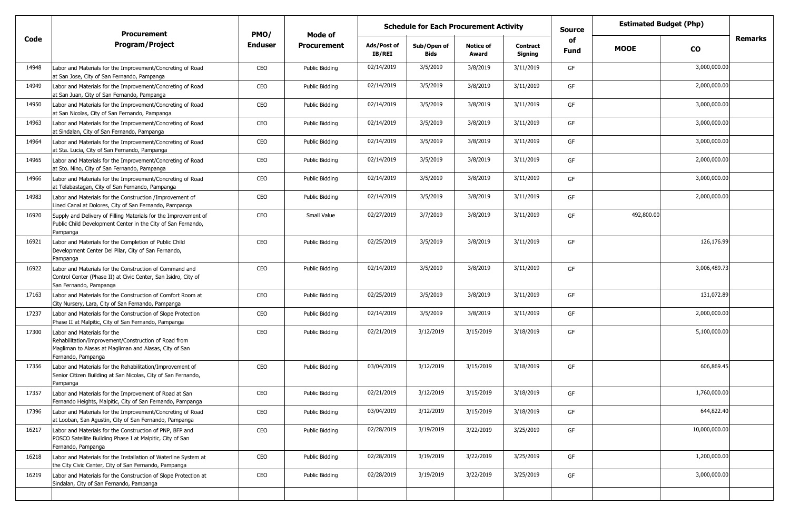|       |                                                                                                                                                                     | <b>Estimated Budget (Php)</b><br><b>Schedule for Each Procurement Activity</b><br><b>Source</b><br><b>Procurement</b><br>PMO/<br>Mode of |                    |                              |                     |                           |                            |            |             |               |         |
|-------|---------------------------------------------------------------------------------------------------------------------------------------------------------------------|------------------------------------------------------------------------------------------------------------------------------------------|--------------------|------------------------------|---------------------|---------------------------|----------------------------|------------|-------------|---------------|---------|
| Code  | <b>Program/Project</b>                                                                                                                                              | <b>Enduser</b>                                                                                                                           | <b>Procurement</b> | Ads/Post of<br><b>IB/REI</b> | Sub/Open of<br>Bids | <b>Notice of</b><br>Award | <b>Contract</b><br>Signing | of<br>Fund | <b>MOOE</b> | <b>CO</b>     | Remarks |
| 14948 | Labor and Materials for the Improvement/Concreting of Road<br>at San Jose, City of San Fernando, Pampanga                                                           | CEO                                                                                                                                      | Public Bidding     | 02/14/2019                   | 3/5/2019            | 3/8/2019                  | 3/11/2019                  | GF         |             | 3,000,000.00  |         |
| 14949 | Labor and Materials for the Improvement/Concreting of Road<br>at San Juan, City of San Fernando, Pampanga                                                           | CEO                                                                                                                                      | Public Bidding     | 02/14/2019                   | 3/5/2019            | 3/8/2019                  | 3/11/2019                  | GF         |             | 2,000,000.00  |         |
| 14950 | Labor and Materials for the Improvement/Concreting of Road<br>at San Nicolas, City of San Fernando, Pampanga                                                        | CEO                                                                                                                                      | Public Bidding     | 02/14/2019                   | 3/5/2019            | 3/8/2019                  | 3/11/2019                  | GF         |             | 3,000,000.00  |         |
| 14963 | Labor and Materials for the Improvement/Concreting of Road<br>at Sindalan, City of San Fernando, Pampanga                                                           | CEO                                                                                                                                      | Public Bidding     | 02/14/2019                   | 3/5/2019            | 3/8/2019                  | 3/11/2019                  | GF         |             | 3,000,000.00  |         |
| 14964 | Labor and Materials for the Improvement/Concreting of Road<br>at Sta. Lucia, City of San Fernando, Pampanga                                                         | CEO                                                                                                                                      | Public Bidding     | 02/14/2019                   | 3/5/2019            | 3/8/2019                  | 3/11/2019                  | GF         |             | 3,000,000.00  |         |
| 14965 | Labor and Materials for the Improvement/Concreting of Road<br>at Sto. Nino, City of San Fernando, Pampanga                                                          | CEO                                                                                                                                      | Public Bidding     | 02/14/2019                   | 3/5/2019            | 3/8/2019                  | 3/11/2019                  | GF         |             | 2,000,000.00  |         |
| 14966 | Labor and Materials for the Improvement/Concreting of Road<br>at Telabastagan, City of San Fernando, Pampanga                                                       | CEO                                                                                                                                      | Public Bidding     | 02/14/2019                   | 3/5/2019            | 3/8/2019                  | 3/11/2019                  | GF         |             | 3,000,000.00  |         |
| 14983 | Labor and Materials for the Construction /Improvement of<br>Lined Canal at Dolores, City of San Fernando, Pampanga                                                  | CEO                                                                                                                                      | Public Bidding     | 02/14/2019                   | 3/5/2019            | 3/8/2019                  | 3/11/2019                  | GF         |             | 2,000,000.00  |         |
| 16920 | Supply and Delivery of Filling Materials for the Improvement of<br>Public Child Development Center in the City of San Fernando,<br>Pampanga                         | CEO                                                                                                                                      | Small Value        | 02/27/2019                   | 3/7/2019            | 3/8/2019                  | 3/11/2019                  | GF         | 492,800.00  |               |         |
| 16921 | Labor and Materials for the Completion of Public Child<br>Development Center Del Pilar, City of San Fernando,<br>Pampanga                                           | CEO                                                                                                                                      | Public Bidding     | 02/25/2019                   | 3/5/2019            | 3/8/2019                  | 3/11/2019                  | GF         |             | 126,176.99    |         |
| 16922 | Labor and Materials for the Construction of Command and<br>Control Center (Phase II) at Civic Center, San Isidro, City of<br>San Fernando, Pampanga                 | CEO                                                                                                                                      | Public Bidding     | 02/14/2019                   | 3/5/2019            | 3/8/2019                  | 3/11/2019                  | GF         |             | 3,006,489.73  |         |
| 17163 | Labor and Materials for the Construction of Comfort Room at<br>City Nursery, Lara, City of San Fernando, Pampanga                                                   | CEO                                                                                                                                      | Public Bidding     | 02/25/2019                   | 3/5/2019            | 3/8/2019                  | 3/11/2019                  | GF         |             | 131,072.89    |         |
| 17237 | Labor and Materials for the Construction of Slope Protection<br>Phase II at Malpitic, City of San Fernando, Pampanga                                                | CEO                                                                                                                                      | Public Bidding     | 02/14/2019                   | 3/5/2019            | 3/8/2019                  | 3/11/2019                  | GF         |             | 2,000,000.00  |         |
| 17300 | Labor and Materials for the<br>Rehabilitation/Improvement/Construction of Road from<br>Magliman to Alasas at Magliman and Alasas, City of San<br>Fernando, Pampanga | CEO                                                                                                                                      | Public Bidding     | 02/21/2019                   | 3/12/2019           | 3/15/2019                 | 3/18/2019                  | GF         |             | 5,100,000.00  |         |
| 17356 | Labor and Materials for the Rehabilitation/Improvement of<br>Senior Citizen Building at San Nicolas, City of San Fernando,<br>Pampanga                              | CEO                                                                                                                                      | Public Bidding     | 03/04/2019                   | 3/12/2019           | 3/15/2019                 | 3/18/2019                  | GF         |             | 606,869.45    |         |
| 17357 | Labor and Materials for the Improvement of Road at San<br>Fernando Heights, Malpitic, City of San Fernando, Pampanga                                                | CEO                                                                                                                                      | Public Bidding     | 02/21/2019                   | 3/12/2019           | 3/15/2019                 | 3/18/2019                  | GF         |             | 1,760,000.00  |         |
| 17396 | Labor and Materials for the Improvement/Concreting of Road<br>at Looban, San Agustin, City of San Fernando, Pampanga                                                | CEO                                                                                                                                      | Public Bidding     | 03/04/2019                   | 3/12/2019           | 3/15/2019                 | 3/18/2019                  | GF         |             | 644,822.40    |         |
| 16217 | Labor and Materials for the Construction of PNP, BFP and<br>POSCO Satellite Building Phase I at Malpitic, City of San<br>Fernando, Pampanga                         | CEO                                                                                                                                      | Public Bidding     | 02/28/2019                   | 3/19/2019           | 3/22/2019                 | 3/25/2019                  | GF         |             | 10,000,000.00 |         |
| 16218 | Labor and Materials for the Installation of Waterline System at<br>the City Civic Center, City of San Fernando, Pampanga                                            | CEO                                                                                                                                      | Public Bidding     | 02/28/2019                   | 3/19/2019           | 3/22/2019                 | 3/25/2019                  | GF         |             | 1,200,000.00  |         |
| 16219 | Labor and Materials for the Construction of Slope Protection at<br>Sindalan, City of San Fernando, Pampanga                                                         | CEO                                                                                                                                      | Public Bidding     | 02/28/2019                   | 3/19/2019           | 3/22/2019                 | 3/25/2019                  | GF         |             | 3,000,000.00  |         |
|       |                                                                                                                                                                     |                                                                                                                                          |                    |                              |                     |                           |                            |            |             |               |         |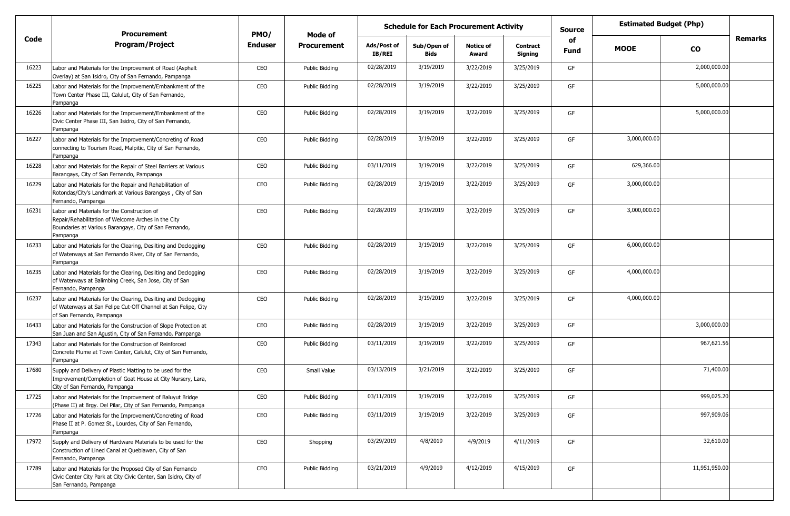|       |                                                                                                                                                                          | <b>Schedule for Each Procurement Activity</b><br><b>Procurement</b><br>PMO/<br>Mode of |                    |                       |                            |                           |                            | <b>Source</b> | <b>Estimated Budget (Php)</b> |               |         |
|-------|--------------------------------------------------------------------------------------------------------------------------------------------------------------------------|----------------------------------------------------------------------------------------|--------------------|-----------------------|----------------------------|---------------------------|----------------------------|---------------|-------------------------------|---------------|---------|
| Code  | <b>Program/Project</b>                                                                                                                                                   | <b>Enduser</b>                                                                         | <b>Procurement</b> | Ads/Post of<br>IB/REI | Sub/Open of<br><b>Bids</b> | <b>Notice of</b><br>Award | <b>Contract</b><br>Signing | of<br>Fund    | <b>MOOE</b>                   | <b>CO</b>     | Remarks |
| 16223 | Labor and Materials for the Improvement of Road (Asphalt<br>Overlay) at San Isidro, City of San Fernando, Pampanga                                                       | CEO                                                                                    | Public Bidding     | 02/28/2019            | 3/19/2019                  | 3/22/2019                 | 3/25/2019                  | GF            |                               | 2,000,000.00  |         |
| 16225 | Labor and Materials for the Improvement/Embankment of the<br>Town Center Phase III, Calulut, City of San Fernando,<br>Pampanga                                           | CEO                                                                                    | Public Bidding     | 02/28/2019            | 3/19/2019                  | 3/22/2019                 | 3/25/2019                  | GF            |                               | 5,000,000.00  |         |
| 16226 | Labor and Materials for the Improvement/Embankment of the<br>Civic Center Phase III, San Isidro, City of San Fernando,<br>Pampanga                                       | CEO                                                                                    | Public Bidding     | 02/28/2019            | 3/19/2019                  | 3/22/2019                 | 3/25/2019                  | GF            |                               | 5,000,000.00  |         |
| 16227 | Labor and Materials for the Improvement/Concreting of Road<br>connecting to Tourism Road, Malpitic, City of San Fernando,<br>Pampanga                                    | CEO                                                                                    | Public Bidding     | 02/28/2019            | 3/19/2019                  | 3/22/2019                 | 3/25/2019                  | GF            | 3,000,000.00                  |               |         |
| 16228 | Labor and Materials for the Repair of Steel Barriers at Various<br>Barangays, City of San Fernando, Pampanga                                                             | CEO                                                                                    | Public Bidding     | 03/11/2019            | 3/19/2019                  | 3/22/2019                 | 3/25/2019                  | GF            | 629,366.00                    |               |         |
| 16229 | Labor and Materials for the Repair and Rehabilitation of<br>Rotondas/City's Landmark at Various Barangays, City of San<br>Fernando, Pampanga                             | CEO                                                                                    | Public Bidding     | 02/28/2019            | 3/19/2019                  | 3/22/2019                 | 3/25/2019                  | GF            | 3,000,000.00                  |               |         |
| 16231 | Labor and Materials for the Construction of<br>Repair/Rehabilitation of Welcome Arches in the City<br>Boundaries at Various Barangays, City of San Fernando,<br>Pampanga | CEO                                                                                    | Public Bidding     | 02/28/2019            | 3/19/2019                  | 3/22/2019                 | 3/25/2019                  | GF            | 3,000,000.00                  |               |         |
| 16233 | Labor and Materials for the Clearing, Desilting and Declogging<br>of Waterways at San Fernando River, City of San Fernando,<br>Pampanga                                  | CEO                                                                                    | Public Bidding     | 02/28/2019            | 3/19/2019                  | 3/22/2019                 | 3/25/2019                  | GF            | 6,000,000.00                  |               |         |
| 16235 | Labor and Materials for the Clearing, Desilting and Declogging<br>of Waterways at Balimbing Creek, San Jose, City of San<br>Fernando, Pampanga                           | CEO                                                                                    | Public Bidding     | 02/28/2019            | 3/19/2019                  | 3/22/2019                 | 3/25/2019                  | GF            | 4,000,000.00                  |               |         |
| 16237 | Labor and Materials for the Clearing, Desilting and Declogging<br>of Waterways at San Felipe Cut-Off Channel at San Felipe, City<br>of San Fernando, Pampanga            | CEO                                                                                    | Public Bidding     | 02/28/2019            | 3/19/2019                  | 3/22/2019                 | 3/25/2019                  | GF            | 4,000,000.00                  |               |         |
| 16433 | Labor and Materials for the Construction of Slope Protection at<br>San Juan and San Agustin, City of San Fernando, Pampanga                                              | CEO                                                                                    | Public Bidding     | 02/28/2019            | 3/19/2019                  | 3/22/2019                 | 3/25/2019                  | GF            |                               | 3,000,000.00  |         |
| 17343 | Labor and Materials for the Construction of Reinforced<br>Concrete Flume at Town Center, Calulut, City of San Fernando,<br>Pampanga                                      | CEO                                                                                    | Public Bidding     | 03/11/2019            | 3/19/2019                  | 3/22/2019                 | 3/25/2019                  | GF            |                               | 967,621.56    |         |
| 17680 | Supply and Delivery of Plastic Matting to be used for the<br>Improvement/Completion of Goat House at City Nursery, Lara,<br>City of San Fernando, Pampanga               | CEO                                                                                    | Small Value        | 03/13/2019            | 3/21/2019                  | 3/22/2019                 | 3/25/2019                  | GF            |                               | 71,400.00     |         |
| 17725 | Labor and Materials for the Improvement of Baluyut Bridge<br>(Phase II) at Brgy. Del Pilar, City of San Fernando, Pampanga                                               | CEO                                                                                    | Public Bidding     | 03/11/2019            | 3/19/2019                  | 3/22/2019                 | 3/25/2019                  | GF            |                               | 999,025.20    |         |
| 17726 | Labor and Materials for the Improvement/Concreting of Road<br>Phase II at P. Gomez St., Lourdes, City of San Fernando,<br>Pampanga                                       | CEO                                                                                    | Public Bidding     | 03/11/2019            | 3/19/2019                  | 3/22/2019                 | 3/25/2019                  | GF            |                               | 997,909.06    |         |
| 17972 | Supply and Delivery of Hardware Materials to be used for the<br>Construction of Lined Canal at Quebiawan, City of San<br>Fernando, Pampanga                              | CEO                                                                                    | Shopping           | 03/29/2019            | 4/8/2019                   | 4/9/2019                  | 4/11/2019                  | GF            |                               | 32,610.00     |         |
| 17789 | Labor and Materials for the Proposed City of San Fernando<br>Civic Center City Park at City Civic Center, San Isidro, City of<br>San Fernando, Pampanga                  | CEO                                                                                    | Public Bidding     | 03/21/2019            | 4/9/2019                   | 4/12/2019                 | 4/15/2019                  | GF            |                               | 11,951,950.00 |         |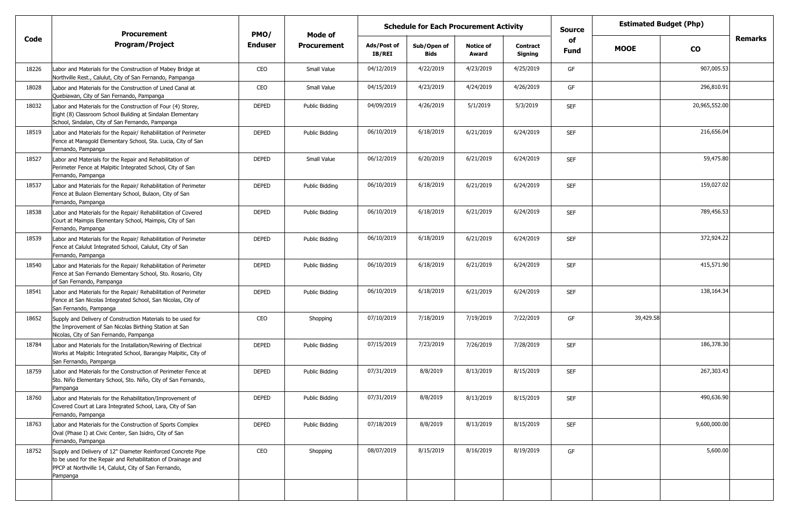|       | <b>Procurement</b>                                                                                                                                                                                | PMO/           | Mode of        |                              | <b>Schedule for Each Procurement Activity</b> |                           |                            | <b>Source</b>     | <b>Estimated Budget (Php)</b> |               |                |
|-------|---------------------------------------------------------------------------------------------------------------------------------------------------------------------------------------------------|----------------|----------------|------------------------------|-----------------------------------------------|---------------------------|----------------------------|-------------------|-------------------------------|---------------|----------------|
| Code  | <b>Program/Project</b>                                                                                                                                                                            | <b>Enduser</b> | Procurement    | Ads/Post of<br><b>IB/REI</b> | Sub/Open of<br><b>Bids</b>                    | <b>Notice of</b><br>Award | <b>Contract</b><br>Signing | of<br><b>Fund</b> | <b>MOOE</b>                   | <b>CO</b>     | <b>Remarks</b> |
| 18226 | Labor and Materials for the Construction of Mabey Bridge at<br>Northville Rest., Calulut, City of San Fernando, Pampanga                                                                          | CEO            | Small Value    | 04/12/2019                   | 4/22/2019                                     | 4/23/2019                 | 4/25/2019                  | GF                |                               | 907,005.53    |                |
| 18028 | Labor and Materials for the Construction of Lined Canal at<br>Quebiawan, City of San Fernando, Pampanga                                                                                           | CEO            | Small Value    | 04/15/2019                   | 4/23/2019                                     | 4/24/2019                 | 4/26/2019                  | GF                |                               | 296,810.91    |                |
| 18032 | Labor and Materials for the Construction of Four (4) Storey,<br>Eight (8) Classroom School Building at Sindalan Elementary<br>School, Sindalan, City of San Fernando, Pampanga                    | <b>DEPED</b>   | Public Bidding | 04/09/2019                   | 4/26/2019                                     | 5/1/2019                  | 5/3/2019                   | <b>SEF</b>        |                               | 20,965,552.00 |                |
| 18519 | Labor and Materials for the Repair/ Rehabilitation of Perimeter<br>Fence at Mansgold Elementary School, Sta. Lucia, City of San<br>Fernando, Pampanga                                             | <b>DEPED</b>   | Public Bidding | 06/10/2019                   | 6/18/2019                                     | 6/21/2019                 | 6/24/2019                  | <b>SEF</b>        |                               | 216,656.04    |                |
| 18527 | Labor and Materials for the Repair and Rehabilitation of<br>Perimeter Fence at Malpitic Integrated School, City of San<br>Fernando, Pampanga                                                      | <b>DEPED</b>   | Small Value    | 06/12/2019                   | 6/20/2019                                     | 6/21/2019                 | 6/24/2019                  | <b>SEF</b>        |                               | 59,475.80     |                |
| 18537 | Labor and Materials for the Repair/ Rehabilitation of Perimeter<br>Fence at Bulaon Elementary School, Bulaon, City of San<br>Fernando, Pampanga                                                   | <b>DEPED</b>   | Public Bidding | 06/10/2019                   | 6/18/2019                                     | 6/21/2019                 | 6/24/2019                  | <b>SEF</b>        |                               | 159,027.02    |                |
| 18538 | Labor and Materials for the Repair/ Rehabilitation of Covered<br>Court at Maimpis Elementary School, Maimpis, City of San<br>Fernando, Pampanga                                                   | <b>DEPED</b>   | Public Bidding | 06/10/2019                   | 6/18/2019                                     | 6/21/2019                 | 6/24/2019                  | <b>SEF</b>        |                               | 789,456.53    |                |
| 18539 | Labor and Materials for the Repair/ Rehabilitation of Perimeter<br>Fence at Calulut Integrated School, Calulut, City of San<br>Fernando, Pampanga                                                 | <b>DEPED</b>   | Public Bidding | 06/10/2019                   | 6/18/2019                                     | 6/21/2019                 | 6/24/2019                  | <b>SEF</b>        |                               | 372,924.22    |                |
| 18540 | Labor and Materials for the Repair/ Rehabilitation of Perimeter<br>Fence at San Fernando Elementary School, Sto. Rosario, City<br>of San Fernando, Pampanga                                       | <b>DEPED</b>   | Public Bidding | 06/10/2019                   | 6/18/2019                                     | 6/21/2019                 | 6/24/2019                  | <b>SEF</b>        |                               | 415,571.90    |                |
| 18541 | Labor and Materials for the Repair/ Rehabilitation of Perimeter<br>Fence at San Nicolas Integrated School, San Nicolas, City of<br>San Fernando, Pampanga                                         | <b>DEPED</b>   | Public Bidding | 06/10/2019                   | 6/18/2019                                     | 6/21/2019                 | 6/24/2019                  | <b>SEF</b>        |                               | 138,164.34    |                |
| 18652 | Supply and Delivery of Construction Materials to be used for<br>the Improvement of San Nicolas Birthing Station at San<br>Nicolas, City of San Fernando, Pampanga                                 | CEO            | Shopping       | 07/10/2019                   | 7/18/2019                                     | 7/19/2019                 | 7/22/2019                  | GF                | 39,429.58                     |               |                |
| 18784 | Labor and Materials for the Installation/Rewiring of Electrical<br>Works at Malpitic Integrated School, Barangay Malpitic, City of<br>San Fernando, Pampanga                                      | <b>DEPED</b>   | Public Bidding | 07/15/2019                   | 7/23/2019                                     | 7/26/2019                 | 7/28/2019                  | <b>SEF</b>        |                               | 186,378.30    |                |
| 18759 | Labor and Materials for the Construction of Perimeter Fence at<br>Sto. Niño Elementary School, Sto. Niño, City of San Fernando,<br>Pampanga                                                       | <b>DEPED</b>   | Public Bidding | 07/31/2019                   | 8/8/2019                                      | 8/13/2019                 | 8/15/2019                  | <b>SEF</b>        |                               | 267,303.43    |                |
| 18760 | Labor and Materials for the Rehabilitation/Improvement of<br>Covered Court at Lara Integrated School, Lara, City of San<br>Fernando, Pampanga                                                     | <b>DEPED</b>   | Public Bidding | 07/31/2019                   | 8/8/2019                                      | 8/13/2019                 | 8/15/2019                  | <b>SEF</b>        |                               | 490,636.90    |                |
| 18763 | Labor and Materials for the Construction of Sports Complex<br>Oval (Phase I) at Civic Center, San Isidro, City of San<br>Fernando, Pampanga                                                       | <b>DEPED</b>   | Public Bidding | 07/18/2019                   | 8/8/2019                                      | 8/13/2019                 | 8/15/2019                  | <b>SEF</b>        |                               | 9,600,000.00  |                |
| 18752 | Supply and Delivery of 12" Diameter Reinforced Concrete Pipe<br>to be used for the Repair and Rehabilitation of Drainage and<br>PPCP at Northville 14, Calulut, City of San Fernando,<br>Pampanga | CEO            | Shopping       | 08/07/2019                   | 8/15/2019                                     | 8/16/2019                 | 8/19/2019                  | GF                |                               | 5,600.00      |                |
|       |                                                                                                                                                                                                   |                |                |                              |                                               |                           |                            |                   |                               |               |                |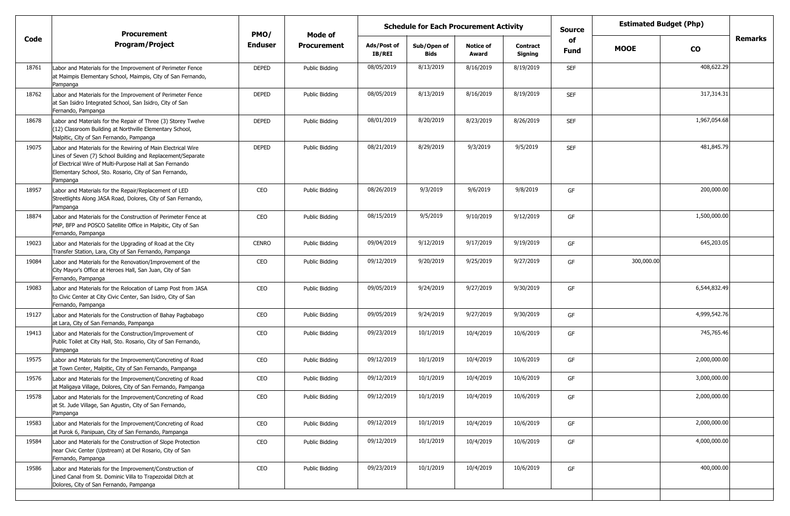|       | <b>Procurement</b>                                                                                                                                                                                                                                            | PMO/           | Mode of            | <b>Schedule for Each Procurement Activity</b> |                            |                           |                     |                   |             | <b>Estimated Budget (Php)</b> |                |
|-------|---------------------------------------------------------------------------------------------------------------------------------------------------------------------------------------------------------------------------------------------------------------|----------------|--------------------|-----------------------------------------------|----------------------------|---------------------------|---------------------|-------------------|-------------|-------------------------------|----------------|
| Code  | <b>Program/Project</b>                                                                                                                                                                                                                                        | <b>Enduser</b> | <b>Procurement</b> | Ads/Post of<br>IB/REI                         | Sub/Open of<br><b>Bids</b> | <b>Notice of</b><br>Award | Contract<br>Signing | of<br><b>Fund</b> | <b>MOOE</b> | <b>CO</b>                     | <b>Remarks</b> |
| 18761 | Labor and Materials for the Improvement of Perimeter Fence<br>at Maimpis Elementary School, Maimpis, City of San Fernando,<br>Pampanga                                                                                                                        | <b>DEPED</b>   | Public Bidding     | 08/05/2019                                    | 8/13/2019                  | 8/16/2019                 | 8/19/2019           | <b>SEF</b>        |             | 408,622.29                    |                |
| 18762 | Labor and Materials for the Improvement of Perimeter Fence<br>at San Isidro Integrated School, San Isidro, City of San<br>Fernando, Pampanga                                                                                                                  | <b>DEPED</b>   | Public Bidding     | 08/05/2019                                    | 8/13/2019                  | 8/16/2019                 | 8/19/2019           | <b>SEF</b>        |             | 317,314.31                    |                |
| 18678 | Labor and Materials for the Repair of Three (3) Storey Twelve<br>(12) Classroom Building at Northville Elementary School,<br>Malpitic, City of San Fernando, Pampanga                                                                                         | <b>DEPED</b>   | Public Bidding     | 08/01/2019                                    | 8/20/2019                  | 8/23/2019                 | 8/26/2019           | <b>SEF</b>        |             | 1,967,054.68                  |                |
| 19075 | Labor and Materials for the Rewiring of Main Electrical Wire<br>Lines of Seven (7) School Building and Replacement/Separate<br>of Electrical Wire of Multi-Purpose Hall at San Fernando<br>Elementary School, Sto. Rosario, City of San Fernando,<br>Pampanga | <b>DEPED</b>   | Public Bidding     | 08/21/2019                                    | 8/29/2019                  | 9/3/2019                  | 9/5/2019            | <b>SEF</b>        |             | 481,845.79                    |                |
| 18957 | Labor and Materials for the Repair/Replacement of LED<br>Streetlights Along JASA Road, Dolores, City of San Fernando,<br>Pampanga                                                                                                                             | CEO            | Public Bidding     | 08/26/2019                                    | 9/3/2019                   | 9/6/2019                  | 9/8/2019            | GF                |             | 200,000.00                    |                |
| 18874 | Labor and Materials for the Construction of Perimeter Fence at<br>PNP, BFP and POSCO Satellite Office in Malpitic, City of San<br>Fernando, Pampanga                                                                                                          | CEO            | Public Bidding     | 08/15/2019                                    | 9/5/2019                   | 9/10/2019                 | 9/12/2019           | GF                |             | 1,500,000.00                  |                |
| 19023 | Labor and Materials for the Upgrading of Road at the City<br>Transfer Station, Lara, City of San Fernando, Pampanga                                                                                                                                           | <b>CENRO</b>   | Public Bidding     | 09/04/2019                                    | 9/12/2019                  | 9/17/2019                 | 9/19/2019           | GF                |             | 645,203.05                    |                |
| 19084 | Labor and Materials for the Renovation/Improvement of the<br>City Mayor's Office at Heroes Hall, San Juan, City of San<br>Fernando, Pampanga                                                                                                                  | CEO            | Public Bidding     | 09/12/2019                                    | 9/20/2019                  | 9/25/2019                 | 9/27/2019           | GF                | 300,000.00  |                               |                |
| 19083 | Labor and Materials for the Relocation of Lamp Post from JASA<br>to Civic Center at City Civic Center, San Isidro, City of San<br>Fernando, Pampanga                                                                                                          | CEO            | Public Bidding     | 09/05/2019                                    | 9/24/2019                  | 9/27/2019                 | 9/30/2019           | GF                |             | 6,544,832.49                  |                |
| 19127 | Labor and Materials for the Construction of Bahay Pagbabago<br>at Lara, City of San Fernando, Pampanga                                                                                                                                                        | CEO            | Public Bidding     | 09/05/2019                                    | 9/24/2019                  | 9/27/2019                 | 9/30/2019           | GF                |             | 4,999,542.76                  |                |
| 19413 | Labor and Materials for the Construction/Improvement of<br>Public Toilet at City Hall, Sto. Rosario, City of San Fernando,<br>Pampanga                                                                                                                        | CEO            | Public Bidding     | 09/23/2019                                    | 10/1/2019                  | 10/4/2019                 | 10/6/2019           | GF                |             | 745,765.46                    |                |
| 19575 | Labor and Materials for the Improvement/Concreting of Road<br>at Town Center, Malpitic, City of San Fernando, Pampanga                                                                                                                                        | CEO            | Public Bidding     | 09/12/2019                                    | 10/1/2019                  | 10/4/2019                 | 10/6/2019           | GF                |             | 2,000,000.00                  |                |
| 19576 | Labor and Materials for the Improvement/Concreting of Road<br>at Maligaya Village, Dolores, City of San Fernando, Pampanga                                                                                                                                    | CEO            | Public Bidding     | 09/12/2019                                    | 10/1/2019                  | 10/4/2019                 | 10/6/2019           | GF                |             | 3,000,000.00                  |                |
| 19578 | Labor and Materials for the Improvement/Concreting of Road<br>at St. Jude Village, San Agustin, City of San Fernando,<br>Pampanga                                                                                                                             | CEO            | Public Bidding     | 09/12/2019                                    | 10/1/2019                  | 10/4/2019                 | 10/6/2019           | GF                |             | 2,000,000.00                  |                |
| 19583 | Labor and Materials for the Improvement/Concreting of Road<br>at Purok 6, Panipuan, City of San Fernando, Pampanga                                                                                                                                            | CEO            | Public Bidding     | 09/12/2019                                    | 10/1/2019                  | 10/4/2019                 | 10/6/2019           | GF                |             | 2,000,000.00                  |                |
| 19584 | Labor and Materials for the Construction of Slope Protection<br>near Civic Center (Upstream) at Del Rosario, City of San<br>Fernando, Pampanga                                                                                                                | CEO            | Public Bidding     | 09/12/2019                                    | 10/1/2019                  | 10/4/2019                 | 10/6/2019           | GF                |             | 4,000,000.00                  |                |
| 19586 | Labor and Materials for the Improvement/Construction of<br>Lined Canal from St. Dominic Villa to Trapezoidal Ditch at<br>Dolores, City of San Fernando, Pampanga                                                                                              | CEO            | Public Bidding     | 09/23/2019                                    | 10/1/2019                  | 10/4/2019                 | 10/6/2019           | GF                |             | 400,000.00                    |                |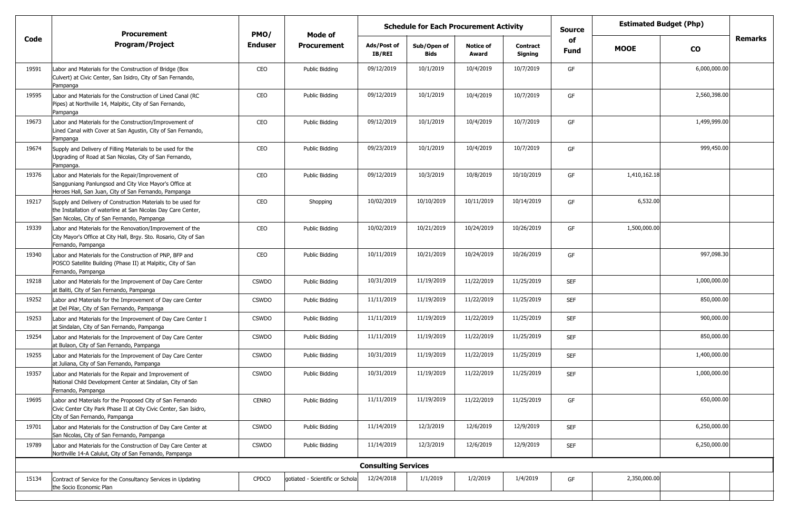|       | <b>Procurement</b>                                                                                                                                                           | PMO/           | Mode of                         | <b>Schedule for Each Procurement Activity</b> |                            |                           |                     | <b>Source</b> |              | <b>Estimated Budget (Php)</b> |         |
|-------|------------------------------------------------------------------------------------------------------------------------------------------------------------------------------|----------------|---------------------------------|-----------------------------------------------|----------------------------|---------------------------|---------------------|---------------|--------------|-------------------------------|---------|
| Code  | <b>Program/Project</b>                                                                                                                                                       | <b>Enduser</b> | <b>Procurement</b>              | Ads/Post of<br>IB/REI                         | Sub/Open of<br><b>Bids</b> | <b>Notice of</b><br>Award | Contract<br>Signing | of<br>Fund    | <b>MOOE</b>  | <b>CO</b>                     | Remarks |
| 19591 | Labor and Materials for the Construction of Bridge (Box<br>Culvert) at Civic Center, San Isidro, City of San Fernando,<br>Pampanga                                           | CEO            | Public Bidding                  | 09/12/2019                                    | 10/1/2019                  | 10/4/2019                 | 10/7/2019           | GF            |              | 6,000,000.00                  |         |
| 19595 | Labor and Materials for the Construction of Lined Canal (RC<br>Pipes) at Northville 14, Malpitic, City of San Fernando,<br>Pampanga                                          | CEO            | Public Bidding                  | 09/12/2019                                    | 10/1/2019                  | 10/4/2019                 | 10/7/2019           | GF            |              | 2,560,398.00                  |         |
| 19673 | Labor and Materials for the Construction/Improvement of<br>Lined Canal with Cover at San Agustin, City of San Fernando,<br>Pampanga                                          | CEO            | Public Bidding                  | 09/12/2019                                    | 10/1/2019                  | 10/4/2019                 | 10/7/2019           | GF            |              | 1,499,999.00                  |         |
| 19674 | Supply and Delivery of Filling Materials to be used for the<br>Upgrading of Road at San Nicolas, City of San Fernando,<br>Pampanga.                                          | CEO            | Public Bidding                  | 09/23/2019                                    | 10/1/2019                  | 10/4/2019                 | 10/7/2019           | GF            |              | 999,450.00                    |         |
| 19376 | Labor and Materials for the Repair/Improvement of<br>Sangguniang Panlungsod and City Vice Mayor's Office at<br>Heroes Hall, San Juan, City of San Fernando, Pampanga         | CEO            | Public Bidding                  | 09/12/2019                                    | 10/3/2019                  | 10/8/2019                 | 10/10/2019          | GF            | 1,410,162.18 |                               |         |
| 19217 | Supply and Delivery of Construction Materials to be used for<br>the Installation of waterline at San Nicolas Day Care Center,<br>San Nicolas, City of San Fernando, Pampanga | CEO            | Shopping                        | 10/02/2019                                    | 10/10/2019                 | 10/11/2019                | 10/14/2019          | GF            | 6,532.00     |                               |         |
| 19339 | Labor and Materials for the Renovation/Improvement of the<br>City Mayor's Office at City Hall, Brgy. Sto. Rosario, City of San<br>Fernando, Pampanga                         | CEO            | Public Bidding                  | 10/02/2019                                    | 10/21/2019                 | 10/24/2019                | 10/26/2019          | GF            | 1,500,000.00 |                               |         |
| 19340 | Labor and Materials for the Construction of PNP, BFP and<br>POSCO Satellite Building (Phase II) at Malpitic, City of San<br>Fernando, Pampanga                               | CEO            | Public Bidding                  | 10/11/2019                                    | 10/21/2019                 | 10/24/2019                | 10/26/2019          | GF            |              | 997,098.30                    |         |
| 19218 | Labor and Materials for the Improvement of Day Care Center<br>at Baliti, City of San Fernando, Pampanga                                                                      | <b>CSWDO</b>   | Public Bidding                  | 10/31/2019                                    | 11/19/2019                 | 11/22/2019                | 11/25/2019          | <b>SEF</b>    |              | 1,000,000.00                  |         |
| 19252 | Labor and Materials for the Improvement of Day care Center<br>at Del Pilar, City of San Fernando, Pampanga                                                                   | <b>CSWDO</b>   | Public Bidding                  | 11/11/2019                                    | 11/19/2019                 | 11/22/2019                | 11/25/2019          | <b>SEF</b>    |              | 850,000.00                    |         |
| 19253 | Labor and Materials for the Improvement of Day Care Center I<br>at Sindalan, City of San Fernando, Pampanga                                                                  | <b>CSWDO</b>   | Public Bidding                  | 11/11/2019                                    | 11/19/2019                 | 11/22/2019                | 11/25/2019          | <b>SEF</b>    |              | 900,000.00                    |         |
| 19254 | Labor and Materials for the Improvement of Day Care Center<br>at Bulaon, City of San Fernando, Pampanga                                                                      | <b>CSWDO</b>   | Public Bidding                  | 11/11/2019                                    | 11/19/2019                 | 11/22/2019                | 11/25/2019          | <b>SEF</b>    |              | 850,000.00                    |         |
| 19255 | Labor and Materials for the Improvement of Day Care Center<br>at Juliana, City of San Fernando, Pampanga                                                                     | <b>CSWDO</b>   | Public Bidding                  | 10/31/2019                                    | 11/19/2019                 | 11/22/2019                | 11/25/2019          | <b>SEF</b>    |              | 1,400,000.00                  |         |
| 19357 | Labor and Materials for the Repair and Improvement of<br>National Child Development Center at Sindalan, City of San<br>Fernando, Pampanga                                    | <b>CSWDO</b>   | Public Bidding                  | 10/31/2019                                    | 11/19/2019                 | 11/22/2019                | 11/25/2019          | <b>SEF</b>    |              | 1,000,000.00                  |         |
| 19695 | Labor and Materials for the Proposed City of San Fernando<br>Civic Center City Park Phase II at City Civic Center, San Isidro,<br>City of San Fernando, Pampanga             | <b>CENRO</b>   | Public Bidding                  | 11/11/2019                                    | 11/19/2019                 | 11/22/2019                | 11/25/2019          | GF            |              | 650,000.00                    |         |
| 19701 | Labor and Materials for the Construction of Day Care Center at<br>San Nicolas, City of San Fernando, Pampanga                                                                | <b>CSWDO</b>   | Public Bidding                  | 11/14/2019                                    | 12/3/2019                  | 12/6/2019                 | 12/9/2019           | <b>SEF</b>    |              | 6,250,000.00                  |         |
| 19789 | Labor and Materials for the Construction of Day Care Center at<br>Northville 14-A Calulut, City of San Fernando, Pampanga                                                    | <b>CSWDO</b>   | Public Bidding                  | 11/14/2019                                    | 12/3/2019                  | 12/6/2019                 | 12/9/2019           | <b>SEF</b>    |              | 6,250,000.00                  |         |
|       |                                                                                                                                                                              |                |                                 | <b>Consulting Services</b>                    |                            |                           |                     |               |              |                               |         |
| 15134 | Contract of Service for the Consultancy Services in Updating<br>the Socio Economic Plan                                                                                      | <b>CPDCO</b>   | gotiated - Scientific or Schola | 12/24/2018                                    | 1/1/2019                   | 1/2/2019                  | 1/4/2019            | GF            | 2,350,000.00 |                               |         |
|       |                                                                                                                                                                              |                |                                 |                                               |                            |                           |                     |               |              |                               |         |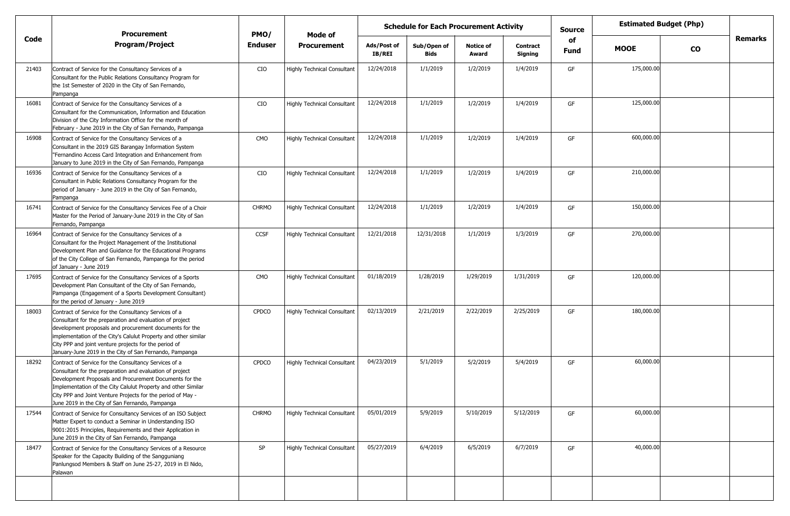|       | <b>Procurement</b>                                                                                                                                                                                                                                                                                                                                                  | PMO/           | <b>Mode of</b>                     | <b>Schedule for Each Procurement Activity</b> |                            |                           |                            |            | <b>Estimated Budget (Php)</b> |           |                |
|-------|---------------------------------------------------------------------------------------------------------------------------------------------------------------------------------------------------------------------------------------------------------------------------------------------------------------------------------------------------------------------|----------------|------------------------------------|-----------------------------------------------|----------------------------|---------------------------|----------------------------|------------|-------------------------------|-----------|----------------|
| Code  | <b>Program/Project</b>                                                                                                                                                                                                                                                                                                                                              | <b>Enduser</b> | <b>Procurement</b>                 | Ads/Post of<br><b>IB/REI</b>                  | Sub/Open of<br><b>Bids</b> | <b>Notice of</b><br>Award | <b>Contract</b><br>Signing | of<br>Fund | <b>MOOE</b>                   | <b>CO</b> | <b>Remarks</b> |
| 21403 | Contract of Service for the Consultancy Services of a<br>Consultant for the Public Relations Consultancy Program for<br>the 1st Semester of 2020 in the City of San Fernando,<br>Pampanga                                                                                                                                                                           | CIO            | <b>Highly Technical Consultant</b> | 12/24/2018                                    | 1/1/2019                   | 1/2/2019                  | 1/4/2019                   | GF         | 175,000.00                    |           |                |
| 16081 | Contract of Service for the Consultancy Services of a<br>Consultant for the Communication, Information and Education<br>Division of the City Information Office for the month of<br>February - June 2019 in the City of San Fernando, Pampanga                                                                                                                      | CIO            | <b>Highly Technical Consultant</b> | 12/24/2018                                    | 1/1/2019                   | 1/2/2019                  | 1/4/2019                   | GF         | 125,000.00                    |           |                |
| 16908 | Contract of Service for the Consultancy Services of a<br>Consultant in the 2019 GIS Barangay Information System<br>"Fernandino Access Card Integration and Enhancement from<br>January to June 2019 in the City of San Fernando, Pampanga                                                                                                                           | CMO            | <b>Highly Technical Consultant</b> | 12/24/2018                                    | 1/1/2019                   | 1/2/2019                  | 1/4/2019                   | GF         | 600,000.00                    |           |                |
| 16936 | Contract of Service for the Consultancy Services of a<br>Consultant in Public Relations Consultancy Program for the<br>period of January - June 2019 in the City of San Fernando,<br>Pampanga                                                                                                                                                                       | CIO            | Highly Technical Consultant        | 12/24/2018                                    | 1/1/2019                   | 1/2/2019                  | 1/4/2019                   | GF         | 210,000.00                    |           |                |
| 16741 | Contract of Service for the Consultancy Services Fee of a Choir<br>Master for the Period of January-June 2019 in the City of San<br>Fernando, Pampanga                                                                                                                                                                                                              | <b>CHRMO</b>   | <b>Highly Technical Consultant</b> | 12/24/2018                                    | 1/1/2019                   | 1/2/2019                  | 1/4/2019                   | GF         | 150,000.00                    |           |                |
| 16964 | Contract of Service for the Consultancy Services of a<br>Consultant for the Project Management of the Institutional<br>Development Plan and Guidance for the Educational Programs<br>of the City College of San Fernando, Pampanga for the period<br>of January - June 2019                                                                                         | <b>CCSF</b>    | <b>Highly Technical Consultant</b> | 12/21/2018                                    | 12/31/2018                 | 1/1/2019                  | 1/3/2019                   | GF         | 270,000.00                    |           |                |
| 17695 | Contract of Service for the Consultancy Services of a Sports<br>Development Plan Consultant of the City of San Fernando,<br>Pampanga (Engagement of a Sports Development Consultant)<br>for the period of January - June 2019                                                                                                                                       | CMO            | Highly Technical Consultant        | 01/18/2019                                    | 1/28/2019                  | 1/29/2019                 | 1/31/2019                  | GF         | 120,000.00                    |           |                |
| 18003 | Contract of Service for the Consultancy Services of a<br>Consultant for the preparation and evaluation of project<br>development proposals and procurement documents for the<br>implementation of the City's Calulut Property and other similar<br>City PPP and joint venture projects for the period of<br>January-June 2019 in the City of San Fernando, Pampanga | <b>CPDCO</b>   | <b>Highly Technical Consultant</b> | 02/13/2019                                    | 2/21/2019                  | 2/22/2019                 | 2/25/2019                  | GF         | 180,000.00                    |           |                |
| 18292 | Contract of Service for the Consultancy Services of a<br>Consultant for the preparation and evaluation of project<br>Development Proposals and Procurement Documents for the<br>Implementation of the City Calulut Property and other Similar<br>City PPP and Joint Venture Projects for the period of May -<br>June 2019 in the City of San Fernando, Pampanga     | <b>CPDCO</b>   | <b>Highly Technical Consultant</b> | 04/23/2019                                    | 5/1/2019                   | 5/2/2019                  | 5/4/2019                   | GF         | 60,000.00                     |           |                |
| 17544 | Contract of Service for Consultancy Services of an ISO Subject<br>Matter Expert to conduct a Seminar in Understanding ISO<br>9001:2015 Principles, Requirements and their Application in<br>June 2019 in the City of San Fernando, Pampanga                                                                                                                         | <b>CHRMO</b>   | <b>Highly Technical Consultant</b> | 05/01/2019                                    | 5/9/2019                   | 5/10/2019                 | 5/12/2019                  | GF         | 60,000.00                     |           |                |
| 18477 | Contract of Service for the Consultancy Services of a Resource<br>Speaker for the Capacity Building of the Sangguniang<br>Panlungsod Members & Staff on June 25-27, 2019 in El Nido,<br>Palawan                                                                                                                                                                     | <b>SP</b>      | <b>Highly Technical Consultant</b> | 05/27/2019                                    | 6/4/2019                   | 6/5/2019                  | 6/7/2019                   | GF         | 40,000.00                     |           |                |
|       |                                                                                                                                                                                                                                                                                                                                                                     |                |                                    |                                               |                            |                           |                            |            |                               |           |                |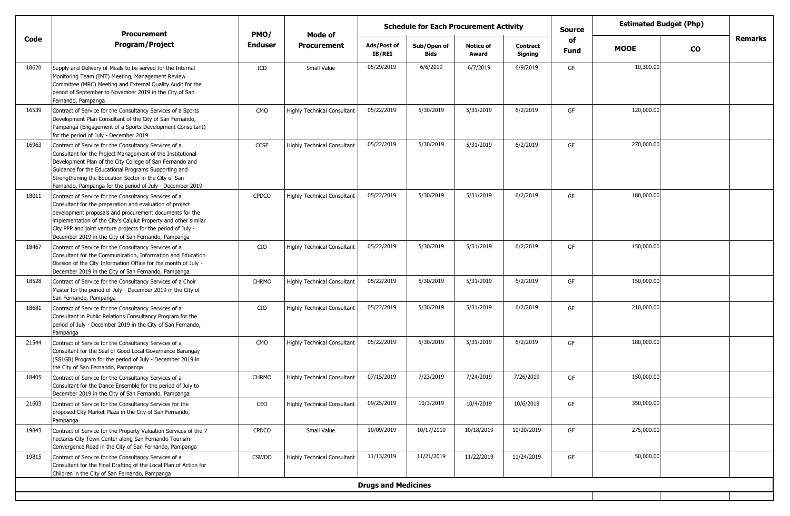|       | <b>Procurement</b>                                                                                                                                                                                                                                                                                                                                                     | PMO/           | Mode of                            | <b>Schedule for Each Procurement Activity</b><br><b>Source</b> |                     |                           |                            |            |             | <b>Estimated Budget (Php)</b> |         |
|-------|------------------------------------------------------------------------------------------------------------------------------------------------------------------------------------------------------------------------------------------------------------------------------------------------------------------------------------------------------------------------|----------------|------------------------------------|----------------------------------------------------------------|---------------------|---------------------------|----------------------------|------------|-------------|-------------------------------|---------|
| Code  | <b>Program/Project</b>                                                                                                                                                                                                                                                                                                                                                 | <b>Enduser</b> | <b>Procurement</b>                 | Ads/Post of<br>IB/REI                                          | Sub/Open of<br>Bids | <b>Notice of</b><br>Award | <b>Contract</b><br>Signing | of<br>Fund | <b>MOOE</b> | <b>CO</b>                     | Remarks |
| 18620 | Supply and Delivery of Meals to be served for the Internal<br>Monitoring Team (IMT) Meeting, Management Review<br>Committee (MRC) Meeting and External Quality Audit for the<br>period of September to November 2019 in the City of San<br>Fernando, Pampanga                                                                                                          | ICD            | Small Value                        | 05/29/2019                                                     | 6/6/2019            | 6/7/2019                  | 6/9/2019                   | GF         | 10,300.00   |                               |         |
| 16539 | Contract of Service for the Consultancy Services of a Sports<br>Development Plan Consultant of the City of San Fernando,<br>Pampanga (Engagement of a Sports Development Consultant)<br>for the period of July - December 2019                                                                                                                                         | CMO            | <b>Highly Technical Consultant</b> | 05/22/2019                                                     | 5/30/2019           | 5/31/2019                 | 6/2/2019                   | GF         | 120,000.00  |                               |         |
| 16963 | Contract of Service for the Consultancy Services of a<br>Consultant for the Project Management of the Institutional<br>Development Plan of the City College of San Fernando and<br>Guidance for the Educational Programs Supporting and<br>Strengthening the Education Sector in the City of San<br>Fernando, Pampanga for the period of July - December 2019          | <b>CCSF</b>    | <b>Highly Technical Consultant</b> | 05/22/2019                                                     | 5/30/2019           | 5/31/2019                 | 6/2/2019                   | GF         | 270,000.00  |                               |         |
| 18011 | Contract of Service for the Consultancy Services of a<br>Consultant for the preparation and evaluation of project<br>development proposals and procurement documents for the<br>implementation of the City's Calulut Property and other similar<br>City PPP and joint venture projects for the period of July -<br>December 2019 in the City of San Fernando, Pampanga | <b>CPDCO</b>   | <b>Highly Technical Consultant</b> | 05/22/2019                                                     | 5/30/2019           | 5/31/2019                 | 6/2/2019                   | GF         | 180,000.00  |                               |         |
| 18467 | Contract of Service for the Consultancy Services of a<br>Consultant for the Communication, Information and Education<br>Division of the City Information Office for the month of July -<br>December 2019 in the City of San Fernando, Pampanga                                                                                                                         | CIO            | <b>Highly Technical Consultant</b> | 05/22/2019                                                     | 5/30/2019           | 5/31/2019                 | 6/2/2019                   | GF         | 150,000.00  |                               |         |
| 18528 | Contract of Service for the Consultancy Services of a Choir<br>Master for the period of July - December 2019 in the City of<br>San Fernando, Pampanga                                                                                                                                                                                                                  | <b>CHRMO</b>   | <b>Highly Technical Consultant</b> | 05/22/2019                                                     | 5/30/2019           | 5/31/2019                 | 6/2/2019                   | GF         | 150,000.00  |                               |         |
| 18681 | Contract of Service for the Consultancy Services of a<br>Consultant in Public Relations Consultancy Program for the<br>period of July - December 2019 in the City of San Fernando,<br>Pampanga                                                                                                                                                                         | CIO            | <b>Highly Technical Consultant</b> | 05/22/2019                                                     | 5/30/2019           | 5/31/2019                 | 6/2/2019                   | GF         | 210,000.00  |                               |         |
| 21544 | Contract of Service for the Consultancy Services of a<br>Consultant for the Seal of Good Local Governance Barangay<br>(SGLGB) Program for the period of July - December 2019 in<br>the City of San Fernando, Pampanga                                                                                                                                                  | CMO            | <b>Highly Technical Consultant</b> | 05/22/2019                                                     | 5/30/2019           | 5/31/2019                 | 6/2/2019                   | GF         | 180,000.00  |                               |         |
| 18405 | Contract of Service for the Consultancy Services of a<br>Consultant for the Dance Ensemble for the period of July to<br>December 2019 in the City of San Fernando, Pampanga                                                                                                                                                                                            | <b>CHRMO</b>   | <b>Highly Technical Consultant</b> | 07/15/2019                                                     | 7/23/2019           | 7/24/2019                 | 7/26/2019                  | GF         | 150,000.00  |                               |         |
| 21603 | Contract of Service for the Consultancy Services for the<br>proposed City Market Plaza in the City of San Fernando,<br>Pampanga                                                                                                                                                                                                                                        | CEO            | <b>Highly Technical Consultant</b> | 09/25/2019                                                     | 10/3/2019           | 10/4/2019                 | 10/6/2019                  | GF         | 350,000.00  |                               |         |
| 19843 | Contract of Service for the Property Valuation Services of the 7<br>hectares City Town Center along San Fernando Tourism<br>Convergence Road in the City of San Fernando, Pampanga                                                                                                                                                                                     | CPDCO          | Small Value                        | 10/09/2019                                                     | 10/17/2019          | 10/18/2019                | 10/20/2019                 | GF         | 275,000.00  |                               |         |
| 19815 | Contract of Service for the Consultancy Services of a<br>Consultant for the Final Drafting of the Local Plan of Action for<br>Children in the City of San Fernando, Pampanga                                                                                                                                                                                           | <b>CSWDO</b>   | <b>Highly Technical Consultant</b> | 11/13/2019                                                     | 11/21/2019          | 11/22/2019                | 11/24/2019                 | GF         | 50,000.00   |                               |         |
|       |                                                                                                                                                                                                                                                                                                                                                                        |                |                                    | <b>Drugs and Medicines</b>                                     |                     |                           |                            |            |             |                               |         |
|       |                                                                                                                                                                                                                                                                                                                                                                        |                |                                    |                                                                |                     |                           |                            |            |             |                               |         |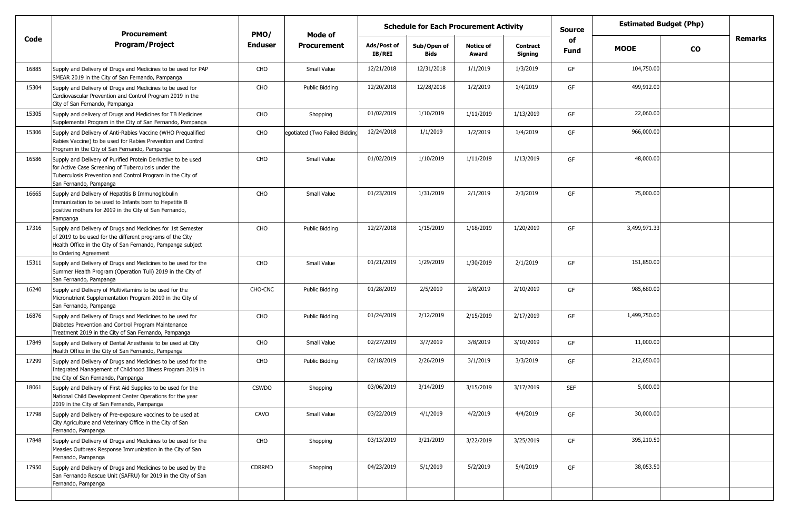|                                                                                                                                                                                                                  |                    |                               |                       |                     |                           |                     | <b>Source</b>                                 |              |           |                               |
|------------------------------------------------------------------------------------------------------------------------------------------------------------------------------------------------------------------|--------------------|-------------------------------|-----------------------|---------------------|---------------------------|---------------------|-----------------------------------------------|--------------|-----------|-------------------------------|
| <b>Program/Project</b>                                                                                                                                                                                           | <b>Enduser</b>     | <b>Procurement</b>            | Ads/Post of<br>IB/REI | Sub/Open of<br>Bids | <b>Notice of</b><br>Award | Contract<br>Signing | of<br><b>Fund</b>                             | <b>MOOE</b>  | <b>CO</b> | <b>Remarks</b>                |
| Supply and Delivery of Drugs and Medicines to be used for PAP<br>SMEAR 2019 in the City of San Fernando, Pampanga                                                                                                | CHO                | Small Value                   | 12/21/2018            | 12/31/2018          | 1/1/2019                  | 1/3/2019            | GF                                            | 104,750.00   |           |                               |
| Supply and Delivery of Drugs and Medicines to be used for<br>Cardiovascular Prevention and Control Program 2019 in the<br>City of San Fernando, Pampanga                                                         | CHO                | Public Bidding                | 12/20/2018            | 12/28/2018          | 1/2/2019                  | 1/4/2019            | GF                                            | 499,912.00   |           |                               |
| Supply and delivery of Drugs and Medicines for TB Medicines<br>Supplemental Program in the City of San Fernando, Pampanga                                                                                        | CHO                | Shopping                      | 01/02/2019            | 1/10/2019           | 1/11/2019                 | 1/13/2019           | GF                                            | 22,060.00    |           |                               |
| Supply and Delivery of Anti-Rabies Vaccine (WHO Prequalified<br>Rabies Vaccine) to be used for Rabies Prevention and Control<br>Program in the City of San Fernando, Pampanga                                    | CHO                | egotiated (Two Failed Bidding | 12/24/2018            | 1/1/2019            | 1/2/2019                  | 1/4/2019            | GF                                            | 966,000.00   |           |                               |
| Supply and Delivery of Purified Protein Derivative to be used<br>for Active Case Screening of Tuberculosis under the<br>Tuberculosis Prevention and Control Program in the City of<br>San Fernando, Pampanga     | CHO                | Small Value                   | 01/02/2019            | 1/10/2019           | 1/11/2019                 | 1/13/2019           | GF                                            | 48,000.00    |           |                               |
| Supply and Delivery of Hepatitis B Immunoglobulin<br>Immunization to be used to Infants born to Hepatitis B<br>positive mothers for 2019 in the City of San Fernando,<br>Pampanga                                | CHO                | Small Value                   | 01/23/2019            | 1/31/2019           | 2/1/2019                  | 2/3/2019            | GF                                            | 75,000.00    |           |                               |
| Supply and Delivery of Drugs and Medicines for 1st Semester<br>of 2019 to be used for the different programs of the City<br>Health Office in the City of San Fernando, Pampanga subject<br>to Ordering Agreement | CHO                | Public Bidding                | 12/27/2018            | 1/15/2019           | 1/18/2019                 | 1/20/2019           | GF                                            | 3,499,971.33 |           |                               |
| Supply and Delivery of Drugs and Medicines to be used for the<br>Summer Health Program (Operation Tuli) 2019 in the City of<br>San Fernando, Pampanga                                                            | CHO                | Small Value                   | 01/21/2019            | 1/29/2019           | 1/30/2019                 | 2/1/2019            | GF                                            | 151,850.00   |           |                               |
| Supply and Delivery of Multivitamins to be used for the<br>Micronutrient Supplementation Program 2019 in the City of<br>San Fernando, Pampanga                                                                   | CHO-CNC            | Public Bidding                | 01/28/2019            | 2/5/2019            | 2/8/2019                  | 2/10/2019           | GF                                            | 985,680.00   |           |                               |
| Supply and Delivery of Drugs and Medicines to be used for<br>Diabetes Prevention and Control Program Maintenance<br>Treatment 2019 in the City of San Fernando, Pampanga                                         | CHO                | Public Bidding                | 01/24/2019            | 2/12/2019           | 2/15/2019                 | 2/17/2019           | GF                                            | 1,499,750.00 |           |                               |
| Supply and Delivery of Dental Anesthesia to be used at City<br>Health Office in the City of San Fernando, Pampanga                                                                                               | CHO                | Small Value                   | 02/27/2019            | 3/7/2019            | 3/8/2019                  | 3/10/2019           | GF                                            | 11,000.00    |           |                               |
| Supply and Delivery of Drugs and Medicines to be used for the<br>Integrated Management of Childhood Illness Program 2019 in<br>the City of San Fernando, Pampanga                                                | CHO                | Public Bidding                | 02/18/2019            | 2/26/2019           | 3/1/2019                  | 3/3/2019            | GF                                            | 212,650.00   |           |                               |
| Supply and Delivery of First Aid Supplies to be used for the<br>National Child Development Center Operations for the year<br>2019 in the City of San Fernando, Pampanga                                          | <b>CSWDO</b>       | Shopping                      | 03/06/2019            | 3/14/2019           | 3/15/2019                 | 3/17/2019           | <b>SEF</b>                                    | 5,000.00     |           |                               |
| Supply and Delivery of Pre-exposure vaccines to be used at<br>City Agriculture and Veterinary Office in the City of San<br>Fernando, Pampanga                                                                    | CAVO               | Small Value                   | 03/22/2019            | 4/1/2019            | 4/2/2019                  | 4/4/2019            | GF                                            | 30,000.00    |           |                               |
| Supply and Delivery of Drugs and Medicines to be used for the<br>Measles Outbreak Response Immunization in the City of San<br>Fernando, Pampanga                                                                 | CHO                | Shopping                      | 03/13/2019            | 3/21/2019           | 3/22/2019                 | 3/25/2019           | GF                                            | 395,210.50   |           |                               |
| Supply and Delivery of Drugs and Medicines to be used by the<br>San Fernando Rescue Unit (SAFRU) for 2019 in the City of San<br>Fernando, Pampanga                                                               | CDRRMD             | Shopping                      | 04/23/2019            | 5/1/2019            | 5/2/2019                  | 5/4/2019            | GF                                            | 38,053.50    |           |                               |
|                                                                                                                                                                                                                  | <b>Procurement</b> | PMO/                          | Mode of               |                     |                           |                     | <b>Schedule for Each Procurement Activity</b> |              |           | <b>Estimated Budget (Php)</b> |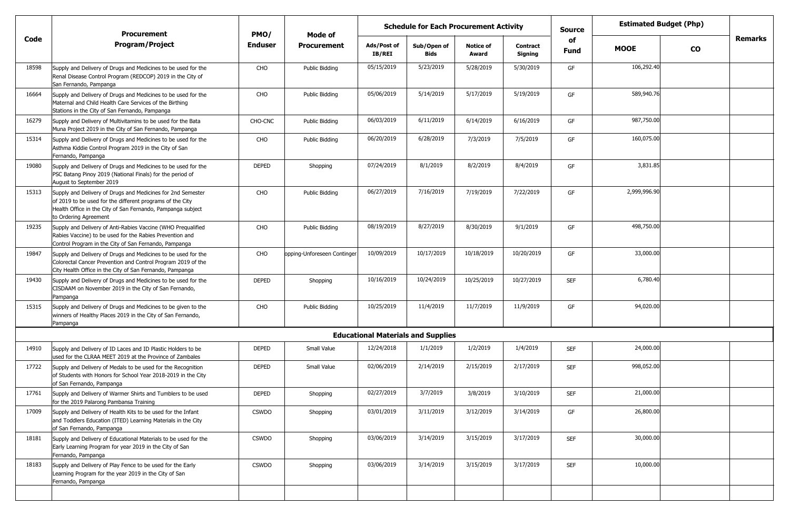|       | <b>Schedule for Each Procurement Activity</b><br><b>Procurement</b><br>PMO/<br>Mode of                                                                                                                           |                |                             |                              |                                           |                           |                     | <b>Source</b>     | <b>Estimated Budget (Php)</b> |           |                |
|-------|------------------------------------------------------------------------------------------------------------------------------------------------------------------------------------------------------------------|----------------|-----------------------------|------------------------------|-------------------------------------------|---------------------------|---------------------|-------------------|-------------------------------|-----------|----------------|
| Code  | <b>Program/Project</b>                                                                                                                                                                                           | <b>Enduser</b> | <b>Procurement</b>          | Ads/Post of<br><b>IB/REI</b> | Sub/Open of<br>Bids                       | <b>Notice of</b><br>Award | Contract<br>Signing | of<br><b>Fund</b> | <b>MOOE</b>                   | <b>CO</b> | <b>Remarks</b> |
| 18598 | Supply and Delivery of Drugs and Medicines to be used for the<br>Renal Disease Control Program (REDCOP) 2019 in the City of<br>San Fernando, Pampanga                                                            | CHO            | Public Bidding              | 05/15/2019                   | 5/23/2019                                 | 5/28/2019                 | 5/30/2019           | GF                | 106,292.40                    |           |                |
| 16664 | Supply and Delivery of Drugs and Medicines to be used for the<br>Maternal and Child Health Care Services of the Birthing<br>Stations in the City of San Fernando, Pampanga                                       | CHO            | Public Bidding              | 05/06/2019                   | 5/14/2019                                 | 5/17/2019                 | 5/19/2019           | GF                | 589,940.76                    |           |                |
| 16279 | Supply and Delivery of Multivitamins to be used for the Bata<br>Muna Project 2019 in the City of San Fernando, Pampanga                                                                                          | CHO-CNC        | Public Bidding              | 06/03/2019                   | 6/11/2019                                 | 6/14/2019                 | 6/16/2019           | GF                | 987,750.00                    |           |                |
| 15314 | Supply and Delivery of Drugs and Medicines to be used for the<br>Asthma Kiddie Control Program 2019 in the City of San<br>Fernando, Pampanga                                                                     | CHO            | Public Bidding              | 06/20/2019                   | 6/28/2019                                 | 7/3/2019                  | 7/5/2019            | GF                | 160,075.00                    |           |                |
| 19080 | Supply and Delivery of Drugs and Medicines to be used for the<br>PSC Batang Pinoy 2019 (National Finals) for the period of<br>August to September 2019                                                           | <b>DEPED</b>   | Shopping                    | 07/24/2019                   | 8/1/2019                                  | 8/2/2019                  | 8/4/2019            | GF                | 3,831.85                      |           |                |
| 15313 | Supply and Delivery of Drugs and Medicines for 2nd Semester<br>of 2019 to be used for the different programs of the City<br>Health Office in the City of San Fernando, Pampanga subject<br>to Ordering Agreement | CHO            | Public Bidding              | 06/27/2019                   | 7/16/2019                                 | 7/19/2019                 | 7/22/2019           | GF                | 2,999,996.90                  |           |                |
| 19235 | Supply and Delivery of Anti-Rabies Vaccine (WHO Pregualified<br>Rabies Vaccine) to be used for the Rabies Prevention and<br>Control Program in the City of San Fernando, Pampanga                                | CHO            | Public Bidding              | 08/19/2019                   | 8/27/2019                                 | 8/30/2019                 | 9/1/2019            | GF                | 498,750.00                    |           |                |
| 19847 | Supply and Delivery of Drugs and Medicines to be used for the<br>Colorectal Cancer Prevention and Control Program 2019 of the<br>City Health Office in the City of San Fernando, Pampanga                        | CHO            | opping-Unforeseen Continger | 10/09/2019                   | 10/17/2019                                | 10/18/2019                | 10/20/2019          | GF                | 33,000.00                     |           |                |
| 19430 | Supply and Delivery of Drugs and Medicines to be used for the<br>CISDAAM on November 2019 in the City of San Fernando,<br>Pampanga                                                                               | <b>DEPED</b>   | Shopping                    | 10/16/2019                   | 10/24/2019                                | 10/25/2019                | 10/27/2019          | <b>SEF</b>        | 6,780.40                      |           |                |
| 15315 | Supply and Delivery of Drugs and Medicines to be given to the<br>winners of Healthy Places 2019 in the City of San Fernando,<br>Pampanga                                                                         | CHO            | Public Bidding              | 10/25/2019                   | 11/4/2019                                 | 11/7/2019                 | 11/9/2019           | GF                | 94,020.00                     |           |                |
|       |                                                                                                                                                                                                                  |                |                             |                              | <b>Educational Materials and Supplies</b> |                           |                     |                   |                               |           |                |
| 14910 | Supply and Delivery of ID Laces and ID Plastic Holders to be<br>used for the CLRAA MEET 2019 at the Province of Zambales                                                                                         | <b>DEPED</b>   | Small Value                 | 12/24/2018                   | 1/1/2019                                  | 1/2/2019                  | 1/4/2019            | <b>SEF</b>        | 24,000.00                     |           |                |
| 17722 | Supply and Delivery of Medals to be used for the Recognition<br>of Students with Honors for School Year 2018-2019 in the City<br>of San Fernando, Pampanga                                                       | <b>DEPED</b>   | Small Value                 | 02/06/2019                   | 2/14/2019                                 | 2/15/2019                 | 2/17/2019           | <b>SEF</b>        | 998,052.00                    |           |                |
| 17761 | Supply and Delivery of Warmer Shirts and Tumblers to be used<br>for the 2019 Palarong Pambansa Training                                                                                                          | DEPED          | Shopping                    | 02/27/2019                   | 3/7/2019                                  | 3/8/2019                  | 3/10/2019           | <b>SEF</b>        | 21,000.00                     |           |                |
| 17009 | Supply and Delivery of Health Kits to be used for the Infant<br>and Toddlers Education (ITED) Learning Materials in the City<br>of San Fernando, Pampanga                                                        | <b>CSWDO</b>   | Shopping                    | 03/01/2019                   | 3/11/2019                                 | 3/12/2019                 | 3/14/2019           | GF                | 26,800.00                     |           |                |
| 18181 | Supply and Delivery of Educational Materials to be used for the<br>Early Learning Program for year 2019 in the City of San<br>Fernando, Pampanga                                                                 | <b>CSWDO</b>   | Shopping                    | 03/06/2019                   | 3/14/2019                                 | 3/15/2019                 | 3/17/2019           | <b>SEF</b>        | 30,000.00                     |           |                |
| 18183 | Supply and Delivery of Play Fence to be used for the Early<br>Learning Program for the year 2019 in the City of San<br>Fernando, Pampanga                                                                        | <b>CSWDO</b>   | Shopping                    | 03/06/2019                   | 3/14/2019                                 | 3/15/2019                 | 3/17/2019           | <b>SEF</b>        | 10,000.00                     |           |                |
|       |                                                                                                                                                                                                                  |                |                             |                              |                                           |                           |                     |                   |                               |           |                |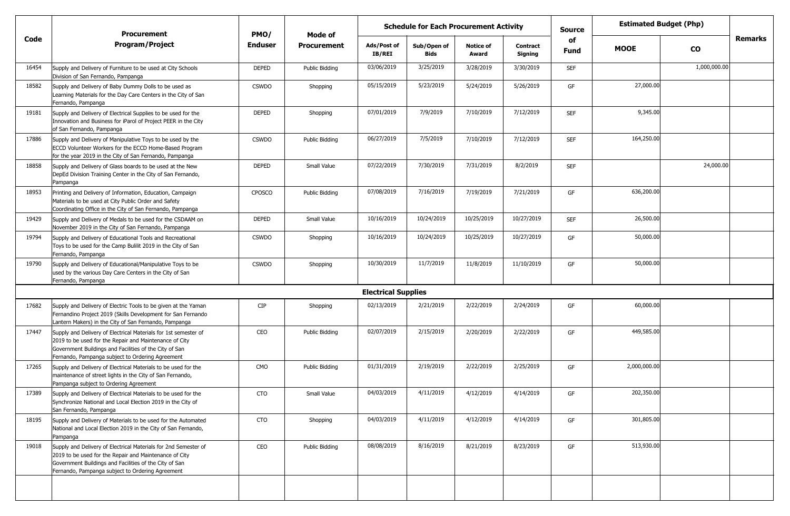|       | <b>Schedule for Each Procurement Activity</b><br><b>Procurement</b><br>PMO/<br>Mode of                                                                                                                                                  |                |                    |                            |                            |                           |                            | <b>Source</b> | <b>Estimated Budget (Php)</b> |               |         |
|-------|-----------------------------------------------------------------------------------------------------------------------------------------------------------------------------------------------------------------------------------------|----------------|--------------------|----------------------------|----------------------------|---------------------------|----------------------------|---------------|-------------------------------|---------------|---------|
| Code  | <b>Program/Project</b>                                                                                                                                                                                                                  | <b>Enduser</b> | <b>Procurement</b> | Ads/Post of<br>IB/REI      | Sub/Open of<br><b>Bids</b> | <b>Notice of</b><br>Award | <b>Contract</b><br>Signing | of<br>Fund    | <b>MOOE</b>                   | $\mathbf{co}$ | Remarks |
| 16454 | Supply and Delivery of Furniture to be used at City Schools<br>Division of San Fernando, Pampanga                                                                                                                                       | <b>DEPED</b>   | Public Bidding     | 03/06/2019                 | 3/25/2019                  | 3/28/2019                 | 3/30/2019                  | <b>SEF</b>    |                               | 1,000,000.00  |         |
| 18582 | Supply and Delivery of Baby Dummy Dolls to be used as<br>Learning Materials for the Day Care Centers in the City of San<br>Fernando, Pampanga                                                                                           | <b>CSWDO</b>   | Shopping           | 05/15/2019                 | 5/23/2019                  | 5/24/2019                 | 5/26/2019                  | GF            | 27,000.00                     |               |         |
| 19181 | Supply and Delivery of Electrical Supplies to be used for the<br>Innovation and Business for iParol of Project PEER in the City<br>of San Fernando, Pampanga                                                                            | DEPED          | Shopping           | 07/01/2019                 | 7/9/2019                   | 7/10/2019                 | 7/12/2019                  | <b>SEF</b>    | 9,345.00                      |               |         |
| 17886 | Supply and Delivery of Manipulative Toys to be used by the<br>ECCD Volunteer Workers for the ECCD Home-Based Program<br>for the year 2019 in the City of San Fernando, Pampanga                                                         | <b>CSWDO</b>   | Public Bidding     | 06/27/2019                 | 7/5/2019                   | 7/10/2019                 | 7/12/2019                  | <b>SEF</b>    | 164,250.00                    |               |         |
| 18858 | Supply and Delivery of Glass boards to be used at the New<br>DepEd Division Training Center in the City of San Fernando,<br>Pampanga                                                                                                    | <b>DEPED</b>   | Small Value        | 07/22/2019                 | 7/30/2019                  | 7/31/2019                 | 8/2/2019                   | <b>SEF</b>    |                               | 24,000.00     |         |
| 18953 | Printing and Delivery of Information, Education, Campaign<br>Materials to be used at City Public Order and Safety<br>Coordinating Office in the City of San Fernando, Pampanga                                                          | <b>CPOSCO</b>  | Public Biddina     | 07/08/2019                 | 7/16/2019                  | 7/19/2019                 | 7/21/2019                  | GF            | 636,200.00                    |               |         |
| 19429 | Supply and Delivery of Medals to be used for the CSDAAM on<br>November 2019 in the City of San Fernando, Pampanga                                                                                                                       | DEPED          | Small Value        | 10/16/2019                 | 10/24/2019                 | 10/25/2019                | 10/27/2019                 | <b>SEF</b>    | 26,500.00                     |               |         |
| 19794 | Supply and Delivery of Educational Tools and Recreational<br>Toys to be used for the Camp Bulilit 2019 in the City of San<br>Fernando, Pampanga                                                                                         | <b>CSWDO</b>   | Shopping           | 10/16/2019                 | 10/24/2019                 | 10/25/2019                | 10/27/2019                 | GF            | 50,000.00                     |               |         |
| 19790 | Supply and Delivery of Educational/Manipulative Toys to be<br>used by the various Day Care Centers in the City of San<br>Fernando, Pampanga                                                                                             | <b>CSWDO</b>   | Shopping           | 10/30/2019                 | 11/7/2019                  | 11/8/2019                 | 11/10/2019                 | GF            | 50,000.00                     |               |         |
|       |                                                                                                                                                                                                                                         |                |                    | <b>Electrical Supplies</b> |                            |                           |                            |               |                               |               |         |
| 17682 | Supply and Delivery of Electric Tools to be given at the Yaman<br>Fernandino Project 2019 (Skills Development for San Fernando<br>Lantern Makers) in the City of San Fernando, Pampanga                                                 | <b>CIP</b>     | Shopping           | 02/13/2019                 | 2/21/2019                  | 2/22/2019                 | 2/24/2019                  | GF            | 60,000.00                     |               |         |
| 17447 | Supply and Delivery of Electrical Materials for 1st semester of<br>2019 to be used for the Repair and Maintenance of City<br>Government Buildings and Facilities of the City of San<br>Fernando, Pampanga subject to Ordering Agreement | CEO            | Public Bidding     | 02/07/2019                 | 2/15/2019                  | 2/20/2019                 | 2/22/2019                  | GF            | 449,585.00                    |               |         |
| 17265 | Supply and Delivery of Electrical Materials to be used for the<br>maintenance of street lights in the City of San Fernando,<br>Pampanga subject to Ordering Agreement                                                                   | CMO            | Public Bidding     | 01/31/2019                 | 2/19/2019                  | 2/22/2019                 | 2/25/2019                  | GF            | 2,000,000.00                  |               |         |
| 17389 | Supply and Delivery of Electrical Materials to be used for the<br>Synchronize National and Local Election 2019 in the City of<br>San Fernando, Pampanga                                                                                 | <b>CTO</b>     | Small Value        | 04/03/2019                 | 4/11/2019                  | 4/12/2019                 | 4/14/2019                  | GF            | 202,350.00                    |               |         |
| 18195 | Supply and Delivery of Materials to be used for the Automated<br>National and Local Election 2019 in the City of San Fernando,<br>Pampanga                                                                                              | CTO            | Shopping           | 04/03/2019                 | 4/11/2019                  | 4/12/2019                 | 4/14/2019                  | GF            | 301,805.00                    |               |         |
| 19018 | Supply and Delivery of Electrical Materials for 2nd Semester of<br>2019 to be used for the Repair and Maintenance of City<br>Government Buildings and Facilities of the City of San<br>Fernando, Pampanga subject to Ordering Agreement | CEO            | Public Bidding     | 08/08/2019                 | 8/16/2019                  | 8/21/2019                 | 8/23/2019                  | GF            | 513,930.00                    |               |         |
|       |                                                                                                                                                                                                                                         |                |                    |                            |                            |                           |                            |               |                               |               |         |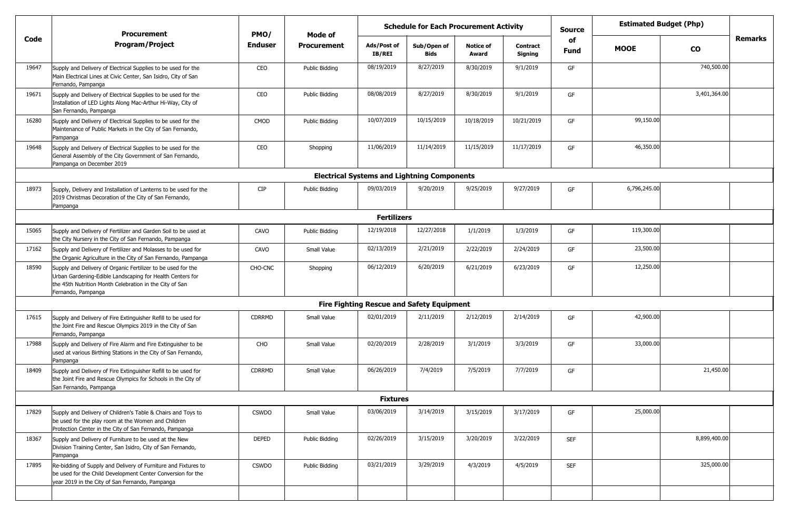|       | <b>Procurement</b>                                                                                                                                                                                         | PMO/           | Mode of            |                       | <b>Estimated Budget (Php)</b><br><b>Schedule for Each Procurement Activity</b><br><b>Source</b> |                           |                            |                   |              |               |                |
|-------|------------------------------------------------------------------------------------------------------------------------------------------------------------------------------------------------------------|----------------|--------------------|-----------------------|-------------------------------------------------------------------------------------------------|---------------------------|----------------------------|-------------------|--------------|---------------|----------------|
| Code  | <b>Program/Project</b>                                                                                                                                                                                     | <b>Enduser</b> | <b>Procurement</b> | Ads/Post of<br>IB/REI | Sub/Open of<br><b>Bids</b>                                                                      | <b>Notice of</b><br>Award | <b>Contract</b><br>Signing | of<br><b>Fund</b> | <b>MOOE</b>  | $\mathbf{co}$ | <b>Remarks</b> |
| 19647 | Supply and Delivery of Electrical Supplies to be used for the<br>Main Electrical Lines at Civic Center, San Isidro, City of San<br>Fernando, Pampanga                                                      | CEO            | Public Bidding     | 08/19/2019            | 8/27/2019                                                                                       | 8/30/2019                 | 9/1/2019                   | GF                |              | 740,500.00    |                |
| 19671 | Supply and Delivery of Electrical Supplies to be used for the<br>Installation of LED Lights Along Mac-Arthur Hi-Way, City of<br>San Fernando, Pampanga                                                     | CEO            | Public Bidding     | 08/08/2019            | 8/27/2019                                                                                       | 8/30/2019                 | 9/1/2019                   | GF                |              | 3,401,364.00  |                |
| 16280 | Supply and Delivery of Electrical Supplies to be used for the<br>Maintenance of Public Markets in the City of San Fernando,<br>Pampanga                                                                    | CMOD           | Public Bidding     | 10/07/2019            | 10/15/2019                                                                                      | 10/18/2019                | 10/21/2019                 | GF                | 99,150.00    |               |                |
| 19648 | Supply and Delivery of Electrical Supplies to be used for the<br>General Assembly of the City Government of San Fernando,<br>Pampanga on December 2019                                                     | CEO            | Shopping           | 11/06/2019            | 11/14/2019                                                                                      | 11/15/2019                | 11/17/2019                 | GF                | 46,350.00    |               |                |
|       |                                                                                                                                                                                                            |                |                    |                       | <b>Electrical Systems and Lightning Components</b>                                              |                           |                            |                   |              |               |                |
| 18973 | Supply, Delivery and Installation of Lanterns to be used for the<br>2019 Christmas Decoration of the City of San Fernando,<br>Pampanga                                                                     | <b>CIP</b>     | Public Bidding     | 09/03/2019            | 9/20/2019                                                                                       | 9/25/2019                 | 9/27/2019                  | GF                | 6,796,245.00 |               |                |
|       |                                                                                                                                                                                                            |                |                    | <b>Fertilizers</b>    |                                                                                                 |                           |                            |                   |              |               |                |
| 15065 | Supply and Delivery of Fertilizer and Garden Soil to be used at<br>the City Nursery in the City of San Fernando, Pampanga                                                                                  | CAVO           | Public Bidding     | 12/19/2018            | 12/27/2018                                                                                      | 1/1/2019                  | 1/3/2019                   | GF                | 119,300.00   |               |                |
| 17162 | Supply and Delivery of Fertilizer and Molasses to be used for<br>the Organic Agriculture in the City of San Fernando, Pampanga                                                                             | CAVO           | Small Value        | 02/13/2019            | 2/21/2019                                                                                       | 2/22/2019                 | 2/24/2019                  | GF                | 23,500.00    |               |                |
| 18590 | Supply and Delivery of Organic Fertilizer to be used for the<br>Urban Gardening-Edible Landscaping for Health Centers for<br>the 45th Nutrition Month Celebration in the City of San<br>Fernando, Pampanga | CHO-CNC        | Shopping           | 06/12/2019            | 6/20/2019                                                                                       | 6/21/2019                 | 6/23/2019                  | GF                | 12,250.00    |               |                |
|       |                                                                                                                                                                                                            |                |                    |                       | <b>Fire Fighting Rescue and Safety Equipment</b>                                                |                           |                            |                   |              |               |                |
| 17615 | Supply and Delivery of Fire Extinguisher Refill to be used for<br>the Joint Fire and Rescue Olympics 2019 in the City of San<br>Fernando, Pampanga                                                         | <b>CDRRMD</b>  | Small Value        | 02/01/2019            | 2/11/2019                                                                                       | 2/12/2019                 | 2/14/2019                  | GF                | 42,900.00    |               |                |
| 17988 | Supply and Delivery of Fire Alarm and Fire Extinguisher to be<br>used at various Birthing Stations in the City of San Fernando,<br>Pampanga                                                                | CHO            | Small Value        | 02/20/2019            | 2/28/2019                                                                                       | 3/1/2019                  | 3/3/2019                   | GF                | 33,000.00    |               |                |
| 18409 | Supply and Delivery of Fire Extinguisher Refill to be used for<br>the Joint Fire and Rescue Olympics for Schools in the City of<br>San Fernando, Pampanga                                                  | <b>CDRRMD</b>  | Small Value        | 06/26/2019            | 7/4/2019                                                                                        | 7/5/2019                  | 7/7/2019                   | GF                |              | 21,450.00     |                |
|       |                                                                                                                                                                                                            |                |                    | <b>Fixtures</b>       |                                                                                                 |                           |                            |                   |              |               |                |
| 17829 | Supply and Delivery of Children's Table & Chairs and Toys to<br>be used for the play room at the Women and Children<br>Protection Center in the City of San Fernando, Pampanga                             | <b>CSWDO</b>   | Small Value        | 03/06/2019            | 3/14/2019                                                                                       | 3/15/2019                 | 3/17/2019                  | GF                | 25,000.00    |               |                |
| 18367 | Supply and Delivery of Furniture to be used at the New<br>Division Training Center, San Isidro, City of San Fernando,<br>Pampanga                                                                          | <b>DEPED</b>   | Public Bidding     | 02/26/2019            | 3/15/2019                                                                                       | 3/20/2019                 | 3/22/2019                  | <b>SEF</b>        |              | 8,899,400.00  |                |
| 17895 | Re-bidding of Supply and Delivery of Furniture and Fixtures to<br>be used for the Child Development Center Conversion for the<br>year 2019 in the City of San Fernando, Pampanga                           | <b>CSWDO</b>   | Public Bidding     | 03/21/2019            | 3/29/2019                                                                                       | 4/3/2019                  | 4/5/2019                   | <b>SEF</b>        |              | 325,000.00    |                |
|       |                                                                                                                                                                                                            |                |                    |                       |                                                                                                 |                           |                            |                   |              |               |                |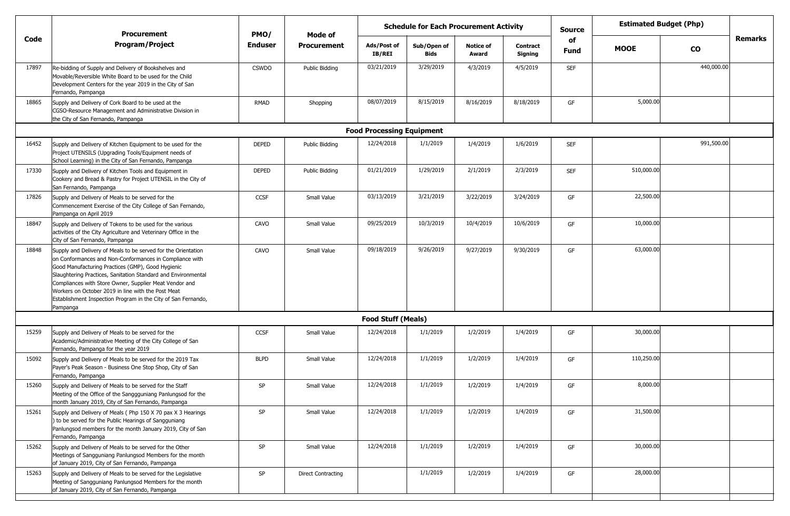|       |                                                                                                                                                                                                                                                                                                                                                                                                                                             | <b>Schedule for Each Procurement Activity</b><br><b>Procurement</b><br>PMO/<br>Mode of |                    |                                  |                     |                           | <b>Source</b>              | <b>Estimated Budget (Php)</b> |             |            |                |
|-------|---------------------------------------------------------------------------------------------------------------------------------------------------------------------------------------------------------------------------------------------------------------------------------------------------------------------------------------------------------------------------------------------------------------------------------------------|----------------------------------------------------------------------------------------|--------------------|----------------------------------|---------------------|---------------------------|----------------------------|-------------------------------|-------------|------------|----------------|
| Code  | <b>Program/Project</b>                                                                                                                                                                                                                                                                                                                                                                                                                      | <b>Enduser</b>                                                                         | <b>Procurement</b> | Ads/Post of<br>IB/REI            | Sub/Open of<br>Bids | <b>Notice of</b><br>Award | <b>Contract</b><br>Signing | of<br><b>Fund</b>             | <b>MOOE</b> | CO         | <b>Remarks</b> |
| 17897 | Re-bidding of Supply and Delivery of Bookshelves and<br>Movable/Reversible White Board to be used for the Child<br>Development Centers for the year 2019 in the City of San<br>Fernando, Pampanga                                                                                                                                                                                                                                           | <b>CSWDO</b>                                                                           | Public Bidding     | 03/21/2019                       | 3/29/2019           | 4/3/2019                  | 4/5/2019                   | <b>SEF</b>                    |             | 440,000.00 |                |
| 18865 | Supply and Delivery of Cork Board to be used at the<br>CGSO-Resource Management and Administrative Division in<br>the City of San Fernando, Pampanga                                                                                                                                                                                                                                                                                        | RMAD                                                                                   | Shopping           | 08/07/2019                       | 8/15/2019           | 8/16/2019                 | 8/18/2019                  | GF                            | 5,000.00    |            |                |
|       |                                                                                                                                                                                                                                                                                                                                                                                                                                             |                                                                                        |                    | <b>Food Processing Equipment</b> |                     |                           |                            |                               |             |            |                |
| 16452 | Supply and Delivery of Kitchen Equipment to be used for the<br>Project UTENSILS (Upgrading Tools/Equipment needs of<br>School Learning) in the City of San Fernando, Pampanga                                                                                                                                                                                                                                                               | <b>DEPED</b>                                                                           | Public Bidding     | 12/24/2018                       | 1/1/2019            | 1/4/2019                  | 1/6/2019                   | <b>SEF</b>                    |             | 991,500.00 |                |
| 17330 | Supply and Delivery of Kitchen Tools and Equipment in<br>Cookery and Bread & Pastry for Project UTENSIL in the City of<br>San Fernando, Pampanga                                                                                                                                                                                                                                                                                            | <b>DEPED</b>                                                                           | Public Bidding     | 01/21/2019                       | 1/29/2019           | 2/1/2019                  | 2/3/2019                   | <b>SEF</b>                    | 510,000.00  |            |                |
| 17826 | Supply and Delivery of Meals to be served for the<br>Commencement Exercise of the City College of San Fernando,<br>Pampanga on April 2019                                                                                                                                                                                                                                                                                                   | <b>CCSF</b>                                                                            | Small Value        | 03/13/2019                       | 3/21/2019           | 3/22/2019                 | 3/24/2019                  | GF                            | 22,500.00   |            |                |
| 18847 | Supply and Delivery of Tokens to be used for the various<br>activities of the City Agriculture and Veterinary Office in the<br>City of San Fernando, Pampanga                                                                                                                                                                                                                                                                               | CAVO                                                                                   | Small Value        | 09/25/2019                       | 10/3/2019           | 10/4/2019                 | 10/6/2019                  | GF                            | 10,000.00   |            |                |
| 18848 | Supply and Delivery of Meals to be served for the Orientation<br>on Conformances and Non-Conformances in Compliance with<br>Good Manufacturing Practices (GMP), Good Hygienic<br>Slaughtering Practices, Sanitation Standard and Environmental<br>Compliances with Store Owner, Supplier Meat Vendor and<br>Workers on October 2019 in line with the Post Meat<br>Establishment Inspection Program in the City of San Fernando,<br>Pampanga | CAVO                                                                                   | Small Value        | 09/18/2019                       | 9/26/2019           | 9/27/2019                 | 9/30/2019                  | GF                            | 63,000.00   |            |                |
|       |                                                                                                                                                                                                                                                                                                                                                                                                                                             |                                                                                        |                    | <b>Food Stuff (Meals)</b>        |                     |                           |                            |                               |             |            |                |
| 15259 | Supply and Delivery of Meals to be served for the<br>Academic/Administrative Meeting of the City College of San<br>Fernando, Pampanga for the year 2019                                                                                                                                                                                                                                                                                     | <b>CCSF</b>                                                                            | Small Value        | 12/24/2018                       | 1/1/2019            | 1/2/2019                  | 1/4/2019                   | GF                            | 30,000.00   |            |                |
| 15092 | Supply and Delivery of Meals to be served for the 2019 Tax<br>Payer's Peak Season - Business One Stop Shop, City of San<br>Fernando, Pampanga                                                                                                                                                                                                                                                                                               | <b>BLPD</b>                                                                            | Small Value        | 12/24/2018                       | 1/1/2019            | 1/2/2019                  | 1/4/2019                   | GF                            | 110,250.00  |            |                |
| 15260 | Supply and Delivery of Meals to be served for the Staff<br>Meeting of the Office of the Sanggguniang Panlungsod for the<br>month January 2019, City of San Fernando, Pampanga                                                                                                                                                                                                                                                               | SP                                                                                     | Small Value        | 12/24/2018                       | 1/1/2019            | 1/2/2019                  | 1/4/2019                   | GF                            | 8,000.00    |            |                |
| 15261 | Supply and Delivery of Meals (Php 150 X 70 pax X 3 Hearings<br>) to be served for the Public Hearings of Sangguniang<br>Panlungsod members for the month January 2019, City of San<br>Fernando, Pampanga                                                                                                                                                                                                                                    | SP                                                                                     | Small Value        | 12/24/2018                       | 1/1/2019            | 1/2/2019                  | 1/4/2019                   | GF                            | 31,500.00   |            |                |
| 15262 | Supply and Delivery of Meals to be served for the Other<br>Meetings of Sangguniang Panlungsod Members for the month<br>of January 2019, City of San Fernando, Pampanga                                                                                                                                                                                                                                                                      | SP                                                                                     | Small Value        | 12/24/2018                       | 1/1/2019            | 1/2/2019                  | 1/4/2019                   | GF                            | 30,000.00   |            |                |
| 15263 | Supply and Delivery of Meals to be served for the Legislative<br>Meeting of Sangguniang Panlungsod Members for the month<br>of January 2019, City of San Fernando, Pampanga                                                                                                                                                                                                                                                                 | SP                                                                                     | Direct Contracting |                                  | 1/1/2019            | 1/2/2019                  | 1/4/2019                   | GF                            | 28,000.00   |            |                |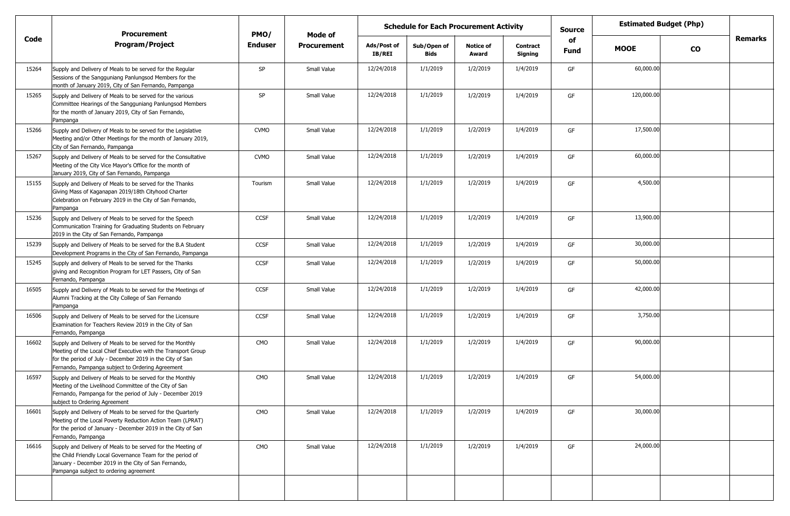|       | <b>Procurement</b>                                                                                                                                                                                                                          | PMO/           | Mode of            | <b>Schedule for Each Procurement Activity</b> |                            |                           |                            | <b>Source</b>     | <b>Estimated Budget (Php)</b> |               |                |
|-------|---------------------------------------------------------------------------------------------------------------------------------------------------------------------------------------------------------------------------------------------|----------------|--------------------|-----------------------------------------------|----------------------------|---------------------------|----------------------------|-------------------|-------------------------------|---------------|----------------|
| Code  | <b>Program/Project</b>                                                                                                                                                                                                                      | <b>Enduser</b> | <b>Procurement</b> | Ads/Post of<br><b>IB/REI</b>                  | Sub/Open of<br><b>Bids</b> | <b>Notice of</b><br>Award | <b>Contract</b><br>Signing | of<br><b>Fund</b> | <b>MOOE</b>                   | $\mathbf{co}$ | <b>Remarks</b> |
| 15264 | Supply and Delivery of Meals to be served for the Regular<br>Sessions of the Sangguniang Panlungsod Members for the<br>month of January 2019, City of San Fernando, Pampanga                                                                | SP             | Small Value        | 12/24/2018                                    | 1/1/2019                   | 1/2/2019                  | 1/4/2019                   | GF                | 60,000.00                     |               |                |
| 15265 | Supply and Delivery of Meals to be served for the various<br>Committee Hearings of the Sangguniang Panlungsod Members<br>for the month of January 2019, City of San Fernando,<br>Pampanga                                                   | SP             | Small Value        | 12/24/2018                                    | 1/1/2019                   | 1/2/2019                  | 1/4/2019                   | GF                | 120,000.00                    |               |                |
| 15266 | Supply and Delivery of Meals to be served for the Legislative<br>Meeting and/or Other Meetings for the month of January 2019,<br>City of San Fernando, Pampanga                                                                             | <b>CVMO</b>    | Small Value        | 12/24/2018                                    | 1/1/2019                   | 1/2/2019                  | 1/4/2019                   | GF                | 17,500.00                     |               |                |
| 15267 | Supply and Delivery of Meals to be served for the Consultative<br>Meeting of the City Vice Mayor's Office for the month of<br>January 2019, City of San Fernando, Pampanga                                                                  | <b>CVMO</b>    | Small Value        | 12/24/2018                                    | 1/1/2019                   | 1/2/2019                  | 1/4/2019                   | GF                | 60,000.00                     |               |                |
| 15155 | Supply and Delivery of Meals to be served for the Thanks<br>Giving Mass of Kaganapan 2019/18th Cityhood Charter<br>Celebration on February 2019 in the City of San Fernando,<br>Pampanga                                                    | Tourism        | Small Value        | 12/24/2018                                    | 1/1/2019                   | 1/2/2019                  | 1/4/2019                   | GF                | 4,500.00                      |               |                |
| 15236 | Supply and Delivery of Meals to be served for the Speech<br>Communication Training for Graduating Students on February<br>2019 in the City of San Fernando, Pampanga                                                                        | <b>CCSF</b>    | Small Value        | 12/24/2018                                    | 1/1/2019                   | 1/2/2019                  | 1/4/2019                   | GF                | 13,900.00                     |               |                |
| 15239 | Supply and Delivery of Meals to be served for the B.A Student<br>Development Programs in the City of San Fernando, Pampanga                                                                                                                 | CCSF           | Small Value        | 12/24/2018                                    | 1/1/2019                   | 1/2/2019                  | 1/4/2019                   | GF                | 30,000.00                     |               |                |
| 15245 | Supply and delivery of Meals to be served for the Thanks<br>giving and Recognition Program for LET Passers, City of San<br>Fernando, Pampanga                                                                                               | <b>CCSF</b>    | Small Value        | 12/24/2018                                    | 1/1/2019                   | 1/2/2019                  | 1/4/2019                   | GF                | 50,000.00                     |               |                |
| 16505 | Supply and Delivery of Meals to be served for the Meetings of<br>Alumni Tracking at the City College of San Fernando<br>Pampanga                                                                                                            | <b>CCSF</b>    | Small Value        | 12/24/2018                                    | 1/1/2019                   | 1/2/2019                  | 1/4/2019                   | GF                | 42,000.00                     |               |                |
| 16506 | Supply and Delivery of Meals to be served for the Licensure<br>Examination for Teachers Review 2019 in the City of San<br>Fernando, Pampanga                                                                                                | <b>CCSF</b>    | Small Value        | 12/24/2018                                    | 1/1/2019                   | 1/2/2019                  | 1/4/2019                   | GF                | 3,750.00                      |               |                |
| 16602 | Supply and Delivery of Meals to be served for the Monthly<br>Meeting of the Local Chief Executive with the Transport Group<br>for the period of July - December 2019 in the City of San<br>Fernando, Pampanga subject to Ordering Agreement | CMO            | Small Value        | 12/24/2018                                    | 1/1/2019                   | 1/2/2019                  | 1/4/2019                   | GF                | 90,000.00                     |               |                |
| 16597 | Supply and Delivery of Meals to be served for the Monthly<br>Meeting of the Livelihood Committee of the City of San<br>Fernando, Pampanga for the period of July - December 2019<br>subject to Ordering Agreement                           | CMO            | Small Value        | 12/24/2018                                    | 1/1/2019                   | 1/2/2019                  | 1/4/2019                   | GF                | 54,000.00                     |               |                |
| 16601 | Supply and Delivery of Meals to be served for the Quarterly<br>Meeting of the Local Poverty Reduction Action Team (LPRAT)<br>for the period of January - December 2019 in the City of San<br>Fernando, Pampanga                             | CMO            | Small Value        | 12/24/2018                                    | 1/1/2019                   | 1/2/2019                  | 1/4/2019                   | GF                | 30,000.00                     |               |                |
| 16616 | Supply and Delivery of Meals to be served for the Meeting of<br>the Child Friendly Local Governance Team for the period of<br>January - December 2019 in the City of San Fernando,<br>Pampanga subject to ordering agreement                | CMO            | Small Value        | 12/24/2018                                    | 1/1/2019                   | 1/2/2019                  | 1/4/2019                   | GF                | 24,000.00                     |               |                |
|       |                                                                                                                                                                                                                                             |                |                    |                                               |                            |                           |                            |                   |                               |               |                |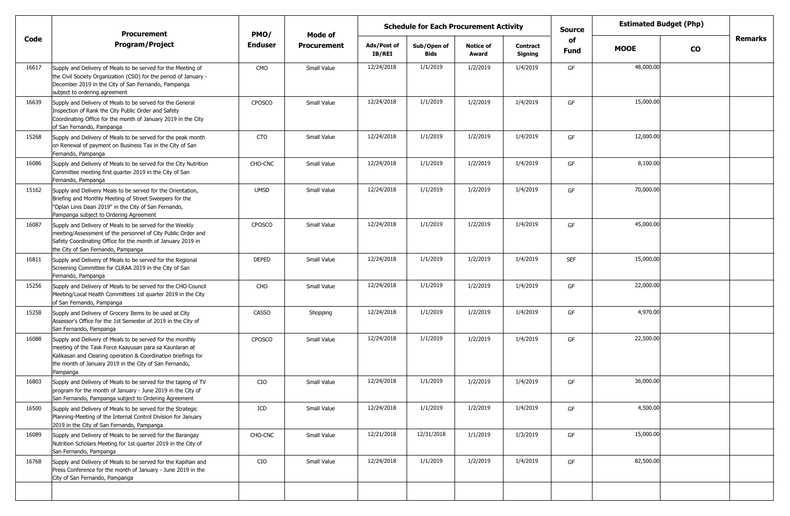|       | <b>Procurement</b>                                                                                                                                                                                                                                          | PMO/           | Mode of            | <b>Schedule for Each Procurement Activity</b> |                            |                           |                     | <b>Source</b>     |             | <b>Estimated Budget (Php)</b> |         |
|-------|-------------------------------------------------------------------------------------------------------------------------------------------------------------------------------------------------------------------------------------------------------------|----------------|--------------------|-----------------------------------------------|----------------------------|---------------------------|---------------------|-------------------|-------------|-------------------------------|---------|
| Code  | <b>Program/Project</b>                                                                                                                                                                                                                                      | <b>Enduser</b> | <b>Procurement</b> | Ads/Post of<br>IB/REI                         | Sub/Open of<br><b>Bids</b> | <b>Notice of</b><br>Award | Contract<br>Signing | of<br><b>Fund</b> | <b>MOOE</b> | <b>CO</b>                     | Remarks |
| 16617 | Supply and Delivery of Meals to be served for the Meeting of<br>the Civil Society Organization (CSO) for the period of January -<br>December 2019 in the City of San Fernando, Pampanga<br>subject to ordering agreement                                    | <b>CMO</b>     | Small Value        | 12/24/2018                                    | 1/1/2019                   | 1/2/2019                  | 1/4/2019            | GF                | 48,000.00   |                               |         |
| 16639 | Supply and Delivery of Meals to be served for the General<br>Inspection of Rank the City Public Order and Safety<br>Coordinating Office for the month of January 2019 in the City<br>of San Fernando, Pampanga                                              | <b>CPOSCO</b>  | Small Value        | 12/24/2018                                    | 1/1/2019                   | 1/2/2019                  | 1/4/2019            | GF                | 15,000.00   |                               |         |
| 15268 | Supply and Delivery of Meals to be served for the peak month<br>on Renewal of payment on Business Tax in the City of San<br>Fernando, Pampanga                                                                                                              | CTO            | Small Value        | 12/24/2018                                    | 1/1/2019                   | 1/2/2019                  | 1/4/2019            | GF                | 12,000.00   |                               |         |
| 16086 | Supply and Delivery of Meals to be served for the City Nutrition<br>Committee meeting first quarter 2019 in the City of San<br>Fernando, Pampanga                                                                                                           | CHO-CNC        | Small Value        | 12/24/2018                                    | 1/1/2019                   | 1/2/2019                  | 1/4/2019            | GF                | 8,100.00    |                               |         |
| 15162 | Supply and Delivery Meals to be served for the Orientation,<br>Briefing and Monthly Meeting of Street Sweepers for the<br>"Oplan Linis Daan 2019" in the City of San Fernando,<br>Pampanga subject to Ordering Agreement                                    | <b>UMSD</b>    | Small Value        | 12/24/2018                                    | 1/1/2019                   | 1/2/2019                  | 1/4/2019            | GF                | 70,000.00   |                               |         |
| 16087 | Supply and Delivery of Meals to be served for the Weekly<br>meeting/Assessment of the personnel of City Public Order and<br>Safety Coordinating Office for the month of January 2019 in<br>the City of San Fernando, Pampanga                               | <b>CPOSCO</b>  | Small Value        | 12/24/2018                                    | 1/1/2019                   | 1/2/2019                  | 1/4/2019            | GF                | 45,000.00   |                               |         |
| 16811 | Supply and Delivery of Meals to be served for the Regional<br>Screening Committee for CLRAA 2019 in the City of San<br>Fernando, Pampanga                                                                                                                   | DEPED          | Small Value        | 12/24/2018                                    | 1/1/2019                   | 1/2/2019                  | 1/4/2019            | <b>SEF</b>        | 15,000.00   |                               |         |
| 15256 | Supply and Delivery of Meals to be served for the CHO Council<br>Meeting/Local Health Committees 1st quarter 2019 in the City<br>of San Fernando, Pampanga                                                                                                  | CHO            | Small Value        | 12/24/2018                                    | 1/1/2019                   | 1/2/2019                  | 1/4/2019            | GF                | 22,000.00   |                               |         |
| 15258 | Supply and Delivery of Grocery Items to be used at City<br>Assessor's Office for the 1st Semester of 2019 in the City of<br>San Fernando, Pampanga                                                                                                          | <b>CASSO</b>   | Shopping           | 12/24/2018                                    | 1/1/2019                   | 1/2/2019                  | 1/4/2019            | GF                | 4,970.00    |                               |         |
| 16088 | Supply and Delivery of Meals to be served for the monthly<br>meeting of the Task Force Kaayusan para sa Kaunlaran at<br>Kalikasan and Clearing operation & Coordination briefings for<br>the month of January 2019 in the City of San Fernando,<br>Pampanga | <b>CPOSCO</b>  | Small Value        | 12/24/2018                                    | 1/1/2019                   | 1/2/2019                  | 1/4/2019            | GF                | 22,500.00   |                               |         |
| 16803 | Supply and Delivery of Meals to be served for the taping of TV<br>program for the month of January - June 2019 in the City of<br>San Fernando, Pampanga subject to Ordering Agreement                                                                       | CIO            | Small Value        | 12/24/2018                                    | 1/1/2019                   | 1/2/2019                  | 1/4/2019            | GF                | 36,000.00   |                               |         |
| 16500 | Supply and Delivery of Meals to be served for the Strategic<br>Planning-Meeting of the Internal Control Division for January<br>2019 in the City of San Fernando, Pampanga                                                                                  | ICD            | Small Value        | 12/24/2018                                    | 1/1/2019                   | 1/2/2019                  | 1/4/2019            | GF                | 4,500.00    |                               |         |
| 16089 | Supply and Delivery of Meals to be served for the Barangay<br>Nutrition Scholars Meeting for 1st quarter 2019 in the City of<br>San Fernando, Pampanga                                                                                                      | CHO-CNC        | Small Value        | 12/21/2018                                    | 12/31/2018                 | 1/1/2019                  | 1/3/2019            | GF                | 15,000.00   |                               |         |
| 16768 | Supply and Delivery of Meals to be served for the Kapihan and<br>Press Conference for the month of January - June 2019 in the<br>City of San Fernando, Pampanga                                                                                             | CIO            | Small Value        | 12/24/2018                                    | 1/1/2019                   | 1/2/2019                  | 1/4/2019            | GF                | 82,500.00   |                               |         |
|       |                                                                                                                                                                                                                                                             |                |                    |                                               |                            |                           |                     |                   |             |                               |         |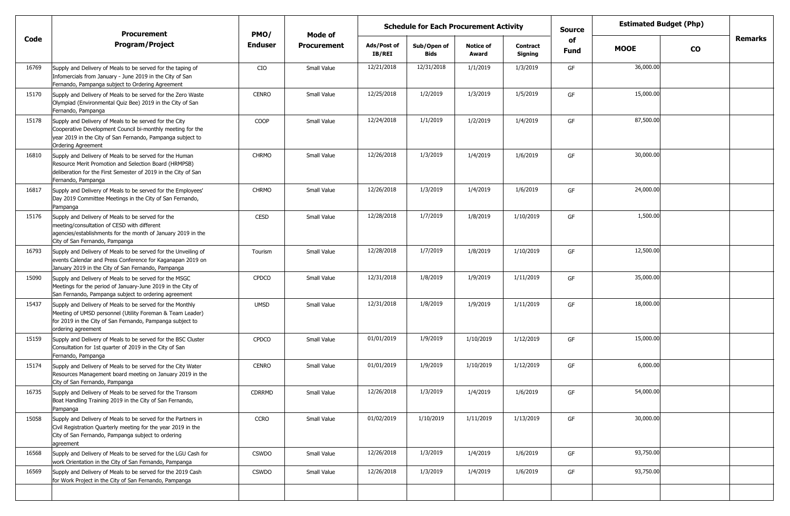|       | <b>Procurement</b>                                                                                                                                                                                        | PMO/         | Mode of            | <b>Schedule for Each Procurement Activity</b> |                     |                           |                            |            |             | <b>Estimated Budget (Php)</b> |         |
|-------|-----------------------------------------------------------------------------------------------------------------------------------------------------------------------------------------------------------|--------------|--------------------|-----------------------------------------------|---------------------|---------------------------|----------------------------|------------|-------------|-------------------------------|---------|
| Code  | <b>Program/Project</b>                                                                                                                                                                                    | Enduser      | <b>Procurement</b> | Ads/Post of<br>IB/REI                         | Sub/Open of<br>Bids | <b>Notice of</b><br>Award | <b>Contract</b><br>Signing | of<br>Fund | <b>MOOE</b> | <b>CO</b>                     | Remarks |
| 16769 | Supply and Delivery of Meals to be served for the taping of<br>Infomercials from January - June 2019 in the City of San<br>Fernando, Pampanga subject to Ordering Agreement                               | CIO          | Small Value        | 12/21/2018                                    | 12/31/2018          | 1/1/2019                  | 1/3/2019                   | GF         | 36,000.00   |                               |         |
| 15170 | Supply and Delivery of Meals to be served for the Zero Waste<br>Olympiad (Environmental Quiz Bee) 2019 in the City of San<br>Fernando, Pampanga                                                           | <b>CENRO</b> | Small Value        | 12/25/2018                                    | 1/2/2019            | 1/3/2019                  | 1/5/2019                   | GF         | 15,000.00   |                               |         |
| 15178 | Supply and Delivery of Meals to be served for the City<br>Cooperative Development Council bi-monthly meeting for the<br>year 2019 in the City of San Fernando, Pampanga subject to<br>Ordering Agreement  | COOP         | Small Value        | 12/24/2018                                    | 1/1/2019            | 1/2/2019                  | 1/4/2019                   | GF         | 87,500.00   |                               |         |
| 16810 | Supply and Delivery of Meals to be served for the Human<br>Resource Merit Promotion and Selection Board (HRMPSB)<br>deliberation for the First Semester of 2019 in the City of San<br>Fernando, Pampanga  | <b>CHRMO</b> | Small Value        | 12/26/2018                                    | 1/3/2019            | 1/4/2019                  | 1/6/2019                   | GF         | 30,000.00   |                               |         |
| 16817 | Supply and Delivery of Meals to be served for the Employees'<br>Day 2019 Committee Meetings in the City of San Fernando,<br>Pampanga                                                                      | <b>CHRMO</b> | Small Value        | 12/26/2018                                    | 1/3/2019            | 1/4/2019                  | 1/6/2019                   | GF         | 24,000.00   |                               |         |
| 15176 | Supply and Delivery of Meals to be served for the<br>meeting/consultation of CESD with different<br>agencies/establishments for the month of January 2019 in the<br>City of San Fernando, Pampanga        | <b>CESD</b>  | Small Value        | 12/28/2018                                    | 1/7/2019            | 1/8/2019                  | 1/10/2019                  | GF         | 1,500.00    |                               |         |
| 16793 | Supply and Delivery of Meals to be served for the Unveiling of<br>events Calendar and Press Conference for Kaganapan 2019 on<br>January 2019 in the City of San Fernando, Pampanga                        | Tourism      | Small Value        | 12/28/2018                                    | 1/7/2019            | 1/8/2019                  | 1/10/2019                  | GF         | 12,500.00   |                               |         |
| 15090 | Supply and Delivery of Meals to be served for the MSGC<br>Meetings for the period of January-June 2019 in the City of<br>San Fernando, Pampanga subject to ordering agreement                             | <b>CPDCO</b> | Small Value        | 12/31/2018                                    | 1/8/2019            | 1/9/2019                  | 1/11/2019                  | GF         | 35,000.00   |                               |         |
| 15437 | Supply and Delivery of Meals to be served for the Monthly<br>Meeting of UMSD personnel (Utility Foreman & Team Leader)<br>for 2019 in the City of San Fernando, Pampanga subject to<br>ordering agreement | <b>UMSD</b>  | Small Value        | 12/31/2018                                    | 1/8/2019            | 1/9/2019                  | 1/11/2019                  | GF         | 18,000.00   |                               |         |
| 15159 | Supply and Delivery of Meals to be served for the BSC Cluster<br>Consultation for 1st quarter of 2019 in the City of San<br>Fernando, Pampanga                                                            | <b>CPDCO</b> | Small Value        | 01/01/2019                                    | 1/9/2019            | 1/10/2019                 | 1/12/2019                  | GF         | 15,000.00   |                               |         |
| 15174 | Supply and Delivery of Meals to be served for the City Water<br>Resources Management board meeting on January 2019 in the<br>City of San Fernando, Pampanga                                               | <b>CENRO</b> | Small Value        | 01/01/2019                                    | 1/9/2019            | 1/10/2019                 | 1/12/2019                  | GF         | 6,000.00    |                               |         |
| 16735 | Supply and Delivery of Meals to be served for the Transom<br>Boat Handling Training 2019 in the City of San Fernando,<br>Pampanga                                                                         | CDRRMD       | Small Value        | 12/26/2018                                    | 1/3/2019            | 1/4/2019                  | 1/6/2019                   | GF         | 54,000.00   |                               |         |
| 15058 | Supply and Delivery of Meals to be served for the Partners in<br>Civil Registration Quarterly meeting for the year 2019 in the<br>City of San Fernando, Pampanga subject to ordering<br>agreement         | <b>CCRO</b>  | Small Value        | 01/02/2019                                    | 1/10/2019           | 1/11/2019                 | 1/13/2019                  | GF         | 30,000.00   |                               |         |
| 16568 | Supply and Delivery of Meals to be served for the LGU Cash for<br>work Orientation in the City of San Fernando, Pampanga                                                                                  | <b>CSWDO</b> | Small Value        | 12/26/2018                                    | 1/3/2019            | 1/4/2019                  | 1/6/2019                   | GF         | 93,750.00   |                               |         |
| 16569 | Supply and Delivery of Meals to be served for the 2019 Cash<br>for Work Project in the City of San Fernando, Pampanga                                                                                     | <b>CSWDO</b> | Small Value        | 12/26/2018                                    | 1/3/2019            | 1/4/2019                  | 1/6/2019                   | GF         | 93,750.00   |                               |         |
|       |                                                                                                                                                                                                           |              |                    |                                               |                     |                           |                            |            |             |                               |         |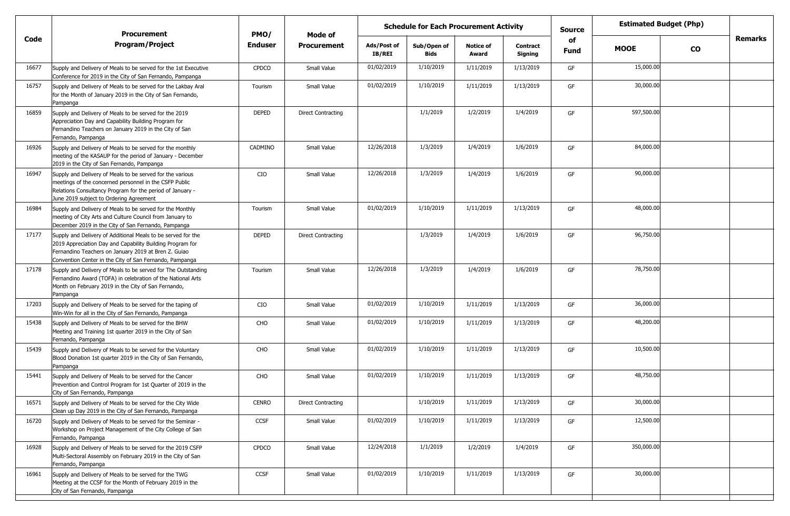|       | <b>Procurement</b>                                                                                                                                                                                                                           | PMO/         | Mode of                   |                       | <b>Schedule for Each Procurement Activity</b> |                           |                            | <b>Source</b>            | <b>Estimated Budget (Php)</b> |           |         |
|-------|----------------------------------------------------------------------------------------------------------------------------------------------------------------------------------------------------------------------------------------------|--------------|---------------------------|-----------------------|-----------------------------------------------|---------------------------|----------------------------|--------------------------|-------------------------------|-----------|---------|
| Code  | <b>Program/Project</b>                                                                                                                                                                                                                       | Enduser      | <b>Procurement</b>        | Ads/Post of<br>IB/REI | Sub/Open of<br>Bids                           | <b>Notice of</b><br>Award | <b>Contract</b><br>Signing | <b>of</b><br><b>Fund</b> | <b>MOOE</b>                   | <b>CO</b> | Remarks |
| 16677 | Supply and Delivery of Meals to be served for the 1st Executive<br>Conference for 2019 in the City of San Fernando, Pampanga                                                                                                                 | <b>CPDCO</b> | Small Value               | 01/02/2019            | 1/10/2019                                     | 1/11/2019                 | 1/13/2019                  | GF                       | 15,000.00                     |           |         |
| 16757 | Supply and Delivery of Meals to be served for the Lakbay Aral<br>for the Month of January 2019 in the City of San Fernando,<br>Pampanga                                                                                                      | Tourism      | Small Value               | 01/02/2019            | 1/10/2019                                     | 1/11/2019                 | 1/13/2019                  | GF                       | 30,000.00                     |           |         |
| 16859 | Supply and Delivery of Meals to be served for the 2019<br>Appreciation Day and Capability Building Program for<br>Fernandino Teachers on January 2019 in the City of San<br>Fernando, Pampanga                                               | <b>DEPED</b> | <b>Direct Contracting</b> |                       | 1/1/2019                                      | 1/2/2019                  | 1/4/2019                   | GF                       | 597,500.00                    |           |         |
| 16926 | Supply and Delivery of Meals to be served for the monthly<br>meeting of the KASAUP for the period of January - December<br>2019 in the City of San Fernando, Pampanga                                                                        | CADMINO      | Small Value               | 12/26/2018            | 1/3/2019                                      | 1/4/2019                  | 1/6/2019                   | GF                       | 84,000.00                     |           |         |
| 16947 | Supply and Delivery of Meals to be served for the various<br>meetings of the concerned personnel in the CSFP Public<br>Relations Consultancy Program for the period of January -<br>June 2019 subject to Ordering Agreement                  | CIO          | Small Value               | 12/26/2018            | 1/3/2019                                      | 1/4/2019                  | 1/6/2019                   | GF                       | 90,000.00                     |           |         |
| 16984 | Supply and Delivery of Meals to be served for the Monthly<br>meeting of City Arts and Culture Council from January to<br>December 2019 in the City of San Fernando, Pampanga                                                                 | Tourism      | Small Value               | 01/02/2019            | 1/10/2019                                     | 1/11/2019                 | 1/13/2019                  | GF                       | 48,000.00                     |           |         |
| 17177 | Supply and Delivery of Additional Meals to be served for the<br>2019 Appreciation Day and Capability Building Program for<br>Fernandino Teachers on January 2019 at Bren Z. Guiao<br>Convention Center in the City of San Fernando, Pampanga | <b>DEPED</b> | <b>Direct Contracting</b> |                       | 1/3/2019                                      | 1/4/2019                  | 1/6/2019                   | GF                       | 96,750.00                     |           |         |
| 17178 | Supply and Delivery of Meals to be served for The Outstanding<br>Fernandino Award (TOFA) in celebration of the National Arts<br>Month on February 2019 in the City of San Fernando,<br>Pampanga                                              | Tourism      | Small Value               | 12/26/2018            | 1/3/2019                                      | 1/4/2019                  | 1/6/2019                   | GF                       | 78,750.00                     |           |         |
| 17203 | Supply and Delivery of Meals to be served for the taping of<br>Win-Win for all in the City of San Fernando, Pampanga                                                                                                                         | CIO          | Small Value               | 01/02/2019            | 1/10/2019                                     | 1/11/2019                 | 1/13/2019                  | GF                       | 36,000.00                     |           |         |
| 15438 | Supply and Delivery of Meals to be served for the BHW<br>Meeting and Training 1st quarter 2019 in the City of San<br>Fernando, Pampanga                                                                                                      | CHO          | Small Value               | 01/02/2019            | 1/10/2019                                     | 1/11/2019                 | 1/13/2019                  | GF                       | 48,200.00                     |           |         |
| 15439 | Supply and Delivery of Meals to be served for the Voluntary<br>Blood Donation 1st quarter 2019 in the City of San Fernando,<br>Pampanga                                                                                                      | CHO          | Small Value               | 01/02/2019            | 1/10/2019                                     | 1/11/2019                 | 1/13/2019                  | GF                       | 10,500.00                     |           |         |
| 15441 | Supply and Delivery of Meals to be served for the Cancer<br>Prevention and Control Program for 1st Quarter of 2019 in the<br>City of San Fernando, Pampanga                                                                                  | CHO          | Small Value               | 01/02/2019            | 1/10/2019                                     | 1/11/2019                 | 1/13/2019                  | GF                       | 48,750.00                     |           |         |
| 16571 | Supply and Delivery of Meals to be served for the City Wide<br>Clean up Day 2019 in the City of San Fernando, Pampanga                                                                                                                       | <b>CENRO</b> | <b>Direct Contracting</b> |                       | 1/10/2019                                     | 1/11/2019                 | 1/13/2019                  | GF                       | 30,000.00                     |           |         |
| 16720 | Supply and Delivery of Meals to be served for the Seminar -<br>Workshop on Project Management of the City College of San<br>Fernando, Pampanga                                                                                               | CCSF         | Small Value               | 01/02/2019            | 1/10/2019                                     | 1/11/2019                 | 1/13/2019                  | GF                       | 12,500.00                     |           |         |
| 16928 | Supply and Delivery of Meals to be served for the 2019 CSFP<br>Multi-Sectoral Assembly on February 2019 in the City of San<br>Fernando, Pampanga                                                                                             | <b>CPDCO</b> | Small Value               | 12/24/2018            | 1/1/2019                                      | 1/2/2019                  | 1/4/2019                   | GF                       | 350,000.00                    |           |         |
| 16961 | Supply and Delivery of Meals to be served for the TWG<br>Meeting at the CCSF for the Month of February 2019 in the<br>City of San Fernando, Pampanga                                                                                         | CCSF         | Small Value               | 01/02/2019            | 1/10/2019                                     | 1/11/2019                 | 1/13/2019                  | GF                       | 30,000.00                     |           |         |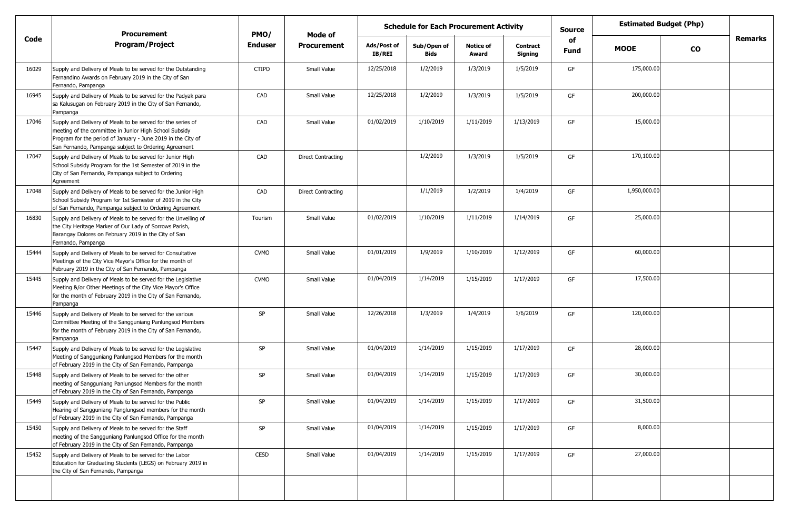|       | <b>Procurement</b>                                                                                                                                                                                                                            | PMO/           | Mode of                   |                              | <b>Schedule for Each Procurement Activity</b> |                           |                            | <b>Source</b>     | <b>Estimated Budget (Php)</b> |               |                |
|-------|-----------------------------------------------------------------------------------------------------------------------------------------------------------------------------------------------------------------------------------------------|----------------|---------------------------|------------------------------|-----------------------------------------------|---------------------------|----------------------------|-------------------|-------------------------------|---------------|----------------|
| Code  | <b>Program/Project</b>                                                                                                                                                                                                                        | <b>Enduser</b> | <b>Procurement</b>        | Ads/Post of<br><b>IB/REI</b> | Sub/Open of<br><b>Bids</b>                    | <b>Notice of</b><br>Award | <b>Contract</b><br>Signing | of<br><b>Fund</b> | <b>MOOE</b>                   | $\mathbf{co}$ | <b>Remarks</b> |
| 16029 | Supply and Delivery of Meals to be served for the Outstanding<br>Fernandino Awards on February 2019 in the City of San<br>Fernando, Pampanga                                                                                                  | <b>CTIPO</b>   | Small Value               | 12/25/2018                   | 1/2/2019                                      | 1/3/2019                  | 1/5/2019                   | GF                | 175,000.00                    |               |                |
| 16945 | Supply and Delivery of Meals to be served for the Padyak para<br>sa Kalusugan on February 2019 in the City of San Fernando,<br>Pampanga                                                                                                       | CAD            | Small Value               | 12/25/2018                   | 1/2/2019                                      | 1/3/2019                  | 1/5/2019                   | GF                | 200,000.00                    |               |                |
| 17046 | Supply and Delivery of Meals to be served for the series of<br>meeting of the committee in Junior High School Subsidy<br>Program for the period of January - June 2019 in the City of<br>San Fernando, Pampanga subject to Ordering Agreement | CAD            | Small Value               | 01/02/2019                   | 1/10/2019                                     | 1/11/2019                 | 1/13/2019                  | GF                | 15,000.00                     |               |                |
| 17047 | Supply and Delivery of Meals to be served for Junior High<br>School Subsidy Program for the 1st Semester of 2019 in the<br>City of San Fernando, Pampanga subject to Ordering<br>Agreement                                                    | CAD            | <b>Direct Contracting</b> |                              | 1/2/2019                                      | 1/3/2019                  | 1/5/2019                   | GF                | 170,100.00                    |               |                |
| 17048 | Supply and Delivery of Meals to be served for the Junior High<br>School Subsidy Program for 1st Semester of 2019 in the City<br>of San Fernando, Pampanga subject to Ordering Agreement                                                       | CAD            | <b>Direct Contracting</b> |                              | 1/1/2019                                      | 1/2/2019                  | 1/4/2019                   | GF                | 1,950,000.00                  |               |                |
| 16830 | Supply and Delivery of Meals to be served for the Unveiling of<br>the City Heritage Marker of Our Lady of Sorrows Parish,<br>Barangay Dolores on February 2019 in the City of San<br>Fernando, Pampanga                                       | Tourism        | Small Value               | 01/02/2019                   | 1/10/2019                                     | 1/11/2019                 | 1/14/2019                  | GF                | 25,000.00                     |               |                |
| 15444 | Supply and Delivery of Meals to be served for Consultative<br>Meetings of the City Vice Mayor's Office for the month of<br>February 2019 in the City of San Fernando, Pampanga                                                                | <b>CVMO</b>    | Small Value               | 01/01/2019                   | 1/9/2019                                      | 1/10/2019                 | 1/12/2019                  | GF                | 60,000.00                     |               |                |
| 15445 | Supply and Delivery of Meals to be served for the Legislative<br>Meeting &/or Other Meetings of the City Vice Mayor's Office<br>for the month of February 2019 in the City of San Fernando,<br>Pampanga                                       | <b>CVMO</b>    | Small Value               | 01/04/2019                   | 1/14/2019                                     | 1/15/2019                 | 1/17/2019                  | GF                | 17,500.00                     |               |                |
| 15446 | Supply and Delivery of Meals to be served for the various<br>Committee Meeting of the Sangguniang Panlungsod Members<br>for the month of February 2019 in the City of San Fernando,<br>Pampanga                                               | <b>SP</b>      | Small Value               | 12/26/2018                   | 1/3/2019                                      | 1/4/2019                  | 1/6/2019                   | GF                | 120,000.00                    |               |                |
| 15447 | Supply and Delivery of Meals to be served for the Legislative<br>Meeting of Sangguniang Panlungsod Members for the month<br>of February 2019 in the City of San Fernando, Pampanga                                                            | <b>SP</b>      | Small Value               | 01/04/2019                   | 1/14/2019                                     | 1/15/2019                 | 1/17/2019                  | GF                | 28,000.00                     |               |                |
| 15448 | Supply and Delivery of Meals to be served for the other<br>meeting of Sangguniang Panlungsod Members for the month<br>of February 2019 in the City of San Fernando, Pampanga                                                                  | SP             | Small Value               | 01/04/2019                   | 1/14/2019                                     | 1/15/2019                 | 1/17/2019                  | GF                | 30,000.00                     |               |                |
| 15449 | Supply and Delivery of Meals to be served for the Public<br>Hearing of Sangguniang Panglungsod members for the month<br>of February 2019 in the City of San Fernando, Pampanga                                                                | SP             | Small Value               | 01/04/2019                   | 1/14/2019                                     | 1/15/2019                 | 1/17/2019                  | GF                | 31,500.00                     |               |                |
| 15450 | Supply and Delivery of Meals to be served for the Staff<br>meeting of the Sangguniang Panlungsod Office for the month<br>of February 2019 in the City of San Fernando, Pampanga                                                               | SP             | Small Value               | 01/04/2019                   | 1/14/2019                                     | 1/15/2019                 | 1/17/2019                  | GF                | 8,000.00                      |               |                |
| 15452 | Supply and Delivery of Meals to be served for the Labor<br>Education for Graduating Students (LEGS) on February 2019 in<br>the City of San Fernando, Pampanga                                                                                 | CESD           | Small Value               | 01/04/2019                   | 1/14/2019                                     | 1/15/2019                 | 1/17/2019                  | GF                | 27,000.00                     |               |                |
|       |                                                                                                                                                                                                                                               |                |                           |                              |                                               |                           |                            |                   |                               |               |                |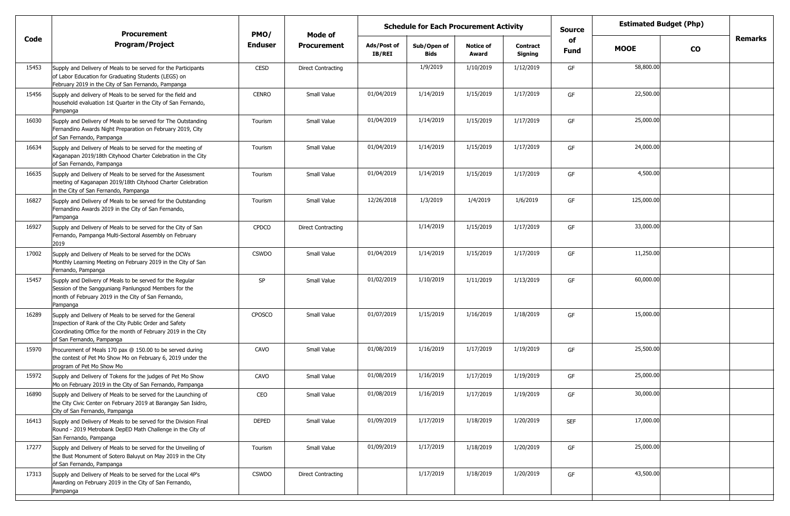|       | <b>Procurement</b>                                                                                                                                                                                                 | PMO/           |                           | <b>Estimated Budget (Php)</b><br><b>Schedule for Each Procurement Activity</b><br><b>Source</b><br><b>Mode of</b><br>of |                     |                           |                            |            |             |           |         |
|-------|--------------------------------------------------------------------------------------------------------------------------------------------------------------------------------------------------------------------|----------------|---------------------------|-------------------------------------------------------------------------------------------------------------------------|---------------------|---------------------------|----------------------------|------------|-------------|-----------|---------|
| Code  | <b>Program/Project</b>                                                                                                                                                                                             | <b>Enduser</b> | <b>Procurement</b>        | Ads/Post of<br><b>IB/REI</b>                                                                                            | Sub/Open of<br>Bids | <b>Notice of</b><br>Award | <b>Contract</b><br>Signing | Fund       | <b>MOOE</b> | <b>CO</b> | Remarks |
| 15453 | Supply and Delivery of Meals to be served for the Participants<br>of Labor Education for Graduating Students (LEGS) on<br>February 2019 in the City of San Fernando, Pampanga                                      | CESD           | <b>Direct Contracting</b> |                                                                                                                         | 1/9/2019            | 1/10/2019                 | 1/12/2019                  | GF         | 58,800.00   |           |         |
| 15456 | Supply and delivery of Meals to be served for the field and<br>household evaluation 1st Quarter in the City of San Fernando,<br>Pampanga                                                                           | <b>CENRO</b>   | Small Value               | 01/04/2019                                                                                                              | 1/14/2019           | 1/15/2019                 | 1/17/2019                  | GF         | 22,500.00   |           |         |
| 16030 | Supply and Delivery of Meals to be served for The Outstanding<br>Fernandino Awards Night Preparation on February 2019, City<br>of San Fernando, Pampanga                                                           | Tourism        | Small Value               | 01/04/2019                                                                                                              | 1/14/2019           | 1/15/2019                 | 1/17/2019                  | GF         | 25,000.00   |           |         |
| 16634 | Supply and Delivery of Meals to be served for the meeting of<br>Kaganapan 2019/18th Cityhood Charter Celebration in the City<br>of San Fernando, Pampanga                                                          | Tourism        | Small Value               | 01/04/2019                                                                                                              | 1/14/2019           | 1/15/2019                 | 1/17/2019                  | GF         | 24,000.00   |           |         |
| 16635 | Supply and Delivery of Meals to be served for the Assessment<br>meeting of Kaganapan 2019/18th Cityhood Charter Celebration<br>in the City of San Fernando, Pampanga                                               | Tourism        | Small Value               | 01/04/2019                                                                                                              | 1/14/2019           | 1/15/2019                 | 1/17/2019                  | GF         | 4,500.00    |           |         |
| 16827 | Supply and Delivery of Meals to be served for the Outstanding<br>Fernandino Awards 2019 in the City of San Fernando,<br>Pampanga                                                                                   | Tourism        | Small Value               | 12/26/2018                                                                                                              | 1/3/2019            | 1/4/2019                  | 1/6/2019                   | GF         | 125,000.00  |           |         |
| 16927 | Supply and Delivery of Meals to be served for the City of San<br>Fernando, Pampanga Multi-Sectoral Assembly on February<br>2019                                                                                    | <b>CPDCO</b>   | <b>Direct Contracting</b> |                                                                                                                         | 1/14/2019           | 1/15/2019                 | 1/17/2019                  | GF         | 33,000.00   |           |         |
| 17002 | Supply and Delivery of Meals to be served for the DCWs<br>Monthly Learning Meeting on February 2019 in the City of San<br>Fernando, Pampanga                                                                       | <b>CSWDO</b>   | Small Value               | 01/04/2019                                                                                                              | 1/14/2019           | 1/15/2019                 | 1/17/2019                  | GF         | 11,250.00   |           |         |
| 15457 | Supply and Delivery of Meals to be served for the Regular<br>Session of the Sangguniang Panlungsod Members for the<br>month of February 2019 in the City of San Fernando,<br>Pampanga                              | <b>SP</b>      | Small Value               | 01/02/2019                                                                                                              | 1/10/2019           | 1/11/2019                 | 1/13/2019                  | GF         | 60,000.00   |           |         |
| 16289 | Supply and Delivery of Meals to be served for the General<br>Inspection of Rank of the City Public Order and Safety<br>Coordinating Office for the month of February 2019 in the City<br>of San Fernando, Pampanga | <b>CPOSCO</b>  | Small Value               | 01/07/2019                                                                                                              | 1/15/2019           | 1/16/2019                 | 1/18/2019                  | GF         | 15,000.00   |           |         |
| 15970 | Procurement of Meals 170 pax @ 150.00 to be served during<br>the contest of Pet Mo Show Mo on February 6, 2019 under the<br>program of Pet Mo Show Mo                                                              | CAVO           | Small Value               | 01/08/2019                                                                                                              | 1/16/2019           | 1/17/2019                 | 1/19/2019                  | GF         | 25,500.00   |           |         |
| 15972 | Supply and Delivery of Tokens for the judges of Pet Mo Show<br>Mo on February 2019 in the City of San Fernando, Pampanga                                                                                           | CAVO           | Small Value               | 01/08/2019                                                                                                              | 1/16/2019           | 1/17/2019                 | 1/19/2019                  | GF         | 25,000.00   |           |         |
| 16890 | Supply and Delivery of Meals to be served for the Launching of<br>the City Civic Center on February 2019 at Barangay San Isidro,<br>City of San Fernando, Pampanga                                                 | CEO            | Small Value               | 01/08/2019                                                                                                              | 1/16/2019           | 1/17/2019                 | 1/19/2019                  |            | 30,000.00   |           |         |
| 16413 | Supply and Delivery of Meals to be served for the Division Final<br>Round - 2019 Metrobank DepED Math Challenge in the City of<br>San Fernando, Pampanga                                                           | <b>DEPED</b>   | Small Value               | 01/09/2019                                                                                                              | 1/17/2019           | 1/18/2019                 | 1/20/2019                  | <b>SEF</b> | 17,000.00   |           |         |
| 17277 | Supply and Delivery of Meals to be served for the Unveiling of<br>the Bust Monument of Sotero Baluyut on May 2019 in the City<br>of San Fernando, Pampanga                                                         | Tourism        | Small Value               | 01/09/2019                                                                                                              | 1/17/2019           | 1/18/2019                 | 1/20/2019                  | GF         | 25,000.00   |           |         |
| 17313 | Supply and Delivery of Meals to be served for the Local 4P's<br>Awarding on February 2019 in the City of San Fernando,<br>Pampanga                                                                                 | <b>CSWDO</b>   | <b>Direct Contracting</b> |                                                                                                                         | 1/17/2019           | 1/18/2019                 | 1/20/2019                  | GF         | 43,500.00   |           |         |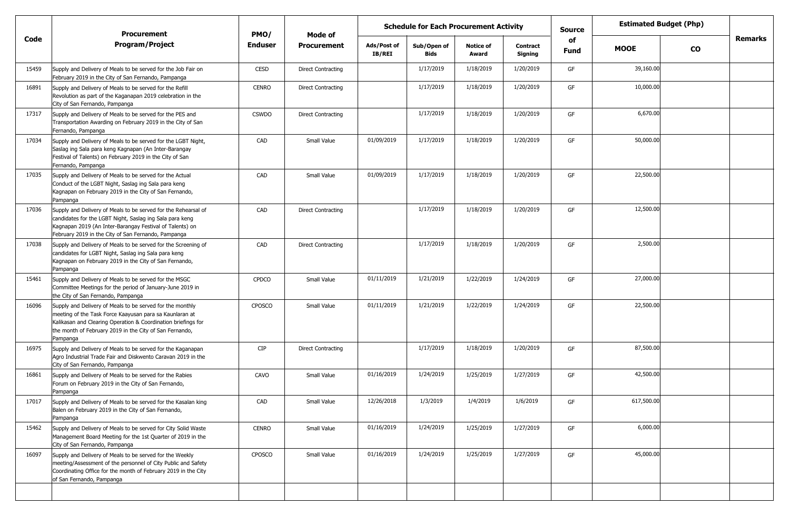|       | <b>Procurement</b>                                                                                                                                                                                                                                           | PMO/         | Mode of                   |                              | <b>Schedule for Each Procurement Activity</b> |                           |                            | <b>Source</b>     | <b>Estimated Budget (Php)</b> |               |                |
|-------|--------------------------------------------------------------------------------------------------------------------------------------------------------------------------------------------------------------------------------------------------------------|--------------|---------------------------|------------------------------|-----------------------------------------------|---------------------------|----------------------------|-------------------|-------------------------------|---------------|----------------|
| Code  | <b>Program/Project</b>                                                                                                                                                                                                                                       | Enduser      | <b>Procurement</b>        | Ads/Post of<br><b>IB/REI</b> | Sub/Open of<br><b>Bids</b>                    | <b>Notice of</b><br>Award | <b>Contract</b><br>Signing | of<br><b>Fund</b> | <b>MOOE</b>                   | $\mathbf{co}$ | <b>Remarks</b> |
| 15459 | Supply and Delivery of Meals to be served for the Job Fair on<br>February 2019 in the City of San Fernando, Pampanga                                                                                                                                         | CESD         | <b>Direct Contracting</b> |                              | 1/17/2019                                     | 1/18/2019                 | 1/20/2019                  | GF                | 39,160.00                     |               |                |
| 16891 | Supply and Delivery of Meals to be served for the Refill<br>Revolution as part of the Kaganapan 2019 celebration in the<br>City of San Fernando, Pampanga                                                                                                    | <b>CENRO</b> | <b>Direct Contracting</b> |                              | 1/17/2019                                     | 1/18/2019                 | 1/20/2019                  | GF                | 10,000.00                     |               |                |
| 17317 | Supply and Delivery of Meals to be served for the PES and<br>Transportation Awarding on February 2019 in the City of San<br>Fernando, Pampanga                                                                                                               | <b>CSWDO</b> | <b>Direct Contracting</b> |                              | 1/17/2019                                     | 1/18/2019                 | 1/20/2019                  | GF                | 6,670.00                      |               |                |
| 17034 | Supply and Delivery of Meals to be served for the LGBT Night,<br>Saslag ing Sala para keng Kagnapan (An Inter-Barangay<br>Festival of Talents) on February 2019 in the City of San<br>Fernando, Pampanga                                                     | CAD          | Small Value               | 01/09/2019                   | 1/17/2019                                     | 1/18/2019                 | 1/20/2019                  | GF                | 50,000.00                     |               |                |
| 17035 | Supply and Delivery of Meals to be served for the Actual<br>Conduct of the LGBT Night, Saslag ing Sala para keng<br>Kagnapan on February 2019 in the City of San Fernando,<br>Pampanga                                                                       | CAD          | Small Value               | 01/09/2019                   | 1/17/2019                                     | 1/18/2019                 | 1/20/2019                  | GF                | 22,500.00                     |               |                |
| 17036 | Supply and Delivery of Meals to be served for the Rehearsal of<br>candidates for the LGBT Night, Saslag ing Sala para keng<br>Kagnapan 2019 (An Inter-Barangay Festival of Talents) on<br>February 2019 in the City of San Fernando, Pampanga                | CAD          | <b>Direct Contracting</b> |                              | 1/17/2019                                     | 1/18/2019                 | 1/20/2019                  | GF                | 12,500.00                     |               |                |
| 17038 | Supply and Delivery of Meals to be served for the Screening of<br>candidates for LGBT Night, Saslag ing Sala para keng<br>Kagnapan on February 2019 in the City of San Fernando,<br>Pampanga                                                                 | CAD          | <b>Direct Contracting</b> |                              | 1/17/2019                                     | 1/18/2019                 | 1/20/2019                  | GF                | 2,500.00                      |               |                |
| 15461 | Supply and Delivery of Meals to be served for the MSGC<br>Committee Meetings for the period of January-June 2019 in<br>the City of San Fernando, Pampanga                                                                                                    | <b>CPDCO</b> | Small Value               | 01/11/2019                   | 1/21/2019                                     | 1/22/2019                 | 1/24/2019                  | GF                | 27,000.00                     |               |                |
| 16096 | Supply and Delivery of Meals to be served for the monthly<br>meeting of the Task Force Kaayusan para sa Kaunlaran at<br>Kalikasan and Clearing Operation & Coordination briefings for<br>the month of February 2019 in the City of San Fernando,<br>Pampanga | CPOSCO       | Small Value               | 01/11/2019                   | 1/21/2019                                     | 1/22/2019                 | 1/24/2019                  | GF                | 22,500.00                     |               |                |
| 16975 | Supply and Delivery of Meals to be served for the Kaganapan<br>Agro Industrial Trade Fair and Diskwento Caravan 2019 in the<br>City of San Fernando, Pampanga                                                                                                | <b>CIP</b>   | <b>Direct Contracting</b> |                              | 1/17/2019                                     | 1/18/2019                 | 1/20/2019                  | GF                | 87,500.00                     |               |                |
| 16861 | Supply and Delivery of Meals to be served for the Rabies<br>Forum on February 2019 in the City of San Fernando,<br>Pampanga                                                                                                                                  | CAVO         | Small Value               | 01/16/2019                   | 1/24/2019                                     | 1/25/2019                 | 1/27/2019                  | GF                | 42,500.00                     |               |                |
| 17017 | Supply and Delivery of Meals to be served for the Kasalan king<br>Balen on February 2019 in the City of San Fernando,<br>Pampanga                                                                                                                            | CAD          | Small Value               | 12/26/2018                   | 1/3/2019                                      | 1/4/2019                  | 1/6/2019                   | GF                | 617,500.00                    |               |                |
| 15462 | Supply and Delivery of Meals to be served for City Solid Waste<br>Management Board Meeting for the 1st Quarter of 2019 in the<br>City of San Fernando, Pampanga                                                                                              | <b>CENRO</b> | Small Value               | 01/16/2019                   | 1/24/2019                                     | 1/25/2019                 | 1/27/2019                  | GF                | 6,000.00                      |               |                |
| 16097 | Supply and Delivery of Meals to be served for the Weekly<br>meeting/Assessment of the personnel of City Public and Safety<br>Coordinating Office for the month of February 2019 in the City<br>of San Fernando, Pampanga                                     | CPOSCO       | Small Value               | 01/16/2019                   | 1/24/2019                                     | 1/25/2019                 | 1/27/2019                  | GF                | 45,000.00                     |               |                |
|       |                                                                                                                                                                                                                                                              |              |                           |                              |                                               |                           |                            |                   |                               |               |                |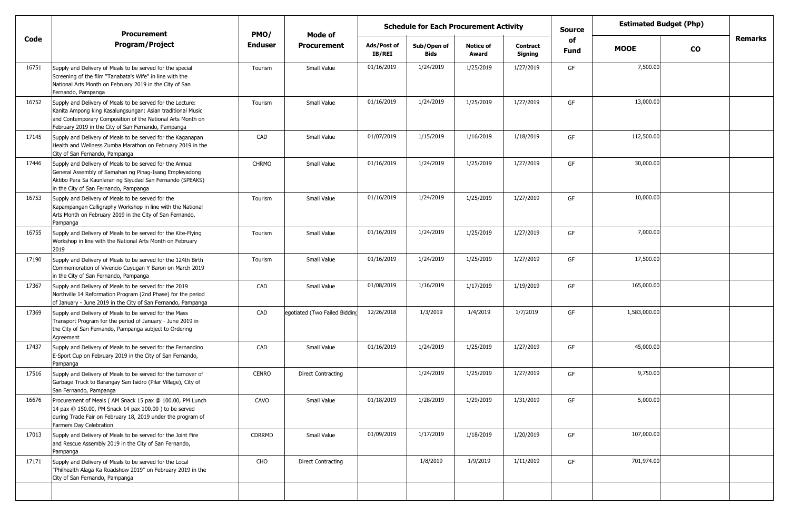|       | <b>Procurement</b>                                                                                                                                                                                                                            | PMO/         | Mode of                       | <b>Estimated Budget (Php)</b><br><b>Schedule for Each Procurement Activity</b><br><b>Source</b><br>of |                     |                           |                            |             |              |               |                |
|-------|-----------------------------------------------------------------------------------------------------------------------------------------------------------------------------------------------------------------------------------------------|--------------|-------------------------------|-------------------------------------------------------------------------------------------------------|---------------------|---------------------------|----------------------------|-------------|--------------|---------------|----------------|
| Code  | <b>Program/Project</b>                                                                                                                                                                                                                        | Enduser      | <b>Procurement</b>            | Ads/Post of<br>IB/REI                                                                                 | Sub/Open of<br>Bids | <b>Notice of</b><br>Award | <b>Contract</b><br>Signing | <b>Fund</b> | <b>MOOE</b>  | $\mathbf{co}$ | <b>Remarks</b> |
| 16751 | Supply and Delivery of Meals to be served for the special<br>Screening of the film "Tanabata's Wife" in line with the<br>National Arts Month on February 2019 in the City of San<br>Fernando, Pampanga                                        | Tourism      | Small Value                   | 01/16/2019                                                                                            | 1/24/2019           | 1/25/2019                 | 1/27/2019                  | GF          | 7,500.00     |               |                |
| 16752 | Supply and Delivery of Meals to be served for the Lecture:<br>Kanita Ampong king Kasalungsungan: Asian traditional Music<br>and Contemporary Composition of the National Arts Month on<br>February 2019 in the City of San Fernando, Pampanga | Tourism      | Small Value                   | 01/16/2019                                                                                            | 1/24/2019           | 1/25/2019                 | 1/27/2019                  | GF          | 13,000.00    |               |                |
| 17145 | Supply and Delivery of Meals to be served for the Kaganapan<br>Health and Wellness Zumba Marathon on February 2019 in the<br>City of San Fernando, Pampanga                                                                                   | CAD          | Small Value                   | 01/07/2019                                                                                            | 1/15/2019           | 1/16/2019                 | 1/18/2019                  | GF          | 112,500.00   |               |                |
| 17446 | Supply and Delivery of Meals to be served for the Annual<br>General Assembly of Samahan ng Pinag-Isang Empleyadong<br>Aktibo Para Sa Kaunlaran ng Siyudad San Fernando (SPEAKS)<br>in the City of San Fernando, Pampanga                      | <b>CHRMO</b> | Small Value                   | 01/16/2019                                                                                            | 1/24/2019           | 1/25/2019                 | 1/27/2019                  | GF          | 30,000.00    |               |                |
| 16753 | Supply and Delivery of Meals to be served for the<br>Kapampangan Calligraphy Workshop in line with the National<br>Arts Month on February 2019 in the City of San Fernando,<br>Pampanga                                                       | Tourism      | Small Value                   | 01/16/2019                                                                                            | 1/24/2019           | 1/25/2019                 | 1/27/2019                  | GF          | 10,000.00    |               |                |
| 16755 | Supply and Delivery of Meals to be served for the Kite-Flying<br>Workshop in line with the National Arts Month on February<br>2019                                                                                                            | Tourism      | Small Value                   | 01/16/2019                                                                                            | 1/24/2019           | 1/25/2019                 | 1/27/2019                  | GF          | 7,000.00     |               |                |
| 17190 | Supply and Delivery of Meals to be served for the 124th Birth<br>Commemoration of Vivencio Cuyugan Y Baron on March 2019<br>in the City of San Fernando, Pampanga                                                                             | Tourism      | Small Value                   | 01/16/2019                                                                                            | 1/24/2019           | 1/25/2019                 | 1/27/2019                  | GF          | 17,500.00    |               |                |
| 17367 | Supply and Delivery of Meals to be served for the 2019<br>Northville 14 Reformation Program (2nd Phase) for the period<br>of January - June 2019 in the City of San Fernando, Pampanga                                                        | CAD          | Small Value                   | 01/08/2019                                                                                            | 1/16/2019           | 1/17/2019                 | 1/19/2019                  | GF          | 165,000.00   |               |                |
| 17369 | Supply and Delivery of Meals to be served for the Mass<br>Transport Program for the period of January - June 2019 in<br>the City of San Fernando, Pampanga subject to Ordering<br>Agreement                                                   | CAD          | egotiated (Two Failed Bidding | 12/26/2018                                                                                            | 1/3/2019            | 1/4/2019                  | 1/7/2019                   | GF          | 1,583,000.00 |               |                |
| 17437 | Supply and Delivery of Meals to be served for the Fernandino<br>E-Sport Cup on February 2019 in the City of San Fernando,<br>Pampanga                                                                                                         | CAD          | Small Value                   | 01/16/2019                                                                                            | 1/24/2019           | 1/25/2019                 | 1/27/2019                  | GF          | 45,000.00    |               |                |
| 17516 | Supply and Delivery of Meals to be served for the turnover of<br>Garbage Truck to Barangay San Isidro (Pilar Village), City of<br>San Fernando, Pampanga                                                                                      | <b>CENRO</b> | <b>Direct Contracting</b>     |                                                                                                       | 1/24/2019           | 1/25/2019                 | 1/27/2019                  | GF          | 9,750.00     |               |                |
| 16676 | Procurement of Meals (AM Snack 15 pax @ 100.00, PM Lunch<br>14 pax @ 150.00, PM Snack 14 pax 100.00) to be served<br>during Trade Fair on February 18, 2019 under the program of<br>Farmers Day Celebration                                   | CAVO         | Small Value                   | 01/18/2019                                                                                            | 1/28/2019           | 1/29/2019                 | 1/31/2019                  | GF          | 5,000.00     |               |                |
| 17013 | Supply and Delivery of Meals to be served for the Joint Fire<br>and Rescue Assembly 2019 in the City of San Fernando,<br>Pampanga                                                                                                             | CDRRMD       | Small Value                   | 01/09/2019                                                                                            | 1/17/2019           | 1/18/2019                 | 1/20/2019                  | GF          | 107,000.00   |               |                |
| 17171 | Supply and Delivery of Meals to be served for the Local<br>"Philhealth Alaga Ka Roadshow 2019" on February 2019 in the<br>City of San Fernando, Pampanga                                                                                      | CHO          | <b>Direct Contracting</b>     |                                                                                                       | 1/8/2019            | 1/9/2019                  | 1/11/2019                  | GF          | 701,974.00   |               |                |
|       |                                                                                                                                                                                                                                               |              |                               |                                                                                                       |                     |                           |                            |             |              |               |                |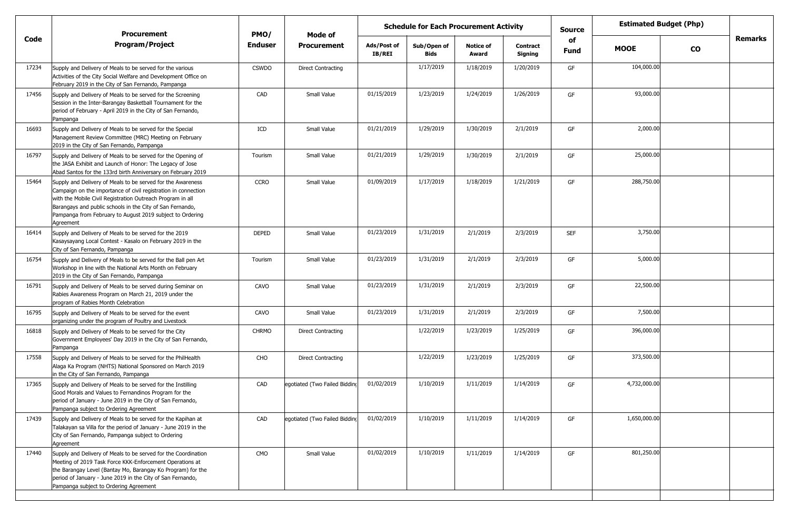|       | <b>Procurement</b>                                                                                                                                                                                                                                                                                                                 | PMO/           | Mode of                       | <b>Schedule for Each Procurement Activity</b> |                            |                           |                            | <b>Source</b>     | <b>Estimated Budget (Php)</b> |               |                |
|-------|------------------------------------------------------------------------------------------------------------------------------------------------------------------------------------------------------------------------------------------------------------------------------------------------------------------------------------|----------------|-------------------------------|-----------------------------------------------|----------------------------|---------------------------|----------------------------|-------------------|-------------------------------|---------------|----------------|
| Code  | <b>Program/Project</b>                                                                                                                                                                                                                                                                                                             | <b>Enduser</b> | <b>Procurement</b>            | Ads/Post of<br>IB/REI                         | Sub/Open of<br><b>Bids</b> | <b>Notice of</b><br>Award | <b>Contract</b><br>Signing | of<br><b>Fund</b> | <b>MOOE</b>                   | $\mathbf{co}$ | <b>Remarks</b> |
| 17234 | Supply and Delivery of Meals to be served for the various<br>Activities of the City Social Welfare and Development Office on<br>February 2019 in the City of San Fernando, Pampanga                                                                                                                                                | <b>CSWDO</b>   | <b>Direct Contracting</b>     |                                               | 1/17/2019                  | 1/18/2019                 | 1/20/2019                  | GF                | 104,000.00                    |               |                |
| 17456 | Supply and Delivery of Meals to be served for the Screening<br>Session in the Inter-Barangay Basketball Tournament for the<br>period of February - April 2019 in the City of San Fernando,<br>Pampanga                                                                                                                             | CAD            | Small Value                   | 01/15/2019                                    | 1/23/2019                  | 1/24/2019                 | 1/26/2019                  | GF                | 93,000.00                     |               |                |
| 16693 | Supply and Delivery of Meals to be served for the Special<br>Management Review Committee (MRC) Meeting on February<br>2019 in the City of San Fernando, Pampanga                                                                                                                                                                   | ICD            | Small Value                   | 01/21/2019                                    | 1/29/2019                  | 1/30/2019                 | 2/1/2019                   | GF                | 2,000.00                      |               |                |
| 16797 | Supply and Delivery of Meals to be served for the Opening of<br>the JASA Exhibit and Launch of Honor: The Legacy of Jose<br>Abad Santos for the 133rd birth Anniversary on February 2019                                                                                                                                           | Tourism        | Small Value                   | 01/21/2019                                    | 1/29/2019                  | 1/30/2019                 | 2/1/2019                   | GF                | 25,000.00                     |               |                |
| 15464 | Supply and Delivery of Meals to be served for the Awareness<br>Campaign on the importance of civil registration in connection<br>with the Mobile Civil Registration Outreach Program in all<br>Barangays and public schools in the City of San Fernando,<br>Pampanga from February to August 2019 subject to Ordering<br>Agreement | <b>CCRO</b>    | Small Value                   | 01/09/2019                                    | 1/17/2019                  | 1/18/2019                 | 1/21/2019                  | GF                | 288,750.00                    |               |                |
| 16414 | Supply and Delivery of Meals to be served for the 2019<br>Kasaysayang Local Contest - Kasalo on February 2019 in the<br>City of San Fernando, Pampanga                                                                                                                                                                             | <b>DEPED</b>   | Small Value                   | 01/23/2019                                    | 1/31/2019                  | 2/1/2019                  | 2/3/2019                   | <b>SEF</b>        | 3,750.00                      |               |                |
| 16754 | Supply and Delivery of Meals to be served for the Ball pen Art<br>Workshop in line with the National Arts Month on February<br>2019 in the City of San Fernando, Pampanga                                                                                                                                                          | Tourism        | Small Value                   | 01/23/2019                                    | 1/31/2019                  | 2/1/2019                  | 2/3/2019                   | GF                | 5,000.00                      |               |                |
| 16791 | Supply and Delivery of Meals to be served during Seminar on<br>Rabies Awareness Program on March 21, 2019 under the<br>program of Rabies Month Celebration                                                                                                                                                                         | CAVO           | Small Value                   | 01/23/2019                                    | 1/31/2019                  | 2/1/2019                  | 2/3/2019                   | GF                | 22,500.00                     |               |                |
| 16795 | Supply and Delivery of Meals to be served for the event<br>organizing under the program of Poultry and Livestock                                                                                                                                                                                                                   | CAVO           | Small Value                   | 01/23/2019                                    | 1/31/2019                  | 2/1/2019                  | 2/3/2019                   | GF                | 7,500.00                      |               |                |
| 16818 | Supply and Delivery of Meals to be served for the City<br>Government Employees' Day 2019 in the City of San Fernando,<br>Pampanga                                                                                                                                                                                                  | <b>CHRMO</b>   | <b>Direct Contracting</b>     |                                               | 1/22/2019                  | 1/23/2019                 | 1/25/2019                  | GF                | 396,000.00                    |               |                |
| 17558 | Supply and Delivery of Meals to be served for the PhilHealth<br>Alaga Ka Program (NHTS) National Sponsored on March 2019<br>in the City of San Fernando, Pampanga                                                                                                                                                                  | CHO            | <b>Direct Contracting</b>     |                                               | 1/22/2019                  | 1/23/2019                 | 1/25/2019                  | GF                | 373,500.00                    |               |                |
| 17365 | Supply and Delivery of Meals to be served for the Instilling<br>Good Morals and Values to Fernandinos Program for the<br>period of January - June 2019 in the City of San Fernando,<br>Pampanga subject to Ordering Agreement                                                                                                      | CAD            | egotiated (Two Failed Bidding | 01/02/2019                                    | 1/10/2019                  | 1/11/2019                 | 1/14/2019                  | GF                | 4,732,000.00                  |               |                |
| 17439 | Supply and Delivery of Meals to be served for the Kapihan at<br>Talakayan sa Villa for the period of January - June 2019 in the<br>City of San Fernando, Pampanga subject to Ordering<br>Agreement                                                                                                                                 | CAD            | egotiated (Two Failed Bidding | 01/02/2019                                    | 1/10/2019                  | 1/11/2019                 | 1/14/2019                  | GF                | 1,650,000.00                  |               |                |
| 17440 | Supply and Delivery of Meals to be served for the Coordination<br>Meeting of 2019 Task Force KKK-Enforcement Operations at<br>the Barangay Level (Bantay Mo, Barangay Ko Program) for the<br>period of January - June 2019 in the City of San Fernando,<br>Pampanga subject to Ordering Agreement                                  | CMO            | Small Value                   | 01/02/2019                                    | 1/10/2019                  | 1/11/2019                 | 1/14/2019                  | GF                | 801,250.00                    |               |                |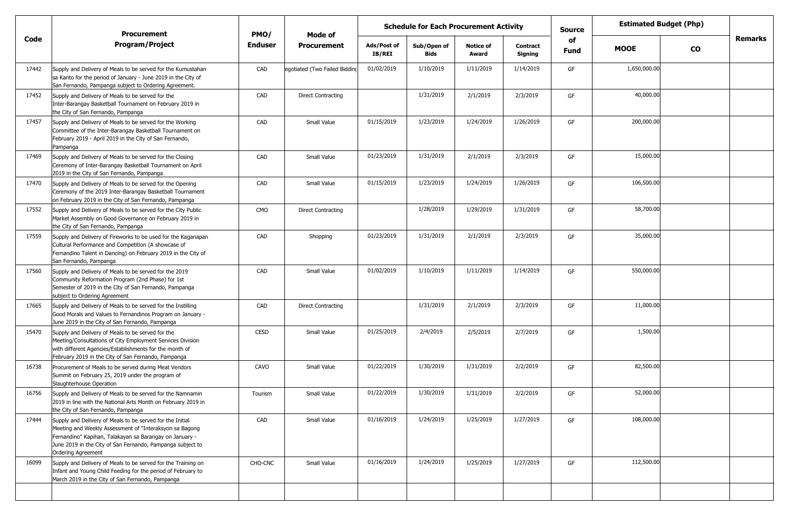|       | <b>Procurement</b>                                                                                                                                                                                                                                                  | PMO/           | Mode of                       |                       | <b>Schedule for Each Procurement Activity</b> |                           |                     | <b>Estimated Budget (Php)</b><br><b>Source</b><br>of |              |           |         |
|-------|---------------------------------------------------------------------------------------------------------------------------------------------------------------------------------------------------------------------------------------------------------------------|----------------|-------------------------------|-----------------------|-----------------------------------------------|---------------------------|---------------------|------------------------------------------------------|--------------|-----------|---------|
| Code  | <b>Program/Project</b>                                                                                                                                                                                                                                              | <b>Enduser</b> | <b>Procurement</b>            | Ads/Post of<br>IB/REI | Sub/Open of<br>Bids                           | <b>Notice of</b><br>Award | Contract<br>Signing | <b>Fund</b>                                          | <b>MOOE</b>  | <b>CO</b> | Remarks |
| 17442 | Supply and Delivery of Meals to be served for the Kumustahan<br>sa Kanto for the period of January - June 2019 in the City of<br>San Fernando, Pampanga subject to Ordering Agreement.                                                                              | CAD            | egotiated (Two Failed Bidding | 01/02/2019            | 1/10/2019                                     | 1/11/2019                 | 1/14/2019           | GF                                                   | 1,650,000.00 |           |         |
| 17452 | Supply and Delivery of Meals to be served for the<br>Inter-Barangay Basketball Tournament on February 2019 in<br>the City of San Fernando, Pampanga                                                                                                                 | CAD            | <b>Direct Contracting</b>     |                       | 1/31/2019                                     | 2/1/2019                  | 2/3/2019            | GF                                                   | 40,000.00    |           |         |
| 17457 | Supply and Delivery of Meals to be served for the Working<br>Committee of the Inter-Barangay Basketball Tournament on<br>February 2019 - April 2019 in the City of San Fernando,<br>Pampanga                                                                        | CAD            | Small Value                   | 01/15/2019            | 1/23/2019                                     | 1/24/2019                 | 1/26/2019           | GF                                                   | 200,000.00   |           |         |
| 17469 | Supply and Delivery of Meals to be served for the Closing<br>Ceremony of Inter-Barangay Basketball Tournament on April<br>2019 in the City of San Fernando, Pampanga                                                                                                | CAD            | Small Value                   | 01/23/2019            | 1/31/2019                                     | 2/1/2019                  | 2/3/2019            | GF                                                   | 15,000.00    |           |         |
| 17470 | Supply and Delivery of Meals to be served for the Opening<br>Ceremony of the 2019 Inter-Barangay Basketball Tournament<br>on February 2019 in the City of San Fernando, Pampanga                                                                                    | CAD            | Small Value                   | 01/15/2019            | 1/23/2019                                     | 1/24/2019                 | 1/26/2019           | GF                                                   | 106,500.00   |           |         |
| 17552 | Supply and Delivery of Meals to be served for the City Public<br>Market Assembly on Good Governance on February 2019 in<br>the City of San Fernando, Pampanga                                                                                                       | <b>CMO</b>     | <b>Direct Contracting</b>     |                       | 1/28/2019                                     | 1/29/2019                 | 1/31/2019           | GF                                                   | 58,700.00    |           |         |
| 17559 | Supply and Delivery of Fireworks to be used for the Kaganapan<br>Cultural Performance and Competition (A showcase of<br>Fernandino Talent in Dancing) on February 2019 in the City of<br>San Fernando, Pampanga                                                     | CAD            | Shopping                      | 01/23/2019            | 1/31/2019                                     | 2/1/2019                  | 2/3/2019            | GF                                                   | 35,000.00    |           |         |
| 17560 | Supply and Delivery of Meals to be served for the 2019<br>Community Reformation Program (2nd Phase) for 1st<br>Semester of 2019 in the City of San Fernando, Pampanga<br>subject to Ordering Agreement                                                              | CAD            | Small Value                   | 01/02/2019            | 1/10/2019                                     | 1/11/2019                 | 1/14/2019           | GF                                                   | 550,000.00   |           |         |
| 17665 | Supply and Delivery of Meals to be served for the Instilling<br>Good Morals and Values to Fernandinos Program on January -<br>June 2019 in the City of San Fernando, Pampanga                                                                                       | CAD            | <b>Direct Contracting</b>     |                       | 1/31/2019                                     | 2/1/2019                  | 2/3/2019            | GF                                                   | 11,000.00    |           |         |
| 15470 | Supply and Delivery of Meals to be served for the<br>Meeting/Consultations of City Employment Services Division<br>with different Agencies/Establishments for the month of<br>February 2019 in the City of San Fernando, Pampanga                                   | <b>CESD</b>    | Small Value                   | 01/25/2019            | 2/4/2019                                      | 2/5/2019                  | 2/7/2019            | GF                                                   | 1,500.00     |           |         |
| 16738 | Procurement of Meals to be served during Meat Vendors<br>Summit on February 25, 2019 under the program of<br>Slaughterhouse Operation                                                                                                                               | CAVO           | Small Value                   | 01/22/2019            | 1/30/2019                                     | 1/31/2019                 | 2/2/2019            | GF                                                   | 82,500.00    |           |         |
| 16756 | Supply and Delivery of Meals to be served for the Namnamin<br>2019 in line with the National Arts Month on February 2019 in<br>the City of San Fernando, Pampanga                                                                                                   | Tourism        | Small Value                   | 01/22/2019            | 1/30/2019                                     | 1/31/2019                 | 2/2/2019            | GF                                                   | 52,000.00    |           |         |
| 17444 | Supply and Delivery of Meals to be served for the Initial<br>Meeting and Weekly Assessment of "Interaksyon sa Bagong<br>Fernandino" Kapihan, Talakayan sa Barangay on January -<br>June 2019 in the City of San Fernando, Pampanga subject to<br>Ordering Agreement | CAD            | Small Value                   | 01/16/2019            | 1/24/2019                                     | 1/25/2019                 | 1/27/2019           | GF                                                   | 108,000.00   |           |         |
| 16099 | Supply and Delivery of Meals to be served for the Training on<br>Infant and Young Child Feeding for the period of February to<br>March 2019 in the City of San Fernando, Pampanga                                                                                   | CHO-CNC        | Small Value                   | 01/16/2019            | 1/24/2019                                     | 1/25/2019                 | 1/27/2019           | GF                                                   | 112,500.00   |           |         |
|       |                                                                                                                                                                                                                                                                     |                |                               |                       |                                               |                           |                     |                                                      |              |           |         |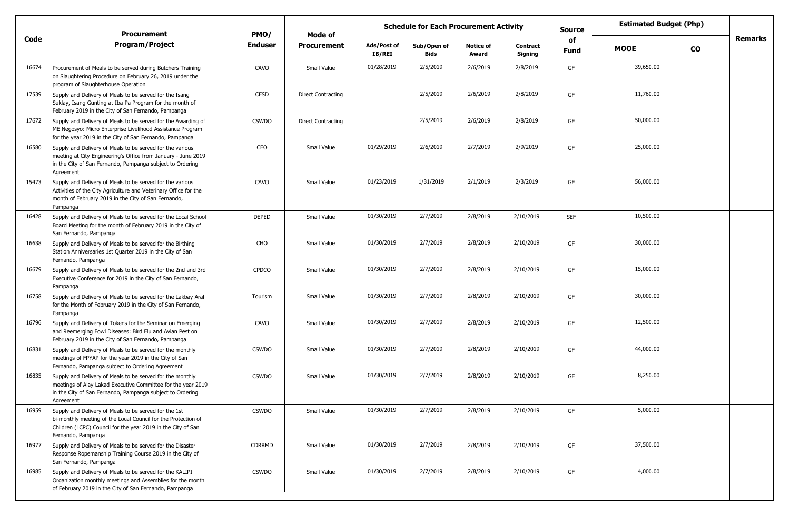|       | <b>Procurement</b>                                                                                                                                                                                           | PMO/           | <b>Mode of</b>            |                              | <b>Schedule for Each Procurement Activity</b> |                           |                            | <b>Source</b>     |             | <b>Estimated Budget (Php)</b> |                |
|-------|--------------------------------------------------------------------------------------------------------------------------------------------------------------------------------------------------------------|----------------|---------------------------|------------------------------|-----------------------------------------------|---------------------------|----------------------------|-------------------|-------------|-------------------------------|----------------|
| Code  | <b>Program/Project</b>                                                                                                                                                                                       | <b>Enduser</b> | <b>Procurement</b>        | Ads/Post of<br><b>IB/REI</b> | Sub/Open of<br><b>Bids</b>                    | <b>Notice of</b><br>Award | <b>Contract</b><br>Signing | of<br><b>Fund</b> | <b>MOOE</b> | $\mathbf{co}$                 | <b>Remarks</b> |
| 16674 | Procurement of Meals to be served during Butchers Training<br>on Slaughtering Procedure on February 26, 2019 under the<br>program of Slaughterhouse Operation                                                | CAVO           | Small Value               | 01/28/2019                   | 2/5/2019                                      | 2/6/2019                  | 2/8/2019                   | GF                | 39,650.00   |                               |                |
| 17539 | Supply and Delivery of Meals to be served for the Isang<br>Suklay, Isang Gunting at Iba Pa Program for the month of<br>February 2019 in the City of San Fernando, Pampanga                                   | CESD           | <b>Direct Contracting</b> |                              | 2/5/2019                                      | 2/6/2019                  | 2/8/2019                   | GF                | 11,760.00   |                               |                |
| 17672 | Supply and Delivery of Meals to be served for the Awarding of<br>ME Negosyo: Micro Enterprise Livelihood Assistance Program<br>for the year 2019 in the City of San Fernando, Pampanga                       | <b>CSWDO</b>   | <b>Direct Contracting</b> |                              | 2/5/2019                                      | 2/6/2019                  | 2/8/2019                   | GF                | 50,000.00   |                               |                |
| 16580 | Supply and Delivery of Meals to be served for the various<br>meeting at City Engineering's Office from January - June 2019<br>in the City of San Fernando, Pampanga subject to Ordering<br>Agreement         | CEO            | Small Value               | 01/29/2019                   | 2/6/2019                                      | 2/7/2019                  | 2/9/2019                   | GF                | 25,000.00   |                               |                |
| 15473 | Supply and Delivery of Meals to be served for the various<br>Activities of the City Agriculture and Veterinary Office for the<br>month of February 2019 in the City of San Fernando,<br>Pampanga             | CAVO           | Small Value               | 01/23/2019                   | 1/31/2019                                     | 2/1/2019                  | 2/3/2019                   | GF                | 56,000.00   |                               |                |
| 16428 | Supply and Delivery of Meals to be served for the Local School<br>Board Meeting for the month of February 2019 in the City of<br>San Fernando, Pampanga                                                      | <b>DEPED</b>   | Small Value               | 01/30/2019                   | 2/7/2019                                      | 2/8/2019                  | 2/10/2019                  | <b>SEF</b>        | 10,500.00   |                               |                |
| 16638 | Supply and Delivery of Meals to be served for the Birthing<br>Station Anniversaries 1st Quarter 2019 in the City of San<br>Fernando, Pampanga                                                                | CHO            | Small Value               | 01/30/2019                   | 2/7/2019                                      | 2/8/2019                  | 2/10/2019                  | GF                | 30,000.00   |                               |                |
| 16679 | Supply and Delivery of Meals to be served for the 2nd and 3rd<br>Executive Conference for 2019 in the City of San Fernando,<br>Pampanga                                                                      | <b>CPDCO</b>   | Small Value               | 01/30/2019                   | 2/7/2019                                      | 2/8/2019                  | 2/10/2019                  | GF                | 15,000.00   |                               |                |
| 16758 | Supply and Delivery of Meals to be served for the Lakbay Aral<br>for the Month of February 2019 in the City of San Fernando,<br>Pampanga                                                                     | Tourism        | Small Value               | 01/30/2019                   | 2/7/2019                                      | 2/8/2019                  | 2/10/2019                  | GF                | 30,000.00   |                               |                |
| 16796 | Supply and Delivery of Tokens for the Seminar on Emerging<br>and Reemerging Fowl Diseases: Bird Flu and Avian Pest on<br>February 2019 in the City of San Fernando, Pampanga                                 | CAVO           | Small Value               | 01/30/2019                   | 2/7/2019                                      | 2/8/2019                  | 2/10/2019                  | GF                | 12,500.00   |                               |                |
| 16831 | Supply and Delivery of Meals to be served for the monthly<br>meetings of FPYAP for the year 2019 in the City of San<br>Fernando, Pampanga subject to Ordering Agreement                                      | <b>CSWDO</b>   | Small Value               | 01/30/2019                   | 2/7/2019                                      | 2/8/2019                  | 2/10/2019                  | GF                | 44,000.00   |                               |                |
| 16835 | Supply and Delivery of Meals to be served for the monthly<br>meetings of Alay Lakad Executive Committee for the year 2019<br>in the City of San Fernando, Pampanga subject to Ordering<br>Agreement          | <b>CSWDO</b>   | Small Value               | 01/30/2019                   | 2/7/2019                                      | 2/8/2019                  | 2/10/2019                  | GF                | 8,250.00    |                               |                |
| 16959 | Supply and Delivery of Meals to be served for the 1st<br>bi-monthly meeting of the Local Council for the Protection of<br>Children (LCPC) Council for the year 2019 in the City of San<br>Fernando, Pampanga | <b>CSWDO</b>   | Small Value               | 01/30/2019                   | 2/7/2019                                      | 2/8/2019                  | 2/10/2019                  | GF                | 5,000.00    |                               |                |
| 16977 | Supply and Delivery of Meals to be served for the Disaster<br>Response Ropemanship Training Course 2019 in the City of<br>San Fernando, Pampanga                                                             | CDRRMD         | Small Value               | 01/30/2019                   | 2/7/2019                                      | 2/8/2019                  | 2/10/2019                  | GF                | 37,500.00   |                               |                |
| 16985 | Supply and Delivery of Meals to be served for the KALIPI<br>Organization monthly meetings and Assemblies for the month<br>of February 2019 in the City of San Fernando, Pampanga                             | <b>CSWDO</b>   | Small Value               | 01/30/2019                   | 2/7/2019                                      | 2/8/2019                  | 2/10/2019                  | GF                | 4,000.00    |                               |                |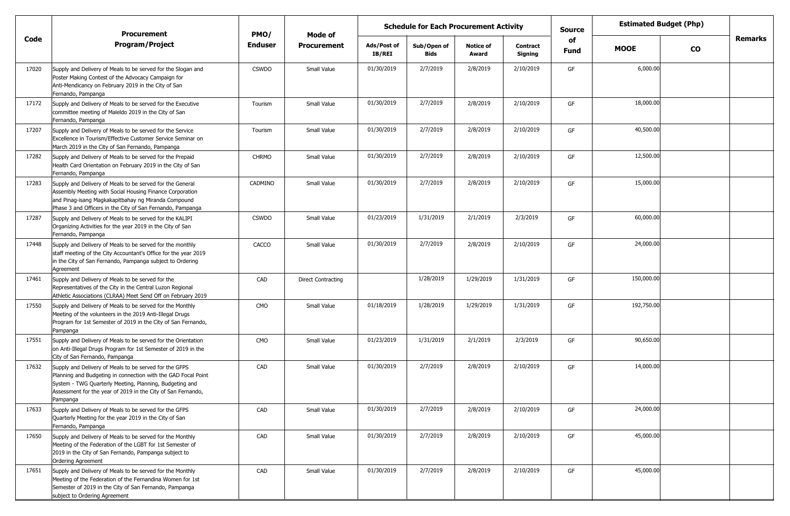|       | <b>Procurement</b>                                                                                                                                                                                                                                             | PMO/           | Mode of                   | <b>Schedule for Each Procurement Activity</b> |                            |                           | <b>Source</b>              | <b>Estimated Budget (Php)</b> |             |               |                |
|-------|----------------------------------------------------------------------------------------------------------------------------------------------------------------------------------------------------------------------------------------------------------------|----------------|---------------------------|-----------------------------------------------|----------------------------|---------------------------|----------------------------|-------------------------------|-------------|---------------|----------------|
| Code  | <b>Program/Project</b>                                                                                                                                                                                                                                         | <b>Enduser</b> | <b>Procurement</b>        | Ads/Post of<br>IB/REI                         | Sub/Open of<br><b>Bids</b> | <b>Notice of</b><br>Award | <b>Contract</b><br>Signing | of<br><b>Fund</b>             | <b>MOOE</b> | $\mathbf{co}$ | <b>Remarks</b> |
| 17020 | Supply and Delivery of Meals to be served for the Slogan and<br>Poster Making Contest of the Advocacy Campaign for<br>Anti-Mendicancy on February 2019 in the City of San<br>Fernando, Pampanga                                                                | <b>CSWDO</b>   | Small Value               | 01/30/2019                                    | 2/7/2019                   | 2/8/2019                  | 2/10/2019                  | GF                            | 6,000.00    |               |                |
| 17172 | Supply and Delivery of Meals to be served for the Executive<br>committee meeting of Maleldo 2019 in the City of San<br>Fernando, Pampanga                                                                                                                      | Tourism        | Small Value               | 01/30/2019                                    | 2/7/2019                   | 2/8/2019                  | 2/10/2019                  | GF                            | 18,000.00   |               |                |
| 17207 | Supply and Delivery of Meals to be served for the Service<br>Excellence in Tourism/Effective Customer Service Seminar on<br>March 2019 in the City of San Fernando, Pampanga                                                                                   | Tourism        | Small Value               | 01/30/2019                                    | 2/7/2019                   | 2/8/2019                  | 2/10/2019                  | GF                            | 40,500.00   |               |                |
| 17282 | Supply and Delivery of Meals to be served for the Prepaid<br>Health Card Orientation on February 2019 in the City of San<br>Fernando, Pampanga                                                                                                                 | <b>CHRMO</b>   | Small Value               | 01/30/2019                                    | 2/7/2019                   | 2/8/2019                  | 2/10/2019                  | GF                            | 12,500.00   |               |                |
| 17283 | Supply and Delivery of Meals to be served for the General<br>Assembly Meeting with Social Housing Finance Corporation<br>and Pinag-isang Magkakapitbahay ng Miranda Compound<br>Phase 3 and Officers in the City of San Fernando, Pampanga                     | CADMINO        | Small Value               | 01/30/2019                                    | 2/7/2019                   | 2/8/2019                  | 2/10/2019                  | GF                            | 15,000.00   |               |                |
| 17287 | Supply and Delivery of Meals to be served for the KALIPI<br>Organizing Activities for the year 2019 in the City of San<br>Fernando, Pampanga                                                                                                                   | <b>CSWDO</b>   | Small Value               | 01/23/2019                                    | 1/31/2019                  | 2/1/2019                  | 2/3/2019                   | GF                            | 60,000.00   |               |                |
| 17448 | Supply and Delivery of Meals to be served for the monthly<br>staff meeting of the City Accountant's Office for the year 2019<br>in the City of San Fernando, Pampanga subject to Ordering<br>Agreement                                                         | CACCO          | Small Value               | 01/30/2019                                    | 2/7/2019                   | 2/8/2019                  | 2/10/2019                  | GF                            | 24,000.00   |               |                |
| 17461 | Supply and Delivery of Meals to be served for the<br>Representatives of the City in the Central Luzon Regional<br>Athletic Associations (CLRAA) Meet Send Off on February 2019                                                                                 | CAD            | <b>Direct Contracting</b> |                                               | 1/28/2019                  | 1/29/2019                 | 1/31/2019                  | GF                            | 150,000.00  |               |                |
| 17550 | Supply and Delivery of Meals to be served for the Monthly<br>Meeting of the volunteers in the 2019 Anti-Illegal Drugs<br>Program for 1st Semester of 2019 in the City of San Fernando,<br>Pampanga                                                             | <b>CMO</b>     | Small Value               | 01/18/2019                                    | 1/28/2019                  | 1/29/2019                 | 1/31/2019                  | GF                            | 192,750.00  |               |                |
| 17551 | Supply and Delivery of Meals to be served for the Orientation<br>on Anti-Illegal Drugs Program for 1st Semester of 2019 in the<br>City of San Fernando, Pampanga                                                                                               | <b>CMO</b>     | Small Value               | 01/23/2019                                    | 1/31/2019                  | 2/1/2019                  | 2/3/2019                   | GF                            | 90,650.00   |               |                |
| 17632 | Supply and Delivery of Meals to be served for the GFPS<br>Planning and Budgeting in connection with the GAD Focal Point<br>System - TWG Quarterly Meeting, Planning, Budgeting and<br>Assessment for the year of 2019 in the City of San Fernando,<br>Pampanga | CAD            | Small Value               | 01/30/2019                                    | 2/7/2019                   | 2/8/2019                  | 2/10/2019                  | GF                            | 14,000.00   |               |                |
| 17633 | Supply and Delivery of Meals to be served for the GFPS<br>Quarterly Meeting for the year 2019 in the City of San<br>Fernando, Pampanga                                                                                                                         | CAD            | Small Value               | 01/30/2019                                    | 2/7/2019                   | 2/8/2019                  | 2/10/2019                  | GF                            | 24,000.00   |               |                |
| 17650 | Supply and Delivery of Meals to be served for the Monthly<br>Meeting of the Federation of the LGBT for 1st Semester of<br>2019 in the City of San Fernando, Pampanga subject to<br>Ordering Agreement                                                          | CAD            | Small Value               | 01/30/2019                                    | 2/7/2019                   | 2/8/2019                  | 2/10/2019                  | GF                            | 45,000.00   |               |                |
| 17651 | Supply and Delivery of Meals to be served for the Monthly<br>Meeting of the Federation of the Fernandina Women for 1st<br>Semester of 2019 in the City of San Fernando, Pampanga<br>subject to Ordering Agreement                                              | CAD            | Small Value               | 01/30/2019                                    | 2/7/2019                   | 2/8/2019                  | 2/10/2019                  | GF                            | 45,000.00   |               |                |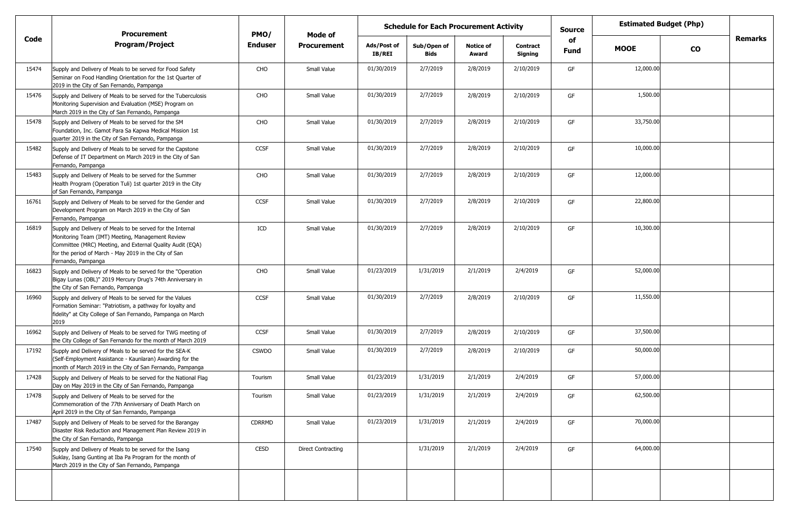|       | <b>Procurement</b>                                                                                                                                                                                                                                         | PMO/           | Mode of                   | <b>Estimated Budget (Php)</b><br><b>Schedule for Each Procurement Activity</b><br><b>Source</b><br>of |                            |                           |                            |      |             |           |                |
|-------|------------------------------------------------------------------------------------------------------------------------------------------------------------------------------------------------------------------------------------------------------------|----------------|---------------------------|-------------------------------------------------------------------------------------------------------|----------------------------|---------------------------|----------------------------|------|-------------|-----------|----------------|
| Code  | <b>Program/Project</b>                                                                                                                                                                                                                                     | <b>Enduser</b> | <b>Procurement</b>        | Ads/Post of<br><b>IB/REI</b>                                                                          | Sub/Open of<br><b>Bids</b> | <b>Notice of</b><br>Award | <b>Contract</b><br>Signing | Fund | <b>MOOE</b> | <b>CO</b> | <b>Remarks</b> |
| 15474 | Supply and Delivery of Meals to be served for Food Safety<br>Seminar on Food Handling Orientation for the 1st Quarter of<br>2019 in the City of San Fernando, Pampanga                                                                                     | CHO            | Small Value               | 01/30/2019                                                                                            | 2/7/2019                   | 2/8/2019                  | 2/10/2019                  | GF   | 12,000.00   |           |                |
| 15476 | Supply and Delivery of Meals to be served for the Tuberculosis<br>Monitoring Supervision and Evaluation (MSE) Program on<br>March 2019 in the City of San Fernando, Pampanga                                                                               | CHO            | Small Value               | 01/30/2019                                                                                            | 2/7/2019                   | 2/8/2019                  | 2/10/2019                  | GF   | 1,500.00    |           |                |
| 15478 | Supply and Delivery of Meals to be served for the SM<br>Foundation, Inc. Gamot Para Sa Kapwa Medical Mission 1st<br>quarter 2019 in the City of San Fernando, Pampanga                                                                                     | CHO            | Small Value               | 01/30/2019                                                                                            | 2/7/2019                   | 2/8/2019                  | 2/10/2019                  | GF   | 33,750.00   |           |                |
| 15482 | Supply and Delivery of Meals to be served for the Capstone<br>Defense of IT Department on March 2019 in the City of San<br>Fernando, Pampanga                                                                                                              | <b>CCSF</b>    | Small Value               | 01/30/2019                                                                                            | 2/7/2019                   | 2/8/2019                  | 2/10/2019                  | GF   | 10,000.00   |           |                |
| 15483 | Supply and Delivery of Meals to be served for the Summer<br>Health Program (Operation Tuli) 1st quarter 2019 in the City<br>of San Fernando, Pampanga                                                                                                      | CHO            | Small Value               | 01/30/2019                                                                                            | 2/7/2019                   | 2/8/2019                  | 2/10/2019                  | GF   | 12,000.00   |           |                |
| 16761 | Supply and Delivery of Meals to be served for the Gender and<br>Development Program on March 2019 in the City of San<br>Fernando, Pampanga                                                                                                                 | <b>CCSF</b>    | Small Value               | 01/30/2019                                                                                            | 2/7/2019                   | 2/8/2019                  | 2/10/2019                  | GF   | 22,800.00   |           |                |
| 16819 | Supply and Delivery of Meals to be served for the Internal<br>Monitoring Team (IMT) Meeting, Management Review<br>Committee (MRC) Meeting, and External Quality Audit (EQA)<br>for the period of March - May 2019 in the City of San<br>Fernando, Pampanga | ICD            | Small Value               | 01/30/2019                                                                                            | 2/7/2019                   | 2/8/2019                  | 2/10/2019                  | GF   | 10,300.00   |           |                |
| 16823 | Supply and Delivery of Meals to be served for the "Operation"<br>Bigay Lunas (OBL)" 2019 Mercury Drug's 74th Anniversary in<br>the City of San Fernando, Pampanga                                                                                          | CHO            | Small Value               | 01/23/2019                                                                                            | 1/31/2019                  | 2/1/2019                  | 2/4/2019                   | GF   | 52,000.00   |           |                |
| 16960 | Supply and delivery of Meals to be served for the Values<br>Formation Seminar: "Patriotism, a pathway for loyalty and<br>fidelity" at City College of San Fernando, Pampanga on March<br>2019                                                              | <b>CCSF</b>    | Small Value               | 01/30/2019                                                                                            | 2/7/2019                   | 2/8/2019                  | 2/10/2019                  | GF   | 11,550.00   |           |                |
| 16962 | Supply and Delivery of Meals to be served for TWG meeting of<br>the City College of San Fernando for the month of March 2019                                                                                                                               | <b>CCSF</b>    | Small Value               | 01/30/2019                                                                                            | 2/7/2019                   | 2/8/2019                  | 2/10/2019                  | GF   | 37,500.00   |           |                |
| 17192 | Supply and Delivery of Meals to be served for the SEA-K<br>(Self-Employment Assistance - Kaunlaran) Awarding for the<br>month of March 2019 in the City of San Fernando, Pampanga                                                                          | <b>CSWDO</b>   | Small Value               | 01/30/2019                                                                                            | 2/7/2019                   | 2/8/2019                  | 2/10/2019                  | GF   | 50,000.00   |           |                |
| 17428 | Supply and Delivery of Meals to be served for the National Flag<br>Day on May 2019 in the City of San Fernando, Pampanga                                                                                                                                   | Tourism        | Small Value               | 01/23/2019                                                                                            | 1/31/2019                  | 2/1/2019                  | 2/4/2019                   | GF   | 57,000.00   |           |                |
| 17478 | Supply and Delivery of Meals to be served for the<br>Commemoration of the 77th Anniversary of Death March on<br>April 2019 in the City of San Fernando, Pampanga                                                                                           | Tourism        | Small Value               | 01/23/2019                                                                                            | 1/31/2019                  | 2/1/2019                  | 2/4/2019                   | GF   | 62,500.00   |           |                |
| 17487 | Supply and Delivery of Meals to be served for the Barangay<br>Disaster Risk Reduction and Management Plan Review 2019 in<br>the City of San Fernando, Pampanga                                                                                             | CDRRMD         | Small Value               | 01/23/2019                                                                                            | 1/31/2019                  | 2/1/2019                  | 2/4/2019                   | GF   | 70,000.00   |           |                |
| 17540 | Supply and Delivery of Meals to be served for the Isang<br>Suklay, Isang Gunting at Iba Pa Program for the month of<br>March 2019 in the City of San Fernando, Pampanga                                                                                    | CESD           | <b>Direct Contracting</b> |                                                                                                       | 1/31/2019                  | 2/1/2019                  | 2/4/2019                   | GF   | 64,000.00   |           |                |
|       |                                                                                                                                                                                                                                                            |                |                           |                                                                                                       |                            |                           |                            |      |             |           |                |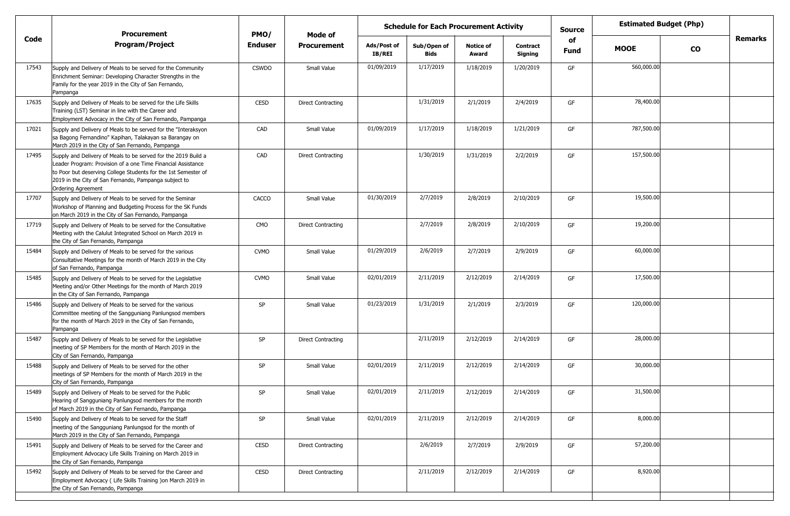|       | <b>Procurement</b>                                                                                                                                                                                                                                                              | PMO/           | Mode of                   | <b>Estimated Budget (Php)</b><br><b>Schedule for Each Procurement Activity</b><br><b>Source</b><br>of |                     |                           |                            |             |             |               |         |
|-------|---------------------------------------------------------------------------------------------------------------------------------------------------------------------------------------------------------------------------------------------------------------------------------|----------------|---------------------------|-------------------------------------------------------------------------------------------------------|---------------------|---------------------------|----------------------------|-------------|-------------|---------------|---------|
| Code  | <b>Program/Project</b>                                                                                                                                                                                                                                                          | <b>Enduser</b> | <b>Procurement</b>        | Ads/Post of<br>IB/REI                                                                                 | Sub/Open of<br>Bids | <b>Notice of</b><br>Award | <b>Contract</b><br>Signing | <b>Fund</b> | <b>MOOE</b> | $\mathbf{co}$ | Remarks |
| 17543 | Supply and Delivery of Meals to be served for the Community<br>Enrichment Seminar: Developing Character Strengths in the<br>Family for the year 2019 in the City of San Fernando,<br>Pampanga                                                                                   | <b>CSWDO</b>   | Small Value               | 01/09/2019                                                                                            | 1/17/2019           | 1/18/2019                 | 1/20/2019                  | GF          | 560,000.00  |               |         |
| 17635 | Supply and Delivery of Meals to be served for the Life Skills<br>Training (LST) Seminar in line with the Career and<br>Employment Advocacy in the City of San Fernando, Pampanga                                                                                                | CESD           | <b>Direct Contracting</b> |                                                                                                       | 1/31/2019           | 2/1/2019                  | 2/4/2019                   | GF          | 78,400.00   |               |         |
| 17021 | Supply and Delivery of Meals to be served for the "Interaksyon<br>sa Bagong Fernandino" Kapihan, Talakayan sa Barangay on<br>March 2019 in the City of San Fernando, Pampanga                                                                                                   | CAD            | Small Value               | 01/09/2019                                                                                            | 1/17/2019           | 1/18/2019                 | 1/21/2019                  | GF          | 787,500.00  |               |         |
| 17495 | Supply and Delivery of Meals to be served for the 2019 Build a<br>Leader Program: Provision of a one Time Financial Assistance<br>to Poor but deserving College Students for the 1st Semester of<br>2019 in the City of San Fernando, Pampanga subject to<br>Ordering Agreement | CAD            | Direct Contracting        |                                                                                                       | 1/30/2019           | 1/31/2019                 | 2/2/2019                   | GF          | 157,500.00  |               |         |
| 17707 | Supply and Delivery of Meals to be served for the Seminar<br>Workshop of Planning and Budgeting Process for the SK Funds<br>on March 2019 in the City of San Fernando, Pampanga                                                                                                 | CACCO          | Small Value               | 01/30/2019                                                                                            | 2/7/2019            | 2/8/2019                  | 2/10/2019                  | GF          | 19,500.00   |               |         |
| 17719 | Supply and Delivery of Meals to be served for the Consultative<br>Meeting with the Calulut Integrated School on March 2019 in<br>the City of San Fernando, Pampanga                                                                                                             | CMO            | Direct Contracting        |                                                                                                       | 2/7/2019            | 2/8/2019                  | 2/10/2019                  | GF          | 19,200.00   |               |         |
| 15484 | Supply and Delivery of Meals to be served for the various<br>Consultative Meetings for the month of March 2019 in the City<br>of San Fernando, Pampanga                                                                                                                         | <b>CVMO</b>    | Small Value               | 01/29/2019                                                                                            | 2/6/2019            | 2/7/2019                  | 2/9/2019                   | GF          | 60,000.00   |               |         |
| 15485 | Supply and Delivery of Meals to be served for the Legislative<br>Meeting and/or Other Meetings for the month of March 2019<br>in the City of San Fernando, Pampanga                                                                                                             | <b>CVMO</b>    | Small Value               | 02/01/2019                                                                                            | 2/11/2019           | 2/12/2019                 | 2/14/2019                  | GF          | 17,500.00   |               |         |
| 15486 | Supply and Delivery of Meals to be served for the various<br>Committee meeting of the Sangguniang Panlungsod members<br>for the month of March 2019 in the City of San Fernando,<br>Pampanga                                                                                    | SP             | Small Value               | 01/23/2019                                                                                            | 1/31/2019           | 2/1/2019                  | 2/3/2019                   | GF          | 120,000.00  |               |         |
| 15487 | Supply and Delivery of Meals to be served for the Legislative<br>meeting of SP Members for the month of March 2019 in the<br>City of San Fernando, Pampanga                                                                                                                     | SP             | <b>Direct Contracting</b> |                                                                                                       | 2/11/2019           | 2/12/2019                 | 2/14/2019                  | GF          | 28,000.00   |               |         |
| 15488 | Supply and Delivery of Meals to be served for the other<br>meetings of SP Members for the month of March 2019 in the<br>City of San Fernando, Pampanga                                                                                                                          | SP             | Small Value               | 02/01/2019                                                                                            | 2/11/2019           | 2/12/2019                 | 2/14/2019                  | GF          | 30,000.00   |               |         |
| 15489 | Supply and Delivery of Meals to be served for the Public<br>Hearing of Sangguniang Panlungsod members for the month<br>of March 2019 in the City of San Fernando, Pampanga                                                                                                      | SP             | Small Value               | 02/01/2019                                                                                            | 2/11/2019           | 2/12/2019                 | 2/14/2019                  | GF          | 31,500.00   |               |         |
| 15490 | Supply and Delivery of Meals to be served for the Staff<br>meeting of the Sangguniang Panlungsod for the month of<br>March 2019 in the City of San Fernando, Pampanga                                                                                                           | SP             | Small Value               | 02/01/2019                                                                                            | 2/11/2019           | 2/12/2019                 | 2/14/2019                  | GF          | 8,000.00    |               |         |
| 15491 | Supply and Delivery of Meals to be served for the Career and<br>Employment Advocacy Life Skills Training on March 2019 in<br>the City of San Fernando, Pampanga                                                                                                                 | CESD           | <b>Direct Contracting</b> |                                                                                                       | 2/6/2019            | 2/7/2019                  | 2/9/2019                   | GF          | 57,200.00   |               |         |
| 15492 | Supply and Delivery of Meals to be served for the Career and<br>Employment Advocacy (Life Skills Training ) on March 2019 in<br>the City of San Fernando, Pampanga                                                                                                              | CESD           | <b>Direct Contracting</b> |                                                                                                       | 2/11/2019           | 2/12/2019                 | 2/14/2019                  | GF          | 8,920.00    |               |         |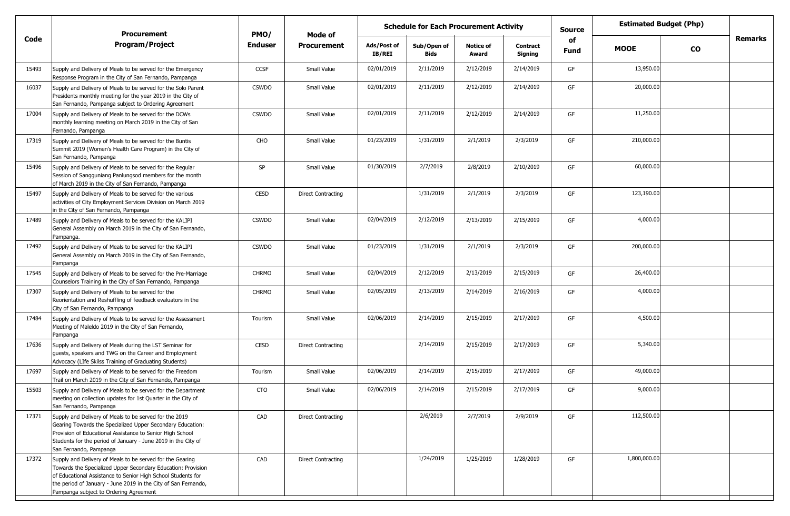|       | <b>Procurement</b>                                                                                                                                                                                                                                                                                    | PMO/           | Mode of                   |                       | <b>Schedule for Each Procurement Activity</b> |                           |                            | <b>Source</b> |              | <b>Estimated Budget (Php)</b> |         |
|-------|-------------------------------------------------------------------------------------------------------------------------------------------------------------------------------------------------------------------------------------------------------------------------------------------------------|----------------|---------------------------|-----------------------|-----------------------------------------------|---------------------------|----------------------------|---------------|--------------|-------------------------------|---------|
| Code  | <b>Program/Project</b>                                                                                                                                                                                                                                                                                | <b>Enduser</b> | <b>Procurement</b>        | Ads/Post of<br>IB/REI | Sub/Open of<br>Bids                           | <b>Notice of</b><br>Award | <b>Contract</b><br>Signing | of<br>Fund    | <b>MOOE</b>  | $\mathbf{co}$                 | Remarks |
| 15493 | Supply and Delivery of Meals to be served for the Emergency<br>Response Program in the City of San Fernando, Pampanga                                                                                                                                                                                 | CCSF           | Small Value               | 02/01/2019            | 2/11/2019                                     | 2/12/2019                 | 2/14/2019                  | GF            | 13,950.00    |                               |         |
| 16037 | Supply and Delivery of Meals to be served for the Solo Parent<br>Presidents monthly meeting for the year 2019 in the City of<br>San Fernando, Pampanga subject to Ordering Agreement                                                                                                                  | <b>CSWDO</b>   | Small Value               | 02/01/2019            | 2/11/2019                                     | 2/12/2019                 | 2/14/2019                  | GF            | 20,000.00    |                               |         |
| 17004 | Supply and Delivery of Meals to be served for the DCWs<br>monthly learning meeting on March 2019 in the City of San<br>Fernando, Pampanga                                                                                                                                                             | <b>CSWDO</b>   | Small Value               | 02/01/2019            | 2/11/2019                                     | 2/12/2019                 | 2/14/2019                  | GF            | 11,250.00    |                               |         |
| 17319 | Supply and Delivery of Meals to be served for the Buntis<br>Summit 2019 (Women's Health Care Program) in the City of<br>San Fernando, Pampanga                                                                                                                                                        | CHO            | Small Value               | 01/23/2019            | 1/31/2019                                     | 2/1/2019                  | 2/3/2019                   | GF            | 210,000.00   |                               |         |
| 15496 | Supply and Delivery of Meals to be served for the Regular<br>Session of Sangguniang Panlungsod members for the month<br>of March 2019 in the City of San Fernando, Pampanga                                                                                                                           | SP             | Small Value               | 01/30/2019            | 2/7/2019                                      | 2/8/2019                  | 2/10/2019                  | GF            | 60,000.00    |                               |         |
| 15497 | Supply and Delivery of Meals to be served for the various<br>activities of City Employment Services Division on March 2019<br>in the City of San Fernando, Pampanga                                                                                                                                   | CESD           | Direct Contracting        |                       | 1/31/2019                                     | 2/1/2019                  | 2/3/2019                   | GF            | 123,190.00   |                               |         |
| 17489 | Supply and Delivery of Meals to be served for the KALIPI<br>General Assembly on March 2019 in the City of San Fernando,<br>Pampanga.                                                                                                                                                                  | <b>CSWDO</b>   | Small Value               | 02/04/2019            | 2/12/2019                                     | 2/13/2019                 | 2/15/2019                  | GF            | 4,000.00     |                               |         |
| 17492 | Supply and Delivery of Meals to be served for the KALIPI<br>General Assembly on March 2019 in the City of San Fernando,<br>Pampanga                                                                                                                                                                   | <b>CSWDO</b>   | Small Value               | 01/23/2019            | 1/31/2019                                     | 2/1/2019                  | 2/3/2019                   | GF            | 200,000.00   |                               |         |
| 17545 | Supply and Delivery of Meals to be served for the Pre-Marriage<br>Counselors Training in the City of San Fernando, Pampanga                                                                                                                                                                           | <b>CHRMO</b>   | Small Value               | 02/04/2019            | 2/12/2019                                     | 2/13/2019                 | 2/15/2019                  | GF            | 26,400.00    |                               |         |
| 17307 | Supply and Delivery of Meals to be served for the<br>Reorientation and Reshuffling of feedback evaluators in the<br>City of San Fernando, Pampanga                                                                                                                                                    | <b>CHRMO</b>   | Small Value               | 02/05/2019            | 2/13/2019                                     | 2/14/2019                 | 2/16/2019                  | GF            | 4,000.00     |                               |         |
| 17484 | Supply and Delivery of Meals to be served for the Assessment<br>Meeting of Maleldo 2019 in the City of San Fernando,<br>Pampanga                                                                                                                                                                      | Tourism        | Small Value               | 02/06/2019            | 2/14/2019                                     | 2/15/2019                 | 2/17/2019                  | GF            | 4,500.00     |                               |         |
| 17636 | Supply and Delivery of Meals during the LST Seminar for<br>guests, speakers and TWG on the Career and Employment<br>Advocacy (LIfe Skilss Training of Graduating Students)                                                                                                                            | <b>CESD</b>    | <b>Direct Contracting</b> |                       | 2/14/2019                                     | 2/15/2019                 | 2/17/2019                  | GF            | 5,340.00     |                               |         |
| 17697 | Supply and Delivery of Meals to be served for the Freedom<br>Trail on March 2019 in the City of San Fernando, Pampanga                                                                                                                                                                                | Tourism        | Small Value               | 02/06/2019            | 2/14/2019                                     | 2/15/2019                 | 2/17/2019                  | GF            | 49,000.00    |                               |         |
| 15503 | Supply and Delivery of Meals to be served for the Department<br>meeting on collection updates for 1st Quarter in the City of<br>San Fernando, Pampanga                                                                                                                                                | CTO            | Small Value               | 02/06/2019            | 2/14/2019                                     | 2/15/2019                 | 2/17/2019                  | GF            | 9,000.00     |                               |         |
| 17371 | Supply and Delivery of Meals to be served for the 2019<br>Gearing Towards the Specialized Upper Secondary Education:<br>Provision of Educational Assistance to Senior High School<br>Students for the period of January - June 2019 in the City of<br>San Fernando, Pampanga                          | CAD            | Direct Contracting        |                       | 2/6/2019                                      | 2/7/2019                  | 2/9/2019                   | GF            | 112,500.00   |                               |         |
| 17372 | Supply and Delivery of Meals to be served for the Gearing<br>Towards the Specialized Upper Secondary Education: Provision<br>of Educational Assistance to Senior High School Students for<br>the period of January - June 2019 in the City of San Fernando,<br>Pampanga subject to Ordering Agreement | CAD            | <b>Direct Contracting</b> |                       | 1/24/2019                                     | 1/25/2019                 | 1/28/2019                  | GF            | 1,800,000.00 |                               |         |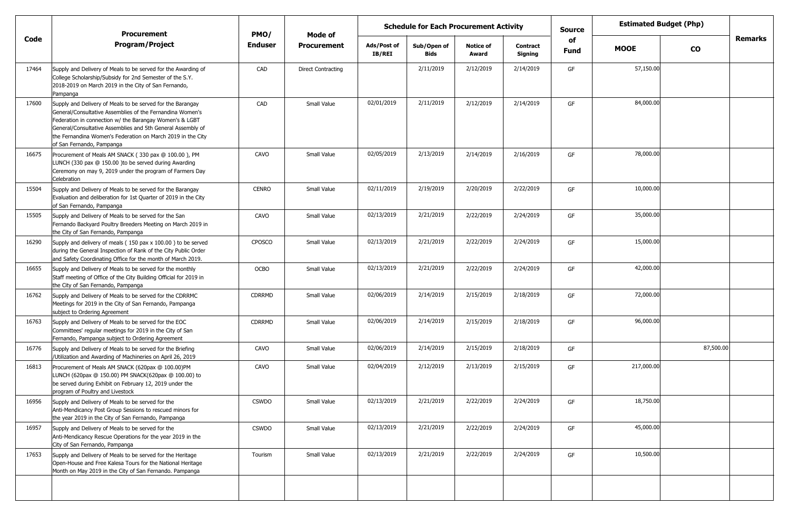|       | <b>Procurement</b>                                                                                                                                                                                                                                                                                                                            | PMO/          | Mode of                   | <b>Schedule for Each Procurement Activity</b> |                            |                           |                            |                   | <b>Estimated Budget (Php)</b> |               |                |
|-------|-----------------------------------------------------------------------------------------------------------------------------------------------------------------------------------------------------------------------------------------------------------------------------------------------------------------------------------------------|---------------|---------------------------|-----------------------------------------------|----------------------------|---------------------------|----------------------------|-------------------|-------------------------------|---------------|----------------|
| Code  | <b>Program/Project</b>                                                                                                                                                                                                                                                                                                                        | Enduser       | <b>Procurement</b>        | Ads/Post of<br>IB/REI                         | Sub/Open of<br><b>Bids</b> | <b>Notice of</b><br>Award | <b>Contract</b><br>Signing | of<br><b>Fund</b> | <b>MOOE</b>                   | $\mathbf{co}$ | <b>Remarks</b> |
| 17464 | Supply and Delivery of Meals to be served for the Awarding of<br>College Scholarship/Subsidy for 2nd Semester of the S.Y.<br>2018-2019 on March 2019 in the City of San Fernando,<br>Pampanga                                                                                                                                                 | CAD           | <b>Direct Contracting</b> |                                               | 2/11/2019                  | 2/12/2019                 | 2/14/2019                  | GF                | 57,150.00                     |               |                |
| 17600 | Supply and Delivery of Meals to be served for the Barangay<br>General/Consultative Assemblies of the Fernandina Women's<br>Federation in connection w/ the Barangay Women's & LGBT<br>General/Consultative Assemblies and 5th General Assembly of<br>the Fernandina Women's Federation on March 2019 in the City<br>of San Fernando, Pampanga | CAD           | Small Value               | 02/01/2019                                    | 2/11/2019                  | 2/12/2019                 | 2/14/2019                  | GF                | 84,000.00                     |               |                |
| 16675 | Procurement of Meals AM SNACK (330 pax @ 100.00), PM<br>LUNCH (330 pax @ 150.00 )to be served during Awarding<br>Ceremony on may 9, 2019 under the program of Farmers Day<br>Celebration                                                                                                                                                      | CAVO          | Small Value               | 02/05/2019                                    | 2/13/2019                  | 2/14/2019                 | 2/16/2019                  | GF                | 78,000.00                     |               |                |
| 15504 | Supply and Delivery of Meals to be served for the Barangay<br>Evaluation and deliberation for 1st Quarter of 2019 in the City<br>of San Fernando, Pampanga                                                                                                                                                                                    | <b>CENRO</b>  | Small Value               | 02/11/2019                                    | 2/19/2019                  | 2/20/2019                 | 2/22/2019                  | GF                | 10,000.00                     |               |                |
| 15505 | Supply and Delivery of Meals to be served for the San<br>Fernando Backyard Poultry Breeders Meeting on March 2019 in<br>the City of San Fernando, Pampanga                                                                                                                                                                                    | CAVO          | Small Value               | 02/13/2019                                    | 2/21/2019                  | 2/22/2019                 | 2/24/2019                  | GF                | 35,000.00                     |               |                |
| 16290 | Supply and delivery of meals (150 pax x 100.00) to be served<br>during the General Inspection of Rank of the City Public Order<br>and Safety Coordinating Office for the month of March 2019.                                                                                                                                                 | <b>CPOSCO</b> | Small Value               | 02/13/2019                                    | 2/21/2019                  | 2/22/2019                 | 2/24/2019                  | GF                | 15,000.00                     |               |                |
| 16655 | Supply and Delivery of Meals to be served for the monthly<br>Staff meeting of Office of the City Building Official for 2019 in<br>the City of San Fernando, Pampanga                                                                                                                                                                          | <b>OCBO</b>   | Small Value               | 02/13/2019                                    | 2/21/2019                  | 2/22/2019                 | 2/24/2019                  | GF                | 42,000.00                     |               |                |
| 16762 | Supply and Delivery of Meals to be served for the CDRRMC<br>Meetings for 2019 in the City of San Fernando, Pampanga<br>subject to Ordering Agreement                                                                                                                                                                                          | <b>CDRRMD</b> | Small Value               | 02/06/2019                                    | 2/14/2019                  | 2/15/2019                 | 2/18/2019                  | GF                | 72,000.00                     |               |                |
| 16763 | Supply and Delivery of Meals to be served for the EOC<br>Committees' regular meetings for 2019 in the City of San<br>Fernando, Pampanga subject to Ordering Agreement                                                                                                                                                                         | <b>CDRRMD</b> | Small Value               | 02/06/2019                                    | 2/14/2019                  | 2/15/2019                 | 2/18/2019                  | GF                | 96,000.00                     |               |                |
| 16776 | Supply and Delivery of Meals to be served for the Briefing<br>/Utilization and Awarding of Machineries on April 26, 2019                                                                                                                                                                                                                      | CAVO          | Small Value               | 02/06/2019                                    | 2/14/2019                  | 2/15/2019                 | 2/18/2019                  | GF                |                               | 87,500.00     |                |
| 16813 | Procurement of Meals AM SNACK (620pax @ 100.00)PM<br>LUNCH (620pax @ 150.00) PM SNACK(620pax @ 100.00) to<br>be served during Exhibit on February 12, 2019 under the<br>program of Poultry and Livestock                                                                                                                                      | CAVO          | Small Value               | 02/04/2019                                    | 2/12/2019                  | 2/13/2019                 | 2/15/2019                  | GF                | 217,000.00                    |               |                |
| 16956 | Supply and Delivery of Meals to be served for the<br>Anti-Mendicancy Post Group Sessions to rescued minors for<br>the year 2019 in the City of San Fernando, Pampanga                                                                                                                                                                         | <b>CSWDO</b>  | Small Value               | 02/13/2019                                    | 2/21/2019                  | 2/22/2019                 | 2/24/2019                  | GF                | 18,750.00                     |               |                |
| 16957 | Supply and Delivery of Meals to be served for the<br>Anti-Mendicancy Rescue Operations for the year 2019 in the<br>City of San Fernando, Pampanga                                                                                                                                                                                             | <b>CSWDO</b>  | Small Value               | 02/13/2019                                    | 2/21/2019                  | 2/22/2019                 | 2/24/2019                  | GF                | 45,000.00                     |               |                |
| 17653 | Supply and Delivery of Meals to be served for the Heritage<br>Open-House and Free Kalesa Tours for the National Heritage<br>Month on May 2019 in the City of San Fernando. Pampanga                                                                                                                                                           | Tourism       | Small Value               | 02/13/2019                                    | 2/21/2019                  | 2/22/2019                 | 2/24/2019                  | GF                | 10,500.00                     |               |                |
|       |                                                                                                                                                                                                                                                                                                                                               |               |                           |                                               |                            |                           |                            |                   |                               |               |                |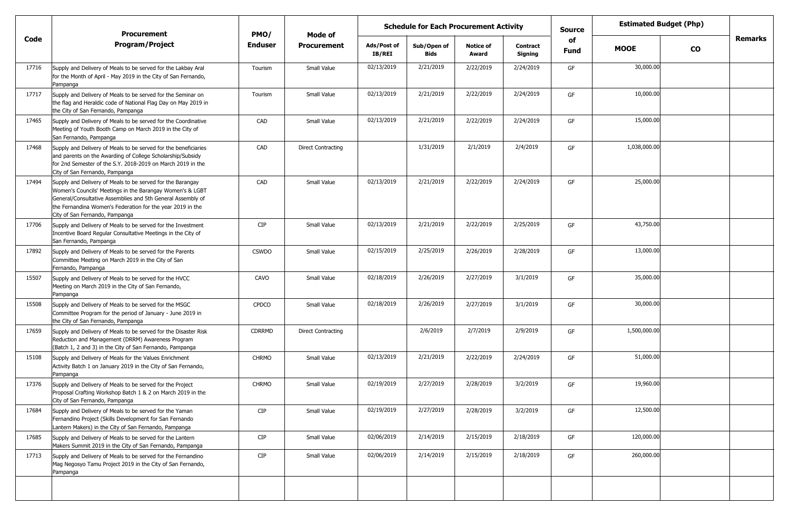|       | <b>Procurement</b>                                                                                                                                                                                                                                                                     | PMO/           | Mode of                   |                              | <b>Schedule for Each Procurement Activity</b> |                           |                            | <b>Estimated Budget (Php)</b><br><b>Source</b> |              |               |         |
|-------|----------------------------------------------------------------------------------------------------------------------------------------------------------------------------------------------------------------------------------------------------------------------------------------|----------------|---------------------------|------------------------------|-----------------------------------------------|---------------------------|----------------------------|------------------------------------------------|--------------|---------------|---------|
| Code  | <b>Program/Project</b>                                                                                                                                                                                                                                                                 | <b>Enduser</b> | <b>Procurement</b>        | Ads/Post of<br><b>IB/REI</b> | Sub/Open of<br><b>Bids</b>                    | <b>Notice of</b><br>Award | <b>Contract</b><br>Signing | of<br>Fund                                     | <b>MOOE</b>  | $\mathbf{co}$ | Remarks |
| 17716 | Supply and Delivery of Meals to be served for the Lakbay Aral<br>for the Month of April - May 2019 in the City of San Fernando,<br>Pampanga                                                                                                                                            | Tourism        | Small Value               | 02/13/2019                   | 2/21/2019                                     | 2/22/2019                 | 2/24/2019                  | GF                                             | 30,000.00    |               |         |
| 17717 | Supply and Delivery of Meals to be served for the Seminar on<br>the flag and Heraldic code of National Flag Day on May 2019 in<br>the City of San Fernando, Pampanga                                                                                                                   | Tourism        | Small Value               | 02/13/2019                   | 2/21/2019                                     | 2/22/2019                 | 2/24/2019                  | GF                                             | 10,000.00    |               |         |
| 17465 | Supply and Delivery of Meals to be served for the Coordinative<br>Meeting of Youth Booth Camp on March 2019 in the City of<br>San Fernando, Pampanga                                                                                                                                   | CAD            | Small Value               | 02/13/2019                   | 2/21/2019                                     | 2/22/2019                 | 2/24/2019                  | GF                                             | 15,000.00    |               |         |
| 17468 | Supply and Delivery of Meals to be served for the beneficiaries<br>and parents on the Awarding of College Scholarship/Subsidy<br>for 2nd Semester of the S.Y. 2018-2019 on March 2019 in the<br>City of San Fernando, Pampanga                                                         | CAD            | <b>Direct Contracting</b> |                              | 1/31/2019                                     | 2/1/2019                  | 2/4/2019                   | GF                                             | 1,038,000.00 |               |         |
| 17494 | Supply and Delivery of Meals to be served for the Barangay<br>Women's Councils' Meetings in the Barangay Women's & LGBT<br>General/Consultative Assemblies and 5th General Assembly of<br>the Fernandina Women's Federation for the year 2019 in the<br>City of San Fernando, Pampanga | CAD            | Small Value               | 02/13/2019                   | 2/21/2019                                     | 2/22/2019                 | 2/24/2019                  | GF                                             | 25,000.00    |               |         |
| 17706 | Supply and Delivery of Meals to be served for the Investment<br>Incentive Board Regular Consultative Meetings in the City of<br>San Fernando, Pampanga                                                                                                                                 | <b>CIP</b>     | Small Value               | 02/13/2019                   | 2/21/2019                                     | 2/22/2019                 | 2/25/2019                  | GF                                             | 43,750.00    |               |         |
| 17892 | Supply and Delivery of Meals to be served for the Parents<br>Committee Meeting on March 2019 in the City of San<br>Fernando, Pampanga                                                                                                                                                  | <b>CSWDO</b>   | Small Value               | 02/15/2019                   | 2/25/2019                                     | 2/26/2019                 | 2/28/2019                  | GF                                             | 13,000.00    |               |         |
| 15507 | Supply and Delivery of Meals to be served for the HVCC<br>Meeting on March 2019 in the City of San Fernando,<br>Pampanga                                                                                                                                                               | CAVO           | Small Value               | 02/18/2019                   | 2/26/2019                                     | 2/27/2019                 | 3/1/2019                   | GF                                             | 35,000.00    |               |         |
| 15508 | Supply and Delivery of Meals to be served for the MSGC<br>Committee Program for the period of January - June 2019 in<br>the City of San Fernando, Pampanga                                                                                                                             | <b>CPDCO</b>   | Small Value               | 02/18/2019                   | 2/26/2019                                     | 2/27/2019                 | 3/1/2019                   | GF                                             | 30,000.00    |               |         |
| 17659 | Supply and Delivery of Meals to be served for the Disaster Risk<br>Reduction and Management (DRRM) Awareness Program<br>(Batch 1, 2 and 3) in the City of San Fernando, Pampanga                                                                                                       | CDRRMD         | <b>Direct Contracting</b> |                              | 2/6/2019                                      | 2/7/2019                  | 2/9/2019                   | GF                                             | 1,500,000.00 |               |         |
| 15108 | Supply and Delivery of Meals for the Values Enrichment<br>Activity Batch 1 on January 2019 in the City of San Fernando,<br>Pampanga                                                                                                                                                    | <b>CHRMO</b>   | Small Value               | 02/13/2019                   | 2/21/2019                                     | 2/22/2019                 | 2/24/2019                  | GF                                             | 51,000.00    |               |         |
| 17376 | Supply and Delivery of Meals to be served for the Project<br>Proposal Crafting Workshop Batch 1 & 2 on March 2019 in the<br>City of San Fernando, Pampanga                                                                                                                             | <b>CHRMO</b>   | Small Value               | 02/19/2019                   | 2/27/2019                                     | 2/28/2019                 | 3/2/2019                   | GF                                             | 19,960.00    |               |         |
| 17684 | Supply and Delivery of Meals to be served for the Yaman<br>Fernandino Project (Skills Development for San Fernando<br>Lantern Makers) in the City of San Fernando, Pampanga                                                                                                            | <b>CIP</b>     | Small Value               | 02/19/2019                   | 2/27/2019                                     | 2/28/2019                 | 3/2/2019                   | GF                                             | 12,500.00    |               |         |
| 17685 | Supply and Delivery of Meals to be served for the Lantern<br>Makers Summit 2019 in the City of San Fernando, Pampanga                                                                                                                                                                  | <b>CIP</b>     | Small Value               | 02/06/2019                   | 2/14/2019                                     | 2/15/2019                 | 2/18/2019                  | GF                                             | 120,000.00   |               |         |
| 17713 | Supply and Delivery of Meals to be served for the Fernandino<br>Mag Negosyo Tamu Project 2019 in the City of San Fernando,<br>Pampanga                                                                                                                                                 | <b>CIP</b>     | Small Value               | 02/06/2019                   | 2/14/2019                                     | 2/15/2019                 | 2/18/2019                  | GF                                             | 260,000.00   |               |         |
|       |                                                                                                                                                                                                                                                                                        |                |                           |                              |                                               |                           |                            |                                                |              |               |         |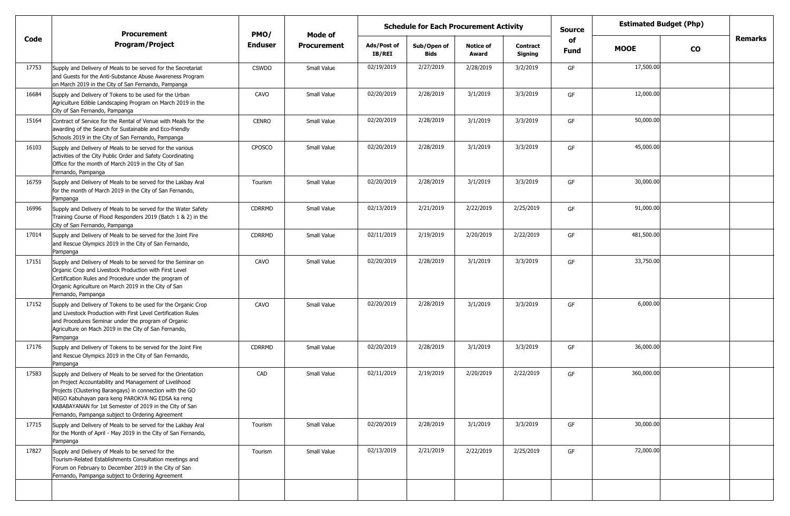|       | <b>Procurement</b>                                                                                                                                                                                                                                                                                                                                      | PMO/           | Mode of            |                              | <b>Schedule for Each Procurement Activity</b> |                           |                     | <b>Estimated Budget (Php)</b><br><b>Source</b> |             |               |                |
|-------|---------------------------------------------------------------------------------------------------------------------------------------------------------------------------------------------------------------------------------------------------------------------------------------------------------------------------------------------------------|----------------|--------------------|------------------------------|-----------------------------------------------|---------------------------|---------------------|------------------------------------------------|-------------|---------------|----------------|
| Code  | <b>Program/Project</b>                                                                                                                                                                                                                                                                                                                                  | <b>Enduser</b> | <b>Procurement</b> | Ads/Post of<br><b>IB/REI</b> | Sub/Open of<br><b>Bids</b>                    | <b>Notice of</b><br>Award | Contract<br>Signing | of<br><b>Fund</b>                              | <b>MOOE</b> | $\mathbf{co}$ | <b>Remarks</b> |
| 17753 | Supply and Delivery of Meals to be served for the Secretariat<br>and Guests for the Anti-Substance Abuse Awareness Program<br>on March 2019 in the City of San Fernando, Pampanga                                                                                                                                                                       | <b>CSWDO</b>   | Small Value        | 02/19/2019                   | 2/27/2019                                     | 2/28/2019                 | 3/2/2019            | GF                                             | 17,500.00   |               |                |
| 16684 | Supply and Delivery of Tokens to be used for the Urban<br>Agriculture Edible Landscaping Program on March 2019 in the<br>City of San Fernando, Pampanga                                                                                                                                                                                                 | CAVO           | Small Value        | 02/20/2019                   | 2/28/2019                                     | 3/1/2019                  | 3/3/2019            | GF                                             | 12,000.00   |               |                |
| 15164 | Contract of Service for the Rental of Venue with Meals for the<br>awarding of the Search for Sustainable and Eco-friendly<br>Schools 2019 in the City of San Fernando, Pampanga                                                                                                                                                                         | <b>CENRO</b>   | Small Value        | 02/20/2019                   | 2/28/2019                                     | 3/1/2019                  | 3/3/2019            | GF                                             | 50,000.00   |               |                |
| 16103 | Supply and Delivery of Meals to be served for the various<br>activities of the City Public Order and Safety Coordinating<br>Office for the month of March 2019 in the City of San<br>Fernando, Pampanga                                                                                                                                                 | <b>CPOSCO</b>  | Small Value        | 02/20/2019                   | 2/28/2019                                     | 3/1/2019                  | 3/3/2019            | GF                                             | 45,000.00   |               |                |
| 16759 | Supply and Delivery of Meals to be served for the Lakbay Aral<br>for the month of March 2019 in the City of San Fernando,<br>Pampanga                                                                                                                                                                                                                   | Tourism        | Small Value        | 02/20/2019                   | 2/28/2019                                     | 3/1/2019                  | 3/3/2019            | GF                                             | 30,000.00   |               |                |
| 16996 | Supply and Delivery of Meals to be served for the Water Safety<br>Training Course of Flood Responders 2019 (Batch 1 & 2) in the<br>City of San Fernando, Pampanga                                                                                                                                                                                       | <b>CDRRMD</b>  | Small Value        | 02/13/2019                   | 2/21/2019                                     | 2/22/2019                 | 2/25/2019           | GF                                             | 91,000.00   |               |                |
| 17014 | Supply and Delivery of Meals to be served for the Joint Fire<br>and Rescue Olympics 2019 in the City of San Fernando,<br>Pampanga                                                                                                                                                                                                                       | CDRRMD         | Small Value        | 02/11/2019                   | 2/19/2019                                     | 2/20/2019                 | 2/22/2019           | GF                                             | 481,500.00  |               |                |
| 17151 | Supply and Delivery of Meals to be served for the Seminar on<br>Organic Crop and Livestock Production with First Level<br>Certification Rules and Procedure under the program of<br>Organic Agriculture on March 2019 in the City of San<br>Fernando, Pampanga                                                                                          | CAVO           | Small Value        | 02/20/2019                   | 2/28/2019                                     | 3/1/2019                  | 3/3/2019            | GF                                             | 33,750.00   |               |                |
| 17152 | Supply and Delivery of Tokens to be used for the Organic Crop<br>and Livestock Production with First Level Certification Rules<br>and Procedures Seminar under the program of Organic<br>Agriculture on Mach 2019 in the City of San Fernando,<br>Pampanga                                                                                              | CAVO           | Small Value        | 02/20/2019                   | 2/28/2019                                     | 3/1/2019                  | 3/3/2019            | GF                                             | 6,000.00    |               |                |
| 17176 | Supply and Delivery of Tokens to be served for the Joint Fire<br>and Rescue Olympics 2019 in the City of San Fernando,<br>Pampanga                                                                                                                                                                                                                      | <b>CDRRMD</b>  | Small Value        | 02/20/2019                   | 2/28/2019                                     | 3/1/2019                  | 3/3/2019            | GF                                             | 36,000.00   |               |                |
| 17583 | Supply and Delivery of Meals to be served for the Orientation<br>on Project Accountability and Management of Livelihood<br>Projects (Clustering Barangays) in connection with the GO<br>NEGO Kabuhayan para keng PAROKYA NG EDSA ka reng<br>KABABAYANAN for 1st Semester of 2019 in the City of San<br>Fernando, Pampanga subject to Ordering Agreement | CAD            | Small Value        | 02/11/2019                   | 2/19/2019                                     | 2/20/2019                 | 2/22/2019           | GF                                             | 360,000.00  |               |                |
| 17715 | Supply and Delivery of Meals to be served for the Lakbay Aral<br>for the Month of April - May 2019 in the City of San Fernando,<br>Pampanga                                                                                                                                                                                                             | Tourism        | Small Value        | 02/20/2019                   | 2/28/2019                                     | 3/1/2019                  | 3/3/2019            | GF                                             | 30,000.00   |               |                |
| 17827 | Supply and Delivery of Meals to be served for the<br>Tourism-Related Establishments Consultation meetings and<br>Forum on February to December 2019 in the City of San<br>Fernando, Pampanga subject to Ordering Agreement                                                                                                                              | Tourism        | Small Value        | 02/13/2019                   | 2/21/2019                                     | 2/22/2019                 | 2/25/2019           | GF                                             | 72,000.00   |               |                |
|       |                                                                                                                                                                                                                                                                                                                                                         |                |                    |                              |                                               |                           |                     |                                                |             |               |                |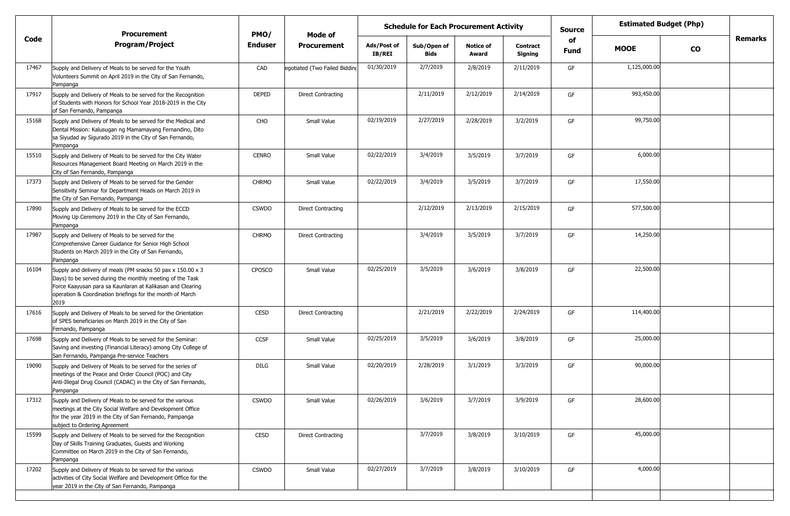|       | <b>Procurement</b>                                                                                                                                                                                                                                           | PMO/           | Mode of                       | <b>Schedule for Each Procurement Activity</b> |                            |                           |                            |            | <b>Estimated Budget (Php)</b> |           |                |
|-------|--------------------------------------------------------------------------------------------------------------------------------------------------------------------------------------------------------------------------------------------------------------|----------------|-------------------------------|-----------------------------------------------|----------------------------|---------------------------|----------------------------|------------|-------------------------------|-----------|----------------|
| Code  | <b>Program/Project</b>                                                                                                                                                                                                                                       | <b>Enduser</b> | <b>Procurement</b>            | Ads/Post of<br>IB/REI                         | Sub/Open of<br><b>Bids</b> | <b>Notice of</b><br>Award | <b>Contract</b><br>Signing | of<br>Fund | <b>MOOE</b>                   | <b>CO</b> | <b>Remarks</b> |
| 17467 | Supply and Delivery of Meals to be served for the Youth<br>Volunteers Summit on April 2019 in the City of San Fernando,<br>Pampanga                                                                                                                          | CAD            | egotiated (Two Failed Bidding | 01/30/2019                                    | 2/7/2019                   | 2/8/2019                  | 2/11/2019                  | GF         | 1,125,000.00                  |           |                |
| 17917 | Supply and Delivery of Meals to be served for the Recognition<br>of Students with Honors for School Year 2018-2019 in the City<br>of San Fernando, Pampanga                                                                                                  | <b>DEPED</b>   | <b>Direct Contracting</b>     |                                               | 2/11/2019                  | 2/12/2019                 | 2/14/2019                  | GF         | 993,450.00                    |           |                |
| 15168 | Supply and Delivery of Meals to be served for the Medical and<br>Dental Mission: Kalusugan ng Mamamayang Fernandino, Dito<br>sa Siyudad ay Sigurado 2019 in the City of San Fernando,<br>Pampanga                                                            | CHO            | Small Value                   | 02/19/2019                                    | 2/27/2019                  | 2/28/2019                 | 3/2/2019                   | GF         | 99,750.00                     |           |                |
| 15510 | Supply and Delivery of Meals to be served for the City Water<br>Resources Management Board Meeting on March 2019 in the<br>City of San Fernando, Pampanga                                                                                                    | <b>CENRO</b>   | Small Value                   | 02/22/2019                                    | 3/4/2019                   | 3/5/2019                  | 3/7/2019                   | GF         | 6,000.00                      |           |                |
| 17373 | Supply and Delivery of Meals to be served for the Gender<br>Sensitivity Seminar for Department Heads on March 2019 in<br>the City of San Fernando, Pampanga                                                                                                  | <b>CHRMO</b>   | Small Value                   | 02/22/2019                                    | 3/4/2019                   | 3/5/2019                  | 3/7/2019                   | GF         | 17,550.00                     |           |                |
| 17890 | Supply and Delivery of Meals to be served for the ECCD<br>Moving Up Ceremony 2019 in the City of San Fernando,<br>Pampanga                                                                                                                                   | <b>CSWDO</b>   | <b>Direct Contracting</b>     |                                               | 2/12/2019                  | 2/13/2019                 | 2/15/2019                  | GF         | 577,500.00                    |           |                |
| 17987 | Supply and Delivery of Meals to be served for the<br>Comprehensive Career Guidance for Senior High School<br>Students on March 2019 in the City of San Fernando,<br>Pampanga                                                                                 | <b>CHRMO</b>   | <b>Direct Contracting</b>     |                                               | 3/4/2019                   | 3/5/2019                  | 3/7/2019                   | GF         | 14,250.00                     |           |                |
| 16104 | Supply and delivery of meals (PM snacks 50 pax x 150.00 x 3)<br>Days) to be served during the monthly meeting of the Task<br>Force Kaayusan para sa Kaunlaran at Kalikasan and Clearing<br>operation & Coordination briefings for the month of March<br>2019 | <b>CPOSCO</b>  | Small Value                   | 02/25/2019                                    | 3/5/2019                   | 3/6/2019                  | 3/8/2019                   | GF         | 22,500.00                     |           |                |
| 17616 | Supply and Delivery of Meals to be served for the Orientation<br>of SPES beneficiaries on March 2019 in the City of San<br>Fernando, Pampanga                                                                                                                | <b>CESD</b>    | <b>Direct Contracting</b>     |                                               | 2/21/2019                  | 2/22/2019                 | 2/24/2019                  | GF         | 114,400.00                    |           |                |
| 17698 | Supply and Delivery of Meals to be served for the Seminar:<br>Saving and investing (Financial Literacy) among City College of<br>San Fernando, Pampanga Pre-service Teachers                                                                                 | <b>CCSF</b>    | Small Value                   | 02/25/2019                                    | 3/5/2019                   | 3/6/2019                  | 3/8/2019                   | GF         | 25,000.00                     |           |                |
| 19090 | Supply and Delivery of Meals to be served for the series of<br>meetings of the Peace and Order Council (POC) and City<br>Anti-Illegal Drug Council (CADAC) in the City of San Fernando,<br>Pampanga                                                          | <b>DILG</b>    | Small Value                   | 02/20/2019                                    | 2/28/2019                  | 3/1/2019                  | 3/3/2019                   | GF         | 90,000.00                     |           |                |
| 17312 | Supply and Delivery of Meals to be served for the various<br>meetings at the City Social Welfare and Development Office<br>for the year 2019 in the City of San Fernando, Pampanga<br>subject to Ordering Agreement                                          | <b>CSWDO</b>   | Small Value                   | 02/26/2019                                    | 3/6/2019                   | 3/7/2019                  | 3/9/2019                   | GF         | 28,600.00                     |           |                |
| 15599 | Supply and Delivery of Meals to be served for the Recognition<br>Day of Skills Training Graduates, Guests and Working<br>Committee on March 2019 in the City of San Fernando,<br>Pampanga                                                                    | CESD           | <b>Direct Contracting</b>     |                                               | 3/7/2019                   | 3/8/2019                  | 3/10/2019                  | GF         | 45,000.00                     |           |                |
| 17202 | Supply and Delivery of Meals to be served for the various<br>activities of City Social Welfare and Development Office for the<br>year 2019 in the City of San Fernando, Pampanga                                                                             | <b>CSWDO</b>   | Small Value                   | 02/27/2019                                    | 3/7/2019                   | 3/8/2019                  | 3/10/2019                  | GF         | 4,000.00                      |           |                |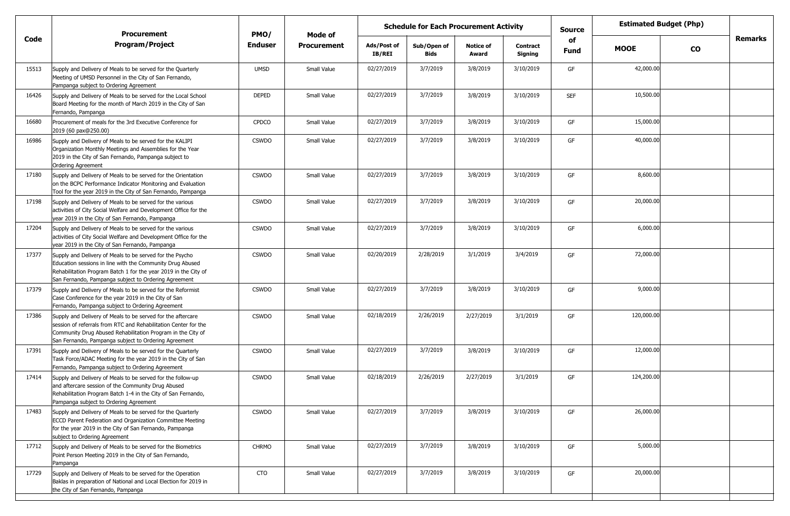|       | <b>Procurement</b>                                                                                                                                                                                                                                    | PMO/           | Mode of            | <b>Schedule for Each Procurement Activity</b><br><b>Source</b> |                     |                           |                     |                   |             | <b>Estimated Budget (Php)</b> |         |
|-------|-------------------------------------------------------------------------------------------------------------------------------------------------------------------------------------------------------------------------------------------------------|----------------|--------------------|----------------------------------------------------------------|---------------------|---------------------------|---------------------|-------------------|-------------|-------------------------------|---------|
| Code  | <b>Program/Project</b>                                                                                                                                                                                                                                | <b>Enduser</b> | <b>Procurement</b> | Ads/Post of<br>IB/REI                                          | Sub/Open of<br>Bids | <b>Notice of</b><br>Award | Contract<br>Signing | of<br><b>Fund</b> | <b>MOOE</b> | <b>CO</b>                     | Remarks |
| 15513 | Supply and Delivery of Meals to be served for the Quarterly<br>Meeting of UMSD Personnel in the City of San Fernando,<br>Pampanga subject to Ordering Agreement                                                                                       | <b>UMSD</b>    | Small Value        | 02/27/2019                                                     | 3/7/2019            | 3/8/2019                  | 3/10/2019           | GF                | 42,000.00   |                               |         |
| 16426 | Supply and Delivery of Meals to be served for the Local School<br>Board Meeting for the month of March 2019 in the City of San<br>Fernando, Pampanga                                                                                                  | DEPED          | Small Value        | 02/27/2019                                                     | 3/7/2019            | 3/8/2019                  | 3/10/2019           | <b>SEF</b>        | 10,500.00   |                               |         |
| 16680 | Procurement of meals for the 3rd Executive Conference for<br>2019 (60 pax@250.00)                                                                                                                                                                     | <b>CPDCO</b>   | Small Value        | 02/27/2019                                                     | 3/7/2019            | 3/8/2019                  | 3/10/2019           | GF                | 15,000.00   |                               |         |
| 16986 | Supply and Delivery of Meals to be served for the KALIPI<br>Organization Monthly Meetings and Assemblies for the Year<br>2019 in the City of San Fernando, Pampanga subject to<br>Ordering Agreement                                                  | <b>CSWDO</b>   | Small Value        | 02/27/2019                                                     | 3/7/2019            | 3/8/2019                  | 3/10/2019           | GF                | 40,000.00   |                               |         |
| 17180 | Supply and Delivery of Meals to be served for the Orientation<br>on the BCPC Performance Indicator Monitoring and Evaluation<br>Tool for the year 2019 in the City of San Fernando, Pampanga                                                          | <b>CSWDO</b>   | Small Value        | 02/27/2019                                                     | 3/7/2019            | 3/8/2019                  | 3/10/2019           | GF                | 8,600.00    |                               |         |
| 17198 | Supply and Delivery of Meals to be served for the various<br>activities of City Social Welfare and Development Office for the<br>year 2019 in the City of San Fernando, Pampanga                                                                      | <b>CSWDO</b>   | Small Value        | 02/27/2019                                                     | 3/7/2019            | 3/8/2019                  | 3/10/2019           | GF                | 20,000.00   |                               |         |
| 17204 | Supply and Delivery of Meals to be served for the various<br>activities of City Social Welfare and Development Office for the<br>year 2019 in the City of San Fernando, Pampanga                                                                      | <b>CSWDO</b>   | Small Value        | 02/27/2019                                                     | 3/7/2019            | 3/8/2019                  | 3/10/2019           | GF                | 6,000.00    |                               |         |
| 17377 | Supply and Delivery of Meals to be served for the Psycho<br>Education sessions in line with the Community Drug Abused<br>Rehabilitation Program Batch 1 for the year 2019 in the City of<br>San Fernando, Pampanga subject to Ordering Agreement      | <b>CSWDO</b>   | Small Value        | 02/20/2019                                                     | 2/28/2019           | 3/1/2019                  | 3/4/2019            | GF                | 72,000.00   |                               |         |
| 17379 | Supply and Delivery of Meals to be served for the Reformist<br>Case Conference for the year 2019 in the City of San<br>Fernando, Pampanga subject to Ordering Agreement                                                                               | <b>CSWDO</b>   | Small Value        | 02/27/2019                                                     | 3/7/2019            | 3/8/2019                  | 3/10/2019           | GF                | 9,000.00    |                               |         |
| 17386 | Supply and Delivery of Meals to be served for the aftercare<br>session of referrals from RTC and Rehabilitation Center for the<br>Community Drug Abused Rehabilitation Program in the City of<br>San Fernando, Pampanga subject to Ordering Agreement | <b>CSWDO</b>   | Small Value        | 02/18/2019                                                     | 2/26/2019           | 2/27/2019                 | 3/1/2019            | GF                | 120,000.00  |                               |         |
| 17391 | Supply and Delivery of Meals to be served for the Quarterly<br>Task Force/ADAC Meeting for the year 2019 in the City of San<br>Fernando, Pampanga subject to Ordering Agreement                                                                       | <b>CSWDO</b>   | Small Value        | 02/27/2019                                                     | 3/7/2019            | 3/8/2019                  | 3/10/2019           | GF                | 12,000.00   |                               |         |
| 17414 | Supply and Delivery of Meals to be served for the follow-up<br>and aftercare session of the Community Drug Abused<br>Rehabilitation Program Batch 1-4 in the City of San Fernando,<br>Pampanga subject to Ordering Agreement                          | <b>CSWDO</b>   | Small Value        | 02/18/2019                                                     | 2/26/2019           | 2/27/2019                 | 3/1/2019            | GF                | 124,200.00  |                               |         |
| 17483 | Supply and Delivery of Meals to be served for the Quarterly<br>ECCD Parent Federation and Organization Committee Meeting<br>for the year 2019 in the City of San Fernando, Pampanga<br>subject to Ordering Agreement                                  | <b>CSWDO</b>   | Small Value        | 02/27/2019                                                     | 3/7/2019            | 3/8/2019                  | 3/10/2019           | GF                | 26,000.00   |                               |         |
| 17712 | Supply and Delivery of Meals to be served for the Biometrics<br>Point Person Meeting 2019 in the City of San Fernando,<br>Pampanga                                                                                                                    | <b>CHRMO</b>   | Small Value        | 02/27/2019                                                     | 3/7/2019            | 3/8/2019                  | 3/10/2019           | GF                | 5,000.00    |                               |         |
| 17729 | Supply and Delivery of Meals to be served for the Operation<br>Baklas in preparation of National and Local Election for 2019 in<br>the City of San Fernando, Pampanga                                                                                 | <b>CTO</b>     | Small Value        | 02/27/2019                                                     | 3/7/2019            | 3/8/2019                  | 3/10/2019           | GF                | 20,000.00   |                               |         |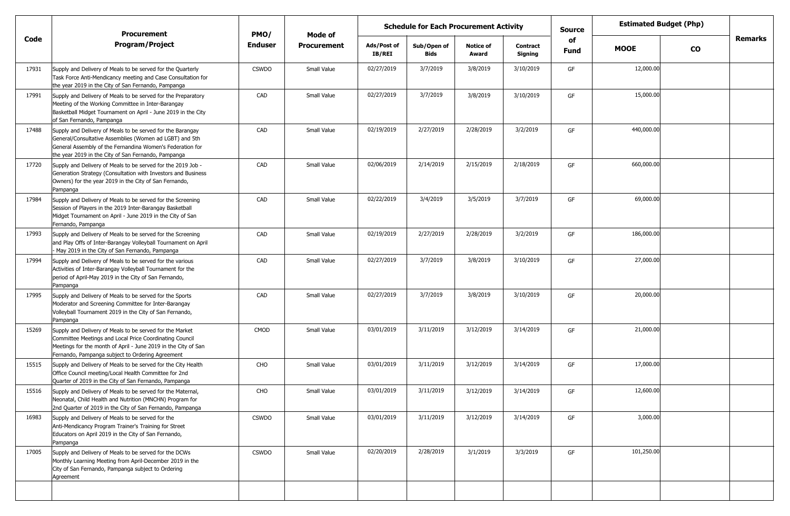|       | <b>Procurement</b>                                                                                                                                                                                                                        | PMO/           | Mode of            | <b>Schedule for Each Procurement Activity</b> |                     |                           | <b>Source</b>              | <b>Estimated Budget (Php)</b> |             |           |         |
|-------|-------------------------------------------------------------------------------------------------------------------------------------------------------------------------------------------------------------------------------------------|----------------|--------------------|-----------------------------------------------|---------------------|---------------------------|----------------------------|-------------------------------|-------------|-----------|---------|
| Code  | <b>Program/Project</b>                                                                                                                                                                                                                    | <b>Enduser</b> | <b>Procurement</b> | Ads/Post of<br>IB/REI                         | Sub/Open of<br>Bids | <b>Notice of</b><br>Award | <b>Contract</b><br>Signing | of<br>Fund                    | <b>MOOE</b> | <b>CO</b> | Remarks |
| 17931 | Supply and Delivery of Meals to be served for the Quarterly<br>Task Force Anti-Mendicancy meeting and Case Consultation for<br>the year 2019 in the City of San Fernando, Pampanga                                                        | <b>CSWDO</b>   | Small Value        | 02/27/2019                                    | 3/7/2019            | 3/8/2019                  | 3/10/2019                  | GF                            | 12,000.00   |           |         |
| 17991 | Supply and Delivery of Meals to be served for the Preparatory<br>Meeting of the Working Committee in Inter-Barangay<br>Basketball Midget Tournament on April - June 2019 in the City<br>of San Fernando, Pampanga                         | CAD            | Small Value        | 02/27/2019                                    | 3/7/2019            | 3/8/2019                  | 3/10/2019                  | GF                            | 15,000.00   |           |         |
| 17488 | Supply and Delivery of Meals to be served for the Barangay<br>General/Consultative Assemblies (Women ad LGBT) and 5th<br>General Assembly of the Fernandina Women's Federation for<br>the year 2019 in the City of San Fernando, Pampanga | CAD            | Small Value        | 02/19/2019                                    | 2/27/2019           | 2/28/2019                 | 3/2/2019                   | GF                            | 440,000.00  |           |         |
| 17720 | Supply and Delivery of Meals to be served for the 2019 Job -<br>Generation Strategy (Consultation with Investors and Business<br>Owners) for the year 2019 in the City of San Fernando,<br>Pampanga                                       | CAD            | Small Value        | 02/06/2019                                    | 2/14/2019           | 2/15/2019                 | 2/18/2019                  | GF                            | 660,000.00  |           |         |
| 17984 | Supply and Delivery of Meals to be served for the Screening<br>Session of Players in the 2019 Inter-Barangay Basketball<br>Midget Tournament on April - June 2019 in the City of San<br>Fernando, Pampanga                                | CAD            | Small Value        | 02/22/2019                                    | 3/4/2019            | 3/5/2019                  | 3/7/2019                   | GF                            | 69,000.00   |           |         |
| 17993 | Supply and Delivery of Meals to be served for the Screening<br>and Play Offs of Inter-Barangay Volleyball Tournament on April<br>May 2019 in the City of San Fernando, Pampanga                                                           | CAD            | Small Value        | 02/19/2019                                    | 2/27/2019           | 2/28/2019                 | 3/2/2019                   | GF                            | 186,000.00  |           |         |
| 17994 | Supply and Delivery of Meals to be served for the various<br>Activities of Inter-Barangay Volleyball Tournament for the<br>period of April-May 2019 in the City of San Fernando,<br>Pampanga                                              | CAD            | Small Value        | 02/27/2019                                    | 3/7/2019            | 3/8/2019                  | 3/10/2019                  | GF                            | 27,000.00   |           |         |
| 17995 | Supply and Delivery of Meals to be served for the Sports<br>Moderator and Screening Committee for Inter-Barangay<br>Volleyball Tournament 2019 in the City of San Fernando,<br>Pampanga                                                   | CAD            | Small Value        | 02/27/2019                                    | 3/7/2019            | 3/8/2019                  | 3/10/2019                  | GF                            | 20,000.00   |           |         |
| 15269 | Supply and Delivery of Meals to be served for the Market<br>Committee Meetings and Local Price Coordinating Council<br>Meetings for the month of April - June 2019 in the City of San<br>Fernando, Pampanga subject to Ordering Agreement | CMOD           | Small Value        | 03/01/2019                                    | 3/11/2019           | 3/12/2019                 | 3/14/2019                  | GF                            | 21,000.00   |           |         |
| 15515 | Supply and Delivery of Meals to be served for the City Health<br>Office Council meeting/Local Health Committee for 2nd<br>Quarter of 2019 in the City of San Fernando, Pampanga                                                           | CHO            | Small Value        | 03/01/2019                                    | 3/11/2019           | 3/12/2019                 | 3/14/2019                  | GF                            | 17,000.00   |           |         |
| 15516 | Supply and Delivery of Meals to be served for the Maternal,<br>Neonatal, Child Health and Nutrition (MNCHN) Program for<br>2nd Quarter of 2019 in the City of San Fernando, Pampanga                                                      | CHO            | Small Value        | 03/01/2019                                    | 3/11/2019           | 3/12/2019                 | 3/14/2019                  | GF                            | 12,600.00   |           |         |
| 16983 | Supply and Delivery of Meals to be served for the<br>Anti-Mendicancy Program Trainer's Training for Street<br>Educators on April 2019 in the City of San Fernando,<br>Pampanga                                                            | <b>CSWDO</b>   | Small Value        | 03/01/2019                                    | 3/11/2019           | 3/12/2019                 | 3/14/2019                  | GF                            | 3,000.00    |           |         |
| 17005 | Supply and Delivery of Meals to be served for the DCWs<br>Monthly Learning Meeting from April-December 2019 in the<br>City of San Fernando, Pampanga subject to Ordering<br>Agreement                                                     | <b>CSWDO</b>   | Small Value        | 02/20/2019                                    | 2/28/2019           | 3/1/2019                  | 3/3/2019                   | GF                            | 101,250.00  |           |         |
|       |                                                                                                                                                                                                                                           |                |                    |                                               |                     |                           |                            |                               |             |           |         |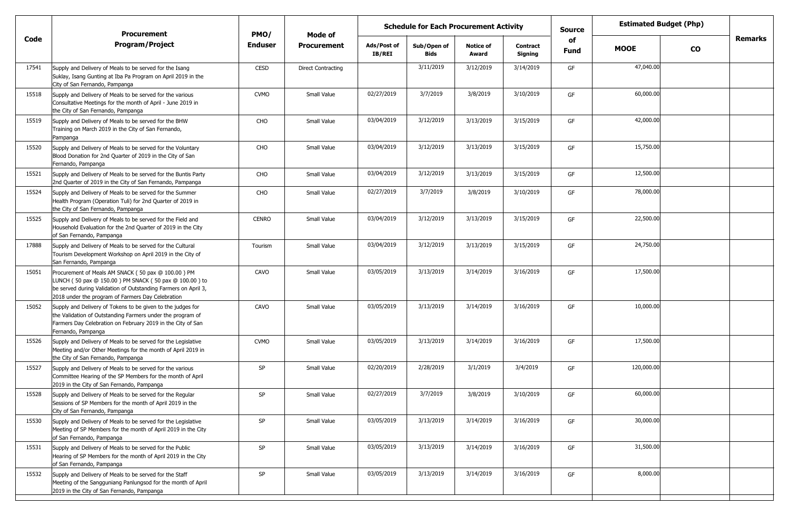|       | <b>Procurement</b>                                                                                                                                                                                                                 | PMO/           | <b>Mode of</b>            | <b>Schedule for Each Procurement Activity</b> |                            |                           |                            | <b>Source</b> |             | <b>Estimated Budget (Php)</b> |         |
|-------|------------------------------------------------------------------------------------------------------------------------------------------------------------------------------------------------------------------------------------|----------------|---------------------------|-----------------------------------------------|----------------------------|---------------------------|----------------------------|---------------|-------------|-------------------------------|---------|
| Code  | <b>Program/Project</b>                                                                                                                                                                                                             | <b>Enduser</b> | <b>Procurement</b>        | Ads/Post of<br>IB/REI                         | Sub/Open of<br><b>Bids</b> | <b>Notice of</b><br>Award | <b>Contract</b><br>Signing | of<br>Fund    | <b>MOOE</b> | <b>CO</b>                     | Remarks |
| 17541 | Supply and Delivery of Meals to be served for the Isang<br>Suklay, Isang Gunting at Iba Pa Program on April 2019 in the<br>City of San Fernando, Pampanga                                                                          | CESD           | <b>Direct Contracting</b> |                                               | 3/11/2019                  | 3/12/2019                 | 3/14/2019                  | GF            | 47,040.00   |                               |         |
| 15518 | Supply and Delivery of Meals to be served for the various<br>Consultative Meetings for the month of April - June 2019 in<br>the City of San Fernando, Pampanga                                                                     | <b>CVMO</b>    | Small Value               | 02/27/2019                                    | 3/7/2019                   | 3/8/2019                  | 3/10/2019                  | GF            | 60,000.00   |                               |         |
| 15519 | Supply and Delivery of Meals to be served for the BHW<br>Training on March 2019 in the City of San Fernando,<br>Pampanga                                                                                                           | CHO            | Small Value               | 03/04/2019                                    | 3/12/2019                  | 3/13/2019                 | 3/15/2019                  | GF            | 42,000.00   |                               |         |
| 15520 | Supply and Delivery of Meals to be served for the Voluntary<br>Blood Donation for 2nd Quarter of 2019 in the City of San<br>Fernando, Pampanga                                                                                     | CHO            | Small Value               | 03/04/2019                                    | 3/12/2019                  | 3/13/2019                 | 3/15/2019                  | GF            | 15,750.00   |                               |         |
| 15521 | Supply and Delivery of Meals to be served for the Buntis Party<br>2nd Quarter of 2019 in the City of San Fernando, Pampanga                                                                                                        | CHO            | Small Value               | 03/04/2019                                    | 3/12/2019                  | 3/13/2019                 | 3/15/2019                  | GF            | 12,500.00   |                               |         |
| 15524 | Supply and Delivery of Meals to be served for the Summer<br>Health Program (Operation Tuli) for 2nd Quarter of 2019 in<br>the City of San Fernando, Pampanga                                                                       | CHO            | Small Value               | 02/27/2019                                    | 3/7/2019                   | 3/8/2019                  | 3/10/2019                  | GF            | 78,000.00   |                               |         |
| 15525 | Supply and Delivery of Meals to be served for the Field and<br>Household Evaluation for the 2nd Quarter of 2019 in the City<br>of San Fernando, Pampanga                                                                           | <b>CENRO</b>   | Small Value               | 03/04/2019                                    | 3/12/2019                  | 3/13/2019                 | 3/15/2019                  | GF            | 22,500.00   |                               |         |
| 17888 | Supply and Delivery of Meals to be served for the Cultural<br>Tourism Development Workshop on April 2019 in the City of<br>San Fernando, Pampanga                                                                                  | Tourism        | Small Value               | 03/04/2019                                    | 3/12/2019                  | 3/13/2019                 | 3/15/2019                  | GF            | 24,750.00   |                               |         |
| 15051 | Procurement of Meals AM SNACK (50 pax @ 100.00) PM<br>LUNCH (50 pax @ 150.00) PM SNACK (50 pax @ 100.00) to<br>be served during Validation of Outstanding Farmers on April 3,<br>2018 under the program of Farmers Day Celebration | CAVO           | Small Value               | 03/05/2019                                    | 3/13/2019                  | 3/14/2019                 | 3/16/2019                  | GF            | 17,500.00   |                               |         |
| 15052 | Supply and Delivery of Tokens to be given to the judges for<br>the Validation of Outstanding Farmers under the program of<br>Farmers Day Celebration on February 2019 in the City of San<br>Fernando, Pampanga                     | CAVO           | <b>Small Value</b>        | 03/05/2019                                    | 3/13/2019                  | 3/14/2019                 | 3/16/2019                  | GF            | 10,000.00   |                               |         |
| 15526 | Supply and Delivery of Meals to be served for the Legislative<br>Meeting and/or Other Meetings for the month of April 2019 in<br>the City of San Fernando, Pampanga                                                                | <b>CVMO</b>    | Small Value               | 03/05/2019                                    | 3/13/2019                  | 3/14/2019                 | 3/16/2019                  | GF            | 17,500.00   |                               |         |
| 15527 | Supply and Delivery of Meals to be served for the various<br>Committee Hearing of the SP Members for the month of April<br>2019 in the City of San Fernando, Pampanga                                                              | SP             | Small Value               | 02/20/2019                                    | 2/28/2019                  | 3/1/2019                  | 3/4/2019                   | GF            | 120,000.00  |                               |         |
| 15528 | Supply and Delivery of Meals to be served for the Regular<br>Sessions of SP Members for the month of April 2019 in the<br>City of San Fernando, Pampanga                                                                           | SP             | Small Value               | 02/27/2019                                    | 3/7/2019                   | 3/8/2019                  | 3/10/2019                  | GF            | 60,000.00   |                               |         |
| 15530 | Supply and Delivery of Meals to be served for the Legislative<br>Meeting of SP Members for the month of April 2019 in the City<br>of San Fernando, Pampanga                                                                        | SP             | Small Value               | 03/05/2019                                    | 3/13/2019                  | 3/14/2019                 | 3/16/2019                  | GF            | 30,000.00   |                               |         |
| 15531 | Supply and Delivery of Meals to be served for the Public<br>Hearing of SP Members for the month of April 2019 in the City<br>of San Fernando, Pampanga                                                                             | SP             | Small Value               | 03/05/2019                                    | 3/13/2019                  | 3/14/2019                 | 3/16/2019                  | GF            | 31,500.00   |                               |         |
| 15532 | Supply and Delivery of Meals to be served for the Staff<br>Meeting of the Sangguniang Panlungsod for the month of April<br>2019 in the City of San Fernando, Pampanga                                                              | SP             | Small Value               | 03/05/2019                                    | 3/13/2019                  | 3/14/2019                 | 3/16/2019                  | GF            | 8,000.00    |                               |         |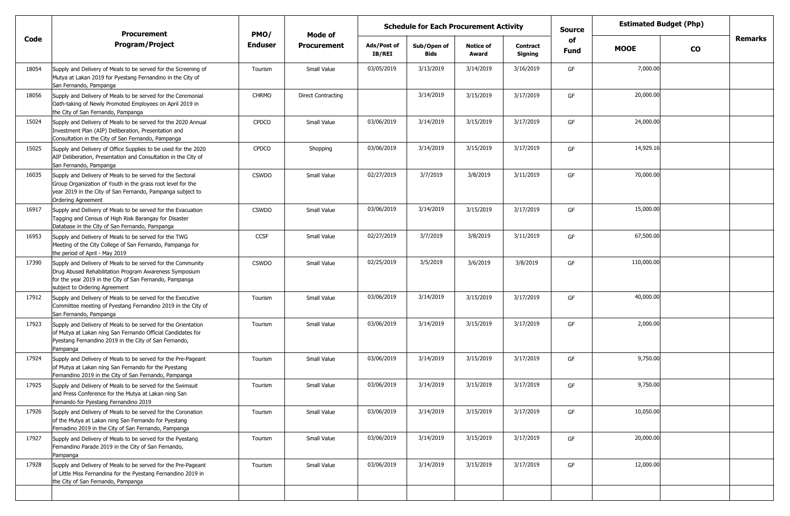|       | <b>Procurement</b>                                                                                                                                                                                                | PMO/           | Mode of                   | <b>Schedule for Each Procurement Activity</b> |                            |                           |                            | <b>Source</b> | <b>Estimated Budget (Php)</b> |           |         |
|-------|-------------------------------------------------------------------------------------------------------------------------------------------------------------------------------------------------------------------|----------------|---------------------------|-----------------------------------------------|----------------------------|---------------------------|----------------------------|---------------|-------------------------------|-----------|---------|
| Code  | <b>Program/Project</b>                                                                                                                                                                                            | <b>Enduser</b> | <b>Procurement</b>        | Ads/Post of<br><b>IB/REI</b>                  | Sub/Open of<br><b>Bids</b> | <b>Notice of</b><br>Award | <b>Contract</b><br>Signing | of<br>Fund    | <b>MOOE</b>                   | <b>CO</b> | Remarks |
| 18054 | Supply and Delivery of Meals to be served for the Screening of<br>Mutya at Lakan 2019 for Pyestang Fernandino in the City of<br>San Fernando, Pampanga                                                            | Tourism        | Small Value               | 03/05/2019                                    | 3/13/2019                  | 3/14/2019                 | 3/16/2019                  | GF            | 7,000.00                      |           |         |
| 18056 | Supply and Delivery of Meals to be served for the Ceremonial<br>Oath-taking of Newly Promoted Employees on April 2019 in<br>the City of San Fernando, Pampanga                                                    | <b>CHRMO</b>   | <b>Direct Contracting</b> |                                               | 3/14/2019                  | 3/15/2019                 | 3/17/2019                  | GF            | 20,000.00                     |           |         |
| 15024 | Supply and Delivery of Meals to be served for the 2020 Annual<br>Investment Plan (AIP) Deliberation, Presentation and<br>Consultation in the City of San Fernando, Pampanga                                       | <b>CPDCO</b>   | Small Value               | 03/06/2019                                    | 3/14/2019                  | 3/15/2019                 | 3/17/2019                  | GF            | 24,000.00                     |           |         |
| 15025 | Supply and Delivery of Office Supplies to be used for the 2020<br>AIP Deliberation, Presentation and Consultation in the City of<br>San Fernando, Pampanga                                                        | <b>CPDCO</b>   | Shopping                  | 03/06/2019                                    | 3/14/2019                  | 3/15/2019                 | 3/17/2019                  | GF            | 14,929.16                     |           |         |
| 16035 | Supply and Delivery of Meals to be served for the Sectoral<br>Group Organization of Youth in the grass root level for the<br>year 2019 in the City of San Fernando, Pampanga subject to<br>Ordering Agreement     | <b>CSWDO</b>   | Small Value               | 02/27/2019                                    | 3/7/2019                   | 3/8/2019                  | 3/11/2019                  | GF            | 70,000.00                     |           |         |
| 16917 | Supply and Delivery of Meals to be served for the Evacuation<br>Tagging and Census of High Risk Barangay for Disaster<br>Database in the City of San Fernando, Pampanga                                           | <b>CSWDO</b>   | Small Value               | 03/06/2019                                    | 3/14/2019                  | 3/15/2019                 | 3/17/2019                  | GF            | 15,000.00                     |           |         |
| 16953 | Supply and Delivery of Meals to be served for the TWG<br>Meeting of the City College of San Fernando, Pampanga for<br>the period of April - May 2019                                                              | <b>CCSF</b>    | Small Value               | 02/27/2019                                    | 3/7/2019                   | 3/8/2019                  | 3/11/2019                  | GF            | 67,500.00                     |           |         |
| 17390 | Supply and Delivery of Meals to be served for the Community<br>Drug Abused Rehabilitation Program Awareness Symposium<br>for the year 2019 in the City of San Fernando, Pampanga<br>subject to Ordering Agreement | <b>CSWDO</b>   | Small Value               | 02/25/2019                                    | 3/5/2019                   | 3/6/2019                  | 3/8/2019                   | GF            | 110,000.00                    |           |         |
| 17912 | Supply and Delivery of Meals to be served for the Executive<br>Committee meeting of Pyestang Fernandino 2019 in the City of<br>San Fernando, Pampanga                                                             | Tourism        | Small Value               | 03/06/2019                                    | 3/14/2019                  | 3/15/2019                 | 3/17/2019                  | GF            | 40,000.00                     |           |         |
| 17923 | Supply and Delivery of Meals to be served for the Orientation<br>of Mutya at Lakan ning San Fernando Official Candidates for<br>Pyestang Fernandino 2019 in the City of San Fernando,<br>Pampanga                 | Tourism        | Small Value               | 03/06/2019                                    | 3/14/2019                  | 3/15/2019                 | 3/17/2019                  | GF            | 2,000.00                      |           |         |
| 17924 | Supply and Delivery of Meals to be served for the Pre-Pageant<br>of Mutya at Lakan ning San Fernando for the Pyestang<br>Fernandino 2019 in the City of San Fernando, Pampanga                                    | Tourism        | Small Value               | 03/06/2019                                    | 3/14/2019                  | 3/15/2019                 | 3/17/2019                  | GF            | 9,750.00                      |           |         |
| 17925 | Supply and Delivery of Meals to be served for the Swimsuit<br>and Press Conference for the Mutya at Lakan ning San<br>Fernando for Pyestang Fernandino 2019                                                       | Tourism        | Small Value               | 03/06/2019                                    | 3/14/2019                  | 3/15/2019                 | 3/17/2019                  | GF            | 9,750.00                      |           |         |
| 17926 | Supply and Delivery of Meals to be served for the Coronation<br>of the Mutya at Lakan ning San Fernando for Pyestang<br>Fernadino 2019 in the City of San Fernando, Pampanga                                      | Tourism        | Small Value               | 03/06/2019                                    | 3/14/2019                  | 3/15/2019                 | 3/17/2019                  | GF            | 10,050.00                     |           |         |
| 17927 | Supply and Delivery of Meals to be served for the Pyestang<br>Fernandino Parade 2019 in the City of San Fernando,<br>Pampanga                                                                                     | Tourism        | Small Value               | 03/06/2019                                    | 3/14/2019                  | 3/15/2019                 | 3/17/2019                  | GF            | 20,000.00                     |           |         |
| 17928 | Supply and Delivery of Meals to be served for the Pre-Pageant<br>of Little Miss Fernandina for the Pyestang Fernandino 2019 in<br>the City of San Fernando, Pampanga                                              | Tourism        | Small Value               | 03/06/2019                                    | 3/14/2019                  | 3/15/2019                 | 3/17/2019                  | GF            | 12,000.00                     |           |         |
|       |                                                                                                                                                                                                                   |                |                           |                                               |                            |                           |                            |               |                               |           |         |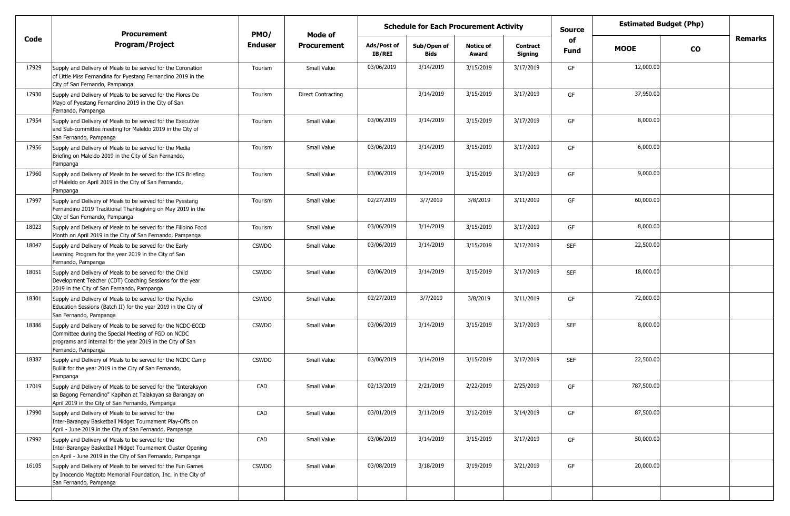|       | <b>Procurement</b>                                                                                                                                                                                     | PMO/           | Mode of                   | <b>Schedule for Each Procurement Activity</b> |                            |                           |                            | <b>Source</b> |             | <b>Estimated Budget (Php)</b> |                |
|-------|--------------------------------------------------------------------------------------------------------------------------------------------------------------------------------------------------------|----------------|---------------------------|-----------------------------------------------|----------------------------|---------------------------|----------------------------|---------------|-------------|-------------------------------|----------------|
| Code  | <b>Program/Project</b>                                                                                                                                                                                 | <b>Enduser</b> | <b>Procurement</b>        | Ads/Post of<br><b>IB/REI</b>                  | Sub/Open of<br><b>Bids</b> | <b>Notice of</b><br>Award | <b>Contract</b><br>Signing | of<br>Fund    | <b>MOOE</b> | <b>CO</b>                     | <b>Remarks</b> |
| 17929 | Supply and Delivery of Meals to be served for the Coronation<br>of Little Miss Fernandina for Pyestang Fernandino 2019 in the<br>City of San Fernando, Pampanga                                        | Tourism        | Small Value               | 03/06/2019                                    | 3/14/2019                  | 3/15/2019                 | 3/17/2019                  | GF            | 12,000.00   |                               |                |
| 17930 | Supply and Delivery of Meals to be served for the Flores De<br>Mayo of Pyestang Fernandino 2019 in the City of San<br>Fernando, Pampanga                                                               | Tourism        | <b>Direct Contracting</b> |                                               | 3/14/2019                  | 3/15/2019                 | 3/17/2019                  | GF            | 37,950.00   |                               |                |
| 17954 | Supply and Delivery of Meals to be served for the Executive<br>and Sub-committee meeting for Maleldo 2019 in the City of<br>San Fernando, Pampanga                                                     | Tourism        | Small Value               | 03/06/2019                                    | 3/14/2019                  | 3/15/2019                 | 3/17/2019                  | GF            | 8,000.00    |                               |                |
| 17956 | Supply and Delivery of Meals to be served for the Media<br>Briefing on Maleldo 2019 in the City of San Fernando,<br>Pampanga                                                                           | Tourism        | Small Value               | 03/06/2019                                    | 3/14/2019                  | 3/15/2019                 | 3/17/2019                  | GF            | 6,000.00    |                               |                |
| 17960 | Supply and Delivery of Meals to be served for the ICS Briefing<br>of Maleldo on April 2019 in the City of San Fernando,<br>Pampanga                                                                    | Tourism        | Small Value               | 03/06/2019                                    | 3/14/2019                  | 3/15/2019                 | 3/17/2019                  | GF            | 9,000.00    |                               |                |
| 17997 | Supply and Delivery of Meals to be served for the Pyestang<br>Fernandino 2019 Traditional Thanksgiving on May 2019 in the<br>City of San Fernando, Pampanga                                            | Tourism        | Small Value               | 02/27/2019                                    | 3/7/2019                   | 3/8/2019                  | 3/11/2019                  | GF            | 60,000.00   |                               |                |
| 18023 | Supply and Delivery of Meals to be served for the Filipino Food<br>Month on April 2019 in the City of San Fernando, Pampanga                                                                           | Tourism        | Small Value               | 03/06/2019                                    | 3/14/2019                  | 3/15/2019                 | 3/17/2019                  | GF            | 8,000.00    |                               |                |
| 18047 | Supply and Delivery of Meals to be served for the Early<br>Learning Program for the year 2019 in the City of San<br>Fernando, Pampanga                                                                 | <b>CSWDO</b>   | Small Value               | 03/06/2019                                    | 3/14/2019                  | 3/15/2019                 | 3/17/2019                  | <b>SEF</b>    | 22,500.00   |                               |                |
| 18051 | Supply and Delivery of Meals to be served for the Child<br>Development Teacher (CDT) Coaching Sessions for the year<br>2019 in the City of San Fernando, Pampanga                                      | <b>CSWDO</b>   | Small Value               | 03/06/2019                                    | 3/14/2019                  | 3/15/2019                 | 3/17/2019                  | <b>SEF</b>    | 18,000.00   |                               |                |
| 18301 | Supply and Delivery of Meals to be served for the Psycho<br>Education Sessions (Batch II) for the year 2019 in the City of<br>San Fernando, Pampanga                                                   | <b>CSWDO</b>   | Small Value               | 02/27/2019                                    | 3/7/2019                   | 3/8/2019                  | 3/11/2019                  | GF            | 72,000.00   |                               |                |
| 18386 | Supply and Delivery of Meals to be served for the NCDC-ECCD<br>Committee during the Special Meeting of FGD on NCDC<br>programs and internal for the year 2019 in the City of San<br>Fernando, Pampanga | <b>CSWDO</b>   | Small Value               | 03/06/2019                                    | 3/14/2019                  | 3/15/2019                 | 3/17/2019                  | <b>SEF</b>    | 8,000.00    |                               |                |
| 18387 | Supply and Delivery of Meals to be served for the NCDC Camp<br>Bulilit for the year 2019 in the City of San Fernando,<br>Pampanga                                                                      | <b>CSWDO</b>   | Small Value               | 03/06/2019                                    | 3/14/2019                  | 3/15/2019                 | 3/17/2019                  | <b>SEF</b>    | 22,500.00   |                               |                |
| 17019 | Supply and Delivery of Meals to be served for the "Interaksyon<br>sa Bagong Fernandino" Kapihan at Talakayan sa Barangay on<br>April 2019 in the City of San Fernando, Pampanga                        | CAD            | Small Value               | 02/13/2019                                    | 2/21/2019                  | 2/22/2019                 | 2/25/2019                  | GF            | 787,500.00  |                               |                |
| 17990 | Supply and Delivery of Meals to be served for the<br>Inter-Barangay Basketball Midget Tournament Play-Offs on<br>April - June 2019 in the City of San Fernando, Pampanga                               | CAD            | Small Value               | 03/01/2019                                    | 3/11/2019                  | 3/12/2019                 | 3/14/2019                  | GF            | 87,500.00   |                               |                |
| 17992 | Supply and Delivery of Meals to be served for the<br>Inter-Barangay Basketball Midget Tournament Cluster Opening<br>on April - June 2019 in the City of San Fernando, Pampanga                         | CAD            | Small Value               | 03/06/2019                                    | 3/14/2019                  | 3/15/2019                 | 3/17/2019                  | GF            | 50,000.00   |                               |                |
| 16105 | Supply and Delivery of Meals to be served for the Fun Games<br>by Inocencio Magtoto Memorial Foundation, Inc. in the City of<br>San Fernando, Pampanga                                                 | <b>CSWDO</b>   | Small Value               | 03/08/2019                                    | 3/18/2019                  | 3/19/2019                 | 3/21/2019                  | GF            | 20,000.00   |                               |                |
|       |                                                                                                                                                                                                        |                |                           |                                               |                            |                           |                            |               |             |                               |                |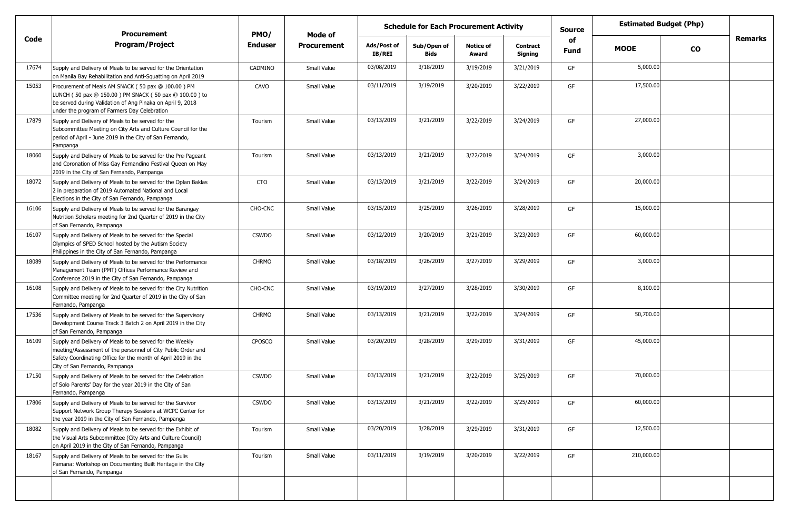|       | <b>Procurement</b>                                                                                                                                                                                                          | PMO/           | <b>Mode of</b>     |                              | <b>Schedule for Each Procurement Activity</b> |                           |                            | <b>Source</b> | <b>Estimated Budget (Php)</b> |           |         |
|-------|-----------------------------------------------------------------------------------------------------------------------------------------------------------------------------------------------------------------------------|----------------|--------------------|------------------------------|-----------------------------------------------|---------------------------|----------------------------|---------------|-------------------------------|-----------|---------|
| Code  | <b>Program/Project</b>                                                                                                                                                                                                      | <b>Enduser</b> | <b>Procurement</b> | Ads/Post of<br><b>IB/REI</b> | Sub/Open of<br><b>Bids</b>                    | <b>Notice of</b><br>Award | <b>Contract</b><br>Signing | of<br>Fund    | <b>MOOE</b>                   | <b>CO</b> | Remarks |
| 17674 | Supply and Delivery of Meals to be served for the Orientation<br>on Manila Bay Rehabilitation and Anti-Squatting on April 2019                                                                                              | CADMINO        | Small Value        | 03/08/2019                   | 3/18/2019                                     | 3/19/2019                 | 3/21/2019                  | GF            | 5,000.00                      |           |         |
| 15053 | Procurement of Meals AM SNACK (50 pax @ 100.00) PM<br>LUNCH (50 pax @ 150.00) PM SNACK (50 pax @ 100.00) to<br>be served during Validation of Ang Pinaka on April 9, 2018<br>under the program of Farmers Day Celebration   | CAVO           | Small Value        | 03/11/2019                   | 3/19/2019                                     | 3/20/2019                 | 3/22/2019                  | GF            | 17,500.00                     |           |         |
| 17879 | Supply and Delivery of Meals to be served for the<br>Subcommittee Meeting on City Arts and Culture Council for the<br>period of April - June 2019 in the City of San Fernando,<br>Pampanga                                  | Tourism        | Small Value        | 03/13/2019                   | 3/21/2019                                     | 3/22/2019                 | 3/24/2019                  | GF            | 27,000.00                     |           |         |
| 18060 | Supply and Delivery of Meals to be served for the Pre-Pageant<br>and Coronation of Miss Gay Fernandino Festival Queen on May<br>2019 in the City of San Fernando, Pampanga                                                  | Tourism        | Small Value        | 03/13/2019                   | 3/21/2019                                     | 3/22/2019                 | 3/24/2019                  | GF            | 3,000.00                      |           |         |
| 18072 | Supply and Delivery of Meals to be served for the Oplan Baklas<br>2 in preparation of 2019 Automated National and Local<br>Elections in the City of San Fernando, Pampanga                                                  | CTO            | Small Value        | 03/13/2019                   | 3/21/2019                                     | 3/22/2019                 | 3/24/2019                  | GF            | 20,000.00                     |           |         |
| 16106 | Supply and Delivery of Meals to be served for the Barangay<br>Nutrition Scholars meeting for 2nd Quarter of 2019 in the City<br>of San Fernando, Pampanga                                                                   | CHO-CNC        | Small Value        | 03/15/2019                   | 3/25/2019                                     | 3/26/2019                 | 3/28/2019                  | GF            | 15,000.00                     |           |         |
| 16107 | Supply and Delivery of Meals to be served for the Special<br>Olympics of SPED School hosted by the Autism Society<br>Philippines in the City of San Fernando, Pampanga                                                      | <b>CSWDO</b>   | Small Value        | 03/12/2019                   | 3/20/2019                                     | 3/21/2019                 | 3/23/2019                  | GF            | 60,000.00                     |           |         |
| 18089 | Supply and Delivery of Meals to be served for the Performance<br>Management Team (PMT) Offices Performance Review and<br>Conference 2019 in the City of San Fernando, Pampanga                                              | <b>CHRMO</b>   | Small Value        | 03/18/2019                   | 3/26/2019                                     | 3/27/2019                 | 3/29/2019                  | GF            | 3,000.00                      |           |         |
| 16108 | Supply and Delivery of Meals to be served for the City Nutrition<br>Committee meeting for 2nd Quarter of 2019 in the City of San<br>Fernando, Pampanga                                                                      | CHO-CNC        | Small Value        | 03/19/2019                   | 3/27/2019                                     | 3/28/2019                 | 3/30/2019                  | GF            | 8,100.00                      |           |         |
| 17536 | Supply and Delivery of Meals to be served for the Supervisory<br>Development Course Track 3 Batch 2 on April 2019 in the City<br>of San Fernando, Pampanga                                                                  | <b>CHRMO</b>   | Small Value        | 03/13/2019                   | 3/21/2019                                     | 3/22/2019                 | 3/24/2019                  | GF            | 50,700.00                     |           |         |
| 16109 | Supply and Delivery of Meals to be served for the Weekly<br>meeting/Assessment of the personnel of City Public Order and<br>Safety Coordinating Office for the month of April 2019 in the<br>City of San Fernando, Pampanga | <b>CPOSCO</b>  | Small Value        | 03/20/2019                   | 3/28/2019                                     | 3/29/2019                 | 3/31/2019                  | GF            | 45,000.00                     |           |         |
| 17150 | Supply and Delivery of Meals to be served for the Celebration<br>of Solo Parents' Day for the year 2019 in the City of San<br>Fernando, Pampanga                                                                            | <b>CSWDO</b>   | Small Value        | 03/13/2019                   | 3/21/2019                                     | 3/22/2019                 | 3/25/2019                  | GF            | 70,000.00                     |           |         |
| 17806 | Supply and Delivery of Meals to be served for the Survivor<br>Support Network Group Therapy Sessions at WCPC Center for<br>the year 2019 in the City of San Fernando, Pampanga                                              | <b>CSWDO</b>   | Small Value        | 03/13/2019                   | 3/21/2019                                     | 3/22/2019                 | 3/25/2019                  | GF            | 60,000.00                     |           |         |
| 18082 | Supply and Delivery of Meals to be served for the Exhibit of<br>the Visual Arts Subcommittee (City Arts and Culture Council)<br>on April 2019 in the City of San Fernando, Pampanga                                         | Tourism        | Small Value        | 03/20/2019                   | 3/28/2019                                     | 3/29/2019                 | 3/31/2019                  | GF            | 12,500.00                     |           |         |
| 18167 | Supply and Delivery of Meals to be served for the Gulis<br>Pamana: Workshop on Documenting Built Heritage in the City<br>of San Fernando, Pampanga                                                                          | Tourism        | Small Value        | 03/11/2019                   | 3/19/2019                                     | 3/20/2019                 | 3/22/2019                  | GF            | 210,000.00                    |           |         |
|       |                                                                                                                                                                                                                             |                |                    |                              |                                               |                           |                            |               |                               |           |         |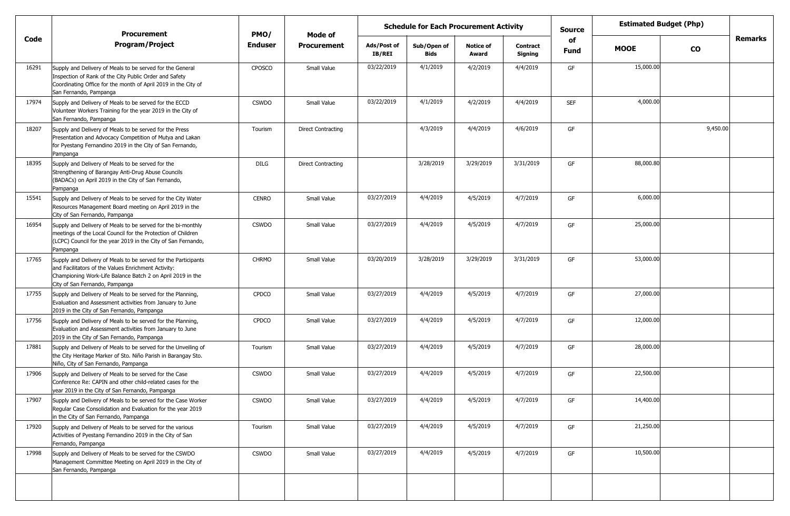|       | <b>Procurement</b>                                                                                                                                                                                                    | <b>Schedule for Each Procurement Activity</b><br><b>Source</b><br>PMO/<br>Mode of |                    |                       |                            |                           |                            | <b>Estimated Budget (Php)</b> |             |               |         |
|-------|-----------------------------------------------------------------------------------------------------------------------------------------------------------------------------------------------------------------------|-----------------------------------------------------------------------------------|--------------------|-----------------------|----------------------------|---------------------------|----------------------------|-------------------------------|-------------|---------------|---------|
| Code  | <b>Program/Project</b>                                                                                                                                                                                                | <b>Enduser</b>                                                                    | <b>Procurement</b> | Ads/Post of<br>IB/REI | Sub/Open of<br><b>Bids</b> | <b>Notice of</b><br>Award | <b>Contract</b><br>Signing | of<br><b>Fund</b>             | <b>MOOE</b> | $\mathbf{co}$ | Remarks |
| 16291 | Supply and Delivery of Meals to be served for the General<br>Inspection of Rank of the City Public Order and Safety<br>Coordinating Office for the month of April 2019 in the City of<br>San Fernando, Pampanga       | <b>CPOSCO</b>                                                                     | Small Value        | 03/22/2019            | 4/1/2019                   | 4/2/2019                  | 4/4/2019                   | GF                            | 15,000.00   |               |         |
| 17974 | Supply and Delivery of Meals to be served for the ECCD<br>Volunteer Workers Training for the year 2019 in the City of<br>San Fernando, Pampanga                                                                       | <b>CSWDO</b>                                                                      | Small Value        | 03/22/2019            | 4/1/2019                   | 4/2/2019                  | 4/4/2019                   | <b>SEF</b>                    | 4,000.00    |               |         |
| 18207 | Supply and Delivery of Meals to be served for the Press<br>Presentation and Advocacy Competition of Mutya and Lakan<br>for Pyestang Fernandino 2019 in the City of San Fernando,<br>Pampanga                          | Tourism                                                                           | Direct Contracting |                       | 4/3/2019                   | 4/4/2019                  | 4/6/2019                   | GF                            |             | 9,450.00      |         |
| 18395 | Supply and Delivery of Meals to be served for the<br>Strengthening of Barangay Anti-Drug Abuse Councils<br>(BADACs) on April 2019 in the City of San Fernando,<br>Pampanga                                            | <b>DILG</b>                                                                       | Direct Contracting |                       | 3/28/2019                  | 3/29/2019                 | 3/31/2019                  | GF                            | 88,000.80   |               |         |
| 15541 | Supply and Delivery of Meals to be served for the City Water<br>Resources Management Board meeting on April 2019 in the<br>City of San Fernando, Pampanga                                                             | <b>CENRO</b>                                                                      | Small Value        | 03/27/2019            | 4/4/2019                   | 4/5/2019                  | 4/7/2019                   | GF                            | 6,000.00    |               |         |
| 16954 | Supply and Delivery of Meals to be served for the bi-monthly<br>meetings of the Local Council for the Protection of Children<br>(LCPC) Council for the year 2019 in the City of San Fernando,<br>Pampanga             | <b>CSWDO</b>                                                                      | Small Value        | 03/27/2019            | 4/4/2019                   | 4/5/2019                  | 4/7/2019                   | GF                            | 25,000.00   |               |         |
| 17765 | Supply and Delivery of Meals to be served for the Participants<br>and Facilitators of the Values Enrichment Activity:<br>Championing Work-Life Balance Batch 2 on April 2019 in the<br>City of San Fernando, Pampanga | <b>CHRMO</b>                                                                      | Small Value        | 03/20/2019            | 3/28/2019                  | 3/29/2019                 | 3/31/2019                  | GF                            | 53,000.00   |               |         |
| 17755 | Supply and Delivery of Meals to be served for the Planning,<br>Evaluation and Assessment activities from January to June<br>2019 in the City of San Fernando, Pampanga                                                | CPDCO                                                                             | Small Value        | 03/27/2019            | 4/4/2019                   | 4/5/2019                  | 4/7/2019                   | GF                            | 27,000.00   |               |         |
| 17756 | Supply and Delivery of Meals to be served for the Planning,<br>Evaluation and Assessment activities from January to June<br>2019 in the City of San Fernando, Pampanga                                                | <b>CPDCO</b>                                                                      | Small Value        | 03/27/2019            | 4/4/2019                   | 4/5/2019                  | 4/7/2019                   | GF                            | 12,000.00   |               |         |
| 17881 | Supply and Delivery of Meals to be served for the Unveiling of<br>the City Heritage Marker of Sto. Niño Parish in Barangay Sto.<br>Niño, City of San Fernando, Pampanga                                               | Tourism                                                                           | Small Value        | 03/27/2019            | 4/4/2019                   | 4/5/2019                  | 4/7/2019                   | GF                            | 28,000.00   |               |         |
| 17906 | Supply and Delivery of Meals to be served for the Case<br>Conference Re: CAPIN and other child-related cases for the<br>year 2019 in the City of San Fernando, Pampanga                                               | <b>CSWDO</b>                                                                      | Small Value        | 03/27/2019            | 4/4/2019                   | 4/5/2019                  | 4/7/2019                   | GF                            | 22,500.00   |               |         |
| 17907 | Supply and Delivery of Meals to be served for the Case Worker<br>Regular Case Consolidation and Evaluation for the year 2019<br>in the City of San Fernando, Pampanga                                                 | <b>CSWDO</b>                                                                      | Small Value        | 03/27/2019            | 4/4/2019                   | 4/5/2019                  | 4/7/2019                   | GF                            | 14,400.00   |               |         |
| 17920 | Supply and Delivery of Meals to be served for the various<br>Activities of Pyestang Fernandino 2019 in the City of San<br>Fernando, Pampanga                                                                          | Tourism                                                                           | Small Value        | 03/27/2019            | 4/4/2019                   | 4/5/2019                  | 4/7/2019                   | GF                            | 21,250.00   |               |         |
| 17998 | Supply and Delivery of Meals to be served for the CSWDO<br>Management Committee Meeting on April 2019 in the City of<br>San Fernando, Pampanga                                                                        | <b>CSWDO</b>                                                                      | Small Value        | 03/27/2019            | 4/4/2019                   | 4/5/2019                  | 4/7/2019                   | GF                            | 10,500.00   |               |         |
|       |                                                                                                                                                                                                                       |                                                                                   |                    |                       |                            |                           |                            |                               |             |               |         |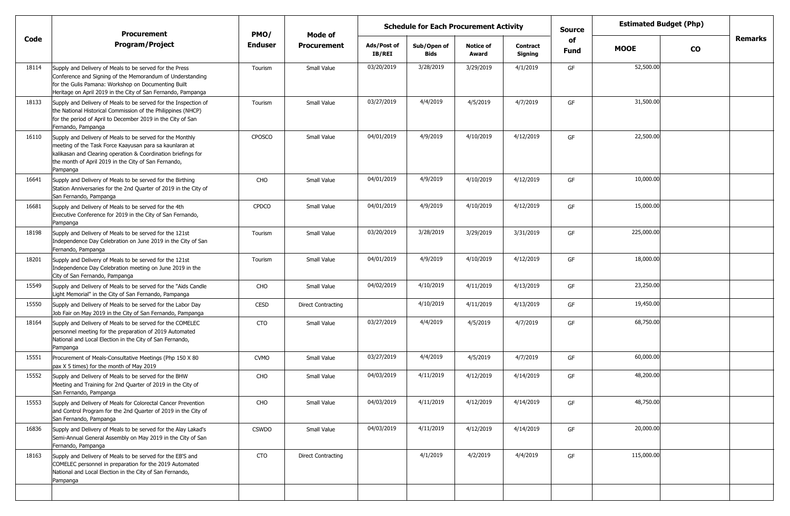|       |                                                                                                                                                                                                                                                           | <b>Schedule for Each Procurement Activity</b><br><b>Procurement</b><br>PMO/<br><b>Mode of</b> |                           |                              |                            |                           |                            | <b>Source</b> |             | <b>Estimated Budget (Php)</b> |                |
|-------|-----------------------------------------------------------------------------------------------------------------------------------------------------------------------------------------------------------------------------------------------------------|-----------------------------------------------------------------------------------------------|---------------------------|------------------------------|----------------------------|---------------------------|----------------------------|---------------|-------------|-------------------------------|----------------|
| Code  | <b>Program/Project</b>                                                                                                                                                                                                                                    | <b>Enduser</b>                                                                                | <b>Procurement</b>        | Ads/Post of<br><b>IB/REI</b> | Sub/Open of<br><b>Bids</b> | <b>Notice of</b><br>Award | <b>Contract</b><br>Signing | of<br>Fund    | <b>MOOE</b> | <b>CO</b>                     | <b>Remarks</b> |
| 18114 | Supply and Delivery of Meals to be served for the Press<br>Conference and Signing of the Memorandum of Understanding<br>for the Gulis Pamana: Workshop on Documenting Built<br>Heritage on April 2019 in the City of San Fernando, Pampanga               | Tourism                                                                                       | Small Value               | 03/20/2019                   | 3/28/2019                  | 3/29/2019                 | 4/1/2019                   | GF            | 52,500.00   |                               |                |
| 18133 | Supply and Delivery of Meals to be served for the Inspection of<br>the National Historical Commission of the Philippines (NHCP)<br>for the period of April to December 2019 in the City of San<br>Fernando, Pampanga                                      | Tourism                                                                                       | Small Value               | 03/27/2019                   | 4/4/2019                   | 4/5/2019                  | 4/7/2019                   | GF            | 31,500.00   |                               |                |
| 16110 | Supply and Delivery of Meals to be served for the Monthly<br>meeting of the Task Force Kaayusan para sa kaunlaran at<br>kalikasan and Clearing operation & Coordination briefings for<br>the month of April 2019 in the City of San Fernando,<br>Pampanga | <b>CPOSCO</b>                                                                                 | Small Value               | 04/01/2019                   | 4/9/2019                   | 4/10/2019                 | 4/12/2019                  | GF            | 22,500.00   |                               |                |
| 16641 | Supply and Delivery of Meals to be served for the Birthing<br>Station Anniversaries for the 2nd Quarter of 2019 in the City of<br>San Fernando, Pampanga                                                                                                  | CHO                                                                                           | Small Value               | 04/01/2019                   | 4/9/2019                   | 4/10/2019                 | 4/12/2019                  | GF            | 10,000.00   |                               |                |
| 16681 | Supply and Delivery of Meals to be served for the 4th<br>Executive Conference for 2019 in the City of San Fernando,<br>Pampanga                                                                                                                           | <b>CPDCO</b>                                                                                  | Small Value               | 04/01/2019                   | 4/9/2019                   | 4/10/2019                 | 4/12/2019                  | GF            | 15,000.00   |                               |                |
| 18198 | Supply and Delivery of Meals to be served for the 121st<br>Independence Day Celebration on June 2019 in the City of San<br>Fernando, Pampanga                                                                                                             | Tourism                                                                                       | Small Value               | 03/20/2019                   | 3/28/2019                  | 3/29/2019                 | 3/31/2019                  | GF            | 225,000.00  |                               |                |
| 18201 | Supply and Delivery of Meals to be served for the 121st<br>Independence Day Celebration meeting on June 2019 in the<br>City of San Fernando, Pampanga                                                                                                     | Tourism                                                                                       | Small Value               | 04/01/2019                   | 4/9/2019                   | 4/10/2019                 | 4/12/2019                  | GF            | 18,000.00   |                               |                |
| 15549 | Supply and Delivery of Meals to be served for the "Aids Candle<br>Light Memorial" in the City of San Fernando, Pampanga                                                                                                                                   | CHO                                                                                           | Small Value               | 04/02/2019                   | 4/10/2019                  | 4/11/2019                 | 4/13/2019                  | GF            | 23,250.00   |                               |                |
| 15550 | Supply and Delivery of Meals to be served for the Labor Day<br>Job Fair on May 2019 in the City of San Fernando, Pampanga                                                                                                                                 | <b>CESD</b>                                                                                   | <b>Direct Contracting</b> |                              | 4/10/2019                  | 4/11/2019                 | 4/13/2019                  | GF            | 19,450.00   |                               |                |
| 18164 | Supply and Delivery of Meals to be served for the COMELEC<br>personnel meeting for the preparation of 2019 Automated<br>National and Local Election in the City of San Fernando,<br>Pampanga                                                              | <b>CTO</b>                                                                                    | Small Value               | 03/27/2019                   | 4/4/2019                   | 4/5/2019                  | 4/7/2019                   | GF            | 68,750.00   |                               |                |
| 15551 | Procurement of Meals-Consultative Meetings (Php 150 X 80<br>pax X 5 times) for the month of May 2019                                                                                                                                                      | <b>CVMO</b>                                                                                   | Small Value               | 03/27/2019                   | 4/4/2019                   | 4/5/2019                  | 4/7/2019                   | GF            | 60,000.00   |                               |                |
| 15552 | Supply and Delivery of Meals to be served for the BHW<br>Meeting and Training for 2nd Quarter of 2019 in the City of<br>San Fernando, Pampanga                                                                                                            | CHO                                                                                           | Small Value               | 04/03/2019                   | 4/11/2019                  | 4/12/2019                 | 4/14/2019                  | GF            | 48,200.00   |                               |                |
| 15553 | Supply and Delivery of Meals for Colorectal Cancer Prevention<br>and Control Program for the 2nd Quarter of 2019 in the City of<br>San Fernando, Pampanga                                                                                                 | CHO                                                                                           | Small Value               | 04/03/2019                   | 4/11/2019                  | 4/12/2019                 | 4/14/2019                  | GF            | 48,750.00   |                               |                |
| 16836 | Supply and Delivery of Meals to be served for the Alay Lakad's<br>Semi-Annual General Assembly on May 2019 in the City of San<br>Fernando, Pampanga                                                                                                       | <b>CSWDO</b>                                                                                  | Small Value               | 04/03/2019                   | 4/11/2019                  | 4/12/2019                 | 4/14/2019                  | GF            | 20,000.00   |                               |                |
| 18163 | Supply and Delivery of Meals to be served for the EB'S and<br>COMELEC personnel in preparation for the 2019 Automated<br>National and Local Election in the City of San Fernando,<br>Pampanga                                                             | <b>CTO</b>                                                                                    | <b>Direct Contracting</b> |                              | 4/1/2019                   | 4/2/2019                  | 4/4/2019                   | GF            | 115,000.00  |                               |                |
|       |                                                                                                                                                                                                                                                           |                                                                                               |                           |                              |                            |                           |                            |               |             |                               |                |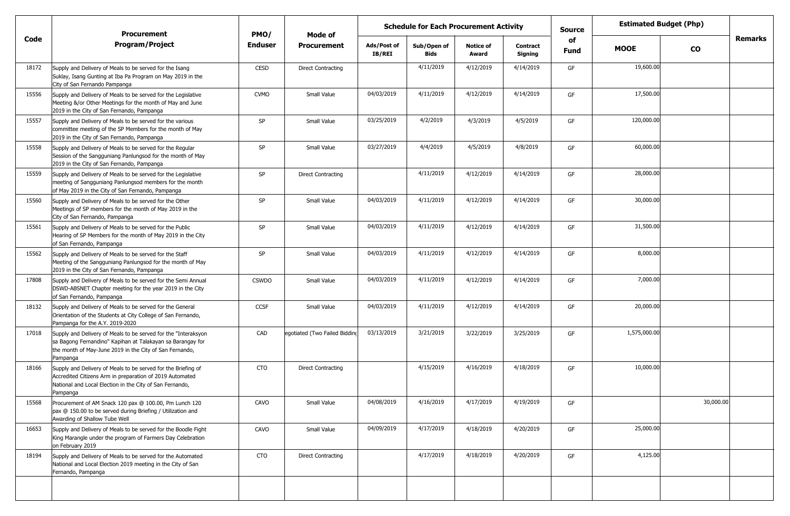|       | <b>Procurement</b>                                                                                                                                                                                  | PMO/           |                               | <b>Estimated Budget (Php)</b><br><b>Schedule for Each Procurement Activity</b><br>Source<br>Mode of |                     |                           |                     |                   |              |               |                |
|-------|-----------------------------------------------------------------------------------------------------------------------------------------------------------------------------------------------------|----------------|-------------------------------|-----------------------------------------------------------------------------------------------------|---------------------|---------------------------|---------------------|-------------------|--------------|---------------|----------------|
| Code  | <b>Program/Project</b>                                                                                                                                                                              | <b>Enduser</b> | <b>Procurement</b>            | Ads/Post of<br>IB/REI                                                                               | Sub/Open of<br>Bids | <b>Notice of</b><br>Award | Contract<br>Signing | of<br><b>Fund</b> | <b>MOOE</b>  | $\mathbf{co}$ | <b>Remarks</b> |
| 18172 | Supply and Delivery of Meals to be served for the Isang<br>Suklay, Isang Gunting at Iba Pa Program on May 2019 in the<br>City of San Fernando Pampanga                                              | <b>CESD</b>    | <b>Direct Contracting</b>     |                                                                                                     | 4/11/2019           | 4/12/2019                 | 4/14/2019           | GF                | 19,600.00    |               |                |
| 15556 | Supply and Delivery of Meals to be served for the Legislative<br>Meeting &/or Other Meetings for the month of May and June<br>2019 in the City of San Fernando, Pampanga                            | <b>CVMO</b>    | Small Value                   | 04/03/2019                                                                                          | 4/11/2019           | 4/12/2019                 | 4/14/2019           | GF                | 17,500.00    |               |                |
| 15557 | Supply and Delivery of Meals to be served for the various<br>committee meeting of the SP Members for the month of May<br>2019 in the City of San Fernando, Pampanga                                 | SP             | Small Value                   | 03/25/2019                                                                                          | 4/2/2019            | 4/3/2019                  | 4/5/2019            | GF                | 120,000.00   |               |                |
| 15558 | Supply and Delivery of Meals to be served for the Regular<br>Session of the Sangguniang Panlungsod for the month of May<br>2019 in the City of San Fernando, Pampanga                               | SP             | Small Value                   | 03/27/2019                                                                                          | 4/4/2019            | 4/5/2019                  | 4/8/2019            | GF                | 60,000.00    |               |                |
| 15559 | Supply and Delivery of Meals to be served for the Legislative<br>meeting of Sangguniang Panlungsod members for the month<br>of May 2019 in the City of San Fernando, Pampanga                       | SP             | <b>Direct Contracting</b>     |                                                                                                     | 4/11/2019           | 4/12/2019                 | 4/14/2019           | GF                | 28,000.00    |               |                |
| 15560 | Supply and Delivery of Meals to be served for the Other<br>Meetings of SP members for the month of May 2019 in the<br>City of San Fernando, Pampanga                                                | SP             | Small Value                   | 04/03/2019                                                                                          | 4/11/2019           | 4/12/2019                 | 4/14/2019           | GF                | 30,000.00    |               |                |
| 15561 | Supply and Delivery of Meals to be served for the Public<br>Hearing of SP Members for the month of May 2019 in the City<br>of San Fernando, Pampanga                                                | SP             | Small Value                   | 04/03/2019                                                                                          | 4/11/2019           | 4/12/2019                 | 4/14/2019           | GF                | 31,500.00    |               |                |
| 15562 | Supply and Delivery of Meals to be served for the Staff<br>Meeting of the Sangguniang Panlungsod for the month of May<br>2019 in the City of San Fernando, Pampanga                                 | SP             | Small Value                   | 04/03/2019                                                                                          | 4/11/2019           | 4/12/2019                 | 4/14/2019           | GF                | 8,000.00     |               |                |
| 17808 | Supply and Delivery of Meals to be served for the Semi Annual<br>DSWD-ABSNET Chapter meeting for the year 2019 in the City<br>of San Fernando, Pampanga                                             | <b>CSWDO</b>   | Small Value                   | 04/03/2019                                                                                          | 4/11/2019           | 4/12/2019                 | 4/14/2019           | GF                | 7,000.00     |               |                |
| 18132 | Supply and Delivery of Meals to be served for the General<br>Orientation of the Students at City College of San Fernando,<br>Pampanga for the A.Y. 2019-2020                                        | CCSF           | Small Value                   | 04/03/2019                                                                                          | 4/11/2019           | 4/12/2019                 | 4/14/2019           | GF                | 20,000.00    |               |                |
| 17018 | Supply and Delivery of Meals to be served for the "Interaksyon<br>sa Bagong Fernandino" Kapihan at Talakayan sa Barangay for<br>the month of May-June 2019 in the City of San Fernando,<br>Pampanga | CAD            | egotiated (Two Failed Bidding | 03/13/2019                                                                                          | 3/21/2019           | 3/22/2019                 | 3/25/2019           | GF                | 1,575,000.00 |               |                |
| 18166 | Supply and Delivery of Meals to be served for the Briefing of<br>Accredited Citizens Arm in preparation of 2019 Automated<br>National and Local Election in the City of San Fernando,<br>Pampanga   | <b>CTO</b>     | <b>Direct Contracting</b>     |                                                                                                     | 4/15/2019           | 4/16/2019                 | 4/18/2019           | GF                | 10,000.00    |               |                |
| 15568 | Procurement of AM Snack 120 pax @ 100.00, Pm Lunch 120<br>pax @ 150.00 to be served during Briefing / Utilization and<br>Awarding of Shallow Tube Well                                              | CAVO           | Small Value                   | 04/08/2019                                                                                          | 4/16/2019           | 4/17/2019                 | 4/19/2019           | GF                |              | 30,000.00     |                |
| 16653 | Supply and Delivery of Meals to be served for the Boodle Fight<br>King Marangle under the program of Farmers Day Celebration<br>on February 2019                                                    | CAVO           | Small Value                   | 04/09/2019                                                                                          | 4/17/2019           | 4/18/2019                 | 4/20/2019           | GF                | 25,000.00    |               |                |
| 18194 | Supply and Delivery of Meals to be served for the Automated<br>National and Local Election 2019 meeting in the City of San<br>Fernando, Pampanga                                                    | <b>CTO</b>     | <b>Direct Contracting</b>     |                                                                                                     | 4/17/2019           | 4/18/2019                 | 4/20/2019           | GF                | 4,125.00     |               |                |
|       |                                                                                                                                                                                                     |                |                               |                                                                                                     |                     |                           |                     |                   |              |               |                |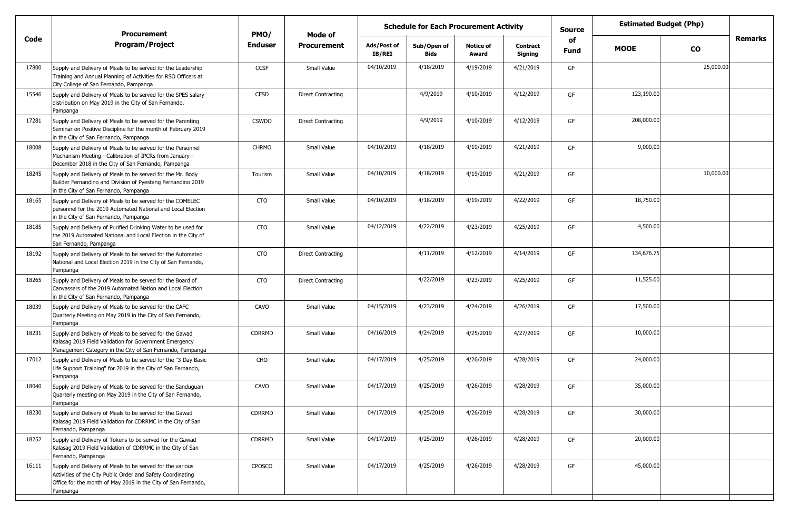|       | <b>Procurement</b>                                                                                                                                                                                    | PMO/           | Mode of                   | <b>Schedule for Each Procurement Activity</b> |                     |                           |                            | <b>Estimated Budget (Php)</b><br><b>Source</b> |             |           |                |
|-------|-------------------------------------------------------------------------------------------------------------------------------------------------------------------------------------------------------|----------------|---------------------------|-----------------------------------------------|---------------------|---------------------------|----------------------------|------------------------------------------------|-------------|-----------|----------------|
| Code  | <b>Program/Project</b>                                                                                                                                                                                | <b>Enduser</b> | <b>Procurement</b>        | Ads/Post of<br>IB/REI                         | Sub/Open of<br>Bids | <b>Notice of</b><br>Award | <b>Contract</b><br>Signing | of<br><b>Fund</b>                              | <b>MOOE</b> | CO        | <b>Remarks</b> |
| 17800 | Supply and Delivery of Meals to be served for the Leadership<br>Training and Annual Planning of Activities for RSO Officers at<br>City College of San Fernando, Pampanga                              | <b>CCSF</b>    | Small Value               | 04/10/2019                                    | 4/18/2019           | 4/19/2019                 | 4/21/2019                  | GF                                             |             | 25,000.00 |                |
| 15546 | Supply and Delivery of Meals to be served for the SPES salary<br>distribution on May 2019 in the City of San Fernando,<br>Pampanga                                                                    | <b>CESD</b>    | <b>Direct Contracting</b> |                                               | 4/9/2019            | 4/10/2019                 | 4/12/2019                  | GF                                             | 123,190.00  |           |                |
| 17281 | Supply and Delivery of Meals to be served for the Parenting<br>Seminar on Positive Discipline for the month of February 2019<br>in the City of San Fernando, Pampanga                                 | <b>CSWDO</b>   | <b>Direct Contracting</b> |                                               | 4/9/2019            | 4/10/2019                 | 4/12/2019                  | GF                                             | 208,000.00  |           |                |
| 18008 | Supply and Delivery of Meals to be served for the Personnel<br>Mechanism Meeting - Calibration of IPCRs from January -<br>December 2018 in the City of San Fernando, Pampanga                         | <b>CHRMO</b>   | Small Value               | 04/10/2019                                    | 4/18/2019           | 4/19/2019                 | 4/21/2019                  | GF                                             | 9,000.00    |           |                |
| 18245 | Supply and Delivery of Meals to be served for the Mr. Body<br>Builder Fernandino and Division of Pyestang Fernandino 2019<br>in the City of San Fernando, Pampanga                                    | Tourism        | Small Value               | 04/10/2019                                    | 4/18/2019           | 4/19/2019                 | 4/21/2019                  | GF                                             |             | 10,000.00 |                |
| 18165 | Supply and Delivery of Meals to be served for the COMELEC<br>personnel for the 2019 Automated National and Local Election<br>in the City of San Fernando, Pampanga                                    | <b>CTO</b>     | Small Value               | 04/10/2019                                    | 4/18/2019           | 4/19/2019                 | 4/22/2019                  | GF                                             | 18,750.00   |           |                |
| 18185 | Supply and Delivery of Purified Drinking Water to be used for<br>the 2019 Automated National and Local Election in the City of<br>San Fernando, Pampanga                                              | <b>CTO</b>     | Small Value               | 04/12/2019                                    | 4/22/2019           | 4/23/2019                 | 4/25/2019                  | GF                                             | 4,500.00    |           |                |
| 18192 | Supply and Delivery of Meals to be served for the Automated<br>National and Local Election 2019 in the City of San Fernando,<br>Pampanga                                                              | <b>CTO</b>     | <b>Direct Contracting</b> |                                               | 4/11/2019           | 4/12/2019                 | 4/14/2019                  | GF                                             | 134,676.75  |           |                |
| 18265 | Supply and Delivery of Meals to be served for the Board of<br>Canvassers of the 2019 Automated Nation and Local Election<br>in the City of San Fernando, Pampanga                                     | <b>CTO</b>     | <b>Direct Contracting</b> |                                               | 4/22/2019           | 4/23/2019                 | 4/25/2019                  | GF                                             | 11,525.00   |           |                |
| 18039 | Supply and Delivery of Meals to be served for the CAFC<br>Quarterly Meeting on May 2019 in the City of San Fernando,<br>Pampanga                                                                      | CAVO           | Small Value               | 04/15/2019                                    | 4/23/2019           | 4/24/2019                 | 4/26/2019                  | GF                                             | 17,500.00   |           |                |
| 18231 | Supply and Delivery of Meals to be served for the Gawad<br>Kalasag 2019 Field Validation for Government Emergency<br>Management Category in the City of San Fernando, Pampanga                        | <b>CDRRMD</b>  | Small Value               | 04/16/2019                                    | 4/24/2019           | 4/25/2019                 | 4/27/2019                  | GF                                             | 10,000.00   |           |                |
| 17012 | Supply and Delivery of Meals to be served for the "3 Day Basic<br>Life Support Training" for 2019 in the City of San Fernando,<br>Pampanga                                                            | CHO            | Small Value               | 04/17/2019                                    | 4/25/2019           | 4/26/2019                 | 4/28/2019                  | GF                                             | 24,000.00   |           |                |
| 18040 | Supply and Delivery of Meals to be served for the Sanduguan<br>Quarterly meeting on May 2019 in the City of San Fernando,<br>Pampanga                                                                 | CAVO           | Small Value               | 04/17/2019                                    | 4/25/2019           | 4/26/2019                 | 4/28/2019                  | GF                                             | 35,000.00   |           |                |
| 18230 | Supply and Delivery of Meals to be served for the Gawad<br>Kalasag 2019 Field Validation for CDRRMC in the City of San<br>Fernando, Pampanga                                                          | CDRRMD         | Small Value               | 04/17/2019                                    | 4/25/2019           | 4/26/2019                 | 4/28/2019                  | GF                                             | 30,000.00   |           |                |
| 18252 | Supply and Delivery of Tokens to be served for the Gawad<br>Kalasag 2019 Field Validation of CDRRMC in the City of San<br>Fernando, Pampanga                                                          | CDRRMD         | Small Value               | 04/17/2019                                    | 4/25/2019           | 4/26/2019                 | 4/28/2019                  | GF                                             | 20,000.00   |           |                |
| 16111 | Supply and Delivery of Meals to be served for the various<br>Activities of the City Public Order and Safety Coordinating<br>Office for the month of May 2019 in the City of San Fernando,<br>Pampanga | CPOSCO         | Small Value               | 04/17/2019                                    | 4/25/2019           | 4/26/2019                 | 4/28/2019                  | GF                                             | 45,000.00   |           |                |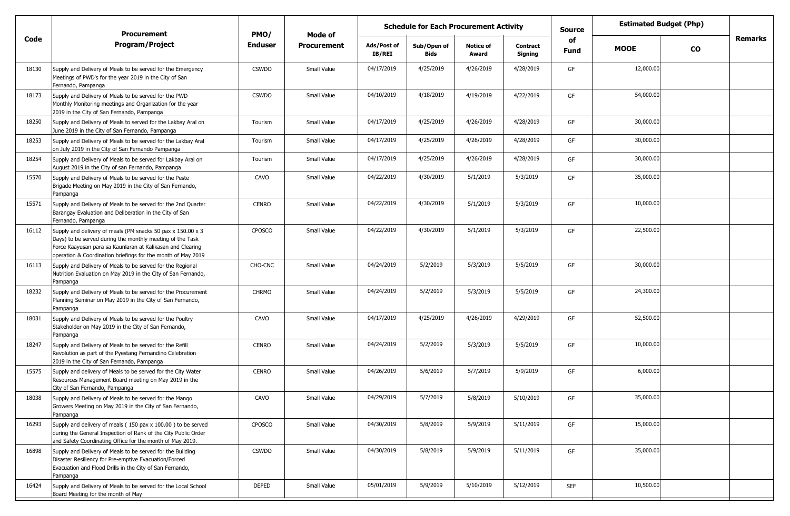|       | <b>Procurement</b>                                                                                                                                                                                                                                      | PMO/           | Mode of            | <b>Schedule for Each Procurement Activity</b> |                            |                           |                            | <b>Source</b>     | <b>Estimated Budget (Php)</b> |                |
|-------|---------------------------------------------------------------------------------------------------------------------------------------------------------------------------------------------------------------------------------------------------------|----------------|--------------------|-----------------------------------------------|----------------------------|---------------------------|----------------------------|-------------------|-------------------------------|----------------|
| Code  | <b>Program/Project</b>                                                                                                                                                                                                                                  | <b>Enduser</b> | <b>Procurement</b> | Ads/Post of<br>IB/REI                         | Sub/Open of<br><b>Bids</b> | <b>Notice of</b><br>Award | <b>Contract</b><br>Signing | of<br><b>Fund</b> | <b>MOOE</b><br><b>CO</b>      | <b>Remarks</b> |
| 18130 | Supply and Delivery of Meals to be served for the Emergency<br>Meetings of PWD's for the year 2019 in the City of San<br>Fernando, Pampanga                                                                                                             | <b>CSWDO</b>   | Small Value        | 04/17/2019                                    | 4/25/2019                  | 4/26/2019                 | 4/28/2019                  | GF                | 12,000.00                     |                |
| 18173 | Supply and Delivery of Meals to be served for the PWD<br>Monthly Monitoring meetings and Organization for the year<br>2019 in the City of San Fernando, Pampanga                                                                                        | <b>CSWDO</b>   | Small Value        | 04/10/2019                                    | 4/18/2019                  | 4/19/2019                 | 4/22/2019                  | GF                | 54,000.00                     |                |
| 18250 | Supply and Delivery of Meals to served for the Lakbay Aral on<br>June 2019 in the City of San Fernando, Pampanga                                                                                                                                        | Tourism        | Small Value        | 04/17/2019                                    | 4/25/2019                  | 4/26/2019                 | 4/28/2019                  | GF                | 30,000.00                     |                |
| 18253 | Supply and Delivery of Meals to be served for the Lakbay Aral<br>on July 2019 in the City of San Fernando Pampanga                                                                                                                                      | Tourism        | Small Value        | 04/17/2019                                    | 4/25/2019                  | 4/26/2019                 | 4/28/2019                  | GF                | 30,000.00                     |                |
| 18254 | Supply and Delivery of Meals to be served for Lakbay Aral on<br>August 2019 in the City of san Fernando, Pampanga                                                                                                                                       | Tourism        | Small Value        | 04/17/2019                                    | 4/25/2019                  | 4/26/2019                 | 4/28/2019                  | GF                | 30,000.00                     |                |
| 15570 | Supply and Delivery of Meals to be served for the Peste<br>Brigade Meeting on May 2019 in the City of San Fernando,<br>Pampanga                                                                                                                         | CAVO           | Small Value        | 04/22/2019                                    | 4/30/2019                  | 5/1/2019                  | 5/3/2019                   | GF                | 35,000.00                     |                |
| 15571 | Supply and Delivery of Meals to be served for the 2nd Quarter<br>Barangay Evaluation and Deliberation in the City of San<br>Fernando, Pampanga                                                                                                          | <b>CENRO</b>   | Small Value        | 04/22/2019                                    | 4/30/2019                  | 5/1/2019                  | 5/3/2019                   | GF                | 10,000.00                     |                |
| 16112 | Supply and delivery of meals (PM snacks 50 pax x 150.00 x 3)<br>Days) to be served during the monthly meeting of the Task<br>Force Kaayusan para sa Kaunlaran at Kalikasan and Clearing<br>operation & Coordination briefings for the month of May 2019 | <b>CPOSCO</b>  | Small Value        | 04/22/2019                                    | 4/30/2019                  | 5/1/2019                  | 5/3/2019                   | GF                | 22,500.00                     |                |
| 16113 | Supply and Delivery of Meals to be served for the Regional<br>Nutrition Evaluation on May 2019 in the City of San Fernando,<br>Pampanga                                                                                                                 | CHO-CNC        | Small Value        | 04/24/2019                                    | 5/2/2019                   | 5/3/2019                  | 5/5/2019                   | GF                | 30,000.00                     |                |
| 18232 | Supply and Delivery of Meals to be served for the Procurement<br>Planning Seminar on May 2019 in the City of San Fernando,<br>Pampanga                                                                                                                  | <b>CHRMO</b>   | Small Value        | 04/24/2019                                    | 5/2/2019                   | 5/3/2019                  | 5/5/2019                   | GF                | 24,300.00                     |                |
| 18031 | Supply and Delivery of Meals to be served for the Poultry<br>Stakeholder on May 2019 in the City of San Fernando,<br>Pampanga                                                                                                                           | CAVO           | Small Value        | 04/17/2019                                    | 4/25/2019                  | 4/26/2019                 | 4/29/2019                  | GF                | 52,500.00                     |                |
| 18247 | Supply and Delivery of Meals to be served for the Refill<br>Revolution as part of the Pyestang Fernandino Celebration<br>2019 in the City of San Fernando, Pampanga                                                                                     | <b>CENRO</b>   | Small Value        | 04/24/2019                                    | 5/2/2019                   | 5/3/2019                  | 5/5/2019                   | GF                | 10,000.00                     |                |
| 15575 | Supply and delivery of Meals to be served for the City Water<br>Resources Management Board meeting on May 2019 in the<br>City of San Fernando, Pampanga                                                                                                 | <b>CENRO</b>   | Small Value        | 04/26/2019                                    | 5/6/2019                   | 5/7/2019                  | 5/9/2019                   | GF                | 6,000.00                      |                |
| 18038 | Supply and Delivery of Meals to be served for the Mango<br>Growers Meeting on May 2019 in the City of San Fernando,<br>Pampanga                                                                                                                         | CAVO           | Small Value        | 04/29/2019                                    | 5/7/2019                   | 5/8/2019                  | 5/10/2019                  | GF                | 35,000.00                     |                |
| 16293 | Supply and delivery of meals (150 pax x 100.00) to be served<br>during the General Inspection of Rank of the City Public Order<br>and Safety Coordinating Office for the month of May 2019.                                                             | CPOSCO         | Small Value        | 04/30/2019                                    | 5/8/2019                   | 5/9/2019                  | 5/11/2019                  | GF                | 15,000.00                     |                |
| 16898 | Supply and Delivery of Meals to be served for the Building<br>Disaster Resiliency for Pre-emptive Evacuation/Forced<br>Evacuation and Flood Drills in the City of San Fernando,<br>Pampanga                                                             | <b>CSWDO</b>   | Small Value        | 04/30/2019                                    | 5/8/2019                   | 5/9/2019                  | 5/11/2019                  | GF                | 35,000.00                     |                |
| 16424 | Supply and Delivery of Meals to be served for the Local School<br>Board Meeting for the month of May                                                                                                                                                    | DEPED          | Small Value        | 05/01/2019                                    | 5/9/2019                   | 5/10/2019                 | 5/12/2019                  | <b>SEF</b>        | 10,500.00                     |                |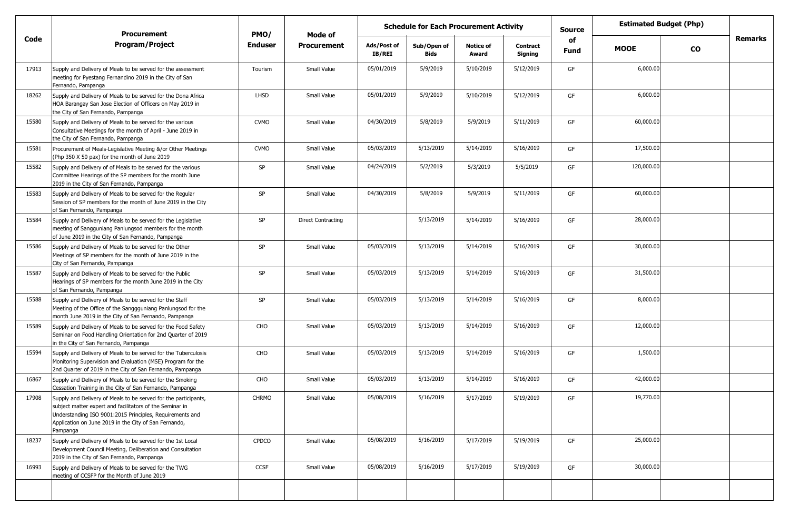|       | <b>Procurement</b>                                                                                                                                                                                                                                           | PMO/           | <b>Schedule for Each Procurement Activity</b><br>Mode of |                              |                            |                           |                            | <b>Source</b>     | <b>Estimated Budget (Php)</b> |           |                |
|-------|--------------------------------------------------------------------------------------------------------------------------------------------------------------------------------------------------------------------------------------------------------------|----------------|----------------------------------------------------------|------------------------------|----------------------------|---------------------------|----------------------------|-------------------|-------------------------------|-----------|----------------|
| Code  | <b>Program/Project</b>                                                                                                                                                                                                                                       | <b>Enduser</b> | <b>Procurement</b>                                       | Ads/Post of<br><b>IB/REI</b> | Sub/Open of<br><b>Bids</b> | <b>Notice of</b><br>Award | <b>Contract</b><br>Signing | of<br><b>Fund</b> | <b>MOOE</b>                   | <b>CO</b> | <b>Remarks</b> |
| 17913 | Supply and Delivery of Meals to be served for the assessment<br>meeting for Pyestang Fernandino 2019 in the City of San<br>Fernando, Pampanga                                                                                                                | Tourism        | Small Value                                              | 05/01/2019                   | 5/9/2019                   | 5/10/2019                 | 5/12/2019                  | GF                | 6,000.00                      |           |                |
| 18262 | Supply and Delivery of Meals to be served for the Dona Africa<br>HOA Barangay San Jose Election of Officers on May 2019 in<br>the City of San Fernando, Pampanga                                                                                             | <b>LHSD</b>    | Small Value                                              | 05/01/2019                   | 5/9/2019                   | 5/10/2019                 | 5/12/2019                  | GF                | 6,000.00                      |           |                |
| 15580 | Supply and Delivery of Meals to be served for the various<br>Consultative Meetings for the month of April - June 2019 in<br>the City of San Fernando, Pampanga                                                                                               | <b>CVMO</b>    | Small Value                                              | 04/30/2019                   | 5/8/2019                   | 5/9/2019                  | 5/11/2019                  | GF                | 60,000.00                     |           |                |
| 15581 | Procurement of Meals-Legislative Meeting &/or Other Meetings<br>(Php 350 X 50 pax) for the month of June 2019                                                                                                                                                | <b>CVMO</b>    | Small Value                                              | 05/03/2019                   | 5/13/2019                  | 5/14/2019                 | 5/16/2019                  | GF                | 17,500.00                     |           |                |
| 15582 | Supply and Delivery of of Meals to be served for the various<br>Committee Hearings of the SP members for the month June<br>2019 in the City of San Fernando, Pampanga                                                                                        | SP             | Small Value                                              | 04/24/2019                   | 5/2/2019                   | 5/3/2019                  | 5/5/2019                   | GF                | 120,000.00                    |           |                |
| 15583 | Supply and Delivery of Meals to be served for the Regular<br>Session of SP members for the month of June 2019 in the City<br>of San Fernando, Pampanga                                                                                                       | SP             | Small Value                                              | 04/30/2019                   | 5/8/2019                   | 5/9/2019                  | 5/11/2019                  | GF                | 60,000.00                     |           |                |
| 15584 | Supply and Delivery of Meals to be served for the Legislative<br>meeting of Sangguniang Panlungsod members for the month<br>of June 2019 in the City of San Fernando, Pampanga                                                                               | SP             | <b>Direct Contracting</b>                                |                              | 5/13/2019                  | 5/14/2019                 | 5/16/2019                  | GF                | 28,000.00                     |           |                |
| 15586 | Supply and Delivery of Meals to be served for the Other<br>Meetings of SP members for the month of June 2019 in the<br>City of San Fernando, Pampanga                                                                                                        | <b>SP</b>      | Small Value                                              | 05/03/2019                   | 5/13/2019                  | 5/14/2019                 | 5/16/2019                  | GF                | 30,000.00                     |           |                |
| 15587 | Supply and Delivery of Meals to be served for the Public<br>Hearings of SP members for the month June 2019 in the City<br>of San Fernando, Pampanga                                                                                                          | SP             | Small Value                                              | 05/03/2019                   | 5/13/2019                  | 5/14/2019                 | 5/16/2019                  | GF                | 31,500.00                     |           |                |
| 15588 | Supply and Delivery of Meals to be served for the Staff<br>Meeting of the Office of the Sanggguniang Panlungsod for the<br>month June 2019 in the City of San Fernando, Pampanga                                                                             | SP             | Small Value                                              | 05/03/2019                   | 5/13/2019                  | 5/14/2019                 | 5/16/2019                  | GF                | 8,000.00                      |           |                |
| 15589 | Supply and Delivery of Meals to be served for the Food Safety<br>Seminar on Food Handling Orientation for 2nd Quarter of 2019<br>in the City of San Fernando, Pampanga                                                                                       | CHO            | Small Value                                              | 05/03/2019                   | 5/13/2019                  | 5/14/2019                 | 5/16/2019                  | GF                | 12,000.00                     |           |                |
| 15594 | Supply and Delivery of Meals to be served for the Tuberculosis<br>Monitoring Supervision and Evaluation (MSE) Program for the<br>2nd Quarter of 2019 in the City of San Fernando, Pampanga                                                                   | CHO            | Small Value                                              | 05/03/2019                   | 5/13/2019                  | 5/14/2019                 | 5/16/2019                  | GF                | 1,500.00                      |           |                |
| 16867 | Supply and Delivery of Meals to be served for the Smoking<br>Cessation Training in the City of San Fernando, Pampanga                                                                                                                                        | CHO            | Small Value                                              | 05/03/2019                   | 5/13/2019                  | 5/14/2019                 | 5/16/2019                  | GF                | 42,000.00                     |           |                |
| 17908 | Supply and Delivery of Meals to be served for the participants,<br>subject matter expert and facilitators of the Seminar in<br>Understanding ISO 9001:2015 Principles, Requirements and<br>Application on June 2019 in the City of San Fernando,<br>Pampanga | <b>CHRMO</b>   | Small Value                                              | 05/08/2019                   | 5/16/2019                  | 5/17/2019                 | 5/19/2019                  | GF                | 19,770.00                     |           |                |
| 18237 | Supply and Delivery of Meals to be served for the 1st Local<br>Development Council Meeting, Deliberation and Consultation<br>2019 in the City of San Fernando, Pampanga                                                                                      | <b>CPDCO</b>   | Small Value                                              | 05/08/2019                   | 5/16/2019                  | 5/17/2019                 | 5/19/2019                  | GF                | 25,000.00                     |           |                |
| 16993 | Supply and Delivery of Meals to be served for the TWG<br>meeting of CCSFP for the Month of June 2019                                                                                                                                                         | CCSF           | Small Value                                              | 05/08/2019                   | 5/16/2019                  | 5/17/2019                 | 5/19/2019                  | GF                | 30,000.00                     |           |                |
|       |                                                                                                                                                                                                                                                              |                |                                                          |                              |                            |                           |                            |                   |                               |           |                |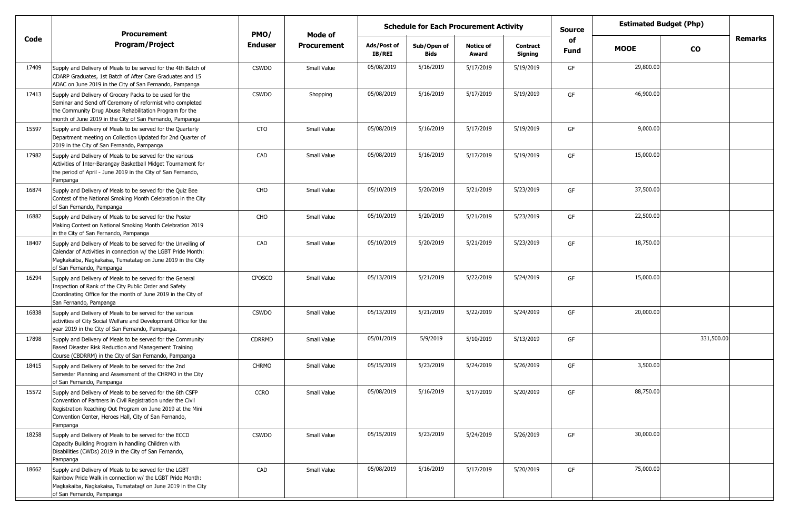|       | <b>Procurement</b>                                                                                                                                                                                                                                            | PMO/          | <b>Schedule for Each Procurement Activity</b><br>Mode of |                              |                            |                           |                            | <b>Source</b>     | <b>Estimated Budget (Php)</b> |            |         |
|-------|---------------------------------------------------------------------------------------------------------------------------------------------------------------------------------------------------------------------------------------------------------------|---------------|----------------------------------------------------------|------------------------------|----------------------------|---------------------------|----------------------------|-------------------|-------------------------------|------------|---------|
| Code  | <b>Program/Project</b>                                                                                                                                                                                                                                        | Enduser       | <b>Procurement</b>                                       | Ads/Post of<br><b>IB/REI</b> | Sub/Open of<br><b>Bids</b> | <b>Notice of</b><br>Award | <b>Contract</b><br>Signing | of<br><b>Fund</b> | <b>MOOE</b>                   | <b>CO</b>  | Remarks |
| 17409 | Supply and Delivery of Meals to be served for the 4th Batch of<br>CDARP Graduates, 1st Batch of After Care Graduates and 15<br>ADAC on June 2019 in the City of San Fernando, Pampanga                                                                        | <b>CSWDO</b>  | Small Value                                              | 05/08/2019                   | 5/16/2019                  | 5/17/2019                 | 5/19/2019                  | GF                | 29,800.00                     |            |         |
| 17413 | Supply and Delivery of Grocery Packs to be used for the<br>Seminar and Send off Ceremony of reformist who completed<br>the Community Drug Abuse Rehabilitation Program for the<br>month of June 2019 in the City of San Fernando, Pampanga                    | <b>CSWDO</b>  | Shopping                                                 | 05/08/2019                   | 5/16/2019                  | 5/17/2019                 | 5/19/2019                  | GF                | 46,900.00                     |            |         |
| 15597 | Supply and Delivery of Meals to be served for the Quarterly<br>Department meeting on Collection Updated for 2nd Quarter of<br>2019 in the City of San Fernando, Pampanga                                                                                      | <b>CTO</b>    | Small Value                                              | 05/08/2019                   | 5/16/2019                  | 5/17/2019                 | 5/19/2019                  | GF                | 9,000.00                      |            |         |
| 17982 | Supply and Delivery of Meals to be served for the various<br>Activities of Inter-Barangay Basketball Midget Tournament for<br>the period of April - June 2019 in the City of San Fernando,<br>Pampanga                                                        | CAD           | Small Value                                              | 05/08/2019                   | 5/16/2019                  | 5/17/2019                 | 5/19/2019                  | GF                | 15,000.00                     |            |         |
| 16874 | Supply and Delivery of Meals to be served for the Quiz Bee<br>Contest of the National Smoking Month Celebration in the City<br>of San Fernando, Pampanga                                                                                                      | CHO           | Small Value                                              | 05/10/2019                   | 5/20/2019                  | 5/21/2019                 | 5/23/2019                  | GF                | 37,500.00                     |            |         |
| 16882 | Supply and Delivery of Meals to be served for the Poster<br>Making Contest on National Smoking Month Celebration 2019<br>in the City of San Fernando, Pampanga                                                                                                | CHO           | Small Value                                              | 05/10/2019                   | 5/20/2019                  | 5/21/2019                 | 5/23/2019                  | GF                | 22,500.00                     |            |         |
| 18407 | Supply and Delivery of Meals to be served for the Unveiling of<br>Calendar of Activities in connection w/ the LGBT Pride Month:<br>Magkakaiba, Nagkakaisa, Tumatatag on June 2019 in the City<br>of San Fernando, Pampanga                                    | CAD           | Small Value                                              | 05/10/2019                   | 5/20/2019                  | 5/21/2019                 | 5/23/2019                  | GF                | 18,750.00                     |            |         |
| 16294 | Supply and Delivery of Meals to be served for the General<br>Inspection of Rank of the City Public Order and Safety<br>Coordinating Office for the month of June 2019 in the City of<br>San Fernando, Pampanga                                                | CPOSCO        | Small Value                                              | 05/13/2019                   | 5/21/2019                  | 5/22/2019                 | 5/24/2019                  | GF                | 15,000.00                     |            |         |
| 16838 | Supply and Delivery of Meals to be served for the various<br>activities of City Social Welfare and Development Office for the<br>year 2019 in the City of San Fernando, Pampanga.                                                                             | <b>CSWDO</b>  | Small Value                                              | 05/13/2019                   | 5/21/2019                  | 5/22/2019                 | 5/24/2019                  | GF                | 20,000.00                     |            |         |
| 17898 | Supply and Delivery of Meals to be served for the Community<br>Based Disaster Risk Reduction and Management Training<br>Course (CBDRRM) in the City of San Fernando, Pampanga                                                                                 | <b>CDRRMD</b> | Small Value                                              | 05/01/2019                   | 5/9/2019                   | 5/10/2019                 | 5/13/2019                  | GF                |                               | 331,500.00 |         |
| 18415 | Supply and Delivery of Meals to be served for the 2nd<br>Semester Planning and Assessment of the CHRMO in the City<br>of San Fernando, Pampanga                                                                                                               | <b>CHRMO</b>  | Small Value                                              | 05/15/2019                   | 5/23/2019                  | 5/24/2019                 | 5/26/2019                  | GF                | 3,500.00                      |            |         |
| 15572 | Supply and Delivery of Meals to be served for the 6th CSFP<br>Convention of Partners in Civil Registration under the Civil<br>Registration Reaching-Out Program on June 2019 at the Mini<br>Convention Center, Heroes Hall, City of San Fernando,<br>Pampanga | <b>CCRO</b>   | Small Value                                              | 05/08/2019                   | 5/16/2019                  | 5/17/2019                 | 5/20/2019                  | GF                | 88,750.00                     |            |         |
| 18258 | Supply and Delivery of Meals to be served for the ECCD<br>Capacity Building Program in handling Children with<br>Disabilities (CWDs) 2019 in the City of San Fernando,<br>Pampanga                                                                            | <b>CSWDO</b>  | Small Value                                              | 05/15/2019                   | 5/23/2019                  | 5/24/2019                 | 5/26/2019                  | GF                | 30,000.00                     |            |         |
| 18662 | Supply and Delivery of Meals to be served for the LGBT<br>Rainbow Pride Walk in connection w/ the LGBT Pride Month:<br>Magkakaiba, Nagkakaisa, Tumatatag! on June 2019 in the City<br>of San Fernando, Pampanga                                               | CAD           | Small Value                                              | 05/08/2019                   | 5/16/2019                  | 5/17/2019                 | 5/20/2019                  | GF                | 75,000.00                     |            |         |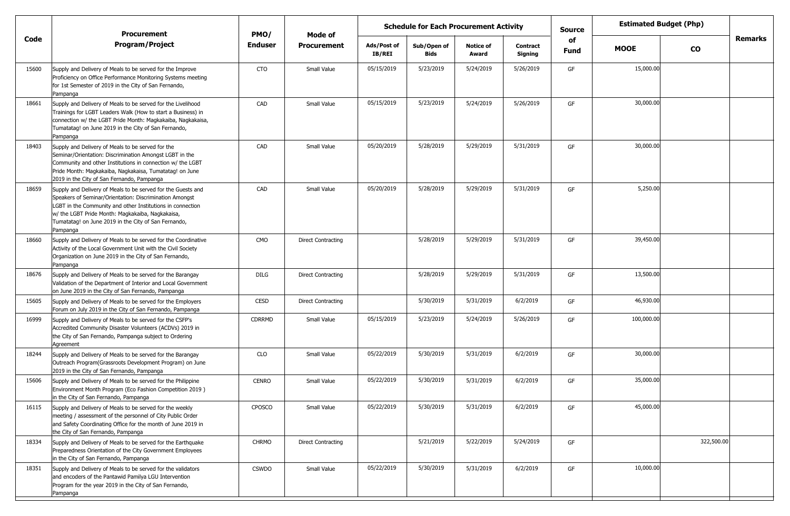|       | <b>Procurement</b>                                                                                                                                                                                                                                                                                            | PMO/           | Mode of            | <b>Schedule for Each Procurement Activity</b> |                            |                           |                            | Source     |             | <b>Estimated Budget (Php)</b> |                |
|-------|---------------------------------------------------------------------------------------------------------------------------------------------------------------------------------------------------------------------------------------------------------------------------------------------------------------|----------------|--------------------|-----------------------------------------------|----------------------------|---------------------------|----------------------------|------------|-------------|-------------------------------|----------------|
| Code  | <b>Program/Project</b>                                                                                                                                                                                                                                                                                        | <b>Enduser</b> | <b>Procurement</b> | Ads/Post of<br><b>IB/REI</b>                  | Sub/Open of<br><b>Bids</b> | <b>Notice of</b><br>Award | <b>Contract</b><br>Signing | of<br>Fund | <b>MOOE</b> | <b>CO</b>                     | <b>Remarks</b> |
| 15600 | Supply and Delivery of Meals to be served for the Improve<br>Proficiency on Office Performance Monitoring Systems meeting<br>for 1st Semester of 2019 in the City of San Fernando,<br>Pampanga                                                                                                                | CTO            | Small Value        | 05/15/2019                                    | 5/23/2019                  | 5/24/2019                 | 5/26/2019                  | GF         | 15,000.00   |                               |                |
| 18661 | Supply and Delivery of Meals to be served for the Livelihood<br>Trainings for LGBT Leaders Walk (How to start a Business) in<br>connection w/ the LGBT Pride Month: Magkakaiba, Nagkakaisa,<br>Tumatatag! on June 2019 in the City of San Fernando,<br>Pampanga                                               | CAD            | Small Value        | 05/15/2019                                    | 5/23/2019                  | 5/24/2019                 | 5/26/2019                  | GF         | 30,000.00   |                               |                |
| 18403 | Supply and Delivery of Meals to be served for the<br>Seminar/Orientation: Discrimination Amongst LGBT in the<br>Community and other Institutions in connection w/ the LGBT<br>Pride Month: Magkakaiba, Nagkakaisa, Tumatatag! on June<br>2019 in the City of San Fernando, Pampanga                           | CAD            | Small Value        | 05/20/2019                                    | 5/28/2019                  | 5/29/2019                 | 5/31/2019                  | GF         | 30,000.00   |                               |                |
| 18659 | Supply and Delivery of Meals to be served for the Guests and<br>Speakers of Seminar/Orientation: Discrimination Amongst<br>LGBT in the Community and other Institutions in connection<br>w/ the LGBT Pride Month: Magkakaiba, Nagkakaisa,<br>Tumatatag! on June 2019 in the City of San Fernando,<br>Pampanga | CAD            | Small Value        | 05/20/2019                                    | 5/28/2019                  | 5/29/2019                 | 5/31/2019                  | GF         | 5,250.00    |                               |                |
| 18660 | Supply and Delivery of Meals to be served for the Coordinative<br>Activity of the Local Government Unit with the Civil Society<br>Organization on June 2019 in the City of San Fernando,<br>Pampanga                                                                                                          | <b>CMO</b>     | Direct Contracting |                                               | 5/28/2019                  | 5/29/2019                 | 5/31/2019                  | GF         | 39,450.00   |                               |                |
| 18676 | Supply and Delivery of Meals to be served for the Barangay<br>Validation of the Department of Interior and Local Government<br>on June 2019 in the City of San Fernando, Pampanga                                                                                                                             | DILG           | Direct Contracting |                                               | 5/28/2019                  | 5/29/2019                 | 5/31/2019                  | GF         | 13,500.00   |                               |                |
| 15605 | Supply and Delivery of Meals to be served for the Employers<br>Forum on July 2019 in the City of San Fernando, Pampanga                                                                                                                                                                                       | CESD           | Direct Contracting |                                               | 5/30/2019                  | 5/31/2019                 | 6/2/2019                   | GF         | 46,930.00   |                               |                |
| 16999 | Supply and Delivery of Meals to be served for the CSFP's<br>Accredited Community Disaster Volunteers (ACDVs) 2019 in<br>the City of San Fernando, Pampanga subject to Ordering<br>Agreement                                                                                                                   | CDRRMD         | Small Value        | 05/15/2019                                    | 5/23/2019                  | 5/24/2019                 | 5/26/2019                  | GF         | 100,000.00  |                               |                |
| 18244 | Supply and Delivery of Meals to be served for the Barangay<br>Outreach Program (Grassroots Development Program) on June<br>2019 in the City of San Fernando, Pampanga                                                                                                                                         | CLO            | Small Value        | 05/22/2019                                    | 5/30/2019                  | 5/31/2019                 | 6/2/2019                   | GF         | 30,000.00   |                               |                |
| 15606 | Supply and Delivery of Meals to be served for the Philippine<br>Environment Month Program (Eco Fashion Competition 2019)<br>in the City of San Fernando, Pampanga                                                                                                                                             | <b>CENRO</b>   | Small Value        | 05/22/2019                                    | 5/30/2019                  | 5/31/2019                 | 6/2/2019                   | GF         | 35,000.00   |                               |                |
| 16115 | Supply and Delivery of Meals to be served for the weekly<br>meeting / assessment of the personnel of City Public Order<br>and Safety Coordinating Office for the month of June 2019 in<br>the City of San Fernando, Pampanga                                                                                  | CPOSCO         | Small Value        | 05/22/2019                                    | 5/30/2019                  | 5/31/2019                 | 6/2/2019                   | GF         | 45,000.00   |                               |                |
| 18334 | Supply and Delivery of Meals to be served for the Earthquake<br>Preparedness Orientation of the City Government Employees<br>in the City of San Fernando, Pampanga                                                                                                                                            | <b>CHRMO</b>   | Direct Contracting |                                               | 5/21/2019                  | 5/22/2019                 | 5/24/2019                  | GF         |             | 322,500.00                    |                |
| 18351 | Supply and Delivery of Meals to be served for the validators<br>and encoders of the Pantawid Pamilya LGU Intervention<br>Program for the year 2019 in the City of San Fernando,<br>Pampanga                                                                                                                   | <b>CSWDO</b>   | Small Value        | 05/22/2019                                    | 5/30/2019                  | 5/31/2019                 | 6/2/2019                   | GF         | 10,000.00   |                               |                |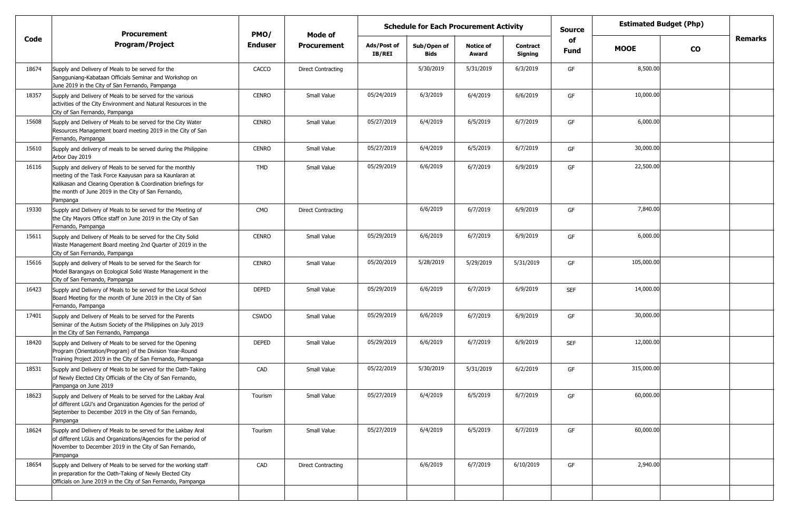|       | <b>Procurement</b>                                                                                                                                                                                                                                       | PMO/           | Mode of                   | <b>Schedule for Each Procurement Activity</b> |                            |                           |                            | <b>Source</b> | <b>Estimated Budget (Php)</b> |           |                |
|-------|----------------------------------------------------------------------------------------------------------------------------------------------------------------------------------------------------------------------------------------------------------|----------------|---------------------------|-----------------------------------------------|----------------------------|---------------------------|----------------------------|---------------|-------------------------------|-----------|----------------|
| Code  | <b>Program/Project</b>                                                                                                                                                                                                                                   | <b>Enduser</b> | <b>Procurement</b>        | Ads/Post of<br>IB/REI                         | Sub/Open of<br><b>Bids</b> | <b>Notice of</b><br>Award | <b>Contract</b><br>Signing | of<br>Fund    | <b>MOOE</b>                   | <b>CO</b> | <b>Remarks</b> |
| 18674 | Supply and Delivery of Meals to be served for the<br>Sangguniang-Kabataan Officials Seminar and Workshop on<br>June 2019 in the City of San Fernando, Pampanga                                                                                           | CACCO          | <b>Direct Contracting</b> |                                               | 5/30/2019                  | 5/31/2019                 | 6/3/2019                   | GF            | 8,500.00                      |           |                |
| 18357 | Supply and Delivery of Meals to be served for the various<br>activities of the City Environment and Natural Resources in the<br>City of San Fernando, Pampanga                                                                                           | <b>CENRO</b>   | Small Value               | 05/24/2019                                    | 6/3/2019                   | 6/4/2019                  | 6/6/2019                   | GF            | 10,000.00                     |           |                |
| 15608 | Supply and Delivery of Meals to be served for the City Water<br>Resources Management board meeting 2019 in the City of San<br>Fernando, Pampanga                                                                                                         | <b>CENRO</b>   | Small Value               | 05/27/2019                                    | 6/4/2019                   | 6/5/2019                  | 6/7/2019                   | GF            | 6,000.00                      |           |                |
| 15610 | Supply and delivery of meals to be served during the Philippine<br>Arbor Day 2019                                                                                                                                                                        | <b>CENRO</b>   | Small Value               | 05/27/2019                                    | 6/4/2019                   | 6/5/2019                  | 6/7/2019                   | GF            | 30,000.00                     |           |                |
| 16116 | Supply and delivery of Meals to be served for the monthly<br>meeting of the Task Force Kaayusan para sa Kaunlaran at<br>Kalikasan and Clearing Operation & Coordination briefings for<br>the month of June 2019 in the City of San Fernando,<br>Pampanga | TMD            | Small Value               | 05/29/2019                                    | 6/6/2019                   | 6/7/2019                  | 6/9/2019                   | GF            | 22,500.00                     |           |                |
| 19330 | Supply and Delivery of Meals to be served for the Meeting of<br>the City Mayors Office staff on June 2019 in the City of San<br>Fernando, Pampanga                                                                                                       | CMO            | <b>Direct Contracting</b> |                                               | 6/6/2019                   | 6/7/2019                  | 6/9/2019                   | GF            | 7,840.00                      |           |                |
| 15611 | Supply and Delivery of Meals to be served for the City Solid<br>Waste Management Board meeting 2nd Quarter of 2019 in the<br>City of San Fernando, Pampanga                                                                                              | <b>CENRO</b>   | Small Value               | 05/29/2019                                    | 6/6/2019                   | 6/7/2019                  | 6/9/2019                   | GF            | 6,000.00                      |           |                |
| 15616 | Supply and delivery of Meals to be served for the Search for<br>Model Barangays on Ecological Solid Waste Management in the<br>City of San Fernando, Pampanga                                                                                            | <b>CENRO</b>   | Small Value               | 05/20/2019                                    | 5/28/2019                  | 5/29/2019                 | 5/31/2019                  | GF            | 105,000.00                    |           |                |
| 16423 | Supply and Delivery of Meals to be served for the Local School<br>Board Meeting for the month of June 2019 in the City of San<br>Fernando, Pampanga                                                                                                      | <b>DEPED</b>   | Small Value               | 05/29/2019                                    | 6/6/2019                   | 6/7/2019                  | 6/9/2019                   | <b>SEF</b>    | 14,000.00                     |           |                |
| 17401 | Supply and Delivery of Meals to be served for the Parents<br>Seminar of the Autism Society of the Philippines on July 2019<br>in the City of San Fernando, Pampanga                                                                                      | <b>CSWDO</b>   | Small Value               | 05/29/2019                                    | 6/6/2019                   | 6/7/2019                  | 6/9/2019                   | GF            | 30,000.00                     |           |                |
| 18420 | Supply and Delivery of Meals to be served for the Opening<br>Program (Orientation/Program) of the Division Year-Round<br>Training Project 2019 in the City of San Fernando, Pampanga                                                                     | <b>DEPED</b>   | Small Value               | 05/29/2019                                    | 6/6/2019                   | 6/7/2019                  | 6/9/2019                   | <b>SEF</b>    | 12,000.00                     |           |                |
| 18531 | Supply and Delivery of Meals to be served for the Oath-Taking<br>of Newly Elected City Officials of the City of San Fernando,<br>Pampanga on June 2019                                                                                                   | CAD            | Small Value               | 05/22/2019                                    | 5/30/2019                  | 5/31/2019                 | 6/2/2019                   | GF            | 315,000.00                    |           |                |
| 18623 | Supply and Delivery of Meals to be served for the Lakbay Aral<br>of different LGU's and Organization Agencies for the period of<br>September to December 2019 in the City of San Fernando,<br>Pampanga                                                   | Tourism        | Small Value               | 05/27/2019                                    | 6/4/2019                   | 6/5/2019                  | 6/7/2019                   | GF            | 60,000.00                     |           |                |
| 18624 | Supply and Delivery of Meals to be served for the Lakbay Aral<br>of different LGUs and Organizations/Agencies for the period of<br>November to December 2019 in the City of San Fernando,<br>Pampanga                                                    | Tourism        | Small Value               | 05/27/2019                                    | 6/4/2019                   | 6/5/2019                  | 6/7/2019                   | GF            | 60,000.00                     |           |                |
| 18654 | Supply and Delivery of Meals to be served for the working staff<br>in preparation for the Oath-Taking of Newly Elected City<br>Officials on June 2019 in the City of San Fernando, Pampanga                                                              | CAD            | <b>Direct Contracting</b> |                                               | 6/6/2019                   | 6/7/2019                  | 6/10/2019                  | GF            | 2,940.00                      |           |                |
|       |                                                                                                                                                                                                                                                          |                |                           |                                               |                            |                           |                            |               |                               |           |                |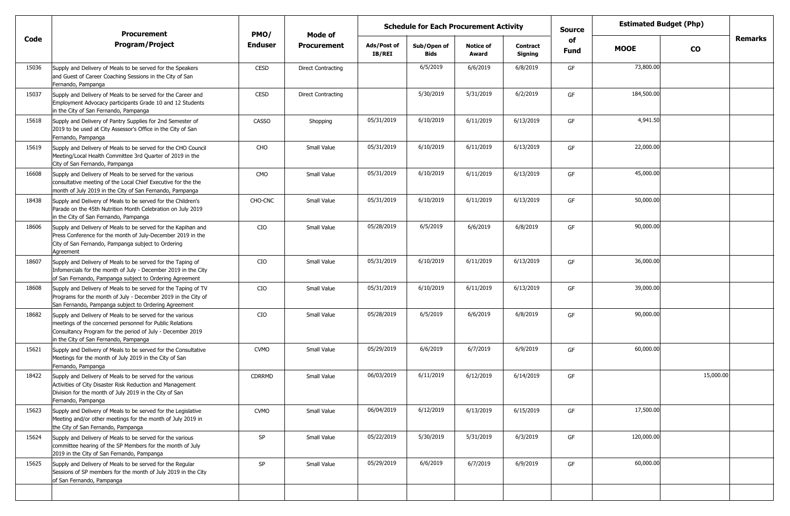|       | <b>Procurement</b>                                                                                                                                                                                                           | PMO/          |                    | <b>Schedule for Each Procurement Activity</b><br><b>Source</b><br>Mode of |                            |                           |                            | <b>Estimated Budget (Php)</b> |             |               |         |
|-------|------------------------------------------------------------------------------------------------------------------------------------------------------------------------------------------------------------------------------|---------------|--------------------|---------------------------------------------------------------------------|----------------------------|---------------------------|----------------------------|-------------------------------|-------------|---------------|---------|
| Code  | <b>Program/Project</b>                                                                                                                                                                                                       | Enduser       | <b>Procurement</b> | Ads/Post of<br><b>IB/REI</b>                                              | Sub/Open of<br><b>Bids</b> | <b>Notice of</b><br>Award | <b>Contract</b><br>Signing | of<br><b>Fund</b>             | <b>MOOE</b> | $\mathbf{co}$ | Remarks |
| 15036 | Supply and Delivery of Meals to be served for the Speakers<br>and Guest of Career Coaching Sessions in the City of San<br>Fernando, Pampanga                                                                                 | CESD          | Direct Contracting |                                                                           | 6/5/2019                   | 6/6/2019                  | 6/8/2019                   | GF                            | 73,800.00   |               |         |
| 15037 | Supply and Delivery of Meals to be served for the Career and<br>Employment Advocacy participants Grade 10 and 12 Students<br>in the City of San Fernando, Pampanga                                                           | <b>CESD</b>   | Direct Contracting |                                                                           | 5/30/2019                  | 5/31/2019                 | 6/2/2019                   | GF                            | 184,500.00  |               |         |
| 15618 | Supply and Delivery of Pantry Supplies for 2nd Semester of<br>2019 to be used at City Assessor's Office in the City of San<br>Fernando, Pampanga                                                                             | <b>CASSO</b>  | Shopping           | 05/31/2019                                                                | 6/10/2019                  | 6/11/2019                 | 6/13/2019                  | GF                            | 4,941.50    |               |         |
| 15619 | Supply and Delivery of Meals to be served for the CHO Council<br>Meeting/Local Health Committee 3rd Quarter of 2019 in the<br>City of San Fernando, Pampanga                                                                 | CHO           | Small Value        | 05/31/2019                                                                | 6/10/2019                  | 6/11/2019                 | 6/13/2019                  | GF                            | 22,000.00   |               |         |
| 16608 | Supply and Delivery of Meals to be served for the various<br>consultative meeting of the Local Chief Executive for the the<br>month of July 2019 in the City of San Fernando, Pampanga                                       | CMO           | Small Value        | 05/31/2019                                                                | 6/10/2019                  | 6/11/2019                 | 6/13/2019                  | GF                            | 45,000.00   |               |         |
| 18438 | Supply and Delivery of Meals to be served for the Children's<br>Parade on the 45th Nutrition Month Celebration on July 2019<br>in the City of San Fernando, Pampanga                                                         | CHO-CNC       | Small Value        | 05/31/2019                                                                | 6/10/2019                  | 6/11/2019                 | 6/13/2019                  | GF                            | 50,000.00   |               |         |
| 18606 | Supply and Delivery of Meals to be served for the Kapihan and<br>Press Conference for the month of July-December 2019 in the<br>City of San Fernando, Pampanga subject to Ordering<br>Agreement                              | CIO           | Small Value        | 05/28/2019                                                                | 6/5/2019                   | 6/6/2019                  | 6/8/2019                   | GF                            | 90,000.00   |               |         |
| 18607 | Supply and Delivery of Meals to be served for the Taping of<br>Infomercials for the month of July - December 2019 in the City<br>of San Fernando, Pampanga subject to Ordering Agreement                                     | CIO           | Small Value        | 05/31/2019                                                                | 6/10/2019                  | 6/11/2019                 | 6/13/2019                  | GF                            | 36,000.00   |               |         |
| 18608 | Supply and Delivery of Meals to be served for the Taping of TV<br>Programs for the month of July - December 2019 in the City of<br>San Fernando, Pampanga subject to Ordering Agreement                                      | CIO           | Small Value        | 05/31/2019                                                                | 6/10/2019                  | 6/11/2019                 | 6/13/2019                  | GF                            | 39,000.00   |               |         |
| 18682 | Supply and Delivery of Meals to be served for the various<br>meetings of the concerned personnel for Public Relations<br>Consultancy Program for the period of July - December 2019<br>in the City of San Fernando, Pampanga | CIO           | Small Value        | 05/28/2019                                                                | 6/5/2019                   | 6/6/2019                  | 6/8/2019                   | GF                            | 90,000.00   |               |         |
| 15621 | Supply and Delivery of Meals to be served for the Consultative<br>Meetings for the month of July 2019 in the City of San<br>Fernando, Pampanga                                                                               | <b>CVMO</b>   | Small Value        | 05/29/2019                                                                | 6/6/2019                   | 6/7/2019                  | 6/9/2019                   | GF                            | 60,000.00   |               |         |
| 18422 | Supply and Delivery of Meals to be served for the various<br>Activities of City Disaster Risk Reduction and Management<br>Division for the month of July 2019 in the City of San<br>Fernando, Pampanga                       | <b>CDRRMD</b> | Small Value        | 06/03/2019                                                                | 6/11/2019                  | 6/12/2019                 | 6/14/2019                  | GF                            |             | 15,000.00     |         |
| 15623 | Supply and Delivery of Meals to be served for the Legislative<br>Meeting and/or other meetings for the month of July 2019 in<br>the City of San Fernando, Pampanga                                                           | <b>CVMO</b>   | Small Value        | 06/04/2019                                                                | 6/12/2019                  | 6/13/2019                 | 6/15/2019                  | GF                            | 17,500.00   |               |         |
| 15624 | Supply and Delivery of Meals to be served for the various<br>committee hearing of the SP Members for the month of July<br>2019 in the City of San Fernando, Pampanga                                                         | SP            | Small Value        | 05/22/2019                                                                | 5/30/2019                  | 5/31/2019                 | 6/3/2019                   | GF                            | 120,000.00  |               |         |
| 15625 | Supply and Delivery of Meals to be served for the Regular<br>Sessions of SP members for the month of July 2019 in the City<br>of San Fernando, Pampanga                                                                      | SP            | Small Value        | 05/29/2019                                                                | 6/6/2019                   | 6/7/2019                  | 6/9/2019                   | GF                            | 60,000.00   |               |         |
|       |                                                                                                                                                                                                                              |               |                    |                                                                           |                            |                           |                            |                               |             |               |         |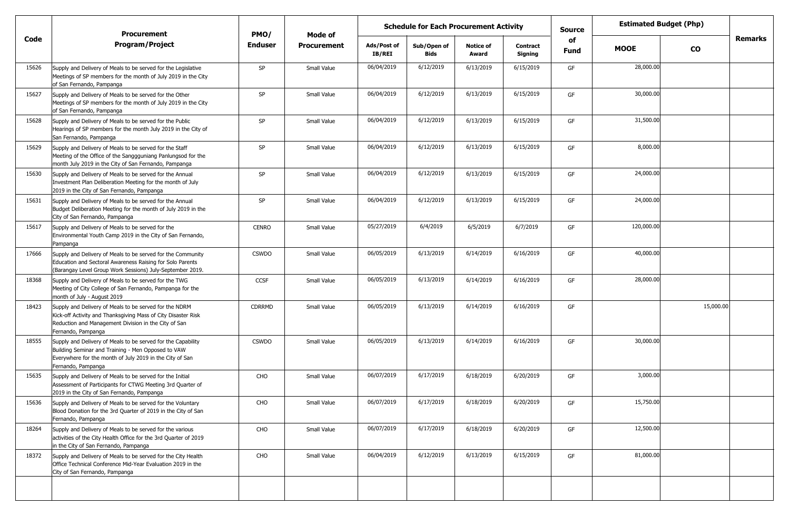|       | <b>Procurement</b>                                                                                                                                                                                    | PMO/           | <b>Mode of</b>     | <b>Schedule for Each Procurement Activity</b> |                            |                           |                            | <b>Source</b>     | <b>Estimated Budget (Php)</b> |           |                |
|-------|-------------------------------------------------------------------------------------------------------------------------------------------------------------------------------------------------------|----------------|--------------------|-----------------------------------------------|----------------------------|---------------------------|----------------------------|-------------------|-------------------------------|-----------|----------------|
| Code  | <b>Program/Project</b>                                                                                                                                                                                | <b>Enduser</b> | <b>Procurement</b> | Ads/Post of<br><b>IB/REI</b>                  | Sub/Open of<br><b>Bids</b> | <b>Notice of</b><br>Award | <b>Contract</b><br>Signing | of<br><b>Fund</b> | <b>MOOE</b>                   | <b>CO</b> | <b>Remarks</b> |
| 15626 | Supply and Delivery of Meals to be served for the Legislative<br>Meetings of SP members for the month of July 2019 in the City<br>of San Fernando, Pampanga                                           | <b>SP</b>      | Small Value        | 06/04/2019                                    | 6/12/2019                  | 6/13/2019                 | 6/15/2019                  | GF                | 28,000.00                     |           |                |
| 15627 | Supply and Delivery of Meals to be served for the Other<br>Meetings of SP members for the month of July 2019 in the City<br>of San Fernando, Pampanga                                                 | SP             | Small Value        | 06/04/2019                                    | 6/12/2019                  | 6/13/2019                 | 6/15/2019                  | GF                | 30,000.00                     |           |                |
| 15628 | Supply and Delivery of Meals to be served for the Public<br>Hearings of SP members for the month July 2019 in the City of<br>San Fernando, Pampanga                                                   | SP             | Small Value        | 06/04/2019                                    | 6/12/2019                  | 6/13/2019                 | 6/15/2019                  | GF                | 31,500.00                     |           |                |
| 15629 | Supply and Delivery of Meals to be served for the Staff<br>Meeting of the Office of the Sanggguniang Panlungsod for the<br>month July 2019 in the City of San Fernando, Pampanga                      | SP             | Small Value        | 06/04/2019                                    | 6/12/2019                  | 6/13/2019                 | 6/15/2019                  | GF                | 8,000.00                      |           |                |
| 15630 | Supply and Delivery of Meals to be served for the Annual<br>Investment Plan Deliberation Meeting for the month of July<br>2019 in the City of San Fernando, Pampanga                                  | SP             | Small Value        | 06/04/2019                                    | 6/12/2019                  | 6/13/2019                 | 6/15/2019                  | GF                | 24,000.00                     |           |                |
| 15631 | Supply and Delivery of Meals to be served for the Annual<br>Budget Deliberation Meeting for the month of July 2019 in the<br>City of San Fernando, Pampanga                                           | SP             | Small Value        | 06/04/2019                                    | 6/12/2019                  | 6/13/2019                 | 6/15/2019                  | GF                | 24,000.00                     |           |                |
| 15617 | Supply and Delivery of Meals to be served for the<br>Environmental Youth Camp 2019 in the City of San Fernando,<br>Pampanga                                                                           | <b>CENRO</b>   | Small Value        | 05/27/2019                                    | 6/4/2019                   | 6/5/2019                  | 6/7/2019                   | GF                | 120,000.00                    |           |                |
| 17666 | Supply and Delivery of Meals to be served for the Community<br>Education and Sectoral Awareness Raising for Solo Parents<br>(Barangay Level Group Work Sessions) July-September 2019.                 | <b>CSWDO</b>   | Small Value        | 06/05/2019                                    | 6/13/2019                  | 6/14/2019                 | 6/16/2019                  | GF                | 40,000.00                     |           |                |
| 18368 | Supply and Delivery of Meals to be served for the TWG<br>Meeting of City College of San Fernando, Pampanga for the<br>month of July - August 2019                                                     | <b>CCSF</b>    | Small Value        | 06/05/2019                                    | 6/13/2019                  | 6/14/2019                 | 6/16/2019                  | GF                | 28,000.00                     |           |                |
| 18423 | Supply and Delivery of Meals to be served for the NDRM<br>Kick-off Activity and Thanksgiving Mass of City Disaster Risk<br>Reduction and Management Division in the City of San<br>Fernando, Pampanga | CDRRMD         | Small Value        | 06/05/2019                                    | 6/13/2019                  | 6/14/2019                 | 6/16/2019                  | GF                |                               | 15,000.00 |                |
| 18555 | Supply and Delivery of Meals to be served for the Capability<br>Building Seminar and Training - Men Opposed to VAW<br>Everywhere for the month of July 2019 in the City of San<br>Fernando, Pampanga  | <b>CSWDO</b>   | Small Value        | 06/05/2019                                    | 6/13/2019                  | 6/14/2019                 | 6/16/2019                  | GF                | 30,000.00                     |           |                |
| 15635 | Supply and Delivery of Meals to be served for the Initial<br>Assessment of Participants for CTWG Meeting 3rd Quarter of<br>2019 in the City of San Fernando, Pampanga                                 | CHO            | Small Value        | 06/07/2019                                    | 6/17/2019                  | 6/18/2019                 | 6/20/2019                  | GF                | 3,000.00                      |           |                |
| 15636 | Supply and Delivery of Meals to be served for the Voluntary<br>Blood Donation for the 3rd Quarter of 2019 in the City of San<br>Fernando, Pampanga                                                    | CHO            | Small Value        | 06/07/2019                                    | 6/17/2019                  | 6/18/2019                 | 6/20/2019                  | GF                | 15,750.00                     |           |                |
| 18264 | Supply and Delivery of Meals to be served for the various<br>activities of the City Health Office for the 3rd Quarter of 2019<br>in the City of San Fernando, Pampanga                                | CHO            | Small Value        | 06/07/2019                                    | 6/17/2019                  | 6/18/2019                 | 6/20/2019                  | GF                | 12,500.00                     |           |                |
| 18372 | Supply and Delivery of Meals to be served for the City Health<br>Office Technical Conference Mid-Year Evaluation 2019 in the<br>City of San Fernando, Pampanga                                        | CHO            | Small Value        | 06/04/2019                                    | 6/12/2019                  | 6/13/2019                 | 6/15/2019                  | GF                | 81,000.00                     |           |                |
|       |                                                                                                                                                                                                       |                |                    |                                               |                            |                           |                            |                   |                               |           |                |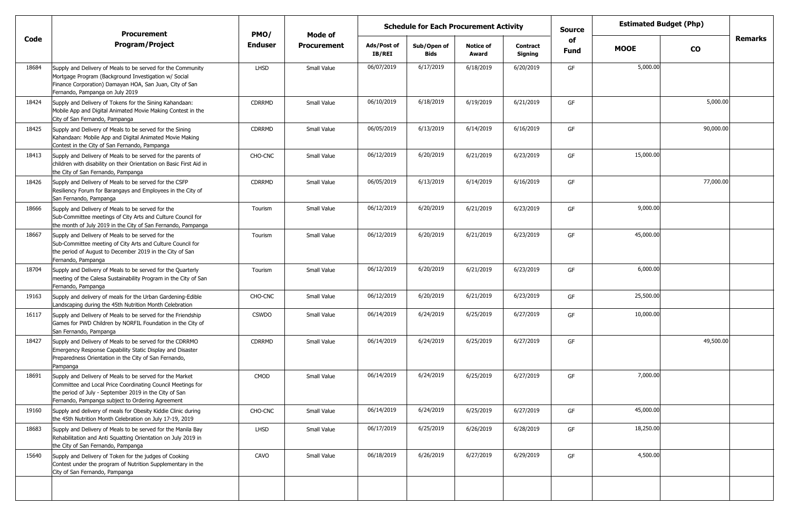|       | <b>Procurement</b>                                                                                                                                                                                                                    | PMO/           | <b>Estimated Budget (Php)</b><br><b>Schedule for Each Procurement Activity</b><br><b>Source</b><br>Mode of<br>of |                              |                            |                           |                     |      |             |           |                |
|-------|---------------------------------------------------------------------------------------------------------------------------------------------------------------------------------------------------------------------------------------|----------------|------------------------------------------------------------------------------------------------------------------|------------------------------|----------------------------|---------------------------|---------------------|------|-------------|-----------|----------------|
| Code  | <b>Program/Project</b>                                                                                                                                                                                                                | <b>Enduser</b> | <b>Procurement</b>                                                                                               | Ads/Post of<br><b>IB/REI</b> | Sub/Open of<br><b>Bids</b> | <b>Notice of</b><br>Award | Contract<br>Signing | Fund | <b>MOOE</b> | <b>CO</b> | <b>Remarks</b> |
| 18684 | Supply and Delivery of Meals to be served for the Community<br>Mortgage Program (Background Investigation w/ Social<br>Finance Corporation) Damayan HOA, San Juan, City of San<br>Fernando, Pampanga on July 2019                     | <b>LHSD</b>    | Small Value                                                                                                      | 06/07/2019                   | 6/17/2019                  | 6/18/2019                 | 6/20/2019           | GF   | 5,000.00    |           |                |
| 18424 | Supply and Delivery of Tokens for the Sining Kahandaan:<br>Mobile App and Digital Animated Movie Making Contest in the<br>City of San Fernando, Pampanga                                                                              | <b>CDRRMD</b>  | Small Value                                                                                                      | 06/10/2019                   | 6/18/2019                  | 6/19/2019                 | 6/21/2019           | GF   |             | 5,000.00  |                |
| 18425 | Supply and Delivery of Meals to be served for the Sining<br>Kahandaan: Mobile App and Digital Animated Movie Making<br>Contest in the City of San Fernando, Pampanga                                                                  | CDRRMD         | Small Value                                                                                                      | 06/05/2019                   | 6/13/2019                  | 6/14/2019                 | 6/16/2019           | GF   |             | 90,000.00 |                |
| 18413 | Supply and Delivery of Meals to be served for the parents of<br>children with disability on their Orientation on Basic First Aid in<br>the City of San Fernando, Pampanga                                                             | CHO-CNC        | Small Value                                                                                                      | 06/12/2019                   | 6/20/2019                  | 6/21/2019                 | 6/23/2019           | GF   | 15,000.00   |           |                |
| 18426 | Supply and Delivery of Meals to be served for the CSFP<br>Resiliency Forum for Barangays and Employees in the City of<br>San Fernando, Pampanga                                                                                       | <b>CDRRMD</b>  | Small Value                                                                                                      | 06/05/2019                   | 6/13/2019                  | 6/14/2019                 | 6/16/2019           | GF   |             | 77,000.00 |                |
| 18666 | Supply and Delivery of Meals to be served for the<br>Sub-Committee meetings of City Arts and Culture Council for<br>the month of July 2019 in the City of San Fernando, Pampanga                                                      | Tourism        | Small Value                                                                                                      | 06/12/2019                   | 6/20/2019                  | 6/21/2019                 | 6/23/2019           | GF   | 9,000.00    |           |                |
| 18667 | Supply and Delivery of Meals to be served for the<br>Sub-Committee meeting of City Arts and Culture Council for<br>the period of August to December 2019 in the City of San<br>Fernando, Pampanga                                     | Tourism        | Small Value                                                                                                      | 06/12/2019                   | 6/20/2019                  | 6/21/2019                 | 6/23/2019           | GF   | 45,000.00   |           |                |
| 18704 | Supply and Delivery of Meals to be served for the Quarterly<br>meeting of the Calesa Sustainability Program in the City of San<br>Fernando, Pampanga                                                                                  | Tourism        | Small Value                                                                                                      | 06/12/2019                   | 6/20/2019                  | 6/21/2019                 | 6/23/2019           | GF   | 6,000.00    |           |                |
| 19163 | Supply and delivery of meals for the Urban Gardening-Edible<br>Landscaping during the 45th Nutrition Month Celebration                                                                                                                | CHO-CNC        | Small Value                                                                                                      | 06/12/2019                   | 6/20/2019                  | 6/21/2019                 | 6/23/2019           | GF   | 25,500.00   |           |                |
| 16117 | Supply and Delivery of Meals to be served for the Friendship<br>Games for PWD Children by NORFIL Foundation in the City of<br>San Fernando, Pampanga                                                                                  | <b>CSWDO</b>   | Small Value                                                                                                      | 06/14/2019                   | 6/24/2019                  | 6/25/2019                 | 6/27/2019           | GF   | 10,000.00   |           |                |
| 18427 | Supply and Delivery of Meals to be served for the CDRRMO<br>Emergency Response Capability Static Display and Disaster<br>Preparedness Orientation in the City of San Fernando,<br>Pampanga                                            | CDRRMD         | Small Value                                                                                                      | 06/14/2019                   | 6/24/2019                  | 6/25/2019                 | 6/27/2019           | GF   |             | 49,500.00 |                |
| 18691 | Supply and Delivery of Meals to be served for the Market<br>Committee and Local Price Coordinating Council Meetings for<br>the period of July - September 2019 in the City of San<br>Fernando, Pampanga subject to Ordering Agreement | CMOD           | Small Value                                                                                                      | 06/14/2019                   | 6/24/2019                  | 6/25/2019                 | 6/27/2019           | GF   | 7,000.00    |           |                |
| 19160 | Supply and delivery of meals for Obesity Kiddie Clinic during<br>the 45th Nutrition Month Celebration on July 17-19, 2019                                                                                                             | CHO-CNC        | Small Value                                                                                                      | 06/14/2019                   | 6/24/2019                  | 6/25/2019                 | 6/27/2019           | GF   | 45,000.00   |           |                |
| 18683 | Supply and Delivery of Meals to be served for the Manila Bay<br>Rehabilitation and Anti Squatting Orientation on July 2019 in<br>the City of San Fernando, Pampanga                                                                   | LHSD           | Small Value                                                                                                      | 06/17/2019                   | 6/25/2019                  | 6/26/2019                 | 6/28/2019           | GF   | 18,250.00   |           |                |
| 15640 | Supply and Delivery of Token for the judges of Cooking<br>Contest under the program of Nutrition Supplementary in the<br>City of San Fernando, Pampanga                                                                               | CAVO           | Small Value                                                                                                      | 06/18/2019                   | 6/26/2019                  | 6/27/2019                 | 6/29/2019           | GF   | 4,500.00    |           |                |
|       |                                                                                                                                                                                                                                       |                |                                                                                                                  |                              |                            |                           |                     |      |             |           |                |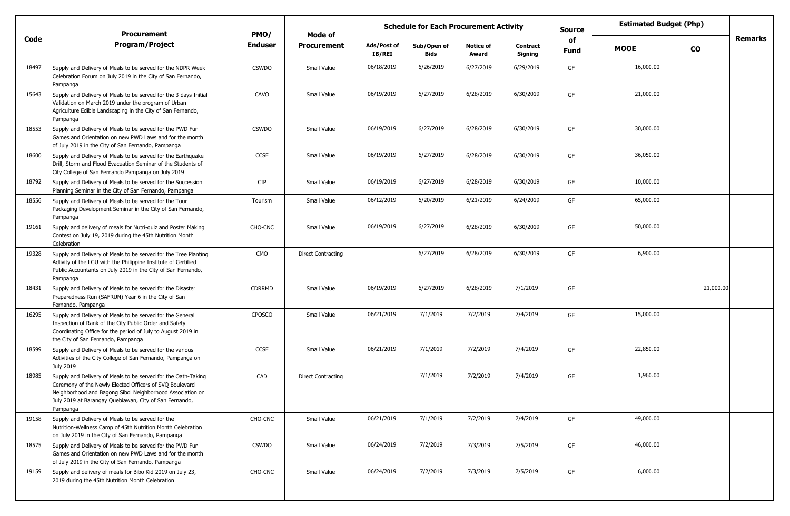|       | <b>Procurement</b>                                                                                                                                                                                                                                          | PMO/          | <b>Schedule for Each Procurement Activity</b><br>Mode of |                              |                            |                           |                            | <b>Source</b>     | <b>Estimated Budget (Php)</b> |               |                |
|-------|-------------------------------------------------------------------------------------------------------------------------------------------------------------------------------------------------------------------------------------------------------------|---------------|----------------------------------------------------------|------------------------------|----------------------------|---------------------------|----------------------------|-------------------|-------------------------------|---------------|----------------|
| Code  | <b>Program/Project</b>                                                                                                                                                                                                                                      | Enduser       | <b>Procurement</b>                                       | Ads/Post of<br><b>IB/REI</b> | Sub/Open of<br><b>Bids</b> | <b>Notice of</b><br>Award | <b>Contract</b><br>Signing | of<br><b>Fund</b> | <b>MOOE</b>                   | $\mathbf{co}$ | <b>Remarks</b> |
| 18497 | Supply and Delivery of Meals to be served for the NDPR Week<br>Celebration Forum on July 2019 in the City of San Fernando,<br>Pampanga                                                                                                                      | <b>CSWDO</b>  | Small Value                                              | 06/18/2019                   | 6/26/2019                  | 6/27/2019                 | 6/29/2019                  | GF                | 16,000.00                     |               |                |
| 15643 | Supply and Delivery of Meals to be served for the 3 days Initial<br>Validation on March 2019 under the program of Urban<br>Agriculture Edible Landscaping in the City of San Fernando,<br>Pampanga                                                          | CAVO          | Small Value                                              | 06/19/2019                   | 6/27/2019                  | 6/28/2019                 | 6/30/2019                  | GF                | 21,000.00                     |               |                |
| 18553 | Supply and Delivery of Meals to be served for the PWD Fun<br>Games and Orientation on new PWD Laws and for the month<br>of July 2019 in the City of San Fernando, Pampanga                                                                                  | <b>CSWDO</b>  | Small Value                                              | 06/19/2019                   | 6/27/2019                  | 6/28/2019                 | 6/30/2019                  | GF                | 30,000.00                     |               |                |
| 18600 | Supply and Delivery of Meals to be served for the Earthquake<br>Drill, Storm and Flood Evacuation Seminar of the Students of<br>City College of San Fernando Pampanga on July 2019                                                                          | <b>CCSF</b>   | Small Value                                              | 06/19/2019                   | 6/27/2019                  | 6/28/2019                 | 6/30/2019                  | GF                | 36,050.00                     |               |                |
| 18792 | Supply and Delivery of Meals to be served for the Succession<br>Planning Seminar in the City of San Fernando, Pampanga                                                                                                                                      | <b>CIP</b>    | Small Value                                              | 06/19/2019                   | 6/27/2019                  | 6/28/2019                 | 6/30/2019                  | GF                | 10,000.00                     |               |                |
| 18556 | Supply and Delivery of Meals to be served for the Tour<br>Packaging Development Seminar in the City of San Fernando,<br>Pampanga                                                                                                                            | Tourism       | Small Value                                              | 06/12/2019                   | 6/20/2019                  | 6/21/2019                 | 6/24/2019                  | GF                | 65,000.00                     |               |                |
| 19161 | Supply and delivery of meals for Nutri-quiz and Poster Making<br>Contest on July 19, 2019 during the 45th Nutrition Month<br>Celebration                                                                                                                    | CHO-CNC       | Small Value                                              | 06/19/2019                   | 6/27/2019                  | 6/28/2019                 | 6/30/2019                  | GF                | 50,000.00                     |               |                |
| 19328 | Supply and Delivery of Meals to be served for the Tree Planting<br>Activity of the LGU with the Philippine Institute of Certified<br>Public Accountants on July 2019 in the City of San Fernando,<br>Pampanga                                               | CMO           | <b>Direct Contracting</b>                                |                              | 6/27/2019                  | 6/28/2019                 | 6/30/2019                  | GF                | 6,900.00                      |               |                |
| 18431 | Supply and Delivery of Meals to be served for the Disaster<br>Preparedness Run (SAFRUN) Year 6 in the City of San<br>Fernando, Pampanga                                                                                                                     | <b>CDRRMD</b> | Small Value                                              | 06/19/2019                   | 6/27/2019                  | 6/28/2019                 | 7/1/2019                   | GF                |                               | 21,000.00     |                |
| 16295 | Supply and Delivery of Meals to be served for the General<br>Inspection of Rank of the City Public Order and Safety<br>Coordinating Office for the period of July to August 2019 in<br>the City of San Fernando, Pampanga                                   | <b>CPOSCO</b> | Small Value                                              | 06/21/2019                   | 7/1/2019                   | 7/2/2019                  | 7/4/2019                   | GF                | 15,000.00                     |               |                |
| 18599 | Supply and Delivery of Meals to be served for the various<br>Activities of the City College of San Fernando, Pampanga on<br><b>July 2019</b>                                                                                                                | <b>CCSF</b>   | Small Value                                              | 06/21/2019                   | 7/1/2019                   | 7/2/2019                  | 7/4/2019                   | GF                | 22,850.00                     |               |                |
| 18985 | Supply and Delivery of Meals to be served for the Oath-Taking<br>Ceremony of the Newly Elected Officers of SVQ Boulevard<br>Neighborhood and Bagong Sibol Neighborhood Association on<br>July 2019 at Barangay Quebiawan, City of San Fernando,<br>Pampanga | CAD           | <b>Direct Contracting</b>                                |                              | 7/1/2019                   | 7/2/2019                  | 7/4/2019                   | GF                | 1,960.00                      |               |                |
| 19158 | Supply and Delivery of Meals to be served for the<br>Nutrition-Wellness Camp of 45th Nutrition Month Celebration<br>on July 2019 in the City of San Fernando, Pampanga                                                                                      | CHO-CNC       | Small Value                                              | 06/21/2019                   | 7/1/2019                   | 7/2/2019                  | 7/4/2019                   | GF                | 49,000.00                     |               |                |
| 18575 | Supply and Delivery of Meals to be served for the PWD Fun<br>Games and Orientation on new PWD Laws and for the month<br>of July 2019 in the City of San Fernando, Pampanga                                                                                  | <b>CSWDO</b>  | Small Value                                              | 06/24/2019                   | 7/2/2019                   | 7/3/2019                  | 7/5/2019                   | GF                | 46,000.00                     |               |                |
| 19159 | Supply and delivery of meals for Bibo Kid 2019 on July 23,<br>2019 during the 45th Nutrition Month Celebration                                                                                                                                              | CHO-CNC       | Small Value                                              | 06/24/2019                   | 7/2/2019                   | 7/3/2019                  | 7/5/2019                   | GF                | 6,000.00                      |               |                |
|       |                                                                                                                                                                                                                                                             |               |                                                          |                              |                            |                           |                            |                   |                               |               |                |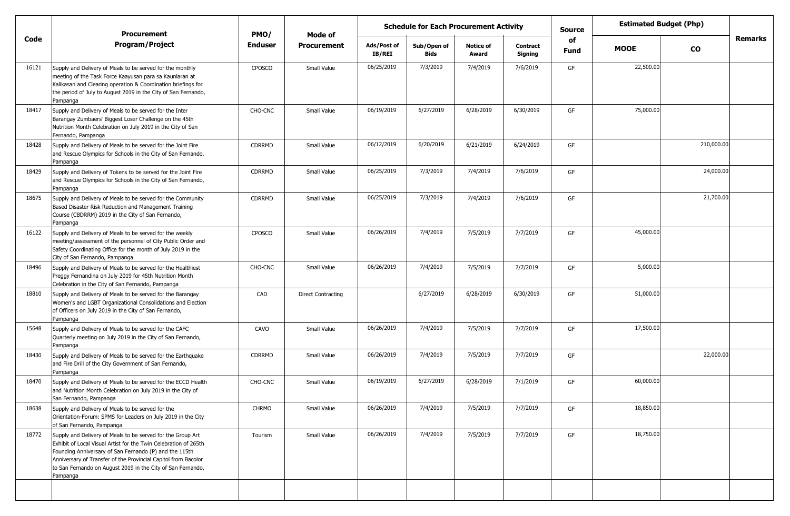|       | <b>Procurement</b>                                                                                                                                                                                                                                                                                                                     | PMO/           | Mode of            |                       | <b>Schedule for Each Procurement Activity</b> |                           |                            | <b>Source</b> | <b>Estimated Budget (Php)</b> |            |         |
|-------|----------------------------------------------------------------------------------------------------------------------------------------------------------------------------------------------------------------------------------------------------------------------------------------------------------------------------------------|----------------|--------------------|-----------------------|-----------------------------------------------|---------------------------|----------------------------|---------------|-------------------------------|------------|---------|
| Code  | <b>Program/Project</b>                                                                                                                                                                                                                                                                                                                 | <b>Enduser</b> | <b>Procurement</b> | Ads/Post of<br>IB/REI | Sub/Open of<br>Bids                           | <b>Notice of</b><br>Award | <b>Contract</b><br>Signing | of<br>Fund    | <b>MOOE</b>                   | <b>CO</b>  | Remarks |
| 16121 | Supply and Delivery of Meals to be served for the monthly<br>meeting of the Task Force Kaayusan para sa Kaunlaran at<br>Kalikasan and Clearing operation & Coordination briefings for<br>the period of July to August 2019 in the City of San Fernando,<br>Pampanga                                                                    | <b>CPOSCO</b>  | Small Value        | 06/25/2019            | 7/3/2019                                      | 7/4/2019                  | 7/6/2019                   | GF            | 22,500.00                     |            |         |
| 18417 | Supply and Delivery of Meals to be served for the Inter<br>Barangay Zumbaers' Biggest Loser Challenge on the 45th<br>Nutrition Month Celebration on July 2019 in the City of San<br>Fernando, Pampanga                                                                                                                                 | CHO-CNC        | Small Value        | 06/19/2019            | 6/27/2019                                     | 6/28/2019                 | 6/30/2019                  | GF            | 75,000.00                     |            |         |
| 18428 | Supply and Delivery of Meals to be served for the Joint Fire<br>and Rescue Olympics for Schools in the City of San Fernando,<br>Pampanga                                                                                                                                                                                               | CDRRMD         | Small Value        | 06/12/2019            | 6/20/2019                                     | 6/21/2019                 | 6/24/2019                  | GF            |                               | 210,000.00 |         |
| 18429 | Supply and Delivery of Tokens to be served for the Joint Fire<br>and Rescue Olympics for Schools in the City of San Fernando,<br>Pampanga                                                                                                                                                                                              | CDRRMD         | Small Value        | 06/25/2019            | 7/3/2019                                      | 7/4/2019                  | 7/6/2019                   | GF            |                               | 24,000.00  |         |
| 18675 | Supply and Delivery of Meals to be served for the Community<br>Based Disaster Risk Reduction and Management Training<br>Course (CBDRRM) 2019 in the City of San Fernando,<br>Pampanga                                                                                                                                                  | CDRRMD         | Small Value        | 06/25/2019            | 7/3/2019                                      | 7/4/2019                  | 7/6/2019                   | GF            |                               | 21,700.00  |         |
| 16122 | Supply and Delivery of Meals to be served for the weekly<br>meeting/assessment of the personnel of City Public Order and<br>Safety Coordinating Office for the month of July 2019 in the<br>City of San Fernando, Pampanga                                                                                                             | <b>CPOSCO</b>  | Small Value        | 06/26/2019            | 7/4/2019                                      | 7/5/2019                  | 7/7/2019                   | GF            | 45,000.00                     |            |         |
| 18496 | Supply and Delivery of Meals to be served for the Healthiest<br>Preggy Fernandina on July 2019 for 45th Nutrition Month<br>Celebration in the City of San Fernando, Pampanga                                                                                                                                                           | CHO-CNC        | Small Value        | 06/26/2019            | 7/4/2019                                      | 7/5/2019                  | 7/7/2019                   | GF            | 5,000.00                      |            |         |
| 18810 | Supply and Delivery of Meals to be served for the Barangay<br>Women's and LGBT Organizational Consolidations and Election<br>of Officers on July 2019 in the City of San Fernando,<br>Pampanga                                                                                                                                         | CAD            | Direct Contracting |                       | 6/27/2019                                     | 6/28/2019                 | 6/30/2019                  | GF            | 51,000.00                     |            |         |
| 15648 | Supply and Delivery of Meals to be served for the CAFC<br>Quarterly meeting on July 2019 in the City of San Fernando,<br>Pampanga                                                                                                                                                                                                      | CAVO           | Small Value        | 06/26/2019            | 7/4/2019                                      | 7/5/2019                  | 7/7/2019                   | GF            | 17,500.00                     |            |         |
| 18430 | Supply and Delivery of Meals to be served for the Earthquake<br>and Fire Drill of the City Government of San Fernando,<br>Pampanga                                                                                                                                                                                                     | CDRRMD         | Small Value        | 06/26/2019            | 7/4/2019                                      | 7/5/2019                  | 7/7/2019                   | GF            |                               | 22,000.00  |         |
| 18470 | Supply and Delivery of Meals to be served for the ECCD Health<br>and Nutrition Month Celebration on July 2019 in the City of<br>San Fernando, Pampanga                                                                                                                                                                                 | CHO-CNC        | Small Value        | 06/19/2019            | 6/27/2019                                     | 6/28/2019                 | 7/1/2019                   | GF            | 60,000.00                     |            |         |
| 18638 | Supply and Delivery of Meals to be served for the<br>Orientation-Forum: SPMS for Leaders on July 2019 in the City<br>of San Fernando, Pampanga                                                                                                                                                                                         | <b>CHRMO</b>   | Small Value        | 06/26/2019            | 7/4/2019                                      | 7/5/2019                  | 7/7/2019                   | GF            | 18,850.00                     |            |         |
| 18772 | Supply and Delivery of Meals to be served for the Group Art<br>Exhibit of Local Visual Artist for the Twin Celebration of 265th<br>Founding Anniversary of San Fernando (P) and the 115th<br>Anniversary of Transfer of the Provincial Capitol from Bacolor<br>to San Fernando on August 2019 in the City of San Fernando,<br>Pampanga | Tourism        | Small Value        | 06/26/2019            | 7/4/2019                                      | 7/5/2019                  | 7/7/2019                   | GF            | 18,750.00                     |            |         |
|       |                                                                                                                                                                                                                                                                                                                                        |                |                    |                       |                                               |                           |                            |               |                               |            |         |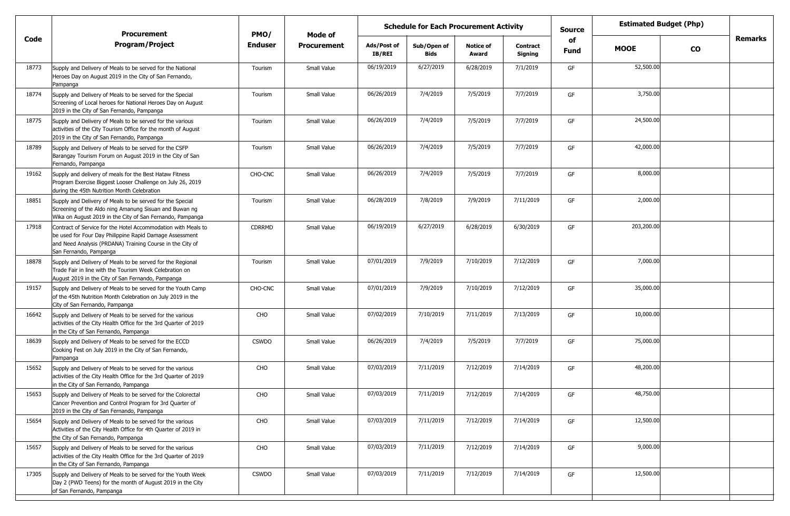|       | <b>Procurement</b>                                                                                                                                                                                              | PMO/           | Mode of            | <b>Schedule for Each Procurement Activity</b> |                     |                           | <b>Source</b>              | <b>Estimated Budget (Php)</b> |             |           |         |
|-------|-----------------------------------------------------------------------------------------------------------------------------------------------------------------------------------------------------------------|----------------|--------------------|-----------------------------------------------|---------------------|---------------------------|----------------------------|-------------------------------|-------------|-----------|---------|
| Code  | <b>Program/Project</b>                                                                                                                                                                                          | <b>Enduser</b> | <b>Procurement</b> | Ads/Post of<br>IB/REI                         | Sub/Open of<br>Bids | <b>Notice of</b><br>Award | <b>Contract</b><br>Signing | of<br>Fund                    | <b>MOOE</b> | <b>CO</b> | Remarks |
| 18773 | Supply and Delivery of Meals to be served for the National<br>Heroes Day on August 2019 in the City of San Fernando,<br>Pampanga                                                                                | Tourism        | Small Value        | 06/19/2019                                    | 6/27/2019           | 6/28/2019                 | 7/1/2019                   | GF                            | 52,500.00   |           |         |
| 18774 | Supply and Delivery of Meals to be served for the Special<br>Screening of Local heroes for National Heroes Day on August<br>2019 in the City of San Fernando, Pampanga                                          | Tourism        | Small Value        | 06/26/2019                                    | 7/4/2019            | 7/5/2019                  | 7/7/2019                   | GF                            | 3,750.00    |           |         |
| 18775 | Supply and Delivery of Meals to be served for the various<br>activities of the City Tourism Office for the month of August<br>2019 in the City of San Fernando, Pampanga                                        | Tourism        | Small Value        | 06/26/2019                                    | 7/4/2019            | 7/5/2019                  | 7/7/2019                   | GF                            | 24,500.00   |           |         |
| 18789 | Supply and Delivery of Meals to be served for the CSFP<br>Barangay Tourism Forum on August 2019 in the City of San<br>Fernando, Pampanga                                                                        | Tourism        | Small Value        | 06/26/2019                                    | 7/4/2019            | 7/5/2019                  | 7/7/2019                   | GF                            | 42,000.00   |           |         |
| 19162 | Supply and delivery of meals for the Best Hataw Fitness<br>Program Exercise Biggest Looser Challenge on July 26, 2019<br>during the 45th Nutrition Month Celebration                                            | CHO-CNC        | Small Value        | 06/26/2019                                    | 7/4/2019            | 7/5/2019                  | 7/7/2019                   | GF                            | 8,000.00    |           |         |
| 18851 | Supply and Delivery of Meals to be served for the Special<br>Screening of the Aldo ning Amanung Sisuan and Buwan ng<br>Wika on August 2019 in the City of San Fernando, Pampanga                                | Tourism        | Small Value        | 06/28/2019                                    | 7/8/2019            | 7/9/2019                  | 7/11/2019                  | GF                            | 2,000.00    |           |         |
| 17918 | Contract of Service for the Hotel Accommodation with Meals to<br>be used for Four Day Philippine Rapid Damage Assessment<br>and Need Analysis (PRDANA) Training Course in the City of<br>San Fernando, Pampanga | <b>CDRRMD</b>  | Small Value        | 06/19/2019                                    | 6/27/2019           | 6/28/2019                 | 6/30/2019                  | GF                            | 203,200.00  |           |         |
| 18878 | Supply and Delivery of Meals to be served for the Regional<br>Trade Fair in line with the Tourism Week Celebration on<br>August 2019 in the City of San Fernando, Pampanga                                      | Tourism        | Small Value        | 07/01/2019                                    | 7/9/2019            | 7/10/2019                 | 7/12/2019                  | GF                            | 7,000.00    |           |         |
| 19157 | Supply and Delivery of Meals to be served for the Youth Camp<br>of the 45th Nutrition Month Celebration on July 2019 in the<br>City of San Fernando, Pampanga                                                   | CHO-CNC        | Small Value        | 07/01/2019                                    | 7/9/2019            | 7/10/2019                 | 7/12/2019                  | GF                            | 35,000.00   |           |         |
| 16642 | Supply and Delivery of Meals to be served for the various<br>activities of the City Health Office for the 3rd Quarter of 2019<br>in the City of San Fernando, Pampanga                                          | CHO            | Small Value        | 07/02/2019                                    | 7/10/2019           | 7/11/2019                 | 7/13/2019                  | GF                            | 10,000.00   |           |         |
| 18639 | Supply and Delivery of Meals to be served for the ECCD<br>Cooking Fest on July 2019 in the City of San Fernando,<br>Pampanga                                                                                    | <b>CSWDO</b>   | Small Value        | 06/26/2019                                    | 7/4/2019            | 7/5/2019                  | 7/7/2019                   | GF                            | 75,000.00   |           |         |
| 15652 | Supply and Delivery of Meals to be served for the various<br>activities of the City Health Office for the 3rd Quarter of 2019<br>in the City of San Fernando, Pampanga                                          | CHO            | Small Value        | 07/03/2019                                    | 7/11/2019           | 7/12/2019                 | 7/14/2019                  | GF                            | 48,200.00   |           |         |
| 15653 | Supply and Delivery of Meals to be served for the Colorectal<br>Cancer Prevention and Control Program for 3rd Quarter of<br>2019 in the City of San Fernando, Pampanga                                          | CHO            | Small Value        | 07/03/2019                                    | 7/11/2019           | 7/12/2019                 | 7/14/2019                  | GF                            | 48,750.00   |           |         |
| 15654 | Supply and Delivery of Meals to be served for the various<br>Activities of the City Health Office for 4th Quarter of 2019 in<br>the City of San Fernando, Pampanga                                              | CHO            | Small Value        | 07/03/2019                                    | 7/11/2019           | 7/12/2019                 | 7/14/2019                  | GF                            | 12,500.00   |           |         |
| 15657 | Supply and Delivery of Meals to be served for the various<br>activities of the City Health Office for the 3rd Quarter of 2019<br>in the City of San Fernando, Pampanga                                          | CHO            | Small Value        | 07/03/2019                                    | 7/11/2019           | 7/12/2019                 | 7/14/2019                  | GF                            | 9,000.00    |           |         |
| 17305 | Supply and Delivery of Meals to be served for the Youth Week<br>Day 2 (PWD Teens) for the month of August 2019 in the City<br>of San Fernando, Pampanga                                                         | <b>CSWDO</b>   | Small Value        | 07/03/2019                                    | 7/11/2019           | 7/12/2019                 | 7/14/2019                  | GF                            | 12,500.00   |           |         |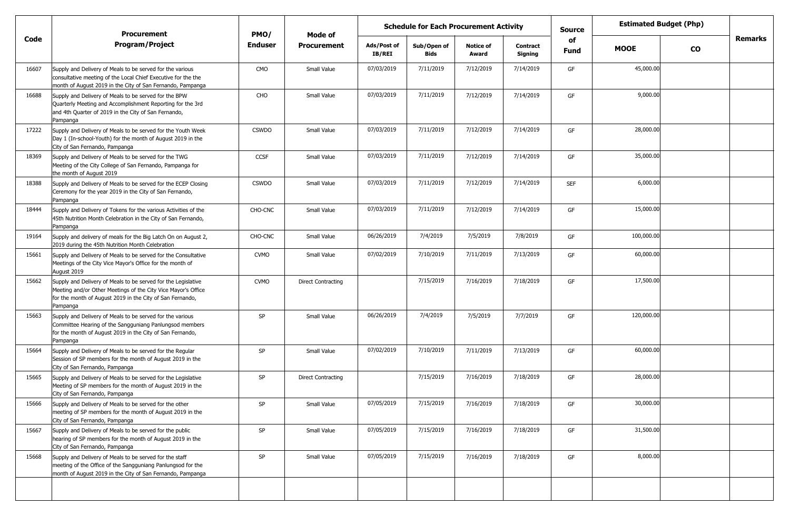|       | <b>Procurement</b>                                                                                                                                                                                      | PMO/           | <b>Mode of</b>            |                              | <b>Schedule for Each Procurement Activity</b> |                           |                            | <b>Source</b>     |             | <b>Estimated Budget (Php)</b> |                |
|-------|---------------------------------------------------------------------------------------------------------------------------------------------------------------------------------------------------------|----------------|---------------------------|------------------------------|-----------------------------------------------|---------------------------|----------------------------|-------------------|-------------|-------------------------------|----------------|
| Code  | <b>Program/Project</b>                                                                                                                                                                                  | <b>Enduser</b> | <b>Procurement</b>        | Ads/Post of<br><b>IB/REI</b> | Sub/Open of<br><b>Bids</b>                    | <b>Notice of</b><br>Award | <b>Contract</b><br>Signing | of<br><b>Fund</b> | <b>MOOE</b> | $\mathbf{co}$                 | <b>Remarks</b> |
| 16607 | Supply and Delivery of Meals to be served for the various<br>consultative meeting of the Local Chief Executive for the the<br>month of August 2019 in the City of San Fernando, Pampanga                | CMO            | Small Value               | 07/03/2019                   | 7/11/2019                                     | 7/12/2019                 | 7/14/2019                  | GF                | 45,000.00   |                               |                |
| 16688 | Supply and Delivery of Meals to be served for the BPW<br>Quarterly Meeting and Accomplishment Reporting for the 3rd<br>and 4th Quarter of 2019 in the City of San Fernando,<br>Pampanga                 | CHO            | Small Value               | 07/03/2019                   | 7/11/2019                                     | 7/12/2019                 | 7/14/2019                  | GF                | 9,000.00    |                               |                |
| 17222 | Supply and Delivery of Meals to be served for the Youth Week<br>Day 1 (In-school-Youth) for the month of August 2019 in the<br>City of San Fernando, Pampanga                                           | <b>CSWDO</b>   | Small Value               | 07/03/2019                   | 7/11/2019                                     | 7/12/2019                 | 7/14/2019                  | GF                | 28,000.00   |                               |                |
| 18369 | Supply and Delivery of Meals to be served for the TWG<br>Meeting of the City College of San Fernando, Pampanga for<br>the month of August 2019                                                          | <b>CCSF</b>    | Small Value               | 07/03/2019                   | 7/11/2019                                     | 7/12/2019                 | 7/14/2019                  | GF                | 35,000.00   |                               |                |
| 18388 | Supply and Delivery of Meals to be served for the ECEP Closing<br>Ceremony for the year 2019 in the City of San Fernando,<br>Pampanga                                                                   | <b>CSWDO</b>   | Small Value               | 07/03/2019                   | 7/11/2019                                     | 7/12/2019                 | 7/14/2019                  | <b>SEF</b>        | 6,000.00    |                               |                |
| 18444 | Supply and Delivery of Tokens for the various Activities of the<br>45th Nutrition Month Celebration in the City of San Fernando,<br>Pampanga                                                            | CHO-CNC        | Small Value               | 07/03/2019                   | 7/11/2019                                     | 7/12/2019                 | 7/14/2019                  | GF                | 15,000.00   |                               |                |
| 19164 | Supply and delivery of meals for the Big Latch On on August 2,<br>2019 during the 45th Nutrition Month Celebration                                                                                      | CHO-CNC        | Small Value               | 06/26/2019                   | 7/4/2019                                      | 7/5/2019                  | 7/8/2019                   | GF                | 100,000.00  |                               |                |
| 15661 | Supply and Delivery of Meals to be served for the Consultative<br>Meetings of the City Vice Mayor's Office for the month of<br>August 2019                                                              | <b>CVMO</b>    | Small Value               | 07/02/2019                   | 7/10/2019                                     | 7/11/2019                 | 7/13/2019                  | GF                | 60,000.00   |                               |                |
| 15662 | Supply and Delivery of Meals to be served for the Legislative<br>Meeting and/or Other Meetings of the City Vice Mayor's Office<br>for the month of August 2019 in the City of San Fernando,<br>Pampanga | <b>CVMO</b>    | <b>Direct Contracting</b> |                              | 7/15/2019                                     | 7/16/2019                 | 7/18/2019                  | GF                | 17,500.00   |                               |                |
| 15663 | Supply and Delivery of Meals to be served for the various<br>Committee Hearing of the Sangguniang Panlungsod members<br>for the month of August 2019 in the City of San Fernando,<br>Pampanga           | SP             | Small Value               | 06/26/2019                   | 7/4/2019                                      | 7/5/2019                  | 7/7/2019                   | GF                | 120,000.00  |                               |                |
| 15664 | Supply and Delivery of Meals to be served for the Regular<br>Session of SP members for the month of August 2019 in the<br>City of San Fernando, Pampanga                                                | SP             | Small Value               | 07/02/2019                   | 7/10/2019                                     | 7/11/2019                 | 7/13/2019                  | GF                | 60,000.00   |                               |                |
| 15665 | Supply and Delivery of Meals to be served for the Legislative<br>Meeting of SP members for the month of August 2019 in the<br>City of San Fernando, Pampanga                                            | SP             | <b>Direct Contracting</b> |                              | 7/15/2019                                     | 7/16/2019                 | 7/18/2019                  | GF                | 28,000.00   |                               |                |
| 15666 | Supply and Delivery of Meals to be served for the other<br>meeting of SP members for the month of August 2019 in the<br>City of San Fernando, Pampanga                                                  | SP             | Small Value               | 07/05/2019                   | 7/15/2019                                     | 7/16/2019                 | 7/18/2019                  | GF                | 30,000.00   |                               |                |
| 15667 | Supply and Delivery of Meals to be served for the public<br>hearing of SP members for the month of August 2019 in the<br>City of San Fernando, Pampanga                                                 | SP             | Small Value               | 07/05/2019                   | 7/15/2019                                     | 7/16/2019                 | 7/18/2019                  | GF                | 31,500.00   |                               |                |
| 15668 | Supply and Delivery of Meals to be served for the staff<br>meeting of the Office of the Sangguniang Panlungsod for the<br>month of August 2019 in the City of San Fernando, Pampanga                    | SP             | Small Value               | 07/05/2019                   | 7/15/2019                                     | 7/16/2019                 | 7/18/2019                  | GF                | 8,000.00    |                               |                |
|       |                                                                                                                                                                                                         |                |                           |                              |                                               |                           |                            |                   |             |                               |                |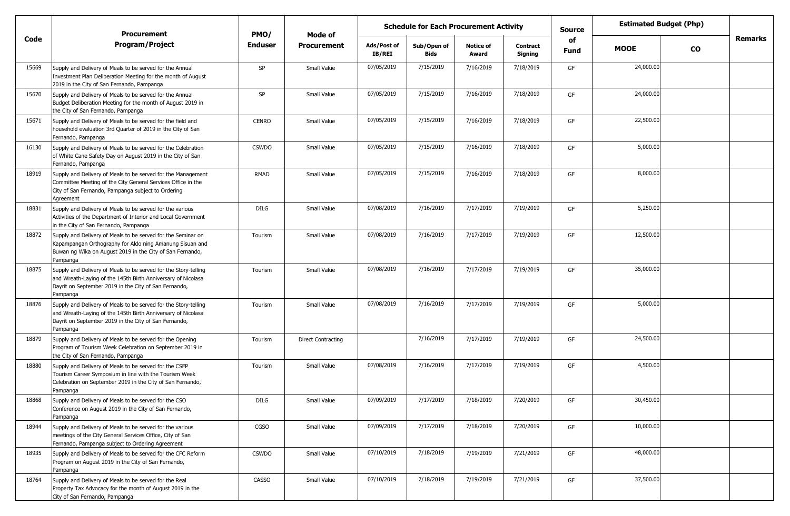|       | <b>Procurement</b>                                                                                                                                                                                   | PMO/           | Mode of                   |                       | <b>Schedule for Each Procurement Activity</b> |                           |                            | <b>Source</b>     |             | <b>Estimated Budget (Php)</b> |         |
|-------|------------------------------------------------------------------------------------------------------------------------------------------------------------------------------------------------------|----------------|---------------------------|-----------------------|-----------------------------------------------|---------------------------|----------------------------|-------------------|-------------|-------------------------------|---------|
| Code  | <b>Program/Project</b>                                                                                                                                                                               | <b>Enduser</b> | <b>Procurement</b>        | Ads/Post of<br>IB/REI | Sub/Open of<br><b>Bids</b>                    | <b>Notice of</b><br>Award | <b>Contract</b><br>Signing | of<br><b>Fund</b> | <b>MOOE</b> | <b>CO</b>                     | Remarks |
| 15669 | Supply and Delivery of Meals to be served for the Annual<br>Investment Plan Deliberation Meeting for the month of August<br>2019 in the City of San Fernando, Pampanga                               | SP             | Small Value               | 07/05/2019            | 7/15/2019                                     | 7/16/2019                 | 7/18/2019                  | GF                | 24,000.00   |                               |         |
| 15670 | Supply and Delivery of Meals to be served for the Annual<br>Budget Deliberation Meeting for the month of August 2019 in<br>the City of San Fernando, Pampanga                                        | SP             | Small Value               | 07/05/2019            | 7/15/2019                                     | 7/16/2019                 | 7/18/2019                  | GF                | 24,000.00   |                               |         |
| 15671 | Supply and Delivery of Meals to be served for the field and<br>household evaluation 3rd Quarter of 2019 in the City of San<br>Fernando, Pampanga                                                     | <b>CENRO</b>   | Small Value               | 07/05/2019            | 7/15/2019                                     | 7/16/2019                 | 7/18/2019                  | GF                | 22,500.00   |                               |         |
| 16130 | Supply and Delivery of Meals to be served for the Celebration<br>of White Cane Safety Day on August 2019 in the City of San<br>Fernando, Pampanga                                                    | <b>CSWDO</b>   | Small Value               | 07/05/2019            | 7/15/2019                                     | 7/16/2019                 | 7/18/2019                  | GF                | 5,000.00    |                               |         |
| 18919 | Supply and Delivery of Meals to be served for the Management<br>Committee Meeting of the City General Services Office in the<br>City of San Fernando, Pampanga subject to Ordering<br>Agreement      | RMAD           | Small Value               | 07/05/2019            | 7/15/2019                                     | 7/16/2019                 | 7/18/2019                  | GF                | 8,000.00    |                               |         |
| 18831 | Supply and Delivery of Meals to be served for the various<br>Activities of the Department of Interior and Local Government<br>in the City of San Fernando, Pampanga                                  | <b>DILG</b>    | Small Value               | 07/08/2019            | 7/16/2019                                     | 7/17/2019                 | 7/19/2019                  | GF                | 5,250.00    |                               |         |
| 18872 | Supply and Delivery of Meals to be served for the Seminar on<br>Kapampangan Orthography for Aldo ning Amanung Sisuan and<br>Buwan ng Wika on August 2019 in the City of San Fernando,<br>Pampanga    | Tourism        | Small Value               | 07/08/2019            | 7/16/2019                                     | 7/17/2019                 | 7/19/2019                  | GF                | 12,500.00   |                               |         |
| 18875 | Supply and Delivery of Meals to be served for the Story-telling<br>and Wreath-Laying of the 145th Birth Anniversary of Nicolasa<br>Dayrit on September 2019 in the City of San Fernando,<br>Pampanga | Tourism        | Small Value               | 07/08/2019            | 7/16/2019                                     | 7/17/2019                 | 7/19/2019                  | GF                | 35,000.00   |                               |         |
| 18876 | Supply and Delivery of Meals to be served for the Story-telling<br>and Wreath-Laying of the 145th Birth Anniversary of Nicolasa<br>Dayrit on September 2019 in the City of San Fernando,<br>Pampanga | Tourism        | Small Value               | 07/08/2019            | 7/16/2019                                     | 7/17/2019                 | 7/19/2019                  | GF                | 5,000.00    |                               |         |
| 18879 | Supply and Delivery of Meals to be served for the Opening<br>Program of Tourism Week Celebration on September 2019 in<br>the City of San Fernando, Pampanga                                          | Tourism        | <b>Direct Contracting</b> |                       | 7/16/2019                                     | 7/17/2019                 | 7/19/2019                  | GF                | 24,500.00   |                               |         |
| 18880 | Supply and Delivery of Meals to be served for the CSFP<br>Tourism Career Symposium in line with the Tourism Week<br>Celebration on September 2019 in the City of San Fernando,<br>Pampanga           | Tourism        | Small Value               | 07/08/2019            | 7/16/2019                                     | 7/17/2019                 | 7/19/2019                  | GF                | 4,500.00    |                               |         |
| 18868 | Supply and Delivery of Meals to be served for the CSO<br>Conference on August 2019 in the City of San Fernando,<br>Pampanga                                                                          | DILG           | Small Value               | 07/09/2019            | 7/17/2019                                     | 7/18/2019                 | 7/20/2019                  | GF                | 30,450.00   |                               |         |
| 18944 | Supply and Delivery of Meals to be served for the various<br>meetings of the City General Services Office, City of San<br>Fernando, Pampanga subject to Ordering Agreement                           | CGSO           | Small Value               | 07/09/2019            | 7/17/2019                                     | 7/18/2019                 | 7/20/2019                  | GF                | 10,000.00   |                               |         |
| 18935 | Supply and Delivery of Meals to be served for the CFC Reform<br>Program on August 2019 in the City of San Fernando,<br>Pampanga                                                                      | <b>CSWDO</b>   | Small Value               | 07/10/2019            | 7/18/2019                                     | 7/19/2019                 | 7/21/2019                  | GF                | 48,000.00   |                               |         |
| 18764 | Supply and Delivery of Meals to be served for the Real<br>Property Tax Advocacy for the month of August 2019 in the<br>City of San Fernando, Pampanga                                                | <b>CASSO</b>   | Small Value               | 07/10/2019            | 7/18/2019                                     | 7/19/2019                 | 7/21/2019                  | GF                | 37,500.00   |                               |         |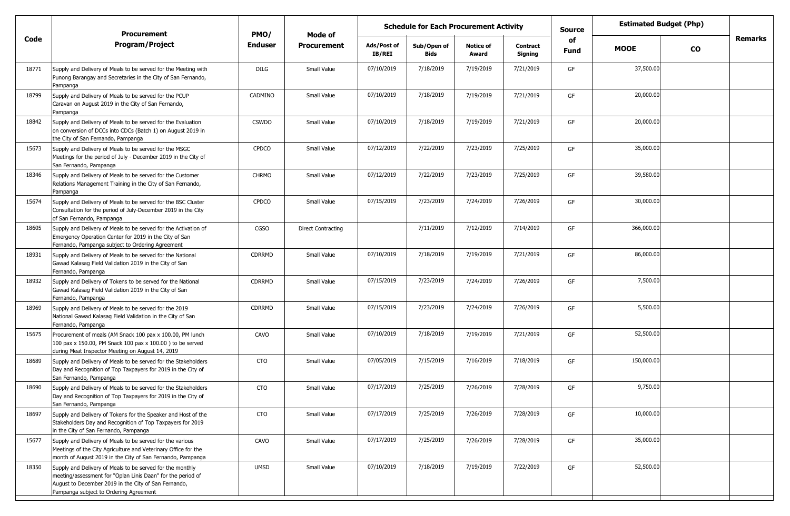|       | <b>Procurement</b>                                                                                                                                                                                                         | PMO/           | Mode of                   | <b>Schedule for Each Procurement Activity</b> |                            |                           |                            | <b>Estimated Budget (Php)</b><br><b>Source</b> |             |           |                |
|-------|----------------------------------------------------------------------------------------------------------------------------------------------------------------------------------------------------------------------------|----------------|---------------------------|-----------------------------------------------|----------------------------|---------------------------|----------------------------|------------------------------------------------|-------------|-----------|----------------|
| Code  | <b>Program/Project</b>                                                                                                                                                                                                     | <b>Enduser</b> | <b>Procurement</b>        | Ads/Post of<br><b>IB/REI</b>                  | Sub/Open of<br><b>Bids</b> | <b>Notice of</b><br>Award | <b>Contract</b><br>Signing | of<br>Fund                                     | <b>MOOE</b> | <b>CO</b> | <b>Remarks</b> |
| 18771 | Supply and Delivery of Meals to be served for the Meeting with<br>Punong Barangay and Secretaries in the City of San Fernando,<br>Pampanga                                                                                 | <b>DILG</b>    | Small Value               | 07/10/2019                                    | 7/18/2019                  | 7/19/2019                 | 7/21/2019                  | GF                                             | 37,500.00   |           |                |
| 18799 | Supply and Delivery of Meals to be served for the PCUP<br>Caravan on August 2019 in the City of San Fernando,<br>Pampanga                                                                                                  | CADMINO        | Small Value               | 07/10/2019                                    | 7/18/2019                  | 7/19/2019                 | 7/21/2019                  | GF                                             | 20,000.00   |           |                |
| 18842 | Supply and Delivery of Meals to be served for the Evaluation<br>on conversion of DCCs into CDCs (Batch 1) on August 2019 in<br>the City of San Fernando, Pampanga                                                          | <b>CSWDO</b>   | Small Value               | 07/10/2019                                    | 7/18/2019                  | 7/19/2019                 | 7/21/2019                  | GF                                             | 20,000.00   |           |                |
| 15673 | Supply and Delivery of Meals to be served for the MSGC<br>Meetings for the period of July - December 2019 in the City of<br>San Fernando, Pampanga                                                                         | CPDCO          | Small Value               | 07/12/2019                                    | 7/22/2019                  | 7/23/2019                 | 7/25/2019                  | GF                                             | 35,000.00   |           |                |
| 18346 | Supply and Delivery of Meals to be served for the Customer<br>Relations Management Training in the City of San Fernando,<br>Pampanga                                                                                       | <b>CHRMO</b>   | Small Value               | 07/12/2019                                    | 7/22/2019                  | 7/23/2019                 | 7/25/2019                  | GF                                             | 39,580.00   |           |                |
| 15674 | Supply and Delivery of Meals to be served for the BSC Cluster<br>Consultation for the period of July-December 2019 in the City<br>of San Fernando, Pampanga                                                                | <b>CPDCO</b>   | Small Value               | 07/15/2019                                    | 7/23/2019                  | 7/24/2019                 | 7/26/2019                  | GF                                             | 30,000.00   |           |                |
| 18605 | Supply and Delivery of Meals to be served for the Activation of<br>Emergency Operation Center for 2019 in the City of San<br>Fernando, Pampanga subject to Ordering Agreement                                              | CGSO           | <b>Direct Contracting</b> |                                               | 7/11/2019                  | 7/12/2019                 | 7/14/2019                  | GF                                             | 366,000.00  |           |                |
| 18931 | Supply and Delivery of Meals to be served for the National<br>Gawad Kalasag Field Validation 2019 in the City of San<br>Fernando, Pampanga                                                                                 | <b>CDRRMD</b>  | Small Value               | 07/10/2019                                    | 7/18/2019                  | 7/19/2019                 | 7/21/2019                  | GF                                             | 86,000.00   |           |                |
| 18932 | Supply and Delivery of Tokens to be served for the National<br>Gawad Kalasag Field Validation 2019 in the City of San<br>Fernando, Pampanga                                                                                | <b>CDRRMD</b>  | Small Value               | 07/15/2019                                    | 7/23/2019                  | 7/24/2019                 | 7/26/2019                  | GF                                             | 7,500.00    |           |                |
| 18969 | Supply and Delivery of Meals to be served for the 2019<br>National Gawad Kalasag Field Validation in the City of San<br>Fernando, Pampanga                                                                                 | <b>CDRRMD</b>  | Small Value               | 07/15/2019                                    | 7/23/2019                  | 7/24/2019                 | 7/26/2019                  | GF                                             | 5,500.00    |           |                |
| 15675 | Procurement of meals (AM Snack 100 pax x 100.00, PM lunch<br>100 pax x 150.00, PM Snack 100 pax x 100.00) to be served<br>during Meat Inspector Meeting on August 14, 2019                                                 | CAVO           | Small Value               | 07/10/2019                                    | 7/18/2019                  | 7/19/2019                 | 7/21/2019                  | GF                                             | 52,500.00   |           |                |
| 18689 | Supply and Delivery of Meals to be served for the Stakeholders<br>Day and Recognition of Top Taxpayers for 2019 in the City of<br>San Fernando, Pampanga                                                                   | <b>CTO</b>     | Small Value               | 07/05/2019                                    | 7/15/2019                  | 7/16/2019                 | 7/18/2019                  | GF                                             | 150,000.00  |           |                |
| 18690 | Supply and Delivery of Meals to be served for the Stakeholders<br>Day and Recognition of Top Taxpayers for 2019 in the City of<br>San Fernando, Pampanga                                                                   | <b>CTO</b>     | Small Value               | 07/17/2019                                    | 7/25/2019                  | 7/26/2019                 | 7/28/2019                  | GF                                             | 9,750.00    |           |                |
| 18697 | Supply and Delivery of Tokens for the Speaker and Host of the<br>Stakeholders Day and Recognition of Top Taxpayers for 2019<br>in the City of San Fernando, Pampanga                                                       | <b>CTO</b>     | Small Value               | 07/17/2019                                    | 7/25/2019                  | 7/26/2019                 | 7/28/2019                  | GF                                             | 10,000.00   |           |                |
| 15677 | Supply and Delivery of Meals to be served for the various<br>Meetings of the City Agriculture and Veterinary Office for the<br>month of August 2019 in the City of San Fernando, Pampanga                                  | CAVO           | Small Value               | 07/17/2019                                    | 7/25/2019                  | 7/26/2019                 | 7/28/2019                  | GF                                             | 35,000.00   |           |                |
| 18350 | Supply and Delivery of Meals to be served for the monthly<br>meeting/assessment for "Oplan Linis Daan" for the period of<br>August to December 2019 in the City of San Fernando,<br>Pampanga subject to Ordering Agreement | <b>UMSD</b>    | Small Value               | 07/10/2019                                    | 7/18/2019                  | 7/19/2019                 | 7/22/2019                  | GF                                             | 52,500.00   |           |                |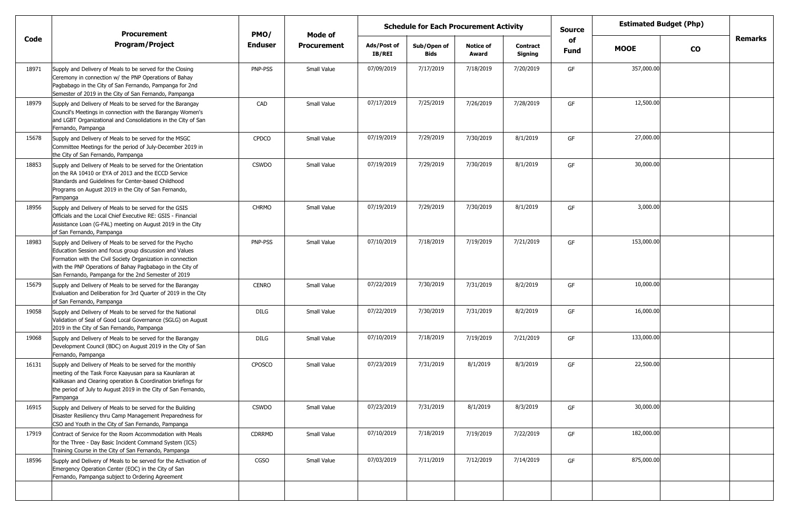|       | <b>Procurement</b>                                                                                                                                                                                                                                                                                     | PMO/           | Mode of            |                       | <b>Schedule for Each Procurement Activity</b> |                           |                            | <b>Source</b>     |             | <b>Estimated Budget (Php)</b> |         |
|-------|--------------------------------------------------------------------------------------------------------------------------------------------------------------------------------------------------------------------------------------------------------------------------------------------------------|----------------|--------------------|-----------------------|-----------------------------------------------|---------------------------|----------------------------|-------------------|-------------|-------------------------------|---------|
| Code  | <b>Program/Project</b>                                                                                                                                                                                                                                                                                 | <b>Enduser</b> | <b>Procurement</b> | Ads/Post of<br>IB/REI | Sub/Open of<br>Bids                           | <b>Notice of</b><br>Award | <b>Contract</b><br>Signing | of<br><b>Fund</b> | <b>MOOE</b> | $\mathbf{co}$                 | Remarks |
| 18971 | Supply and Delivery of Meals to be served for the Closing<br>Ceremony in connection w/ the PNP Operations of Bahay<br>Pagbabago in the City of San Fernando, Pampanga for 2nd<br>Semester of 2019 in the City of San Fernando, Pampanga                                                                | PNP-PSS        | Small Value        | 07/09/2019            | 7/17/2019                                     | 7/18/2019                 | 7/20/2019                  | GF                | 357,000.00  |                               |         |
| 18979 | Supply and Delivery of Meals to be served for the Barangay<br>Council's Meetings in connection with the Barangay Women's<br>and LGBT Organizational and Consolidations in the City of San<br>Fernando, Pampanga                                                                                        | CAD            | Small Value        | 07/17/2019            | 7/25/2019                                     | 7/26/2019                 | 7/28/2019                  | GF                | 12,500.00   |                               |         |
| 15678 | Supply and Delivery of Meals to be served for the MSGC<br>Committee Meetings for the period of July-December 2019 in<br>the City of San Fernando, Pampanga                                                                                                                                             | <b>CPDCO</b>   | Small Value        | 07/19/2019            | 7/29/2019                                     | 7/30/2019                 | 8/1/2019                   | GF                | 27,000.00   |                               |         |
| 18853 | Supply and Delivery of Meals to be served for the Orientation<br>on the RA 10410 or EYA of 2013 and the ECCD Service<br>Standards and Guidelines for Center-based Childhood<br>Programs on August 2019 in the City of San Fernando,<br>Pampanga                                                        | <b>CSWDO</b>   | Small Value        | 07/19/2019            | 7/29/2019                                     | 7/30/2019                 | 8/1/2019                   | GF                | 30,000.00   |                               |         |
| 18956 | Supply and Delivery of Meals to be served for the GSIS<br>Officials and the Local Chief Executive RE: GSIS - Financial<br>Assistance Loan (G-FAL) meeting on August 2019 in the City<br>of San Fernando, Pampanga                                                                                      | <b>CHRMO</b>   | Small Value        | 07/19/2019            | 7/29/2019                                     | 7/30/2019                 | 8/1/2019                   | GF                | 3,000.00    |                               |         |
| 18983 | Supply and Delivery of Meals to be served for the Psycho<br>Education Session and focus group discussion and Values<br>Formation with the Civil Society Organization in connection<br>with the PNP Operations of Bahay Pagbabago in the City of<br>San Fernando, Pampanga for the 2nd Semester of 2019 | PNP-PSS        | Small Value        | 07/10/2019            | 7/18/2019                                     | 7/19/2019                 | 7/21/2019                  | GF                | 153,000.00  |                               |         |
| 15679 | Supply and Delivery of Meals to be served for the Barangay<br>Evaluation and Deliberation for 3rd Quarter of 2019 in the City<br>of San Fernando, Pampanga                                                                                                                                             | <b>CENRO</b>   | Small Value        | 07/22/2019            | 7/30/2019                                     | 7/31/2019                 | 8/2/2019                   | GF                | 10,000.00   |                               |         |
| 19058 | Supply and Delivery of Meals to be served for the National<br>Validation of Seal of Good Local Governance (SGLG) on August<br>2019 in the City of San Fernando, Pampanga                                                                                                                               | DILG           | Small Value        | 07/22/2019            | 7/30/2019                                     | 7/31/2019                 | 8/2/2019                   | GF                | 16,000.00   |                               |         |
| 19068 | Supply and Delivery of Meals to be served for the Barangay<br>Development Council (BDC) on August 2019 in the City of San<br>Fernando, Pampanga                                                                                                                                                        | <b>DILG</b>    | Small Value        | 07/10/2019            | 7/18/2019                                     | 7/19/2019                 | 7/21/2019                  | GF                | 133,000.00  |                               |         |
| 16131 | Supply and Delivery of Meals to be served for the monthly<br>meeting of the Task Force Kaayusan para sa Kaunlaran at<br>Kalikasan and Clearing operation & Coordination briefings for<br>the period of July to August 2019 in the City of San Fernando,<br>Pampanga                                    | <b>CPOSCO</b>  | Small Value        | 07/23/2019            | 7/31/2019                                     | 8/1/2019                  | 8/3/2019                   | GF                | 22,500.00   |                               |         |
| 16915 | Supply and Delivery of Meals to be served for the Building<br>Disaster Resiliency thru Camp Management Preparedness for<br>CSO and Youth in the City of San Fernando, Pampanga                                                                                                                         | <b>CSWDO</b>   | Small Value        | 07/23/2019            | 7/31/2019                                     | 8/1/2019                  | 8/3/2019                   | GF                | 30,000.00   |                               |         |
| 17919 | Contract of Service for the Room Accommodation with Meals<br>for the Three - Day Basic Incident Command System (ICS)<br>Training Course in the City of San Fernando, Pampanga                                                                                                                          | <b>CDRRMD</b>  | Small Value        | 07/10/2019            | 7/18/2019                                     | 7/19/2019                 | 7/22/2019                  | GF                | 182,000.00  |                               |         |
| 18596 | Supply and Delivery of Meals to be served for the Activation of<br>Emergency Operation Center (EOC) in the City of San<br>Fernando, Pampanga subject to Ordering Agreement                                                                                                                             | <b>CGSO</b>    | Small Value        | 07/03/2019            | 7/11/2019                                     | 7/12/2019                 | 7/14/2019                  | GF                | 875,000.00  |                               |         |
|       |                                                                                                                                                                                                                                                                                                        |                |                    |                       |                                               |                           |                            |                   |             |                               |         |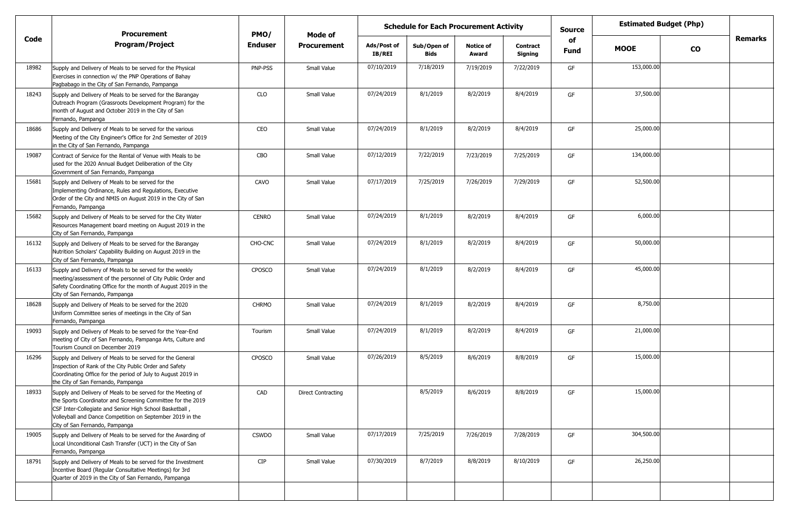|       | <b>Procurement</b>                                                                                                                                                                                                                                                                    | PMO/           | Mode of                   |                       | <b>Schedule for Each Procurement Activity</b> |                           |                     | <b>Estimated Budget (Php)</b><br>Source<br>of |             |               |                |
|-------|---------------------------------------------------------------------------------------------------------------------------------------------------------------------------------------------------------------------------------------------------------------------------------------|----------------|---------------------------|-----------------------|-----------------------------------------------|---------------------------|---------------------|-----------------------------------------------|-------------|---------------|----------------|
| Code  | <b>Program/Project</b>                                                                                                                                                                                                                                                                | <b>Enduser</b> | <b>Procurement</b>        | Ads/Post of<br>IB/REI | Sub/Open of<br>Bids                           | <b>Notice of</b><br>Award | Contract<br>Signing | Fund                                          | <b>MOOE</b> | $\mathbf{co}$ | <b>Remarks</b> |
| 18982 | Supply and Delivery of Meals to be served for the Physical<br>Exercises in connection w/ the PNP Operations of Bahay<br>Pagbabago in the City of San Fernando, Pampanga                                                                                                               | PNP-PSS        | Small Value               | 07/10/2019            | 7/18/2019                                     | 7/19/2019                 | 7/22/2019           | GF                                            | 153,000.00  |               |                |
| 18243 | Supply and Delivery of Meals to be served for the Barangay<br>Outreach Program (Grassroots Development Program) for the<br>month of August and October 2019 in the City of San<br>Fernando, Pampanga                                                                                  | <b>CLO</b>     | Small Value               | 07/24/2019            | 8/1/2019                                      | 8/2/2019                  | 8/4/2019            | GF                                            | 37,500.00   |               |                |
| 18686 | Supply and Delivery of Meals to be served for the various<br>Meeting of the City Engineer's Office for 2nd Semester of 2019<br>in the City of San Fernando, Pampanga                                                                                                                  | CEO            | Small Value               | 07/24/2019            | 8/1/2019                                      | 8/2/2019                  | 8/4/2019            | GF                                            | 25,000.00   |               |                |
| 19087 | Contract of Service for the Rental of Venue with Meals to be<br>used for the 2020 Annual Budget Deliberation of the City<br>Government of San Fernando, Pampanga                                                                                                                      | CBO            | Small Value               | 07/12/2019            | 7/22/2019                                     | 7/23/2019                 | 7/25/2019           | GF                                            | 134,000.00  |               |                |
| 15681 | Supply and Delivery of Meals to be served for the<br>Implementing Ordinance, Rules and Regulations, Executive<br>Order of the City and NMIS on August 2019 in the City of San<br>Fernando, Pampanga                                                                                   | CAVO           | Small Value               | 07/17/2019            | 7/25/2019                                     | 7/26/2019                 | 7/29/2019           | GF                                            | 52,500.00   |               |                |
| 15682 | Supply and Delivery of Meals to be served for the City Water<br>Resources Management board meeting on August 2019 in the<br>City of San Fernando, Pampanga                                                                                                                            | <b>CENRO</b>   | Small Value               | 07/24/2019            | 8/1/2019                                      | 8/2/2019                  | 8/4/2019            | GF                                            | 6,000.00    |               |                |
| 16132 | Supply and Delivery of Meals to be served for the Barangay<br>Nutrition Scholars' Capability Building on August 2019 in the<br>City of San Fernando, Pampanga                                                                                                                         | CHO-CNC        | Small Value               | 07/24/2019            | 8/1/2019                                      | 8/2/2019                  | 8/4/2019            | GF                                            | 50,000.00   |               |                |
| 16133 | Supply and Delivery of Meals to be served for the weekly<br>meeting/assessment of the personnel of City Public Order and<br>Safety Coordinating Office for the month of August 2019 in the<br>City of San Fernando, Pampanga                                                          | <b>CPOSCO</b>  | Small Value               | 07/24/2019            | 8/1/2019                                      | 8/2/2019                  | 8/4/2019            | GF                                            | 45,000.00   |               |                |
| 18628 | Supply and Delivery of Meals to be served for the 2020<br>Uniform Committee series of meetings in the City of San<br>Fernando, Pampanga                                                                                                                                               | <b>CHRMO</b>   | Small Value               | 07/24/2019            | 8/1/2019                                      | 8/2/2019                  | 8/4/2019            | GF                                            | 8,750.00    |               |                |
| 19093 | Supply and Delivery of Meals to be served for the Year-End<br>meeting of City of San Fernando, Pampanga Arts, Culture and<br>Tourism Council on December 2019                                                                                                                         | Tourism        | Small Value               | 07/24/2019            | 8/1/2019                                      | 8/2/2019                  | 8/4/2019            | GF                                            | 21,000.00   |               |                |
| 16296 | Supply and Delivery of Meals to be served for the General<br>Inspection of Rank of the City Public Order and Safety<br>Coordinating Office for the period of July to August 2019 in<br>the City of San Fernando, Pampanga                                                             | CPOSCO         | Small Value               | 07/26/2019            | 8/5/2019                                      | 8/6/2019                  | 8/8/2019            | GF                                            | 15,000.00   |               |                |
| 18933 | Supply and Delivery of Meals to be served for the Meeting of<br>the Sports Coordinator and Screening Committee for the 2019<br>CSF Inter-Collegiate and Senior High School Basketball,<br>Volleyball and Dance Competition on September 2019 in the<br>City of San Fernando, Pampanga | CAD            | <b>Direct Contracting</b> |                       | 8/5/2019                                      | 8/6/2019                  | 8/8/2019            | GF                                            | 15,000.00   |               |                |
| 19005 | Supply and Delivery of Meals to be served for the Awarding of<br>Local Unconditional Cash Transfer (UCT) in the City of San<br>Fernando, Pampanga                                                                                                                                     | <b>CSWDO</b>   | Small Value               | 07/17/2019            | 7/25/2019                                     | 7/26/2019                 | 7/28/2019           | GF                                            | 304,500.00  |               |                |
| 18791 | Supply and Delivery of Meals to be served for the Investment<br>Incentive Board (Regular Consultative Meetings) for 3rd<br>Quarter of 2019 in the City of San Fernando, Pampanga                                                                                                      | <b>CIP</b>     | Small Value               | 07/30/2019            | 8/7/2019                                      | 8/8/2019                  | 8/10/2019           | GF                                            | 26,250.00   |               |                |
|       |                                                                                                                                                                                                                                                                                       |                |                           |                       |                                               |                           |                     |                                               |             |               |                |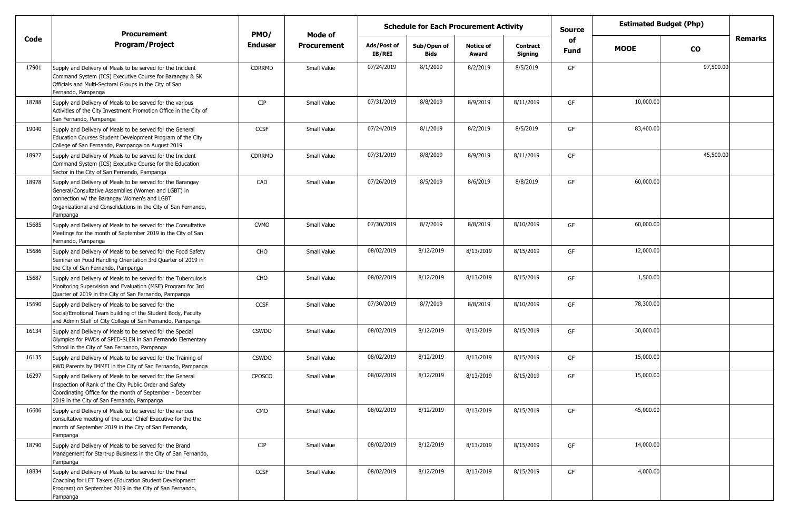|       | <b>Procurement</b>                                                                                                                                                                                                                             | PMO/          | Mode of            | <b>Schedule for Each Procurement Activity</b> |                            |                           |                            | <b>Source</b> |             | <b>Estimated Budget (Php)</b> |                |
|-------|------------------------------------------------------------------------------------------------------------------------------------------------------------------------------------------------------------------------------------------------|---------------|--------------------|-----------------------------------------------|----------------------------|---------------------------|----------------------------|---------------|-------------|-------------------------------|----------------|
| Code  | <b>Program/Project</b>                                                                                                                                                                                                                         | Enduser       | <b>Procurement</b> | Ads/Post of<br><b>IB/REI</b>                  | Sub/Open of<br><b>Bids</b> | <b>Notice of</b><br>Award | <b>Contract</b><br>Signing | of<br>Fund    | <b>MOOE</b> | $\mathbf{co}$                 | <b>Remarks</b> |
| 17901 | Supply and Delivery of Meals to be served for the Incident<br>Command System (ICS) Executive Course for Barangay & SK<br>Officials and Multi-Sectoral Groups in the City of San<br>Fernando, Pampanga                                          | CDRRMD        | Small Value        | 07/24/2019                                    | 8/1/2019                   | 8/2/2019                  | 8/5/2019                   | GF            |             | 97,500.00                     |                |
| 18788 | Supply and Delivery of Meals to be served for the various<br>Activities of the City Investment Promotion Office in the City of<br>San Fernando, Pampanga                                                                                       | <b>CIP</b>    | Small Value        | 07/31/2019                                    | 8/8/2019                   | 8/9/2019                  | 8/11/2019                  | GF            | 10,000.00   |                               |                |
| 19040 | Supply and Delivery of Meals to be served for the General<br>Education Courses Student Development Program of the City<br>College of San Fernando, Pampanga on August 2019                                                                     | CCSF          | Small Value        | 07/24/2019                                    | 8/1/2019                   | 8/2/2019                  | 8/5/2019                   | GF            | 83,400.00   |                               |                |
| 18927 | Supply and Delivery of Meals to be served for the Incident<br>Command System (ICS) Executive Course for the Education<br>Sector in the City of San Fernando, Pampanga                                                                          | CDRRMD        | Small Value        | 07/31/2019                                    | 8/8/2019                   | 8/9/2019                  | 8/11/2019                  | GF            |             | 45,500.00                     |                |
| 18978 | Supply and Delivery of Meals to be served for the Barangay<br>General/Consultative Assemblies (Women and LGBT) in<br>connection w/ the Barangay Women's and LGBT<br>Organizational and Consolidations in the City of San Fernando,<br>Pampanga | CAD           | Small Value        | 07/26/2019                                    | 8/5/2019                   | 8/6/2019                  | 8/8/2019                   | GF            | 60,000.00   |                               |                |
| 15685 | Supply and Delivery of Meals to be served for the Consultative<br>Meetings for the month of September 2019 in the City of San<br>Fernando, Pampanga                                                                                            | <b>CVMO</b>   | Small Value        | 07/30/2019                                    | 8/7/2019                   | 8/8/2019                  | 8/10/2019                  | GF            | 60,000.00   |                               |                |
| 15686 | Supply and Delivery of Meals to be served for the Food Safety<br>Seminar on Food Handling Orientation 3rd Quarter of 2019 in<br>the City of San Fernando, Pampanga                                                                             | CHO           | Small Value        | 08/02/2019                                    | 8/12/2019                  | 8/13/2019                 | 8/15/2019                  | GF            | 12,000.00   |                               |                |
| 15687 | Supply and Delivery of Meals to be served for the Tuberculosis<br>Monitoring Supervision and Evaluation (MSE) Program for 3rd<br>Quarter of 2019 in the City of San Fernando, Pampanga                                                         | CHO           | Small Value        | 08/02/2019                                    | 8/12/2019                  | 8/13/2019                 | 8/15/2019                  | GF            | 1,500.00    |                               |                |
| 15690 | Supply and Delivery of Meals to be served for the<br>Social/Emotional Team building of the Student Body, Faculty<br>and Admin Staff of City College of San Fernando, Pampanga                                                                  | CCSF          | Small Value        | 07/30/2019                                    | 8/7/2019                   | 8/8/2019                  | 8/10/2019                  | GF            | 78,300.00   |                               |                |
| 16134 | Supply and Delivery of Meals to be served for the Special<br>Olympics for PWDs of SPED-SLEN in San Fernando Elementary<br>School in the City of San Fernando, Pampanga                                                                         | <b>CSWDO</b>  | Small Value        | 08/02/2019                                    | 8/12/2019                  | 8/13/2019                 | 8/15/2019                  | GF            | 30,000.00   |                               |                |
| 16135 | Supply and Delivery of Meals to be served for the Training of<br>PWD Parents by IMMFI in the City of San Fernando, Pampanga                                                                                                                    | <b>CSWDO</b>  | Small Value        | 08/02/2019                                    | 8/12/2019                  | 8/13/2019                 | 8/15/2019                  | GF            | 15,000.00   |                               |                |
| 16297 | Supply and Delivery of Meals to be served for the General<br>Inspection of Rank of the City Public Order and Safety<br>Coordinating Office for the month of September - December<br>2019 in the City of San Fernando, Pampanga                 | <b>CPOSCO</b> | Small Value        | 08/02/2019                                    | 8/12/2019                  | 8/13/2019                 | 8/15/2019                  | GF            | 15,000.00   |                               |                |
| 16606 | Supply and Delivery of Meals to be served for the various<br>consultative meeting of the Local Chief Executive for the the<br>month of September 2019 in the City of San Fernando,<br>Pampanga                                                 | CMO           | Small Value        | 08/02/2019                                    | 8/12/2019                  | 8/13/2019                 | 8/15/2019                  | GF            | 45,000.00   |                               |                |
| 18790 | Supply and Delivery of Meals to be served for the Brand<br>Management for Start-up Business in the City of San Fernando,<br>Pampanga                                                                                                           | CIP           | Small Value        | 08/02/2019                                    | 8/12/2019                  | 8/13/2019                 | 8/15/2019                  | GF            | 14,000.00   |                               |                |
| 18834 | Supply and Delivery of Meals to be served for the Final<br>Coaching for LET Takers (Education Student Development<br>Program) on September 2019 in the City of San Fernando,<br>Pampanga                                                       | CCSF          | Small Value        | 08/02/2019                                    | 8/12/2019                  | 8/13/2019                 | 8/15/2019                  | GF            | 4,000.00    |                               |                |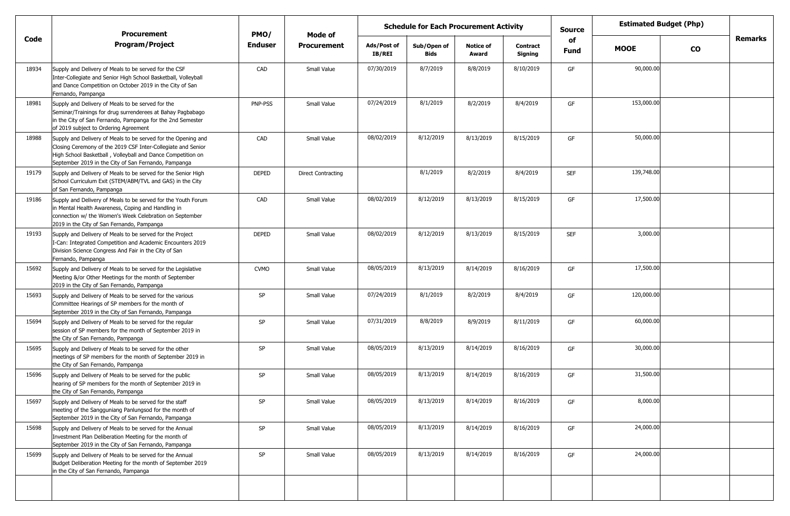|       | <b>Procurement</b>                                                                                                                                                                                                                                   | PMO/           | Mode of                   |                              | <b>Schedule for Each Procurement Activity</b> |                           |                            | <b>Source</b>     | <b>Estimated Budget (Php)</b> |               |                |
|-------|------------------------------------------------------------------------------------------------------------------------------------------------------------------------------------------------------------------------------------------------------|----------------|---------------------------|------------------------------|-----------------------------------------------|---------------------------|----------------------------|-------------------|-------------------------------|---------------|----------------|
| Code  | <b>Program/Project</b>                                                                                                                                                                                                                               | <b>Enduser</b> | <b>Procurement</b>        | Ads/Post of<br><b>IB/REI</b> | Sub/Open of<br><b>Bids</b>                    | <b>Notice of</b><br>Award | <b>Contract</b><br>Signing | of<br><b>Fund</b> | <b>MOOE</b>                   | $\mathbf{co}$ | <b>Remarks</b> |
| 18934 | Supply and Delivery of Meals to be served for the CSF<br>Inter-Collegiate and Senior High School Basketball, Volleyball<br>and Dance Competition on October 2019 in the City of San<br>Fernando, Pampanga                                            | CAD            | Small Value               | 07/30/2019                   | 8/7/2019                                      | 8/8/2019                  | 8/10/2019                  | GF                | 90,000.00                     |               |                |
| 18981 | Supply and Delivery of Meals to be served for the<br>Seminar/Trainings for drug surrenderees at Bahay Pagbabago<br>in the City of San Fernando, Pampanga for the 2nd Semester<br>of 2019 subject to Ordering Agreement                               | PNP-PSS        | Small Value               | 07/24/2019                   | 8/1/2019                                      | 8/2/2019                  | 8/4/2019                   | GF                | 153,000.00                    |               |                |
| 18988 | Supply and Delivery of Meals to be served for the Opening and<br>Closing Ceremony of the 2019 CSF Inter-Collegiate and Senior<br>High School Basketball, Volleyball and Dance Competition on<br>September 2019 in the City of San Fernando, Pampanga | CAD            | Small Value               | 08/02/2019                   | 8/12/2019                                     | 8/13/2019                 | 8/15/2019                  | GF                | 50,000.00                     |               |                |
| 19179 | Supply and Delivery of Meals to be served for the Senior High<br>School Curriculum Exit (STEM/ABM/TVL and GAS) in the City<br>of San Fernando, Pampanga                                                                                              | <b>DEPED</b>   | <b>Direct Contracting</b> |                              | 8/1/2019                                      | 8/2/2019                  | 8/4/2019                   | <b>SEF</b>        | 139,748.00                    |               |                |
| 19186 | Supply and Delivery of Meals to be served for the Youth Forum<br>in Mental Health Awareness, Coping and Handling in<br>connection w/ the Women's Week Celebration on September<br>2019 in the City of San Fernando, Pampanga                         | CAD            | Small Value               | 08/02/2019                   | 8/12/2019                                     | 8/13/2019                 | 8/15/2019                  | GF                | 17,500.00                     |               |                |
| 19193 | Supply and Delivery of Meals to be served for the Project<br>I-Can: Integrated Competition and Academic Encounters 2019<br>Division Science Congress And Fair in the City of San<br>Fernando, Pampanga                                               | <b>DEPED</b>   | Small Value               | 08/02/2019                   | 8/12/2019                                     | 8/13/2019                 | 8/15/2019                  | <b>SEF</b>        | 3,000.00                      |               |                |
| 15692 | Supply and Delivery of Meals to be served for the Legislative<br>Meeting &/or Other Meetings for the month of September<br>2019 in the City of San Fernando, Pampanga                                                                                | <b>CVMO</b>    | Small Value               | 08/05/2019                   | 8/13/2019                                     | 8/14/2019                 | 8/16/2019                  | GF                | 17,500.00                     |               |                |
| 15693 | Supply and Delivery of Meals to be served for the various<br>Committee Hearings of SP members for the month of<br>September 2019 in the City of San Fernando, Pampanga                                                                               | <b>SP</b>      | Small Value               | 07/24/2019                   | 8/1/2019                                      | 8/2/2019                  | 8/4/2019                   | GF                | 120,000.00                    |               |                |
| 15694 | Supply and Delivery of Meals to be served for the regular<br>session of SP members for the month of September 2019 in<br>the City of San Fernando, Pampanga                                                                                          | SP             | Small Value               | 07/31/2019                   | 8/8/2019                                      | 8/9/2019                  | 8/11/2019                  | GF                | 60,000.00                     |               |                |
| 15695 | Supply and Delivery of Meals to be served for the other<br>meetings of SP members for the month of September 2019 in<br>the City of San Fernando, Pampanga                                                                                           | <b>SP</b>      | Small Value               | 08/05/2019                   | 8/13/2019                                     | 8/14/2019                 | 8/16/2019                  | GF                | 30,000.00                     |               |                |
| 15696 | Supply and Delivery of Meals to be served for the public<br>hearing of SP members for the month of September 2019 in<br>the City of San Fernando, Pampanga                                                                                           | SP             | Small Value               | 08/05/2019                   | 8/13/2019                                     | 8/14/2019                 | 8/16/2019                  | GF                | 31,500.00                     |               |                |
| 15697 | Supply and Delivery of Meals to be served for the staff<br>meeting of the Sangguniang Panlungsod for the month of<br>September 2019 in the City of San Fernando, Pampanga                                                                            | SP             | Small Value               | 08/05/2019                   | 8/13/2019                                     | 8/14/2019                 | 8/16/2019                  | GF                | 8,000.00                      |               |                |
| 15698 | Supply and Delivery of Meals to be served for the Annual<br>Investment Plan Deliberation Meeting for the month of<br>September 2019 in the City of San Fernando, Pampanga                                                                            | SP             | Small Value               | 08/05/2019                   | 8/13/2019                                     | 8/14/2019                 | 8/16/2019                  | GF                | 24,000.00                     |               |                |
| 15699 | Supply and Delivery of Meals to be served for the Annual<br>Budget Deliberation Meeting for the month of September 2019<br>in the City of San Fernando, Pampanga                                                                                     | SP             | Small Value               | 08/05/2019                   | 8/13/2019                                     | 8/14/2019                 | 8/16/2019                  | GF                | 24,000.00                     |               |                |
|       |                                                                                                                                                                                                                                                      |                |                           |                              |                                               |                           |                            |                   |                               |               |                |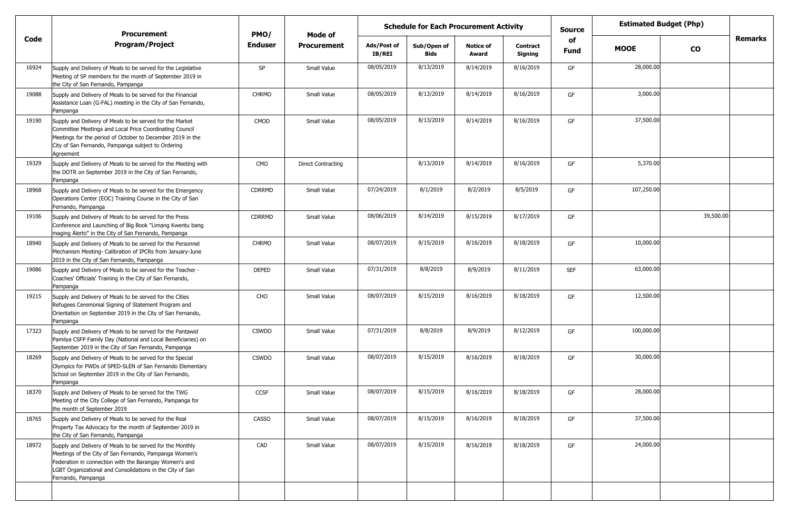|       | <b>Procurement</b>                                                                                                                                                                                                                                               | PMO/           | Mode of                   |                              | <b>Schedule for Each Procurement Activity</b> |                           |                            | <b>Estimated Budget (Php)</b><br><b>Source</b><br>of |             |           |         |
|-------|------------------------------------------------------------------------------------------------------------------------------------------------------------------------------------------------------------------------------------------------------------------|----------------|---------------------------|------------------------------|-----------------------------------------------|---------------------------|----------------------------|------------------------------------------------------|-------------|-----------|---------|
| Code  | <b>Program/Project</b>                                                                                                                                                                                                                                           | <b>Enduser</b> | <b>Procurement</b>        | Ads/Post of<br><b>IB/REI</b> | Sub/Open of<br><b>Bids</b>                    | <b>Notice of</b><br>Award | <b>Contract</b><br>Signing | Fund                                                 | <b>MOOE</b> | <b>CO</b> | Remarks |
| 16924 | Supply and Delivery of Meals to be served for the Legislative<br>Meeting of SP members for the month of September 2019 in<br>the City of San Fernando, Pampanga                                                                                                  | SP             | Small Value               | 08/05/2019                   | 8/13/2019                                     | 8/14/2019                 | 8/16/2019                  | GF                                                   | 28,000.00   |           |         |
| 19088 | Supply and Delivery of Meals to be served for the Financial<br>Assistance Loan (G-FAL) meeting in the City of San Fernando,<br>Pampanga                                                                                                                          | <b>CHRMO</b>   | Small Value               | 08/05/2019                   | 8/13/2019                                     | 8/14/2019                 | 8/16/2019                  | GF                                                   | 3,000.00    |           |         |
| 19190 | Supply and Delivery of Meals to be served for the Market<br>Committee Meetings and Local Price Coordinating Council<br>Meetings for the period of October to December 2019 in the<br>City of San Fernando, Pampanga subject to Ordering<br>Agreement             | CMOD           | Small Value               | 08/05/2019                   | 8/13/2019                                     | 8/14/2019                 | 8/16/2019                  | GF                                                   | 37,500.00   |           |         |
| 19329 | Supply and Delivery of Meals to be served for the Meeting with<br>the DOTR on September 2019 in the City of San Fernando,<br>Pampanga                                                                                                                            | CMO            | <b>Direct Contracting</b> |                              | 8/13/2019                                     | 8/14/2019                 | 8/16/2019                  | GF                                                   | 5,370.00    |           |         |
| 18968 | Supply and Delivery of Meals to be served for the Emergency<br>Operations Center (EOC) Training Course in the City of San<br>Fernando, Pampanga                                                                                                                  | <b>CDRRMD</b>  | Small Value               | 07/24/2019                   | 8/1/2019                                      | 8/2/2019                  | 8/5/2019                   | GF                                                   | 107,250.00  |           |         |
| 19106 | Supply and Delivery of Meals to be served for the Press<br>Conference and Launching of Big Book "Limang Kwentu bang<br>maging Alerto" in the City of San Fernando, Pampanga                                                                                      | CDRRMD         | Small Value               | 08/06/2019                   | 8/14/2019                                     | 8/15/2019                 | 8/17/2019                  | GF                                                   |             | 39,500.00 |         |
| 18940 | Supply and Delivery of Meals to be served for the Personnel<br>Mechanism Meeting- Calibration of IPCRs from January-June<br>2019 in the City of San Fernando, Pampanga                                                                                           | <b>CHRMO</b>   | Small Value               | 08/07/2019                   | 8/15/2019                                     | 8/16/2019                 | 8/18/2019                  | GF                                                   | 10,000.00   |           |         |
| 19086 | Supply and Delivery of Meals to be served for the Teacher -<br>Coaches' Officials' Training in the City of San Fernando,<br>Pampanga                                                                                                                             | DEPED          | Small Value               | 07/31/2019                   | 8/8/2019                                      | 8/9/2019                  | 8/11/2019                  | <b>SEF</b>                                           | 63,000.00   |           |         |
| 19215 | Supply and Delivery of Meals to be served for the Cities<br>Refugees Ceremonial Signing of Statement Program and<br>Orientation on September 2019 in the City of San Fernando,<br>Pampanga                                                                       | CHO            | Small Value               | 08/07/2019                   | 8/15/2019                                     | 8/16/2019                 | 8/18/2019                  | GF                                                   | 12,500.00   |           |         |
| 17323 | Supply and Delivery of Meals to be served for the Pantawid<br>Pamilya CSFP Family Day (National and Local Beneficiaries) on<br>September 2019 in the City of San Fernando, Pampanga                                                                              | <b>CSWDO</b>   | Small Value               | 07/31/2019                   | 8/8/2019                                      | 8/9/2019                  | 8/12/2019                  | GF                                                   | 100,000.00  |           |         |
| 18269 | Supply and Delivery of Meals to be served for the Special<br>Olympics for PWDs of SPED-SLEN of San Fernando Elementary<br>School on September 2019 in the City of San Fernando,<br>Pampanga                                                                      | <b>CSWDO</b>   | Small Value               | 08/07/2019                   | 8/15/2019                                     | 8/16/2019                 | 8/18/2019                  | GF                                                   | 30,000.00   |           |         |
| 18370 | Supply and Delivery of Meals to be served for the TWG<br>Meeting of the City College of San Fernando, Pampanga for<br>the month of September 2019                                                                                                                | CCSF           | Small Value               | 08/07/2019                   | 8/15/2019                                     | 8/16/2019                 | 8/18/2019                  | GF                                                   | 28,000.00   |           |         |
| 18765 | Supply and Delivery of Meals to be served for the Real<br>Property Tax Advocacy for the month of September 2019 in<br>the City of San Fernando, Pampanga                                                                                                         | <b>CASSO</b>   | Small Value               | 08/07/2019                   | 8/15/2019                                     | 8/16/2019                 | 8/18/2019                  | GF                                                   | 37,500.00   |           |         |
| 18972 | Supply and Delivery of Meals to be served for the Monthly<br>Meetings of the City of San Fernando, Pampanga Women's<br>Federation in connection with the Barangay Women's and<br>LGBT Organizational and Consolidations in the City of San<br>Fernando, Pampanga | CAD            | Small Value               | 08/07/2019                   | 8/15/2019                                     | 8/16/2019                 | 8/18/2019                  | GF                                                   | 24,000.00   |           |         |
|       |                                                                                                                                                                                                                                                                  |                |                           |                              |                                               |                           |                            |                                                      |             |           |         |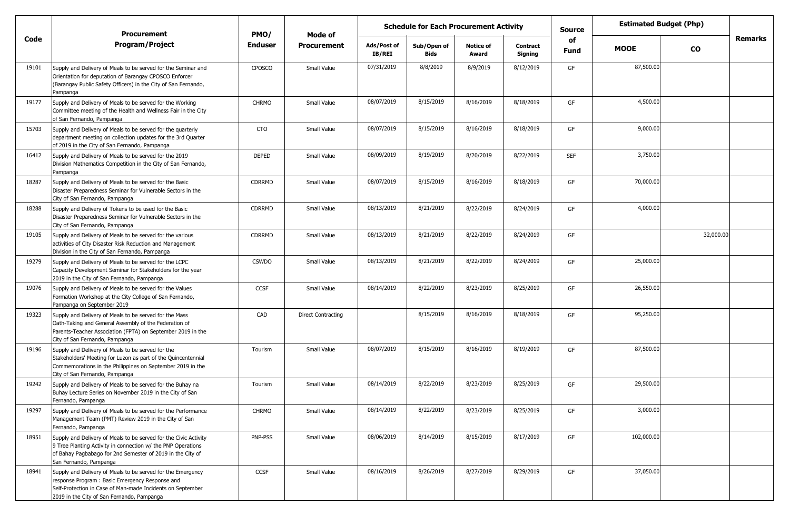|       | <b>Procurement</b>                                                                                                                                                                                                        | PMO/           | Mode of                   | <b>Schedule for Each Procurement Activity</b> |                            |                           |                            | <b>Source</b> | <b>Estimated Budget (Php)</b> |           |                |
|-------|---------------------------------------------------------------------------------------------------------------------------------------------------------------------------------------------------------------------------|----------------|---------------------------|-----------------------------------------------|----------------------------|---------------------------|----------------------------|---------------|-------------------------------|-----------|----------------|
| Code  | <b>Program/Project</b>                                                                                                                                                                                                    | <b>Enduser</b> | <b>Procurement</b>        | Ads/Post of<br>IB/REI                         | Sub/Open of<br><b>Bids</b> | <b>Notice of</b><br>Award | <b>Contract</b><br>Signing | of<br>Fund    | <b>MOOE</b>                   | <b>CO</b> | <b>Remarks</b> |
| 19101 | Supply and Delivery of Meals to be served for the Seminar and<br>Orientation for deputation of Barangay CPOSCO Enforcer<br>(Barangay Public Safety Officers) in the City of San Fernando,<br>Pampanga                     | CPOSCO         | Small Value               | 07/31/2019                                    | 8/8/2019                   | 8/9/2019                  | 8/12/2019                  | GF            | 87,500.00                     |           |                |
| 19177 | Supply and Delivery of Meals to be served for the Working<br>Committee meeting of the Health and Wellness Fair in the City<br>of San Fernando, Pampanga                                                                   | <b>CHRMO</b>   | Small Value               | 08/07/2019                                    | 8/15/2019                  | 8/16/2019                 | 8/18/2019                  | GF            | 4,500.00                      |           |                |
| 15703 | Supply and Delivery of Meals to be served for the quarterly<br>department meeting on collection updates for the 3rd Quarter<br>of 2019 in the City of San Fernando, Pampanga                                              | CTO            | Small Value               | 08/07/2019                                    | 8/15/2019                  | 8/16/2019                 | 8/18/2019                  | GF            | 9,000.00                      |           |                |
| 16412 | Supply and Delivery of Meals to be served for the 2019<br>Division Mathematics Competition in the City of San Fernando,<br>Pampanga                                                                                       | DEPED          | Small Value               | 08/09/2019                                    | 8/19/2019                  | 8/20/2019                 | 8/22/2019                  | <b>SEF</b>    | 3,750.00                      |           |                |
| 18287 | Supply and Delivery of Meals to be served for the Basic<br>Disaster Preparedness Seminar for Vulnerable Sectors in the<br>City of San Fernando, Pampanga                                                                  | <b>CDRRMD</b>  | Small Value               | 08/07/2019                                    | 8/15/2019                  | 8/16/2019                 | 8/18/2019                  | GF            | 70,000.00                     |           |                |
| 18288 | Supply and Delivery of Tokens to be used for the Basic<br>Disaster Preparedness Seminar for Vulnerable Sectors in the<br>City of San Fernando, Pampanga                                                                   | <b>CDRRMD</b>  | Small Value               | 08/13/2019                                    | 8/21/2019                  | 8/22/2019                 | 8/24/2019                  | GF            | 4,000.00                      |           |                |
| 19105 | Supply and Delivery of Meals to be served for the various<br>activities of City Disaster Risk Reduction and Management<br>Division in the City of San Fernando, Pampanga                                                  | CDRRMD         | Small Value               | 08/13/2019                                    | 8/21/2019                  | 8/22/2019                 | 8/24/2019                  | GF            |                               | 32,000.00 |                |
| 19279 | Supply and Delivery of Meals to be served for the LCPC<br>Capacity Development Seminar for Stakeholders for the year<br>2019 in the City of San Fernando, Pampanga                                                        | <b>CSWDO</b>   | Small Value               | 08/13/2019                                    | 8/21/2019                  | 8/22/2019                 | 8/24/2019                  | GF            | 25,000.00                     |           |                |
| 19076 | Supply and Delivery of Meals to be served for the Values<br>Formation Workshop at the City College of San Fernando,<br>Pampanga on September 2019                                                                         | <b>CCSF</b>    | Small Value               | 08/14/2019                                    | 8/22/2019                  | 8/23/2019                 | 8/25/2019                  | GF            | 26,550.00                     |           |                |
| 19323 | Supply and Delivery of Meals to be served for the Mass<br>Oath-Taking and General Assembly of the Federation of<br>Parents-Teacher Association (FPTA) on September 2019 in the<br>City of San Fernando, Pampanga          | CAD            | <b>Direct Contracting</b> |                                               | 8/15/2019                  | 8/16/2019                 | 8/18/2019                  | GF            | 95,250.00                     |           |                |
| 19196 | Supply and Delivery of Meals to be served for the<br>Stakeholders' Meeting for Luzon as part of the Quincentennial<br>Commemorations in the Philippines on September 2019 in the<br>City of San Fernando, Pampanga        | Tourism        | Small Value               | 08/07/2019                                    | 8/15/2019                  | 8/16/2019                 | 8/19/2019                  | GF            | 87,500.00                     |           |                |
| 19242 | Supply and Delivery of Meals to be served for the Buhay na<br>Buhay Lecture Series on November 2019 in the City of San<br>Fernando, Pampanga                                                                              | Tourism        | Small Value               | 08/14/2019                                    | 8/22/2019                  | 8/23/2019                 | 8/25/2019                  | GF            | 29,500.00                     |           |                |
| 19297 | Supply and Delivery of Meals to be served for the Performance<br>Management Team (PMT) Review 2019 in the City of San<br>Fernando, Pampanga                                                                               | <b>CHRMO</b>   | Small Value               | 08/14/2019                                    | 8/22/2019                  | 8/23/2019                 | 8/25/2019                  | GF            | 3,000.00                      |           |                |
| 18951 | Supply and Delivery of Meals to be served for the Civic Activity<br>9 Tree Planting Activity in connection w/ the PNP Operations<br>of Bahay Pagbabago for 2nd Semester of 2019 in the City of<br>San Fernando, Pampanga  | PNP-PSS        | Small Value               | 08/06/2019                                    | 8/14/2019                  | 8/15/2019                 | 8/17/2019                  | GF            | 102,000.00                    |           |                |
| 18941 | Supply and Delivery of Meals to be served for the Emergency<br>response Program: Basic Emergency Response and<br>Self-Protection in Case of Man-made Incidents on September<br>2019 in the City of San Fernando, Pampanga | CCSF           | Small Value               | 08/16/2019                                    | 8/26/2019                  | 8/27/2019                 | 8/29/2019                  | GF            | 37,050.00                     |           |                |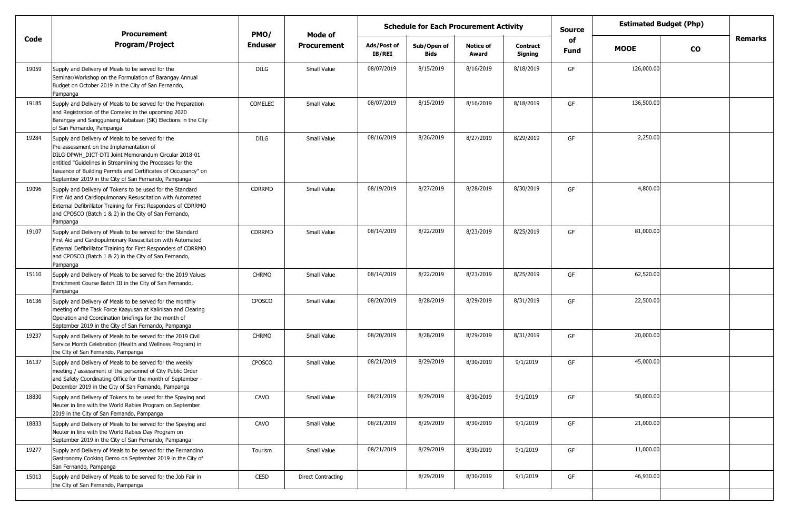|       | <b>Procurement</b>                                                                                                                                                                                                                                                                                                                           | PMO/           | Mode of                   | <b>Schedule for Each Procurement Activity</b> |                            |                           |                            |                   | <b>Estimated Budget (Php)</b> |           |         |
|-------|----------------------------------------------------------------------------------------------------------------------------------------------------------------------------------------------------------------------------------------------------------------------------------------------------------------------------------------------|----------------|---------------------------|-----------------------------------------------|----------------------------|---------------------------|----------------------------|-------------------|-------------------------------|-----------|---------|
| Code  | <b>Program/Project</b>                                                                                                                                                                                                                                                                                                                       | <b>Enduser</b> | <b>Procurement</b>        | Ads/Post of<br><b>IB/REI</b>                  | Sub/Open of<br><b>Bids</b> | <b>Notice of</b><br>Award | <b>Contract</b><br>Signing | of<br><b>Fund</b> | <b>MOOE</b>                   | <b>CO</b> | Remarks |
| 19059 | Supply and Delivery of Meals to be served for the<br>Seminar/Workshop on the Formulation of Barangay Annual<br>Budget on October 2019 in the City of San Fernando,<br>Pampanga                                                                                                                                                               | DILG           | Small Value               | 08/07/2019                                    | 8/15/2019                  | 8/16/2019                 | 8/18/2019                  | GF                | 126,000.00                    |           |         |
| 19185 | Supply and Delivery of Meals to be served for the Preparation<br>and Registration of the Comelec in the upcoming 2020<br>Barangay and Sangguniang Kabataan (SK) Elections in the City<br>of San Fernando, Pampanga                                                                                                                           | COMELEC        | Small Value               | 08/07/2019                                    | 8/15/2019                  | 8/16/2019                 | 8/18/2019                  | GF                | 136,500.00                    |           |         |
| 19284 | Supply and Delivery of Meals to be served for the<br>Pre-assessment on the Implementation of<br>DILG-DPWH_DICT-DTI Joint Memorandum Circular 2018-01<br>entitled "Guidelines in Streamlining the Processes for the<br>Issuance of Building Permits and Certificates of Occupancy" on<br>September 2019 in the City of San Fernando, Pampanga | <b>DILG</b>    | Small Value               | 08/16/2019                                    | 8/26/2019                  | 8/27/2019                 | 8/29/2019                  | GF                | 2,250.00                      |           |         |
| 19096 | Supply and Delivery of Tokens to be used for the Standard<br>First Aid and Cardiopulmonary Resuscitation with Automated<br>External Defibrillator Training for First Responders of CDRRMO<br>and CPOSCO (Batch 1 & 2) in the City of San Fernando,<br>Pampanga                                                                               | <b>CDRRMD</b>  | Small Value               | 08/19/2019                                    | 8/27/2019                  | 8/28/2019                 | 8/30/2019                  | GF                | 4,800.00                      |           |         |
| 19107 | Supply and Delivery of Meals to be served for the Standard<br>First Aid and Cardiopulmonary Resuscitation with Automated<br>External Defibrillator Training for First Responders of CDRRMO<br>and CPOSCO (Batch 1 & 2) in the City of San Fernando,<br>Pampanga                                                                              | CDRRMD         | Small Value               | 08/14/2019                                    | 8/22/2019                  | 8/23/2019                 | 8/25/2019                  | GF                | 81,000.00                     |           |         |
| 15110 | Supply and Delivery of Meals to be served for the 2019 Values<br>Enrichment Course Batch III in the City of San Fernando,<br>Pampanga                                                                                                                                                                                                        | <b>CHRMO</b>   | Small Value               | 08/14/2019                                    | 8/22/2019                  | 8/23/2019                 | 8/25/2019                  | GF                | 62,520.00                     |           |         |
| 16136 | Supply and Delivery of Meals to be served for the monthly<br>meeting of the Task Force Kaayusan at Kalinisan and Clearing<br>Operation and Coordination briefings for the month of<br>September 2019 in the City of San Fernando, Pampanga                                                                                                   | <b>CPOSCO</b>  | Small Value               | 08/20/2019                                    | 8/28/2019                  | 8/29/2019                 | 8/31/2019                  | GF                | 22,500.00                     |           |         |
| 19237 | Supply and Delivery of Meals to be served for the 2019 Civil<br>Service Month Celebration (Health and Wellness Program) in<br>the City of San Fernando, Pampanga                                                                                                                                                                             | <b>CHRMO</b>   | Small Value               | 08/20/2019                                    | 8/28/2019                  | 8/29/2019                 | 8/31/2019                  | GF                | 20,000.00                     |           |         |
| 16137 | Supply and Delivery of Meals to be served for the weekly<br>meeting / assessment of the personnel of City Public Order<br>and Safety Coordinating Office for the month of September -<br>December 2019 in the City of San Fernando, Pampanga                                                                                                 | <b>CPOSCO</b>  | Small Value               | 08/21/2019                                    | 8/29/2019                  | 8/30/2019                 | 9/1/2019                   | GF                | 45,000.00                     |           |         |
| 18830 | Supply and Delivery of Tokens to be used for the Spaying and<br>Neuter in line with the World Rabies Program on September<br>2019 in the City of San Fernando, Pampanga                                                                                                                                                                      | CAVO           | Small Value               | 08/21/2019                                    | 8/29/2019                  | 8/30/2019                 | 9/1/2019                   | GF                | 50,000.00                     |           |         |
| 18833 | Supply and Delivery of Meals to be served for the Spaying and<br>Neuter in line with the World Rabies Day Program on<br>September 2019 in the City of San Fernando, Pampanga                                                                                                                                                                 | CAVO           | Small Value               | 08/21/2019                                    | 8/29/2019                  | 8/30/2019                 | 9/1/2019                   | GF                | 21,000.00                     |           |         |
| 19277 | Supply and Delivery of Meals to be served for the Fernandino<br>Gastronomy Cooking Demo on September 2019 in the City of<br>San Fernando, Pampanga                                                                                                                                                                                           | Tourism        | Small Value               | 08/21/2019                                    | 8/29/2019                  | 8/30/2019                 | 9/1/2019                   | GF                | 11,000.00                     |           |         |
| 15013 | Supply and Delivery of Meals to be served for the Job Fair in<br>the City of San Fernando, Pampanga                                                                                                                                                                                                                                          | CESD           | <b>Direct Contracting</b> |                                               | 8/29/2019                  | 8/30/2019                 | 9/1/2019                   | GF                | 46,930.00                     |           |         |
|       |                                                                                                                                                                                                                                                                                                                                              |                |                           |                                               |                            |                           |                            |                   |                               |           |         |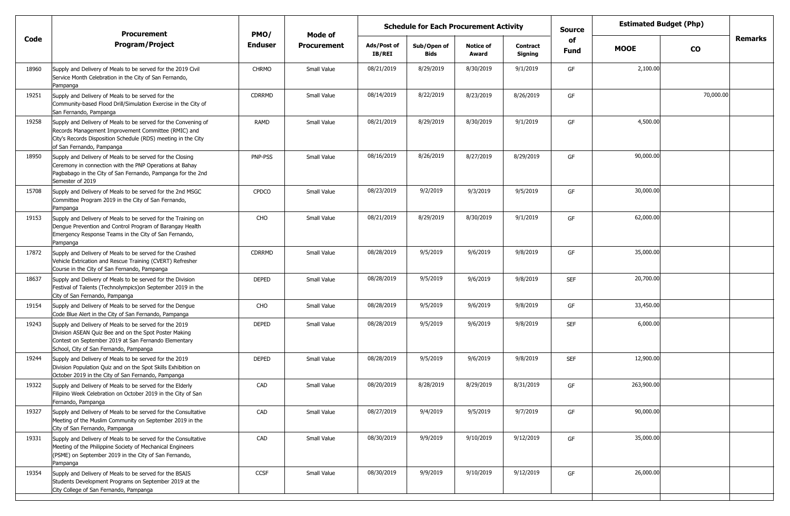|       | <b>Procurement</b>                                                                                                                                                                                                  | PMO/           | Mode of            |                              | <b>Schedule for Each Procurement Activity</b> |                           |                            | <b>Estimated Budget (Php)</b><br><b>Source</b><br>of |             |           |                |
|-------|---------------------------------------------------------------------------------------------------------------------------------------------------------------------------------------------------------------------|----------------|--------------------|------------------------------|-----------------------------------------------|---------------------------|----------------------------|------------------------------------------------------|-------------|-----------|----------------|
| Code  | <b>Program/Project</b>                                                                                                                                                                                              | <b>Enduser</b> | <b>Procurement</b> | Ads/Post of<br><b>IB/REI</b> | Sub/Open of<br><b>Bids</b>                    | <b>Notice of</b><br>Award | <b>Contract</b><br>Signing | <b>Fund</b>                                          | <b>MOOE</b> | <b>CO</b> | <b>Remarks</b> |
| 18960 | Supply and Delivery of Meals to be served for the 2019 Civil<br>Service Month Celebration in the City of San Fernando,<br>Pampanga                                                                                  | <b>CHRMO</b>   | Small Value        | 08/21/2019                   | 8/29/2019                                     | 8/30/2019                 | 9/1/2019                   | GF                                                   | 2,100.00    |           |                |
| 19251 | Supply and Delivery of Meals to be served for the<br>Community-based Flood Drill/Simulation Exercise in the City of<br>San Fernando, Pampanga                                                                       | <b>CDRRMD</b>  | Small Value        | 08/14/2019                   | 8/22/2019                                     | 8/23/2019                 | 8/26/2019                  | GF                                                   |             | 70,000.00 |                |
| 19258 | Supply and Delivery of Meals to be served for the Convening of<br>Records Management Improvement Committee (RMIC) and<br>City's Records Disposition Schedule (RDS) meeting in the City<br>of San Fernando, Pampanga | RAMD           | Small Value        | 08/21/2019                   | 8/29/2019                                     | 8/30/2019                 | 9/1/2019                   | GF                                                   | 4,500.00    |           |                |
| 18950 | Supply and Delivery of Meals to be served for the Closing<br>Ceremony in connection with the PNP Operations at Bahay<br>Pagbabago in the City of San Fernando, Pampanga for the 2nd<br>Semester of 2019             | PNP-PSS        | Small Value        | 08/16/2019                   | 8/26/2019                                     | 8/27/2019                 | 8/29/2019                  | GF                                                   | 90,000.00   |           |                |
| 15708 | Supply and Delivery of Meals to be served for the 2nd MSGC<br>Committee Program 2019 in the City of San Fernando,<br>Pampanga                                                                                       | <b>CPDCO</b>   | Small Value        | 08/23/2019                   | 9/2/2019                                      | 9/3/2019                  | 9/5/2019                   | GF                                                   | 30,000.00   |           |                |
| 19153 | Supply and Delivery of Meals to be served for the Training on<br>Dengue Prevention and Control Program of Barangay Health<br>Emergency Response Teams in the City of San Fernando,<br>Pampanga                      | CHO            | Small Value        | 08/21/2019                   | 8/29/2019                                     | 8/30/2019                 | 9/1/2019                   | GF                                                   | 62,000.00   |           |                |
| 17872 | Supply and Delivery of Meals to be served for the Crashed<br>Vehicle Extrication and Rescue Training (CVERT) Refresher<br>Course in the City of San Fernando, Pampanga                                              | <b>CDRRMD</b>  | Small Value        | 08/28/2019                   | 9/5/2019                                      | 9/6/2019                  | 9/8/2019                   | GF                                                   | 35,000.00   |           |                |
| 18637 | Supply and Delivery of Meals to be served for the Division<br>Festival of Talents (Technolympics) on September 2019 in the<br>City of San Fernando, Pampanga                                                        | <b>DEPED</b>   | Small Value        | 08/28/2019                   | 9/5/2019                                      | 9/6/2019                  | 9/8/2019                   | <b>SEF</b>                                           | 20,700.00   |           |                |
| 19154 | Supply and Delivery of Meals to be served for the Dengue<br>Code Blue Alert in the City of San Fernando, Pampanga                                                                                                   | CHO            | Small Value        | 08/28/2019                   | 9/5/2019                                      | 9/6/2019                  | 9/8/2019                   | GF                                                   | 33,450.00   |           |                |
| 19243 | Supply and Delivery of Meals to be served for the 2019<br>Division ASEAN Quiz Bee and on the Spot Poster Making<br>Contest on September 2019 at San Fernando Elementary<br>School, City of San Fernando, Pampanga   | <b>DEPED</b>   | Small Value        | 08/28/2019                   | 9/5/2019                                      | 9/6/2019                  | 9/8/2019                   | <b>SEF</b>                                           | 6,000.00    |           |                |
| 19244 | Supply and Delivery of Meals to be served for the 2019<br>Division Population Quiz and on the Spot Skills Exhibition on<br>October 2019 in the City of San Fernando, Pampanga                                       | <b>DEPED</b>   | Small Value        | 08/28/2019                   | 9/5/2019                                      | 9/6/2019                  | 9/8/2019                   | <b>SEF</b>                                           | 12,900.00   |           |                |
| 19322 | Supply and Delivery of Meals to be served for the Elderly<br>Filipino Week Celebration on October 2019 in the City of San<br>Fernando, Pampanga                                                                     | CAD            | Small Value        | 08/20/2019                   | 8/28/2019                                     | 8/29/2019                 | 8/31/2019                  | GF                                                   | 263,900.00  |           |                |
| 19327 | Supply and Delivery of Meals to be served for the Consultative<br>Meeting of the Muslim Community on September 2019 in the<br>City of San Fernando, Pampanga                                                        | CAD            | Small Value        | 08/27/2019                   | 9/4/2019                                      | 9/5/2019                  | 9/7/2019                   | GF                                                   | 90,000.00   |           |                |
| 19331 | Supply and Delivery of Meals to be served for the Consultative<br>Meeting of the Philippine Society of Mechanical Engineers<br>(PSME) on September 2019 in the City of San Fernando,<br>Pampanga                    | CAD            | Small Value        | 08/30/2019                   | 9/9/2019                                      | 9/10/2019                 | 9/12/2019                  | GF                                                   | 35,000.00   |           |                |
| 19354 | Supply and Delivery of Meals to be served for the BSAIS<br>Students Development Programs on September 2019 at the<br>City College of San Fernando, Pampanga                                                         | CCSF           | Small Value        | 08/30/2019                   | 9/9/2019                                      | 9/10/2019                 | 9/12/2019                  | GF                                                   | 26,000.00   |           |                |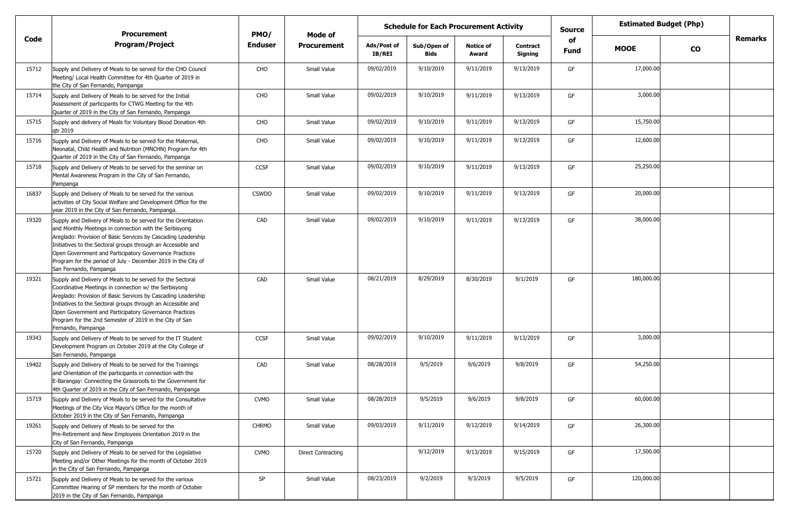|       | <b>Procurement</b>                                                                                                                                                                                                                                                                                                                                                                                            | PMO/           | Mode of                   |                       | <b>Schedule for Each Procurement Activity</b> |                           |                            | <b>Source</b>     |             | <b>Estimated Budget (Php)</b> |         |
|-------|---------------------------------------------------------------------------------------------------------------------------------------------------------------------------------------------------------------------------------------------------------------------------------------------------------------------------------------------------------------------------------------------------------------|----------------|---------------------------|-----------------------|-----------------------------------------------|---------------------------|----------------------------|-------------------|-------------|-------------------------------|---------|
| Code  | <b>Program/Project</b>                                                                                                                                                                                                                                                                                                                                                                                        | <b>Enduser</b> | <b>Procurement</b>        | Ads/Post of<br>IB/REI | Sub/Open of<br><b>Bids</b>                    | <b>Notice of</b><br>Award | <b>Contract</b><br>Signing | of<br><b>Fund</b> | <b>MOOE</b> | $\mathbf{co}$                 | Remarks |
| 15712 | Supply and Delivery of Meals to be served for the CHO Council<br>Meeting/ Local Health Committee for 4th Quarter of 2019 in<br>the City of San Fernando, Pampanga                                                                                                                                                                                                                                             | CHO            | Small Value               | 09/02/2019            | 9/10/2019                                     | 9/11/2019                 | 9/13/2019                  | GF                | 17,000.00   |                               |         |
| 15714 | Supply and Delivery of Meals to be served for the Initial<br>Assessment of participants for CTWG Meeting for the 4th<br>Quarter of 2019 in the City of San Fernando, Pampanga                                                                                                                                                                                                                                 | CHO            | Small Value               | 09/02/2019            | 9/10/2019                                     | 9/11/2019                 | 9/13/2019                  | GF                | 3,000.00    |                               |         |
| 15715 | Supply and delivery of Meals for Voluntary Blood Donation 4th<br>qtr 2019                                                                                                                                                                                                                                                                                                                                     | CHO            | Small Value               | 09/02/2019            | 9/10/2019                                     | 9/11/2019                 | 9/13/2019                  | GF                | 15,750.00   |                               |         |
| 15716 | Supply and Delivery of Meals to be served for the Maternal,<br>Neonatal, Child Health and Nutrition (MNCHN) Program for 4th<br>Quarter of 2019 in the City of San Fernando, Pampanga                                                                                                                                                                                                                          | CHO            | Small Value               | 09/02/2019            | 9/10/2019                                     | 9/11/2019                 | 9/13/2019                  | GF                | 12,600.00   |                               |         |
| 15718 | Supply and Delivery of Meals to be served for the seminar on<br>Mental Awareness Program in the City of San Fernando,<br>Pampanga                                                                                                                                                                                                                                                                             | <b>CCSF</b>    | Small Value               | 09/02/2019            | 9/10/2019                                     | 9/11/2019                 | 9/13/2019                  | GF                | 25,250.00   |                               |         |
| 16837 | Supply and Delivery of Meals to be served for the various<br>activities of City Social Welfare and Development Office for the<br>year 2019 in the City of San Fernando, Pampanga.                                                                                                                                                                                                                             | <b>CSWDO</b>   | Small Value               | 09/02/2019            | 9/10/2019                                     | 9/11/2019                 | 9/13/2019                  | GF                | 20,000.00   |                               |         |
| 19320 | Supply and Delivery of Meals to be served for the Orientation<br>and Monthly Meetings in connection with the Serbisyong<br>Areglado: Provision of Basic Services by Cascading Leadership<br>Initiatives to the Sectoral groups through an Accessible and<br>Open Government and Participatory Governance Practices<br>Program for the period of July - December 2019 in the City of<br>San Fernando, Pampanga | CAD            | Small Value               | 09/02/2019            | 9/10/2019                                     | 9/11/2019                 | 9/13/2019                  | GF                | 38,000.00   |                               |         |
| 19321 | Supply and Delivery of Meals to be served for the Sectoral<br>Coordinative Meetings in connection w/ the Serbisyong<br>Areglado: Provision of Basic Services by Cascading Leadership<br>Initiatives to the Sectoral groups through an Accessible and<br>Open Government and Participatory Governance Practices<br>Program for the 2nd Semester of 2019 in the City of San<br>Fernando, Pampanga               | CAD            | Small Value               | 08/21/2019            | 8/29/2019                                     | 8/30/2019                 | 9/1/2019                   | GF                | 180,000.00  |                               |         |
| 19343 | Supply and Delivery of Meals to be served for the IT Student<br>Development Program on October 2019 at the City College of<br>San Fernando, Pampanga                                                                                                                                                                                                                                                          | <b>CCSF</b>    | Small Value               | 09/02/2019            | 9/10/2019                                     | 9/11/2019                 | 9/13/2019                  | GF                | 3,000.00    |                               |         |
| 19402 | Supply and Delivery of Meals to be served for the Trainings<br>and Orientation of the participants in connection with the<br>E-Barangay: Connecting the Grassroots to the Government for<br>4th Quarter of 2019 in the City of San Fernando, Pampanga                                                                                                                                                         | CAD            | Small Value               | 08/28/2019            | 9/5/2019                                      | 9/6/2019                  | 9/8/2019                   | GF                | 54,250.00   |                               |         |
| 15719 | Supply and Delivery of Meals to be served for the Consultative<br>Meetings of the City Vice Mayor's Office for the month of<br>October 2019 in the City of San Fernando, Pampanga                                                                                                                                                                                                                             | <b>CVMO</b>    | Small Value               | 08/28/2019            | 9/5/2019                                      | 9/6/2019                  | 9/8/2019                   | GF                | 60,000.00   |                               |         |
| 19261 | Supply and Delivery of Meals to be served for the<br>Pre-Retirement and New Employees Orientation 2019 in the<br>City of San Fernando, Pampanga                                                                                                                                                                                                                                                               | <b>CHRMO</b>   | Small Value               | 09/03/2019            | 9/11/2019                                     | 9/12/2019                 | 9/14/2019                  | GF                | 26,300.00   |                               |         |
| 15720 | Supply and Delivery of Meals to be served for the Legislative<br>Meeting and/or Other Meetings for the month of October 2019<br>in the City of San Fernando, Pampanga                                                                                                                                                                                                                                         | <b>CVMO</b>    | <b>Direct Contracting</b> |                       | 9/12/2019                                     | 9/13/2019                 | 9/15/2019                  | GF                | 17,500.00   |                               |         |
| 15721 | Supply and Delivery of Meals to be served for the various<br>Committee Hearing of SP members for the month of October<br>2019 in the City of San Fernando, Pampanga                                                                                                                                                                                                                                           | SP             | Small Value               | 08/23/2019            | 9/2/2019                                      | 9/3/2019                  | 9/5/2019                   | GF                | 120,000.00  |                               |         |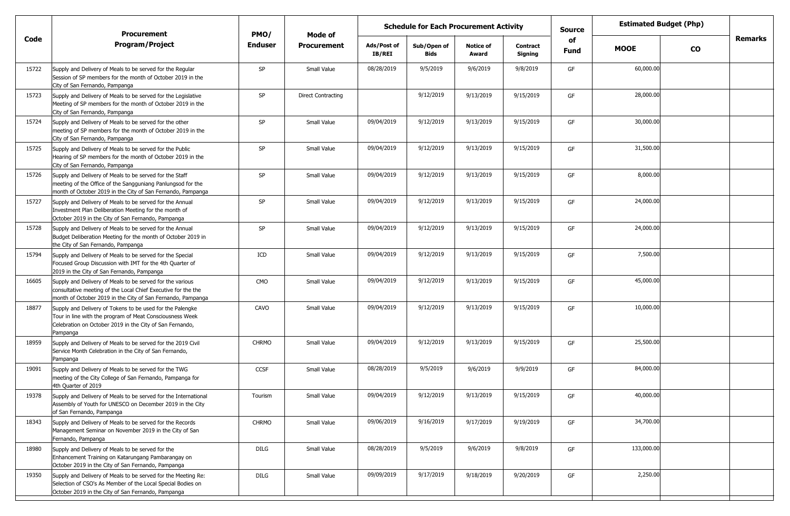|       | <b>Procurement</b>                                                                                                                                                                            | PMO/           | Mode of                   | <b>Schedule for Each Procurement Activity</b><br><b>Source</b> |                            | <b>Estimated Budget (Php)</b> |                            |            |                          |                |
|-------|-----------------------------------------------------------------------------------------------------------------------------------------------------------------------------------------------|----------------|---------------------------|----------------------------------------------------------------|----------------------------|-------------------------------|----------------------------|------------|--------------------------|----------------|
| Code  | <b>Program/Project</b>                                                                                                                                                                        | <b>Enduser</b> | <b>Procurement</b>        | Ads/Post of<br>IB/REI                                          | Sub/Open of<br><b>Bids</b> | <b>Notice of</b><br>Award     | <b>Contract</b><br>Signing | of<br>Fund | <b>MOOE</b><br><b>CO</b> | <b>Remarks</b> |
| 15722 | Supply and Delivery of Meals to be served for the Regular<br>Session of SP members for the month of October 2019 in the<br>City of San Fernando, Pampanga                                     | SP             | Small Value               | 08/28/2019                                                     | 9/5/2019                   | 9/6/2019                      | 9/8/2019                   | GF         | 60,000.00                |                |
| 15723 | Supply and Delivery of Meals to be served for the Legislative<br>Meeting of SP members for the month of October 2019 in the<br>City of San Fernando, Pampanga                                 | SP             | <b>Direct Contracting</b> |                                                                | 9/12/2019                  | 9/13/2019                     | 9/15/2019                  | GF         | 28,000.00                |                |
| 15724 | Supply and Delivery of Meals to be served for the other<br>meeting of SP members for the month of October 2019 in the<br>City of San Fernando, Pampanga                                       | SP             | Small Value               | 09/04/2019                                                     | 9/12/2019                  | 9/13/2019                     | 9/15/2019                  | GF         | 30,000.00                |                |
| 15725 | Supply and Delivery of Meals to be served for the Public<br>Hearing of SP members for the month of October 2019 in the<br>City of San Fernando, Pampanga                                      | SP             | Small Value               | 09/04/2019                                                     | 9/12/2019                  | 9/13/2019                     | 9/15/2019                  | GF         | 31,500.00                |                |
| 15726 | Supply and Delivery of Meals to be served for the Staff<br>meeting of the Office of the Sangguniang Panlungsod for the<br>month of October 2019 in the City of San Fernando, Pampanga         | SP             | Small Value               | 09/04/2019                                                     | 9/12/2019                  | 9/13/2019                     | 9/15/2019                  | GF         | 8,000.00                 |                |
| 15727 | Supply and Delivery of Meals to be served for the Annual<br>Investment Plan Deliberation Meeting for the month of<br>October 2019 in the City of San Fernando, Pampanga                       | SP             | Small Value               | 09/04/2019                                                     | 9/12/2019                  | 9/13/2019                     | 9/15/2019                  | GF         | 24,000.00                |                |
| 15728 | Supply and Delivery of Meals to be served for the Annual<br>Budget Deliberation Meeting for the month of October 2019 in<br>the City of San Fernando, Pampanga                                | SP             | Small Value               | 09/04/2019                                                     | 9/12/2019                  | 9/13/2019                     | 9/15/2019                  | GF         | 24,000.00                |                |
| 15794 | Supply and Delivery of Meals to be served for the Special<br>Focused Group Discussion with IMT for the 4th Quarter of<br>2019 in the City of San Fernando, Pampanga                           | ICD            | Small Value               | 09/04/2019                                                     | 9/12/2019                  | 9/13/2019                     | 9/15/2019                  | GF         | 7,500.00                 |                |
| 16605 | Supply and Delivery of Meals to be served for the various<br>consultative meeting of the Local Chief Executive for the the<br>month of October 2019 in the City of San Fernando, Pampanga     | <b>CMO</b>     | Small Value               | 09/04/2019                                                     | 9/12/2019                  | 9/13/2019                     | 9/15/2019                  | GF         | 45,000.00                |                |
| 18877 | Supply and Delivery of Tokens to be used for the Palengke<br>Tour in line with the program of Meat Consciousness Week<br>Celebration on October 2019 in the City of San Fernando,<br>Pampanga | CAVO           | Small Value               | 09/04/2019                                                     | 9/12/2019                  | 9/13/2019                     | 9/15/2019                  | GF         | 10,000.00                |                |
| 18959 | Supply and Delivery of Meals to be served for the 2019 Civil<br>Service Month Celebration in the City of San Fernando,<br>Pampanga                                                            | <b>CHRMO</b>   | Small Value               | 09/04/2019                                                     | 9/12/2019                  | 9/13/2019                     | 9/15/2019                  | GF         | 25,500.00                |                |
| 19091 | Supply and Delivery of Meals to be served for the TWG<br>meeting of the City College of San Fernando, Pampanga for<br>4th Quarter of 2019                                                     | <b>CCSF</b>    | Small Value               | 08/28/2019                                                     | 9/5/2019                   | 9/6/2019                      | 9/9/2019                   | GF         | 84,000.00                |                |
| 19378 | Supply and Delivery of Meals to be served for the International<br>Assembly of Youth for UNESCO on December 2019 in the City<br>of San Fernando, Pampanga                                     | Tourism        | Small Value               | 09/04/2019                                                     | 9/12/2019                  | 9/13/2019                     | 9/15/2019                  | GF         | 40,000.00                |                |
| 18343 | Supply and Delivery of Meals to be served for the Records<br>Management Seminar on November 2019 in the City of San<br>Fernando, Pampanga                                                     | CHRMO          | Small Value               | 09/06/2019                                                     | 9/16/2019                  | 9/17/2019                     | 9/19/2019                  | GF         | 34,700.00                |                |
| 18980 | Supply and Delivery of Meals to be served for the<br>Enhancement Training on Katarungang Pambarangay on<br>October 2019 in the City of San Fernando, Pampanga                                 | DILG           | Small Value               | 08/28/2019                                                     | 9/5/2019                   | 9/6/2019                      | 9/8/2019                   | GF         | 133,000.00               |                |
| 19350 | Supply and Delivery of Meals to be served for the Meeting Re:<br>Selection of CSO's As Member of the Local Special Bodies on<br>October 2019 in the City of San Fernando, Pampanga            | DILG           | Small Value               | 09/09/2019                                                     | 9/17/2019                  | 9/18/2019                     | 9/20/2019                  | GF         | 2,250.00                 |                |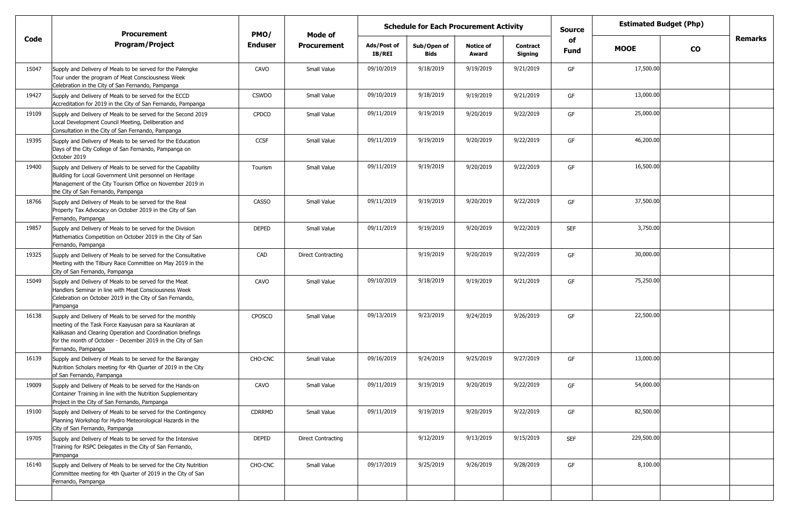|       | <b>Procurement</b>                                                                                                                                                                                                                                                       | <b>Estimated Budget (Php)</b><br><b>Schedule for Each Procurement Activity</b><br><b>Source</b><br>PMO/<br>Mode of |                           |                       |                            |                           |                            |            |             |           |         |
|-------|--------------------------------------------------------------------------------------------------------------------------------------------------------------------------------------------------------------------------------------------------------------------------|--------------------------------------------------------------------------------------------------------------------|---------------------------|-----------------------|----------------------------|---------------------------|----------------------------|------------|-------------|-----------|---------|
| Code  | <b>Program/Project</b>                                                                                                                                                                                                                                                   | <b>Enduser</b>                                                                                                     | <b>Procurement</b>        | Ads/Post of<br>IB/REI | Sub/Open of<br><b>Bids</b> | <b>Notice of</b><br>Award | <b>Contract</b><br>Signing | of<br>Fund | <b>MOOE</b> | <b>CO</b> | Remarks |
| 15047 | Supply and Delivery of Meals to be served for the Palengke<br>Tour under the program of Meat Consciousness Week<br>Celebration in the City of San Fernando, Pampanga                                                                                                     | CAVO                                                                                                               | Small Value               | 09/10/2019            | 9/18/2019                  | 9/19/2019                 | 9/21/2019                  | GF         | 17,500.00   |           |         |
| 19427 | Supply and Delivery of Meals to be served for the ECCD<br>Accreditation for 2019 in the City of San Fernando, Pampanga                                                                                                                                                   | <b>CSWDO</b>                                                                                                       | Small Value               | 09/10/2019            | 9/18/2019                  | 9/19/2019                 | 9/21/2019                  | GF         | 13,000.00   |           |         |
| 19109 | Supply and Delivery of Meals to be served for the Second 2019<br>Local Development Council Meeting, Deliberation and<br>Consultation in the City of San Fernando, Pampanga                                                                                               | <b>CPDCO</b>                                                                                                       | Small Value               | 09/11/2019            | 9/19/2019                  | 9/20/2019                 | 9/22/2019                  | GF         | 25,000.00   |           |         |
| 19395 | Supply and Delivery of Meals to be served for the Education<br>Days of the City College of San Fernando, Pampanga on<br>October 2019                                                                                                                                     | <b>CCSF</b>                                                                                                        | Small Value               | 09/11/2019            | 9/19/2019                  | 9/20/2019                 | 9/22/2019                  | GF         | 46,200.00   |           |         |
| 19400 | Supply and Delivery of Meals to be served for the Capability<br>Building for Local Government Unit personnel on Heritage<br>Management of the City Tourism Office on November 2019 in<br>the City of San Fernando, Pampanga                                              | Tourism                                                                                                            | Small Value               | 09/11/2019            | 9/19/2019                  | 9/20/2019                 | 9/22/2019                  | GF         | 16,500.00   |           |         |
| 18766 | Supply and Delivery of Meals to be served for the Real<br>Property Tax Advocacy on October 2019 in the City of San<br>Fernando, Pampanga                                                                                                                                 | <b>CASSO</b>                                                                                                       | Small Value               | 09/11/2019            | 9/19/2019                  | 9/20/2019                 | 9/22/2019                  | GF         | 37,500.00   |           |         |
| 19857 | Supply and Delivery of Meals to be served for the Division<br>Mathematics Competition on October 2019 in the City of San<br>Fernando, Pampanga                                                                                                                           | <b>DEPED</b>                                                                                                       | Small Value               | 09/11/2019            | 9/19/2019                  | 9/20/2019                 | 9/22/2019                  | <b>SEF</b> | 3,750.00    |           |         |
| 19325 | Supply and Delivery of Meals to be served for the Consultative<br>Meeting with the Tilbury Race Committee on May 2019 in the<br>City of San Fernando, Pampanga                                                                                                           | CAD                                                                                                                | <b>Direct Contracting</b> |                       | 9/19/2019                  | 9/20/2019                 | 9/22/2019                  | GF         | 30,000.00   |           |         |
| 15049 | Supply and Delivery of Meals to be served for the Meat<br>Handlers Seminar in line with Meat Consciousness Week<br>Celebration on October 2019 in the City of San Fernando,<br>Pampanga                                                                                  | CAVO                                                                                                               | Small Value               | 09/10/2019            | 9/18/2019                  | 9/19/2019                 | 9/21/2019                  | GF         | 75,250.00   |           |         |
| 16138 | Supply and Delivery of Meals to be served for the monthly<br>meeting of the Task Force Kaayusan para sa Kaunlaran at<br>Kalikasan and Clearing Operation and Coordination briefings<br>for the month of October - December 2019 in the City of San<br>Fernando, Pampanga | CPOSCO                                                                                                             | Small Value               | 09/13/2019            | 9/23/2019                  | 9/24/2019                 | 9/26/2019                  | GF         | 22,500.00   |           |         |
| 16139 | Supply and Delivery of Meals to be served for the Barangay<br>Nutrition Scholars meeting for 4th Quarter of 2019 in the City<br>of San Fernando, Pampanga                                                                                                                | CHO-CNC                                                                                                            | Small Value               | 09/16/2019            | 9/24/2019                  | 9/25/2019                 | 9/27/2019                  | GF         | 13,000.00   |           |         |
| 19009 | Supply and Delivery of Meals to be served for the Hands-on<br>Container Training in line with the Nutrition Supplementary<br>Project in the City of San Fernando, Pampanga                                                                                               | CAVO                                                                                                               | Small Value               | 09/11/2019            | 9/19/2019                  | 9/20/2019                 | 9/22/2019                  | GF         | 54,000.00   |           |         |
| 19100 | Supply and Delivery of Meals to be served for the Contingency<br>Planning Workshop for Hydro Meteorological Hazards in the<br>City of San Fernando, Pampanga                                                                                                             | CDRRMD                                                                                                             | Small Value               | 09/11/2019            | 9/19/2019                  | 9/20/2019                 | 9/22/2019                  | GF         | 82,500.00   |           |         |
| 19705 | Supply and Delivery of Meals to be served for the Intensive<br>Training for RSPC Delegates in the City of San Fernando,<br>Pampanga                                                                                                                                      | DEPED                                                                                                              | <b>Direct Contracting</b> |                       | 9/12/2019                  | 9/13/2019                 | 9/15/2019                  | <b>SEF</b> | 229,500.00  |           |         |
| 16140 | Supply and Delivery of Meals to be served for the City Nutrition<br>Committee meeting for 4th Quarter of 2019 in the City of San<br>Fernando, Pampanga                                                                                                                   | CHO-CNC                                                                                                            | Small Value               | 09/17/2019            | 9/25/2019                  | 9/26/2019                 | 9/28/2019                  | GF         | 8,100.00    |           |         |
|       |                                                                                                                                                                                                                                                                          |                                                                                                                    |                           |                       |                            |                           |                            |            |             |           |         |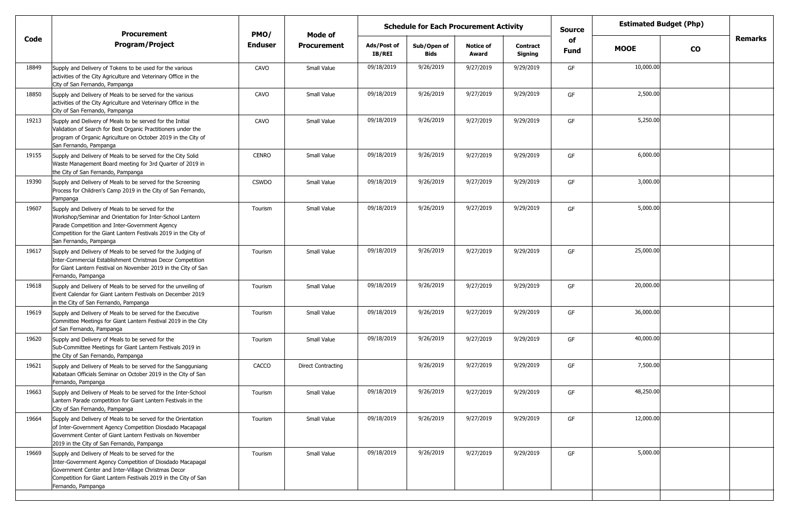|       | <b>Procurement</b>                                                                                                                                                                                                                                             | PMO/           | Mode of                   | <b>Schedule for Each Procurement Activity</b><br>Source<br>of<br><b>Notice of</b><br>Contract |                     |           |           |      | <b>Estimated Budget (Php)</b> |           |         |
|-------|----------------------------------------------------------------------------------------------------------------------------------------------------------------------------------------------------------------------------------------------------------------|----------------|---------------------------|-----------------------------------------------------------------------------------------------|---------------------|-----------|-----------|------|-------------------------------|-----------|---------|
| Code  | <b>Program/Project</b>                                                                                                                                                                                                                                         | <b>Enduser</b> | <b>Procurement</b>        | Ads/Post of<br><b>IB/REI</b>                                                                  | Sub/Open of<br>Bids | Award     | Signing   | Fund | <b>MOOE</b>                   | <b>CO</b> | Remarks |
| 18849 | Supply and Delivery of Tokens to be used for the various<br>activities of the City Agriculture and Veterinary Office in the<br>City of San Fernando, Pampanga                                                                                                  | CAVO           | Small Value               | 09/18/2019                                                                                    | 9/26/2019           | 9/27/2019 | 9/29/2019 | GF   | 10,000.00                     |           |         |
| 18850 | Supply and Delivery of Meals to be served for the various<br>activities of the City Agriculture and Veterinary Office in the<br>City of San Fernando, Pampanga                                                                                                 | CAVO           | Small Value               | 09/18/2019                                                                                    | 9/26/2019           | 9/27/2019 | 9/29/2019 | GF   | 2,500.00                      |           |         |
| 19213 | Supply and Delivery of Meals to be served for the Initial<br>Validation of Search for Best Organic Practitioners under the<br>program of Organic Agriculture on October 2019 in the City of<br>San Fernando, Pampanga                                          | CAVO           | Small Value               | 09/18/2019                                                                                    | 9/26/2019           | 9/27/2019 | 9/29/2019 | GF   | 5,250.00                      |           |         |
| 19155 | Supply and Delivery of Meals to be served for the City Solid<br>Waste Management Board meeting for 3rd Quarter of 2019 in<br>the City of San Fernando, Pampanga                                                                                                | <b>CENRO</b>   | Small Value               | 09/18/2019                                                                                    | 9/26/2019           | 9/27/2019 | 9/29/2019 | GF   | 6,000.00                      |           |         |
| 19390 | Supply and Delivery of Meals to be served for the Screening<br>Process for Children's Camp 2019 in the City of San Fernando,<br>Pampanga                                                                                                                       | <b>CSWDO</b>   | Small Value               | 09/18/2019                                                                                    | 9/26/2019           | 9/27/2019 | 9/29/2019 | GF   | 3,000.00                      |           |         |
| 19607 | Supply and Delivery of Meals to be served for the<br>Workshop/Seminar and Orientation for Inter-School Lantern<br>Parade Competition and Inter-Government Agency<br>Competition for the Giant Lantern Festivals 2019 in the City of<br>San Fernando, Pampanga  | Tourism        | Small Value               | 09/18/2019                                                                                    | 9/26/2019           | 9/27/2019 | 9/29/2019 | GF   | 5,000.00                      |           |         |
| 19617 | Supply and Delivery of Meals to be served for the Judging of<br>Inter-Commercial Establishment Christmas Decor Competition<br>for Giant Lantern Festival on November 2019 in the City of San<br>Fernando, Pampanga                                             | Tourism        | Small Value               | 09/18/2019                                                                                    | 9/26/2019           | 9/27/2019 | 9/29/2019 | GF   | 25,000.00                     |           |         |
| 19618 | Supply and Delivery of Meals to be served for the unveiling of<br>Event Calendar for Giant Lantern Festivals on December 2019<br>in the City of San Fernando, Pampanga                                                                                         | Tourism        | Small Value               | 09/18/2019                                                                                    | 9/26/2019           | 9/27/2019 | 9/29/2019 | GF   | 20,000.00                     |           |         |
| 19619 | Supply and Delivery of Meals to be served for the Executive<br>Committee Meetings for Giant Lantern Festival 2019 in the City<br>of San Fernando, Pampanga                                                                                                     | Tourism        | Small Value               | 09/18/2019                                                                                    | 9/26/2019           | 9/27/2019 | 9/29/2019 | GF   | 36,000.00                     |           |         |
| 19620 | Supply and Delivery of Meals to be served for the<br>Sub-Committee Meetings for Giant Lantern Festivals 2019 in<br>the City of San Fernando, Pampanga                                                                                                          | Tourism        | Small Value               | 09/18/2019                                                                                    | 9/26/2019           | 9/27/2019 | 9/29/2019 | GF   | 40,000.00                     |           |         |
| 19621 | Supply and Delivery of Meals to be served for the Sangguniang<br>Kabataan Officials Seminar on October 2019 in the City of San<br>Fernando, Pampanga                                                                                                           | CACCO          | <b>Direct Contracting</b> |                                                                                               | 9/26/2019           | 9/27/2019 | 9/29/2019 | GF   | 7,500.00                      |           |         |
| 19663 | Supply and Delivery of Meals to be served for the Inter-School<br>Lantern Parade competition for Giant Lantern Festivals in the<br>City of San Fernando, Pampanga                                                                                              | Tourism        | Small Value               | 09/18/2019                                                                                    | 9/26/2019           | 9/27/2019 | 9/29/2019 | GF   | 48,250.00                     |           |         |
| 19664 | Supply and Delivery of Meals to be served for the Orientation<br>of Inter-Government Agency Competition Diosdado Macapagal<br>Government Center of Giant Lantern Festivals on November<br>2019 in the City of San Fernando, Pampanga                           | Tourism        | Small Value               | 09/18/2019                                                                                    | 9/26/2019           | 9/27/2019 | 9/29/2019 | GF   | 12,000.00                     |           |         |
| 19669 | Supply and Delivery of Meals to be served for the<br>Inter-Government Agency Competition of Diosdado Macapagal<br>Government Center and Inter-Village Christmas Decor<br>Competition for Giant Lantern Festivals 2019 in the City of San<br>Fernando, Pampanga | Tourism        | Small Value               | 09/18/2019                                                                                    | 9/26/2019           | 9/27/2019 | 9/29/2019 | GF   | 5,000.00                      |           |         |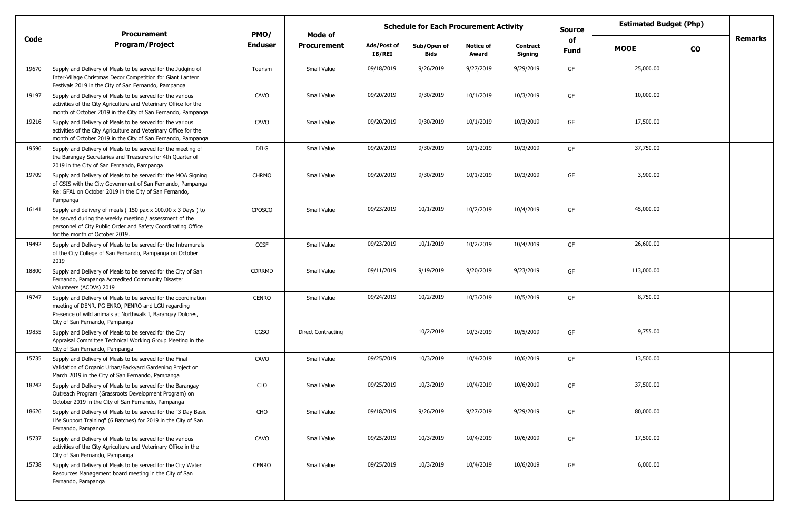|       | <b>Procurement</b>                                                                                                                                                                                                        | PMO/           | Mode of                   |                       | <b>Schedule for Each Procurement Activity</b> |                           |                     | <b>Estimated Budget (Php)</b><br>Source<br>of<br><b>MOOE</b> |            |               |                |
|-------|---------------------------------------------------------------------------------------------------------------------------------------------------------------------------------------------------------------------------|----------------|---------------------------|-----------------------|-----------------------------------------------|---------------------------|---------------------|--------------------------------------------------------------|------------|---------------|----------------|
| Code  | <b>Program/Project</b>                                                                                                                                                                                                    | <b>Enduser</b> | <b>Procurement</b>        | Ads/Post of<br>IB/REI | Sub/Open of<br>Bids                           | <b>Notice of</b><br>Award | Contract<br>Signing | Fund                                                         |            | $\mathbf{co}$ | <b>Remarks</b> |
| 19670 | Supply and Delivery of Meals to be served for the Judging of<br>Inter-Village Christmas Decor Competition for Giant Lantern<br>Festivals 2019 in the City of San Fernando, Pampanga                                       | Tourism        | Small Value               | 09/18/2019            | 9/26/2019                                     | 9/27/2019                 | 9/29/2019           | GF                                                           | 25,000.00  |               |                |
| 19197 | Supply and Delivery of Meals to be served for the various<br>activities of the City Agriculture and Veterinary Office for the<br>month of October 2019 in the City of San Fernando, Pampanga                              | CAVO           | Small Value               | 09/20/2019            | 9/30/2019                                     | 10/1/2019                 | 10/3/2019           | GF                                                           | 10,000.00  |               |                |
| 19216 | Supply and Delivery of Meals to be served for the various<br>activities of the City Agriculture and Veterinary Office for the<br>month of October 2019 in the City of San Fernando, Pampanga                              | CAVO           | Small Value               | 09/20/2019            | 9/30/2019                                     | 10/1/2019                 | 10/3/2019           | GF                                                           | 17,500.00  |               |                |
| 19596 | Supply and Delivery of Meals to be served for the meeting of<br>the Barangay Secretaries and Treasurers for 4th Quarter of<br>2019 in the City of San Fernando, Pampanga                                                  | DILG           | Small Value               | 09/20/2019            | 9/30/2019                                     | 10/1/2019                 | 10/3/2019           | GF                                                           | 37,750.00  |               |                |
| 19709 | Supply and Delivery of Meals to be served for the MOA Signing<br>of GSIS with the City Government of San Fernando, Pampanga<br>Re: GFAL on October 2019 in the City of San Fernando,<br>Pampanga                          | <b>CHRMO</b>   | Small Value               | 09/20/2019            | 9/30/2019                                     | 10/1/2019                 | 10/3/2019           | GF                                                           | 3,900.00   |               |                |
| 16141 | Supply and delivery of meals (150 pax x 100.00 x 3 Days) to<br>be served during the weekly meeting / assessment of the<br>personnel of City Public Order and Safety Coordinating Office<br>for the month of October 2019. | CPOSCO         | Small Value               | 09/23/2019            | 10/1/2019                                     | 10/2/2019                 | 10/4/2019           | GF                                                           | 45,000.00  |               |                |
| 19492 | Supply and Delivery of Meals to be served for the Intramurals<br>of the City College of San Fernando, Pampanga on October<br>2019                                                                                         | <b>CCSF</b>    | Small Value               | 09/23/2019            | 10/1/2019                                     | 10/2/2019                 | 10/4/2019           | GF                                                           | 26,600.00  |               |                |
| 18800 | Supply and Delivery of Meals to be served for the City of San<br>Fernando, Pampanga Accredited Community Disaster<br>Volunteers (ACDVs) 2019                                                                              | <b>CDRRMD</b>  | Small Value               | 09/11/2019            | 9/19/2019                                     | 9/20/2019                 | 9/23/2019           | GF                                                           | 113,000.00 |               |                |
| 19747 | Supply and Delivery of Meals to be served for the coordination<br>meeting of DENR, PG ENRO, PENRO and LGU regarding<br>Presence of wild animals at Northwalk I, Barangay Dolores,<br>City of San Fernando, Pampanga       | <b>CENRO</b>   | Small Value               | 09/24/2019            | 10/2/2019                                     | 10/3/2019                 | 10/5/2019           | GF                                                           | 8,750.00   |               |                |
| 19855 | Supply and Delivery of Meals to be served for the City<br>Appraisal Committee Technical Working Group Meeting in the<br>City of San Fernando, Pampanga                                                                    | CGSO           | <b>Direct Contracting</b> |                       | 10/2/2019                                     | 10/3/2019                 | 10/5/2019           | GF                                                           | 9,755.00   |               |                |
| 15735 | Supply and Delivery of Meals to be served for the Final<br>Validation of Organic Urban/Backyard Gardening Project on<br>March 2019 in the City of San Fernando, Pampanga                                                  | CAVO           | Small Value               | 09/25/2019            | 10/3/2019                                     | 10/4/2019                 | 10/6/2019           | GF                                                           | 13,500.00  |               |                |
| 18242 | Supply and Delivery of Meals to be served for the Barangay<br>Outreach Program (Grassroots Development Program) on<br>October 2019 in the City of San Fernando, Pampanga                                                  | <b>CLO</b>     | Small Value               | 09/25/2019            | 10/3/2019                                     | 10/4/2019                 | 10/6/2019           | GF                                                           | 37,500.00  |               |                |
| 18626 | Supply and Delivery of Meals to be served for the "3 Day Basic<br>Life Support Training" (6 Batches) for 2019 in the City of San<br>Fernando, Pampanga                                                                    | CHO            | Small Value               | 09/18/2019            | 9/26/2019                                     | 9/27/2019                 | 9/29/2019           | GF                                                           | 80,000.00  |               |                |
| 15737 | Supply and Delivery of Meals to be served for the various<br>activities of the City Agriculture and Veterinary Office in the<br>City of San Fernando, Pampanga                                                            | CAVO           | Small Value               | 09/25/2019            | 10/3/2019                                     | 10/4/2019                 | 10/6/2019           | GF                                                           | 17,500.00  |               |                |
| 15738 | Supply and Delivery of Meals to be served for the City Water<br>Resources Management board meeting in the City of San<br>Fernando, Pampanga                                                                               | CENRO          | Small Value               | 09/25/2019            | 10/3/2019                                     | 10/4/2019                 | 10/6/2019           | GF                                                           | 6,000.00   |               |                |
|       |                                                                                                                                                                                                                           |                |                           |                       |                                               |                           |                     |                                                              |            |               |                |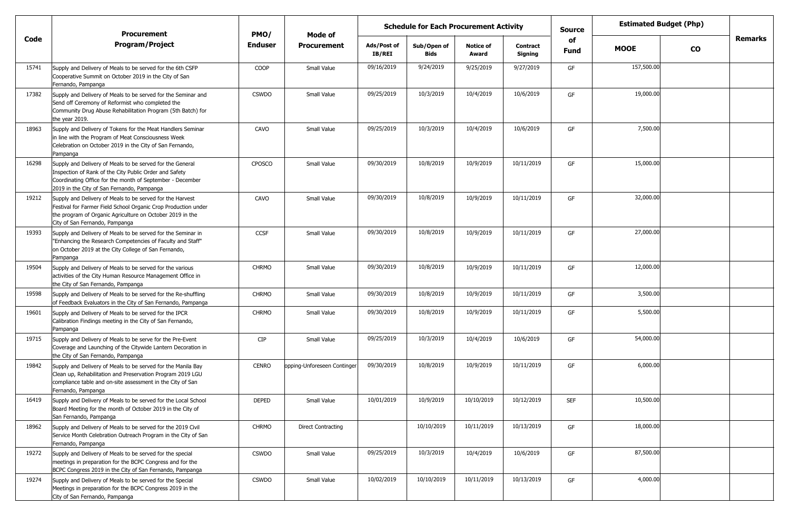|       | <b>Procurement</b>                                                                                                                                                                                                             | PMO/           | Mode of                     |                              | <b>Schedule for Each Procurement Activity</b> |                           |                            | <b>Source</b> | <b>Estimated Budget (Php)</b><br>of |               |         |
|-------|--------------------------------------------------------------------------------------------------------------------------------------------------------------------------------------------------------------------------------|----------------|-----------------------------|------------------------------|-----------------------------------------------|---------------------------|----------------------------|---------------|-------------------------------------|---------------|---------|
| Code  | <b>Program/Project</b>                                                                                                                                                                                                         | <b>Enduser</b> | <b>Procurement</b>          | Ads/Post of<br><b>IB/REI</b> | Sub/Open of<br><b>Bids</b>                    | <b>Notice of</b><br>Award | <b>Contract</b><br>Signing | <b>Fund</b>   | <b>MOOE</b>                         | $\mathbf{co}$ | Remarks |
| 15741 | Supply and Delivery of Meals to be served for the 6th CSFP<br>Cooperative Summit on October 2019 in the City of San<br>Fernando, Pampanga                                                                                      | COOP           | Small Value                 | 09/16/2019                   | 9/24/2019                                     | 9/25/2019                 | 9/27/2019                  | GF            | 157,500.00                          |               |         |
| 17382 | Supply and Delivery of Meals to be served for the Seminar and<br>Send off Ceremony of Reformist who completed the<br>Community Drug Abuse Rehabilitation Program (5th Batch) for<br>the year 2019.                             | <b>CSWDO</b>   | Small Value                 | 09/25/2019                   | 10/3/2019                                     | 10/4/2019                 | 10/6/2019                  | GF            | 19,000.00                           |               |         |
| 18963 | Supply and Delivery of Tokens for the Meat Handlers Seminar<br>in line with the Program of Meat Consciousness Week<br>Celebration on October 2019 in the City of San Fernando,<br>Pampanga                                     | CAVO           | Small Value                 | 09/25/2019                   | 10/3/2019                                     | 10/4/2019                 | 10/6/2019                  | GF            | 7,500.00                            |               |         |
| 16298 | Supply and Delivery of Meals to be served for the General<br>Inspection of Rank of the City Public Order and Safety<br>Coordinating Office for the month of September - December<br>2019 in the City of San Fernando, Pampanga | CPOSCO         | Small Value                 | 09/30/2019                   | 10/8/2019                                     | 10/9/2019                 | 10/11/2019                 | GF            | 15,000.00                           |               |         |
| 19212 | Supply and Delivery of Meals to be served for the Harvest<br>Festival for Farmer Field School Organic Crop Production under<br>the program of Organic Agriculture on October 2019 in the<br>City of San Fernando, Pampanga     | CAVO           | Small Value                 | 09/30/2019                   | 10/8/2019                                     | 10/9/2019                 | 10/11/2019                 | GF            | 32,000.00                           |               |         |
| 19393 | Supply and Delivery of Meals to be served for the Seminar in<br>"Enhancing the Research Competencies of Faculty and Staff"<br>on October 2019 at the City College of San Fernando,<br>Pampanga                                 | <b>CCSF</b>    | Small Value                 | 09/30/2019                   | 10/8/2019                                     | 10/9/2019                 | 10/11/2019                 | GF            | 27,000.00                           |               |         |
| 19504 | Supply and Delivery of Meals to be served for the various<br>activities of the City Human Resource Management Office in<br>the City of San Fernando, Pampanga                                                                  | <b>CHRMO</b>   | Small Value                 | 09/30/2019                   | 10/8/2019                                     | 10/9/2019                 | 10/11/2019                 | GF            | 12,000.00                           |               |         |
| 19598 | Supply and Delivery of Meals to be served for the Re-shuffling<br>of Feedback Evaluators in the City of San Fernando, Pampanga                                                                                                 | <b>CHRMO</b>   | Small Value                 | 09/30/2019                   | 10/8/2019                                     | 10/9/2019                 | 10/11/2019                 | GF            | 3,500.00                            |               |         |
| 19601 | Supply and Delivery of Meals to be served for the IPCR<br>Calibration Findings meeting in the City of San Fernando,<br>Pampanga                                                                                                | <b>CHRMO</b>   | Small Value                 | 09/30/2019                   | 10/8/2019                                     | 10/9/2019                 | 10/11/2019                 | GF            | 5,500.00                            |               |         |
| 19715 | Supply and Delivery of Meals to be serve for the Pre-Event<br>Coverage and Launching of the Citywide Lantern Decoration in<br>the City of San Fernando, Pampanga                                                               | <b>CIP</b>     | Small Value                 | 09/25/2019                   | 10/3/2019                                     | 10/4/2019                 | 10/6/2019                  | GF            | 54,000.00                           |               |         |
| 19842 | Supply and Delivery of Meals to be served for the Manila Bay<br>Clean up, Rehabilitation and Preservation Program 2019 LGU<br>compliance table and on-site assessment in the City of San<br>Fernando, Pampanga                 | <b>CENRO</b>   | opping-Unforeseen Continger | 09/30/2019                   | 10/8/2019                                     | 10/9/2019                 | 10/11/2019                 | GF            | 6,000.00                            |               |         |
| 16419 | Supply and Delivery of Meals to be served for the Local School<br>Board Meeting for the month of October 2019 in the City of<br>San Fernando, Pampanga                                                                         | <b>DEPED</b>   | Small Value                 | 10/01/2019                   | 10/9/2019                                     | 10/10/2019                | 10/12/2019                 | <b>SEF</b>    | 10,500.00                           |               |         |
| 18962 | Supply and Delivery of Meals to be served for the 2019 Civil<br>Service Month Celebration Outreach Program in the City of San<br>Fernando, Pampanga                                                                            | <b>CHRMO</b>   | <b>Direct Contracting</b>   |                              | 10/10/2019                                    | 10/11/2019                | 10/13/2019                 | GF            | 18,000.00                           |               |         |
| 19272 | Supply and Delivery of Meals to be served for the special<br>meetings in preparation for the BCPC Congress and for the<br>BCPC Congress 2019 in the City of San Fernando, Pampanga                                             | <b>CSWDO</b>   | Small Value                 | 09/25/2019                   | 10/3/2019                                     | 10/4/2019                 | 10/6/2019                  | GF            | 87,500.00                           |               |         |
| 19274 | Supply and Delivery of Meals to be served for the Special<br>Meetings in preparation for the BCPC Congress 2019 in the<br>City of San Fernando, Pampanga                                                                       | <b>CSWDO</b>   | Small Value                 | 10/02/2019                   | 10/10/2019                                    | 10/11/2019                | 10/13/2019                 | GF            | 4,000.00                            |               |         |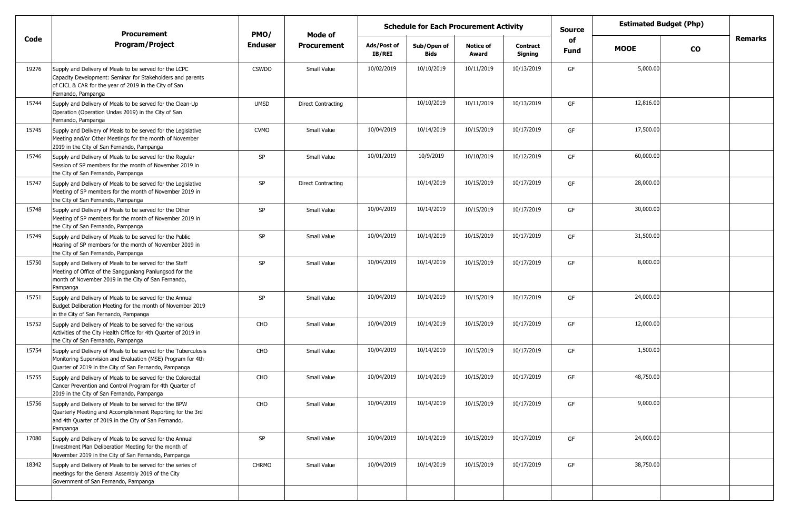|       | <b>Procurement</b>                                                                                                                                                                                  | PMO/           |                           | <b>Schedule for Each Procurement Activity</b><br>Mode of |                     |                           |                            | <b>Source</b> | <b>Estimated Budget (Php)</b> |           |         |
|-------|-----------------------------------------------------------------------------------------------------------------------------------------------------------------------------------------------------|----------------|---------------------------|----------------------------------------------------------|---------------------|---------------------------|----------------------------|---------------|-------------------------------|-----------|---------|
| Code  | <b>Program/Project</b>                                                                                                                                                                              | <b>Enduser</b> | <b>Procurement</b>        | Ads/Post of<br><b>IB/REI</b>                             | Sub/Open of<br>Bids | <b>Notice of</b><br>Award | <b>Contract</b><br>Signing | of<br>Fund    | <b>MOOE</b>                   | <b>CO</b> | Remarks |
| 19276 | Supply and Delivery of Meals to be served for the LCPC<br>Capacity Development: Seminar for Stakeholders and parents<br>of CICL & CAR for the year of 2019 in the City of San<br>Fernando, Pampanga | <b>CSWDO</b>   | Small Value               | 10/02/2019                                               | 10/10/2019          | 10/11/2019                | 10/13/2019                 | GF            | 5,000.00                      |           |         |
| 15744 | Supply and Delivery of Meals to be served for the Clean-Up<br>Operation (Operation Undas 2019) in the City of San<br>Fernando, Pampanga                                                             | <b>UMSD</b>    | <b>Direct Contracting</b> |                                                          | 10/10/2019          | 10/11/2019                | 10/13/2019                 | GF            | 12,816.00                     |           |         |
| 15745 | Supply and Delivery of Meals to be served for the Legislative<br>Meeting and/or Other Meetings for the month of November<br>2019 in the City of San Fernando, Pampanga                              | <b>CVMO</b>    | Small Value               | 10/04/2019                                               | 10/14/2019          | 10/15/2019                | 10/17/2019                 | GF            | 17,500.00                     |           |         |
| 15746 | Supply and Delivery of Meals to be served for the Regular<br>Session of SP members for the month of November 2019 in<br>the City of San Fernando, Pampanga                                          | <b>SP</b>      | Small Value               | 10/01/2019                                               | 10/9/2019           | 10/10/2019                | 10/12/2019                 | GF            | 60,000.00                     |           |         |
| 15747 | Supply and Delivery of Meals to be served for the Legislative<br>Meeting of SP members for the month of November 2019 in<br>the City of San Fernando, Pampanga                                      | SP             | <b>Direct Contracting</b> |                                                          | 10/14/2019          | 10/15/2019                | 10/17/2019                 | GF            | 28,000.00                     |           |         |
| 15748 | Supply and Delivery of Meals to be served for the Other<br>Meeting of SP members for the month of November 2019 in<br>the City of San Fernando, Pampanga                                            | SP             | Small Value               | 10/04/2019                                               | 10/14/2019          | 10/15/2019                | 10/17/2019                 | GF            | 30,000.00                     |           |         |
| 15749 | Supply and Delivery of Meals to be served for the Public<br>Hearing of SP members for the month of November 2019 in<br>the City of San Fernando, Pampanga                                           | SP             | Small Value               | 10/04/2019                                               | 10/14/2019          | 10/15/2019                | 10/17/2019                 | GF            | 31,500.00                     |           |         |
| 15750 | Supply and Delivery of Meals to be served for the Staff<br>Meeting of Office of the Sangguniang Panlungsod for the<br>month of November 2019 in the City of San Fernando,<br>Pampanga               | <b>SP</b>      | Small Value               | 10/04/2019                                               | 10/14/2019          | 10/15/2019                | 10/17/2019                 | GF            | 8,000.00                      |           |         |
| 15751 | Supply and Delivery of Meals to be served for the Annual<br>Budget Deliberation Meeting for the month of November 2019<br>in the City of San Fernando, Pampanga                                     | <b>SP</b>      | Small Value               | 10/04/2019                                               | 10/14/2019          | 10/15/2019                | 10/17/2019                 | GF            | 24,000.00                     |           |         |
| 15752 | Supply and Delivery of Meals to be served for the various<br>Activities of the City Health Office for 4th Quarter of 2019 in<br>the City of San Fernando, Pampanga                                  | CHO            | Small Value               | 10/04/2019                                               | 10/14/2019          | 10/15/2019                | 10/17/2019                 | GF            | 12,000.00                     |           |         |
| 15754 | Supply and Delivery of Meals to be served for the Tuberculosis<br>Monitoring Supervision and Evaluation (MSE) Program for 4th<br>Quarter of 2019 in the City of San Fernando, Pampanga              | CHO            | Small Value               | 10/04/2019                                               | 10/14/2019          | 10/15/2019                | 10/17/2019                 | GF            | 1,500.00                      |           |         |
| 15755 | Supply and Delivery of Meals to be served for the Colorectal<br>Cancer Prevention and Control Program for 4th Quarter of<br>2019 in the City of San Fernando, Pampanga                              | CHO            | Small Value               | 10/04/2019                                               | 10/14/2019          | 10/15/2019                | 10/17/2019                 | GF            | 48,750.00                     |           |         |
| 15756 | Supply and Delivery of Meals to be served for the BPW<br>Quarterly Meeting and Accomplishment Reporting for the 3rd<br>and 4th Quarter of 2019 in the City of San Fernando,<br>Pampanga             | CHO            | Small Value               | 10/04/2019                                               | 10/14/2019          | 10/15/2019                | 10/17/2019                 | GF            | 9,000.00                      |           |         |
| 17080 | Supply and Delivery of Meals to be served for the Annual<br>Investment Plan Deliberation Meeting for the month of<br>November 2019 in the City of San Fernando, Pampanga                            | SP             | Small Value               | 10/04/2019                                               | 10/14/2019          | 10/15/2019                | 10/17/2019                 | GF            | 24,000.00                     |           |         |
| 18342 | Supply and Delivery of Meals to be served for the series of<br>meetings for the General Assembly 2019 of the City<br>Government of San Fernando, Pampanga                                           | <b>CHRMO</b>   | Small Value               | 10/04/2019                                               | 10/14/2019          | 10/15/2019                | 10/17/2019                 | GF            | 38,750.00                     |           |         |
|       |                                                                                                                                                                                                     |                |                           |                                                          |                     |                           |                            |               |                               |           |         |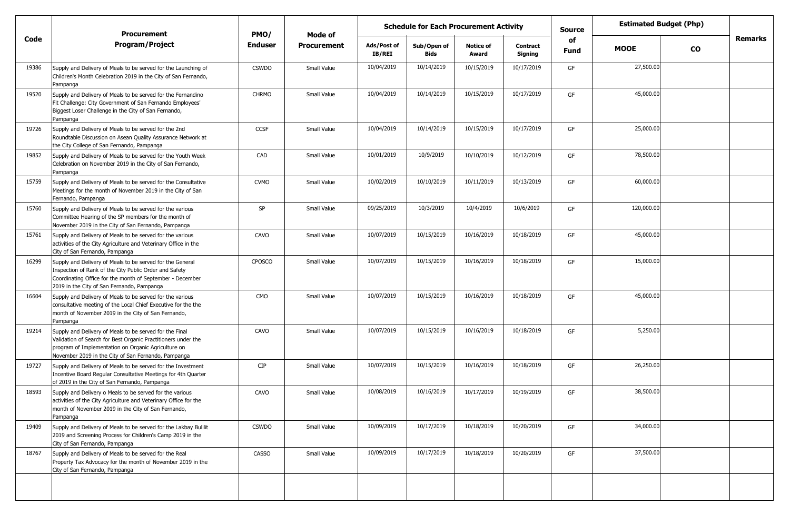|       | <b>Procurement</b>                                                                                                                                                                                                                     | PMO/         | Mode of            |                              | <b>Schedule for Each Procurement Activity</b> |                           |                            | <b>Source</b> |             | <b>Estimated Budget (Php)</b> |                |
|-------|----------------------------------------------------------------------------------------------------------------------------------------------------------------------------------------------------------------------------------------|--------------|--------------------|------------------------------|-----------------------------------------------|---------------------------|----------------------------|---------------|-------------|-------------------------------|----------------|
| Code  | <b>Program/Project</b>                                                                                                                                                                                                                 | Enduser      | <b>Procurement</b> | Ads/Post of<br><b>IB/REI</b> | Sub/Open of<br><b>Bids</b>                    | <b>Notice of</b><br>Award | <b>Contract</b><br>Signing | of<br>Fund    | <b>MOOE</b> | $\mathbf{co}$                 | <b>Remarks</b> |
| 19386 | Supply and Delivery of Meals to be served for the Launching of<br>Children's Month Celebration 2019 in the City of San Fernando,<br>Pampanga                                                                                           | <b>CSWDO</b> | Small Value        | 10/04/2019                   | 10/14/2019                                    | 10/15/2019                | 10/17/2019                 | GF            | 27,500.00   |                               |                |
| 19520 | Supply and Delivery of Meals to be served for the Fernandino<br>Fit Challenge: City Government of San Fernando Employees'<br>Biggest Loser Challenge in the City of San Fernando,<br>Pampanga                                          | <b>CHRMO</b> | Small Value        | 10/04/2019                   | 10/14/2019                                    | 10/15/2019                | 10/17/2019                 | GF            | 45,000.00   |                               |                |
| 19726 | Supply and Delivery of Meals to be served for the 2nd<br>Roundtable Discussion on Asean Quality Assurance Network at<br>the City College of San Fernando, Pampanga                                                                     | CCSF         | Small Value        | 10/04/2019                   | 10/14/2019                                    | 10/15/2019                | 10/17/2019                 | GF            | 25,000.00   |                               |                |
| 19852 | Supply and Delivery of Meals to be served for the Youth Week<br>Celebration on November 2019 in the City of San Fernando,<br>Pampanga                                                                                                  | CAD          | Small Value        | 10/01/2019                   | 10/9/2019                                     | 10/10/2019                | 10/12/2019                 | GF            | 78,500.00   |                               |                |
| 15759 | Supply and Delivery of Meals to be served for the Consultative<br>Meetings for the month of November 2019 in the City of San<br>Fernando, Pampanga                                                                                     | <b>CVMO</b>  | Small Value        | 10/02/2019                   | 10/10/2019                                    | 10/11/2019                | 10/13/2019                 | GF            | 60,000.00   |                               |                |
| 15760 | Supply and Delivery of Meals to be served for the various<br>Committee Hearing of the SP members for the month of<br>November 2019 in the City of San Fernando, Pampanga                                                               | SP           | Small Value        | 09/25/2019                   | 10/3/2019                                     | 10/4/2019                 | 10/6/2019                  | GF            | 120,000.00  |                               |                |
| 15761 | Supply and Delivery of Meals to be served for the various<br>activities of the City Agriculture and Veterinary Office in the<br>City of San Fernando, Pampanga                                                                         | CAVO         | Small Value        | 10/07/2019                   | 10/15/2019                                    | 10/16/2019                | 10/18/2019                 | GF            | 45,000.00   |                               |                |
| 16299 | Supply and Delivery of Meals to be served for the General<br>Inspection of Rank of the City Public Order and Safety<br>Coordinating Office for the month of September - December<br>2019 in the City of San Fernando, Pampanga         | CPOSCO       | Small Value        | 10/07/2019                   | 10/15/2019                                    | 10/16/2019                | 10/18/2019                 | GF            | 15,000.00   |                               |                |
| 16604 | Supply and Delivery of Meals to be served for the various<br>consultative meeting of the Local Chief Executive for the the<br>month of November 2019 in the City of San Fernando,<br>Pampanga                                          | CMO          | Small Value        | 10/07/2019                   | 10/15/2019                                    | 10/16/2019                | 10/18/2019                 | GF            | 45,000.00   |                               |                |
| 19214 | Supply and Delivery of Meals to be served for the Final<br>Validation of Search for Best Organic Practitioners under the<br>program of Implementation on Organic Agriculture on<br>November 2019 in the City of San Fernando, Pampanga | CAVO         | Small Value        | 10/07/2019                   | 10/15/2019                                    | 10/16/2019                | 10/18/2019                 | GF            | 5,250.00    |                               |                |
| 19727 | Supply and Delivery of Meals to be served for the Investment<br>Incentive Board Regular Consultative Meetings for 4th Quarter<br>of 2019 in the City of San Fernando, Pampanga                                                         | <b>CIP</b>   | Small Value        | 10/07/2019                   | 10/15/2019                                    | 10/16/2019                | 10/18/2019                 | GF            | 26,250.00   |                               |                |
| 18593 | Supply and Delivery o Meals to be served for the various<br>activities of the City Agriculture and Veterinary Office for the<br>month of November 2019 in the City of San Fernando,<br>Pampanga                                        | CAVO         | Small Value        | 10/08/2019                   | 10/16/2019                                    | 10/17/2019                | 10/19/2019                 | GF            | 38,500.00   |                               |                |
| 19409 | Supply and Delivery of Meals to be served for the Lakbay Bulilit<br>2019 and Screening Process for Children's Camp 2019 in the<br>City of San Fernando, Pampanga                                                                       | <b>CSWDO</b> | Small Value        | 10/09/2019                   | 10/17/2019                                    | 10/18/2019                | 10/20/2019                 | GF            | 34,000.00   |                               |                |
| 18767 | Supply and Delivery of Meals to be served for the Real<br>Property Tax Advocacy for the month of November 2019 in the<br>City of San Fernando, Pampanga                                                                                | CASSO        | Small Value        | 10/09/2019                   | 10/17/2019                                    | 10/18/2019                | 10/20/2019                 | GF            | 37,500.00   |                               |                |
|       |                                                                                                                                                                                                                                        |              |                    |                              |                                               |                           |                            |               |             |                               |                |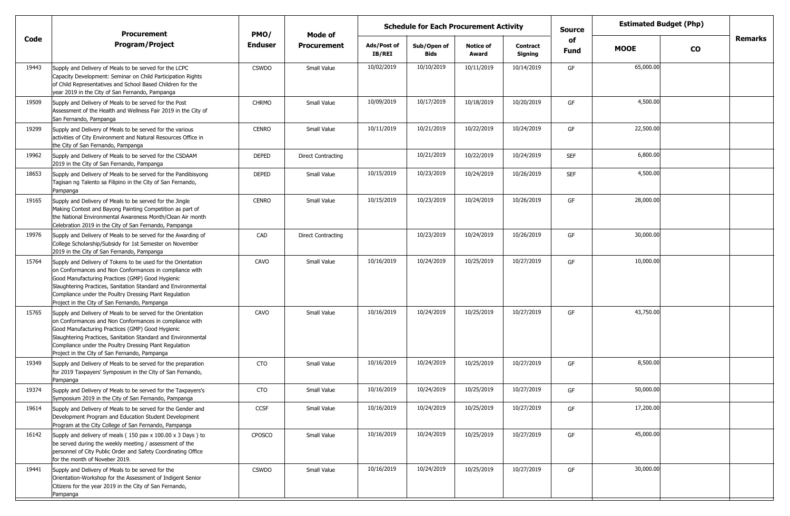|       |                                                                                                                                                                                                                                                                                                                                                          | <b>Schedule for Each Procurement Activity</b><br><b>Procurement</b><br>PMO/<br>Mode of |                           |                       |                            |                           |                            | <b>Source</b>     |             | <b>Estimated Budget (Php)</b> |         |
|-------|----------------------------------------------------------------------------------------------------------------------------------------------------------------------------------------------------------------------------------------------------------------------------------------------------------------------------------------------------------|----------------------------------------------------------------------------------------|---------------------------|-----------------------|----------------------------|---------------------------|----------------------------|-------------------|-------------|-------------------------------|---------|
| Code  | <b>Program/Project</b>                                                                                                                                                                                                                                                                                                                                   | <b>Enduser</b>                                                                         | <b>Procurement</b>        | Ads/Post of<br>IB/REI | Sub/Open of<br><b>Bids</b> | <b>Notice of</b><br>Award | <b>Contract</b><br>Signing | of<br><b>Fund</b> | <b>MOOE</b> | <b>CO</b>                     | Remarks |
| 19443 | Supply and Delivery of Meals to be served for the LCPC<br>Capacity Development: Seminar on Child Participation Rights<br>of Child Representatives and School Based Children for the<br>year 2019 in the City of San Fernando, Pampanga                                                                                                                   | <b>CSWDO</b>                                                                           | Small Value               | 10/02/2019            | 10/10/2019                 | 10/11/2019                | 10/14/2019                 | GF                | 65,000.00   |                               |         |
| 19509 | Supply and Delivery of Meals to be served for the Post<br>Assessment of the Health and Wellness Fair 2019 in the City of<br>San Fernando, Pampanga                                                                                                                                                                                                       | <b>CHRMO</b>                                                                           | Small Value               | 10/09/2019            | 10/17/2019                 | 10/18/2019                | 10/20/2019                 | GF                | 4,500.00    |                               |         |
| 19299 | Supply and Delivery of Meals to be served for the various<br>activities of City Environment and Natural Resources Office in<br>the City of San Fernando, Pampanga                                                                                                                                                                                        | <b>CENRO</b>                                                                           | Small Value               | 10/11/2019            | 10/21/2019                 | 10/22/2019                | 10/24/2019                 | GF                | 22,500.00   |                               |         |
| 19962 | Supply and Delivery of Meals to be served for the CSDAAM<br>2019 in the City of San Fernando, Pampanga                                                                                                                                                                                                                                                   | <b>DEPED</b>                                                                           | <b>Direct Contracting</b> |                       | 10/21/2019                 | 10/22/2019                | 10/24/2019                 | <b>SEF</b>        | 6,800.00    |                               |         |
| 18653 | Supply and Delivery of Meals to be served for the Pandibisyong<br>Tagisan ng Talento sa Filipino in the City of San Fernando,<br>Pampanga                                                                                                                                                                                                                | <b>DEPED</b>                                                                           | Small Value               | 10/15/2019            | 10/23/2019                 | 10/24/2019                | 10/26/2019                 | <b>SEF</b>        | 4,500.00    |                               |         |
| 19165 | Supply and Delivery of Meals to be served for the Jingle<br>Making Contest and Bayong Painting Competition as part of<br>the National Environmental Awareness Month/Clean Air month<br>Celebration 2019 in the City of San Fernando, Pampanga                                                                                                            | <b>CENRO</b>                                                                           | Small Value               | 10/15/2019            | 10/23/2019                 | 10/24/2019                | 10/26/2019                 | GF                | 28,000.00   |                               |         |
| 19976 | Supply and Delivery of Meals to be served for the Awarding of<br>College Scholarship/Subsidy for 1st Semester on November<br>2019 in the City of San Fernando, Pampanga                                                                                                                                                                                  | CAD                                                                                    | <b>Direct Contracting</b> |                       | 10/23/2019                 | 10/24/2019                | 10/26/2019                 | GF                | 30,000.00   |                               |         |
| 15764 | Supply and Delivery of Tokens to be used for the Orientation<br>on Conformances and Non Conformances in compliance with<br>Good Manufacturing Practices (GMP) Good Hygienic<br>Slaughtering Practices, Sanitation Standard and Environmental<br>Compliance under the Poultry Dressing Plant Regulation<br>Project in the City of San Fernando, Pampanga  | CAVO                                                                                   | Small Value               | 10/16/2019            | 10/24/2019                 | 10/25/2019                | 10/27/2019                 | GF                | 10,000.00   |                               |         |
| 15765 | Supply and Delivery of Meals to be served for the Orientation<br>on Conformances and Non Conformances in compliance with<br>Good Manufacturing Practices (GMP) Good Hygienic<br>Slaughtering Practices, Sanitation Standard and Environmental<br>Compliance under the Poultry Dressing Plant Regulation<br>Project in the City of San Fernando, Pampanga | CAVO                                                                                   | Small Value               | 10/16/2019            | 10/24/2019                 | 10/25/2019                | 10/27/2019                 | GF                | 43,750.00   |                               |         |
| 19349 | Supply and Delivery of Meals to be served for the preparation<br>for 2019 Taxpayers' Symposium in the City of San Fernando,<br>Pampanga                                                                                                                                                                                                                  | <b>CTO</b>                                                                             | Small Value               | 10/16/2019            | 10/24/2019                 | 10/25/2019                | 10/27/2019                 | GF                | 8,500.00    |                               |         |
| 19374 | Supply and Delivery of Meals to be served for the Taxpayers's<br>Symposium 2019 in the City of San Fernando, Pampanga                                                                                                                                                                                                                                    | <b>CTO</b>                                                                             | Small Value               | 10/16/2019            | 10/24/2019                 | 10/25/2019                | 10/27/2019                 | GF                | 50,000.00   |                               |         |
| 19614 | Supply and Delivery of Meals to be served for the Gender and<br>Development Program and Education Student Development<br>Program at the City College of San Fernando, Pampanga                                                                                                                                                                           | CCSF                                                                                   | Small Value               | 10/16/2019            | 10/24/2019                 | 10/25/2019                | 10/27/2019                 | GF                | 17,200.00   |                               |         |
| 16142 | Supply and delivery of meals (150 pax x 100.00 x 3 Days) to<br>be served during the weekly meeting / assessment of the<br>personnel of City Public Order and Safety Coordinating Office<br>for the month of Noveber 2019.                                                                                                                                | CPOSCO                                                                                 | Small Value               | 10/16/2019            | 10/24/2019                 | 10/25/2019                | 10/27/2019                 | GF                | 45,000.00   |                               |         |
| 19441 | Supply and Delivery of Meals to be served for the<br>Orientation-Workshop for the Assessment of Indigent Senior<br>Citizens for the year 2019 in the City of San Fernando,<br>Pampanga                                                                                                                                                                   | <b>CSWDO</b>                                                                           | Small Value               | 10/16/2019            | 10/24/2019                 | 10/25/2019                | 10/27/2019                 | GF                | 30,000.00   |                               |         |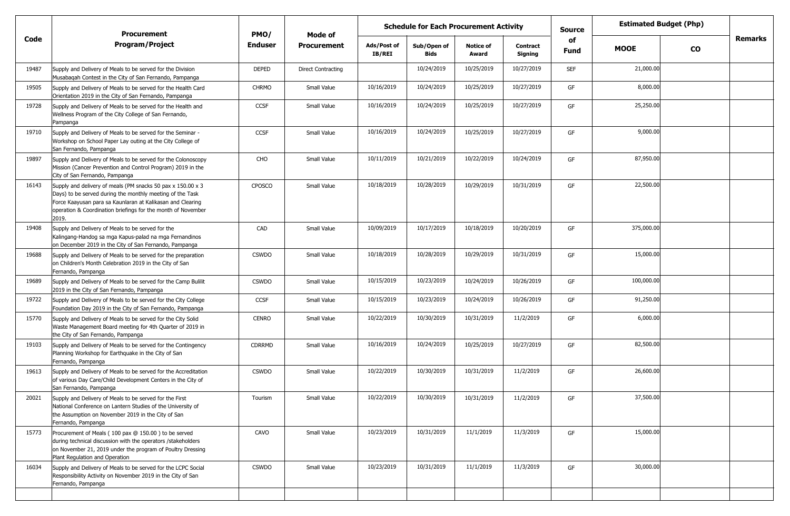|       | <b>Procurement</b>                                                                                                                                                                                                                                              | PMO/          | Mode of                   | <b>Estimated Budget (Php)</b><br><b>Schedule for Each Procurement Activity</b><br><b>Source</b><br>of |                            |                           |                            |             |             |           |                |
|-------|-----------------------------------------------------------------------------------------------------------------------------------------------------------------------------------------------------------------------------------------------------------------|---------------|---------------------------|-------------------------------------------------------------------------------------------------------|----------------------------|---------------------------|----------------------------|-------------|-------------|-----------|----------------|
| Code  | <b>Program/Project</b>                                                                                                                                                                                                                                          | Enduser       | <b>Procurement</b>        | Ads/Post of<br>IB/REI                                                                                 | Sub/Open of<br><b>Bids</b> | <b>Notice of</b><br>Award | <b>Contract</b><br>Signing | <b>Fund</b> | <b>MOOE</b> | <b>CO</b> | <b>Remarks</b> |
| 19487 | Supply and Delivery of Meals to be served for the Division<br>Musabagah Contest in the City of San Fernando, Pampanga                                                                                                                                           | <b>DEPED</b>  | <b>Direct Contracting</b> |                                                                                                       | 10/24/2019                 | 10/25/2019                | 10/27/2019                 | <b>SEF</b>  | 21,000.00   |           |                |
| 19505 | Supply and Delivery of Meals to be served for the Health Card<br>Orientation 2019 in the City of San Fernando, Pampanga                                                                                                                                         | <b>CHRMO</b>  | Small Value               | 10/16/2019                                                                                            | 10/24/2019                 | 10/25/2019                | 10/27/2019                 | GF          | 8,000.00    |           |                |
| 19728 | Supply and Delivery of Meals to be served for the Health and<br>Wellness Program of the City College of San Fernando,<br>Pampanga                                                                                                                               | <b>CCSF</b>   | Small Value               | 10/16/2019                                                                                            | 10/24/2019                 | 10/25/2019                | 10/27/2019                 | GF          | 25,250.00   |           |                |
| 19710 | Supply and Delivery of Meals to be served for the Seminar -<br>Workshop on School Paper Lay outing at the City College of<br>San Fernando, Pampanga                                                                                                             | <b>CCSF</b>   | Small Value               | 10/16/2019                                                                                            | 10/24/2019                 | 10/25/2019                | 10/27/2019                 | GF          | 9,000.00    |           |                |
| 19897 | Supply and Delivery of Meals to be served for the Colonoscopy<br>Mission (Cancer Prevention and Control Program) 2019 in the<br>City of San Fernando, Pampanga                                                                                                  | CHO           | Small Value               | 10/11/2019                                                                                            | 10/21/2019                 | 10/22/2019                | 10/24/2019                 | GF          | 87,950.00   |           |                |
| 16143 | Supply and delivery of meals (PM snacks 50 pax x 150.00 x 3<br>Days) to be served during the monthly meeting of the Task<br>Force Kaayusan para sa Kaunlaran at Kalikasan and Clearing<br>operation & Coordination briefings for the month of November<br>2019. | CPOSCO        | Small Value               | 10/18/2019                                                                                            | 10/28/2019                 | 10/29/2019                | 10/31/2019                 | GF          | 22,500.00   |           |                |
| 19408 | Supply and Delivery of Meals to be served for the<br>Kalingang-Handog sa mga Kapus-palad na mga Fernandinos<br>on December 2019 in the City of San Fernando, Pampanga                                                                                           | CAD           | Small Value               | 10/09/2019                                                                                            | 10/17/2019                 | 10/18/2019                | 10/20/2019                 | GF          | 375,000.00  |           |                |
| 19688 | Supply and Delivery of Meals to be served for the preparation<br>on Children's Month Celebration 2019 in the City of San<br>Fernando, Pampanga                                                                                                                  | <b>CSWDO</b>  | Small Value               | 10/18/2019                                                                                            | 10/28/2019                 | 10/29/2019                | 10/31/2019                 | GF          | 15,000.00   |           |                |
| 19689 | Supply and Delivery of Meals to be served for the Camp Bulilit<br>2019 in the City of San Fernando, Pampanga                                                                                                                                                    | <b>CSWDO</b>  | Small Value               | 10/15/2019                                                                                            | 10/23/2019                 | 10/24/2019                | 10/26/2019                 | GF          | 100,000.00  |           |                |
| 19722 | Supply and Delivery of Meals to be served for the City College<br>Foundation Day 2019 in the City of San Fernando, Pampanga                                                                                                                                     | <b>CCSF</b>   | Small Value               | 10/15/2019                                                                                            | 10/23/2019                 | 10/24/2019                | 10/26/2019                 | GF          | 91,250.00   |           |                |
| 15770 | Supply and Delivery of Meals to be served for the City Solid<br>Waste Management Board meeting for 4th Quarter of 2019 in<br>the City of San Fernando, Pampanga                                                                                                 | <b>CENRO</b>  | Small Value               | 10/22/2019                                                                                            | 10/30/2019                 | 10/31/2019                | 11/2/2019                  | GF          | 6,000.00    |           |                |
| 19103 | Supply and Delivery of Meals to be served for the Contingency<br>Planning Workshop for Earthquake in the City of San<br>Fernando, Pampanga                                                                                                                      | <b>CDRRMD</b> | Small Value               | 10/16/2019                                                                                            | 10/24/2019                 | 10/25/2019                | 10/27/2019                 | GF          | 82,500.00   |           |                |
| 19613 | Supply and Delivery of Meals to be served for the Accreditation<br>of various Day Care/Child Development Centers in the City of<br>San Fernando, Pampanga                                                                                                       | <b>CSWDO</b>  | Small Value               | 10/22/2019                                                                                            | 10/30/2019                 | 10/31/2019                | 11/2/2019                  | GF          | 26,600.00   |           |                |
| 20021 | Supply and Delivery of Meals to be served for the First<br>National Conference on Lantern Studies of the University of<br>the Assumption on November 2019 in the City of San<br>Fernando, Pampanga                                                              | Tourism       | Small Value               | 10/22/2019                                                                                            | 10/30/2019                 | 10/31/2019                | 11/2/2019                  | GF          | 37,500.00   |           |                |
| 15773 | Procurement of Meals (100 pax @ 150.00) to be served<br>during technical discussion with the operators /stakeholders<br>on November 21, 2019 under the program of Poultry Dressing<br>Plant Regulation and Operation                                            | CAVO          | Small Value               | 10/23/2019                                                                                            | 10/31/2019                 | 11/1/2019                 | 11/3/2019                  | GF          | 15,000.00   |           |                |
| 16034 | Supply and Delivery of Meals to be served for the LCPC Social<br>Responsibility Activity on November 2019 in the City of San<br>Fernando, Pampanga                                                                                                              | <b>CSWDO</b>  | Small Value               | 10/23/2019                                                                                            | 10/31/2019                 | 11/1/2019                 | 11/3/2019                  | GF          | 30,000.00   |           |                |
|       |                                                                                                                                                                                                                                                                 |               |                           |                                                                                                       |                            |                           |                            |             |             |           |                |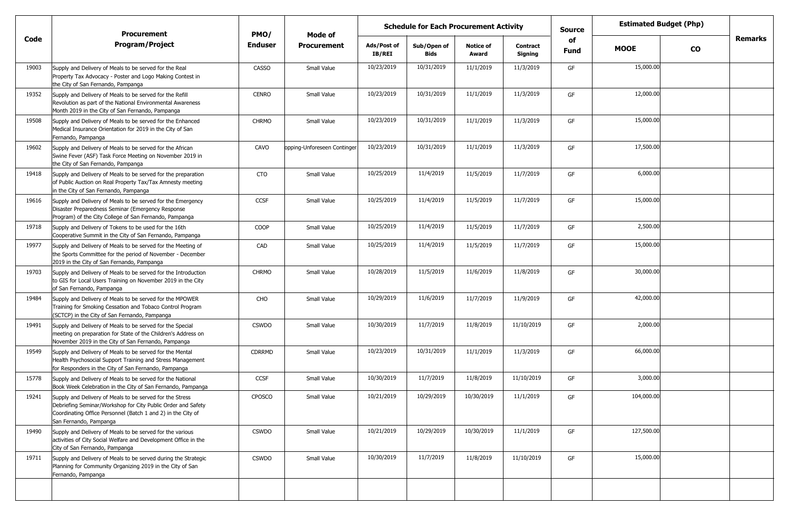|       | <b>Procurement</b>                                                                                                                                                                                                 | PMO/           | Mode of                     |                              | <b>Schedule for Each Procurement Activity</b> |                           |                            | <b>Source</b> | <b>Estimated Budget (Php)</b><br>of |           |                |
|-------|--------------------------------------------------------------------------------------------------------------------------------------------------------------------------------------------------------------------|----------------|-----------------------------|------------------------------|-----------------------------------------------|---------------------------|----------------------------|---------------|-------------------------------------|-----------|----------------|
| Code  | <b>Program/Project</b>                                                                                                                                                                                             | <b>Enduser</b> | <b>Procurement</b>          | Ads/Post of<br><b>IB/REI</b> | Sub/Open of<br><b>Bids</b>                    | <b>Notice of</b><br>Award | <b>Contract</b><br>Signing | <b>Fund</b>   | <b>MOOE</b>                         | <b>CO</b> | <b>Remarks</b> |
| 19003 | Supply and Delivery of Meals to be served for the Real<br>Property Tax Advocacy - Poster and Logo Making Contest in<br>the City of San Fernando, Pampanga                                                          | <b>CASSO</b>   | Small Value                 | 10/23/2019                   | 10/31/2019                                    | 11/1/2019                 | 11/3/2019                  | GF            | 15,000.00                           |           |                |
| 19352 | Supply and Delivery of Meals to be served for the Refill<br>Revolution as part of the National Environmental Awareness<br>Month 2019 in the City of San Fernando, Pampanga                                         | <b>CENRO</b>   | Small Value                 | 10/23/2019                   | 10/31/2019                                    | 11/1/2019                 | 11/3/2019                  | GF            | 12,000.00                           |           |                |
| 19508 | Supply and Delivery of Meals to be served for the Enhanced<br>Medical Insurance Orientation for 2019 in the City of San<br>Fernando, Pampanga                                                                      | <b>CHRMO</b>   | Small Value                 | 10/23/2019                   | 10/31/2019                                    | 11/1/2019                 | 11/3/2019                  | GF            | 15,000.00                           |           |                |
| 19602 | Supply and Delivery of Meals to be served for the African<br>Swine Fever (ASF) Task Force Meeting on November 2019 in<br>the City of San Fernando, Pampanga                                                        | CAVO           | opping-Unforeseen Continger | 10/23/2019                   | 10/31/2019                                    | 11/1/2019                 | 11/3/2019                  | GF            | 17,500.00                           |           |                |
| 19418 | Supply and Delivery of Meals to be served for the preparation<br>of Public Auction on Real Property Tax/Tax Amnesty meeting<br>in the City of San Fernando, Pampanga                                               | <b>CTO</b>     | Small Value                 | 10/25/2019                   | 11/4/2019                                     | 11/5/2019                 | 11/7/2019                  | GF            | 6,000.00                            |           |                |
| 19616 | Supply and Delivery of Meals to be served for the Emergency<br>Disaster Preparedness Seminar (Emergency Response<br>Program) of the City College of San Fernando, Pampanga                                         | CCSF           | Small Value                 | 10/25/2019                   | 11/4/2019                                     | 11/5/2019                 | 11/7/2019                  | GF            | 15,000.00                           |           |                |
| 19718 | Supply and Delivery of Tokens to be used for the 16th<br>Cooperative Summit in the City of San Fernando, Pampanga                                                                                                  | COOP           | Small Value                 | 10/25/2019                   | 11/4/2019                                     | 11/5/2019                 | 11/7/2019                  | GF            | 2,500.00                            |           |                |
| 19977 | Supply and Delivery of Meals to be served for the Meeting of<br>the Sports Committee for the period of November - December<br>2019 in the City of San Fernando, Pampanga                                           | CAD            | Small Value                 | 10/25/2019                   | 11/4/2019                                     | 11/5/2019                 | 11/7/2019                  | GF            | 15,000.00                           |           |                |
| 19703 | Supply and Delivery of Meals to be served for the Introduction<br>to GIS for Local Users Training on November 2019 in the City<br>of San Fernando, Pampanga                                                        | <b>CHRMO</b>   | Small Value                 | 10/28/2019                   | 11/5/2019                                     | 11/6/2019                 | 11/8/2019                  | GF            | 30,000.00                           |           |                |
| 19484 | Supply and Delivery of Meals to be served for the MPOWER<br>Training for Smoking Cessation and Tobaco Control Program<br>(SCTCP) in the City of San Fernando, Pampanga                                             | CHO            | Small Value                 | 10/29/2019                   | 11/6/2019                                     | 11/7/2019                 | 11/9/2019                  | GF            | 42,000.00                           |           |                |
| 19491 | Supply and Delivery of Meals to be served for the Special<br>meeting on preparation for State of the Children's Address on<br>November 2019 in the City of San Fernando, Pampanga                                  | <b>CSWDO</b>   | Small Value                 | 10/30/2019                   | 11/7/2019                                     | 11/8/2019                 | 11/10/2019                 | GF            | 2,000.00                            |           |                |
| 19549 | Supply and Delivery of Meals to be served for the Mental<br>Health Psychosocial Support Training and Stress Management<br>for Responders in the City of San Fernando, Pampanga                                     | <b>CDRRMD</b>  | Small Value                 | 10/23/2019                   | 10/31/2019                                    | 11/1/2019                 | 11/3/2019                  | GF            | 66,000.00                           |           |                |
| 15778 | Supply and Delivery of Meals to be served for the National<br>Book Week Celebration in the City of San Fernando, Pampanga                                                                                          | <b>CCSF</b>    | Small Value                 | 10/30/2019                   | 11/7/2019                                     | 11/8/2019                 | 11/10/2019                 | GF            | 3,000.00                            |           |                |
| 19241 | Supply and Delivery of Meals to be served for the Stress<br>Debriefing Seminar/Workshop for City Public Order and Safety<br>Coordinating Office Personnel (Batch 1 and 2) in the City of<br>San Fernando, Pampanga | CPOSCO         | Small Value                 | 10/21/2019                   | 10/29/2019                                    | 10/30/2019                | 11/1/2019                  | GF            | 104,000.00                          |           |                |
| 19490 | Supply and Delivery of Meals to be served for the various<br>activities of City Social Welfare and Development Office in the<br>City of San Fernando, Pampanga                                                     | <b>CSWDO</b>   | Small Value                 | 10/21/2019                   | 10/29/2019                                    | 10/30/2019                | 11/1/2019                  | GF            | 127,500.00                          |           |                |
| 19711 | Supply and Delivery of Meals to be served during the Strategic<br>Planning for Community Organizing 2019 in the City of San<br>Fernando, Pampanga                                                                  | <b>CSWDO</b>   | Small Value                 | 10/30/2019                   | 11/7/2019                                     | 11/8/2019                 | 11/10/2019                 | GF            | 15,000.00                           |           |                |
|       |                                                                                                                                                                                                                    |                |                             |                              |                                               |                           |                            |               |                                     |           |                |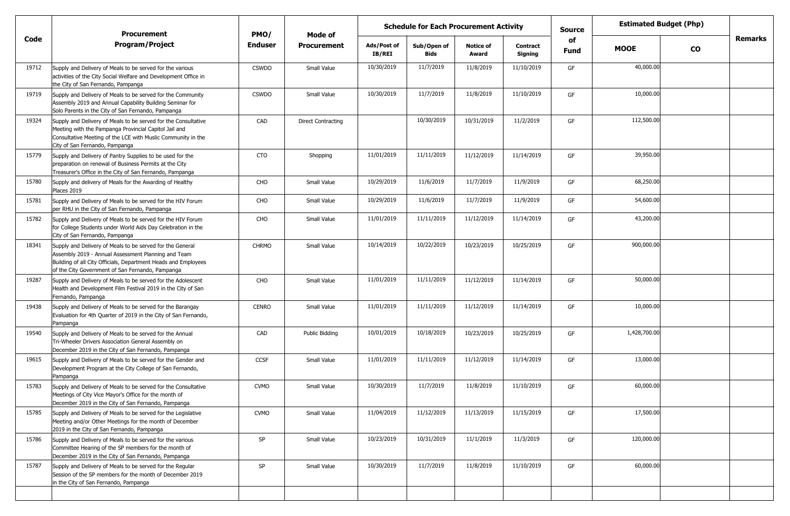|       | <b>Procurement</b>                                                                                                                                                                                                                     | PMO/           | Mode of                   |                       | <b>Schedule for Each Procurement Activity</b> |                           |                            | <b>Source</b> | <b>Estimated Budget (Php)</b> |           |                |
|-------|----------------------------------------------------------------------------------------------------------------------------------------------------------------------------------------------------------------------------------------|----------------|---------------------------|-----------------------|-----------------------------------------------|---------------------------|----------------------------|---------------|-------------------------------|-----------|----------------|
| Code  | <b>Program/Project</b>                                                                                                                                                                                                                 | <b>Enduser</b> | <b>Procurement</b>        | Ads/Post of<br>IB/REI | Sub/Open of<br><b>Bids</b>                    | <b>Notice of</b><br>Award | <b>Contract</b><br>Signing | of<br>Fund    | <b>MOOE</b>                   | <b>CO</b> | <b>Remarks</b> |
| 19712 | Supply and Delivery of Meals to be served for the various<br>activities of the City Social Welfare and Development Office in<br>the City of San Fernando, Pampanga                                                                     | <b>CSWDO</b>   | Small Value               | 10/30/2019            | 11/7/2019                                     | 11/8/2019                 | 11/10/2019                 | GF            | 40,000.00                     |           |                |
| 19719 | Supply and Delivery of Meals to be served for the Community<br>Assembly 2019 and Annual Capability Building Seminar for<br>Solo Parents in the City of San Fernando, Pampanga                                                          | <b>CSWDO</b>   | Small Value               | 10/30/2019            | 11/7/2019                                     | 11/8/2019                 | 11/10/2019                 | GF            | 10,000.00                     |           |                |
| 19324 | Supply and Delivery of Meals to be served for the Consultative<br>Meeting with the Pampanga Provincial Capitol Jail and<br>Consultative Meeting of the LCE with Muslic Community in the<br>City of San Fernando, Pampanga              | CAD            | <b>Direct Contracting</b> |                       | 10/30/2019                                    | 10/31/2019                | 11/2/2019                  | GF            | 112,500.00                    |           |                |
| 15779 | Supply and Delivery of Pantry Supplies to be used for the<br>preparation on renewal of Business Permits at the City<br>Treasurer's Office in the City of San Fernando, Pampanga                                                        | <b>CTO</b>     | Shopping                  | 11/01/2019            | 11/11/2019                                    | 11/12/2019                | 11/14/2019                 | GF            | 39,950.00                     |           |                |
| 15780 | Supply and delivery of Meals for the Awarding of Healthy<br>Places 2019                                                                                                                                                                | CHO            | Small Value               | 10/29/2019            | 11/6/2019                                     | 11/7/2019                 | 11/9/2019                  | GF            | 68,250.00                     |           |                |
| 15781 | Supply and Delivery of Meals to be served for the HIV Forum<br>per RHU in the City of San Fernando, Pampanga                                                                                                                           | CHO            | Small Value               | 10/29/2019            | 11/6/2019                                     | 11/7/2019                 | 11/9/2019                  | GF            | 54,600.00                     |           |                |
| 15782 | Supply and Delivery of Meals to be served for the HIV Forum<br>for College Students under World Aids Day Celebration in the<br>City of San Fernando, Pampanga                                                                          | CHO            | Small Value               | 11/01/2019            | 11/11/2019                                    | 11/12/2019                | 11/14/2019                 | GF            | 43,200.00                     |           |                |
| 18341 | Supply and Delivery of Meals to be served for the General<br>Assembly 2019 - Annual Assessment Planning and Team<br>Building of all City Officials, Department Heads and Employees<br>of the City Government of San Fernando, Pampanga | <b>CHRMO</b>   | Small Value               | 10/14/2019            | 10/22/2019                                    | 10/23/2019                | 10/25/2019                 | GF            | 900,000.00                    |           |                |
| 19287 | Supply and Delivery of Meals to be served for the Adolescent<br>Health and Development Film Festival 2019 in the City of San<br>Fernando, Pampanga                                                                                     | CHO            | Small Value               | 11/01/2019            | 11/11/2019                                    | 11/12/2019                | 11/14/2019                 | GF            | 50,000.00                     |           |                |
| 19438 | Supply and Delivery of Meals to be served for the Barangay<br>Evaluation for 4th Quarter of 2019 in the City of San Fernando,<br>Pampanga                                                                                              | <b>CENRO</b>   | Small Value               | 11/01/2019            | 11/11/2019                                    | 11/12/2019                | 11/14/2019                 | GF            | 10,000.00                     |           |                |
| 19540 | Supply and Delivery of Meals to be served for the Annual<br>Tri-Wheeler Drivers Association General Assembly on<br>December 2019 in the City of San Fernando, Pampanga                                                                 | CAD            | Public Bidding            | 10/01/2019            | 10/18/2019                                    | 10/23/2019                | 10/25/2019                 | GF            | 1,428,700.00                  |           |                |
| 19615 | Supply and Delivery of Meals to be served for the Gender and<br>Development Program at the City College of San Fernando,<br>Pampanga                                                                                                   | <b>CCSF</b>    | Small Value               | 11/01/2019            | 11/11/2019                                    | 11/12/2019                | 11/14/2019                 | GF            | 13,000.00                     |           |                |
| 15783 | Supply and Delivery of Meals to be served for the Consultative<br>Meetings of City Vice Mayor's Office for the month of<br>December 2019 in the City of San Fernando, Pampanga                                                         | <b>CVMO</b>    | Small Value               | 10/30/2019            | 11/7/2019                                     | 11/8/2019                 | 11/10/2019                 | GF            | 60,000.00                     |           |                |
| 15785 | Supply and Delivery of Meals to be served for the Legislative<br>Meeting and/or Other Meetings for the month of December<br>2019 in the City of San Fernando, Pampanga                                                                 | <b>CVMO</b>    | Small Value               | 11/04/2019            | 11/12/2019                                    | 11/13/2019                | 11/15/2019                 | GF            | 17,500.00                     |           |                |
| 15786 | Supply and Delivery of Meals to be served for the various<br>Committee Hearing of the SP members for the month of<br>December 2019 in the City of San Fernando, Pampanga                                                               | SP             | Small Value               | 10/23/2019            | 10/31/2019                                    | 11/1/2019                 | 11/3/2019                  | GF            | 120,000.00                    |           |                |
| 15787 | Supply and Delivery of Meals to be served for the Regular<br>Session of the SP members for the month of December 2019<br>in the City of San Fernando, Pampanga                                                                         | $\mathsf{SP}$  | Small Value               | 10/30/2019            | 11/7/2019                                     | 11/8/2019                 | 11/10/2019                 | GF            | 60,000.00                     |           |                |
|       |                                                                                                                                                                                                                                        |                |                           |                       |                                               |                           |                            |               |                               |           |                |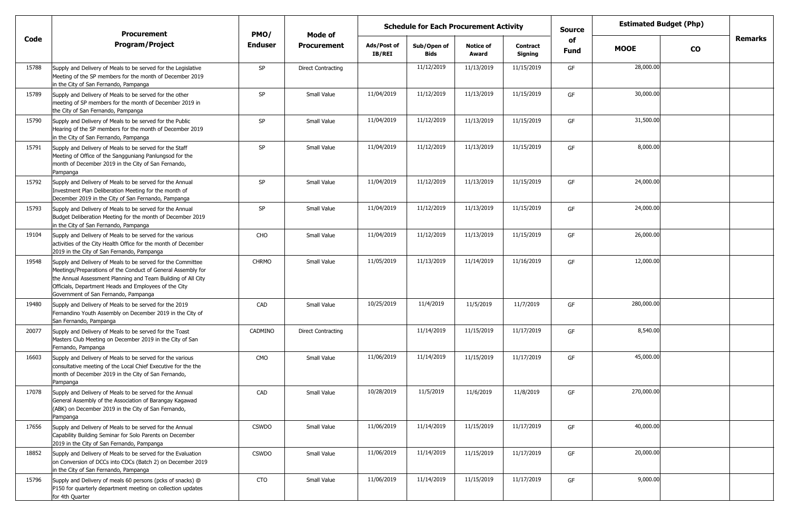|       | <b>Procurement</b>                                                                                                                                                                                                                                                                           | PMO/           | Mode of            | <b>Schedule for Each Procurement Activity</b> |                            |                           |                            | <b>Source</b> |             | <b>Estimated Budget (Php)</b> |         |
|-------|----------------------------------------------------------------------------------------------------------------------------------------------------------------------------------------------------------------------------------------------------------------------------------------------|----------------|--------------------|-----------------------------------------------|----------------------------|---------------------------|----------------------------|---------------|-------------|-------------------------------|---------|
| Code  | <b>Program/Project</b>                                                                                                                                                                                                                                                                       | <b>Enduser</b> | <b>Procurement</b> | Ads/Post of<br><b>IB/REI</b>                  | Sub/Open of<br><b>Bids</b> | <b>Notice of</b><br>Award | <b>Contract</b><br>Signing | of<br>Fund    | <b>MOOE</b> | $\mathbf{co}$                 | Remarks |
| 15788 | Supply and Delivery of Meals to be served for the Legislative<br>Meeting of the SP members for the month of December 2019<br>in the City of San Fernando, Pampanga                                                                                                                           | SP             | Direct Contracting |                                               | 11/12/2019                 | 11/13/2019                | 11/15/2019                 | GF            | 28,000.00   |                               |         |
| 15789 | Supply and Delivery of Meals to be served for the other<br>meeting of SP members for the month of December 2019 in<br>the City of San Fernando, Pampanga                                                                                                                                     | SP             | Small Value        | 11/04/2019                                    | 11/12/2019                 | 11/13/2019                | 11/15/2019                 | GF            | 30,000.00   |                               |         |
| 15790 | Supply and Delivery of Meals to be served for the Public<br>Hearing of the SP members for the month of December 2019<br>in the City of San Fernando, Pampanga                                                                                                                                | <b>SP</b>      | Small Value        | 11/04/2019                                    | 11/12/2019                 | 11/13/2019                | 11/15/2019                 | GF            | 31,500.00   |                               |         |
| 15791 | Supply and Delivery of Meals to be served for the Staff<br>Meeting of Office of the Sangguniang Panlungsod for the<br>month of December 2019 in the City of San Fernando,<br>Pampanga                                                                                                        | SP             | Small Value        | 11/04/2019                                    | 11/12/2019                 | 11/13/2019                | 11/15/2019                 | GF            | 8,000.00    |                               |         |
| 15792 | Supply and Delivery of Meals to be served for the Annual<br>Investment Plan Deliberation Meeting for the month of<br>December 2019 in the City of San Fernando, Pampanga                                                                                                                     | <b>SP</b>      | Small Value        | 11/04/2019                                    | 11/12/2019                 | 11/13/2019                | 11/15/2019                 | GF            | 24,000.00   |                               |         |
| 15793 | Supply and Delivery of Meals to be served for the Annual<br>Budget Deliberation Meeting for the month of December 2019<br>in the City of San Fernando, Pampanga                                                                                                                              | SP             | Small Value        | 11/04/2019                                    | 11/12/2019                 | 11/13/2019                | 11/15/2019                 | GF            | 24,000.00   |                               |         |
| 19104 | Supply and Delivery of Meals to be served for the various<br>activities of the City Health Office for the month of December<br>2019 in the City of San Fernando, Pampanga                                                                                                                    | CHO            | Small Value        | 11/04/2019                                    | 11/12/2019                 | 11/13/2019                | 11/15/2019                 | GF            | 26,000.00   |                               |         |
| 19548 | Supply and Delivery of Meals to be served for the Committee<br>Meetings/Preparations of the Conduct of General Assembly for<br>the Annual Assessment Planning and Team Building of All City<br>Officials, Department Heads and Employees of the City<br>Government of San Fernando, Pampanga | <b>CHRMO</b>   | Small Value        | 11/05/2019                                    | 11/13/2019                 | 11/14/2019                | 11/16/2019                 | GF            | 12,000.00   |                               |         |
| 19480 | Supply and Delivery of Meals to be served for the 2019<br>Fernandino Youth Assembly on December 2019 in the City of<br>San Fernando, Pampanga                                                                                                                                                | CAD            | Small Value        | 10/25/2019                                    | 11/4/2019                  | 11/5/2019                 | 11/7/2019                  | GF            | 280,000.00  |                               |         |
| 20077 | Supply and Delivery of Meals to be served for the Toast<br>Masters Club Meeting on December 2019 in the City of San<br>Fernando, Pampanga                                                                                                                                                    | CADMINO        | Direct Contracting |                                               | 11/14/2019                 | 11/15/2019                | 11/17/2019                 | GF            | 8,540.00    |                               |         |
| 16603 | Supply and Delivery of Meals to be served for the various<br>consultative meeting of the Local Chief Executive for the the<br>month of December 2019 in the City of San Fernando,<br>Pampanga                                                                                                | CMO            | Small Value        | 11/06/2019                                    | 11/14/2019                 | 11/15/2019                | 11/17/2019                 | GF            | 45,000.00   |                               |         |
| 17078 | Supply and Delivery of Meals to be served for the Annual<br>General Assembly of the Association of Barangay Kagawad<br>(ABK) on December 2019 in the City of San Fernando,<br>Pampanga                                                                                                       | CAD            | Small Value        | 10/28/2019                                    | 11/5/2019                  | 11/6/2019                 | 11/8/2019                  | GF            | 270,000.00  |                               |         |
| 17656 | Supply and Delivery of Meals to be served for the Annual<br>Capability Building Seminar for Solo Parents on December<br>2019 in the City of San Fernando, Pampanga                                                                                                                           | <b>CSWDO</b>   | Small Value        | 11/06/2019                                    | 11/14/2019                 | 11/15/2019                | 11/17/2019                 | GF            | 40,000.00   |                               |         |
| 18852 | Supply and Delivery of Meals to be served for the Evaluation<br>on Conversion of DCCs into CDCs (Batch 2) on December 2019<br>in the City of San Fernando, Pampanga                                                                                                                          | CSWDO          | Small Value        | 11/06/2019                                    | 11/14/2019                 | 11/15/2019                | 11/17/2019                 | GF            | 20,000.00   |                               |         |
| 15796 | Supply and Delivery of meals 60 persons (pcks of snacks) @<br>P150 for quarterly department meeting on collection updates<br>for 4th Quarter                                                                                                                                                 | CTO            | Small Value        | 11/06/2019                                    | 11/14/2019                 | 11/15/2019                | 11/17/2019                 | GF            | 9,000.00    |                               |         |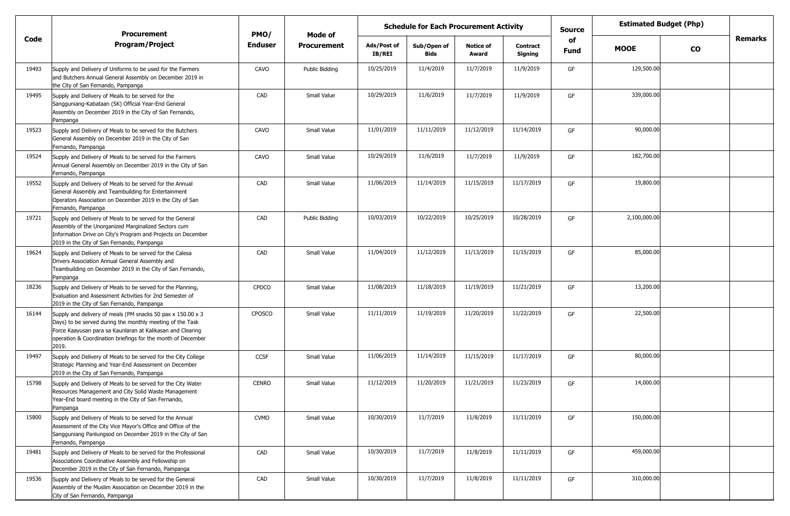|       |                                                                                                                                                                                                                                                                 | <b>Schedule for Each Procurement Activity</b><br><b>Procurement</b><br>PMO/<br>Mode of |                    |                              |                            |                           |                            | <b>Source</b>     | <b>Estimated Budget (Php)</b> |           |                |
|-------|-----------------------------------------------------------------------------------------------------------------------------------------------------------------------------------------------------------------------------------------------------------------|----------------------------------------------------------------------------------------|--------------------|------------------------------|----------------------------|---------------------------|----------------------------|-------------------|-------------------------------|-----------|----------------|
| Code  | <b>Program/Project</b>                                                                                                                                                                                                                                          | <b>Enduser</b>                                                                         | <b>Procurement</b> | Ads/Post of<br><b>IB/REI</b> | Sub/Open of<br><b>Bids</b> | <b>Notice of</b><br>Award | <b>Contract</b><br>Signing | of<br><b>Fund</b> | <b>MOOE</b>                   | <b>CO</b> | <b>Remarks</b> |
| 19493 | Supply and Delivery of Uniforms to be used for the Farmers<br>and Butchers Annual General Assembly on December 2019 in<br>the City of San Fernando, Pampanga                                                                                                    | CAVO                                                                                   | Public Biddina     | 10/25/2019                   | 11/4/2019                  | 11/7/2019                 | 11/9/2019                  | GF                | 129,500.00                    |           |                |
| 19495 | Supply and Delivery of Meals to be served for the<br>Sangguniang-Kabataan (SK) Official Year-End General<br>Assembly on December 2019 in the City of San Fernando,<br>Pampanga                                                                                  | CAD                                                                                    | Small Value        | 10/29/2019                   | 11/6/2019                  | 11/7/2019                 | 11/9/2019                  | GF                | 339,000.00                    |           |                |
| 19523 | Supply and Delivery of Meals to be served for the Butchers<br>General Assembly on December 2019 in the City of San<br>Fernando, Pampanga                                                                                                                        | CAVO                                                                                   | Small Value        | 11/01/2019                   | 11/11/2019                 | 11/12/2019                | 11/14/2019                 | GF                | 90,000.00                     |           |                |
| 19524 | Supply and Delivery of Meals to be served for the Farmers<br>Annual General Assembly on December 2019 in the City of San<br>Fernando, Pampanga                                                                                                                  | CAVO                                                                                   | Small Value        | 10/29/2019                   | 11/6/2019                  | 11/7/2019                 | 11/9/2019                  | GF                | 182,700.00                    |           |                |
| 19552 | Supply and Delivery of Meals to be served for the Annual<br>General Assembly and Teambuilding for Entertainment<br>Operators Association on December 2019 in the City of San<br>Fernando, Pampanga                                                              | CAD                                                                                    | Small Value        | 11/06/2019                   | 11/14/2019                 | 11/15/2019                | 11/17/2019                 | GF                | 19,800.00                     |           |                |
| 19721 | Supply and Delivery of Meals to be served for the General<br>Assembly of the Unorganized Marginalized Sectors cum<br>Information Drive on City's Program and Projects on December<br>2019 in the City of San Fernando, Pampanga                                 | CAD                                                                                    | Public Bidding     | 10/03/2019                   | 10/22/2019                 | 10/25/2019                | 10/28/2019                 | GF                | 2,100,000.00                  |           |                |
| 19624 | Supply and Delivery of Meals to be served for the Calesa<br>Drivers Association Annual General Assembly and<br>Teambuilding on December 2019 in the City of San Fernando,<br>Pampanga                                                                           | CAD                                                                                    | Small Value        | 11/04/2019                   | 11/12/2019                 | 11/13/2019                | 11/15/2019                 | GF                | 85,000.00                     |           |                |
| 18236 | Supply and Delivery of Meals to be served for the Planning,<br>Evaluation and Assessment Activities for 2nd Semester of<br>2019 in the City of San Fernando, Pampanga                                                                                           | <b>CPDCO</b>                                                                           | Small Value        | 11/08/2019                   | 11/18/2019                 | 11/19/2019                | 11/21/2019                 | GF                | 13,200.00                     |           |                |
| 16144 | Supply and delivery of meals (PM snacks 50 pax x 150.00 x 3<br>Days) to be served during the monthly meeting of the Task<br>Force Kaayusan para sa Kaunlaran at Kalikasan and Clearing<br>operation & Coordination briefings for the month of December<br>2019. | <b>CPOSCO</b>                                                                          | Small Value        | 11/11/2019                   | 11/19/2019                 | 11/20/2019                | 11/22/2019                 | GF                | 22,500.00                     |           |                |
| 19497 | Supply and Delivery of Meals to be served for the City College<br>Strategic Planning and Year-End Assessment on December<br>2019 in the City of San Fernando, Pampanga                                                                                          | <b>CCSF</b>                                                                            | Small Value        | 11/06/2019                   | 11/14/2019                 | 11/15/2019                | 11/17/2019                 | GF                | 80,000.00                     |           |                |
| 15798 | Supply and Delivery of Meals to be served for the City Water<br>Resources Management and City Solid Waste Management<br>Year-End board meeting in the City of San Fernando,<br>Pampanga                                                                         | <b>CENRO</b>                                                                           | Small Value        | 11/12/2019                   | 11/20/2019                 | 11/21/2019                | 11/23/2019                 | GF                | 14,000.00                     |           |                |
| 15800 | Supply and Delivery of Meals to be served for the Annual<br>Assessment of the City Vice Mayor's Office and Office of the<br>Sangguniang Panlungsod on December 2019 in the City of San<br>Fernando, Pampanga                                                    | <b>CVMO</b>                                                                            | Small Value        | 10/30/2019                   | 11/7/2019                  | 11/8/2019                 | 11/11/2019                 | GF                | 150,000.00                    |           |                |
| 19481 | Supply and Delivery of Meals to be served for the Professional<br>Associations Coordinative Assembly and Fellowship on<br>December 2019 in the City of San Fernando, Pampanga                                                                                   | CAD                                                                                    | Small Value        | 10/30/2019                   | 11/7/2019                  | 11/8/2019                 | 11/11/2019                 | GF                | 459,000.00                    |           |                |
| 19536 | Supply and Delivery of Meals to be served for the General<br>Assembly of the Muslim Association on December 2019 in the<br>City of San Fernando, Pampanga                                                                                                       | CAD                                                                                    | Small Value        | 10/30/2019                   | 11/7/2019                  | 11/8/2019                 | 11/11/2019                 | GF                | 310,000.00                    |           |                |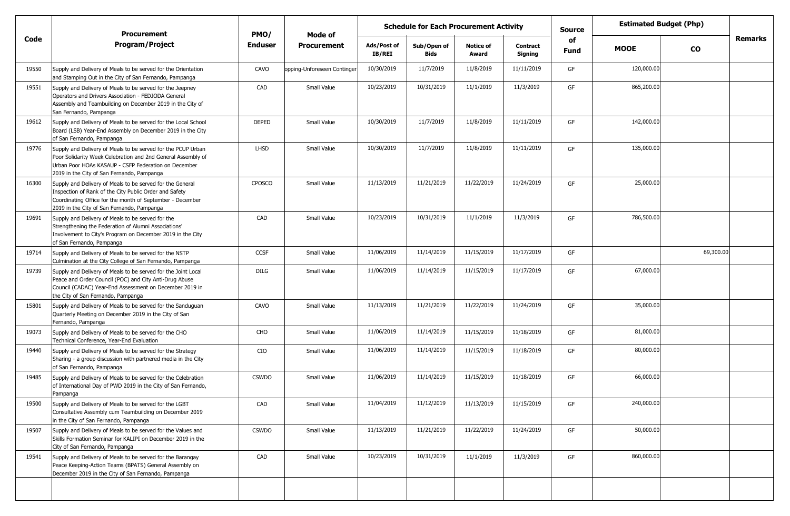|       | <b>Procurement</b>                                                                                                                                                                                                                 | PMO/           | Mode of                     | <b>Schedule for Each Procurement Activity</b> |                            |                           |                            | <b>Source</b>     | <b>Estimated Budget (Php)</b> |           |                |
|-------|------------------------------------------------------------------------------------------------------------------------------------------------------------------------------------------------------------------------------------|----------------|-----------------------------|-----------------------------------------------|----------------------------|---------------------------|----------------------------|-------------------|-------------------------------|-----------|----------------|
| Code  | <b>Program/Project</b>                                                                                                                                                                                                             | <b>Enduser</b> | <b>Procurement</b>          | Ads/Post of<br>IB/REI                         | Sub/Open of<br><b>Bids</b> | <b>Notice of</b><br>Award | <b>Contract</b><br>Signing | of<br><b>Fund</b> | <b>MOOE</b>                   | <b>CO</b> | <b>Remarks</b> |
| 19550 | Supply and Delivery of Meals to be served for the Orientation<br>and Stamping Out in the City of San Fernando, Pampanga                                                                                                            | CAVO           | opping-Unforeseen Continger | 10/30/2019                                    | 11/7/2019                  | 11/8/2019                 | 11/11/2019                 | GF                | 120,000.00                    |           |                |
| 19551 | Supply and Delivery of Meals to be served for the Jeepney<br>Operators and Drivers Association - FEDJODA General<br>Assembly and Teambuilding on December 2019 in the City of<br>San Fernando, Pampanga                            | CAD            | Small Value                 | 10/23/2019                                    | 10/31/2019                 | 11/1/2019                 | 11/3/2019                  | GF                | 865,200.00                    |           |                |
| 19612 | Supply and Delivery of Meals to be served for the Local School<br>Board (LSB) Year-End Assembly on December 2019 in the City<br>of San Fernando, Pampanga                                                                          | <b>DEPED</b>   | Small Value                 | 10/30/2019                                    | 11/7/2019                  | 11/8/2019                 | 11/11/2019                 | GF                | 142,000.00                    |           |                |
| 19776 | Supply and Delivery of Meals to be served for the PCUP Urban<br>Poor Solidarity Week Celebration and 2nd General Assembly of<br>Urban Poor HOAs KASAUP - CSFP Federation on December<br>2019 in the City of San Fernando, Pampanga | <b>LHSD</b>    | Small Value                 | 10/30/2019                                    | 11/7/2019                  | 11/8/2019                 | 11/11/2019                 | GF                | 135,000.00                    |           |                |
| 16300 | Supply and Delivery of Meals to be served for the General<br>Inspection of Rank of the City Public Order and Safety<br>Coordinating Office for the month of September - December<br>2019 in the City of San Fernando, Pampanga     | <b>CPOSCO</b>  | Small Value                 | 11/13/2019                                    | 11/21/2019                 | 11/22/2019                | 11/24/2019                 | GF                | 25,000.00                     |           |                |
| 19691 | Supply and Delivery of Meals to be served for the<br>Strengthening the Federation of Alumni Associations'<br>Involvement to City's Program on December 2019 in the City<br>of San Fernando, Pampanga                               | CAD            | Small Value                 | 10/23/2019                                    | 10/31/2019                 | 11/1/2019                 | 11/3/2019                  | GF                | 786,500.00                    |           |                |
| 19714 | Supply and Delivery of Meals to be served for the NSTP<br>Culmination at the City College of San Fernando, Pampanga                                                                                                                | CCSF           | Small Value                 | 11/06/2019                                    | 11/14/2019                 | 11/15/2019                | 11/17/2019                 | GF                |                               | 69,300.00 |                |
| 19739 | Supply and Delivery of Meals to be served for the Joint Local<br>Peace and Order Council (POC) and City Anti-Drug Abuse<br>Council (CADAC) Year-End Assessment on December 2019 in<br>the City of San Fernando, Pampanga           | <b>DILG</b>    | Small Value                 | 11/06/2019                                    | 11/14/2019                 | 11/15/2019                | 11/17/2019                 | GF                | 67,000.00                     |           |                |
| 15801 | Supply and Delivery of Meals to be served for the Sanduguan<br>Quarterly Meeting on December 2019 in the City of San<br>Fernando, Pampanga                                                                                         | CAVO           | Small Value                 | 11/13/2019                                    | 11/21/2019                 | 11/22/2019                | 11/24/2019                 | GF                | 35,000.00                     |           |                |
| 19073 | Supply and Delivery of Meals to be served for the CHO<br>Technical Conference, Year-End Evaluation                                                                                                                                 | CHO            | Small Value                 | 11/06/2019                                    | 11/14/2019                 | 11/15/2019                | 11/18/2019                 | GF                | 81,000.00                     |           |                |
| 19440 | Supply and Delivery of Meals to be served for the Strategy<br>Sharing - a group discussion with partnered media in the City<br>of San Fernando, Pampanga                                                                           | CIO            | Small Value                 | 11/06/2019                                    | 11/14/2019                 | 11/15/2019                | 11/18/2019                 | GF                | 80,000.00                     |           |                |
| 19485 | Supply and Delivery of Meals to be served for the Celebration<br>of International Day of PWD 2019 in the City of San Fernando,<br>Panipanga                                                                                        | <b>CSWDO</b>   | Small Value                 | 11/06/2019                                    | 11/14/2019                 | 11/15/2019                | 11/18/2019                 | GF                | 66,000.00                     |           |                |
| 19500 | Supply and Delivery of Meals to be served for the LGBT<br>Consultative Assembly cum Teambuilding on December 2019<br>in the City of San Fernando, Pampanga                                                                         | CAD            | Small Value                 | 11/04/2019                                    | 11/12/2019                 | 11/13/2019                | 11/15/2019                 | GF                | 240,000.00                    |           |                |
| 19507 | Supply and Delivery of Meals to be served for the Values and<br>Skills Formation Seminar for KALIPI on December 2019 in the<br>City of San Fernando, Pampanga                                                                      | <b>CSWDO</b>   | Small Value                 | 11/13/2019                                    | 11/21/2019                 | 11/22/2019                | 11/24/2019                 | GF                | 50,000.00                     |           |                |
| 19541 | Supply and Delivery of Meals to be served for the Barangay<br>Peace Keeping-Action Teams (BPATS) General Assembly on<br>December 2019 in the City of San Fernando, Pampanga                                                        | CAD            | Small Value                 | 10/23/2019                                    | 10/31/2019                 | 11/1/2019                 | 11/3/2019                  | GF                | 860,000.00                    |           |                |
|       |                                                                                                                                                                                                                                    |                |                             |                                               |                            |                           |                            |                   |                               |           |                |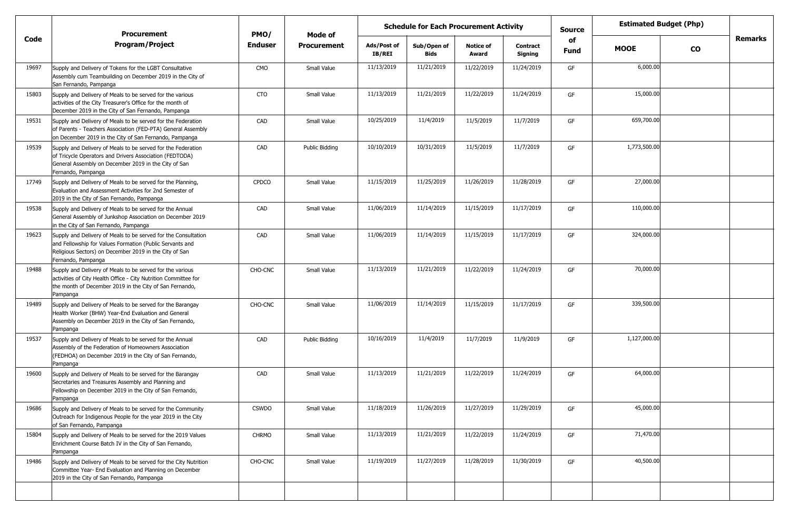|       | <b>Procurement</b>                                                                                                                                                                                         | PMO/           | Mode of            | <b>Schedule for Each Procurement Activity</b> |                            |                           |                            | <b>Source</b>     | <b>Estimated Budget (Php)</b> |               |                |
|-------|------------------------------------------------------------------------------------------------------------------------------------------------------------------------------------------------------------|----------------|--------------------|-----------------------------------------------|----------------------------|---------------------------|----------------------------|-------------------|-------------------------------|---------------|----------------|
| Code  | <b>Program/Project</b>                                                                                                                                                                                     | <b>Enduser</b> | <b>Procurement</b> | Ads/Post of<br><b>IB/REI</b>                  | Sub/Open of<br><b>Bids</b> | <b>Notice of</b><br>Award | <b>Contract</b><br>Signing | of<br><b>Fund</b> | <b>MOOE</b>                   | $\mathbf{co}$ | <b>Remarks</b> |
| 19697 | Supply and Delivery of Tokens for the LGBT Consultative<br>Assembly cum Teambuilding on December 2019 in the City of<br>San Fernando, Pampanga                                                             | <b>CMO</b>     | Small Value        | 11/13/2019                                    | 11/21/2019                 | 11/22/2019                | 11/24/2019                 | GF                | 6,000.00                      |               |                |
| 15803 | Supply and Delivery of Meals to be served for the various<br>activities of the City Treasurer's Office for the month of<br>December 2019 in the City of San Fernando, Pampanga                             | <b>CTO</b>     | Small Value        | 11/13/2019                                    | 11/21/2019                 | 11/22/2019                | 11/24/2019                 | GF                | 15,000.00                     |               |                |
| 19531 | Supply and Delivery of Meals to be served for the Federation<br>of Parents - Teachers Association (FED-PTA) General Assembly<br>on December 2019 in the City of San Fernando, Pampanga                     | CAD            | Small Value        | 10/25/2019                                    | 11/4/2019                  | 11/5/2019                 | 11/7/2019                  | GF                | 659,700.00                    |               |                |
| 19539 | Supply and Delivery of Meals to be served for the Federation<br>of Tricycle Operators and Drivers Association (FEDTODA)<br>General Assembly on December 2019 in the City of San<br>Fernando, Pampanga      | CAD            | Public Bidding     | 10/10/2019                                    | 10/31/2019                 | 11/5/2019                 | 11/7/2019                  | GF                | 1,773,500.00                  |               |                |
| 17749 | Supply and Delivery of Meals to be served for the Planning,<br>Evaluation and Assessment Activities for 2nd Semester of<br>2019 in the City of San Fernando, Pampanga                                      | <b>CPDCO</b>   | Small Value        | 11/15/2019                                    | 11/25/2019                 | 11/26/2019                | 11/28/2019                 | GF                | 27,000.00                     |               |                |
| 19538 | Supply and Delivery of Meals to be served for the Annual<br>General Assembly of Junkshop Association on December 2019<br>in the City of San Fernando, Pampanga                                             | CAD            | Small Value        | 11/06/2019                                    | 11/14/2019                 | 11/15/2019                | 11/17/2019                 | GF                | 110,000.00                    |               |                |
| 19623 | Supply and Delivery of Meals to be served for the Consultation<br>and Fellowship for Values Formation (Public Servants and<br>Religious Sectors) on December 2019 in the City of San<br>Fernando, Pampanga | CAD            | Small Value        | 11/06/2019                                    | 11/14/2019                 | 11/15/2019                | 11/17/2019                 | GF                | 324,000.00                    |               |                |
| 19488 | Supply and Delivery of Meals to be served for the various<br>activities of City Health Office - City Nutrition Committee for<br>the month of December 2019 in the City of San Fernando,<br>Pampanga        | CHO-CNC        | Small Value        | 11/13/2019                                    | 11/21/2019                 | 11/22/2019                | 11/24/2019                 | GF                | 70,000.00                     |               |                |
| 19489 | Supply and Delivery of Meals to be served for the Barangay<br>Health Worker (BHW) Year-End Evaluation and General<br>Assembly on December 2019 in the City of San Fernando,<br>Pampanga                    | CHO-CNC        | Small Value        | 11/06/2019                                    | 11/14/2019                 | 11/15/2019                | 11/17/2019                 | GF                | 339,500.00                    |               |                |
| 19537 | Supply and Delivery of Meals to be served for the Annual<br>Assembly of the Federation of Homeowners Association<br>(FEDHOA) on December 2019 in the City of San Fernando,<br>Pampanga                     | CAD            | Public Bidding     | 10/16/2019                                    | 11/4/2019                  | 11/7/2019                 | 11/9/2019                  | GF                | 1,127,000.00                  |               |                |
| 19600 | Supply and Delivery of Meals to be served for the Barangay<br>Secretaries and Treasures Assembly and Planning and<br>Fellowship on December 2019 in the City of San Fernando,<br>Pampanga                  | CAD            | Small Value        | 11/13/2019                                    | 11/21/2019                 | 11/22/2019                | 11/24/2019                 | GF                | 64,000.00                     |               |                |
| 19686 | Supply and Delivery of Meals to be served for the Community<br>Outreach for Indigenous People for the year 2019 in the City<br>of San Fernando, Pampanga                                                   | <b>CSWDO</b>   | Small Value        | 11/18/2019                                    | 11/26/2019                 | 11/27/2019                | 11/29/2019                 | GF                | 45,000.00                     |               |                |
| 15804 | Supply and Delivery of Meals to be served for the 2019 Values<br>Enrichment Course Batch IV in the City of San Fernando,<br>Pampanga                                                                       | <b>CHRMO</b>   | Small Value        | 11/13/2019                                    | 11/21/2019                 | 11/22/2019                | 11/24/2019                 | GF                | 71,470.00                     |               |                |
| 19486 | Supply and Delivery of Meals to be served for the City Nutrition<br>Committee Year- End Evaluation and Planning on December<br>2019 in the City of San Fernando, Pampanga                                  | CHO-CNC        | Small Value        | 11/19/2019                                    | 11/27/2019                 | 11/28/2019                | 11/30/2019                 | GF                | 40,500.00                     |               |                |
|       |                                                                                                                                                                                                            |                |                    |                                               |                            |                           |                            |                   |                               |               |                |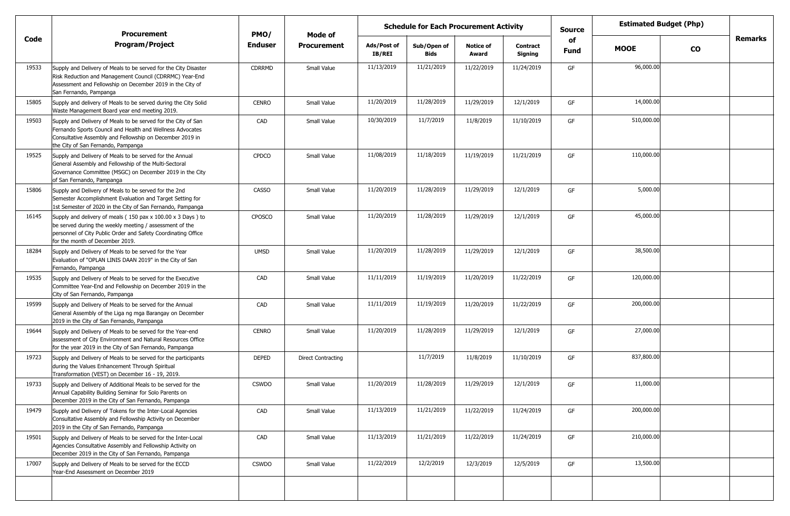|       | <b>Procurement</b>                                                                                                                                                                                                           | PMO/           | <b>Mode of</b>            | <b>Schedule for Each Procurement Activity</b> |                     |                           |                     | <b>Estimated Budget (Php)</b><br>Source |             |               |                |
|-------|------------------------------------------------------------------------------------------------------------------------------------------------------------------------------------------------------------------------------|----------------|---------------------------|-----------------------------------------------|---------------------|---------------------------|---------------------|-----------------------------------------|-------------|---------------|----------------|
| Code  | <b>Program/Project</b>                                                                                                                                                                                                       | <b>Enduser</b> | <b>Procurement</b>        | Ads/Post of<br>IB/REI                         | Sub/Open of<br>Bids | <b>Notice of</b><br>Award | Contract<br>Signing | of<br>Fund                              | <b>MOOE</b> | $\mathbf{co}$ | <b>Remarks</b> |
| 19533 | Supply and Delivery of Meals to be served for the City Disaster<br>Risk Reduction and Management Council (CDRRMC) Year-End<br>Assessment and Fellowship on December 2019 in the City of<br>San Fernando, Pampanga            | CDRRMD         | Small Value               | 11/13/2019                                    | 11/21/2019          | 11/22/2019                | 11/24/2019          | GF                                      | 96,000.00   |               |                |
| 15805 | Supply and delivery of Meals to be served during the City Solid<br>Waste Management Board year end meeting 2019.                                                                                                             | <b>CENRO</b>   | Small Value               | 11/20/2019                                    | 11/28/2019          | 11/29/2019                | 12/1/2019           | GF                                      | 14,000.00   |               |                |
| 19503 | Supply and Delivery of Meals to be served for the City of San<br>Fernando Sports Council and Health and Wellness Advocates<br>Consultative Assembly and Fellowship on December 2019 in<br>the City of San Fernando, Pampanga | CAD            | Small Value               | 10/30/2019                                    | 11/7/2019           | 11/8/2019                 | 11/10/2019          | GF                                      | 510,000.00  |               |                |
| 19525 | Supply and Delivery of Meals to be served for the Annual<br>General Assembly and Fellowship of the Multi-Sectoral<br>Governance Committee (MSGC) on December 2019 in the City<br>of San Fernando, Pampanga                   | <b>CPDCO</b>   | Small Value               | 11/08/2019                                    | 11/18/2019          | 11/19/2019                | 11/21/2019          | GF                                      | 110,000.00  |               |                |
| 15806 | Supply and Delivery of Meals to be served for the 2nd<br>Semester Accomplishment Evaluation and Target Setting for<br>1st Semester of 2020 in the City of San Fernando, Pampanga                                             | <b>CASSO</b>   | Small Value               | 11/20/2019                                    | 11/28/2019          | 11/29/2019                | 12/1/2019           | GF                                      | 5,000.00    |               |                |
| 16145 | Supply and delivery of meals (150 pax x 100.00 x 3 Days ) to<br>be served during the weekly meeting / assessment of the<br>personnel of City Public Order and Safety Coordinating Office<br>for the month of December 2019.  | <b>CPOSCO</b>  | Small Value               | 11/20/2019                                    | 11/28/2019          | 11/29/2019                | 12/1/2019           | GF                                      | 45,000.00   |               |                |
| 18284 | Supply and Delivery of Meals to be served for the Year<br>Evaluation of "OPLAN LINIS DAAN 2019" in the City of San<br>Fernando, Pampanga                                                                                     | <b>UMSD</b>    | Small Value               | 11/20/2019                                    | 11/28/2019          | 11/29/2019                | 12/1/2019           | GF                                      | 38,500.00   |               |                |
| 19535 | Supply and Delivery of Meals to be served for the Executive<br>Committee Year-End and Fellowship on December 2019 in the<br>City of San Fernando, Pampanga                                                                   | CAD            | Small Value               | 11/11/2019                                    | 11/19/2019          | 11/20/2019                | 11/22/2019          | GF                                      | 120,000.00  |               |                |
| 19599 | Supply and Delivery of Meals to be served for the Annual<br>General Assembly of the Liga ng mga Barangay on December<br>2019 in the City of San Fernando, Pampanga                                                           | CAD            | Small Value               | 11/11/2019                                    | 11/19/2019          | 11/20/2019                | 11/22/2019          | GF                                      | 200,000.00  |               |                |
| 19644 | Supply and Delivery of Meals to be served for the Year-end<br>assessment of City Environment and Natural Resources Office<br>for the year 2019 in the City of San Fernando, Pampanga                                         | <b>CENRO</b>   | Small Value               | 11/20/2019                                    | 11/28/2019          | 11/29/2019                | 12/1/2019           | GF                                      | 27,000.00   |               |                |
| 19723 | Supply and Delivery of Meals to be served for the participants<br>during the Values Enhancement Through Spiritual<br>Transformation (VEST) on December 16 - 19, 2019.                                                        | <b>DEPED</b>   | <b>Direct Contracting</b> |                                               | 11/7/2019           | 11/8/2019                 | 11/10/2019          | GF                                      | 837,800.00  |               |                |
| 19733 | Supply and Delivery of Additional Meals to be served for the<br>Annual Capability Building Seminar for Solo Parents on<br>December 2019 in the City of San Fernando, Pampanga                                                | <b>CSWDO</b>   | Small Value               | 11/20/2019                                    | 11/28/2019          | 11/29/2019                | 12/1/2019           | GF                                      | 11,000.00   |               |                |
| 19479 | Supply and Delivery of Tokens for the Inter-Local Agencies<br>Consultative Assembly and Fellowship Activity on December<br>2019 in the City of San Fernando, Pampanga                                                        | CAD            | Small Value               | 11/13/2019                                    | 11/21/2019          | 11/22/2019                | 11/24/2019          | GF                                      | 200,000.00  |               |                |
| 19501 | Supply and Delivery of Meals to be served for the Inter-Local<br>Agencies Consultative Assembly and Fellowship Activity on<br>December 2019 in the City of San Fernando, Pampanga                                            | CAD            | Small Value               | 11/13/2019                                    | 11/21/2019          | 11/22/2019                | 11/24/2019          | GF                                      | 210,000.00  |               |                |
| 17007 | Supply and Delivery of Meals to be served for the ECCD<br>Year-End Assessment on December 2019                                                                                                                               | <b>CSWDO</b>   | Small Value               | 11/22/2019                                    | 12/2/2019           | 12/3/2019                 | 12/5/2019           | GF                                      | 13,500.00   |               |                |
|       |                                                                                                                                                                                                                              |                |                           |                                               |                     |                           |                     |                                         |             |               |                |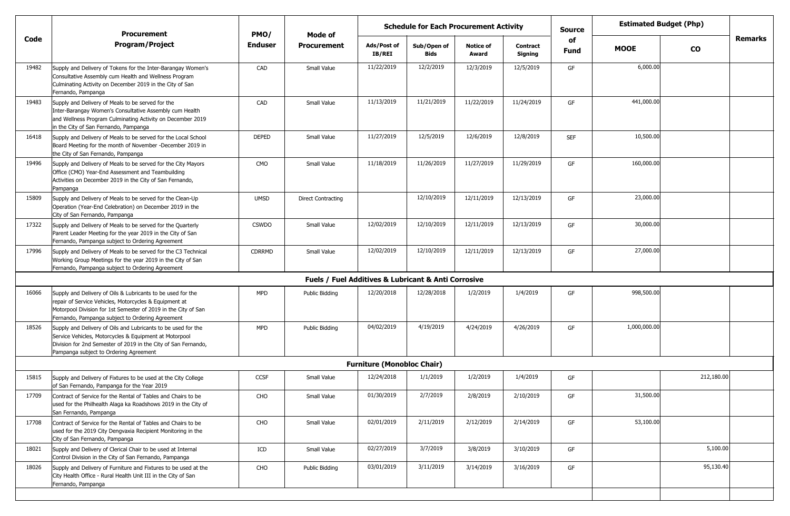|                                                                                                                                                                                                                                             |                             |                           | <b>Schedule for Each Procurement Activity</b> |                     |                                   |                                                                    | <b>Source</b>     |              |            |                                            |
|---------------------------------------------------------------------------------------------------------------------------------------------------------------------------------------------------------------------------------------------|-----------------------------|---------------------------|-----------------------------------------------|---------------------|-----------------------------------|--------------------------------------------------------------------|-------------------|--------------|------------|--------------------------------------------|
| <b>Program/Project</b>                                                                                                                                                                                                                      | <b>Enduser</b>              | <b>Procurement</b>        | Ads/Post of<br><b>IB/REI</b>                  | Sub/Open of<br>Bids | <b>Notice of</b><br>Award         | <b>Contract</b><br>Signing                                         | of<br><b>Fund</b> | <b>MOOE</b>  | <b>CO</b>  | Remarks                                    |
| Supply and Delivery of Tokens for the Inter-Barangay Women's<br>Consultative Assembly cum Health and Wellness Program<br>Culminating Activity on December 2019 in the City of San<br>Fernando, Pampanga                                     | CAD                         | Small Value               | 11/22/2019                                    | 12/2/2019           | 12/3/2019                         | 12/5/2019                                                          | GF                | 6,000.00     |            |                                            |
| Supply and Delivery of Meals to be served for the<br>Inter-Barangay Women's Consultative Assembly cum Health<br>and Wellness Program Culminating Activity on December 2019<br>in the City of San Fernando, Pampanga                         | CAD                         | Small Value               | 11/13/2019                                    | 11/21/2019          | 11/22/2019                        | 11/24/2019                                                         | GF                | 441,000.00   |            |                                            |
| Supply and Delivery of Meals to be served for the Local School<br>Board Meeting for the month of November -December 2019 in<br>the City of San Fernando, Pampanga                                                                           | <b>DEPED</b>                | Small Value               | 11/27/2019                                    | 12/5/2019           | 12/6/2019                         | 12/8/2019                                                          | <b>SEF</b>        | 10,500.00    |            |                                            |
| Supply and Delivery of Meals to be served for the City Mayors<br>Office (CMO) Year-End Assessment and Teambuilding<br>Activities on December 2019 in the City of San Fernando,<br>Pampanga                                                  | <b>CMO</b>                  | Small Value               | 11/18/2019                                    | 11/26/2019          | 11/27/2019                        | 11/29/2019                                                         | GF                | 160,000.00   |            |                                            |
| Supply and Delivery of Meals to be served for the Clean-Up<br>Operation (Year-End Celebration) on December 2019 in the<br>City of San Fernando, Pampanga                                                                                    | <b>UMSD</b>                 | <b>Direct Contracting</b> |                                               | 12/10/2019          | 12/11/2019                        | 12/13/2019                                                         | GF                | 23,000.00    |            |                                            |
| Supply and Delivery of Meals to be served for the Quarterly<br>Parent Leader Meeting for the year 2019 in the City of San<br>Fernando, Pampanga subject to Ordering Agreement                                                               | <b>CSWDO</b>                | Small Value               | 12/02/2019                                    | 12/10/2019          | 12/11/2019                        | 12/13/2019                                                         | GF                | 30,000.00    |            |                                            |
| Supply and Delivery of Meals to be served for the C3 Technical<br>Working Group Meetings for the year 2019 in the City of San<br>Fernando, Pampanga subject to Ordering Agreement                                                           | <b>CDRRMD</b>               | Small Value               | 12/02/2019                                    | 12/10/2019          | 12/11/2019                        | 12/13/2019                                                         | GF                | 27,000.00    |            |                                            |
|                                                                                                                                                                                                                                             |                             |                           |                                               |                     |                                   |                                                                    |                   |              |            |                                            |
| Supply and Delivery of Oils & Lubricants to be used for the<br>repair of Service Vehicles, Motorcycles & Equipment at<br>Motorpool Division for 1st Semester of 2019 in the City of San<br>Fernando, Pampanga subject to Ordering Agreement | <b>MPD</b>                  | Public Bidding            | 12/20/2018                                    | 12/28/2018          | 1/2/2019                          | 1/4/2019                                                           | GF                | 998,500.00   |            |                                            |
| Supply and Delivery of Oils and Lubricants to be used for the<br>Service Vehicles, Motorcycles & Equipment at Motorpool<br>Division for 2nd Semester of 2019 in the City of San Fernando,<br>Pampanga subject to Ordering Agreement         | <b>MPD</b>                  | <b>Public Bidding</b>     | 04/02/2019                                    | 4/19/2019           | 4/24/2019                         | 4/26/2019                                                          | GF                | 1,000,000.00 |            |                                            |
|                                                                                                                                                                                                                                             |                             |                           |                                               |                     |                                   |                                                                    |                   |              |            |                                            |
| Supply and Delivery of Fixtures to be used at the City College<br>of San Fernando, Pampanga for the Year 2019                                                                                                                               | CCSF                        | Small Value               | 12/24/2018                                    | 1/1/2019            | 1/2/2019                          | 1/4/2019                                                           | GF                |              | 212,180.00 |                                            |
| Contract of Service for the Rental of Tables and Chairs to be<br>used for the Philhealth Alaga ka Roadshows 2019 in the City of<br>San Fernando, Pampanga                                                                                   | CHO                         | Small Value               | 01/30/2019                                    | 2/7/2019            | 2/8/2019                          | 2/10/2019                                                          | GF                | 31,500.00    |            |                                            |
| Contract of Service for the Rental of Tables and Chairs to be<br>used for the 2019 City Dengvaxia Recipient Monitoring in the<br>City of San Fernando, Pampanga                                                                             | CHO                         | Small Value               | 02/01/2019                                    | 2/11/2019           | 2/12/2019                         | 2/14/2019                                                          | GF                |              |            |                                            |
| Supply and Delivery of Clerical Chair to be used at Internal<br>Control Division in the City of San Fernando, Pampanga                                                                                                                      | $\ensuremath{\mathsf{ICD}}$ | Small Value               | 02/27/2019                                    | 3/7/2019            | 3/8/2019                          | 3/10/2019                                                          | GF                |              | 5,100.00   |                                            |
| Supply and Delivery of Furniture and Fixtures to be used at the<br>City Health Office - Rural Health Unit III in the City of San<br>Fernando, Pampanga                                                                                      | CHO                         | Public Bidding            | 03/01/2019                                    | 3/11/2019           | 3/14/2019                         | 3/16/2019                                                          | GF                |              | 95,130.40  |                                            |
|                                                                                                                                                                                                                                             | <b>Procurement</b>          | PMO/                      | Mode of                                       |                     | <b>Furniture (Monobloc Chair)</b> | <b>Fuels / Fuel Additives &amp; Lubricant &amp; Anti Corrosive</b> |                   |              |            | <b>Estimated Budget (Php)</b><br>53,100.00 |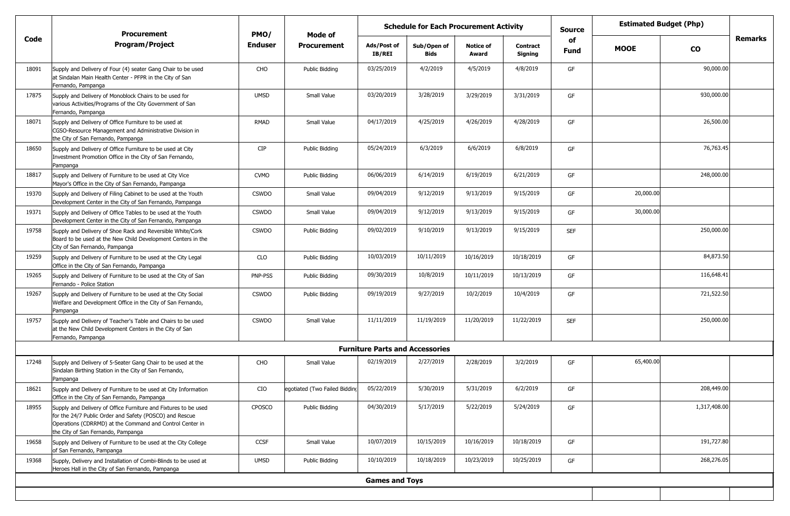|       | <b>Procurement</b>                                                                                                                                                                                                           | PMO/           | Mode of                       | <b>Schedule for Each Procurement Activity</b> |                     |                           |                            | <b>Source</b>     |             | <b>Estimated Budget (Php)</b> |         |
|-------|------------------------------------------------------------------------------------------------------------------------------------------------------------------------------------------------------------------------------|----------------|-------------------------------|-----------------------------------------------|---------------------|---------------------------|----------------------------|-------------------|-------------|-------------------------------|---------|
| Code  | <b>Program/Project</b>                                                                                                                                                                                                       | <b>Enduser</b> | <b>Procurement</b>            | Ads/Post of<br><b>IB/REI</b>                  | Sub/Open of<br>Bids | <b>Notice of</b><br>Award | <b>Contract</b><br>Signing | of<br><b>Fund</b> | <b>MOOE</b> | <b>CO</b>                     | Remarks |
| 18091 | Supply and Delivery of Four (4) seater Gang Chair to be used<br>at Sindalan Main Health Center - PFPR in the City of San<br>Fernando, Pampanga                                                                               | CHO            | Public Bidding                | 03/25/2019                                    | 4/2/2019            | 4/5/2019                  | 4/8/2019                   | GF                |             | 90,000.00                     |         |
| 17875 | Supply and Delivery of Monoblock Chairs to be used for<br>various Activities/Programs of the City Government of San<br>Fernando, Pampanga                                                                                    | <b>UMSD</b>    | Small Value                   | 03/20/2019                                    | 3/28/2019           | 3/29/2019                 | 3/31/2019                  | GF                |             | 930,000.00                    |         |
| 18071 | Supply and Delivery of Office Furniture to be used at<br>CGSO-Resource Management and Administrative Division in<br>the City of San Fernando, Pampanga                                                                       | RMAD           | Small Value                   | 04/17/2019                                    | 4/25/2019           | 4/26/2019                 | 4/28/2019                  | GF                |             | 26,500.00                     |         |
| 18650 | Supply and Delivery of Office Furniture to be used at City<br>Investment Promotion Office in the City of San Fernando,<br>Pampanga                                                                                           | <b>CIP</b>     | Public Bidding                | 05/24/2019                                    | 6/3/2019            | 6/6/2019                  | 6/8/2019                   | GF                |             | 76,763.45                     |         |
| 18817 | Supply and Delivery of Furniture to be used at City Vice<br>Mayor's Office in the City of San Fernando, Pampanga                                                                                                             | <b>CVMO</b>    | Public Bidding                | 06/06/2019                                    | 6/14/2019           | 6/19/2019                 | 6/21/2019                  | GF                |             | 248,000.00                    |         |
| 19370 | Supply and Delivery of Filing Cabinet to be used at the Youth<br>Development Center in the City of San Fernando, Pampanga                                                                                                    | <b>CSWDO</b>   | Small Value                   | 09/04/2019                                    | 9/12/2019           | 9/13/2019                 | 9/15/2019                  | GF                | 20,000.00   |                               |         |
| 19371 | Supply and Delivery of Office Tables to be used at the Youth<br>Development Center in the City of San Fernando, Pampanga                                                                                                     | <b>CSWDO</b>   | Small Value                   | 09/04/2019                                    | 9/12/2019           | 9/13/2019                 | 9/15/2019                  | GF                | 30,000.00   |                               |         |
| 19758 | Supply and Delivery of Shoe Rack and Reversible White/Cork<br>Board to be used at the New Child Development Centers in the<br>City of San Fernando, Pampanga                                                                 | <b>CSWDO</b>   | Public Bidding                | 09/02/2019                                    | 9/10/2019           | 9/13/2019                 | 9/15/2019                  | <b>SEF</b>        |             | 250,000.00                    |         |
| 19259 | Supply and Delivery of Furniture to be used at the City Legal<br>Office in the City of San Fernando, Pampanga                                                                                                                | CLO            | Public Bidding                | 10/03/2019                                    | 10/11/2019          | 10/16/2019                | 10/18/2019                 | GF                |             | 84,873.50                     |         |
| 19265 | Supply and Delivery of Furniture to be used at the City of San<br>Fernando - Police Station                                                                                                                                  | PNP-PSS        | Public Bidding                | 09/30/2019                                    | 10/8/2019           | 10/11/2019                | 10/13/2019                 | GF                |             | 116,648.41                    |         |
| 19267 | Supply and Delivery of Furniture to be used at the City Social<br>Welfare and Development Office in the City of San Fernando,<br>Pampanga                                                                                    | <b>CSWDO</b>   | Public Bidding                | 09/19/2019                                    | 9/27/2019           | 10/2/2019                 | 10/4/2019                  | GF                |             | 721,522.50                    |         |
| 19757 | Supply and Delivery of Teacher's Table and Chairs to be used<br>at the New Child Development Centers in the City of San<br>Fernando, Pampanga                                                                                | <b>CSWDO</b>   | Small Value                   | 11/11/2019                                    | 11/19/2019          | 11/20/2019                | 11/22/2019                 | <b>SEF</b>        |             | 250,000.00                    |         |
|       |                                                                                                                                                                                                                              |                |                               | <b>Furniture Parts and Accessories</b>        |                     |                           |                            |                   |             |                               |         |
| 17248 | Supply and Delivery of 5-Seater Gang Chair to be used at the<br>Sindalan Birthing Station in the City of San Fernando,<br>Pampanga                                                                                           | CHO            | Small Value                   | 02/19/2019                                    | 2/27/2019           | 2/28/2019                 | 3/2/2019                   | GF                | 65,400.00   |                               |         |
| 18621 | Supply and Delivery of Furniture to be used at City Information<br>Office in the City of San Fernando, Pampanga                                                                                                              | CIO            | egotiated (Two Failed Bidding | 05/22/2019                                    | 5/30/2019           | 5/31/2019                 | 6/2/2019                   | GF                |             | 208,449.00                    |         |
| 18955 | Supply and Delivery of Office Furniture and Fixtures to be used<br>for the 24/7 Public Order and Safety (POSCO) and Rescue<br>Operations (CDRRMD) at the Command and Control Center in<br>the City of San Fernando, Pampanga | CPOSCO         | Public Bidding                | 04/30/2019                                    | 5/17/2019           | 5/22/2019                 | 5/24/2019                  | GF                |             | 1,317,408.00                  |         |
| 19658 | Supply and Delivery of Furniture to be used at the City College<br>of San Fernando, Pampanga                                                                                                                                 | CCSF           | Small Value                   | 10/07/2019                                    | 10/15/2019          | 10/16/2019                | 10/18/2019                 | GF                |             | 191,727.80                    |         |
| 19368 | Supply, Delivery and Installation of Combi-Blinds to be used at<br>Heroes Hall in the City of San Fernando, Pampanga                                                                                                         | <b>UMSD</b>    | Public Bidding                | 10/10/2019                                    | 10/18/2019          | 10/23/2019                | 10/25/2019                 | GF                |             | 268,276.05                    |         |
|       |                                                                                                                                                                                                                              |                |                               | <b>Games and Toys</b>                         |                     |                           |                            |                   |             |                               |         |
|       |                                                                                                                                                                                                                              |                |                               |                                               |                     |                           |                            |                   |             |                               |         |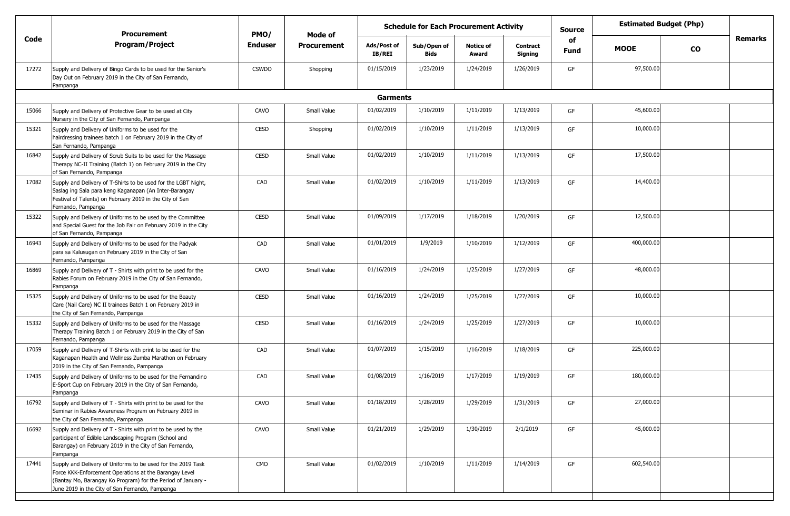|       | <b>Procurement</b>                                                                                                                                                                                                                        | PMO/           | Mode of            | <b>Schedule for Each Procurement Activity</b> |                     |                           |                            | <b>Source</b> | <b>Estimated Budget (Php)</b> |           |         |
|-------|-------------------------------------------------------------------------------------------------------------------------------------------------------------------------------------------------------------------------------------------|----------------|--------------------|-----------------------------------------------|---------------------|---------------------------|----------------------------|---------------|-------------------------------|-----------|---------|
| Code  | <b>Program/Project</b>                                                                                                                                                                                                                    | <b>Enduser</b> | <b>Procurement</b> | Ads/Post of<br><b>IB/REI</b>                  | Sub/Open of<br>Bids | <b>Notice of</b><br>Award | <b>Contract</b><br>Signing | of<br>Fund    | <b>MOOE</b>                   | <b>CO</b> | Remarks |
| 17272 | Supply and Delivery of Bingo Cards to be used for the Senior's<br>Day Out on February 2019 in the City of San Fernando,<br>Pampanga                                                                                                       | <b>CSWDO</b>   | Shopping           | 01/15/2019                                    | 1/23/2019           | 1/24/2019                 | 1/26/2019                  | GF            | 97,500.00                     |           |         |
|       |                                                                                                                                                                                                                                           |                |                    | <b>Garments</b>                               |                     |                           |                            |               |                               |           |         |
| 15066 | Supply and Delivery of Protective Gear to be used at City<br>Nursery in the City of San Fernando, Pampanga                                                                                                                                | CAVO           | Small Value        | 01/02/2019                                    | 1/10/2019           | 1/11/2019                 | 1/13/2019                  | GF            | 45,600.00                     |           |         |
| 15321 | Supply and Delivery of Uniforms to be used for the<br>hairdressing trainees batch 1 on February 2019 in the City of<br>San Fernando, Pampanga                                                                                             | <b>CESD</b>    | Shopping           | 01/02/2019                                    | 1/10/2019           | 1/11/2019                 | 1/13/2019                  | GF            | 10,000.00                     |           |         |
| 16842 | Supply and Delivery of Scrub Suits to be used for the Massage<br>Therapy NC-II Training (Batch 1) on February 2019 in the City<br>of San Fernando, Pampanga                                                                               | <b>CESD</b>    | Small Value        | 01/02/2019                                    | 1/10/2019           | 1/11/2019                 | 1/13/2019                  | GF            | 17,500.00                     |           |         |
| 17082 | Supply and Delivery of T-Shirts to be used for the LGBT Night,<br>Saslag ing Sala para keng Kaganapan (An Inter-Barangay<br>Festival of Talents) on February 2019 in the City of San<br>Fernando, Pampanga                                | CAD            | Small Value        | 01/02/2019                                    | 1/10/2019           | 1/11/2019                 | 1/13/2019                  | GF            | 14,400.00                     |           |         |
| 15322 | Supply and Delivery of Uniforms to be used by the Committee<br>and Special Guest for the Job Fair on February 2019 in the City<br>of San Fernando, Pampanga                                                                               | <b>CESD</b>    | Small Value        | 01/09/2019                                    | 1/17/2019           | 1/18/2019                 | 1/20/2019                  | GF            | 12,500.00                     |           |         |
| 16943 | Supply and Delivery of Uniforms to be used for the Padyak<br>para sa Kalusugan on February 2019 in the City of San<br>Fernando, Pampanga                                                                                                  | CAD            | Small Value        | 01/01/2019                                    | 1/9/2019            | 1/10/2019                 | 1/12/2019                  | GF            | 400,000.00                    |           |         |
| 16869 | Supply and Delivery of T - Shirts with print to be used for the<br>Rabies Forum on February 2019 in the City of San Fernando,<br>Pampanga                                                                                                 | CAVO           | Small Value        | 01/16/2019                                    | 1/24/2019           | 1/25/2019                 | 1/27/2019                  | GF            | 48,000.00                     |           |         |
| 15325 | Supply and Delivery of Uniforms to be used for the Beauty<br>Care (Nail Care) NC II trainees Batch 1 on February 2019 in<br>the City of San Fernando, Pampanga                                                                            | <b>CESD</b>    | Small Value        | 01/16/2019                                    | 1/24/2019           | 1/25/2019                 | 1/27/2019                  | GF            | 10,000.00                     |           |         |
| 15332 | Supply and Delivery of Uniforms to be used for the Massage<br>Therapy Training Batch 1 on February 2019 in the City of San<br>Fernando, Pampanga                                                                                          | <b>CESD</b>    | Small Value        | 01/16/2019                                    | 1/24/2019           | 1/25/2019                 | 1/27/2019                  | GF            | 10,000.00                     |           |         |
| 17059 | Supply and Delivery of T-Shirts with print to be used for the<br>Kaganapan Health and Wellness Zumba Marathon on February<br>2019 in the City of San Fernando, Pampanga                                                                   | CAD            | Small Value        | 01/07/2019                                    | 1/15/2019           | 1/16/2019                 | 1/18/2019                  | GF            | 225,000.00                    |           |         |
| 17435 | Supply and Delivery of Uniforms to be used for the Fernandino<br>E-Sport Cup on February 2019 in the City of San Fernando,<br>Pampanga                                                                                                    | CAD            | Small Value        | 01/08/2019                                    | 1/16/2019           | 1/17/2019                 | 1/19/2019                  | GF            | 180,000.00                    |           |         |
| 16792 | Supply and Delivery of T - Shirts with print to be used for the<br>Seminar in Rabies Awareness Program on February 2019 in<br>the City of San Fernando, Pampanga                                                                          | CAVO           | Small Value        | 01/18/2019                                    | 1/28/2019           | 1/29/2019                 | 1/31/2019                  | GF            | 27,000.00                     |           |         |
| 16692 | Supply and Delivery of T - Shirts with print to be used by the<br>participant of Edible Landscaping Program (School and<br>Barangay) on February 2019 in the City of San Fernando,<br>Pampanga                                            | CAVO           | Small Value        | 01/21/2019                                    | 1/29/2019           | 1/30/2019                 | 2/1/2019                   | GF            | 45,000.00                     |           |         |
| 17441 | Supply and Delivery of Uniforms to be used for the 2019 Task<br>Force KKK-Enforcement Operations at the Barangay Level<br>(Bantay Mo, Barangay Ko Program) for the Period of January -<br>June 2019 in the City of San Fernando, Pampanga | CMO            | Small Value        | 01/02/2019                                    | 1/10/2019           | 1/11/2019                 | 1/14/2019                  | GF            | 602,540.00                    |           |         |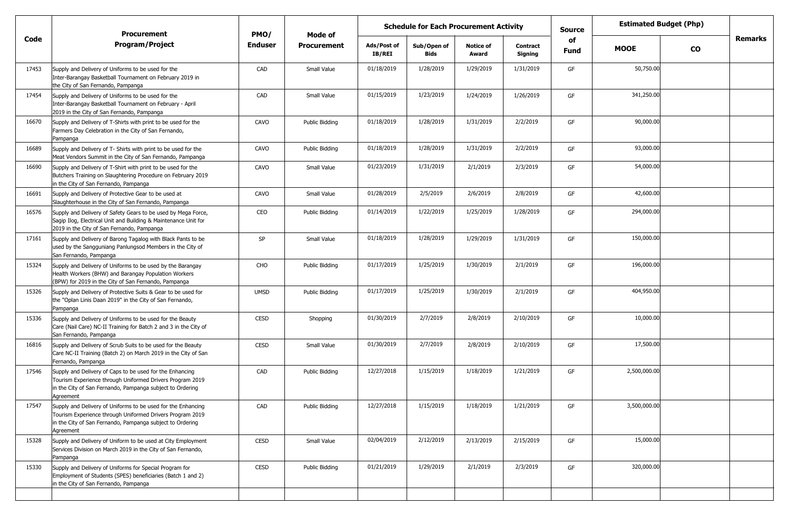|       | <b>Procurement</b>                                                                                                                                                                                  |                | <b>Schedule for Each Procurement Activity</b><br>PMO/<br>Mode of |                       |                     |                           |                            | <b>Source</b> | <b>Estimated Budget (Php)</b> |           |                |
|-------|-----------------------------------------------------------------------------------------------------------------------------------------------------------------------------------------------------|----------------|------------------------------------------------------------------|-----------------------|---------------------|---------------------------|----------------------------|---------------|-------------------------------|-----------|----------------|
| Code  | <b>Program/Project</b>                                                                                                                                                                              | <b>Enduser</b> | <b>Procurement</b>                                               | Ads/Post of<br>IB/REI | Sub/Open of<br>Bids | <b>Notice of</b><br>Award | <b>Contract</b><br>Signing | of<br>Fund    | <b>MOOE</b>                   | <b>CO</b> | <b>Remarks</b> |
| 17453 | Supply and Delivery of Uniforms to be used for the<br>Inter-Barangay Basketball Tournament on February 2019 in<br>the City of San Fernando, Pampanga                                                | CAD            | Small Value                                                      | 01/18/2019            | 1/28/2019           | 1/29/2019                 | 1/31/2019                  | GF            | 50,750.00                     |           |                |
| 17454 | Supply and Delivery of Uniforms to be used for the<br>Inter-Barangay Basketball Tournament on February - April<br>2019 in the City of San Fernando, Pampanga                                        | CAD            | Small Value                                                      | 01/15/2019            | 1/23/2019           | 1/24/2019                 | 1/26/2019                  | GF            | 341,250.00                    |           |                |
| 16670 | Supply and Delivery of T-Shirts with print to be used for the<br>Farmers Day Celebration in the City of San Fernando,<br>Pampanga                                                                   | CAVO           | Public Bidding                                                   | 01/18/2019            | 1/28/2019           | 1/31/2019                 | 2/2/2019                   | GF            | 90,000.00                     |           |                |
| 16689 | Supply and Delivery of T- Shirts with print to be used for the<br>Meat Vendors Summit in the City of San Fernando, Pampanga                                                                         | CAVO           | Public Bidding                                                   | 01/18/2019            | 1/28/2019           | 1/31/2019                 | 2/2/2019                   | GF            | 93,000.00                     |           |                |
| 16690 | Supply and Delivery of T-Shirt with print to be used for the<br>Butchers Training on Slaughtering Procedure on February 2019<br>in the City of San Fernando, Pampanga                               | CAVO           | Small Value                                                      | 01/23/2019            | 1/31/2019           | 2/1/2019                  | 2/3/2019                   | GF            | 54,000.00                     |           |                |
| 16691 | Supply and Delivery of Protective Gear to be used at<br>Slaughterhouse in the City of San Fernando, Pampanga                                                                                        | CAVO           | Small Value                                                      | 01/28/2019            | 2/5/2019            | 2/6/2019                  | 2/8/2019                   | GF            | 42,600.00                     |           |                |
| 16576 | Supply and Delivery of Safety Gears to be used by Mega Force,<br>Sagip Ilog, Electrical Unit and Building & Maintenance Unit for<br>2019 in the City of San Fernando, Pampanga                      | CEO            | Public Bidding                                                   | 01/14/2019            | 1/22/2019           | 1/25/2019                 | 1/28/2019                  | GF            | 294,000.00                    |           |                |
| 17161 | Supply and Delivery of Barong Tagalog with Black Pants to be<br>used by the Sangguniang Panlungsod Members in the City of<br>San Fernando, Pampanga                                                 | SP             | Small Value                                                      | 01/18/2019            | 1/28/2019           | 1/29/2019                 | 1/31/2019                  | GF            | 150,000.00                    |           |                |
| 15324 | Supply and Delivery of Uniforms to be used by the Barangay<br>Health Workers (BHW) and Barangay Population Workers<br>(BPW) for 2019 in the City of San Fernando, Pampanga                          | CHO            | Public Bidding                                                   | 01/17/2019            | 1/25/2019           | 1/30/2019                 | 2/1/2019                   | GF            | 196,000.00                    |           |                |
| 15326 | Supply and Delivery of Protective Suits & Gear to be used for<br>the "Oplan Linis Daan 2019" in the City of San Fernando,<br>Pampanga                                                               | <b>UMSD</b>    | Public Bidding                                                   | 01/17/2019            | 1/25/2019           | 1/30/2019                 | 2/1/2019                   | GF            | 404,950.00                    |           |                |
| 15336 | Supply and Delivery of Uniforms to be used for the Beauty<br>Care (Nail Care) NC-II Training for Batch 2 and 3 in the City of<br>San Fernando, Pampanga                                             | <b>CESD</b>    | Shopping                                                         | 01/30/2019            | 2/7/2019            | 2/8/2019                  | 2/10/2019                  | GF            | 10,000.00                     |           |                |
| 16816 | Supply and Delivery of Scrub Suits to be used for the Beauty<br>Care NC-II Training (Batch 2) on March 2019 in the City of San<br>Fernando, Pampanga                                                | <b>CESD</b>    | Small Value                                                      | 01/30/2019            | 2/7/2019            | 2/8/2019                  | 2/10/2019                  | GF            | 17,500.00                     |           |                |
| 17546 | Supply and Delivery of Caps to be used for the Enhancing<br>Tourism Experience through Uniformed Drivers Program 2019<br>in the City of San Fernando, Pampanga subject to Ordering<br>Agreement     | CAD            | Public Bidding                                                   | 12/27/2018            | 1/15/2019           | 1/18/2019                 | 1/21/2019                  | GF            | 2,500,000.00                  |           |                |
| 17547 | Supply and Delivery of Uniforms to be used for the Enhancing<br>Tourism Experience through Uniformed Drivers Program 2019<br>in the City of San Fernando, Pampanga subject to Ordering<br>Agreement | CAD            | Public Bidding                                                   | 12/27/2018            | 1/15/2019           | 1/18/2019                 | 1/21/2019                  | GF            | 3,500,000.00                  |           |                |
| 15328 | Supply and Delivery of Uniform to be used at City Employment<br>Services Division on March 2019 in the City of San Fernando,<br>Pampanga                                                            | CESD           | Small Value                                                      | 02/04/2019            | 2/12/2019           | 2/13/2019                 | 2/15/2019                  | GF            | 15,000.00                     |           |                |
| 15330 | Supply and Delivery of Uniforms for Special Program for<br>Employment of Students (SPES) beneficiaries (Batch 1 and 2)<br>in the City of San Fernando, Pampanga                                     | CESD           | Public Bidding                                                   | 01/21/2019            | 1/29/2019           | 2/1/2019                  | 2/3/2019                   | GF            | 320,000.00                    |           |                |
|       |                                                                                                                                                                                                     |                |                                                                  |                       |                     |                           |                            |               |                               |           |                |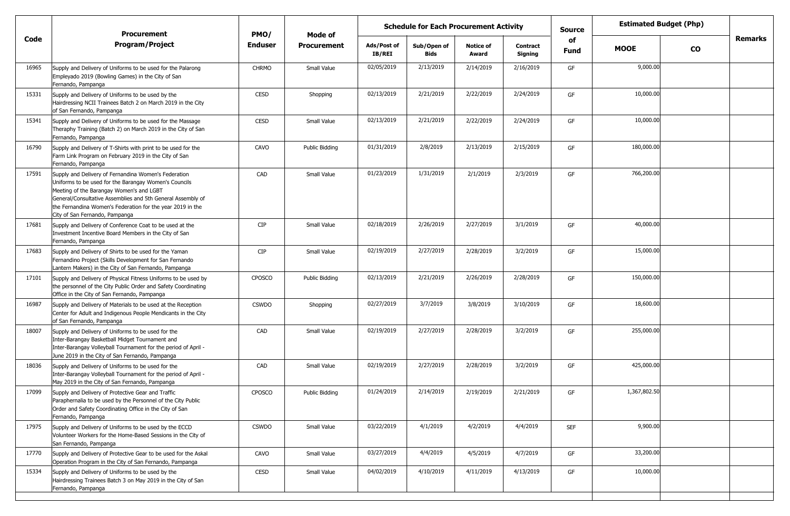|       | <b>Procurement</b>                                                                                                                                                                                                                                                                                                       | PMO/           | Mode of            | <b>Schedule for Each Procurement Activity</b> |                     |                           |                            | <b>Source</b> | <b>Estimated Budget (Php)</b> |           |         |
|-------|--------------------------------------------------------------------------------------------------------------------------------------------------------------------------------------------------------------------------------------------------------------------------------------------------------------------------|----------------|--------------------|-----------------------------------------------|---------------------|---------------------------|----------------------------|---------------|-------------------------------|-----------|---------|
| Code  | <b>Program/Project</b>                                                                                                                                                                                                                                                                                                   | <b>Enduser</b> | <b>Procurement</b> | Ads/Post of<br>IB/REI                         | Sub/Open of<br>Bids | <b>Notice of</b><br>Award | <b>Contract</b><br>Signing | of<br>Fund    | <b>MOOE</b>                   | <b>CO</b> | Remarks |
| 16965 | Supply and Delivery of Uniforms to be used for the Palarong<br>Empleyado 2019 (Bowling Games) in the City of San<br>Fernando, Pampanga                                                                                                                                                                                   | <b>CHRMO</b>   | Small Value        | 02/05/2019                                    | 2/13/2019           | 2/14/2019                 | 2/16/2019                  | GF            | 9,000.00                      |           |         |
| 15331 | Supply and Delivery of Uniforms to be used by the<br>Hairdressing NCII Trainees Batch 2 on March 2019 in the City<br>of San Fernando, Pampanga                                                                                                                                                                           | <b>CESD</b>    | Shopping           | 02/13/2019                                    | 2/21/2019           | 2/22/2019                 | 2/24/2019                  | GF            | 10,000.00                     |           |         |
| 15341 | Supply and Delivery of Uniforms to be used for the Massage<br>Theraphy Training (Batch 2) on March 2019 in the City of San<br>Fernando, Pampanga                                                                                                                                                                         | <b>CESD</b>    | Small Value        | 02/13/2019                                    | 2/21/2019           | 2/22/2019                 | 2/24/2019                  | GF            | 10,000.00                     |           |         |
| 16790 | Supply and Delivery of T-Shirts with print to be used for the<br>Farm Link Program on February 2019 in the City of San<br>Fernando, Pampanga                                                                                                                                                                             | CAVO           | Public Bidding     | 01/31/2019                                    | 2/8/2019            | 2/13/2019                 | 2/15/2019                  | GF            | 180,000.00                    |           |         |
| 17591 | Supply and Delivery of Fernandina Women's Federation<br>Uniforms to be used for the Barangay Women's Councils<br>Meeting of the Barangay Women's and LGBT<br>General/Consultative Assemblies and 5th General Assembly of<br>the Fernandina Women's Federation for the year 2019 in the<br>City of San Fernando, Pampanga | CAD            | Small Value        | 01/23/2019                                    | 1/31/2019           | 2/1/2019                  | 2/3/2019                   | GF            | 766,200.00                    |           |         |
| 17681 | Supply and Delivery of Conference Coat to be used at the<br>Investment Incentive Board Members in the City of San<br>Fernando, Pampanga                                                                                                                                                                                  | <b>CIP</b>     | Small Value        | 02/18/2019                                    | 2/26/2019           | 2/27/2019                 | 3/1/2019                   | GF            | 40,000.00                     |           |         |
| 17683 | Supply and Delivery of Shirts to be used for the Yaman<br>Fernandino Project (Skills Development for San Fernando<br>Lantern Makers) in the City of San Fernando, Pampanga                                                                                                                                               | CIP            | Small Value        | 02/19/2019                                    | 2/27/2019           | 2/28/2019                 | 3/2/2019                   | GF            | 15,000.00                     |           |         |
| 17101 | Supply and Delivery of Physical Fitness Uniforms to be used by<br>the personnel of the City Public Order and Safety Coordinating<br>Office in the City of San Fernando, Pampanga                                                                                                                                         | CPOSCO         | Public Bidding     | 02/13/2019                                    | 2/21/2019           | 2/26/2019                 | 2/28/2019                  | GF            | 150,000.00                    |           |         |
| 16987 | Supply and Delivery of Materials to be used at the Reception<br>Center for Adult and Indigenous People Mendicants in the City<br>of San Fernando, Pampanga                                                                                                                                                               | <b>CSWDO</b>   | Shopping           | 02/27/2019                                    | 3/7/2019            | 3/8/2019                  | 3/10/2019                  | GF            | 18,600.00                     |           |         |
| 18007 | Supply and Delivery of Uniforms to be used for the<br>Inter-Barangay Basketball Midget Tournament and<br>Inter-Barangay Volleyball Tournament for the period of April -<br>June 2019 in the City of San Fernando, Pampanga                                                                                               | CAD            | Small Value        | 02/19/2019                                    | 2/27/2019           | 2/28/2019                 | 3/2/2019                   | GF            | 255,000.00                    |           |         |
| 18036 | Supply and Delivery of Uniforms to be used for the<br>Inter-Barangay Volleyball Tournament for the period of April -<br>May 2019 in the City of San Fernando, Pampanga                                                                                                                                                   | CAD            | Small Value        | 02/19/2019                                    | 2/27/2019           | 2/28/2019                 | 3/2/2019                   | GF            | 425,000.00                    |           |         |
| 17099 | Supply and Delivery of Protective Gear and Traffic<br>Paraphernalia to be used by the Personnel of the City Public<br>Order and Safety Coordinating Office in the City of San<br>Fernando, Pampanga                                                                                                                      | CPOSCO         | Public Bidding     | 01/24/2019                                    | 2/14/2019           | 2/19/2019                 | 2/21/2019                  | GF            | 1,367,802.50                  |           |         |
| 17975 | Supply and Delivery of Uniforms to be used by the ECCD<br>Volunteer Workers for the Home-Based Sessions in the City of<br>San Fernando, Pampanga                                                                                                                                                                         | <b>CSWDO</b>   | Small Value        | 03/22/2019                                    | 4/1/2019            | 4/2/2019                  | 4/4/2019                   | <b>SEF</b>    | 9,900.00                      |           |         |
| 17770 | Supply and Delivery of Protective Gear to be used for the Askal<br>Operation Program in the City of San Fernando, Pampanga                                                                                                                                                                                               | CAVO           | Small Value        | 03/27/2019                                    | 4/4/2019            | 4/5/2019                  | 4/7/2019                   | GF            | 33,200.00                     |           |         |
| 15334 | Supply and Delivery of Uniforms to be used by the<br>Hairdressing Trainees Batch 3 on May 2019 in the City of San<br>Fernando, Pampanga                                                                                                                                                                                  | CESD           | Small Value        | 04/02/2019                                    | 4/10/2019           | 4/11/2019                 | 4/13/2019                  | GF            | 10,000.00                     |           |         |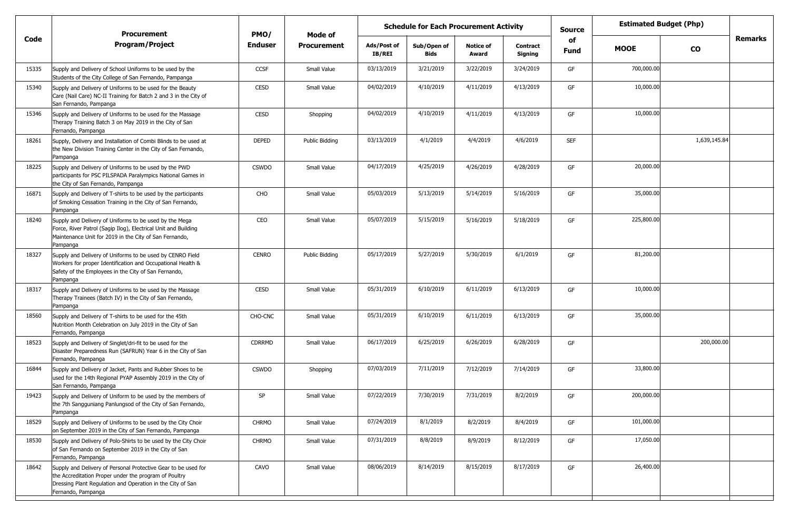|       | <b>Procurement</b>                                                                                                                                                                                          | PMO/           | Mode of            | <b>Schedule for Each Procurement Activity</b> |                            |                           |                            | <b>Estimated Budget (Php)</b><br><b>Source</b> |             |              |                |
|-------|-------------------------------------------------------------------------------------------------------------------------------------------------------------------------------------------------------------|----------------|--------------------|-----------------------------------------------|----------------------------|---------------------------|----------------------------|------------------------------------------------|-------------|--------------|----------------|
| Code  | <b>Program/Project</b>                                                                                                                                                                                      | <b>Enduser</b> | <b>Procurement</b> | Ads/Post of<br><b>IB/REI</b>                  | Sub/Open of<br><b>Bids</b> | <b>Notice of</b><br>Award | <b>Contract</b><br>Signing | of<br><b>Fund</b>                              | <b>MOOE</b> | <b>CO</b>    | <b>Remarks</b> |
| 15335 | Supply and Delivery of School Uniforms to be used by the<br>Students of the City College of San Fernando, Pampanga                                                                                          | CCSF           | Small Value        | 03/13/2019                                    | 3/21/2019                  | 3/22/2019                 | 3/24/2019                  | GF                                             | 700,000.00  |              |                |
| 15340 | Supply and Delivery of Uniforms to be used for the Beauty<br>Care (Nail Care) NC-II Training for Batch 2 and 3 in the City of<br>San Fernando, Pampanga                                                     | CESD           | Small Value        | 04/02/2019                                    | 4/10/2019                  | 4/11/2019                 | 4/13/2019                  | GF                                             | 10,000.00   |              |                |
| 15346 | Supply and Delivery of Uniforms to be used for the Massage<br>Therapy Training Batch 3 on May 2019 in the City of San<br>Fernando, Pampanga                                                                 | <b>CESD</b>    | Shopping           | 04/02/2019                                    | 4/10/2019                  | 4/11/2019                 | 4/13/2019                  | GF                                             | 10,000.00   |              |                |
| 18261 | Supply, Delivery and Installation of Combi Blinds to be used at<br>the New Division Training Center in the City of San Fernando,<br>Pampanga                                                                | <b>DEPED</b>   | Public Bidding     | 03/13/2019                                    | 4/1/2019                   | 4/4/2019                  | 4/6/2019                   | <b>SEF</b>                                     |             | 1,639,145.84 |                |
| 18225 | Supply and Delivery of Uniforms to be used by the PWD<br>participants for PSC PILSPADA Paralympics National Games in<br>the City of San Fernando, Pampanga                                                  | <b>CSWDO</b>   | Small Value        | 04/17/2019                                    | 4/25/2019                  | 4/26/2019                 | 4/28/2019                  | GF                                             | 20,000.00   |              |                |
| 16871 | Supply and Delivery of T-shirts to be used by the participants<br>of Smoking Cessation Training in the City of San Fernando,<br>Pampanga                                                                    | CHO            | Small Value        | 05/03/2019                                    | 5/13/2019                  | 5/14/2019                 | 5/16/2019                  | GF                                             | 35,000.00   |              |                |
| 18240 | Supply and Delivery of Uniforms to be used by the Mega<br>Force, River Patrol (Sagip Ilog), Electrical Unit and Building<br>Maintenance Unit for 2019 in the City of San Fernando,<br>Pampanga              | CEO            | Small Value        | 05/07/2019                                    | 5/15/2019                  | 5/16/2019                 | 5/18/2019                  | GF                                             | 225,800.00  |              |                |
| 18327 | Supply and Delivery of Uniforms to be used by CENRO Field<br>Workers for proper Identification and Occupational Health &<br>Safety of the Employees in the City of San Fernando,<br>Pampanga                | <b>CENRO</b>   | Public Bidding     | 05/17/2019                                    | 5/27/2019                  | 5/30/2019                 | 6/1/2019                   | GF                                             | 81,200.00   |              |                |
| 18317 | Supply and Delivery of Uniforms to be used by the Massage<br>Therapy Trainees (Batch IV) in the City of San Fernando,<br>Pampanga                                                                           | <b>CESD</b>    | Small Value        | 05/31/2019                                    | 6/10/2019                  | 6/11/2019                 | 6/13/2019                  | GF                                             | 10,000.00   |              |                |
| 18560 | Supply and Delivery of T-shirts to be used for the 45th<br>Nutrition Month Celebration on July 2019 in the City of San<br>Fernando, Pampanga                                                                | CHO-CNC        | Small Value        | 05/31/2019                                    | 6/10/2019                  | 6/11/2019                 | 6/13/2019                  | GF                                             | 35,000.00   |              |                |
| 18523 | Supply and Delivery of Singlet/dri-fit to be used for the<br>Disaster Preparedness Run (SAFRUN) Year 6 in the City of San<br>Fernando, Pampanga                                                             | <b>CDRRMD</b>  | Small Value        | 06/17/2019                                    | 6/25/2019                  | 6/26/2019                 | 6/28/2019                  | GF                                             |             | 200,000.00   |                |
| 16844 | Supply and Delivery of Jacket, Pants and Rubber Shoes to be<br>used for the 14th Regional PYAP Assembly 2019 in the City of<br>San Fernando, Pampanga                                                       | <b>CSWDO</b>   | Shopping           | 07/03/2019                                    | 7/11/2019                  | 7/12/2019                 | 7/14/2019                  | GF                                             | 33,800.00   |              |                |
| 19423 | Supply and Delivery of Uniform to be used by the members of<br>the 7th Sangguniang Panlungsod of the City of San Fernando,<br>Pampanga                                                                      | SP             | Small Value        | 07/22/2019                                    | 7/30/2019                  | 7/31/2019                 | 8/2/2019                   | GF                                             | 200,000.00  |              |                |
| 18529 | Supply and Delivery of Uniforms to be used by the City Choir<br>on September 2019 in the City of San Fernando, Pampanga                                                                                     | <b>CHRMO</b>   | Small Value        | 07/24/2019                                    | 8/1/2019                   | 8/2/2019                  | 8/4/2019                   | GF                                             | 101,000.00  |              |                |
| 18530 | Supply and Delivery of Polo-Shirts to be used by the City Choir<br>of San Fernando on September 2019 in the City of San<br>Fernando, Pampanga                                                               | <b>CHRMO</b>   | Small Value        | 07/31/2019                                    | 8/8/2019                   | 8/9/2019                  | 8/12/2019                  | GF                                             | 17,050.00   |              |                |
| 18642 | Supply and Delivery of Personal Protective Gear to be used for<br>the Accreditation Proper under the program of Poultry<br>Dressing Plant Regulation and Operation in the City of San<br>Fernando, Pampanga | CAVO           | Small Value        | 08/06/2019                                    | 8/14/2019                  | 8/15/2019                 | 8/17/2019                  | GF                                             | 26,400.00   |              |                |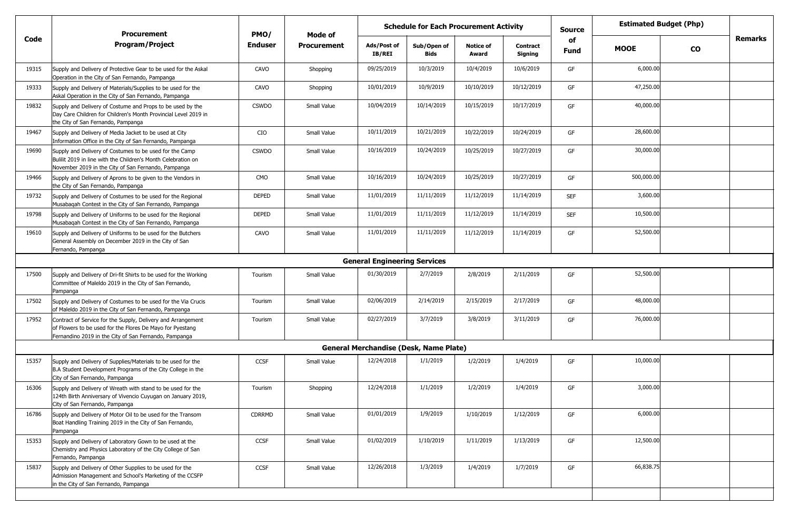|       | <b>Schedule for Each Procurement Activity</b><br>PMO/<br><b>Procurement</b><br>Mode of                                                                                             |                |                    |                                     |                                               | <b>Source</b>             | <b>Estimated Budget (Php)</b> |            |             |           |                |
|-------|------------------------------------------------------------------------------------------------------------------------------------------------------------------------------------|----------------|--------------------|-------------------------------------|-----------------------------------------------|---------------------------|-------------------------------|------------|-------------|-----------|----------------|
| Code  | <b>Program/Project</b>                                                                                                                                                             | <b>Enduser</b> | <b>Procurement</b> | Ads/Post of<br>IB/REI               | Sub/Open of<br><b>Bids</b>                    | <b>Notice of</b><br>Award | <b>Contract</b><br>Signing    | of<br>Fund | <b>MOOE</b> | <b>CO</b> | <b>Remarks</b> |
| 19315 | Supply and Delivery of Protective Gear to be used for the Askal<br>Operation in the City of San Fernando, Pampanga                                                                 | CAVO           | Shopping           | 09/25/2019                          | 10/3/2019                                     | 10/4/2019                 | 10/6/2019                     | GF         | 6,000.00    |           |                |
| 19333 | Supply and Delivery of Materials/Supplies to be used for the<br>Askal Operation in the City of San Fernando, Pampanga                                                              | CAVO           | Shopping           | 10/01/2019                          | 10/9/2019                                     | 10/10/2019                | 10/12/2019                    | GF         | 47,250.00   |           |                |
| 19832 | Supply and Delivery of Costume and Props to be used by the<br>Day Care Children for Children's Month Provincial Level 2019 in<br>the City of San Fernando, Pampanga                | <b>CSWDO</b>   | Small Value        | 10/04/2019                          | 10/14/2019                                    | 10/15/2019                | 10/17/2019                    | GF         | 40,000.00   |           |                |
| 19467 | Supply and Delivery of Media Jacket to be used at City<br>Information Office in the City of San Fernando, Pampanga                                                                 | CIO            | Small Value        | 10/11/2019                          | 10/21/2019                                    | 10/22/2019                | 10/24/2019                    | GF         | 28,600.00   |           |                |
| 19690 | Supply and Delivery of Costumes to be used for the Camp<br>Bulilit 2019 in line with the Children's Month Celebration on<br>November 2019 in the City of San Fernando, Pampanga    | <b>CSWDO</b>   | Small Value        | 10/16/2019                          | 10/24/2019                                    | 10/25/2019                | 10/27/2019                    | GF         | 30,000.00   |           |                |
| 19466 | Supply and Delivery of Aprons to be given to the Vendors in<br>the City of San Fernando, Pampanga                                                                                  | <b>CMO</b>     | Small Value        | 10/16/2019                          | 10/24/2019                                    | 10/25/2019                | 10/27/2019                    | GF         | 500,000.00  |           |                |
| 19732 | Supply and Delivery of Costumes to be used for the Regional<br>Musabaqah Contest in the City of San Fernando, Pampanga                                                             | <b>DEPED</b>   | Small Value        | 11/01/2019                          | 11/11/2019                                    | 11/12/2019                | 11/14/2019                    | <b>SEF</b> | 3,600.00    |           |                |
| 19798 | Supply and Delivery of Uniforms to be used for the Regional<br>Musabaqah Contest in the City of San Fernando, Pampanga                                                             | <b>DEPED</b>   | Small Value        | 11/01/2019                          | 11/11/2019                                    | 11/12/2019                | 11/14/2019                    | <b>SEF</b> | 10,500.00   |           |                |
| 19610 | Supply and Delivery of Uniforms to be used for the Butchers<br>General Assembly on December 2019 in the City of San<br>Fernando, Pampanga                                          | CAVO           | Small Value        | 11/01/2019                          | 11/11/2019                                    | 11/12/2019                | 11/14/2019                    | GF         | 52,500.00   |           |                |
|       |                                                                                                                                                                                    |                |                    | <b>General Engineering Services</b> |                                               |                           |                               |            |             |           |                |
| 17500 | Supply and Delivery of Dri-fit Shirts to be used for the Working<br>Committee of Maleldo 2019 in the City of San Fernando,<br>Pampanga                                             | Tourism        | Small Value        | 01/30/2019                          | 2/7/2019                                      | 2/8/2019                  | 2/11/2019                     | GF         | 52,500.00   |           |                |
| 17502 | Supply and Delivery of Costumes to be used for the Via Crucis<br>of Maleldo 2019 in the City of San Fernando, Pampanga                                                             | Tourism        | Small Value        | 02/06/2019                          | 2/14/2019                                     | 2/15/2019                 | 2/17/2019                     | GF         | 48,000.00   |           |                |
| 17952 | Contract of Service for the Supply, Delivery and Arrangement<br>of Flowers to be used for the Flores De Mayo for Pyestang<br>Fernandino 2019 in the City of San Fernando, Pampanga | Tourism        | Small Value        | 02/27/2019                          | 3/7/2019                                      | 3/8/2019                  | 3/11/2019                     | GF         | 76,000.00   |           |                |
|       |                                                                                                                                                                                    |                |                    |                                     | <b>General Merchandise (Desk, Name Plate)</b> |                           |                               |            |             |           |                |
| 15357 | Supply and Delivery of Supplies/Materials to be used for the<br>B.A Student Development Programs of the City College in the<br>City of San Fernando, Pampanga                      | <b>CCSF</b>    | Small Value        | 12/24/2018                          | 1/1/2019                                      | 1/2/2019                  | 1/4/2019                      | GF         | 10,000.00   |           |                |
| 16306 | Supply and Delivery of Wreath with stand to be used for the<br>124th Birth Anniversary of Vivencio Cuyugan on January 2019,<br>City of San Fernando, Pampanga                      | Tourism        | Shopping           | 12/24/2018                          | 1/1/2019                                      | 1/2/2019                  | 1/4/2019                      | GF         | 3,000.00    |           |                |
| 16786 | Supply and Delivery of Motor Oil to be used for the Transom<br>Boat Handling Training 2019 in the City of San Fernando,<br>Pampanga                                                | CDRRMD         | Small Value        | 01/01/2019                          | 1/9/2019                                      | 1/10/2019                 | 1/12/2019                     | GF         | 6,000.00    |           |                |
| 15353 | Supply and Delivery of Laboratory Gown to be used at the<br>Chemistry and Physics Laboratory of the City College of San<br>Fernando, Pampanga                                      | CCSF           | Small Value        | 01/02/2019                          | 1/10/2019                                     | 1/11/2019                 | 1/13/2019                     | GF         | 12,500.00   |           |                |
| 15837 | Supply and Delivery of Other Supplies to be used for the<br>Admission Management and School's Marketing of the CCSFP<br>in the City of San Fernando, Pampanga                      | <b>CCSF</b>    | Small Value        | 12/26/2018                          | 1/3/2019                                      | 1/4/2019                  | 1/7/2019                      | GF         | 66,838.75   |           |                |
|       |                                                                                                                                                                                    |                |                    |                                     |                                               |                           |                               |            |             |           |                |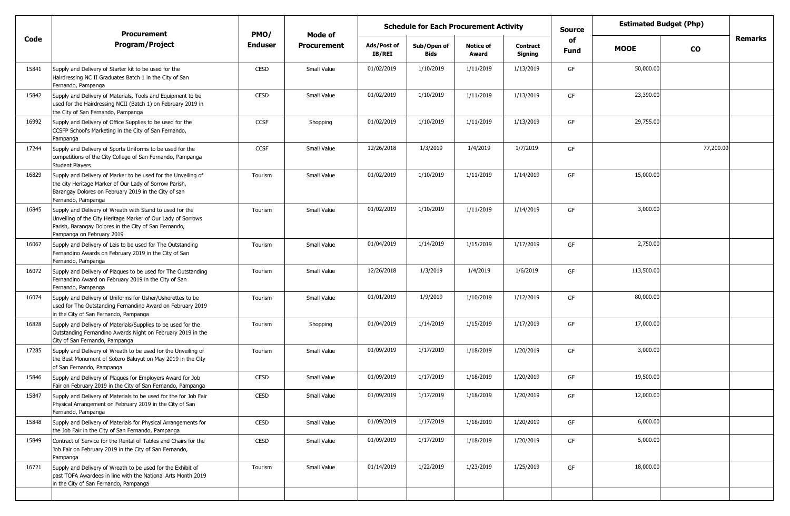|       | <b>Procurement</b>                                                                                                                                                                                             | PMO/           |                    | <b>Estimated Budget (Php)</b><br><b>Schedule for Each Procurement Activity</b><br><b>Source</b><br>Mode of |                            |                           |                            |                   |             |               |                |
|-------|----------------------------------------------------------------------------------------------------------------------------------------------------------------------------------------------------------------|----------------|--------------------|------------------------------------------------------------------------------------------------------------|----------------------------|---------------------------|----------------------------|-------------------|-------------|---------------|----------------|
| Code  | <b>Program/Project</b>                                                                                                                                                                                         | <b>Enduser</b> | <b>Procurement</b> | Ads/Post of<br>IB/REI                                                                                      | Sub/Open of<br><b>Bids</b> | <b>Notice of</b><br>Award | <b>Contract</b><br>Signing | of<br><b>Fund</b> | <b>MOOE</b> | $\mathbf{co}$ | <b>Remarks</b> |
| 15841 | Supply and Delivery of Starter kit to be used for the<br>Hairdressing NC II Graduates Batch 1 in the City of San<br>Fernando, Pampanga                                                                         | <b>CESD</b>    | Small Value        | 01/02/2019                                                                                                 | 1/10/2019                  | 1/11/2019                 | 1/13/2019                  | GF                | 50,000.00   |               |                |
| 15842 | Supply and Delivery of Materials, Tools and Equipment to be<br>used for the Hairdressing NCII (Batch 1) on February 2019 in<br>the City of San Fernando, Pampanga                                              | CESD           | Small Value        | 01/02/2019                                                                                                 | 1/10/2019                  | 1/11/2019                 | 1/13/2019                  | GF                | 23,390.00   |               |                |
| 16992 | Supply and Delivery of Office Supplies to be used for the<br>CCSFP School's Marketing in the City of San Fernando,<br>Pampanga                                                                                 | CCSF           | Shopping           | 01/02/2019                                                                                                 | 1/10/2019                  | 1/11/2019                 | 1/13/2019                  | GF                | 29,755.00   |               |                |
| 17244 | Supply and Delivery of Sports Uniforms to be used for the<br>competitions of the City College of San Fernando, Pampanga<br><b>Student Players</b>                                                              | CCSF           | Small Value        | 12/26/2018                                                                                                 | 1/3/2019                   | 1/4/2019                  | 1/7/2019                   | GF                |             | 77,200.00     |                |
| 16829 | Supply and Delivery of Marker to be used for the Unveiling of<br>the city Heritage Marker of Our Lady of Sorrow Parish,<br>Barangay Dolores on February 2019 in the City of san<br>Fernando, Pampanga          | Tourism        | Small Value        | 01/02/2019                                                                                                 | 1/10/2019                  | 1/11/2019                 | 1/14/2019                  | GF                | 15,000.00   |               |                |
| 16845 | Supply and Delivery of Wreath with Stand to used for the<br>Unveiling of the City Heritage Marker of Our Lady of Sorrows<br>Parish, Barangay Dolores in the City of San Fernando,<br>Pampanga on February 2019 | Tourism        | Small Value        | 01/02/2019                                                                                                 | 1/10/2019                  | 1/11/2019                 | 1/14/2019                  | GF                | 3,000.00    |               |                |
| 16067 | Supply and Delivery of Leis to be used for The Outstanding<br>Fernandino Awards on February 2019 in the City of San<br>Fernando, Pampanga                                                                      | Tourism        | Small Value        | 01/04/2019                                                                                                 | 1/14/2019                  | 1/15/2019                 | 1/17/2019                  | GF                | 2,750.00    |               |                |
| 16072 | Supply and Delivery of Plaques to be used for The Outstanding<br>Fernandino Award on February 2019 in the City of San<br>Fernando, Pampanga                                                                    | Tourism        | Small Value        | 12/26/2018                                                                                                 | 1/3/2019                   | 1/4/2019                  | 1/6/2019                   | GF                | 113,500.00  |               |                |
| 16074 | Supply and Delivery of Uniforms for Usher/Usherettes to be<br>used for The Outstanding Fernandino Award on February 2019<br>in the City of San Fernando, Pampanga                                              | Tourism        | Small Value        | 01/01/2019                                                                                                 | 1/9/2019                   | 1/10/2019                 | 1/12/2019                  | GF                | 80,000.00   |               |                |
| 16828 | Supply and Delivery of Materials/Supplies to be used for the<br>Outstanding Fernandino Awards Night on February 2019 in the<br>City of San Fernando, Pampanga                                                  | Tourism        | Shopping           | 01/04/2019                                                                                                 | 1/14/2019                  | 1/15/2019                 | 1/17/2019                  | GF                | 17,000.00   |               |                |
| 17285 | Supply and Delivery of Wreath to be used for the Unveiling of<br>the Bust Monument of Sotero Baluyut on May 2019 in the City<br>of San Fernando, Pampanga                                                      | Tourism        | Small Value        | 01/09/2019                                                                                                 | 1/17/2019                  | 1/18/2019                 | 1/20/2019                  | GF                | 3,000.00    |               |                |
| 15846 | Supply and Delivery of Plaques for Employers Award for Job<br>Fair on February 2019 in the City of San Fernando, Pampanga                                                                                      | <b>CESD</b>    | Small Value        | 01/09/2019                                                                                                 | 1/17/2019                  | 1/18/2019                 | 1/20/2019                  | GF                | 19,500.00   |               |                |
| 15847 | Supply and Delivery of Materials to be used for the for Job Fair<br>Physical Arrangement on February 2019 in the City of San<br>Fernando, Pampanga                                                             | <b>CESD</b>    | Small Value        | 01/09/2019                                                                                                 | 1/17/2019                  | 1/18/2019                 | 1/20/2019                  | GF                | 12,000.00   |               |                |
| 15848 | Supply and Delivery of Materials for Physical Arrangements for<br>the Job Fair in the City of San Fernando, Pampanga                                                                                           | CESD           | Small Value        | 01/09/2019                                                                                                 | 1/17/2019                  | 1/18/2019                 | 1/20/2019                  | GF                | 6,000.00    |               |                |
| 15849 | Contract of Service for the Rental of Tables and Chairs for the<br>Job Fair on February 2019 in the City of San Fernando,<br>Pampanga                                                                          | CESD           | Small Value        | 01/09/2019                                                                                                 | 1/17/2019                  | 1/18/2019                 | 1/20/2019                  | GF                | 5,000.00    |               |                |
| 16721 | Supply and Delivery of Wreath to be used for the Exhibit of<br>past TOFA Awardees in line with the National Arts Month 2019<br>in the City of San Fernando, Pampanga                                           | Tourism        | Small Value        | 01/14/2019                                                                                                 | 1/22/2019                  | 1/23/2019                 | 1/25/2019                  | GF                | 18,000.00   |               |                |
|       |                                                                                                                                                                                                                |                |                    |                                                                                                            |                            |                           |                            |                   |             |               |                |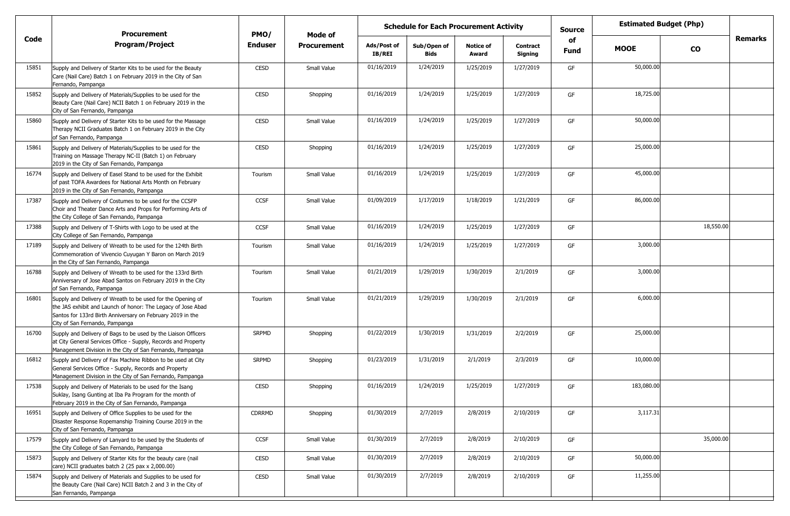|       | <b>Procurement</b>                                                                                                                                                                                                          | PMO/         | <b>Schedule for Each Procurement Activity</b><br>Mode of |                              |                            |                           |                            | <b>Source</b>     | <b>Estimated Budget (Php)</b> |           |                |
|-------|-----------------------------------------------------------------------------------------------------------------------------------------------------------------------------------------------------------------------------|--------------|----------------------------------------------------------|------------------------------|----------------------------|---------------------------|----------------------------|-------------------|-------------------------------|-----------|----------------|
| Code  | <b>Program/Project</b>                                                                                                                                                                                                      | Enduser      | <b>Procurement</b>                                       | Ads/Post of<br><b>IB/REI</b> | Sub/Open of<br><b>Bids</b> | <b>Notice of</b><br>Award | <b>Contract</b><br>Signing | of<br><b>Fund</b> | <b>MOOE</b>                   | <b>CO</b> | <b>Remarks</b> |
| 15851 | Supply and Delivery of Starter Kits to be used for the Beauty<br>Care (Nail Care) Batch 1 on February 2019 in the City of San<br>Fernando, Pampanga                                                                         | <b>CESD</b>  | Small Value                                              | 01/16/2019                   | 1/24/2019                  | 1/25/2019                 | 1/27/2019                  | GF                | 50,000.00                     |           |                |
| 15852 | Supply and Delivery of Materials/Supplies to be used for the<br>Beauty Care (Nail Care) NCII Batch 1 on February 2019 in the<br>City of San Fernando, Pampanga                                                              | <b>CESD</b>  | Shopping                                                 | 01/16/2019                   | 1/24/2019                  | 1/25/2019                 | 1/27/2019                  | GF                | 18,725.00                     |           |                |
| 15860 | Supply and Delivery of Starter Kits to be used for the Massage<br>Therapy NCII Graduates Batch 1 on February 2019 in the City<br>of San Fernando, Pampanga                                                                  | <b>CESD</b>  | Small Value                                              | 01/16/2019                   | 1/24/2019                  | 1/25/2019                 | 1/27/2019                  | GF                | 50,000.00                     |           |                |
| 15861 | Supply and Delivery of Materials/Supplies to be used for the<br>Training on Massage Therapy NC-II (Batch 1) on February<br>2019 in the City of San Fernando, Pampanga                                                       | <b>CESD</b>  | Shopping                                                 | 01/16/2019                   | 1/24/2019                  | 1/25/2019                 | 1/27/2019                  | GF                | 25,000.00                     |           |                |
| 16774 | Supply and Delivery of Easel Stand to be used for the Exhibit<br>of past TOFA Awardees for National Arts Month on February<br>2019 in the City of San Fernando, Pampanga                                                    | Tourism      | Small Value                                              | 01/16/2019                   | 1/24/2019                  | 1/25/2019                 | 1/27/2019                  | GF                | 45,000.00                     |           |                |
| 17387 | Supply and Delivery of Costumes to be used for the CCSFP<br>Choir and Theater Dance Arts and Props for Performing Arts of<br>the City College of San Fernando, Pampanga                                                     | <b>CCSF</b>  | Small Value                                              | 01/09/2019                   | 1/17/2019                  | 1/18/2019                 | 1/21/2019                  | GF                | 86,000.00                     |           |                |
| 17388 | Supply and Delivery of T-Shirts with Logo to be used at the<br>City College of San Fernando, Pampanga                                                                                                                       | <b>CCSF</b>  | Small Value                                              | 01/16/2019                   | 1/24/2019                  | 1/25/2019                 | 1/27/2019                  | GF                |                               | 18,550.00 |                |
| 17189 | Supply and Delivery of Wreath to be used for the 124th Birth<br>Commemoration of Vivencio Cuyugan Y Baron on March 2019<br>in the City of San Fernando, Pampanga                                                            | Tourism      | Small Value                                              | 01/16/2019                   | 1/24/2019                  | 1/25/2019                 | 1/27/2019                  | GF                | 3,000.00                      |           |                |
| 16788 | Supply and Delivery of Wreath to be used for the 133rd Birth<br>Anniversary of Jose Abad Santos on February 2019 in the City<br>of San Fernando, Pampanga                                                                   | Tourism      | Small Value                                              | 01/21/2019                   | 1/29/2019                  | 1/30/2019                 | 2/1/2019                   | GF                | 3,000.00                      |           |                |
| 16801 | Supply and Delivery of Wreath to be used for the Opening of<br>the JAS exhibit and Launch of honor: The Legacy of Jose Abad<br>Santos for 133rd Birth Anniversary on February 2019 in the<br>City of San Fernando, Pampanga | Tourism      | Small Value                                              | 01/21/2019                   | 1/29/2019                  | 1/30/2019                 | 2/1/2019                   | GF                | 6,000.00                      |           |                |
| 16700 | Supply and Delivery of Bags to be used by the Liaison Officers<br>at City General Services Office - Supply, Records and Property<br>Management Division in the City of San Fernando, Pampanga                               | <b>SRPMD</b> | Shopping                                                 | 01/22/2019                   | 1/30/2019                  | 1/31/2019                 | 2/2/2019                   | GF                | 25,000.00                     |           |                |
| 16812 | Supply and Delivery of Fax Machine Ribbon to be used at City<br>General Services Office - Supply, Records and Property<br>Management Division in the City of San Fernando, Pampanga                                         | <b>SRPMD</b> | Shopping                                                 | 01/23/2019                   | 1/31/2019                  | 2/1/2019                  | 2/3/2019                   | GF                | 10,000.00                     |           |                |
| 17538 | Supply and Delivery of Materials to be used for the Isang<br>Suklay, Isang Gunting at Iba Pa Program for the month of<br>February 2019 in the City of San Fernando, Pampanga                                                | CESD         | Shopping                                                 | 01/16/2019                   | 1/24/2019                  | 1/25/2019                 | 1/27/2019                  | GF                | 183,080.00                    |           |                |
| 16951 | Supply and Delivery of Office Supplies to be used for the<br>Disaster Response Ropemanship Training Course 2019 in the<br>City of San Fernando, Pampanga                                                                    | CDRRMD       | Shopping                                                 | 01/30/2019                   | 2/7/2019                   | 2/8/2019                  | 2/10/2019                  | GF                | 3,117.31                      |           |                |
| 17579 | Supply and Delivery of Lanyard to be used by the Students of<br>the City College of San Fernando, Pampanga                                                                                                                  | CCSF         | Small Value                                              | 01/30/2019                   | 2/7/2019                   | 2/8/2019                  | 2/10/2019                  | GF                |                               | 35,000.00 |                |
| 15873 | Supply and Delivery of Starter Kits for the beauty care (nail<br>care) NCII graduates batch 2 (25 pax x 2,000.00)                                                                                                           | CESD         | Small Value                                              | 01/30/2019                   | 2/7/2019                   | 2/8/2019                  | 2/10/2019                  | GF                | 50,000.00                     |           |                |
| 15874 | Supply and Delivery of Materials and Supplies to be used for<br>the Beauty Care (Nail Care) NCII Batch 2 and 3 in the City of<br>San Fernando, Pampanga                                                                     | CESD         | Small Value                                              | 01/30/2019                   | 2/7/2019                   | 2/8/2019                  | 2/10/2019                  | GF                | 11,255.00                     |           |                |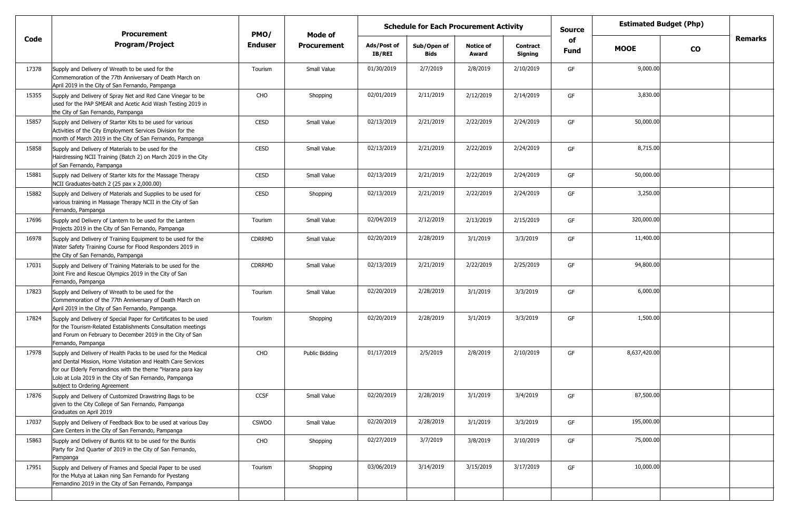|       | <b>Procurement</b>                                                                                                                                                                                                                                                                        | PMO/           | <b>Estimated Budget (Php)</b><br><b>Schedule for Each Procurement Activity</b><br><b>Source</b><br>Mode of |                       |                            |                           |                            |                   |              |               |                |
|-------|-------------------------------------------------------------------------------------------------------------------------------------------------------------------------------------------------------------------------------------------------------------------------------------------|----------------|------------------------------------------------------------------------------------------------------------|-----------------------|----------------------------|---------------------------|----------------------------|-------------------|--------------|---------------|----------------|
| Code  | <b>Program/Project</b>                                                                                                                                                                                                                                                                    | <b>Enduser</b> | <b>Procurement</b>                                                                                         | Ads/Post of<br>IB/REI | Sub/Open of<br><b>Bids</b> | <b>Notice of</b><br>Award | <b>Contract</b><br>Signing | of<br><b>Fund</b> | <b>MOOE</b>  | $\mathbf{co}$ | <b>Remarks</b> |
| 17378 | Supply and Delivery of Wreath to be used for the<br>Commemoration of the 77th Anniversary of Death March on<br>April 2019 in the City of San Fernando, Pampanga                                                                                                                           | Tourism        | Small Value                                                                                                | 01/30/2019            | 2/7/2019                   | 2/8/2019                  | 2/10/2019                  | GF                | 9,000.00     |               |                |
| 15355 | Supply and Delivery of Spray Net and Red Cane Vinegar to be<br>used for the PAP SMEAR and Acetic Acid Wash Testing 2019 in<br>the City of San Fernando, Pampanga                                                                                                                          | CHO            | Shopping                                                                                                   | 02/01/2019            | 2/11/2019                  | 2/12/2019                 | 2/14/2019                  | GF                | 3,830.00     |               |                |
| 15857 | Supply and Delivery of Starter Kits to be used for various<br>Activities of the City Employment Services Division for the<br>month of March 2019 in the City of San Fernando, Pampanga                                                                                                    | <b>CESD</b>    | Small Value                                                                                                | 02/13/2019            | 2/21/2019                  | 2/22/2019                 | 2/24/2019                  | GF                | 50,000.00    |               |                |
| 15858 | Supply and Delivery of Materials to be used for the<br>Hairdressing NCII Training (Batch 2) on March 2019 in the City<br>of San Fernando, Pampanga                                                                                                                                        | CESD           | Small Value                                                                                                | 02/13/2019            | 2/21/2019                  | 2/22/2019                 | 2/24/2019                  | GF                | 8,715.00     |               |                |
| 15881 | Supply nad Delivery of Starter kits for the Massage Therapy<br>NCII Graduates-batch 2 (25 pax x 2,000.00)                                                                                                                                                                                 | CESD           | Small Value                                                                                                | 02/13/2019            | 2/21/2019                  | 2/22/2019                 | 2/24/2019                  | GF                | 50,000.00    |               |                |
| 15882 | Supply and Delivery of Materials and Supplies to be used for<br>various training in Massage Therapy NCII in the City of San<br>Fernando, Pampanga                                                                                                                                         | CESD           | Shopping                                                                                                   | 02/13/2019            | 2/21/2019                  | 2/22/2019                 | 2/24/2019                  | GF                | 3,250.00     |               |                |
| 17696 | Supply and Delivery of Lantern to be used for the Lantern<br>Projects 2019 in the City of San Fernando, Pampanga                                                                                                                                                                          | Tourism        | Small Value                                                                                                | 02/04/2019            | 2/12/2019                  | 2/13/2019                 | 2/15/2019                  | GF                | 320,000.00   |               |                |
| 16978 | Supply and Delivery of Training Equipment to be used for the<br>Water Safety Training Course for Flood Responders 2019 in<br>the City of San Fernando, Pampanga                                                                                                                           | CDRRMD         | Small Value                                                                                                | 02/20/2019            | 2/28/2019                  | 3/1/2019                  | 3/3/2019                   | GF                | 11,400.00    |               |                |
| 17031 | Supply and Delivery of Training Materials to be used for the<br>Joint Fire and Rescue Olympics 2019 in the City of San<br>Fernando, Pampanga                                                                                                                                              | CDRRMD         | Small Value                                                                                                | 02/13/2019            | 2/21/2019                  | 2/22/2019                 | 2/25/2019                  | GF                | 94,800.00    |               |                |
| 17823 | Supply and Delivery of Wreath to be used for the<br>Commemoration of the 77th Anniversary of Death March on<br>April 2019 in the City of San Fernando, Pampanga.                                                                                                                          | Tourism        | Small Value                                                                                                | 02/20/2019            | 2/28/2019                  | 3/1/2019                  | 3/3/2019                   | GF                | 6,000.00     |               |                |
| 17824 | Supply and Delivery of Special Paper for Certificates to be used<br>for the Tourism-Related Establishments Consultation meetings<br>and Forum on February to December 2019 in the City of San<br>Fernando, Pampanga                                                                       | Tourism        | Shopping                                                                                                   | 02/20/2019            | 2/28/2019                  | 3/1/2019                  | 3/3/2019                   | GF                | 1,500.00     |               |                |
| 17978 | Supply and Delivery of Health Packs to be used for the Medical<br>and Dental Mission, Home Visitation and Health Care Services<br>for our Elderly Fernandinos with the theme "Harana para kay<br>Lolo at Lola 2019 in the City of San Fernando, Pampanga<br>subject to Ordering Agreement | CHO            | Public Bidding                                                                                             | 01/17/2019            | 2/5/2019                   | 2/8/2019                  | 2/10/2019                  | GF                | 8,637,420.00 |               |                |
| 17876 | Supply and Delivery of Customized Drawstring Bags to be<br>given to the City College of San Fernando, Pampanga<br>Graduates on April 2019                                                                                                                                                 | <b>CCSF</b>    | Small Value                                                                                                | 02/20/2019            | 2/28/2019                  | 3/1/2019                  | 3/4/2019                   | GF                | 87,500.00    |               |                |
| 17037 | Supply and Delivery of Feedback Box to be used at various Day<br>Care Centers in the City of San Fernando, Pampanga                                                                                                                                                                       | <b>CSWDO</b>   | Small Value                                                                                                | 02/20/2019            | 2/28/2019                  | 3/1/2019                  | 3/3/2019                   | GF                | 195,000.00   |               |                |
| 15863 | Supply and Delivery of Buntis Kit to be used for the Buntis<br>Party for 2nd Quarter of 2019 in the City of San Fernando,<br>Pampanga                                                                                                                                                     | CHO            | Shopping                                                                                                   | 02/27/2019            | 3/7/2019                   | 3/8/2019                  | 3/10/2019                  | GF                | 75,000.00    |               |                |
| 17951 | Supply and Delivery of Frames and Special Paper to be used<br>for the Mutya at Lakan ning San Fernando for Pyestang<br>Fernandino 2019 in the City of San Fernando, Pampanga                                                                                                              | Tourism        | Shopping                                                                                                   | 03/06/2019            | 3/14/2019                  | 3/15/2019                 | 3/17/2019                  | GF                | 10,000.00    |               |                |
|       |                                                                                                                                                                                                                                                                                           |                |                                                                                                            |                       |                            |                           |                            |                   |              |               |                |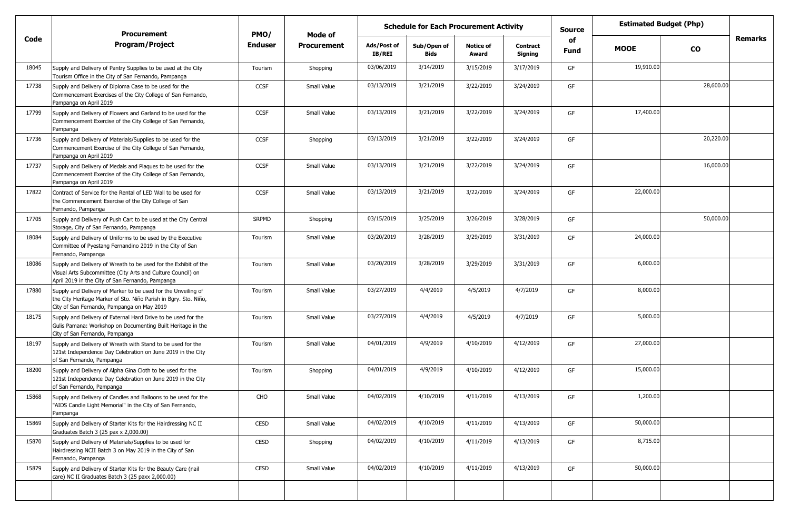|       | <b>Procurement</b>                                                                                                                                                                 | PMO/           | Mode of            |                              | <b>Schedule for Each Procurement Activity</b> |                           |                            | <b>Estimated Budget (Php)</b><br><b>Source</b> |             |               |                |
|-------|------------------------------------------------------------------------------------------------------------------------------------------------------------------------------------|----------------|--------------------|------------------------------|-----------------------------------------------|---------------------------|----------------------------|------------------------------------------------|-------------|---------------|----------------|
| Code  | <b>Program/Project</b>                                                                                                                                                             | <b>Enduser</b> | <b>Procurement</b> | Ads/Post of<br><b>IB/REI</b> | Sub/Open of<br><b>Bids</b>                    | <b>Notice of</b><br>Award | <b>Contract</b><br>Signing | of<br><b>Fund</b>                              | <b>MOOE</b> | $\mathbf{co}$ | <b>Remarks</b> |
| 18045 | Supply and Delivery of Pantry Supplies to be used at the City<br>Tourism Office in the City of San Fernando, Pampanga                                                              | Tourism        | Shopping           | 03/06/2019                   | 3/14/2019                                     | 3/15/2019                 | 3/17/2019                  | GF                                             | 19,910.00   |               |                |
| 17738 | Supply and Delivery of Diploma Case to be used for the<br>Commencement Exercises of the City College of San Fernando,<br>Pampanga on April 2019                                    | <b>CCSF</b>    | Small Value        | 03/13/2019                   | 3/21/2019                                     | 3/22/2019                 | 3/24/2019                  | GF                                             |             | 28,600.00     |                |
| 17799 | Supply and Delivery of Flowers and Garland to be used for the<br>Commencement Exercise of the City College of San Fernando,<br>Pampanga                                            | <b>CCSF</b>    | Small Value        | 03/13/2019                   | 3/21/2019                                     | 3/22/2019                 | 3/24/2019                  | GF                                             | 17,400.00   |               |                |
| 17736 | Supply and Delivery of Materials/Supplies to be used for the<br>Commencement Exercise of the City College of San Fernando,<br>Pampanga on April 2019                               | <b>CCSF</b>    | Shopping           | 03/13/2019                   | 3/21/2019                                     | 3/22/2019                 | 3/24/2019                  | GF                                             |             | 20,220.00     |                |
| 17737 | Supply and Delivery of Medals and Plaques to be used for the<br>Commencement Exercise of the City College of San Fernando,<br>Pampanga on April 2019                               | <b>CCSF</b>    | Small Value        | 03/13/2019                   | 3/21/2019                                     | 3/22/2019                 | 3/24/2019                  | GF                                             |             | 16,000.00     |                |
| 17822 | Contract of Service for the Rental of LED Wall to be used for<br>the Commencement Exercise of the City College of San<br>Fernando, Pampanga                                        | <b>CCSF</b>    | Small Value        | 03/13/2019                   | 3/21/2019                                     | 3/22/2019                 | 3/24/2019                  | GF                                             | 22,000.00   |               |                |
| 17705 | Supply and Delivery of Push Cart to be used at the City Central<br>Storage, City of San Fernando, Pampanga                                                                         | <b>SRPMD</b>   | Shopping           | 03/15/2019                   | 3/25/2019                                     | 3/26/2019                 | 3/28/2019                  | GF                                             |             | 50,000.00     |                |
| 18084 | Supply and Delivery of Uniforms to be used by the Executive<br>Committee of Pyestang Fernandino 2019 in the City of San<br>Fernando, Pampanga                                      | Tourism        | Small Value        | 03/20/2019                   | 3/28/2019                                     | 3/29/2019                 | 3/31/2019                  | GF                                             | 24,000.00   |               |                |
| 18086 | Supply and Delivery of Wreath to be used for the Exhibit of the<br>Visual Arts Subcommittee (City Arts and Culture Council) on<br>April 2019 in the City of San Fernando, Pampanga | Tourism        | Small Value        | 03/20/2019                   | 3/28/2019                                     | 3/29/2019                 | 3/31/2019                  | GF                                             | 6,000.00    |               |                |
| 17880 | Supply and Delivery of Marker to be used for the Unveiling of<br>the City Heritage Marker of Sto. Niño Parish in Bgry. Sto. Niño,<br>City of San Fernando, Pampanga on May 2019    | Tourism        | Small Value        | 03/27/2019                   | 4/4/2019                                      | 4/5/2019                  | 4/7/2019                   | GF                                             | 8,000.00    |               |                |
| 18175 | Supply and Delivery of External Hard Drive to be used for the<br>Gulis Pamana: Workshop on Documenting Built Heritage in the<br>City of San Fernando, Pampanga                     | Tourism        | Small Value        | 03/27/2019                   | 4/4/2019                                      | 4/5/2019                  | 4/7/2019                   | GF                                             | 5,000.00    |               |                |
| 18197 | Supply and Delivery of Wreath with Stand to be used for the<br>121st Independence Day Celebration on June 2019 in the City<br>of San Fernando, Pampanga                            | Tourism        | Small Value        | 04/01/2019                   | 4/9/2019                                      | 4/10/2019                 | 4/12/2019                  | GF                                             | 27,000.00   |               |                |
| 18200 | Supply and Delivery of Alpha Gina Cloth to be used for the<br>121st Independence Day Celebration on June 2019 in the City<br>of San Fernando, Pampanga                             | Tourism        | Shopping           | 04/01/2019                   | 4/9/2019                                      | 4/10/2019                 | 4/12/2019                  | GF                                             | 15,000.00   |               |                |
| 15868 | Supply and Delivery of Candles and Balloons to be used for the<br>"AIDS Candle Light Memorial" in the City of San Fernando,<br>Pampanga                                            | CHO            | Small Value        | 04/02/2019                   | 4/10/2019                                     | 4/11/2019                 | 4/13/2019                  | GF                                             | 1,200.00    |               |                |
| 15869 | Supply and Delivery of Starter Kits for the Hairdressing NC II<br>Graduates Batch 3 (25 pax x 2,000.00)                                                                            | CESD           | Small Value        | 04/02/2019                   | 4/10/2019                                     | 4/11/2019                 | 4/13/2019                  | GF                                             | 50,000.00   |               |                |
| 15870 | Supply and Delivery of Materials/Supplies to be used for<br>Hairdressing NCII Batch 3 on May 2019 in the City of San<br>Fernando, Pampanga                                         | CESD           | Shopping           | 04/02/2019                   | 4/10/2019                                     | 4/11/2019                 | 4/13/2019                  | GF                                             | 8,715.00    |               |                |
| 15879 | Supply and Delivery of Starter Kits for the Beauty Care (nail<br>care) NC II Graduates Batch 3 (25 paxx 2,000.00)                                                                  | CESD           | Small Value        | 04/02/2019                   | 4/10/2019                                     | 4/11/2019                 | 4/13/2019                  | GF                                             | 50,000.00   |               |                |
|       |                                                                                                                                                                                    |                |                    |                              |                                               |                           |                            |                                                |             |               |                |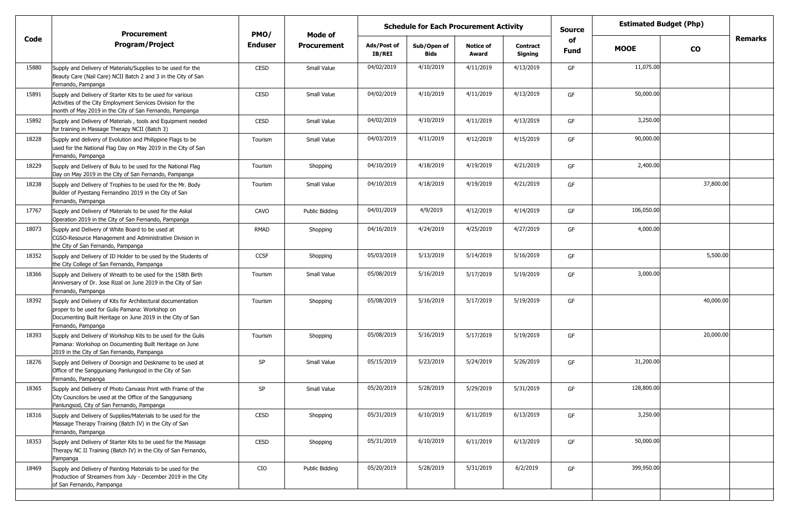|       | <b>Procurement</b>                                                                                                                                                                                 | PMO/           | Mode of            |                       | <b>Schedule for Each Procurement Activity</b> |                           |                     | <b>Estimated Budget (Php)</b><br><b>Source</b><br>of |             |           |                |
|-------|----------------------------------------------------------------------------------------------------------------------------------------------------------------------------------------------------|----------------|--------------------|-----------------------|-----------------------------------------------|---------------------------|---------------------|------------------------------------------------------|-------------|-----------|----------------|
| Code  | <b>Program/Project</b>                                                                                                                                                                             | <b>Enduser</b> | <b>Procurement</b> | Ads/Post of<br>IB/REI | Sub/Open of<br><b>Bids</b>                    | <b>Notice of</b><br>Award | Contract<br>Signing | <b>Fund</b>                                          | <b>MOOE</b> | CO        | <b>Remarks</b> |
| 15880 | Supply and Delivery of Materials/Supplies to be used for the<br>Beauty Care (Nail Care) NCII Batch 2 and 3 in the City of San<br>Fernando, Pampanga                                                | <b>CESD</b>    | Small Value        | 04/02/2019            | 4/10/2019                                     | 4/11/2019                 | 4/13/2019           | GF                                                   | 11,075.00   |           |                |
| 15891 | Supply and Delivery of Starter Kits to be used for various<br>Activities of the City Employment Services Division for the<br>month of May 2019 in the City of San Fernando, Pampanga               | <b>CESD</b>    | Small Value        | 04/02/2019            | 4/10/2019                                     | 4/11/2019                 | 4/13/2019           | GF                                                   | 50,000.00   |           |                |
| 15892 | Supply and Delivery of Materials, tools and Equipment needed<br>for training in Massage Therapy NCII (Batch 3)                                                                                     | <b>CESD</b>    | Small Value        | 04/02/2019            | 4/10/2019                                     | 4/11/2019                 | 4/13/2019           | GF                                                   | 3,250.00    |           |                |
| 18228 | Supply and delivery of Evolution and Philippine Flags to be<br>used for the National Flag Day on May 2019 in the City of San<br>Fernando, Pampanga                                                 | Tourism        | Small Value        | 04/03/2019            | 4/11/2019                                     | 4/12/2019                 | 4/15/2019           | GF                                                   | 90,000.00   |           |                |
| 18229 | Supply and Delivery of Bulu to be used for the National Flag<br>Day on May 2019 in the City of San Fernando, Pampanga                                                                              | Tourism        | Shopping           | 04/10/2019            | 4/18/2019                                     | 4/19/2019                 | 4/21/2019           | GF                                                   | 2,400.00    |           |                |
| 18238 | Supply and Delivery of Trophies to be used for the Mr. Body<br>Builder of Pyestang Fernandino 2019 in the City of San<br>Fernando, Pampanga                                                        | Tourism        | Small Value        | 04/10/2019            | 4/18/2019                                     | 4/19/2019                 | 4/21/2019           | GF                                                   |             | 37,800.00 |                |
| 17767 | Supply and Delivery of Materials to be used for the Askal<br>Operation 2019 in the City of San Fernando, Pampanga                                                                                  | CAVO           | Public Bidding     | 04/01/2019            | 4/9/2019                                      | 4/12/2019                 | 4/14/2019           | GF                                                   | 106,050.00  |           |                |
| 18073 | Supply and Delivery of White Board to be used at<br>CGSO-Resource Management and Administrative Division in<br>the City of San Fernando, Pampanga                                                  | RMAD           | Shopping           | 04/16/2019            | 4/24/2019                                     | 4/25/2019                 | 4/27/2019           | GF                                                   | 4,000.00    |           |                |
| 18352 | Supply and Delivery of ID Holder to be used by the Students of<br>the City College of San Fernando, Pampanga                                                                                       | <b>CCSF</b>    | Shopping           | 05/03/2019            | 5/13/2019                                     | 5/14/2019                 | 5/16/2019           | GF                                                   |             | 5,500.00  |                |
| 18366 | Supply and Delivery of Wreath to be used for the 158th Birth<br>Anniversary of Dr. Jose Rizal on June 2019 in the City of San<br>Fernando, Pampanga                                                | Tourism        | Small Value        | 05/08/2019            | 5/16/2019                                     | 5/17/2019                 | 5/19/2019           | GF                                                   | 3,000.00    |           |                |
| 18392 | Supply and Delivery of Kits for Architectural documentation<br>proper to be used for Gulis Pamana: Workshop on<br>Documenting Built Heritage on June 2019 in the City of San<br>Fernando, Pampanga | Tourism        | Shopping           | 05/08/2019            | 5/16/2019                                     | 5/17/2019                 | 5/19/2019           | GF                                                   |             | 40,000.00 |                |
| 18393 | Supply and Delivery of Workshop Kits to be used for the Gulis<br>Pamana: Workshop on Documenting Built Heritage on June<br>2019 in the City of San Fernando, Pampanga                              | Tourism        | Shopping           | 05/08/2019            | 5/16/2019                                     | 5/17/2019                 | 5/19/2019           | GF                                                   |             | 20,000.00 |                |
| 18276 | Supply and Delivery of Doorsign and Deskname to be used at<br>Office of the Sangguniang Panlungsod in the City of San<br>Fernando, Pampanga                                                        | SP             | Small Value        | 05/15/2019            | 5/23/2019                                     | 5/24/2019                 | 5/26/2019           | GF                                                   | 31,200.00   |           |                |
| 18365 | Supply and Delivery of Photo Canvass Print with Frame of the<br>City Councilors be used at the Office of the Sangguniang<br>Panlungsod, City of San Fernando, Pampanga                             | SP             | Small Value        | 05/20/2019            | 5/28/2019                                     | 5/29/2019                 | 5/31/2019           | GF                                                   | 128,800.00  |           |                |
| 18316 | Supply and Delivery of Supplies/Materials to be used for the<br>Massage Therapy Training (Batch IV) in the City of San<br>Fernando, Pampanga                                                       | <b>CESD</b>    | Shopping           | 05/31/2019            | 6/10/2019                                     | 6/11/2019                 | 6/13/2019           | GF                                                   | 3,250.00    |           |                |
| 18353 | Supply and Delivery of Starter Kits to be used for the Massage<br>Therapy NC II Training (Batch IV) in the City of San Fernando,<br>Pampanga                                                       | <b>CESD</b>    | Shopping           | 05/31/2019            | 6/10/2019                                     | 6/11/2019                 | 6/13/2019           | GF                                                   | 50,000.00   |           |                |
| 18469 | Supply and Delivery of Painting Materials to be used for the<br>Production of Streamers from July - December 2019 in the City<br>of San Fernando, Pampanga                                         | CIO            | Public Bidding     | 05/20/2019            | 5/28/2019                                     | 5/31/2019                 | 6/2/2019            | GF                                                   | 399,950.00  |           |                |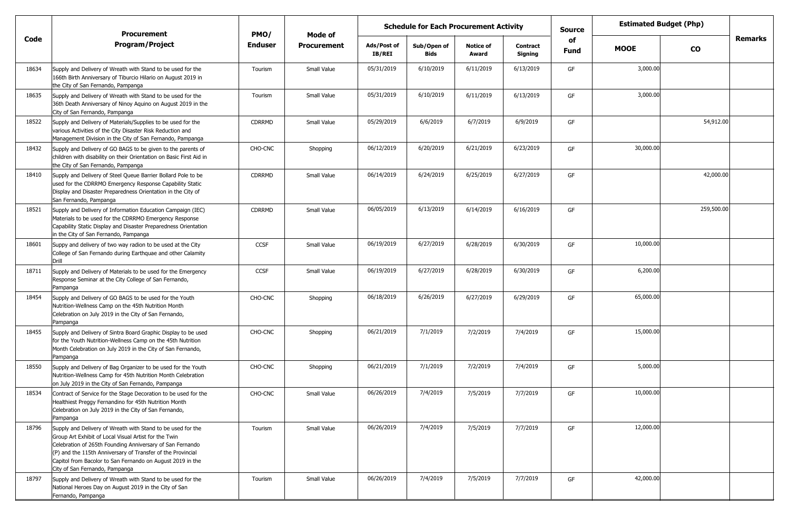|       | <b>Procurement</b>                                                                                                                                                                                                                                                                                                                               | PMO/           | Mode of            |                              | <b>Schedule for Each Procurement Activity</b> |                           | <b>Estimated Budget (Php)</b><br><b>Source</b> |            |             |            |         |
|-------|--------------------------------------------------------------------------------------------------------------------------------------------------------------------------------------------------------------------------------------------------------------------------------------------------------------------------------------------------|----------------|--------------------|------------------------------|-----------------------------------------------|---------------------------|------------------------------------------------|------------|-------------|------------|---------|
| Code  | <b>Program/Project</b>                                                                                                                                                                                                                                                                                                                           | <b>Enduser</b> | <b>Procurement</b> | Ads/Post of<br><b>IB/REI</b> | Sub/Open of<br>Bids                           | <b>Notice of</b><br>Award | <b>Contract</b><br>Signing                     | of<br>Fund | <b>MOOE</b> | <b>CO</b>  | Remarks |
| 18634 | Supply and Delivery of Wreath with Stand to be used for the<br>166th Birth Anniversary of Tiburcio Hilario on August 2019 in<br>the City of San Fernando, Pampanga                                                                                                                                                                               | Tourism        | Small Value        | 05/31/2019                   | 6/10/2019                                     | 6/11/2019                 | 6/13/2019                                      | GF         | 3,000.00    |            |         |
| 18635 | Supply and Delivery of Wreath with Stand to be used for the<br>36th Death Anniversary of Ninoy Aquino on August 2019 in the<br>City of San Fernando, Pampanga                                                                                                                                                                                    | Tourism        | Small Value        | 05/31/2019                   | 6/10/2019                                     | 6/11/2019                 | 6/13/2019                                      | GF         | 3,000.00    |            |         |
| 18522 | Supply and Delivery of Materials/Supplies to be used for the<br>various Activities of the City Disaster Risk Reduction and<br>Management Division in the City of San Fernando, Pampanga                                                                                                                                                          | <b>CDRRMD</b>  | Small Value        | 05/29/2019                   | 6/6/2019                                      | 6/7/2019                  | 6/9/2019                                       | GF         |             | 54,912.00  |         |
| 18432 | Supply and Delivery of GO BAGS to be given to the parents of<br>children with disability on their Orientation on Basic First Aid in<br>the City of San Fernando, Pampanga                                                                                                                                                                        | CHO-CNC        | Shopping           | 06/12/2019                   | 6/20/2019                                     | 6/21/2019                 | 6/23/2019                                      | GF         | 30,000.00   |            |         |
| 18410 | Supply and Delivery of Steel Queue Barrier Bollard Pole to be<br>used for the CDRRMO Emergency Response Capability Static<br>Display and Disaster Preparedness Orientation in the City of<br>San Fernando, Pampanga                                                                                                                              | <b>CDRRMD</b>  | Small Value        | 06/14/2019                   | 6/24/2019                                     | 6/25/2019                 | 6/27/2019                                      | GF         |             | 42,000.00  |         |
| 18521 | Supply and Delivery of Information Education Campaign (IEC)<br>Materials to be used for the CDRRMO Emergency Response<br>Capability Static Display and Disaster Preparedness Orientation<br>in the City of San Fernando, Pampanga                                                                                                                | <b>CDRRMD</b>  | Small Value        | 06/05/2019                   | 6/13/2019                                     | 6/14/2019                 | 6/16/2019                                      | GF         |             | 259,500.00 |         |
| 18601 | Suppy and delivery of two way radion to be used at the City<br>College of San Fernando during Earthquae and other Calamity<br>Drill                                                                                                                                                                                                              | <b>CCSF</b>    | Small Value        | 06/19/2019                   | 6/27/2019                                     | 6/28/2019                 | 6/30/2019                                      | GF         | 10,000.00   |            |         |
| 18711 | Supply and Delivery of Materials to be used for the Emergency<br>Response Seminar at the City College of San Fernando,<br>Pampanga                                                                                                                                                                                                               | <b>CCSF</b>    | Small Value        | 06/19/2019                   | 6/27/2019                                     | 6/28/2019                 | 6/30/2019                                      | GF         | 6,200.00    |            |         |
| 18454 | Supply and Delivery of GO BAGS to be used for the Youth<br>Nutrition-Wellness Camp on the 45th Nutrition Month<br>Celebration on July 2019 in the City of San Fernando,<br>Pampanga                                                                                                                                                              | CHO-CNC        | Shopping           | 06/18/2019                   | 6/26/2019                                     | 6/27/2019                 | 6/29/2019                                      | GF         | 65,000.00   |            |         |
| 18455 | Supply and Delivery of Sintra Board Graphic Display to be used<br>for the Youth Nutrition-Wellness Camp on the 45th Nutrition<br>Month Celebration on July 2019 in the City of San Fernando,<br>Pampanga                                                                                                                                         | CHO-CNC        | Shopping           | 06/21/2019                   | 7/1/2019                                      | 7/2/2019                  | 7/4/2019                                       | GF         | 15,000.00   |            |         |
| 18550 | Supply and Delivery of Bag Organizer to be used for the Youth<br>Nutrition-Wellness Camp for 45th Nutrition Month Celebration<br>on July 2019 in the City of San Fernando, Pampanga                                                                                                                                                              | CHO-CNC        | Shopping           | 06/21/2019                   | 7/1/2019                                      | 7/2/2019                  | 7/4/2019                                       | GF         | 5,000.00    |            |         |
| 18534 | Contract of Service for the Stage Decoration to be used for the<br>Healthiest Preggy Fernandino for 45th Nutrition Month<br>Celebration on July 2019 in the City of San Fernando,<br>Pampanga                                                                                                                                                    | CHO-CNC        | Small Value        | 06/26/2019                   | 7/4/2019                                      | 7/5/2019                  | 7/7/2019                                       | GF         | 10,000.00   |            |         |
| 18796 | Supply and Delivery of Wreath with Stand to be used for the<br>Group Art Exhibit of Local Visual Artist for the Twin<br>Celebration of 265th Founding Anniversary of San Fernando<br>(P) and the 115th Anniversary of Transfer of the Provincial<br>Capitol from Bacolor to San Fernando on August 2019 in the<br>City of San Fernando, Pampanga | Tourism        | Small Value        | 06/26/2019                   | 7/4/2019                                      | 7/5/2019                  | 7/7/2019                                       | GF         | 12,000.00   |            |         |
| 18797 | Supply and Delivery of Wreath with Stand to be used for the<br>National Heroes Day on August 2019 in the City of San<br>Fernando, Pampanga                                                                                                                                                                                                       | Tourism        | Small Value        | 06/26/2019                   | 7/4/2019                                      | 7/5/2019                  | 7/7/2019                                       | GF         | 42,000.00   |            |         |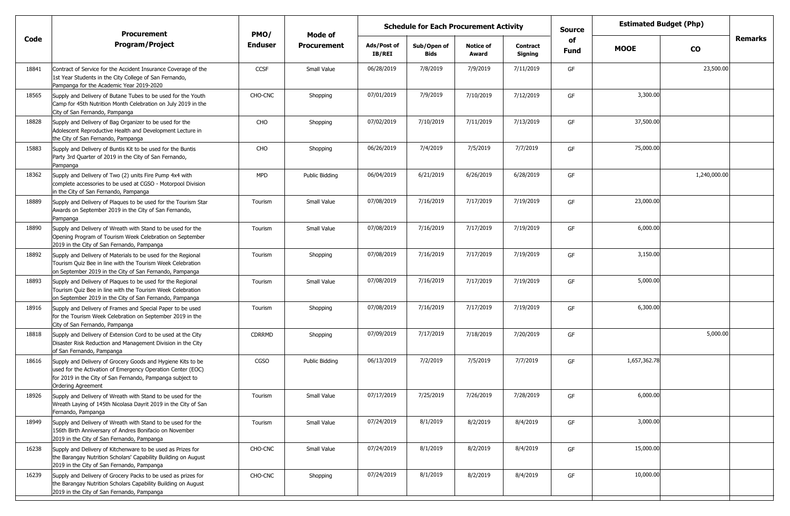|       | <b>Procurement</b>                                                                                                                                                                                            | PMO/           |                    | <b>Estimated Budget (Php)</b><br><b>Schedule for Each Procurement Activity</b><br><b>Source</b><br>Mode of<br>of |                            |                           |                            |             |              |              |                |
|-------|---------------------------------------------------------------------------------------------------------------------------------------------------------------------------------------------------------------|----------------|--------------------|------------------------------------------------------------------------------------------------------------------|----------------------------|---------------------------|----------------------------|-------------|--------------|--------------|----------------|
| Code  | <b>Program/Project</b>                                                                                                                                                                                        | <b>Enduser</b> | <b>Procurement</b> | Ads/Post of<br><b>IB/REI</b>                                                                                     | Sub/Open of<br><b>Bids</b> | <b>Notice of</b><br>Award | <b>Contract</b><br>Signing | <b>Fund</b> | <b>MOOE</b>  | CO           | <b>Remarks</b> |
| 18841 | Contract of Service for the Accident Insurance Coverage of the<br>1st Year Students in the City College of San Fernando,<br>Pampanga for the Academic Year 2019-2020                                          | <b>CCSF</b>    | Small Value        | 06/28/2019                                                                                                       | 7/8/2019                   | 7/9/2019                  | 7/11/2019                  | GF          |              | 23,500.00    |                |
| 18565 | Supply and Delivery of Butane Tubes to be used for the Youth<br>Camp for 45th Nutrition Month Celebration on July 2019 in the<br>City of San Fernando, Pampanga                                               | CHO-CNC        | Shopping           | 07/01/2019                                                                                                       | 7/9/2019                   | 7/10/2019                 | 7/12/2019                  | GF          | 3,300.00     |              |                |
| 18828 | Supply and Delivery of Bag Organizer to be used for the<br>Adolescent Reproductive Health and Development Lecture in<br>the City of San Fernando, Pampanga                                                    | CHO            | Shopping           | 07/02/2019                                                                                                       | 7/10/2019                  | 7/11/2019                 | 7/13/2019                  | GF          | 37,500.00    |              |                |
| 15883 | Supply and Delivery of Buntis Kit to be used for the Buntis<br>Party 3rd Quarter of 2019 in the City of San Fernando,<br>Pampanga                                                                             | CHO            | Shopping           | 06/26/2019                                                                                                       | 7/4/2019                   | 7/5/2019                  | 7/7/2019                   | GF          | 75,000.00    |              |                |
| 18362 | Supply and Delivery of Two (2) units Fire Pump 4x4 with<br>complete accessories to be used at CGSO - Motorpool Division<br>in the City of San Fernando, Pampanga                                              | <b>MPD</b>     | Public Bidding     | 06/04/2019                                                                                                       | 6/21/2019                  | 6/26/2019                 | 6/28/2019                  | GF          |              | 1,240,000.00 |                |
| 18889 | Supply and Delivery of Plaques to be used for the Tourism Star<br>Awards on September 2019 in the City of San Fernando,<br>Pampanga                                                                           | Tourism        | Small Value        | 07/08/2019                                                                                                       | 7/16/2019                  | 7/17/2019                 | 7/19/2019                  | GF          | 23,000.00    |              |                |
| 18890 | Supply and Delivery of Wreath with Stand to be used for the<br>Opening Program of Tourism Week Celebration on September<br>2019 in the City of San Fernando, Pampanga                                         | Tourism        | Small Value        | 07/08/2019                                                                                                       | 7/16/2019                  | 7/17/2019                 | 7/19/2019                  | GF          | 6,000.00     |              |                |
| 18892 | Supply and Delivery of Materials to be used for the Regional<br>Tourism Quiz Bee in line with the Tourism Week Celebration<br>on September 2019 in the City of San Fernando, Pampanga                         | Tourism        | Shopping           | 07/08/2019                                                                                                       | 7/16/2019                  | 7/17/2019                 | 7/19/2019                  | GF          | 3,150.00     |              |                |
| 18893 | Supply and Delivery of Plaques to be used for the Regional<br>Tourism Quiz Bee in line with the Tourism Week Celebration<br>on September 2019 in the City of San Fernando, Pampanga                           | Tourism        | Small Value        | 07/08/2019                                                                                                       | 7/16/2019                  | 7/17/2019                 | 7/19/2019                  | GF          | 5,000.00     |              |                |
| 18916 | Supply and Delivery of Frames and Special Paper to be used<br>for the Tourism Week Celebration on September 2019 in the<br>City of San Fernando, Pampanga                                                     | Tourism        | Shopping           | 07/08/2019                                                                                                       | 7/16/2019                  | 7/17/2019                 | 7/19/2019                  | GF          | 6,300.00     |              |                |
| 18818 | Supply and Delivery of Extension Cord to be used at the City<br>Disaster Risk Reduction and Management Division in the City<br>of San Fernando, Pampanga                                                      | <b>CDRRMD</b>  | Shopping           | 07/09/2019                                                                                                       | 7/17/2019                  | 7/18/2019                 | 7/20/2019                  | GF          |              | 5,000.00     |                |
| 18616 | Supply and Delivery of Grocery Goods and Hygiene Kits to be<br>used for the Activation of Emergency Operation Center (EOC)<br>for 2019 in the City of San Fernando, Pampanga subject to<br>Ordering Agreement | <b>CGSO</b>    | Public Bidding     | 06/13/2019                                                                                                       | 7/2/2019                   | 7/5/2019                  | 7/7/2019                   | GF          | 1,657,362.78 |              |                |
| 18926 | Supply and Delivery of Wreath with Stand to be used for the<br>Wreath Laying of 145th Nicolasa Dayrit 2019 in the City of San<br>Fernando, Pampanga                                                           | Tourism        | Small Value        | 07/17/2019                                                                                                       | 7/25/2019                  | 7/26/2019                 | 7/28/2019                  | GF          | 6,000.00     |              |                |
| 18949 | Supply and Delivery of Wreath with Stand to be used for the<br>156th Birth Anniversary of Andres Bonifacio on November<br>2019 in the City of San Fernando, Pampanga                                          | Tourism        | Small Value        | 07/24/2019                                                                                                       | 8/1/2019                   | 8/2/2019                  | 8/4/2019                   | GF          | 3,000.00     |              |                |
| 16238 | Supply and Delivery of Kitchenware to be used as Prizes for<br>the Barangay Nutrition Scholars' Capability Building on August<br>2019 in the City of San Fernando, Pampanga                                   | CHO-CNC        | Small Value        | 07/24/2019                                                                                                       | 8/1/2019                   | 8/2/2019                  | 8/4/2019                   | GF          | 15,000.00    |              |                |
| 16239 | Supply and Delivery of Grocery Packs to be used as prizes for<br>the Barangay Nutrition Scholars Capability Building on August<br>2019 in the City of San Fernando, Pampanga                                  | CHO-CNC        | Shopping           | 07/24/2019                                                                                                       | 8/1/2019                   | 8/2/2019                  | 8/4/2019                   | GF          | 10,000.00    |              |                |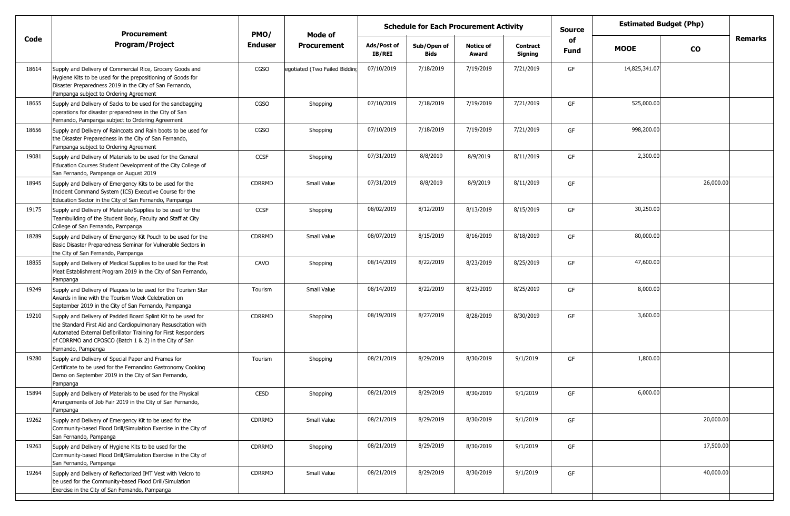|       | <b>Procurement</b>                                                                                                                                                                                                                                                              | PMO/          | Mode of                       | <b>Schedule for Each Procurement Activity</b> |                     |                           |                            |            |               | <b>Estimated Budget (Php)</b> |         |
|-------|---------------------------------------------------------------------------------------------------------------------------------------------------------------------------------------------------------------------------------------------------------------------------------|---------------|-------------------------------|-----------------------------------------------|---------------------|---------------------------|----------------------------|------------|---------------|-------------------------------|---------|
| Code  | <b>Program/Project</b>                                                                                                                                                                                                                                                          | Enduser       | <b>Procurement</b>            | Ads/Post of<br><b>IB/REI</b>                  | Sub/Open of<br>Bids | <b>Notice of</b><br>Award | <b>Contract</b><br>Signing | of<br>Fund | <b>MOOE</b>   | <b>CO</b>                     | Remarks |
| 18614 | Supply and Delivery of Commercial Rice, Grocery Goods and<br>Hygiene Kits to be used for the prepositioning of Goods for<br>Disaster Preparedness 2019 in the City of San Fernando,<br>Pampanga subject to Ordering Agreement                                                   | <b>CGSO</b>   | egotiated (Two Failed Bidding | 07/10/2019                                    | 7/18/2019           | 7/19/2019                 | 7/21/2019                  | GF         | 14,825,341.07 |                               |         |
| 18655 | Supply and Delivery of Sacks to be used for the sandbagging<br>operations for disaster preparedness in the City of San<br>Fernando, Pampanga subject to Ordering Agreement                                                                                                      | CGSO          | Shopping                      | 07/10/2019                                    | 7/18/2019           | 7/19/2019                 | 7/21/2019                  | GF         | 525,000.00    |                               |         |
| 18656 | Supply and Delivery of Raincoats and Rain boots to be used for<br>the Disaster Preparedness in the City of San Fernando,<br>Pampanga subject to Ordering Agreement                                                                                                              | CGSO          | Shopping                      | 07/10/2019                                    | 7/18/2019           | 7/19/2019                 | 7/21/2019                  | GF         | 998,200.00    |                               |         |
| 19081 | Supply and Delivery of Materials to be used for the General<br>Education Courses Student Development of the City College of<br>San Fernando, Pampanga on August 2019                                                                                                            | <b>CCSF</b>   | Shopping                      | 07/31/2019                                    | 8/8/2019            | 8/9/2019                  | 8/11/2019                  | GF         | 2,300.00      |                               |         |
| 18945 | Supply and Delivery of Emergency Kits to be used for the<br>Incident Command System (ICS) Executive Course for the<br>Education Sector in the City of San Fernando, Pampanga                                                                                                    | <b>CDRRMD</b> | Small Value                   | 07/31/2019                                    | 8/8/2019            | 8/9/2019                  | 8/11/2019                  | GF         |               | 26,000.00                     |         |
| 19175 | Supply and Delivery of Materials/Supplies to be used for the<br>Teambuilding of the Student Body, Faculty and Staff at City<br>College of San Fernando, Pampanga                                                                                                                | <b>CCSF</b>   | Shopping                      | 08/02/2019                                    | 8/12/2019           | 8/13/2019                 | 8/15/2019                  | GF         | 30,250.00     |                               |         |
| 18289 | Supply and Delivery of Emergency Kit Pouch to be used for the<br>Basic Disaster Preparedness Seminar for Vulnerable Sectors in<br>the City of San Fernando, Pampanga                                                                                                            | <b>CDRRMD</b> | Small Value                   | 08/07/2019                                    | 8/15/2019           | 8/16/2019                 | 8/18/2019                  | GF         | 80,000.00     |                               |         |
| 18855 | Supply and Delivery of Medical Supplies to be used for the Post<br>Meat Establishment Program 2019 in the City of San Fernando,<br>Pampanga                                                                                                                                     | CAVO          | Shopping                      | 08/14/2019                                    | 8/22/2019           | 8/23/2019                 | 8/25/2019                  | GF         | 47,600.00     |                               |         |
| 19249 | Supply and Delivery of Plaques to be used for the Tourism Star<br>Awards in line with the Tourism Week Celebration on<br>September 2019 in the City of San Fernando, Pampanga                                                                                                   | Tourism       | Small Value                   | 08/14/2019                                    | 8/22/2019           | 8/23/2019                 | 8/25/2019                  | GF         | 8,000.00      |                               |         |
| 19210 | Supply and Delivery of Padded Board Splint Kit to be used for<br>the Standard First Aid and Cardiopulmonary Resuscitation with<br>Automated External Defibrillator Training for First Responders<br>of CDRRMO and CPOSCO (Batch 1 & 2) in the City of San<br>Fernando, Pampanga | <b>CDRRMD</b> | Shopping                      | 08/19/2019                                    | 8/27/2019           | 8/28/2019                 | 8/30/2019                  | GF         | 3,600.00      |                               |         |
| 19280 | Supply and Delivery of Special Paper and Frames for<br>Certificate to be used for the Fernandino Gastronomy Cooking<br>Demo on September 2019 in the City of San Fernando,<br>Pampanga                                                                                          | Tourism       | Shopping                      | 08/21/2019                                    | 8/29/2019           | 8/30/2019                 | 9/1/2019                   | GF         | 1,800.00      |                               |         |
| 15894 | Supply and Delivery of Materials to be used for the Physical<br>Arrangements of Job Fair 2019 in the City of San Fernando,<br>Pampanga                                                                                                                                          | CESD          | Shopping                      | 08/21/2019                                    | 8/29/2019           | 8/30/2019                 | 9/1/2019                   | GF         | 6,000.00      |                               |         |
| 19262 | Supply and Delivery of Emergency Kit to be used for the<br>Community-based Flood Drill/Simulation Exercise in the City of<br>San Fernando, Pampanga                                                                                                                             | <b>CDRRMD</b> | Small Value                   | 08/21/2019                                    | 8/29/2019           | 8/30/2019                 | 9/1/2019                   | GF         |               | 20,000.00                     |         |
| 19263 | Supply and Delivery of Hygiene Kits to be used for the<br>Community-based Flood Drill/Simulation Exercise in the City of<br>San Fernando, Pampanga                                                                                                                              | <b>CDRRMD</b> | Shopping                      | 08/21/2019                                    | 8/29/2019           | 8/30/2019                 | 9/1/2019                   | GF         |               | 17,500.00                     |         |
| 19264 | Supply and Delivery of Reflectorized IMT Vest with Velcro to<br>be used for the Community-based Flood Drill/Simulation<br>Exercise in the City of San Fernando, Pampanga                                                                                                        | CDRRMD        | Small Value                   | 08/21/2019                                    | 8/29/2019           | 8/30/2019                 | 9/1/2019                   | GF         |               | 40,000.00                     |         |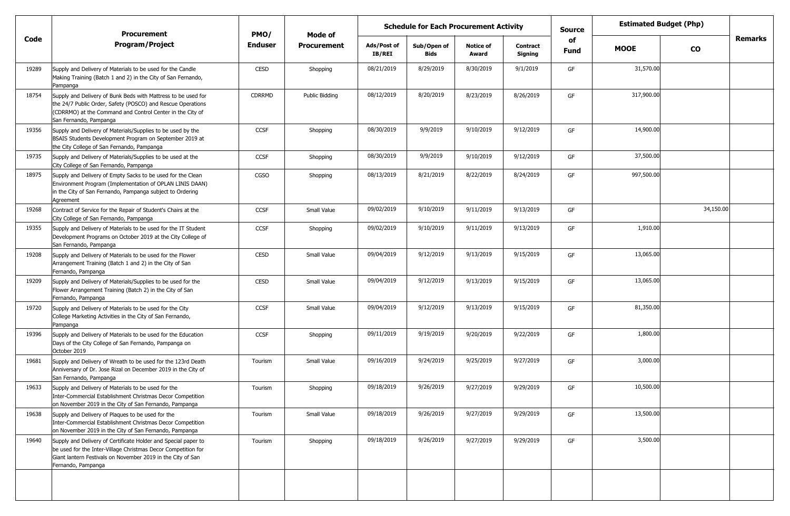|       | <b>Procurement</b>                                                                                                                                                                                                   | PMO/           | Mode of            |                       | <b>Schedule for Each Procurement Activity</b> |                           |                     | <b>Estimated Budget (Php)</b><br>Source<br>of |             |           |                |
|-------|----------------------------------------------------------------------------------------------------------------------------------------------------------------------------------------------------------------------|----------------|--------------------|-----------------------|-----------------------------------------------|---------------------------|---------------------|-----------------------------------------------|-------------|-----------|----------------|
| Code  | <b>Program/Project</b>                                                                                                                                                                                               | <b>Enduser</b> | <b>Procurement</b> | Ads/Post of<br>IB/REI | Sub/Open of<br>Bids                           | <b>Notice of</b><br>Award | Contract<br>Signing | Fund                                          | <b>MOOE</b> | <b>CO</b> | <b>Remarks</b> |
| 19289 | Supply and Delivery of Materials to be used for the Candle<br>Making Training (Batch 1 and 2) in the City of San Fernando,<br>Pampanga                                                                               | <b>CESD</b>    | Shopping           | 08/21/2019            | 8/29/2019                                     | 8/30/2019                 | 9/1/2019            | GF                                            | 31,570.00   |           |                |
| 18754 | Supply and Delivery of Bunk Beds with Mattress to be used for<br>the 24/7 Public Order, Safety (POSCO) and Rescue Operations<br>(CDRRMO) at the Command and Control Center in the City of<br>San Fernando, Pampanga  | <b>CDRRMD</b>  | Public Bidding     | 08/12/2019            | 8/20/2019                                     | 8/23/2019                 | 8/26/2019           | GF                                            | 317,900.00  |           |                |
| 19356 | Supply and Delivery of Materials/Supplies to be used by the<br>BSAIS Students Development Program on September 2019 at<br>the City College of San Fernando, Pampanga                                                 | <b>CCSF</b>    | Shopping           | 08/30/2019            | 9/9/2019                                      | 9/10/2019                 | 9/12/2019           | GF                                            | 14,900.00   |           |                |
| 19735 | Supply and Delivery of Materials/Supplies to be used at the<br>City College of San Fernando, Pampanga                                                                                                                | <b>CCSF</b>    | Shopping           | 08/30/2019            | 9/9/2019                                      | 9/10/2019                 | 9/12/2019           | GF                                            | 37,500.00   |           |                |
| 18975 | Supply and Delivery of Empty Sacks to be used for the Clean<br>Environment Program (Implementation of OPLAN LINIS DAAN)<br>in the City of San Fernando, Pampanga subject to Ordering<br>Agreement                    | CGSO           | Shopping           | 08/13/2019            | 8/21/2019                                     | 8/22/2019                 | 8/24/2019           | GF                                            | 997,500.00  |           |                |
| 19268 | Contract of Service for the Repair of Student's Chairs at the<br>City College of San Fernando, Pampanga                                                                                                              | CCSF           | Small Value        | 09/02/2019            | 9/10/2019                                     | 9/11/2019                 | 9/13/2019           | GF                                            |             | 34,150.00 |                |
| 19355 | Supply and Delivery of Materials to be used for the IT Student<br>Development Programs on October 2019 at the City College of<br>San Fernando, Pampanga                                                              | <b>CCSF</b>    | Shopping           | 09/02/2019            | 9/10/2019                                     | 9/11/2019                 | 9/13/2019           | GF                                            | 1,910.00    |           |                |
| 19208 | Supply and Delivery of Materials to be used for the Flower<br>Arrangement Training (Batch 1 and 2) in the City of San<br>Fernando, Pampanga                                                                          | <b>CESD</b>    | Small Value        | 09/04/2019            | 9/12/2019                                     | 9/13/2019                 | 9/15/2019           | GF                                            | 13,065.00   |           |                |
| 19209 | Supply and Delivery of Materials/Supplies to be used for the<br>Flower Arrangement Training (Batch 2) in the City of San<br>Fernando, Pampanga                                                                       | <b>CESD</b>    | Small Value        | 09/04/2019            | 9/12/2019                                     | 9/13/2019                 | 9/15/2019           | GF                                            | 13,065.00   |           |                |
| 19720 | Supply and Delivery of Materials to be used for the City<br>College Marketing Activities in the City of San Fernando,<br>Pampanga                                                                                    | <b>CCSF</b>    | Small Value        | 09/04/2019            | 9/12/2019                                     | 9/13/2019                 | 9/15/2019           | GF                                            | 81,350.00   |           |                |
| 19396 | Supply and Delivery of Materials to be used for the Education<br>Days of the City College of San Fernando, Pampanga on<br>October 2019                                                                               | <b>CCSF</b>    | Shopping           | 09/11/2019            | 9/19/2019                                     | 9/20/2019                 | 9/22/2019           | GF                                            | 1,800.00    |           |                |
| 19681 | Supply and Delivery of Wreath to be used for the 123rd Death<br>Anniversary of Dr. Jose Rizal on December 2019 in the City of<br>San Fernando, Pampanga                                                              | Tourism        | Small Value        | 09/16/2019            | 9/24/2019                                     | 9/25/2019                 | 9/27/2019           | GF                                            | 3,000.00    |           |                |
| 19633 | Supply and Delivery of Materials to be used for the<br>Inter-Commercial Establishment Christmas Decor Competition<br>on November 2019 in the City of San Fernando, Pampanga                                          | Tourism        | Shopping           | 09/18/2019            | 9/26/2019                                     | 9/27/2019                 | 9/29/2019           | GF                                            | 10,500.00   |           |                |
| 19638 | Supply and Delivery of Plaques to be used for the<br>Inter-Commercial Establishment Christmas Decor Competition<br>on November 2019 in the City of San Fernando, Pampanga                                            | Tourism        | Small Value        | 09/18/2019            | 9/26/2019                                     | 9/27/2019                 | 9/29/2019           | GF                                            | 13,500.00   |           |                |
| 19640 | Supply and Delivery of Certificate Holder and Special paper to<br>be used for the Inter-Village Christmas Decor Competition for<br>Giant lantern Festivals on November 2019 in the City of San<br>Fernando, Pampanga | Tourism        | Shopping           | 09/18/2019            | 9/26/2019                                     | 9/27/2019                 | 9/29/2019           | GF                                            | 3,500.00    |           |                |
|       |                                                                                                                                                                                                                      |                |                    |                       |                                               |                           |                     |                                               |             |           |                |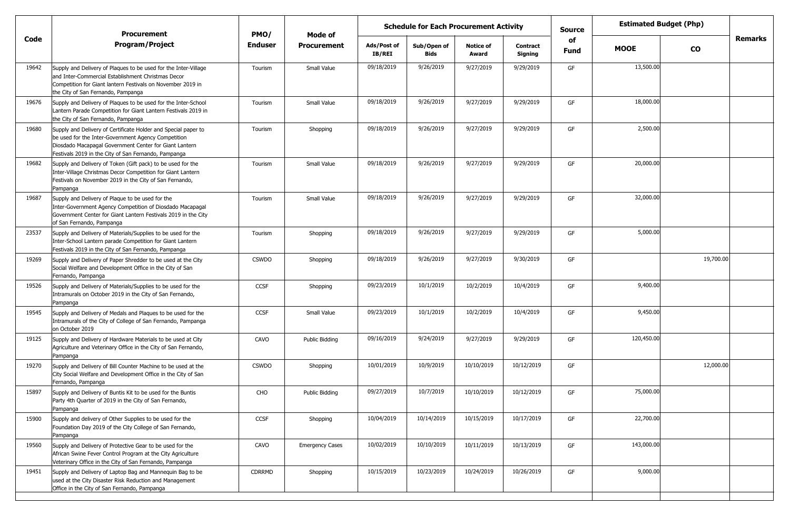|       | <b>Procurement</b>                                                                                                                                                                                                                      | PMO/          | <b>Schedule for Each Procurement Activity</b><br>Mode of |                              |                            |                           |                            | <b>Source</b>     | <b>Estimated Budget (Php)</b> |           |                |
|-------|-----------------------------------------------------------------------------------------------------------------------------------------------------------------------------------------------------------------------------------------|---------------|----------------------------------------------------------|------------------------------|----------------------------|---------------------------|----------------------------|-------------------|-------------------------------|-----------|----------------|
| Code  | <b>Program/Project</b>                                                                                                                                                                                                                  | Enduser       | <b>Procurement</b>                                       | Ads/Post of<br><b>IB/REI</b> | Sub/Open of<br><b>Bids</b> | <b>Notice of</b><br>Award | <b>Contract</b><br>Signing | of<br><b>Fund</b> | <b>MOOE</b>                   | <b>CO</b> | <b>Remarks</b> |
| 19642 | Supply and Delivery of Plaques to be used for the Inter-Village<br>and Inter-Commercial Establishment Christmas Decor<br>Competition for Giant lantern Festivals on November 2019 in<br>the City of San Fernando, Pampanga              | Tourism       | Small Value                                              | 09/18/2019                   | 9/26/2019                  | 9/27/2019                 | 9/29/2019                  | GF                | 13,500.00                     |           |                |
| 19676 | Supply and Delivery of Plaques to be used for the Inter-School<br>Lantern Parade Competition for Giant Lantern Festivals 2019 in<br>the City of San Fernando, Pampanga                                                                  | Tourism       | Small Value                                              | 09/18/2019                   | 9/26/2019                  | 9/27/2019                 | 9/29/2019                  | GF                | 18,000.00                     |           |                |
| 19680 | Supply and Delivery of Certificate Holder and Special paper to<br>be used for the Inter-Government Agency Competition<br>Diosdado Macapagal Government Center for Giant Lantern<br>Festivals 2019 in the City of San Fernando, Pampanga | Tourism       | Shopping                                                 | 09/18/2019                   | 9/26/2019                  | 9/27/2019                 | 9/29/2019                  | GF                | 2,500.00                      |           |                |
| 19682 | Supply and Delivery of Token (Gift pack) to be used for the<br>Inter-Village Christmas Decor Competition for Giant Lantern<br>Festivals on November 2019 in the City of San Fernando,<br>Pampanga                                       | Tourism       | Small Value                                              | 09/18/2019                   | 9/26/2019                  | 9/27/2019                 | 9/29/2019                  | GF                | 20,000.00                     |           |                |
| 19687 | Supply and Delivery of Plaque to be used for the<br>Inter-Government Agency Competition of Diosdado Macapagal<br>Government Center for Giant Lantern Festivals 2019 in the City<br>of San Fernando, Pampanga                            | Tourism       | Small Value                                              | 09/18/2019                   | 9/26/2019                  | 9/27/2019                 | 9/29/2019                  | GF                | 32,000.00                     |           |                |
| 23537 | Supply and Delivery of Materials/Supplies to be used for the<br>Inter-School Lantern parade Competition for Giant Lantern<br>Festivals 2019 in the City of San Fernando, Pampanga                                                       | Tourism       | Shopping                                                 | 09/18/2019                   | 9/26/2019                  | 9/27/2019                 | 9/29/2019                  | GF                | 5,000.00                      |           |                |
| 19269 | Supply and Delivery of Paper Shredder to be used at the City<br>Social Welfare and Development Office in the City of San<br>Fernando, Pampanga                                                                                          | <b>CSWDO</b>  | Shopping                                                 | 09/18/2019                   | 9/26/2019                  | 9/27/2019                 | 9/30/2019                  | GF                |                               | 19,700.00 |                |
| 19526 | Supply and Delivery of Materials/Supplies to be used for the<br>Intramurals on October 2019 in the City of San Fernando,<br>Pampanga                                                                                                    | <b>CCSF</b>   | Shopping                                                 | 09/23/2019                   | 10/1/2019                  | 10/2/2019                 | 10/4/2019                  | GF                | 9,400.00                      |           |                |
| 19545 | Supply and Delivery of Medals and Plaques to be used for the<br>Intramurals of the City of College of San Fernando, Pampanga<br>on October 2019                                                                                         | <b>CCSF</b>   | Small Value                                              | 09/23/2019                   | 10/1/2019                  | 10/2/2019                 | 10/4/2019                  | GF                | 9,450.00                      |           |                |
| 19125 | Supply and Delivery of Hardware Materials to be used at City<br>Agriculture and Veterinary Office in the City of San Fernando,<br>Pampanga                                                                                              | CAVO          | Public Bidding                                           | 09/16/2019                   | 9/24/2019                  | 9/27/2019                 | 9/29/2019                  | GF                | 120,450.00                    |           |                |
| 19270 | Supply and Delivery of Bill Counter Machine to be used at the<br>City Social Welfare and Development Office in the City of San<br>Fernando, Pampanga                                                                                    | <b>CSWDO</b>  | Shopping                                                 | 10/01/2019                   | 10/9/2019                  | 10/10/2019                | 10/12/2019                 | GF                |                               | 12,000.00 |                |
| 15897 | Supply and Delivery of Buntis Kit to be used for the Buntis<br>Party 4th Quarter of 2019 in the City of San Fernando,<br>Pampanga                                                                                                       | CHO           | Public Bidding                                           | 09/27/2019                   | 10/7/2019                  | 10/10/2019                | 10/12/2019                 | GF                | 75,000.00                     |           |                |
| 15900 | Supply and delivery of Other Supplies to be used for the<br>Foundation Day 2019 of the City College of San Fernando,<br>Pampanga                                                                                                        | CCSF          | Shopping                                                 | 10/04/2019                   | 10/14/2019                 | 10/15/2019                | 10/17/2019                 | GF                | 22,700.00                     |           |                |
| 19560 | Supply and Delivery of Protective Gear to be used for the<br>African Swine Fever Control Program at the City Agriculture<br>Veterinary Office in the City of San Fernando, Pampanga                                                     | CAVO          | <b>Emergency Cases</b>                                   | 10/02/2019                   | 10/10/2019                 | 10/11/2019                | 10/13/2019                 | GF                | 143,000.00                    |           |                |
| 19451 | Supply and Delivery of Laptop Bag and Mannequin Bag to be<br>used at the City Disaster Risk Reduction and Management<br>Office in the City of San Fernando, Pampanga                                                                    | <b>CDRRMD</b> | Shopping                                                 | 10/15/2019                   | 10/23/2019                 | 10/24/2019                | 10/26/2019                 | GF                | 9,000.00                      |           |                |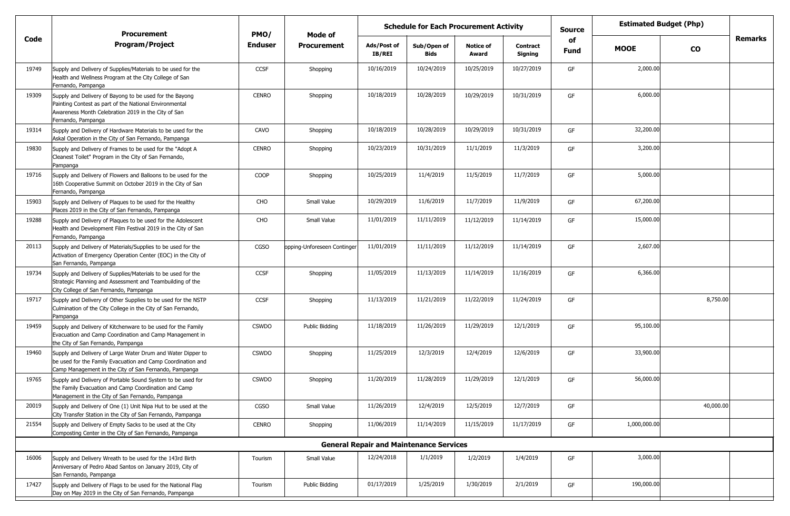|       | <b>Procurement</b>                                                                                                                                                                             | PMO/           | Mode of                     | <b>Schedule for Each Procurement Activity</b> |                                                |                           |                            |                   | <b>Estimated Budget (Php)</b><br><b>Source</b> |           |                |
|-------|------------------------------------------------------------------------------------------------------------------------------------------------------------------------------------------------|----------------|-----------------------------|-----------------------------------------------|------------------------------------------------|---------------------------|----------------------------|-------------------|------------------------------------------------|-----------|----------------|
| Code  | <b>Program/Project</b>                                                                                                                                                                         | <b>Enduser</b> | <b>Procurement</b>          | Ads/Post of<br>IB/REI                         | Sub/Open of<br>Bids                            | <b>Notice of</b><br>Award | <b>Contract</b><br>Signing | of<br><b>Fund</b> | <b>MOOE</b>                                    | <b>CO</b> | <b>Remarks</b> |
| 19749 | Supply and Delivery of Supplies/Materials to be used for the<br>Health and Wellness Program at the City College of San<br>Fernando, Pampanga                                                   | <b>CCSF</b>    | Shopping                    | 10/16/2019                                    | 10/24/2019                                     | 10/25/2019                | 10/27/2019                 | GF                | 2,000.00                                       |           |                |
| 19309 | Supply and Delivery of Bayong to be used for the Bayong<br>Painting Contest as part of the National Environmental<br>Awareness Month Celebration 2019 in the City of San<br>Fernando, Pampanga | <b>CENRO</b>   | Shopping                    | 10/18/2019                                    | 10/28/2019                                     | 10/29/2019                | 10/31/2019                 | GF                | 6,000.00                                       |           |                |
| 19314 | Supply and Delivery of Hardware Materials to be used for the<br>Askal Operation in the City of San Fernando, Pampanga                                                                          | CAVO           | Shopping                    | 10/18/2019                                    | 10/28/2019                                     | 10/29/2019                | 10/31/2019                 | GF                | 32,200.00                                      |           |                |
| 19830 | Supply and Delivery of Frames to be used for the "Adopt A<br>Cleanest Toilet" Program in the City of San Fernando,<br>Pampanga                                                                 | <b>CENRO</b>   | Shopping                    | 10/23/2019                                    | 10/31/2019                                     | 11/1/2019                 | 11/3/2019                  | GF                | 3,200.00                                       |           |                |
| 19716 | Supply and Delivery of Flowers and Balloons to be used for the<br>16th Cooperative Summit on October 2019 in the City of San<br>Fernando, Pampanga                                             | COOP           | Shopping                    | 10/25/2019                                    | 11/4/2019                                      | 11/5/2019                 | 11/7/2019                  | GF                | 5,000.00                                       |           |                |
| 15903 | Supply and Delivery of Plagues to be used for the Healthy<br>Places 2019 in the City of San Fernando, Pampanga                                                                                 | CHO            | Small Value                 | 10/29/2019                                    | 11/6/2019                                      | 11/7/2019                 | 11/9/2019                  | GF                | 67,200.00                                      |           |                |
| 19288 | Supply and Delivery of Plaques to be used for the Adolescent<br>Health and Development Film Festival 2019 in the City of San<br>Fernando, Pampanga                                             | CHO            | Small Value                 | 11/01/2019                                    | 11/11/2019                                     | 11/12/2019                | 11/14/2019                 | GF                | 15,000.00                                      |           |                |
| 20113 | Supply and Delivery of Materials/Supplies to be used for the<br>Activation of Emergency Operation Center (EOC) in the City of<br>San Fernando, Pampanga                                        | CGSO           | opping-Unforeseen Continger | 11/01/2019                                    | 11/11/2019                                     | 11/12/2019                | 11/14/2019                 | GF                | 2,607.00                                       |           |                |
| 19734 | Supply and Delivery of Supplies/Materials to be used for the<br>Strategic Planning and Assessment and Teambuilding of the<br>City College of San Fernando, Pampanga                            | <b>CCSF</b>    | Shopping                    | 11/05/2019                                    | 11/13/2019                                     | 11/14/2019                | 11/16/2019                 | GF                | 6,366.00                                       |           |                |
| 19717 | Supply and Delivery of Other Supplies to be used for the NSTP<br>Culmination of the City College in the City of San Fernando,<br>Pampanga                                                      | <b>CCSF</b>    | Shopping                    | 11/13/2019                                    | 11/21/2019                                     | 11/22/2019                | 11/24/2019                 | GF                |                                                | 8,750.00  |                |
| 19459 | Supply and Delivery of Kitchenware to be used for the Family<br>Evacuation and Camp Coordination and Camp Management in<br>the City of San Fernando, Pampanga                                  | <b>CSWDO</b>   | Public Bidding              | 11/18/2019                                    | 11/26/2019                                     | 11/29/2019                | 12/1/2019                  | GF                | 95,100.00                                      |           |                |
| 19460 | Supply and Delivery of Large Water Drum and Water Dipper to<br>be used for the Family Evacuation and Camp Coordination and<br>Camp Management in the City of San Fernando, Pampanga            | <b>CSWDO</b>   | Shopping                    | 11/25/2019                                    | 12/3/2019                                      | 12/4/2019                 | 12/6/2019                  | GF                | 33,900.00                                      |           |                |
| 19765 | Supply and Delivery of Portable Sound System to be used for<br>the Family Evacuation and Camp Coordination and Camp<br>Management in the City of San Fernando, Pampanga                        | <b>CSWDO</b>   | Shopping                    | 11/20/2019                                    | 11/28/2019                                     | 11/29/2019                | 12/1/2019                  | GF                | 56,000.00                                      |           |                |
| 20019 | Supply and Delivery of One (1) Unit Nipa Hut to be used at the<br>City Transfer Station in the City of San Fernando, Pampanga                                                                  | CGSO           | Small Value                 | 11/26/2019                                    | 12/4/2019                                      | 12/5/2019                 | 12/7/2019                  | GF                |                                                | 40,000.00 |                |
| 21554 | Supply and Delivery of Empty Sacks to be used at the City<br>Composting Center in the City of San Fernando, Pampanga                                                                           | CENRO          | Shopping                    | 11/06/2019                                    | 11/14/2019                                     | 11/15/2019                | 11/17/2019                 | GF                | 1,000,000.00                                   |           |                |
|       |                                                                                                                                                                                                |                |                             |                                               | <b>General Repair and Maintenance Services</b> |                           |                            |                   |                                                |           |                |
| 16006 | Supply and Delivery Wreath to be used for the 143rd Birth<br>Anniversary of Pedro Abad Santos on January 2019, City of<br>San Fernando, Pampanga                                               | Tourism        | Small Value                 | 12/24/2018                                    | 1/1/2019                                       | 1/2/2019                  | 1/4/2019                   | GF                | 3,000.00                                       |           |                |
| 17427 | Supply and Delivery of Flags to be used for the National Flag<br>Day on May 2019 in the City of San Fernando, Pampanga                                                                         | Tourism        | Public Bidding              | 01/17/2019                                    | 1/25/2019                                      | 1/30/2019                 | 2/1/2019                   | GF                | 190,000.00                                     |           |                |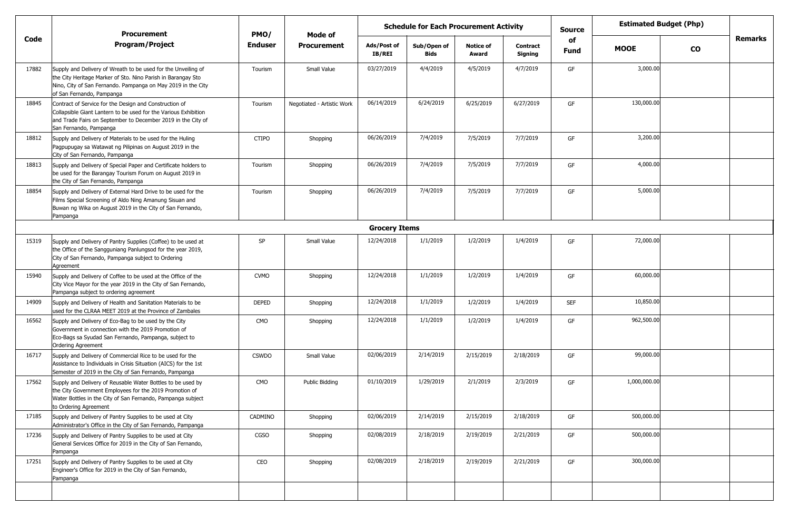|       | <b>Procurement</b>                                                                                                                                                                                                         | PMO/           | Mode of                    |                       |                     | <b>Estimated Budget (Php)</b><br><b>Schedule for Each Procurement Activity</b><br><b>Source</b> |                            |                   |              |           |                |
|-------|----------------------------------------------------------------------------------------------------------------------------------------------------------------------------------------------------------------------------|----------------|----------------------------|-----------------------|---------------------|-------------------------------------------------------------------------------------------------|----------------------------|-------------------|--------------|-----------|----------------|
| Code  | <b>Program/Project</b>                                                                                                                                                                                                     | <b>Enduser</b> | <b>Procurement</b>         | Ads/Post of<br>IB/REI | Sub/Open of<br>Bids | <b>Notice of</b><br>Award                                                                       | <b>Contract</b><br>Signing | of<br><b>Fund</b> | <b>MOOE</b>  | <b>CO</b> | <b>Remarks</b> |
| 17882 | Supply and Delivery of Wreath to be used for the Unveiling of<br>the City Heritage Marker of Sto. Nino Parish in Barangay Sto<br>Nino, City of San Fernando. Pampanga on May 2019 in the City<br>of San Fernando, Pampanga | Tourism        | Small Value                | 03/27/2019            | 4/4/2019            | 4/5/2019                                                                                        | 4/7/2019                   | GF                | 3,000.00     |           |                |
| 18845 | Contract of Service for the Design and Construction of<br>Collapsible Giant Lantern to be used for the Various Exhibition<br>and Trade Fairs on September to December 2019 in the City of<br>San Fernando, Pampanga        | Tourism        | Negotiated - Artistic Work | 06/14/2019            | 6/24/2019           | 6/25/2019                                                                                       | 6/27/2019                  | GF                | 130,000.00   |           |                |
| 18812 | Supply and Delivery of Materials to be used for the Huling<br>Pagpupugay sa Watawat ng Pilipinas on August 2019 in the<br>City of San Fernando, Pampanga                                                                   | <b>CTIPO</b>   | Shopping                   | 06/26/2019            | 7/4/2019            | 7/5/2019                                                                                        | 7/7/2019                   | GF                | 3,200.00     |           |                |
| 18813 | Supply and Delivery of Special Paper and Certificate holders to<br>be used for the Barangay Tourism Forum on August 2019 in<br>the City of San Fernando, Pampanga                                                          | Tourism        | Shopping                   | 06/26/2019            | 7/4/2019            | 7/5/2019                                                                                        | 7/7/2019                   | GF                | 4,000.00     |           |                |
| 18854 | Supply and Delivery of External Hard Drive to be used for the<br>Films Special Screening of Aldo Ning Amanung Sisuan and<br>Buwan ng Wika on August 2019 in the City of San Fernando,<br>Pampanga                          | Tourism        | Shopping                   | 06/26/2019            | 7/4/2019            | 7/5/2019                                                                                        | 7/7/2019                   | GF                | 5,000.00     |           |                |
|       |                                                                                                                                                                                                                            |                |                            | <b>Grocery Items</b>  |                     |                                                                                                 |                            |                   |              |           |                |
| 15319 | Supply and Delivery of Pantry Supplies (Coffee) to be used at<br>the Office of the Sangguniang Panlungsod for the year 2019,<br>City of San Fernando, Pampanga subject to Ordering<br>Agreement                            | SP             | Small Value                | 12/24/2018            | 1/1/2019            | 1/2/2019                                                                                        | 1/4/2019                   | GF                | 72,000.00    |           |                |
| 15940 | Supply and Delivery of Coffee to be used at the Office of the<br>City Vice Mayor for the year 2019 in the City of San Fernando,<br>Pampanga subject to ordering agreement                                                  | <b>CVMO</b>    | Shopping                   | 12/24/2018            | 1/1/2019            | 1/2/2019                                                                                        | 1/4/2019                   | GF                | 60,000.00    |           |                |
| 14909 | Supply and Delivery of Health and Sanitation Materials to be<br>used for the CLRAA MEET 2019 at the Province of Zambales                                                                                                   | <b>DEPED</b>   | Shopping                   | 12/24/2018            | 1/1/2019            | 1/2/2019                                                                                        | 1/4/2019                   | <b>SEF</b>        | 10,850.00    |           |                |
| 16562 | Supply and Delivery of Eco-Bag to be used by the City<br>Government in connection with the 2019 Promotion of<br>Eco-Bags sa Syudad San Fernando, Pampanga, subject to<br><b>Ordering Agreement</b>                         | <b>CMO</b>     | Shopping                   | 12/24/2018            | 1/1/2019            | 1/2/2019                                                                                        | 1/4/2019                   | GF                | 962,500.00   |           |                |
| 16717 | Supply and Delivery of Commercial Rice to be used for the<br>Assistance to Individuals in Crisis Situation (AICS) for the 1st<br>Semester of 2019 in the City of San Fernando, Pampanga                                    | <b>CSWDO</b>   | Small Value                | 02/06/2019            | 2/14/2019           | 2/15/2019                                                                                       | 2/18/2019                  | GF                | 99,000.00    |           |                |
| 17562 | Supply and Delivery of Reusable Water Bottles to be used by<br>the City Government Employees for the 2019 Promotion of<br>Water Bottles in the City of San Fernando, Pampanga subject<br>to Ordering Agreement             | <b>CMO</b>     | Public Bidding             | 01/10/2019            | 1/29/2019           | 2/1/2019                                                                                        | 2/3/2019                   | GF                | 1,000,000.00 |           |                |
| 17185 | Supply and Delivery of Pantry Supplies to be used at City<br>Administrator's Office in the City of San Fernando, Pampanga                                                                                                  | CADMINO        | Shopping                   | 02/06/2019            | 2/14/2019           | 2/15/2019                                                                                       | 2/18/2019                  | GF                | 500,000.00   |           |                |
| 17236 | Supply and Delivery of Pantry Supplies to be used at City<br>General Services Office for 2019 in the City of San Fernando,<br>Pampanga                                                                                     | CGSO           | Shopping                   | 02/08/2019            | 2/18/2019           | 2/19/2019                                                                                       | 2/21/2019                  | GF                | 500,000.00   |           |                |
| 17251 | Supply and Delivery of Pantry Supplies to be used at City<br>Engineer's Office for 2019 in the City of San Fernando,<br>Pampanga                                                                                           | CEO            | Shopping                   | 02/08/2019            | 2/18/2019           | 2/19/2019                                                                                       | 2/21/2019                  | GF                | 300,000.00   |           |                |
|       |                                                                                                                                                                                                                            |                |                            |                       |                     |                                                                                                 |                            |                   |              |           |                |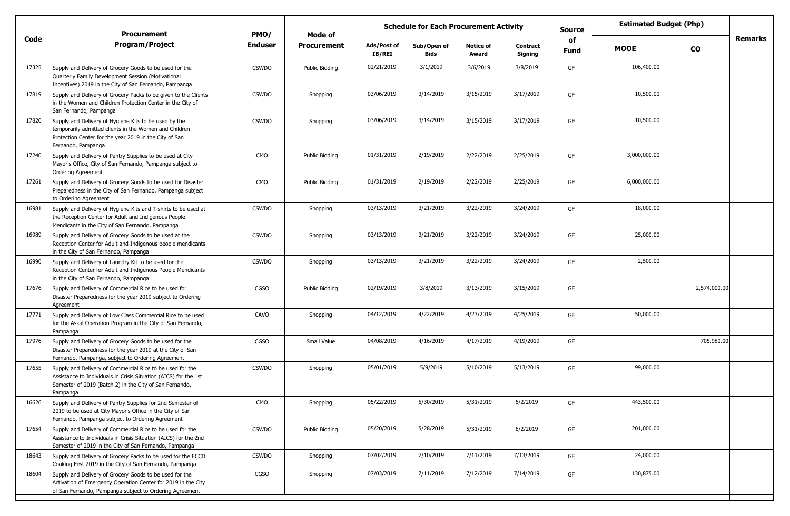|       | <b>Procurement</b>                                                                                                                                                                                   | PMO/         | Mode of            | <b>Schedule for Each Procurement Activity</b> |                            |                           |                            | <b>Source</b>     | <b>Estimated Budget (Php)</b> |               |                |
|-------|------------------------------------------------------------------------------------------------------------------------------------------------------------------------------------------------------|--------------|--------------------|-----------------------------------------------|----------------------------|---------------------------|----------------------------|-------------------|-------------------------------|---------------|----------------|
| Code  | <b>Program/Project</b>                                                                                                                                                                               | Enduser      | <b>Procurement</b> | Ads/Post of<br>IB/REI                         | Sub/Open of<br><b>Bids</b> | <b>Notice of</b><br>Award | <b>Contract</b><br>Signing | of<br><b>Fund</b> | <b>MOOE</b>                   | $\mathbf{co}$ | <b>Remarks</b> |
| 17325 | Supply and Delivery of Grocery Goods to be used for the<br>Quarterly Family Development Session (Motivational<br>Incentives) 2019 in the City of San Fernando, Pampanga                              | <b>CSWDO</b> | Public Bidding     | 02/21/2019                                    | 3/1/2019                   | 3/6/2019                  | 3/8/2019                   | GF                | 106,400.00                    |               |                |
| 17819 | Supply and Delivery of Grocery Packs to be given to the Clients<br>in the Women and Children Protection Center in the City of<br>San Fernando, Pampanga                                              | <b>CSWDO</b> | Shopping           | 03/06/2019                                    | 3/14/2019                  | 3/15/2019                 | 3/17/2019                  | GF                | 10,500.00                     |               |                |
| 17820 | Supply and Delivery of Hygiene Kits to be used by the<br>temporarily admitted clients in the Women and Children<br>Protection Center for the year 2019 in the City of San<br>Fernando, Pampanga      | <b>CSWDO</b> | Shopping           | 03/06/2019                                    | 3/14/2019                  | 3/15/2019                 | 3/17/2019                  | GF                | 10,500.00                     |               |                |
| 17240 | Supply and Delivery of Pantry Supplies to be used at City<br>Mayor's Office, City of San Fernando, Pampanga subject to<br><b>Ordering Agreement</b>                                                  | <b>CMO</b>   | Public Bidding     | 01/31/2019                                    | 2/19/2019                  | 2/22/2019                 | 2/25/2019                  | GF                | 3,000,000.00                  |               |                |
| 17261 | Supply and Delivery of Grocery Goods to be used for Disaster<br>Preparedness in the City of San Fernando, Pampanga subject<br>to Ordering Agreement                                                  | CMO          | Public Bidding     | 01/31/2019                                    | 2/19/2019                  | 2/22/2019                 | 2/25/2019                  | GF                | 6,000,000.00                  |               |                |
| 16981 | Supply and Delivery of Hygiene Kits and T-shirts to be used at<br>the Reception Center for Adult and Indigenous People<br>Mendicants in the City of San Fernando, Pampanga                           | <b>CSWDO</b> | Shopping           | 03/13/2019                                    | 3/21/2019                  | 3/22/2019                 | 3/24/2019                  | GF                | 18,000.00                     |               |                |
| 16989 | Supply and Delivery of Grocery Goods to be used at the<br>Reception Center for Adult and Indigenous people mendicants<br>in the City of San Fernando, Pampanga                                       | <b>CSWDO</b> | Shopping           | 03/13/2019                                    | 3/21/2019                  | 3/22/2019                 | 3/24/2019                  | GF                | 25,000.00                     |               |                |
| 16990 | Supply and Delivery of Laundry Kit to be used for the<br>Reception Center for Adult and Indigenous People Mendicants<br>in the City of San Fernando, Pampanga                                        | <b>CSWDO</b> | Shopping           | 03/13/2019                                    | 3/21/2019                  | 3/22/2019                 | 3/24/2019                  | GF                | 2,500.00                      |               |                |
| 17676 | Supply and Delivery of Commercial Rice to be used for<br>Disaster Preparedness for the year 2019 subject to Ordering<br>Agreement                                                                    | <b>CGSO</b>  | Public Bidding     | 02/19/2019                                    | 3/8/2019                   | 3/13/2019                 | 3/15/2019                  | GF                |                               | 2,574,000.00  |                |
| 17771 | Supply and Delivery of Low Class Commercial Rice to be used<br>for the Askal Operation Program in the City of San Fernando,<br>Pampanga                                                              | CAVO         | Shopping           | 04/12/2019                                    | 4/22/2019                  | 4/23/2019                 | 4/25/2019                  | GF                | 50,000.00                     |               |                |
| 17976 | Supply and Delivery of Grocery Goods to be used for the<br>Disaster Preparedness for the year 2019 at the City of San<br>Fernando, Pampanga, subject to Ordering Agreement                           | <b>CGSO</b>  | Small Value        | 04/08/2019                                    | 4/16/2019                  | 4/17/2019                 | 4/19/2019                  | GF                |                               | 705,980.00    |                |
| 17655 | Supply and Delivery of Commercial Rice to be used for the<br>Assistance to Individuals in Crisis Situation (AICS) for the 1st<br>Semester of 2019 (Batch 2) in the City of San Fernando,<br>Pampanga | <b>CSWDO</b> | Shopping           | 05/01/2019                                    | 5/9/2019                   | 5/10/2019                 | 5/13/2019                  | GF                | 99,000.00                     |               |                |
| 16626 | Supply and Delivery of Pantry Supplies for 2nd Semester of<br>2019 to be used at City Mayor's Office in the City of San<br>Fernando, Pampanga subject to Ordering Agreement                          | CMO          | Shopping           | 05/22/2019                                    | 5/30/2019                  | 5/31/2019                 | 6/2/2019                   | GF                | 443,500.00                    |               |                |
| 17654 | Supply and Delivery of Commercial Rice to be used for the<br>Assistance to Individuals in Crisis Situation (AICS) for the 2nd<br>Semester of 2019 in the City of San Fernando, Pampanga              | <b>CSWDO</b> | Public Bidding     | 05/20/2019                                    | 5/28/2019                  | 5/31/2019                 | 6/2/2019                   | GF                | 201,000.00                    |               |                |
| 18643 | Supply and Delivery of Grocery Packs to be used for the ECCD<br>Cooking Fest 2019 in the City of San Fernando, Pampanga                                                                              | <b>CSWDO</b> | Shopping           | 07/02/2019                                    | 7/10/2019                  | 7/11/2019                 | 7/13/2019                  | GF                | 24,000.00                     |               |                |
| 18604 | Supply and Delivery of Grocery Goods to be used for the<br>Activation of Emergency Operation Center for 2019 in the City<br>of San Fernando, Pampanga subject to Ordering Agreement                  | CGSO         | Shopping           | 07/03/2019                                    | 7/11/2019                  | 7/12/2019                 | 7/14/2019                  | GF                | 130,875.00                    |               |                |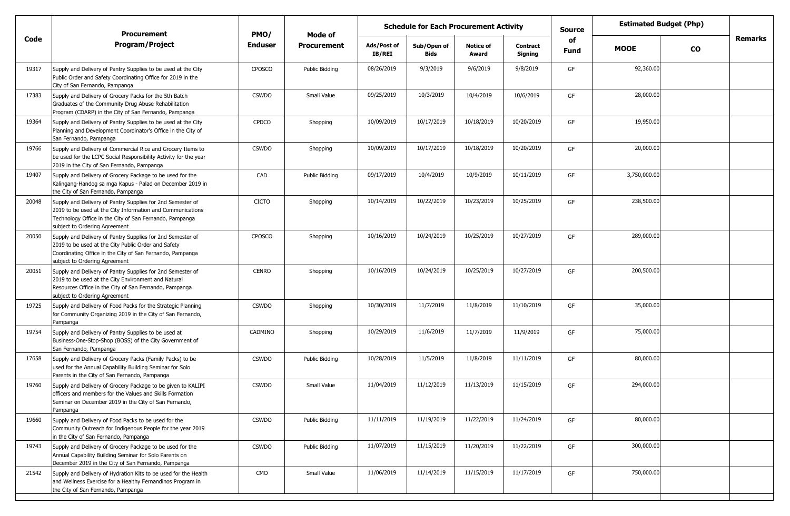|       | <b>Procurement</b>                                                                                                                                                                                                   | PMO/           | Mode of            | <b>Schedule for Each Procurement Activity</b> |                     |                           |                            | <b>Source</b> | <b>Estimated Budget (Php)</b> |           |         |
|-------|----------------------------------------------------------------------------------------------------------------------------------------------------------------------------------------------------------------------|----------------|--------------------|-----------------------------------------------|---------------------|---------------------------|----------------------------|---------------|-------------------------------|-----------|---------|
| Code  | <b>Program/Project</b>                                                                                                                                                                                               | <b>Enduser</b> | <b>Procurement</b> | Ads/Post of<br><b>IB/REI</b>                  | Sub/Open of<br>Bids | <b>Notice of</b><br>Award | <b>Contract</b><br>Signing | of<br>Fund    | <b>MOOE</b>                   | <b>CO</b> | Remarks |
| 19317 | Supply and Delivery of Pantry Supplies to be used at the City<br>Public Order and Safety Coordinating Office for 2019 in the<br>City of San Fernando, Pampanga                                                       | <b>CPOSCO</b>  | Public Bidding     | 08/26/2019                                    | 9/3/2019            | 9/6/2019                  | 9/8/2019                   | GF            | 92,360.00                     |           |         |
| 17383 | Supply and Delivery of Grocery Packs for the 5th Batch<br>Graduates of the Community Drug Abuse Rehabilitation<br>Program (CDARP) in the City of San Fernando, Pampanga                                              | <b>CSWDO</b>   | Small Value        | 09/25/2019                                    | 10/3/2019           | 10/4/2019                 | 10/6/2019                  | GF            | 28,000.00                     |           |         |
| 19364 | Supply and Delivery of Pantry Supplies to be used at the City<br>Planning and Development Coordinator's Office in the City of<br>San Fernando, Pampanga                                                              | <b>CPDCO</b>   | Shopping           | 10/09/2019                                    | 10/17/2019          | 10/18/2019                | 10/20/2019                 | GF            | 19,950.00                     |           |         |
| 19766 | Supply and Delivery of Commercial Rice and Grocery Items to<br>be used for the LCPC Social Responsibility Activity for the year<br>2019 in the City of San Fernando, Pampanga                                        | <b>CSWDO</b>   | Shopping           | 10/09/2019                                    | 10/17/2019          | 10/18/2019                | 10/20/2019                 | GF            | 20,000.00                     |           |         |
| 19407 | Supply and Delivery of Grocery Package to be used for the<br>Kalingang-Handog sa mga Kapus - Palad on December 2019 in<br>the City of San Fernando, Pampanga                                                         | CAD            | Public Bidding     | 09/17/2019                                    | 10/4/2019           | 10/9/2019                 | 10/11/2019                 | GF            | 3,750,000.00                  |           |         |
| 20048 | Supply and Delivery of Pantry Supplies for 2nd Semester of<br>2019 to be used at the City Information and Communications<br>Technology Office in the City of San Fernando, Pampanga<br>subject to Ordering Agreement | <b>CICTO</b>   | Shopping           | 10/14/2019                                    | 10/22/2019          | 10/23/2019                | 10/25/2019                 | GF            | 238,500.00                    |           |         |
| 20050 | Supply and Delivery of Pantry Supplies for 2nd Semester of<br>2019 to be used at the City Public Order and Safety<br>Coordinating Office in the City of San Fernando, Pampanga<br>subject to Ordering Agreement      | <b>CPOSCO</b>  | Shopping           | 10/16/2019                                    | 10/24/2019          | 10/25/2019                | 10/27/2019                 | GF            | 289,000.00                    |           |         |
| 20051 | Supply and Delivery of Pantry Supplies for 2nd Semester of<br>2019 to be used at the City Environment and Natural<br>Resources Office in the City of San Fernando, Pampanga<br>subject to Ordering Agreement         | <b>CENRO</b>   | Shopping           | 10/16/2019                                    | 10/24/2019          | 10/25/2019                | 10/27/2019                 | GF            | 200,500.00                    |           |         |
| 19725 | Supply and Delivery of Food Packs for the Strategic Planning<br>for Community Organizing 2019 in the City of San Fernando,<br>Pampanga                                                                               | <b>CSWDO</b>   | Shopping           | 10/30/2019                                    | 11/7/2019           | 11/8/2019                 | 11/10/2019                 | GF            | 35,000.00                     |           |         |
| 19754 | Supply and Delivery of Pantry Supplies to be used at<br>Business-One-Stop-Shop (BOSS) of the City Government of<br>San Fernando, Pampanga                                                                            | CADMINO        | Shopping           | 10/29/2019                                    | 11/6/2019           | 11/7/2019                 | 11/9/2019                  | GF            | 75,000.00                     |           |         |
| 17658 | Supply and Delivery of Grocery Packs (Family Packs) to be<br>used for the Annual Capability Building Seminar for Solo<br>Parents in the City of San Fernando, Pampanga                                               | <b>CSWDO</b>   | Public Bidding     | 10/28/2019                                    | 11/5/2019           | 11/8/2019                 | 11/11/2019                 | GF            | 80,000.00                     |           |         |
| 19760 | Supply and Delivery of Grocery Package to be given to KALIPI<br>officers and members for the Values and Skills Formation<br>Seminar on December 2019 in the City of San Fernando,<br>Pampanga                        | <b>CSWDO</b>   | Small Value        | 11/04/2019                                    | 11/12/2019          | 11/13/2019                | 11/15/2019                 | GF            | 294,000.00                    |           |         |
| 19660 | Supply and Delivery of Food Packs to be used for the<br>Community Outreach for Indigenous People for the year 2019<br>in the City of San Fernando, Pampanga                                                          | <b>CSWDO</b>   | Public Bidding     | 11/11/2019                                    | 11/19/2019          | 11/22/2019                | 11/24/2019                 | GF            | 80,000.00                     |           |         |
| 19743 | Supply and Delivery of Grocery Package to be used for the<br>Annual Capability Building Seminar for Solo Parents on<br>December 2019 in the City of San Fernando, Pampanga                                           | <b>CSWDO</b>   | Public Bidding     | 11/07/2019                                    | 11/15/2019          | 11/20/2019                | 11/22/2019                 | GF            | 300,000.00                    |           |         |
| 21542 | Supply and Delivery of Hydration Kits to be used for the Health<br>and Wellness Exercise for a Healthy Fernandinos Program in<br>the City of San Fernando, Pampanga                                                  | <b>CMO</b>     | Small Value        | 11/06/2019                                    | 11/14/2019          | 11/15/2019                | 11/17/2019                 | GF            | 750,000.00                    |           |         |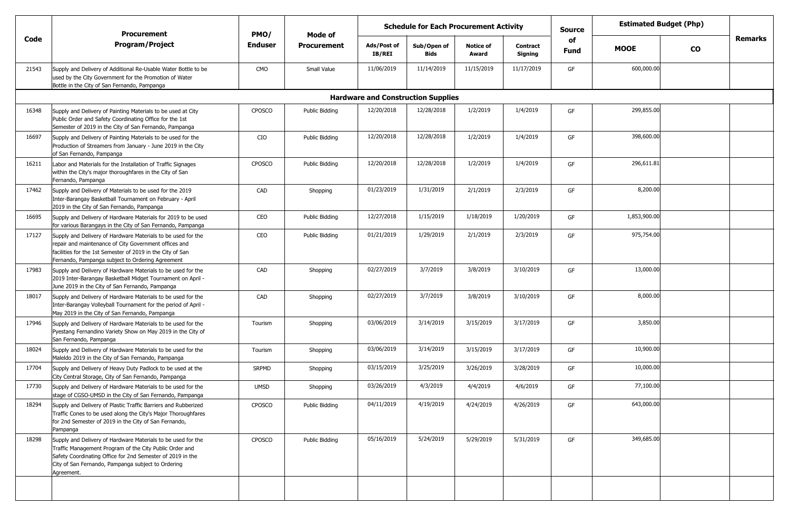|       | <b>Procurement</b>                                                                                                                                                                                                                                        | PMO/           | Mode of            | <b>Estimated Budget (Php)</b><br><b>Schedule for Each Procurement Activity</b><br><b>Source</b><br><b>Remarks</b><br>of<br>Sub/Open of<br><b>Notice of</b><br>Ads/Post of<br><b>Contract</b><br><b>MOOE</b><br><b>CO</b><br><b>Fund</b> |                                           |            |            |    |              |  |  |
|-------|-----------------------------------------------------------------------------------------------------------------------------------------------------------------------------------------------------------------------------------------------------------|----------------|--------------------|-----------------------------------------------------------------------------------------------------------------------------------------------------------------------------------------------------------------------------------------|-------------------------------------------|------------|------------|----|--------------|--|--|
| Code  | Program/Project                                                                                                                                                                                                                                           | <b>Enduser</b> | <b>Procurement</b> | <b>IB/REI</b>                                                                                                                                                                                                                           | <b>Bids</b>                               | Award      | Signing    |    |              |  |  |
| 21543 | Supply and Delivery of Additional Re-Usable Water Bottle to be<br>used by the City Government for the Promotion of Water<br>Bottle in the City of San Fernando, Pampanga                                                                                  | CMO            | Small Value        | 11/06/2019                                                                                                                                                                                                                              | 11/14/2019                                | 11/15/2019 | 11/17/2019 | GF | 600,000.00   |  |  |
|       |                                                                                                                                                                                                                                                           |                |                    |                                                                                                                                                                                                                                         | <b>Hardware and Construction Supplies</b> |            |            |    |              |  |  |
| 16348 | Supply and Delivery of Painting Materials to be used at City<br>Public Order and Safety Coordinating Office for the 1st<br>Semester of 2019 in the City of San Fernando, Pampanga                                                                         | CPOSCO         | Public Bidding     | 12/20/2018                                                                                                                                                                                                                              | 12/28/2018                                | 1/2/2019   | 1/4/2019   | GF | 299,855.00   |  |  |
| 16697 | Supply and Delivery of Painting Materials to be used for the<br>Production of Streamers from January - June 2019 in the City<br>of San Fernando, Pampanga                                                                                                 | CIO            | Public Bidding     | 12/20/2018                                                                                                                                                                                                                              | 12/28/2018                                | 1/2/2019   | 1/4/2019   | GF | 398,600.00   |  |  |
| 16211 | Labor and Materials for the Installation of Traffic Signages<br>within the City's major thoroughfares in the City of San<br>Fernando, Pampanga                                                                                                            | CPOSCO         | Public Bidding     | 12/20/2018                                                                                                                                                                                                                              | 12/28/2018                                | 1/2/2019   | 1/4/2019   | GF | 296,611.81   |  |  |
| 17462 | Supply and Delivery of Materials to be used for the 2019<br>Inter-Barangay Basketball Tournament on February - April<br>2019 in the City of San Fernando, Pampanga                                                                                        | CAD            | Shopping           | 01/23/2019                                                                                                                                                                                                                              | 1/31/2019                                 | 2/1/2019   | 2/3/2019   | GF | 8,200.00     |  |  |
| 16695 | Supply and Delivery of Hardware Materials for 2019 to be used<br>for various Barangays in the City of San Fernando, Pampanga                                                                                                                              | CEO            | Public Bidding     | 12/27/2018                                                                                                                                                                                                                              | 1/15/2019                                 | 1/18/2019  | 1/20/2019  | GF | 1,853,900.00 |  |  |
| 17127 | Supply and Delivery of Hardware Materials to be used for the<br>repair and maintenance of City Government offices and<br>facilities for the 1st Semester of 2019 in the City of San<br>Fernando, Pampanga subject to Ordering Agreement                   | CEO            | Public Bidding     | 01/21/2019                                                                                                                                                                                                                              | 1/29/2019                                 | 2/1/2019   | 2/3/2019   | GF | 975,754.00   |  |  |
| 17983 | Supply and Delivery of Hardware Materials to be used for the<br>2019 Inter-Barangay Basketball Midget Tournament on April -<br>June 2019 in the City of San Fernando, Pampanga                                                                            | CAD            | Shopping           | 02/27/2019                                                                                                                                                                                                                              | 3/7/2019                                  | 3/8/2019   | 3/10/2019  | GF | 13,000.00    |  |  |
| 18017 | Supply and Delivery of Hardware Materials to be used for the<br>Inter-Barangay Volleyball Tournament for the period of April -<br>May 2019 in the City of San Fernando, Pampanga                                                                          | CAD            | Shopping           | 02/27/2019                                                                                                                                                                                                                              | 3/7/2019                                  | 3/8/2019   | 3/10/2019  | GF | 8,000.00     |  |  |
| 17946 | Supply and Delivery of Hardware Materials to be used for the<br>Pyestang Fernandino Variety Show on May 2019 in the City of<br>San Fernando, Pampanga                                                                                                     | Tourism        | Shopping           | 03/06/2019                                                                                                                                                                                                                              | 3/14/2019                                 | 3/15/2019  | 3/17/2019  | GF | 3,850.00     |  |  |
| 18024 | Supply and Delivery of Hardware Materials to be used for the<br>Maleldo 2019 in the City of San Fernando, Pampanga                                                                                                                                        | Tourism        | Shopping           | 03/06/2019                                                                                                                                                                                                                              | 3/14/2019                                 | 3/15/2019  | 3/17/2019  | GF | 10,900.00    |  |  |
| 17704 | Supply and Delivery of Heavy Duty Padlock to be used at the<br>City Central Storage, City of San Fernando, Pampanga                                                                                                                                       | <b>SRPMD</b>   | Shopping           | 03/15/2019                                                                                                                                                                                                                              | 3/25/2019                                 | 3/26/2019  | 3/28/2019  | GF | 10,000.00    |  |  |
| 17730 | Supply and Delivery of Hardware Materials to be used for the<br>stage of CGSO-UMSD in the City of San Fernando, Pampanga                                                                                                                                  | <b>UMSD</b>    | Shopping           | 03/26/2019                                                                                                                                                                                                                              | 4/3/2019                                  | 4/4/2019   | 4/6/2019   | GF | 77,100.00    |  |  |
| 18294 | Supply and Delivery of Plastic Traffic Barriers and Rubberized<br>Traffic Cones to be used along the City's Major Thoroughfares<br>for 2nd Semester of 2019 in the City of San Fernando,<br>Pampanga                                                      | <b>CPOSCO</b>  | Public Bidding     | 04/11/2019                                                                                                                                                                                                                              | 4/19/2019                                 | 4/24/2019  | 4/26/2019  | GF | 643,000.00   |  |  |
| 18298 | Supply and Delivery of Hardware Materials to be used for the<br>Traffic Management Program of the City Public Order and<br>Safety Coordinating Office for 2nd Semester of 2019 in the<br>City of San Fernando, Pampanga subject to Ordering<br>Agreement. | CPOSCO         | Public Bidding     | 05/16/2019                                                                                                                                                                                                                              | 5/24/2019                                 | 5/29/2019  | 5/31/2019  | GF | 349,685.00   |  |  |
|       |                                                                                                                                                                                                                                                           |                |                    |                                                                                                                                                                                                                                         |                                           |            |            |    |              |  |  |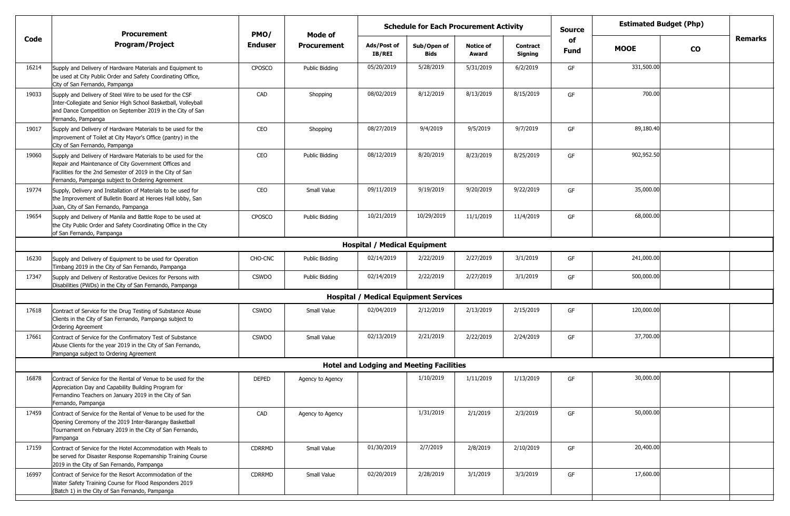|       | <b>Schedule for Each Procurement Activity</b><br><b>Procurement</b><br>PMO/<br>Mode of                                                                                                                                                  |                |                    |                                                 |                            |                           | <b>Source</b>              | <b>Estimated Budget (Php)</b> |             |           |         |
|-------|-----------------------------------------------------------------------------------------------------------------------------------------------------------------------------------------------------------------------------------------|----------------|--------------------|-------------------------------------------------|----------------------------|---------------------------|----------------------------|-------------------------------|-------------|-----------|---------|
| Code  | <b>Program/Project</b>                                                                                                                                                                                                                  | <b>Enduser</b> | <b>Procurement</b> | Ads/Post of<br>IB/REI                           | Sub/Open of<br><b>Bids</b> | <b>Notice of</b><br>Award | <b>Contract</b><br>Signing | of<br>Fund                    | <b>MOOE</b> | <b>CO</b> | Remarks |
| 16214 | Supply and Delivery of Hardware Materials and Equipment to<br>be used at City Public Order and Safety Coordinating Office,<br>City of San Fernando, Pampanga                                                                            | <b>CPOSCO</b>  | Public Bidding     | 05/20/2019                                      | 5/28/2019                  | 5/31/2019                 | 6/2/2019                   | GF                            | 331,500.00  |           |         |
| 19033 | Supply and Delivery of Steel Wire to be used for the CSF<br>Inter-Collegiate and Senior High School Basketball, Volleyball<br>and Dance Competition on September 2019 in the City of San<br>Fernando, Pampanga                          | CAD            | Shopping           | 08/02/2019                                      | 8/12/2019                  | 8/13/2019                 | 8/15/2019                  | GF                            | 700.00      |           |         |
| 19017 | Supply and Delivery of Hardware Materials to be used for the<br>improvement of Toilet at City Mayor's Office (pantry) in the<br>City of San Fernando, Pampanga                                                                          | CEO            | Shopping           | 08/27/2019                                      | 9/4/2019                   | 9/5/2019                  | 9/7/2019                   | GF                            | 89,180.40   |           |         |
| 19060 | Supply and Delivery of Hardware Materials to be used for the<br>Repair and Maintenance of City Government Offices and<br>Facilities for the 2nd Semester of 2019 in the City of San<br>Fernando, Pampanga subject to Ordering Agreement | CEO            | Public Bidding     | 08/12/2019                                      | 8/20/2019                  | 8/23/2019                 | 8/25/2019                  | GF                            | 902,952.50  |           |         |
| 19774 | Supply, Delivery and Installation of Materials to be used for<br>the Improvement of Bulletin Board at Heroes Hall lobby, San<br>Juan, City of San Fernando, Pampanga                                                                    | CEO            | Small Value        | 09/11/2019                                      | 9/19/2019                  | 9/20/2019                 | 9/22/2019                  | GF                            | 35,000.00   |           |         |
| 19654 | Supply and Delivery of Manila and Battle Rope to be used at<br>the City Public Order and Safety Coordinating Office in the City<br>of San Fernando, Pampanga                                                                            | <b>CPOSCO</b>  | Public Bidding     | 10/21/2019                                      | 10/29/2019                 | 11/1/2019                 | 11/4/2019                  | GF                            | 68,000.00   |           |         |
|       |                                                                                                                                                                                                                                         |                |                    | <b>Hospital / Medical Equipment</b>             |                            |                           |                            |                               |             |           |         |
| 16230 | Supply and Delivery of Equipment to be used for Operation<br>Timbang 2019 in the City of San Fernando, Pampanga                                                                                                                         | CHO-CNC        | Public Bidding     | 02/14/2019                                      | 2/22/2019                  | 2/27/2019                 | 3/1/2019                   | GF                            | 241,000.00  |           |         |
| 17347 | Supply and Delivery of Restorative Devices for Persons with<br>Disabilities (PWDs) in the City of San Fernando, Pampanga                                                                                                                | <b>CSWDO</b>   | Public Bidding     | 02/14/2019                                      | 2/22/2019                  | 2/27/2019                 | 3/1/2019                   | GF                            | 500,000.00  |           |         |
|       |                                                                                                                                                                                                                                         |                |                    | <b>Hospital / Medical Equipment Services</b>    |                            |                           |                            |                               |             |           |         |
| 17618 | Contract of Service for the Drug Testing of Substance Abuse<br>Clients in the City of San Fernando, Pampanga subject to<br><b>Ordering Agreement</b>                                                                                    | <b>CSWDO</b>   | Small Value        | 02/04/2019                                      | 2/12/2019                  | 2/13/2019                 | 2/15/2019                  | GF                            | 120,000.00  |           |         |
| 17661 | Contract of Service for the Confirmatory Test of Substance<br>Abuse Clients for the year 2019 in the City of San Fernando,<br>Pampanga subject to Ordering Agreement                                                                    | <b>CSWDO</b>   | Small Value        | 02/13/2019                                      | 2/21/2019                  | 2/22/2019                 | 2/24/2019                  | GF                            | 37,700.00   |           |         |
|       |                                                                                                                                                                                                                                         |                |                    | <b>Hotel and Lodging and Meeting Facilities</b> |                            |                           |                            |                               |             |           |         |
| 16878 | Contract of Service for the Rental of Venue to be used for the<br>Appreciation Day and Capability Building Program for<br>Fernandino Teachers on January 2019 in the City of San<br>Fernando, Pampanga                                  | <b>DEPED</b>   | Agency to Agency   |                                                 | 1/10/2019                  | 1/11/2019                 | 1/13/2019                  | GF                            | 30,000.00   |           |         |
| 17459 | Contract of Service for the Rental of Venue to be used for the<br>Opening Ceremony of the 2019 Inter-Barangay Basketball<br>Tournament on February 2019 in the City of San Fernando,<br>Pampanga                                        | CAD            | Agency to Agency   |                                                 | 1/31/2019                  | 2/1/2019                  | 2/3/2019                   | GF                            | 50,000.00   |           |         |
| 17159 | Contract of Service for the Hotel Accommodation with Meals to<br>be served for Disaster Response Ropemanship Training Course<br>2019 in the City of San Fernando, Pampanga                                                              | CDRRMD         | Small Value        | 01/30/2019                                      | 2/7/2019                   | 2/8/2019                  | 2/10/2019                  | GF                            | 20,400.00   |           |         |
| 16997 | Contract of Service for the Resort Accommodation of the<br>Water Safety Training Course for Flood Responders 2019<br>(Batch 1) in the City of San Fernando, Pampanga                                                                    | CDRRMD         | Small Value        | 02/20/2019                                      | 2/28/2019                  | 3/1/2019                  | 3/3/2019                   | GF                            | 17,600.00   |           |         |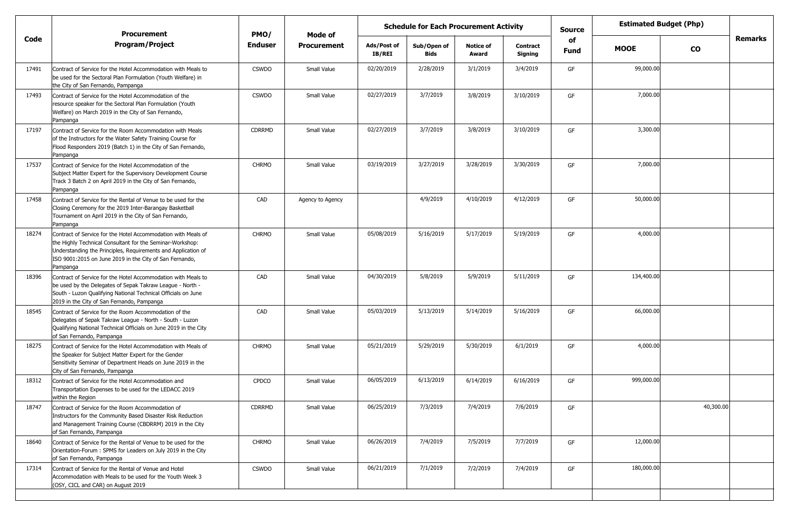|                                                                                                                                                                                                                                                                    |                    |                    | <b>Schedule for Each Procurement Activity</b><br>Ads/Post of<br>Sub/Open of<br><b>Notice of</b><br><b>Contract</b><br><b>IB/REI</b><br>Award |             |           | <b>Source</b> |            | <b>Estimated Budget (Php)</b> |           |         |
|--------------------------------------------------------------------------------------------------------------------------------------------------------------------------------------------------------------------------------------------------------------------|--------------------|--------------------|----------------------------------------------------------------------------------------------------------------------------------------------|-------------|-----------|---------------|------------|-------------------------------|-----------|---------|
| <b>Program/Project</b>                                                                                                                                                                                                                                             | <b>Enduser</b>     | <b>Procurement</b> |                                                                                                                                              | <b>Bids</b> |           | Signing       | of<br>Fund | <b>MOOE</b>                   | <b>CO</b> | Remarks |
| Contract of Service for the Hotel Accommodation with Meals to<br>be used for the Sectoral Plan Formulation (Youth Welfare) in<br>the City of San Fernando, Pampanga                                                                                                | <b>CSWDO</b>       | Small Value        | 02/20/2019                                                                                                                                   | 2/28/2019   | 3/1/2019  | 3/4/2019      | GF         | 99,000.00                     |           |         |
| Contract of Service for the Hotel Accommodation of the<br>resource speaker for the Sectoral Plan Formulation (Youth<br>Welfare) on March 2019 in the City of San Fernando,<br>Pampanga                                                                             | <b>CSWDO</b>       | Small Value        | 02/27/2019                                                                                                                                   | 3/7/2019    | 3/8/2019  | 3/10/2019     | GF         | 7,000.00                      |           |         |
| Contract of Service for the Room Accommodation with Meals<br>of the Instructors for the Water Safety Training Course for<br>Flood Responders 2019 (Batch 1) in the City of San Fernando,<br>Pampanga                                                               | CDRRMD             | Small Value        | 02/27/2019                                                                                                                                   | 3/7/2019    | 3/8/2019  | 3/10/2019     | GF         | 3,300.00                      |           |         |
| Contract of Service for the Hotel Accommodation of the<br>Subject Matter Expert for the Supervisory Development Course<br>Track 3 Batch 2 on April 2019 in the City of San Fernando,<br>Pampanga                                                                   | <b>CHRMO</b>       | Small Value        | 03/19/2019                                                                                                                                   | 3/27/2019   | 3/28/2019 | 3/30/2019     | GF         | 7,000.00                      |           |         |
| Contract of Service for the Rental of Venue to be used for the<br>Closing Ceremony for the 2019 Inter-Barangay Basketball<br>Tournament on April 2019 in the City of San Fernando,<br>Pampanga                                                                     | CAD                | Agency to Agency   |                                                                                                                                              | 4/9/2019    | 4/10/2019 | 4/12/2019     | GF         | 50,000.00                     |           |         |
| Contract of Service for the Hotel Accommodation with Meals of<br>the Highly Technical Consultant for the Seminar-Workshop:<br>Understanding the Principles, Requirements and Application of<br>ISO 9001:2015 on June 2019 in the City of San Fernando,<br>Pampanga | <b>CHRMO</b>       | Small Value        | 05/08/2019                                                                                                                                   | 5/16/2019   | 5/17/2019 | 5/19/2019     | GF         | 4,000.00                      |           |         |
| Contract of Service for the Hotel Accommodation with Meals to<br>be used by the Delegates of Sepak Takraw League - North -<br>South - Luzon Qualifying National Technical Officials on June<br>2019 in the City of San Fernando, Pampanga                          | CAD                | Small Value        | 04/30/2019                                                                                                                                   | 5/8/2019    | 5/9/2019  | 5/11/2019     | GF         | 134,400.00                    |           |         |
| Contract of Service for the Room Accommodation of the<br>Delegates of Sepak Takraw League - North - South - Luzon<br>Qualifying National Technical Officials on June 2019 in the City<br>of San Fernando, Pampanga                                                 | CAD                | Small Value        | 05/03/2019                                                                                                                                   | 5/13/2019   | 5/14/2019 | 5/16/2019     | GF         | 66,000.00                     |           |         |
| Contract of Service for the Hotel Accommodation with Meals of<br>the Speaker for Subject Matter Expert for the Gender<br>Sensitivity Seminar of Department Heads on June 2019 in the<br>City of San Fernando, Pampanga                                             | <b>CHRMO</b>       | Small Value        | 05/21/2019                                                                                                                                   | 5/29/2019   | 5/30/2019 | 6/1/2019      | GF         | 4,000.00                      |           |         |
| Contract of Service for the Hotel Accommodation and<br>Transportation Expenses to be used for the LEDACC 2019<br>within the Region                                                                                                                                 | <b>CPDCO</b>       | Small Value        | 06/05/2019                                                                                                                                   | 6/13/2019   | 6/14/2019 | 6/16/2019     | GF         | 999,000.00                    |           |         |
| Contract of Service for the Room Accommodation of<br>Instructors for the Community Based Disaster Risk Reduction<br>and Management Training Course (CBDRRM) 2019 in the City<br>of San Fernando, Pampanga                                                          | CDRRMD             | Small Value        | 06/25/2019                                                                                                                                   | 7/3/2019    | 7/4/2019  | 7/6/2019      | GF         |                               | 40,300.00 |         |
| Contract of Service for the Rental of Venue to be used for the<br>Orientation-Forum: SPMS for Leaders on July 2019 in the City<br>of San Fernando, Pampanga                                                                                                        | <b>CHRMO</b>       | Small Value        | 06/26/2019                                                                                                                                   | 7/4/2019    | 7/5/2019  | 7/7/2019      | GF         | 12,000.00                     |           |         |
| Contract of Service for the Rental of Venue and Hotel<br>Accommodation with Meals to be used for the Youth Week 3<br>(OSY, CICL and CAR) on August 2019                                                                                                            | <b>CSWDO</b>       | Small Value        | 06/21/2019                                                                                                                                   | 7/1/2019    | 7/2/2019  | 7/4/2019      | GF         | 180,000.00                    |           |         |
|                                                                                                                                                                                                                                                                    | <b>Procurement</b> | PMO/               | Mode of                                                                                                                                      |             |           |               |            |                               |           |         |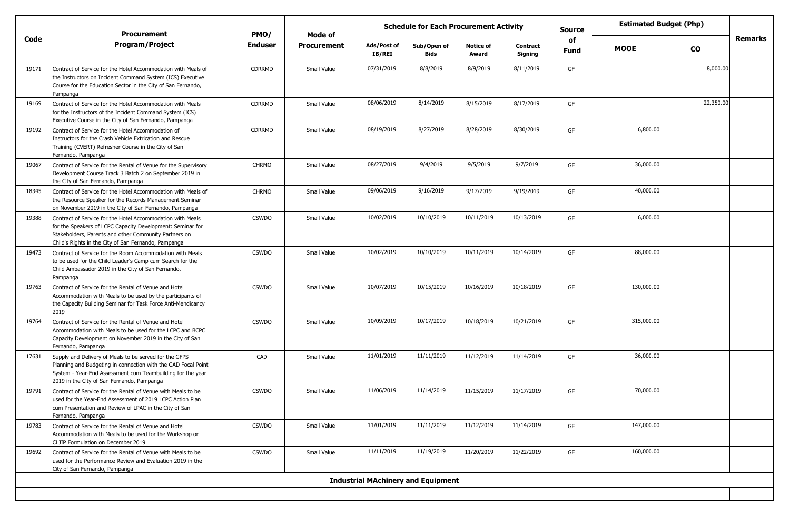|       | <b>Procurement</b>                                                                                                                                                                                                                        | PMO/         | Mode of            | <b>Schedule for Each Procurement Activity</b><br><b>Source</b> |                            |                           |                            |                   | <b>Estimated Budget (Php)</b> |               |                |
|-------|-------------------------------------------------------------------------------------------------------------------------------------------------------------------------------------------------------------------------------------------|--------------|--------------------|----------------------------------------------------------------|----------------------------|---------------------------|----------------------------|-------------------|-------------------------------|---------------|----------------|
| Code  | <b>Program/Project</b>                                                                                                                                                                                                                    | Enduser      | <b>Procurement</b> | Ads/Post of<br><b>IB/REI</b>                                   | Sub/Open of<br><b>Bids</b> | <b>Notice of</b><br>Award | <b>Contract</b><br>Signing | of<br><b>Fund</b> | <b>MOOE</b>                   | $\mathbf{co}$ | <b>Remarks</b> |
| 19171 | Contract of Service for the Hotel Accommodation with Meals of<br>the Instructors on Incident Command System (ICS) Executive<br>Course for the Education Sector in the City of San Fernando,<br>Pampanga                                   | CDRRMD       | Small Value        | 07/31/2019                                                     | 8/8/2019                   | 8/9/2019                  | 8/11/2019                  | GF                |                               | 8,000.00      |                |
| 19169 | Contract of Service for the Hotel Accommodation with Meals<br>for the Instructors of the Incident Command System (ICS)<br>Executive Course in the City of San Fernando, Pampanga                                                          | CDRRMD       | Small Value        | 08/06/2019                                                     | 8/14/2019                  | 8/15/2019                 | 8/17/2019                  | GF                |                               | 22,350.00     |                |
| 19192 | Contract of Service for the Hotel Accommodation of<br>Instructors for the Crash Vehicle Extrication and Rescue<br>Training (CVERT) Refresher Course in the City of San<br>Fernando, Pampanga                                              | CDRRMD       | Small Value        | 08/19/2019                                                     | 8/27/2019                  | 8/28/2019                 | 8/30/2019                  | GF                | 6,800.00                      |               |                |
| 19067 | Contract of Service for the Rental of Venue for the Supervisory<br>Development Course Track 3 Batch 2 on September 2019 in<br>the City of San Fernando, Pampanga                                                                          | <b>CHRMO</b> | Small Value        | 08/27/2019                                                     | 9/4/2019                   | 9/5/2019                  | 9/7/2019                   | GF                | 36,000.00                     |               |                |
| 18345 | Contract of Service for the Hotel Accommodation with Meals of<br>the Resource Speaker for the Records Management Seminar<br>on November 2019 in the City of San Fernando, Pampanga                                                        | <b>CHRMO</b> | Small Value        | 09/06/2019                                                     | 9/16/2019                  | 9/17/2019                 | 9/19/2019                  | GF                | 40,000.00                     |               |                |
| 19388 | Contract of Service for the Hotel Accommodation with Meals<br>for the Speakers of LCPC Capacity Development: Seminar for<br>Stakeholders, Parents and other Community Partners on<br>Child's Rights in the City of San Fernando, Pampanga | <b>CSWDO</b> | Small Value        | 10/02/2019                                                     | 10/10/2019                 | 10/11/2019                | 10/13/2019                 | GF                | 6,000.00                      |               |                |
| 19473 | Contract of Service for the Room Accommodation with Meals<br>to be used for the Child Leader's Camp cum Search for the<br>Child Ambassador 2019 in the City of San Fernando,<br>Pampanga                                                  | <b>CSWDO</b> | Small Value        | 10/02/2019                                                     | 10/10/2019                 | 10/11/2019                | 10/14/2019                 | GF                | 88,000.00                     |               |                |
| 19763 | Contract of Service for the Rental of Venue and Hotel<br>Accommodation with Meals to be used by the participants of<br>the Capacity Building Seminar for Task Force Anti-Mendicancy<br>2019                                               | <b>CSWDO</b> | Small Value        | 10/07/2019                                                     | 10/15/2019                 | 10/16/2019                | 10/18/2019                 | GF                | 130,000.00                    |               |                |
| 19764 | Contract of Service for the Rental of Venue and Hotel<br>Accommodation with Meals to be used for the LCPC and BCPC<br>Capacity Development on November 2019 in the City of San<br>Fernando, Pampanga                                      | <b>CSWDO</b> | Small Value        | 10/09/2019                                                     | 10/17/2019                 | 10/18/2019                | 10/21/2019                 | GF                | 315,000.00                    |               |                |
| 17631 | Supply and Delivery of Meals to be served for the GFPS<br>Planning and Budgeting in connection with the GAD Focal Point<br>System - Year-End Assessment cum Teambuilding for the year<br>2019 in the City of San Fernando, Pampanga       | CAD          | Small Value        | 11/01/2019                                                     | 11/11/2019                 | 11/12/2019                | 11/14/2019                 | GF                | 36,000.00                     |               |                |
| 19791 | Contract of Service for the Rental of Venue with Meals to be<br>used for the Year-End Assessment of 2019 LCPC Action Plan<br>cum Presentation and Review of LPAC in the City of San<br>Fernando, Pampanga                                 | <b>CSWDO</b> | Small Value        | 11/06/2019                                                     | 11/14/2019                 | 11/15/2019                | 11/17/2019                 | GF                | 70,000.00                     |               |                |
| 19783 | Contract of Service for the Rental of Venue and Hotel<br>Accommodation with Meals to be used for the Workshop on<br>CLJIP Formulation on December 2019                                                                                    | <b>CSWDO</b> | Small Value        | 11/01/2019                                                     | 11/11/2019                 | 11/12/2019                | 11/14/2019                 | GF                | 147,000.00                    |               |                |
| 19692 | Contract of Service for the Rental of Venue with Meals to be<br>used for the Performance Review and Evaluation 2019 in the<br>City of San Fernando, Pampanga                                                                              | <b>CSWDO</b> | Small Value        | 11/11/2019                                                     | 11/19/2019                 | 11/20/2019                | 11/22/2019                 | GF                | 160,000.00                    |               |                |
|       |                                                                                                                                                                                                                                           |              |                    | <b>Industrial MAchinery and Equipment</b>                      |                            |                           |                            |                   |                               |               |                |
|       |                                                                                                                                                                                                                                           |              |                    |                                                                |                            |                           |                            |                   |                               |               |                |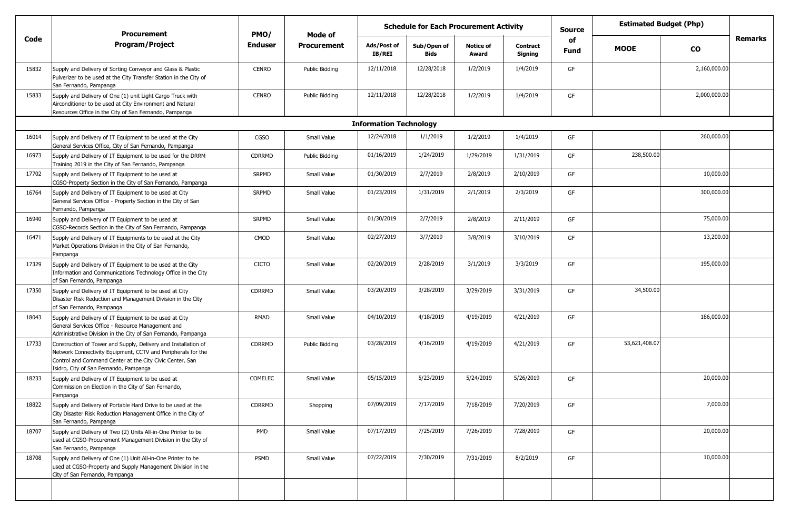|       | <b>Procurement</b>                                                                                                                                                                                                                   | PMO/           | Mode of            | <b>Schedule for Each Procurement Activity</b> |                            |                           | <b>Source</b>              |            | <b>Estimated Budget (Php)</b> |              |         |
|-------|--------------------------------------------------------------------------------------------------------------------------------------------------------------------------------------------------------------------------------------|----------------|--------------------|-----------------------------------------------|----------------------------|---------------------------|----------------------------|------------|-------------------------------|--------------|---------|
| Code  | <b>Program/Project</b>                                                                                                                                                                                                               | <b>Enduser</b> | <b>Procurement</b> | Ads/Post of<br>IB/REI                         | Sub/Open of<br><b>Bids</b> | <b>Notice of</b><br>Award | <b>Contract</b><br>Signing | of<br>Fund | <b>MOOE</b>                   | <b>CO</b>    | Remarks |
| 15832 | Supply and Delivery of Sorting Conveyor and Glass & Plastic<br>Pulverizer to be used at the City Transfer Station in the City of<br>San Fernando, Pampanga                                                                           | <b>CENRO</b>   | Public Bidding     | 12/11/2018                                    | 12/28/2018                 | 1/2/2019                  | 1/4/2019                   | GF         |                               | 2,160,000.00 |         |
| 15833 | Supply and Delivery of One (1) unit Light Cargo Truck with<br>Airconditioner to be used at City Environment and Natural<br>Resources Office in the City of San Fernando, Pampanga                                                    | <b>CENRO</b>   | Public Bidding     | 12/11/2018                                    | 12/28/2018                 | 1/2/2019                  | 1/4/2019                   | GF         |                               | 2,000,000.00 |         |
|       |                                                                                                                                                                                                                                      |                |                    | <b>Information Technology</b>                 |                            |                           |                            |            |                               |              |         |
| 16014 | Supply and Delivery of IT Equipment to be used at the City<br>General Services Office, City of San Fernando, Pampanga                                                                                                                | <b>CGSO</b>    | Small Value        | 12/24/2018                                    | 1/1/2019                   | 1/2/2019                  | 1/4/2019                   | GF         |                               | 260,000.00   |         |
| 16973 | Supply and Delivery of IT Equipment to be used for the DRRM<br>Training 2019 in the City of San Fernando, Pampanga                                                                                                                   | <b>CDRRMD</b>  | Public Bidding     | 01/16/2019                                    | 1/24/2019                  | 1/29/2019                 | 1/31/2019                  | GF         | 238,500.00                    |              |         |
| 17702 | Supply and Delivery of IT Equipment to be used at<br>CGSO-Property Section in the City of San Fernando, Pampanga                                                                                                                     | <b>SRPMD</b>   | Small Value        | 01/30/2019                                    | 2/7/2019                   | 2/8/2019                  | 2/10/2019                  | GF         |                               | 10,000.00    |         |
| 16764 | Supply and Delivery of IT Equipment to be used at City<br>General Services Office - Property Section in the City of San<br>Fernando, Pampanga                                                                                        | <b>SRPMD</b>   | Small Value        | 01/23/2019                                    | 1/31/2019                  | 2/1/2019                  | 2/3/2019                   | GF         |                               | 300,000.00   |         |
| 16940 | Supply and Delivery of IT Equipment to be used at<br>CGSO-Records Section in the City of San Fernando, Pampanga                                                                                                                      | <b>SRPMD</b>   | Small Value        | 01/30/2019                                    | 2/7/2019                   | 2/8/2019                  | 2/11/2019                  | GF         |                               | 75,000.00    |         |
| 16471 | Supply and Delivery of IT Equipments to be used at the City<br>Market Operations Division in the City of San Fernando,<br>Pampanga                                                                                                   | CMOD           | Small Value        | 02/27/2019                                    | 3/7/2019                   | 3/8/2019                  | 3/10/2019                  | GF         |                               | 13,200.00    |         |
| 17329 | Supply and Delivery of IT Equipment to be used at the City<br>Information and Communications Technology Office in the City<br>of San Fernando, Pampanga                                                                              | <b>CICTO</b>   | Small Value        | 02/20/2019                                    | 2/28/2019                  | 3/1/2019                  | 3/3/2019                   | GF         |                               | 195,000.00   |         |
| 17350 | Supply and Delivery of IT Equipment to be used at City<br>Disaster Risk Reduction and Management Division in the City<br>of San Fernando, Pampanga                                                                                   | <b>CDRRMD</b>  | Small Value        | 03/20/2019                                    | 3/28/2019                  | 3/29/2019                 | 3/31/2019                  | GF         | 34,500.00                     |              |         |
| 18043 | Supply and Delivery of IT Equipment to be used at City<br>General Services Office - Resource Management and<br>Administrative Division in the City of San Fernando, Pampanga                                                         | RMAD           | Small Value        | 04/10/2019                                    | 4/18/2019                  | 4/19/2019                 | 4/21/2019                  | GF         |                               | 186,000.00   |         |
| 17733 | Construction of Tower and Supply, Delivery and Installation of<br>Network Connectivity Equipment, CCTV and Peripherals for the<br>Control and Command Center at the City Civic Center, San<br>Isidro, City of San Fernando, Pampanga | CDRRMD         | Public Bidding     | 03/28/2019                                    | 4/16/2019                  | 4/19/2019                 | 4/21/2019                  | GF         | 53,621,408.07                 |              |         |
| 18233 | Supply and Delivery of IT Equipment to be used at<br>Commission on Election in the City of San Fernando,<br>Pampanga                                                                                                                 | COMELEC        | Small Value        | 05/15/2019                                    | 5/23/2019                  | 5/24/2019                 | 5/26/2019                  | GF         |                               | 20,000.00    |         |
| 18822 | Supply and Delivery of Portable Hard Drive to be used at the<br>City Disaster Risk Reduction Management Office in the City of<br>San Fernando, Pampanga                                                                              | <b>CDRRMD</b>  | Shopping           | 07/09/2019                                    | 7/17/2019                  | 7/18/2019                 | 7/20/2019                  | GF         |                               | 7,000.00     |         |
| 18707 | Supply and Delivery of Two (2) Units All-in-One Printer to be<br>used at CGSO-Procurement Management Division in the City of<br>San Fernando, Pampanga                                                                               | PMD            | Small Value        | 07/17/2019                                    | 7/25/2019                  | 7/26/2019                 | 7/28/2019                  | GF         |                               | 20,000.00    |         |
| 18708 | Supply and Delivery of One (1) Unit All-in-One Printer to be<br>used at CGSO-Property and Supply Management Division in the<br>City of San Fernando, Pampanga                                                                        | PSMD           | Small Value        | 07/22/2019                                    | 7/30/2019                  | 7/31/2019                 | 8/2/2019                   | GF         |                               | 10,000.00    |         |
|       |                                                                                                                                                                                                                                      |                |                    |                                               |                            |                           |                            |            |                               |              |         |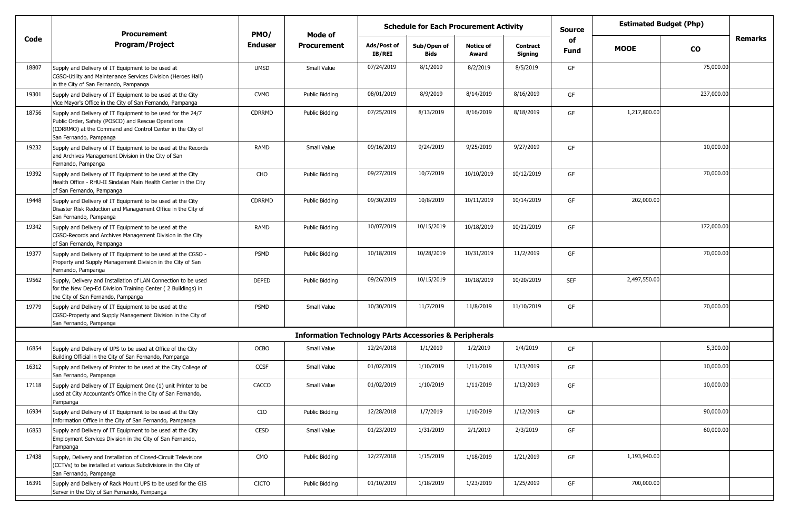|       | <b>Procurement</b>                                                                                                                                                                                       | PMO/           | Mode of                                                           | <b>Schedule for Each Procurement Activity</b> |                            |                           |                            | <b>Source</b> | <b>Estimated Budget (Php)</b> |            |         |
|-------|----------------------------------------------------------------------------------------------------------------------------------------------------------------------------------------------------------|----------------|-------------------------------------------------------------------|-----------------------------------------------|----------------------------|---------------------------|----------------------------|---------------|-------------------------------|------------|---------|
| Code  | Program/Project                                                                                                                                                                                          | <b>Enduser</b> | <b>Procurement</b>                                                | Ads/Post of<br>IB/REI                         | Sub/Open of<br><b>Bids</b> | <b>Notice of</b><br>Award | <b>Contract</b><br>Signing | of<br>Fund    | <b>MOOE</b>                   | <b>CO</b>  | Remarks |
| 18807 | Supply and Delivery of IT Equipment to be used at<br>CGSO-Utility and Maintenance Services Division (Heroes Hall)<br>in the City of San Fernando, Pampanga                                               | <b>UMSD</b>    | Small Value                                                       | 07/24/2019                                    | 8/1/2019                   | 8/2/2019                  | 8/5/2019                   | GF            |                               | 75,000.00  |         |
| 19301 | Supply and Delivery of IT Equipment to be used at the City<br>Vice Mayor's Office in the City of San Fernando, Pampanga                                                                                  | <b>CVMO</b>    | Public Bidding                                                    | 08/01/2019                                    | 8/9/2019                   | 8/14/2019                 | 8/16/2019                  | GF            |                               | 237,000.00 |         |
| 18756 | Supply and Delivery of IT Equipment to be used for the 24/7<br>Public Order, Safety (POSCO) and Rescue Operations<br>(CDRRMO) at the Command and Control Center in the City of<br>San Fernando, Pampanga | <b>CDRRMD</b>  | Public Bidding                                                    | 07/25/2019                                    | 8/13/2019                  | 8/16/2019                 | 8/18/2019                  | GF            | 1,217,800.00                  |            |         |
| 19232 | Supply and Delivery of IT Equipment to be used at the Records<br>and Archives Management Division in the City of San<br>Fernando, Pampanga                                                               | RAMD           | Small Value                                                       | 09/16/2019                                    | 9/24/2019                  | 9/25/2019                 | 9/27/2019                  | GF            |                               | 10,000.00  |         |
| 19392 | Supply and Delivery of IT Equipment to be used at the City<br>Health Office - RHU-II Sindalan Main Health Center in the City<br>of San Fernando, Pampanga                                                | CHO            | Public Bidding                                                    | 09/27/2019                                    | 10/7/2019                  | 10/10/2019                | 10/12/2019                 | GF            |                               | 70,000.00  |         |
| 19448 | Supply and Delivery of IT Equipment to be used at the City<br>Disaster Risk Reduction and Management Office in the City of<br>San Fernando, Pampanga                                                     | <b>CDRRMD</b>  | Public Bidding                                                    | 09/30/2019                                    | 10/8/2019                  | 10/11/2019                | 10/14/2019                 | GF            | 202,000.00                    |            |         |
| 19342 | Supply and Delivery of IT Equipment to be used at the<br>CGSO-Records and Archives Management Division in the City<br>of San Fernando, Pampanga                                                          | RAMD           | Public Bidding                                                    | 10/07/2019                                    | 10/15/2019                 | 10/18/2019                | 10/21/2019                 | GF            |                               | 172,000.00 |         |
| 19377 | Supply and Delivery of IT Equipment to be used at the CGSO -<br>Property and Supply Management Division in the City of San<br>Fernando, Pampanga                                                         | PSMD           | Public Bidding                                                    | 10/18/2019                                    | 10/28/2019                 | 10/31/2019                | 11/2/2019                  | GF            |                               | 70,000.00  |         |
| 19562 | Supply, Delivery and Installation of LAN Connection to be used<br>for the New Dep-Ed Division Training Center (2 Buildings) in<br>the City of San Fernando, Pampanga                                     | <b>DEPED</b>   | Public Bidding                                                    | 09/26/2019                                    | 10/15/2019                 | 10/18/2019                | 10/20/2019                 | <b>SEF</b>    | 2,497,550.00                  |            |         |
| 19779 | Supply and Delivery of IT Equipment to be used at the<br>CGSO-Property and Supply Management Division in the City of<br>San Fernando, Pampanga                                                           | PSMD           | Small Value                                                       | 10/30/2019                                    | 11/7/2019                  | 11/8/2019                 | 11/10/2019                 | GF            |                               | 70,000.00  |         |
|       |                                                                                                                                                                                                          |                | <b>Information Technology PArts Accessories &amp; Peripherals</b> |                                               |                            |                           |                            |               |                               |            |         |
| 16854 | Supply and Delivery of UPS to be used at Office of the City<br>Building Official in the City of San Fernando, Pampanga                                                                                   | OCBO           | Small Value                                                       | 12/24/2018                                    | 1/1/2019                   | 1/2/2019                  | 1/4/2019                   | GF            |                               | 5,300.00   |         |
| 16312 | Supply and Delivery of Printer to be used at the City College of<br>San Fernando, Pampanga                                                                                                               | CCSF           | Small Value                                                       | 01/02/2019                                    | 1/10/2019                  | 1/11/2019                 | 1/13/2019                  | GF            |                               | 10,000.00  |         |
| 17118 | Supply and Delivery of IT Equipment One (1) unit Printer to be<br>used at City Accountant's Office in the City of San Fernando,<br>Pampanga                                                              | CACCO          | Small Value                                                       | 01/02/2019                                    | 1/10/2019                  | 1/11/2019                 | 1/13/2019                  | GF            |                               | 10,000.00  |         |
| 16934 | Supply and Delivery of IT Equipment to be used at the City<br>Information Office in the City of San Fernando, Pampanga                                                                                   | CIO            | Public Bidding                                                    | 12/28/2018                                    | 1/7/2019                   | 1/10/2019                 | 1/12/2019                  | GF            |                               | 90,000.00  |         |
| 16853 | Supply and Delivery of IT Equipment to be used at the City<br>Employment Services Division in the City of San Fernando,<br>Pampanga                                                                      | CESD           | Small Value                                                       | 01/23/2019                                    | 1/31/2019                  | 2/1/2019                  | 2/3/2019                   | GF            |                               | 60,000.00  |         |
| 17438 | Supply, Delivery and Installation of Closed-Circuit Televisions<br>(CCTVs) to be installed at various Subdivisions in the City of<br>San Fernando, Pampanga                                              | <b>CMO</b>     | Public Bidding                                                    | 12/27/2018                                    | 1/15/2019                  | 1/18/2019                 | 1/21/2019                  | GF            | 1,193,940.00                  |            |         |
| 16391 | Supply and Delivery of Rack Mount UPS to be used for the GIS<br>Server in the City of San Fernando, Pampanga                                                                                             | <b>CICTO</b>   | Public Bidding                                                    | 01/10/2019                                    | 1/18/2019                  | 1/23/2019                 | 1/25/2019                  | GF            | 700,000.00                    |            |         |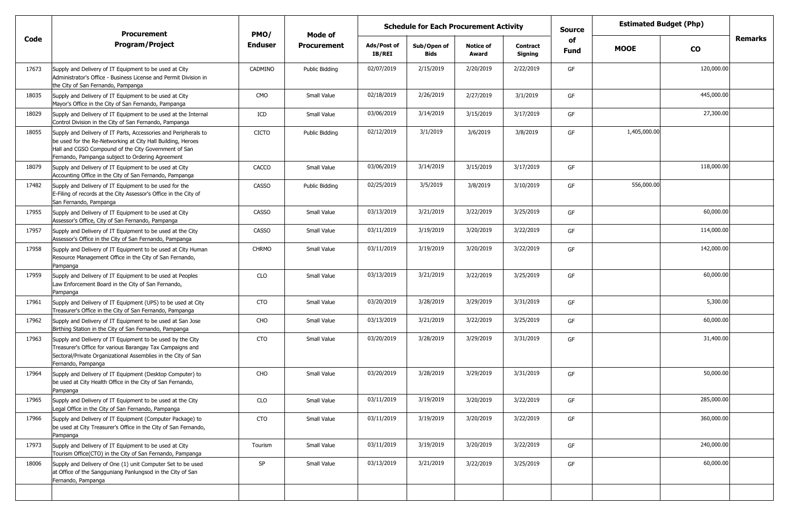|       | <b>Procurement</b>                                                                                                                                                                                                                         | PMO/           | Mode of            |                       | <b>Schedule for Each Procurement Activity</b> |                           |                            | <b>Estimated Budget (Php)</b><br><b>Source</b><br>of |              |            |         |
|-------|--------------------------------------------------------------------------------------------------------------------------------------------------------------------------------------------------------------------------------------------|----------------|--------------------|-----------------------|-----------------------------------------------|---------------------------|----------------------------|------------------------------------------------------|--------------|------------|---------|
| Code  | <b>Program/Project</b>                                                                                                                                                                                                                     | <b>Enduser</b> | <b>Procurement</b> | Ads/Post of<br>IB/REI | Sub/Open of<br><b>Bids</b>                    | <b>Notice of</b><br>Award | <b>Contract</b><br>Signing | Fund                                                 | <b>MOOE</b>  | <b>CO</b>  | Remarks |
| 17673 | Supply and Delivery of IT Equipment to be used at City<br>Administrator's Office - Business License and Permit Division in<br>the City of San Fernando, Pampanga                                                                           | CADMINO        | Public Bidding     | 02/07/2019            | 2/15/2019                                     | 2/20/2019                 | 2/22/2019                  | GF                                                   |              | 120,000.00 |         |
| 18035 | Supply and Delivery of IT Equipment to be used at City<br>Mayor's Office in the City of San Fernando, Pampanga                                                                                                                             | <b>CMO</b>     | Small Value        | 02/18/2019            | 2/26/2019                                     | 2/27/2019                 | 3/1/2019                   | GF                                                   |              | 445,000.00 |         |
| 18029 | Supply and Delivery of IT Equipment to be used at the Internal<br>Control Division in the City of San Fernando, Pampanga                                                                                                                   | ICD            | Small Value        | 03/06/2019            | 3/14/2019                                     | 3/15/2019                 | 3/17/2019                  | GF                                                   |              | 27,300.00  |         |
| 18055 | Supply and Delivery of IT Parts, Accessories and Peripherals to<br>be used for the Re-Networking at City Hall Building, Heroes<br>Hall and CGSO Compound of the City Government of San<br>Fernando, Pampanga subject to Ordering Agreement | <b>CICTO</b>   | Public Bidding     | 02/12/2019            | 3/1/2019                                      | 3/6/2019                  | 3/8/2019                   | GF                                                   | 1,405,000.00 |            |         |
| 18079 | Supply and Delivery of IT Equipment to be used at City<br>Accounting Office in the City of San Fernando, Pampanga                                                                                                                          | CACCO          | Small Value        | 03/06/2019            | 3/14/2019                                     | 3/15/2019                 | 3/17/2019                  | GF                                                   |              | 118,000.00 |         |
| 17482 | Supply and Delivery of IT Equipment to be used for the<br>E-Filing of records at the City Assessor's Office in the City of<br>San Fernando, Pampanga                                                                                       | <b>CASSO</b>   | Public Bidding     | 02/25/2019            | 3/5/2019                                      | 3/8/2019                  | 3/10/2019                  | GF                                                   | 556,000.00   |            |         |
| 17955 | Supply and Delivery of IT Equipment to be used at City<br>Assessor's Office, City of San Fernando, Pampanga                                                                                                                                | <b>CASSO</b>   | Small Value        | 03/13/2019            | 3/21/2019                                     | 3/22/2019                 | 3/25/2019                  | GF                                                   |              | 60,000.00  |         |
| 17957 | Supply and Delivery of IT Equipment to be used at the City<br>Assessor's Office in the City of San Fernando, Pampanga                                                                                                                      | <b>CASSO</b>   | Small Value        | 03/11/2019            | 3/19/2019                                     | 3/20/2019                 | 3/22/2019                  | GF                                                   |              | 114,000.00 |         |
| 17958 | Supply and Delivery of IT Equipment to be used at City Human<br>Resource Management Office in the City of San Fernando,<br>Pampanga                                                                                                        | <b>CHRMO</b>   | Small Value        | 03/11/2019            | 3/19/2019                                     | 3/20/2019                 | 3/22/2019                  | GF                                                   |              | 142,000.00 |         |
| 17959 | Supply and Delivery of IT Equipment to be used at Peoples<br>Law Enforcement Board in the City of San Fernando,<br>Pampanga                                                                                                                | CLO            | Small Value        | 03/13/2019            | 3/21/2019                                     | 3/22/2019                 | 3/25/2019                  | GF                                                   |              | 60,000.00  |         |
| 17961 | Supply and Delivery of IT Equipment (UPS) to be used at City<br>Treasurer's Office in the City of San Fernando, Pampanga                                                                                                                   | CTO            | Small Value        | 03/20/2019            | 3/28/2019                                     | 3/29/2019                 | 3/31/2019                  | GF                                                   |              | 5,300.00   |         |
| 17962 | Supply and Delivery of IT Equipment to be used at San Jose<br>Birthing Station in the City of San Fernando, Pampanga                                                                                                                       | CHO            | Small Value        | 03/13/2019            | 3/21/2019                                     | 3/22/2019                 | 3/25/2019                  | GF                                                   |              | 60,000.00  |         |
| 17963 | Supply and Delivery of IT Equipment to be used by the City<br>Treasurer's Office for various Barangay Tax Campaigns and<br>Sectoral/Private Organizational Assemblies in the City of San<br>Fernando, Pampanga                             | <b>CTO</b>     | Small Value        | 03/20/2019            | 3/28/2019                                     | 3/29/2019                 | 3/31/2019                  | GF                                                   |              | 31,400.00  |         |
| 17964 | Supply and Delivery of IT Equipment (Desktop Computer) to<br>be used at City Health Office in the City of San Fernando,<br>Pampanga                                                                                                        | CHO            | Small Value        | 03/20/2019            | 3/28/2019                                     | 3/29/2019                 | 3/31/2019                  | GF                                                   |              | 50,000.00  |         |
| 17965 | Supply and Delivery of IT Equipment to be used at the City<br>Legal Office in the City of San Fernando, Pampanga                                                                                                                           | <b>CLO</b>     | Small Value        | 03/11/2019            | 3/19/2019                                     | 3/20/2019                 | 3/22/2019                  | GF                                                   |              | 285,000.00 |         |
| 17966 | Supply and Delivery of IT Equipment (Computer Package) to<br>be used at City Treasurer's Office in the City of San Fernando,<br>Pampanga                                                                                                   | CTO            | Small Value        | 03/11/2019            | 3/19/2019                                     | 3/20/2019                 | 3/22/2019                  | GF                                                   |              | 360,000.00 |         |
| 17973 | Supply and Delivery of IT Equipment to be used at City<br>Tourism Office(CTO) in the City of San Fernando, Pampanga                                                                                                                        | Tourism        | Small Value        | 03/11/2019            | 3/19/2019                                     | 3/20/2019                 | 3/22/2019                  | GF                                                   |              | 240,000.00 |         |
| 18006 | Supply and Delivery of One (1) unit Computer Set to be used<br>at Office of the Sangguniang Panlungsod in the City of San<br>Fernando, Pampanga                                                                                            | SP             | Small Value        | 03/13/2019            | 3/21/2019                                     | 3/22/2019                 | 3/25/2019                  | GF                                                   |              | 60,000.00  |         |
|       |                                                                                                                                                                                                                                            |                |                    |                       |                                               |                           |                            |                                                      |              |            |         |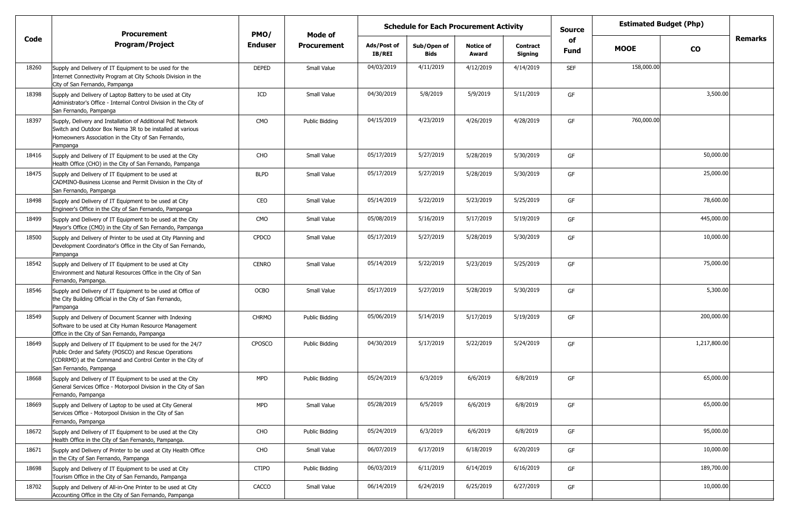|       | <b>Procurement</b>                                                                                                                                                                                          | PMO/           | Mode of            | <b>Schedule for Each Procurement Activity</b><br><b>Source</b><br>of |                            | <b>Estimated Budget (Php)</b> |                            |            |             |              |         |
|-------|-------------------------------------------------------------------------------------------------------------------------------------------------------------------------------------------------------------|----------------|--------------------|----------------------------------------------------------------------|----------------------------|-------------------------------|----------------------------|------------|-------------|--------------|---------|
| Code  | <b>Program/Project</b>                                                                                                                                                                                      | <b>Enduser</b> | <b>Procurement</b> | Ads/Post of<br>IB/REI                                                | Sub/Open of<br><b>Bids</b> | <b>Notice of</b><br>Award     | <b>Contract</b><br>Signing | Fund       | <b>MOOE</b> | <b>CO</b>    | Remarks |
| 18260 | Supply and Delivery of IT Equipment to be used for the<br>Internet Connectivity Program at City Schools Division in the<br>City of San Fernando, Pampanga                                                   | <b>DEPED</b>   | Small Value        | 04/03/2019                                                           | 4/11/2019                  | 4/12/2019                     | 4/14/2019                  | <b>SEF</b> | 158,000.00  |              |         |
| 18398 | Supply and Delivery of Laptop Battery to be used at City<br>Administrator's Office - Internal Control Division in the City of<br>San Fernando, Pampanga                                                     | ICD            | Small Value        | 04/30/2019                                                           | 5/8/2019                   | 5/9/2019                      | 5/11/2019                  | GF         |             | 3,500.00     |         |
| 18397 | Supply, Delivery and Installation of Additional PoE Network<br>Switch and Outdoor Box Nema 3R to be installed at various<br>Homeowners Association in the City of San Fernando,<br>Pampanga                 | CMO            | Public Bidding     | 04/15/2019                                                           | 4/23/2019                  | 4/26/2019                     | 4/28/2019                  | GF         | 760,000.00  |              |         |
| 18416 | Supply and Delivery of IT Equipment to be used at the City<br>Health Office (CHO) in the City of San Fernando, Pampanga                                                                                     | CHO            | Small Value        | 05/17/2019                                                           | 5/27/2019                  | 5/28/2019                     | 5/30/2019                  | GF         |             | 50,000.00    |         |
| 18475 | Supply and Delivery of IT Equipment to be used at<br>CADMINO-Business License and Permit Division in the City of<br>San Fernando, Pampanga                                                                  | <b>BLPD</b>    | Small Value        | 05/17/2019                                                           | 5/27/2019                  | 5/28/2019                     | 5/30/2019                  | GF         |             | 25,000.00    |         |
| 18498 | Supply and Delivery of IT Equipment to be used at City<br>Engineer's Office in the City of San Fernando, Pampanga                                                                                           | CEO            | Small Value        | 05/14/2019                                                           | 5/22/2019                  | 5/23/2019                     | 5/25/2019                  | GF         |             | 78,600.00    |         |
| 18499 | Supply and Delivery of IT Equipment to be used at the City<br>Mayor's Office (CMO) in the City of San Fernando, Pampanga                                                                                    | CMO            | Small Value        | 05/08/2019                                                           | 5/16/2019                  | 5/17/2019                     | 5/19/2019                  | GF         |             | 445,000.00   |         |
| 18500 | Supply and Delivery of Printer to be used at City Planning and<br>Development Coordinator's Office in the City of San Fernando,<br>Pampanga                                                                 | <b>CPDCO</b>   | Small Value        | 05/17/2019                                                           | 5/27/2019                  | 5/28/2019                     | 5/30/2019                  | GF         |             | 10,000.00    |         |
| 18542 | Supply and Delivery of IT Equipment to be used at City<br>Environment and Natural Resources Office in the City of San<br>Fernando, Pampanga.                                                                | <b>CENRO</b>   | Small Value        | 05/14/2019                                                           | 5/22/2019                  | 5/23/2019                     | 5/25/2019                  | GF         |             | 75,000.00    |         |
| 18546 | Supply and Delivery of IT Equipment to be used at Office of<br>the City Building Official in the City of San Fernando,<br>Pampanga                                                                          | <b>OCBO</b>    | Small Value        | 05/17/2019                                                           | 5/27/2019                  | 5/28/2019                     | 5/30/2019                  | GF         |             | 5,300.00     |         |
| 18549 | Supply and Delivery of Document Scanner with Indexing<br>Software to be used at City Human Resource Management<br>Office in the City of San Fernando, Pampanga                                              | <b>CHRMO</b>   | Public Bidding     | 05/06/2019                                                           | 5/14/2019                  | 5/17/2019                     | 5/19/2019                  | GF         |             | 200,000.00   |         |
| 18649 | Supply and Delivery of IT Equipment to be used for the 24/7<br>Public Order and Safety (POSCO) and Rescue Operations<br>(CDRRMD) at the Command and Control Center in the City of<br>San Fernando, Pampanga | CPOSCO         | Public Bidding     | 04/30/2019                                                           | 5/17/2019                  | 5/22/2019                     | 5/24/2019                  | GF         |             | 1,217,800.00 |         |
| 18668 | Supply and Delivery of IT Equipment to be used at the City<br>General Services Office - Motorpool Division in the City of San<br>Fernando, Pampanga                                                         | <b>MPD</b>     | Public Bidding     | 05/24/2019                                                           | 6/3/2019                   | 6/6/2019                      | 6/8/2019                   | GF         |             | 65,000.00    |         |
| 18669 | Supply and Delivery of Laptop to be used at City General<br>Services Office - Motorpool Division in the City of San<br>Fernando, Pampanga                                                                   | <b>MPD</b>     | Small Value        | 05/28/2019                                                           | 6/5/2019                   | 6/6/2019                      | 6/8/2019                   | GF         |             | 65,000.00    |         |
| 18672 | Supply and Delivery of IT Equipment to be used at the City<br>Health Office in the City of San Fernando, Pampanga.                                                                                          | CHO            | Public Bidding     | 05/24/2019                                                           | 6/3/2019                   | 6/6/2019                      | 6/8/2019                   | GF         |             | 95,000.00    |         |
| 18671 | Supply and Delivery of Printer to be used at City Health Office<br>in the City of San Fernando, Pampanga                                                                                                    | CHO            | Small Value        | 06/07/2019                                                           | 6/17/2019                  | 6/18/2019                     | 6/20/2019                  | GF         |             | 10,000.00    |         |
| 18698 | Supply and Delivery of IT Equipment to be used at City<br>Tourism Office in the City of San Fernando, Pampanga                                                                                              | <b>CTIPO</b>   | Public Bidding     | 06/03/2019                                                           | 6/11/2019                  | 6/14/2019                     | 6/16/2019                  | GF         |             | 189,700.00   |         |
| 18702 | Supply and Delivery of All-in-One Printer to be used at City<br>Accounting Office in the City of San Fernando, Pampanga                                                                                     | CACCO          | Small Value        | 06/14/2019                                                           | 6/24/2019                  | 6/25/2019                     | 6/27/2019                  | GF         |             | 10,000.00    |         |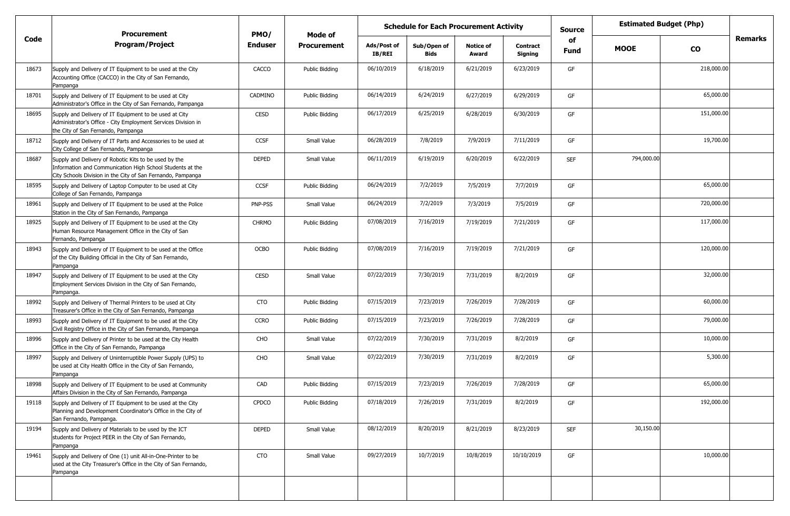|       | Procurement                                                                                                                                                                       | PMO/           | Mode of               | <b>Schedule for Each Procurement Activity</b> |                     |                           |                            | <b>Source</b>     | <b>Estimated Budget (Php)</b> |            |         |
|-------|-----------------------------------------------------------------------------------------------------------------------------------------------------------------------------------|----------------|-----------------------|-----------------------------------------------|---------------------|---------------------------|----------------------------|-------------------|-------------------------------|------------|---------|
| Code  | <b>Program/Project</b>                                                                                                                                                            | <b>Enduser</b> | <b>Procurement</b>    | Ads/Post of<br><b>IB/REI</b>                  | Sub/Open of<br>Bids | <b>Notice of</b><br>Award | <b>Contract</b><br>Signing | of<br><b>Fund</b> | <b>MOOE</b>                   | CO         | Remarks |
| 18673 | Supply and Delivery of IT Equipment to be used at the City<br>Accounting Office (CACCO) in the City of San Fernando,<br>Pampanga                                                  | CACCO          | <b>Public Bidding</b> | 06/10/2019                                    | 6/18/2019           | 6/21/2019                 | 6/23/2019                  | GF                |                               | 218,000.00 |         |
| 18701 | Supply and Delivery of IT Equipment to be used at City<br>Administrator's Office in the City of San Fernando, Pampanga                                                            | CADMINO        | Public Bidding        | 06/14/2019                                    | 6/24/2019           | 6/27/2019                 | 6/29/2019                  | GF                |                               | 65,000.00  |         |
| 18695 | Supply and Delivery of IT Equipment to be used at City<br>Administrator's Office - City Employment Services Division in<br>the City of San Fernando, Pampanga                     | CESD           | Public Bidding        | 06/17/2019                                    | 6/25/2019           | 6/28/2019                 | 6/30/2019                  | GF                |                               | 151,000.00 |         |
| 18712 | Supply and Delivery of IT Parts and Accessories to be used at<br>City College of San Fernando, Pampanga                                                                           | <b>CCSF</b>    | Small Value           | 06/28/2019                                    | 7/8/2019            | 7/9/2019                  | 7/11/2019                  | GF                |                               | 19,700.00  |         |
| 18687 | Supply and Delivery of Robotic Kits to be used by the<br>Information and Communication High School Students at the<br>City Schools Division in the City of San Fernando, Pampanga | <b>DEPED</b>   | Small Value           | 06/11/2019                                    | 6/19/2019           | 6/20/2019                 | 6/22/2019                  | <b>SEF</b>        | 794,000.00                    |            |         |
| 18595 | Supply and Delivery of Laptop Computer to be used at City<br>College of San Fernando, Pampanga                                                                                    | <b>CCSF</b>    | Public Bidding        | 06/24/2019                                    | 7/2/2019            | 7/5/2019                  | 7/7/2019                   | GF                |                               | 65,000.00  |         |
| 18961 | Supply and Delivery of IT Equipment to be used at the Police<br>Station in the City of San Fernando, Pampanga                                                                     | PNP-PSS        | Small Value           | 06/24/2019                                    | 7/2/2019            | 7/3/2019                  | 7/5/2019                   | GF                |                               | 720,000.00 |         |
| 18925 | Supply and Delivery of IT Equipment to be used at the City<br>Human Resource Management Office in the City of San<br>Fernando, Pampanga                                           | <b>CHRMO</b>   | Public Bidding        | 07/08/2019                                    | 7/16/2019           | 7/19/2019                 | 7/21/2019                  | GF                |                               | 117,000.00 |         |
| 18943 | Supply and Delivery of IT Equipment to be used at the Office<br>of the City Building Official in the City of San Fernando,<br>Pampanga                                            | <b>OCBO</b>    | Public Bidding        | 07/08/2019                                    | 7/16/2019           | 7/19/2019                 | 7/21/2019                  | GF                |                               | 120,000.00 |         |
| 18947 | Supply and Delivery of IT Equipment to be used at the City<br>Employment Services Division in the City of San Fernando,<br>Pampanga.                                              | CESD           | Small Value           | 07/22/2019                                    | 7/30/2019           | 7/31/2019                 | 8/2/2019                   | GF                |                               | 32,000.00  |         |
| 18992 | Supply and Delivery of Thermal Printers to be used at City<br>Treasurer's Office in the City of San Fernando, Pampanga                                                            | CTO            | Public Bidding        | 07/15/2019                                    | 7/23/2019           | 7/26/2019                 | 7/28/2019                  | GF                |                               | 60,000.00  |         |
| 18993 | Supply and Delivery of IT Equipment to be used at the City<br>Civil Registry Office in the City of San Fernando, Pampanga                                                         | <b>CCRO</b>    | Public Bidding        | 07/15/2019                                    | 7/23/2019           | 7/26/2019                 | 7/28/2019                  | GF                |                               | 79,000.00  |         |
| 18996 | Supply and Delivery of Printer to be used at the City Health<br>Office in the City of San Fernando, Pampanga                                                                      | CHO            | Small Value           | 07/22/2019                                    | 7/30/2019           | 7/31/2019                 | 8/2/2019                   | GF                |                               | 10,000.00  |         |
| 18997 | Supply and Delivery of Uninterruptible Power Supply (UPS) to<br>be used at City Health Office in the City of San Fernando,<br>Pampanga                                            | CHO            | Small Value           | 07/22/2019                                    | 7/30/2019           | 7/31/2019                 | 8/2/2019                   | GF                |                               | 5,300.00   |         |
| 18998 | Supply and Delivery of IT Equipment to be used at Community<br>Affairs Division in the City of San Fernando, Pampanga                                                             | CAD            | <b>Public Bidding</b> | 07/15/2019                                    | 7/23/2019           | 7/26/2019                 | 7/28/2019                  | GF                |                               | 65,000.00  |         |
| 19118 | Supply and Delivery of IT Equipment to be used at the City<br>Planning and Development Coordinator's Office in the City of<br>San Fernando, Pampanga.                             | <b>CPDCO</b>   | Public Bidding        | 07/18/2019                                    | 7/26/2019           | 7/31/2019                 | 8/2/2019                   | GF                |                               | 192,000.00 |         |
| 19194 | Supply and Delivery of Materials to be used by the ICT<br>students for Project PEER in the City of San Fernando,<br>Pampanga                                                      | <b>DEPED</b>   | Small Value           | 08/12/2019                                    | 8/20/2019           | 8/21/2019                 | 8/23/2019                  | SEF               | 30,150.00                     |            |         |
| 19461 | Supply and Delivery of One (1) unit All-in-One-Printer to be<br>used at the City Treasurer's Office in the City of San Fernando,<br>Pampanga                                      | CTO            | Small Value           | 09/27/2019                                    | 10/7/2019           | 10/8/2019                 | 10/10/2019                 | GF                |                               | 10,000.00  |         |
|       |                                                                                                                                                                                   |                |                       |                                               |                     |                           |                            |                   |                               |            |         |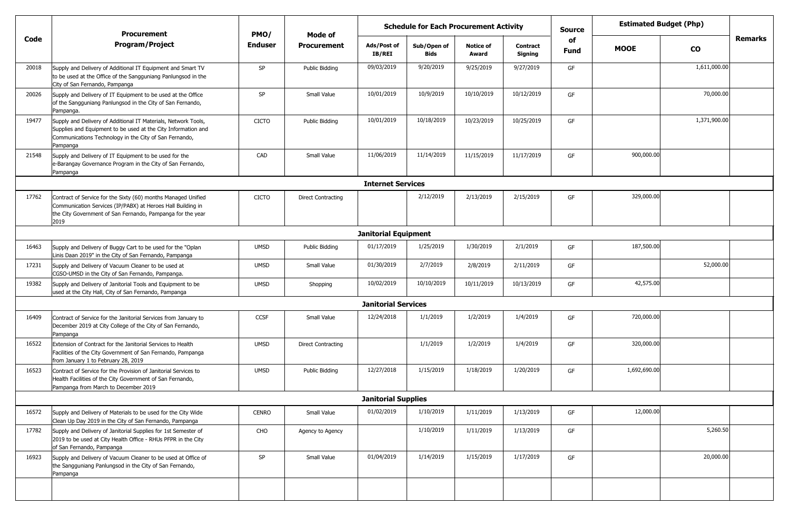|       | <b>Procurement</b>                                                                                                                                                                                    | PMO/           | Mode of                   |                              | <b>Estimated Budget (Php)</b><br><b>Schedule for Each Procurement Activity</b><br><b>Source</b><br>of<br><b>Notice of</b><br>Sub/Open of<br><b>Contract</b> |            |            |             |              |              |                |
|-------|-------------------------------------------------------------------------------------------------------------------------------------------------------------------------------------------------------|----------------|---------------------------|------------------------------|-------------------------------------------------------------------------------------------------------------------------------------------------------------|------------|------------|-------------|--------------|--------------|----------------|
| Code  | <b>Program/Project</b>                                                                                                                                                                                | <b>Enduser</b> | <b>Procurement</b>        | Ads/Post of<br><b>IB/REI</b> | <b>Bids</b>                                                                                                                                                 | Award      | Signing    | <b>Fund</b> | <b>MOOE</b>  | <b>CO</b>    | <b>Remarks</b> |
| 20018 | Supply and Delivery of Additional IT Equipment and Smart TV<br>to be used at the Office of the Sangguniang Panlungsod in the<br>City of San Fernando, Pampanga                                        | SP             | Public Bidding            | 09/03/2019                   | 9/20/2019                                                                                                                                                   | 9/25/2019  | 9/27/2019  | GF          |              | 1,611,000.00 |                |
| 20026 | Supply and Delivery of IT Equipment to be used at the Office<br>of the Sangguniang Panlungsod in the City of San Fernando,<br>Pampanga.                                                               | <b>SP</b>      | Small Value               | 10/01/2019                   | 10/9/2019                                                                                                                                                   | 10/10/2019 | 10/12/2019 | GF          |              | 70,000.00    |                |
| 19477 | Supply and Delivery of Additional IT Materials, Network Tools,<br>Supplies and Equipment to be used at the City Information and<br>Communications Technology in the City of San Fernando,<br>Pampanga | <b>CICTO</b>   | Public Bidding            | 10/01/2019                   | 10/18/2019                                                                                                                                                  | 10/23/2019 | 10/25/2019 | GF          |              | 1,371,900.00 |                |
| 21548 | Supply and Delivery of IT Equipment to be used for the<br>e-Barangay Governance Program in the City of San Fernando,<br>Pampanga                                                                      | CAD            | Small Value               | 11/06/2019                   | 11/14/2019                                                                                                                                                  | 11/15/2019 | 11/17/2019 | GF          | 900,000.00   |              |                |
|       |                                                                                                                                                                                                       |                |                           | <b>Internet Services</b>     |                                                                                                                                                             |            |            |             |              |              |                |
| 17762 | Contract of Service for the Sixty (60) months Managed Unified<br>Communication Services (IP/PABX) at Heroes Hall Building in<br>the City Government of San Fernando, Pampanga for the year<br>2019    | <b>CICTO</b>   | <b>Direct Contracting</b> |                              | 2/12/2019                                                                                                                                                   | 2/13/2019  | 2/15/2019  | GF          | 329,000.00   |              |                |
|       |                                                                                                                                                                                                       |                |                           | <b>Janitorial Equipment</b>  |                                                                                                                                                             |            |            |             |              |              |                |
| 16463 | Supply and Delivery of Buggy Cart to be used for the "Oplan"<br>Linis Daan 2019" in the City of San Fernando, Pampanga                                                                                | <b>UMSD</b>    | Public Bidding            | 01/17/2019                   | 1/25/2019                                                                                                                                                   | 1/30/2019  | 2/1/2019   | GF          | 187,500.00   |              |                |
| 17231 | Supply and Delivery of Vacuum Cleaner to be used at<br>CGSO-UMSD in the City of San Fernando, Pampanga.                                                                                               | <b>UMSD</b>    | Small Value               | 01/30/2019                   | 2/7/2019                                                                                                                                                    | 2/8/2019   | 2/11/2019  | GF          |              | 52,000.00    |                |
| 19382 | Supply and Delivery of Janitorial Tools and Equipment to be<br>used at the City Hall, City of San Fernando, Pampanga                                                                                  | <b>UMSD</b>    | Shopping                  | 10/02/2019                   | 10/10/2019                                                                                                                                                  | 10/11/2019 | 10/13/2019 | GF          | 42,575.00    |              |                |
|       |                                                                                                                                                                                                       |                |                           | <b>Janitorial Services</b>   |                                                                                                                                                             |            |            |             |              |              |                |
| 16409 | Contract of Service for the Janitorial Services from January to<br>December 2019 at City College of the City of San Fernando,<br>Pampanga                                                             | <b>CCSF</b>    | Small Value               | 12/24/2018                   | 1/1/2019                                                                                                                                                    | 1/2/2019   | 1/4/2019   | GF          | 720,000.00   |              |                |
| 16522 | Extension of Contract for the Janitorial Services to Health<br>Facilities of the City Government of San Fernando, Pampanga<br>from January 1 to February 28, 2019                                     | <b>UMSD</b>    | Direct Contracting        |                              | 1/1/2019                                                                                                                                                    | 1/2/2019   | 1/4/2019   | GF          | 320,000.00   |              |                |
| 16523 | Contract of Service for the Provision of Janitorial Services to<br>Health Facilities of the City Government of San Fernando,<br>Pampanga from March to December 2019                                  | <b>UMSD</b>    | Public Bidding            | 12/27/2018                   | 1/15/2019                                                                                                                                                   | 1/18/2019  | 1/20/2019  | GF          | 1,692,690.00 |              |                |
|       |                                                                                                                                                                                                       |                |                           | <b>Janitorial Supplies</b>   |                                                                                                                                                             |            |            |             |              |              |                |
| 16572 | Supply and Delivery of Materials to be used for the City Wide<br>Clean Up Day 2019 in the City of San Fernando, Pampanga                                                                              | <b>CENRO</b>   | Small Value               | 01/02/2019                   | 1/10/2019                                                                                                                                                   | 1/11/2019  | 1/13/2019  | GF          | 12,000.00    |              |                |
| 17782 | Supply and Delivery of Janitorial Supplies for 1st Semester of<br>2019 to be used at City Health Office - RHUs PFPR in the City<br>of San Fernando, Pampanga                                          | CHO            | Agency to Agency          |                              | 1/10/2019                                                                                                                                                   | 1/11/2019  | 1/13/2019  | GF          |              | 5,260.50     |                |
| 16923 | Supply and Delivery of Vacuum Cleaner to be used at Office of<br>the Sangguniang Panlungsod in the City of San Fernando,<br>Pampanga                                                                  | SP             | Small Value               | 01/04/2019                   | 1/14/2019                                                                                                                                                   | 1/15/2019  | 1/17/2019  | GF          |              | 20,000.00    |                |
|       |                                                                                                                                                                                                       |                |                           |                              |                                                                                                                                                             |            |            |             |              |              |                |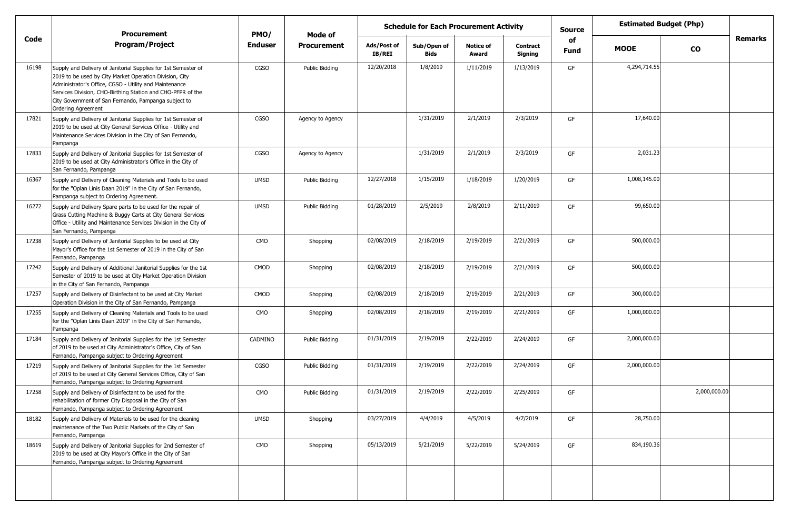|       | <b>Procurement</b>                                                                                                                                                                                                                                                                                                                      | PMO/           | Mode of            |                              | <b>Schedule for Each Procurement Activity</b> |                           |                            | <b>Source</b> | <b>Estimated Budget (Php)</b> |              |                |
|-------|-----------------------------------------------------------------------------------------------------------------------------------------------------------------------------------------------------------------------------------------------------------------------------------------------------------------------------------------|----------------|--------------------|------------------------------|-----------------------------------------------|---------------------------|----------------------------|---------------|-------------------------------|--------------|----------------|
| Code  | <b>Program/Project</b>                                                                                                                                                                                                                                                                                                                  | <b>Enduser</b> | <b>Procurement</b> | Ads/Post of<br><b>IB/REI</b> | Sub/Open of<br><b>Bids</b>                    | <b>Notice of</b><br>Award | <b>Contract</b><br>Signing | of<br>Fund    | <b>MOOE</b>                   | <b>CO</b>    | <b>Remarks</b> |
| 16198 | Supply and Delivery of Janitorial Supplies for 1st Semester of<br>2019 to be used by City Market Operation Division, City<br>Administrator's Office, CGSO - Utility and Maintenance<br>Services Division, CHO-Birthing Station and CHO-PFPR of the<br>City Government of San Fernando, Pampanga subject to<br><b>Ordering Agreement</b> | CGSO           | Public Bidding     | 12/20/2018                   | 1/8/2019                                      | 1/11/2019                 | 1/13/2019                  | GF            | 4,294,714.55                  |              |                |
| 17821 | Supply and Delivery of Janitorial Supplies for 1st Semester of<br>2019 to be used at City General Services Office - Utility and<br>Maintenance Services Division in the City of San Fernando,<br>Pampanga                                                                                                                               | CGSO           | Agency to Agency   |                              | 1/31/2019                                     | 2/1/2019                  | 2/3/2019                   | GF            | 17,640.00                     |              |                |
| 17833 | Supply and Delivery of Janitorial Supplies for 1st Semester of<br>2019 to be used at City Administrator's Office in the City of<br>San Fernando, Pampanga                                                                                                                                                                               | <b>CGSO</b>    | Agency to Agency   |                              | 1/31/2019                                     | 2/1/2019                  | 2/3/2019                   | GF            | 2,031.23                      |              |                |
| 16367 | Supply and Delivery of Cleaning Materials and Tools to be used<br>for the "Oplan Linis Daan 2019" in the City of San Fernando,<br>Pampanga subject to Ordering Agreement.                                                                                                                                                               | <b>UMSD</b>    | Public Bidding     | 12/27/2018                   | 1/15/2019                                     | 1/18/2019                 | 1/20/2019                  | GF            | 1,008,145.00                  |              |                |
| 16272 | Supply and Delivery Spare parts to be used for the repair of<br>Grass Cutting Machine & Buggy Carts at City General Services<br>Office - Utility and Maintenance Services Division in the City of<br>San Fernando, Pampanga                                                                                                             | <b>UMSD</b>    | Public Bidding     | 01/28/2019                   | 2/5/2019                                      | 2/8/2019                  | 2/11/2019                  | GF            | 99,650.00                     |              |                |
| 17238 | Supply and Delivery of Janitorial Supplies to be used at City<br>Mayor's Office for the 1st Semester of 2019 in the City of San<br>Fernando, Pampanga                                                                                                                                                                                   | <b>CMO</b>     | Shopping           | 02/08/2019                   | 2/18/2019                                     | 2/19/2019                 | 2/21/2019                  | GF            | 500,000.00                    |              |                |
| 17242 | Supply and Delivery of Additional Janitorial Supplies for the 1st<br>Semester of 2019 to be used at City Market Operation Division<br>in the City of San Fernando, Pampanga                                                                                                                                                             | CMOD           | Shopping           | 02/08/2019                   | 2/18/2019                                     | 2/19/2019                 | 2/21/2019                  | GF            | 500,000.00                    |              |                |
| 17257 | Supply and Delivery of Disinfectant to be used at City Market<br>Operation Division in the City of San Fernando, Pampanga                                                                                                                                                                                                               | CMOD           | Shopping           | 02/08/2019                   | 2/18/2019                                     | 2/19/2019                 | 2/21/2019                  | GF            | 300,000.00                    |              |                |
| 17255 | Supply and Delivery of Cleaning Materials and Tools to be used<br>for the "Oplan Linis Daan 2019" in the City of San Fernando,<br>Pampanga                                                                                                                                                                                              | <b>CMO</b>     | Shopping           | 02/08/2019                   | 2/18/2019                                     | 2/19/2019                 | 2/21/2019                  | GF            | 1,000,000.00                  |              |                |
| 17184 | Supply and Delivery of Janitorial Supplies for the 1st Semester<br>of 2019 to be used at City Administrator's Office, City of San<br>Fernando, Pampanga subject to Ordering Agreement                                                                                                                                                   | CADMINO        | Public Bidding     | 01/31/2019                   | 2/19/2019                                     | 2/22/2019                 | 2/24/2019                  | GF            | 2,000,000.00                  |              |                |
| 17219 | Supply and Delivery of Janitorial Supplies for the 1st Semester<br>of 2019 to be used at City General Services Office, City of San<br>Fernando, Pampanga subject to Ordering Agreement                                                                                                                                                  | <b>CGSO</b>    | Public Bidding     | 01/31/2019                   | 2/19/2019                                     | 2/22/2019                 | 2/24/2019                  | GF            | 2,000,000.00                  |              |                |
| 17258 | Supply and Delivery of Disinfectant to be used for the<br>rehabilitation of former City Disposal in the City of San<br>Fernando, Pampanga subject to Ordering Agreement                                                                                                                                                                 | CMO            | Public Bidding     | 01/31/2019                   | 2/19/2019                                     | 2/22/2019                 | 2/25/2019                  | GF            |                               | 2,000,000.00 |                |
| 18182 | Supply and Delivery of Materials to be used for the cleaning<br>maintenance of the Two Public Markets of the City of San<br>Fernando, Pampanga                                                                                                                                                                                          | <b>UMSD</b>    | Shopping           | 03/27/2019                   | 4/4/2019                                      | 4/5/2019                  | 4/7/2019                   | GF            | 28,750.00                     |              |                |
| 18619 | Supply and Delivery of Janitorial Supplies for 2nd Semester of<br>2019 to be used at City Mayor's Office in the City of San<br>Fernando, Pampanga subject to Ordering Agreement                                                                                                                                                         | <b>CMO</b>     | Shopping           | 05/13/2019                   | 5/21/2019                                     | 5/22/2019                 | 5/24/2019                  | GF            | 834,190.36                    |              |                |
|       |                                                                                                                                                                                                                                                                                                                                         |                |                    |                              |                                               |                           |                            |               |                               |              |                |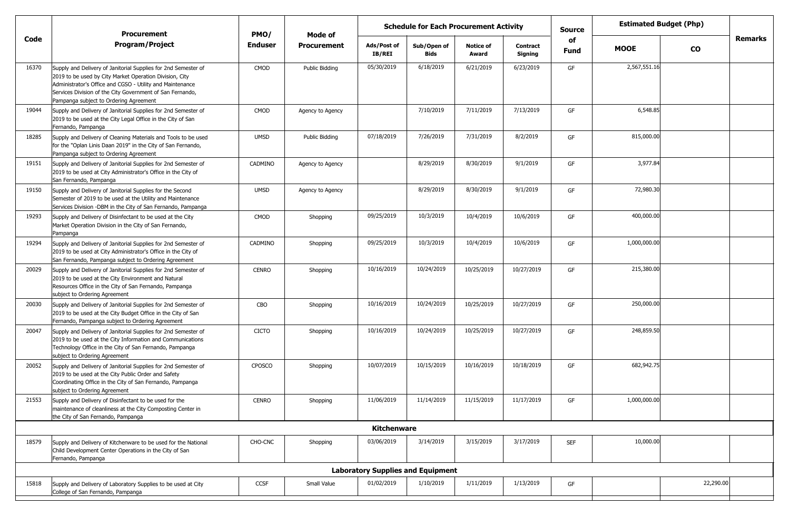|       | <b>Procurement</b>                                                                                                                                                                                                                                                                            | PMO/           | Mode of            | <b>Schedule for Each Procurement Activity</b> |                                          |                           |                            |                   |              | <b>Estimated Budget (Php)</b> |         |
|-------|-----------------------------------------------------------------------------------------------------------------------------------------------------------------------------------------------------------------------------------------------------------------------------------------------|----------------|--------------------|-----------------------------------------------|------------------------------------------|---------------------------|----------------------------|-------------------|--------------|-------------------------------|---------|
| Code  | <b>Program/Project</b>                                                                                                                                                                                                                                                                        | <b>Enduser</b> | <b>Procurement</b> | Ads/Post of<br>IB/REI                         | Sub/Open of<br><b>Bids</b>               | <b>Notice of</b><br>Award | <b>Contract</b><br>Signing | of<br><b>Fund</b> | <b>MOOE</b>  | $\mathbf{co}$                 | Remarks |
| 16370 | Supply and Delivery of Janitorial Supplies for 2nd Semester of<br>2019 to be used by City Market Operation Division, City<br>Administrator's Office and CGSO - Utility and Maintenance<br>Services Division of the City Government of San Fernando,<br>Pampanga subject to Ordering Agreement | CMOD           | Public Bidding     | 05/30/2019                                    | 6/18/2019                                | 6/21/2019                 | 6/23/2019                  | GF                | 2,567,551.16 |                               |         |
| 19044 | Supply and Delivery of Janitorial Supplies for 2nd Semester of<br>2019 to be used at the City Legal Office in the City of San<br>Fernando, Pampanga                                                                                                                                           | CMOD           | Agency to Agency   |                                               | 7/10/2019                                | 7/11/2019                 | 7/13/2019                  | GF                | 6,548.85     |                               |         |
| 18285 | Supply and Delivery of Cleaning Materials and Tools to be used<br>for the "Oplan Linis Daan 2019" in the City of San Fernando,<br>Pampanga subject to Ordering Agreement                                                                                                                      | <b>UMSD</b>    | Public Bidding     | 07/18/2019                                    | 7/26/2019                                | 7/31/2019                 | 8/2/2019                   | GF                | 815,000.00   |                               |         |
| 19151 | Supply and Delivery of Janitorial Supplies for 2nd Semester of<br>2019 to be used at City Administrator's Office in the City of<br>San Fernando, Pampanga                                                                                                                                     | CADMINO        | Agency to Agency   |                                               | 8/29/2019                                | 8/30/2019                 | 9/1/2019                   | GF                | 3,977.84     |                               |         |
| 19150 | Supply and Delivery of Janitorial Supplies for the Second<br>Semester of 2019 to be used at the Utility and Maintenance<br>Services Division -DBM in the City of San Fernando, Pampanga                                                                                                       | <b>UMSD</b>    | Agency to Agency   |                                               | 8/29/2019                                | 8/30/2019                 | 9/1/2019                   | GF                | 72,980.30    |                               |         |
| 19293 | Supply and Delivery of Disinfectant to be used at the City<br>Market Operation Division in the City of San Fernando,<br>Pampanga                                                                                                                                                              | CMOD           | Shopping           | 09/25/2019                                    | 10/3/2019                                | 10/4/2019                 | 10/6/2019                  | GF                | 400,000.00   |                               |         |
| 19294 | Supply and Delivery of Janitorial Supplies for 2nd Semester of<br>2019 to be used at City Administrator's Office in the City of<br>San Fernando, Pampanga subject to Ordering Agreement                                                                                                       | CADMINO        | Shopping           | 09/25/2019                                    | 10/3/2019                                | 10/4/2019                 | 10/6/2019                  | GF                | 1,000,000.00 |                               |         |
| 20029 | Supply and Delivery of Janitorial Supplies for 2nd Semester of<br>2019 to be used at the City Environment and Natural<br>Resources Office in the City of San Fernando, Pampanga<br>subject to Ordering Agreement                                                                              | <b>CENRO</b>   | Shopping           | 10/16/2019                                    | 10/24/2019                               | 10/25/2019                | 10/27/2019                 | GF                | 215,380.00   |                               |         |
| 20030 | Supply and Delivery of Janitorial Supplies for 2nd Semester of<br>2019 to be used at the City Budget Office in the City of San<br>Fernando, Pampanga subject to Ordering Agreement                                                                                                            | CBO            | Shopping           | 10/16/2019                                    | 10/24/2019                               | 10/25/2019                | 10/27/2019                 | GF                | 250,000.00   |                               |         |
| 20047 | Supply and Delivery of Janitorial Supplies for 2nd Semester of<br>2019 to be used at the City Information and Communications<br>Technology Office in the City of San Fernando, Pampanga<br>subject to Ordering Agreement                                                                      | <b>CICTO</b>   | Shopping           | 10/16/2019                                    | 10/24/2019                               | 10/25/2019                | 10/27/2019                 | GF                | 248,859.50   |                               |         |
| 20052 | Supply and Delivery of Janitorial Supplies for 2nd Semester of<br>2019 to be used at the City Public Order and Safety<br>Coordinating Office in the City of San Fernando, Pampanga<br>subject to Ordering Agreement                                                                           | CPOSCO         | Shopping           | 10/07/2019                                    | 10/15/2019                               | 10/16/2019                | 10/18/2019                 | GF                | 682,942.75   |                               |         |
| 21553 | Supply and Delivery of Disinfectant to be used for the<br>maintenance of cleanliness at the City Composting Center in<br>the City of San Fernando, Pampanga                                                                                                                                   | <b>CENRO</b>   | Shopping           | 11/06/2019                                    | 11/14/2019                               | 11/15/2019                | 11/17/2019                 | GF                | 1,000,000.00 |                               |         |
|       |                                                                                                                                                                                                                                                                                               |                |                    | <b>Kitchenware</b>                            |                                          |                           |                            |                   |              |                               |         |
| 18579 | Supply and Delivery of Kitchenware to be used for the National<br>Child Development Center Operations in the City of San<br>Fernando, Pampanga                                                                                                                                                | CHO-CNC        | Shopping           | 03/06/2019                                    | 3/14/2019                                | 3/15/2019                 | 3/17/2019                  | <b>SEF</b>        | 10,000.00    |                               |         |
|       |                                                                                                                                                                                                                                                                                               |                |                    |                                               | <b>Laboratory Supplies and Equipment</b> |                           |                            |                   |              |                               |         |
| 15818 | Supply and Delivery of Laboratory Supplies to be used at City<br>College of San Fernando, Pampanga                                                                                                                                                                                            | CCSF           | Small Value        | 01/02/2019                                    | 1/10/2019                                | 1/11/2019                 | 1/13/2019                  | GF                |              | 22,290.00                     |         |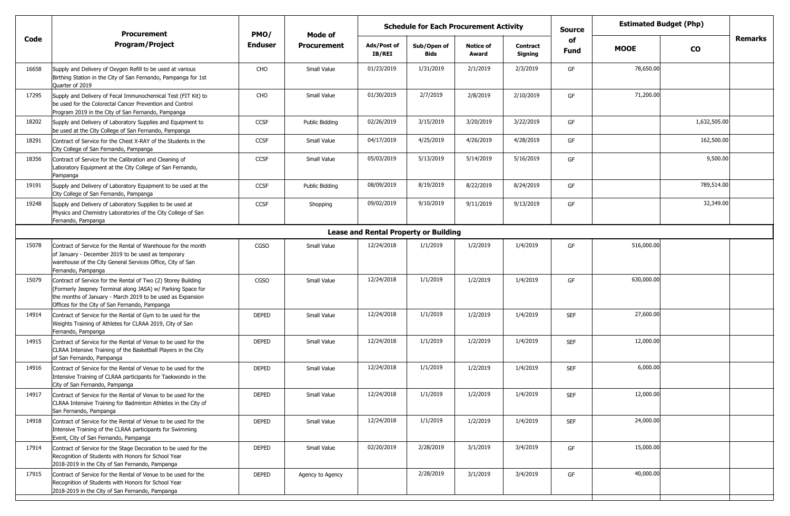|       | <b>Procurement</b>                                                                                                                                                                                                                           | PMO/           | Mode of               |                              | <b>Schedule for Each Procurement Activity</b> |                           |                     | <b>Estimated Budget (Php)</b><br>Source |             |              |                |
|-------|----------------------------------------------------------------------------------------------------------------------------------------------------------------------------------------------------------------------------------------------|----------------|-----------------------|------------------------------|-----------------------------------------------|---------------------------|---------------------|-----------------------------------------|-------------|--------------|----------------|
| Code  | <b>Program/Project</b>                                                                                                                                                                                                                       | <b>Enduser</b> | <b>Procurement</b>    | Ads/Post of<br><b>IB/REI</b> | Sub/Open of<br>Bids                           | <b>Notice of</b><br>Award | Contract<br>Signing | of<br><b>Fund</b>                       | <b>MOOE</b> | <b>CO</b>    | <b>Remarks</b> |
| 16658 | Supply and Delivery of Oxygen Refill to be used at various<br>Birthing Station in the City of San Fernando, Pampanga for 1st<br>Quarter of 2019                                                                                              | CHO            | Small Value           | 01/23/2019                   | 1/31/2019                                     | 2/1/2019                  | 2/3/2019            | GF                                      | 78,650.00   |              |                |
| 17295 | Supply and Delivery of Fecal Immunochemical Test (FIT Kit) to<br>be used for the Colorectal Cancer Prevention and Control<br>Program 2019 in the City of San Fernando, Pampanga                                                              | CHO            | Small Value           | 01/30/2019                   | 2/7/2019                                      | 2/8/2019                  | 2/10/2019           | GF                                      | 71,200.00   |              |                |
| 18202 | Supply and Delivery of Laboratory Supplies and Equipment to<br>be used at the City College of San Fernando, Pampanga                                                                                                                         | <b>CCSF</b>    | <b>Public Bidding</b> | 02/26/2019                   | 3/15/2019                                     | 3/20/2019                 | 3/22/2019           | GF                                      |             | 1,632,505.00 |                |
| 18291 | Contract of Service for the Chest X-RAY of the Students in the<br>City College of San Fernando, Pampanga                                                                                                                                     | <b>CCSF</b>    | Small Value           | 04/17/2019                   | 4/25/2019                                     | 4/26/2019                 | 4/28/2019           | GF                                      |             | 162,500.00   |                |
| 18356 | Contract of Service for the Calibration and Cleaning of<br>Laboratory Equipment at the City College of San Fernando,<br>Pampanga                                                                                                             | <b>CCSF</b>    | Small Value           | 05/03/2019                   | 5/13/2019                                     | 5/14/2019                 | 5/16/2019           | GF                                      |             | 9,500.00     |                |
| 19191 | Supply and Delivery of Laboratory Equipment to be used at the<br>City College of San Fernando, Pampanga                                                                                                                                      | <b>CCSF</b>    | <b>Public Bidding</b> | 08/09/2019                   | 8/19/2019                                     | 8/22/2019                 | 8/24/2019           | GF                                      |             | 789,514.00   |                |
| 19248 | Supply and Delivery of Laboratory Supplies to be used at<br>Physics and Chemistry Laboratories of the City College of San<br>Fernando, Pampanga                                                                                              | <b>CCSF</b>    | Shopping              | 09/02/2019                   | 9/10/2019                                     | 9/11/2019                 | 9/13/2019           | GF                                      |             | 32,349.00    |                |
|       |                                                                                                                                                                                                                                              |                |                       |                              | <b>Lease and Rental Property or Building</b>  |                           |                     |                                         |             |              |                |
| 15078 | Contract of Service for the Rental of Warehouse for the month<br>of January - December 2019 to be used as temporary<br>warehouse of the City General Services Office, City of San<br>Fernando, Pampanga                                      | <b>CGSO</b>    | Small Value           | 12/24/2018                   | 1/1/2019                                      | 1/2/2019                  | 1/4/2019            | GF                                      | 516,000.00  |              |                |
| 15079 | Contract of Service for the Rental of Two (2) Storey Building<br>(Formerly Jeepney Terminal along JASA) w/ Parking Space for<br>the months of January - March 2019 to be used as Expansion<br>Offices for the City of San Fernando, Pampanga | <b>CGSO</b>    | Small Value           | 12/24/2018                   | 1/1/2019                                      | 1/2/2019                  | 1/4/2019            | GF                                      | 630,000.00  |              |                |
| 14914 | Contract of Service for the Rental of Gym to be used for the<br>Weights Training of Athletes for CLRAA 2019, City of San<br>Fernando, Pampanga                                                                                               | <b>DEPED</b>   | Small Value           | 12/24/2018                   | 1/1/2019                                      | 1/2/2019                  | 1/4/2019            | <b>SEF</b>                              | 27,600.00   |              |                |
| 14915 | Contract of Service for the Rental of Venue to be used for the<br>CLRAA Intensive Training of the Basketball Players in the City<br>of San Fernando, Pampanga                                                                                | <b>DEPED</b>   | Small Value           | 12/24/2018                   | 1/1/2019                                      | 1/2/2019                  | 1/4/2019            | <b>SEF</b>                              | 12,000.00   |              |                |
| 14916 | Contract of Service for the Rental of Venue to be used for the<br>Intensive Training of CLRAA participants for Taekwondo in the<br>City of San Fernando, Pampanga                                                                            | <b>DEPED</b>   | Small Value           | 12/24/2018                   | 1/1/2019                                      | 1/2/2019                  | 1/4/2019            | <b>SEF</b>                              | 6,000.00    |              |                |
| 14917 | Contract of Service for the Rental of Venue to be used for the<br>CLRAA Intensive Training for Badminton Athletes in the City of<br>San Fernando, Pampanga                                                                                   | <b>DEPED</b>   | Small Value           | 12/24/2018                   | 1/1/2019                                      | 1/2/2019                  | 1/4/2019            | <b>SEF</b>                              | 12,000.00   |              |                |
| 14918 | Contract of Service for the Rental of Venue to be used for the<br>Intensive Training of the CLRAA participants for Swimming<br>Event, City of San Fernando, Pampanga                                                                         | <b>DEPED</b>   | Small Value           | 12/24/2018                   | 1/1/2019                                      | 1/2/2019                  | 1/4/2019            | SEF                                     | 24,000.00   |              |                |
| 17914 | Contract of Service for the Stage Decoration to be used for the<br>Recognition of Students with Honors for School Year<br>2018-2019 in the City of San Fernando, Pampanga                                                                    | DEPED          | Small Value           | 02/20/2019                   | 2/28/2019                                     | 3/1/2019                  | 3/4/2019            | GF                                      | 15,000.00   |              |                |
| 17915 | Contract of Service for the Rental of Venue to be used for the<br>Recognition of Students with Honors for School Year<br>2018-2019 in the City of San Fernando, Pampanga                                                                     | <b>DEPED</b>   | Agency to Agency      |                              | 2/28/2019                                     | 3/1/2019                  | 3/4/2019            | GF                                      | 40,000.00   |              |                |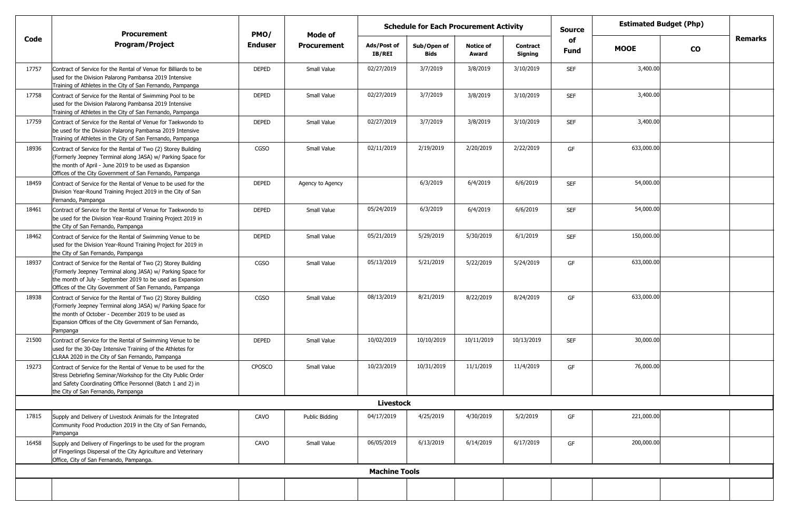|       | <b>Procurement</b>                                                                                                                                                                                                                                          | PMO/           | Mode of               |                              | <b>Schedule for Each Procurement Activity</b> |                           |                            | <b>Estimated Budget (Php)</b><br><b>Source</b><br>of |             |               |         |
|-------|-------------------------------------------------------------------------------------------------------------------------------------------------------------------------------------------------------------------------------------------------------------|----------------|-----------------------|------------------------------|-----------------------------------------------|---------------------------|----------------------------|------------------------------------------------------|-------------|---------------|---------|
| Code  | <b>Program/Project</b>                                                                                                                                                                                                                                      | <b>Enduser</b> | <b>Procurement</b>    | Ads/Post of<br><b>IB/REI</b> | Sub/Open of<br><b>Bids</b>                    | <b>Notice of</b><br>Award | <b>Contract</b><br>Signing | <b>Fund</b>                                          | <b>MOOE</b> | $\mathbf{co}$ | Remarks |
| 17757 | Contract of Service for the Rental of Venue for Billiards to be<br>used for the Division Palarong Pambansa 2019 Intensive<br>Training of Athletes in the City of San Fernando, Pampanga                                                                     | DEPED          | Small Value           | 02/27/2019                   | 3/7/2019                                      | 3/8/2019                  | 3/10/2019                  | <b>SEF</b>                                           | 3,400.00    |               |         |
| 17758 | Contract of Service for the Rental of Swimming Pool to be<br>used for the Division Palarong Pambansa 2019 Intensive<br>Training of Athletes in the City of San Fernando, Pampanga                                                                           | <b>DEPED</b>   | Small Value           | 02/27/2019                   | 3/7/2019                                      | 3/8/2019                  | 3/10/2019                  | <b>SEF</b>                                           | 3,400.00    |               |         |
| 17759 | Contract of Service for the Rental of Venue for Taekwondo to<br>be used for the Division Palarong Pambansa 2019 Intensive<br>Training of Athletes in the City of San Fernando, Pampanga                                                                     | <b>DEPED</b>   | Small Value           | 02/27/2019                   | 3/7/2019                                      | 3/8/2019                  | 3/10/2019                  | <b>SEF</b>                                           | 3,400.00    |               |         |
| 18936 | Contract of Service for the Rental of Two (2) Storey Building<br>(Formerly Jeepney Terminal along JASA) w/ Parking Space for<br>the month of April - June 2019 to be used as Expansion<br>Offices of the City Government of San Fernando, Pampanga          | CGSO           | Small Value           | 02/11/2019                   | 2/19/2019                                     | 2/20/2019                 | 2/22/2019                  | GF                                                   | 633,000.00  |               |         |
| 18459 | Contract of Service for the Rental of Venue to be used for the<br>Division Year-Round Training Project 2019 in the City of San<br>Fernando, Pampanga                                                                                                        | DEPED          | Agency to Agency      |                              | 6/3/2019                                      | 6/4/2019                  | 6/6/2019                   | <b>SEF</b>                                           | 54,000.00   |               |         |
| 18461 | Contract of Service for the Rental of Venue for Taekwondo to<br>be used for the Division Year-Round Training Project 2019 in<br>the City of San Fernando, Pampanga                                                                                          | DEPED          | Small Value           | 05/24/2019                   | 6/3/2019                                      | 6/4/2019                  | 6/6/2019                   | <b>SEF</b>                                           | 54,000.00   |               |         |
| 18462 | Contract of Service for the Rental of Swimming Venue to be<br>used for the Division Year-Round Training Project for 2019 in<br>the City of San Fernando, Pampanga                                                                                           | DEPED          | Small Value           | 05/21/2019                   | 5/29/2019                                     | 5/30/2019                 | 6/1/2019                   | <b>SEF</b>                                           | 150,000.00  |               |         |
| 18937 | Contract of Service for the Rental of Two (2) Storey Building<br>(Formerly Jeepney Terminal along JASA) w/ Parking Space for<br>the month of July - September 2019 to be used as Expansion<br>Offices of the City Government of San Fernando, Pampanga      | <b>CGSO</b>    | Small Value           | 05/13/2019                   | 5/21/2019                                     | 5/22/2019                 | 5/24/2019                  | GF                                                   | 633,000.00  |               |         |
| 18938 | Contract of Service for the Rental of Two (2) Storey Building<br>(Formerly Jeepney Terminal along JASA) w/ Parking Space for<br>the month of October - December 2019 to be used as<br>Expansion Offices of the City Government of San Fernando,<br>Pampanga | <b>CGSO</b>    | Small Value           | 08/13/2019                   | 8/21/2019                                     | 8/22/2019                 | 8/24/2019                  | GF                                                   | 633,000.00  |               |         |
| 21500 | Contract of Service for the Rental of Swimming Venue to be<br>used for the 30-Day Intensive Training of the Athletes for<br>CLRAA 2020 in the City of San Fernando, Pampanga                                                                                | DEPED          | Small Value           | 10/02/2019                   | 10/10/2019                                    | 10/11/2019                | 10/13/2019                 | <b>SEF</b>                                           | 30,000.00   |               |         |
| 19273 | Contract of Service for the Rental of Venue to be used for the<br>Stress Debriefing Seminar/Workshop for the City Public Order<br>and Safety Coordinating Office Personnel (Batch 1 and 2) in<br>the City of San Fernando, Pampanga                         | <b>CPOSCO</b>  | Small Value           | 10/23/2019                   | 10/31/2019                                    | 11/1/2019                 | 11/4/2019                  | GF                                                   | 76,000.00   |               |         |
|       |                                                                                                                                                                                                                                                             |                |                       | <b>Livestock</b>             |                                               |                           |                            |                                                      |             |               |         |
| 17815 | Supply and Delivery of Livestock Animals for the Integrated<br>Community Food Production 2019 in the City of San Fernando,<br>Pampanga                                                                                                                      | CAVO           | <b>Public Bidding</b> | 04/17/2019                   | 4/25/2019                                     | 4/30/2019                 | 5/2/2019                   | GF                                                   | 221,000.00  |               |         |
| 16458 | Supply and Delivery of Fingerlings to be used for the program<br>of Fingerlings Dispersal of the City Agriculture and Veterinary<br>Office, City of San Fernando, Pampanga.                                                                                 | CAVO           | Small Value           | 06/05/2019                   | 6/13/2019                                     | 6/14/2019                 | 6/17/2019                  | GF                                                   | 200,000.00  |               |         |
|       |                                                                                                                                                                                                                                                             |                |                       | <b>Machine Tools</b>         |                                               |                           |                            |                                                      |             |               |         |
|       |                                                                                                                                                                                                                                                             |                |                       |                              |                                               |                           |                            |                                                      |             |               |         |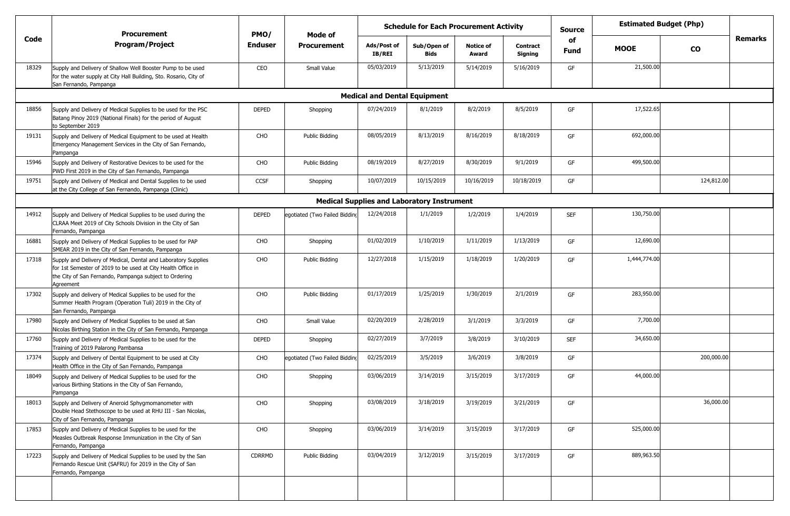|       | <b>Procurement</b>                                                                                                                                                                                    | PMO/           | Mode of                       |                                     | <b>Schedule for Each Procurement Activity</b>     |                           |                     | <b>Source</b>     |              | <b>Estimated Budget (Php)</b> |                |
|-------|-------------------------------------------------------------------------------------------------------------------------------------------------------------------------------------------------------|----------------|-------------------------------|-------------------------------------|---------------------------------------------------|---------------------------|---------------------|-------------------|--------------|-------------------------------|----------------|
| Code  | Program/Project                                                                                                                                                                                       | <b>Enduser</b> | Procurement                   | Ads/Post of<br><b>IB/REI</b>        | Sub/Open of<br><b>Bids</b>                        | <b>Notice of</b><br>Award | Contract<br>Signing | of<br><b>Fund</b> | <b>MOOE</b>  | <b>CO</b>                     | <b>Remarks</b> |
| 18329 | Supply and Delivery of Shallow Well Booster Pump to be used<br>for the water supply at City Hall Building, Sto. Rosario, City of<br>San Fernando, Pampanga                                            | CEO            | Small Value                   | 05/03/2019                          | 5/13/2019                                         | 5/14/2019                 | 5/16/2019           | GF                | 21,500.00    |                               |                |
|       |                                                                                                                                                                                                       |                |                               | <b>Medical and Dental Equipment</b> |                                                   |                           |                     |                   |              |                               |                |
| 18856 | Supply and Delivery of Medical Supplies to be used for the PSC<br>Batang Pinoy 2019 (National Finals) for the period of August<br>to September 2019                                                   | <b>DEPED</b>   | Shopping                      | 07/24/2019                          | 8/1/2019                                          | 8/2/2019                  | 8/5/2019            | GF                | 17,522.65    |                               |                |
| 19131 | Supply and Delivery of Medical Equipment to be used at Health<br>Emergency Management Services in the City of San Fernando,<br>Pampanga                                                               | CHO            | Public Bidding                | 08/05/2019                          | 8/13/2019                                         | 8/16/2019                 | 8/18/2019           | GF                | 692,000.00   |                               |                |
| 15946 | Supply and Delivery of Restorative Devices to be used for the<br>PWD First 2019 in the City of San Fernando, Pampanga                                                                                 | CHO            | Public Bidding                | 08/19/2019                          | 8/27/2019                                         | 8/30/2019                 | 9/1/2019            | GF                | 499,500.00   |                               |                |
| 19751 | Supply and Delivery of Medical and Dental Supplies to be used<br>at the City College of San Fernando, Pampanga (Clinic)                                                                               | <b>CCSF</b>    | Shopping                      | 10/07/2019                          | 10/15/2019                                        | 10/16/2019                | 10/18/2019          | GF                |              | 124,812.00                    |                |
|       |                                                                                                                                                                                                       |                |                               |                                     | <b>Medical Supplies and Laboratory Instrument</b> |                           |                     |                   |              |                               |                |
| 14912 | Supply and Delivery of Medical Supplies to be used during the<br>CLRAA Meet 2019 of City Schools Division in the City of San<br>Fernando, Pampanga                                                    | <b>DEPED</b>   | egotiated (Two Failed Bidding | 12/24/2018                          | 1/1/2019                                          | 1/2/2019                  | 1/4/2019            | <b>SEF</b>        | 130,750.00   |                               |                |
| 16881 | Supply and Delivery of Medical Supplies to be used for PAP<br>SMEAR 2019 in the City of San Fernando, Pampanga                                                                                        | CHO            | Shopping                      | 01/02/2019                          | 1/10/2019                                         | 1/11/2019                 | 1/13/2019           | GF                | 12,690.00    |                               |                |
| 17318 | Supply and Delivery of Medical, Dental and Laboratory Supplies<br>for 1st Semester of 2019 to be used at City Health Office in<br>the City of San Fernando, Pampanga subject to Ordering<br>Agreement | CHO            | Public Bidding                | 12/27/2018                          | 1/15/2019                                         | 1/18/2019                 | 1/20/2019           | GF                | 1,444,774.00 |                               |                |
| 17302 | Supply and delivery of Medical Supplies to be used for the<br>Summer Health Program (Operation Tuli) 2019 in the City of<br>San Fernando, Pampanga                                                    | CHO            | Public Bidding                | 01/17/2019                          | 1/25/2019                                         | 1/30/2019                 | 2/1/2019            | GF                | 283,950.00   |                               |                |
| 17980 | Supply and Delivery of Medical Supplies to be used at San<br>Nicolas Birthing Station in the City of San Fernando, Pampanga                                                                           | CHO            | Small Value                   | 02/20/2019                          | 2/28/2019                                         | 3/1/2019                  | 3/3/2019            | GF                | 7,700.00     |                               |                |
| 17760 | Supply and Delivery of Medical Supplies to be used for the<br>Training of 2019 Palarong Pambansa                                                                                                      | DEPED          | Shopping                      | 02/27/2019                          | 3/7/2019                                          | 3/8/2019                  | 3/10/2019           | <b>SEF</b>        | 34,650.00    |                               |                |
| 17374 | Supply and Delivery of Dental Equipment to be used at City<br>Health Office in the City of San Fernando, Pampanga                                                                                     | CHO            | egotiated (Two Failed Bidding | 02/25/2019                          | 3/5/2019                                          | 3/6/2019                  | 3/8/2019            | GF                |              | 200,000.00                    |                |
| 18049 | Supply and Delivery of Medical Supplies to be used for the<br>various Birthing Stations in the City of San Fernando,<br>Pampanga                                                                      | CHO            | Shopping                      | 03/06/2019                          | 3/14/2019                                         | 3/15/2019                 | 3/17/2019           | GF                | 44,000.00    |                               |                |
| 18013 | Supply and Delivery of Aneroid Sphygmomanometer with<br>Double Head Stethoscope to be used at RHU III - San Nicolas,<br>City of San Fernando, Pampanga                                                | CHO            | Shopping                      | 03/08/2019                          | 3/18/2019                                         | 3/19/2019                 | 3/21/2019           | GF                |              | 36,000.00                     |                |
| 17853 | Supply and Delivery of Medical Supplies to be used for the<br>Measles Outbreak Response Immunization in the City of San<br>Fernando, Pampanga                                                         | CHO            | Shopping                      | 03/06/2019                          | 3/14/2019                                         | 3/15/2019                 | 3/17/2019           | GF                | 525,000.00   |                               |                |
| 17223 | Supply and Delivery of Medical Supplies to be used by the San<br>Fernando Rescue Unit (SAFRU) for 2019 in the City of San<br>Fernando, Pampanga                                                       | CDRRMD         | Public Bidding                | 03/04/2019                          | 3/12/2019                                         | 3/15/2019                 | 3/17/2019           | GF                | 889,963.50   |                               |                |
|       |                                                                                                                                                                                                       |                |                               |                                     |                                                   |                           |                     |                   |              |                               |                |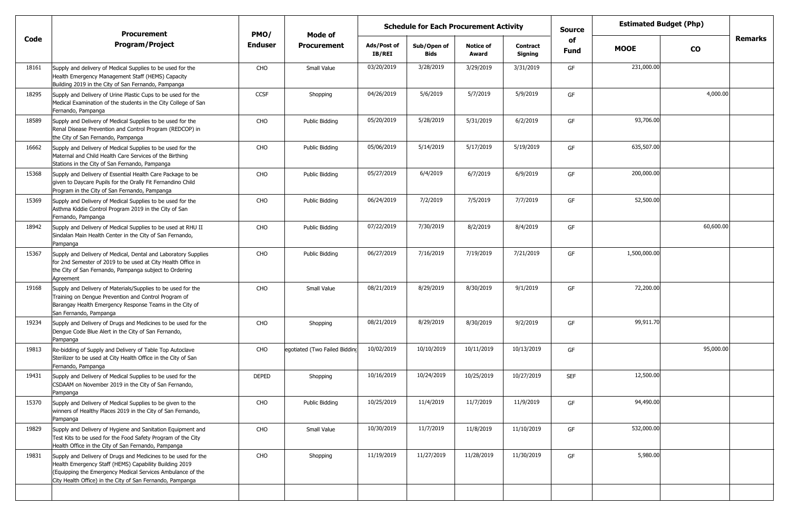|       | <b>Procurement</b>                                                                                                                                                                                                                                 | PMO/         | Mode of                       |                       | <b>Schedule for Each Procurement Activity</b> |                           |                            | <b>Source</b> |              | <b>Estimated Budget (Php)</b> |         |
|-------|----------------------------------------------------------------------------------------------------------------------------------------------------------------------------------------------------------------------------------------------------|--------------|-------------------------------|-----------------------|-----------------------------------------------|---------------------------|----------------------------|---------------|--------------|-------------------------------|---------|
| Code  | <b>Program/Project</b>                                                                                                                                                                                                                             | Enduser      | <b>Procurement</b>            | Ads/Post of<br>IB/REI | Sub/Open of<br><b>Bids</b>                    | <b>Notice of</b><br>Award | <b>Contract</b><br>Signing | of<br>Fund    | <b>MOOE</b>  | <b>CO</b>                     | Remarks |
| 18161 | Supply and delivery of Medical Supplies to be used for the<br>Health Emergency Management Staff (HEMS) Capacity<br>Building 2019 in the City of San Fernando, Pampanga                                                                             | CHO          | Small Value                   | 03/20/2019            | 3/28/2019                                     | 3/29/2019                 | 3/31/2019                  | GF            | 231,000.00   |                               |         |
| 18295 | Supply and Delivery of Urine Plastic Cups to be used for the<br>Medical Examination of the students in the City College of San<br>Fernando, Pampanga                                                                                               | CCSF         | Shopping                      | 04/26/2019            | 5/6/2019                                      | 5/7/2019                  | 5/9/2019                   | GF            |              | 4,000.00                      |         |
| 18589 | Supply and Delivery of Medical Supplies to be used for the<br>Renal Disease Prevention and Control Program (REDCOP) in<br>the City of San Fernando, Pampanga                                                                                       | CHO          | Public Bidding                | 05/20/2019            | 5/28/2019                                     | 5/31/2019                 | 6/2/2019                   | GF            | 93,706.00    |                               |         |
| 16662 | Supply and Delivery of Medical Supplies to be used for the<br>Maternal and Child Health Care Services of the Birthing<br>Stations in the City of San Fernando, Pampanga                                                                            | CHO          | Public Bidding                | 05/06/2019            | 5/14/2019                                     | 5/17/2019                 | 5/19/2019                  | GF            | 635,507.00   |                               |         |
| 15368 | Supply and Delivery of Essential Health Care Package to be<br>given to Daycare Pupils for the Orally Fit Fernandino Child<br>Program in the City of San Fernando, Pampanga                                                                         | CHO          | Public Bidding                | 05/27/2019            | 6/4/2019                                      | 6/7/2019                  | 6/9/2019                   | GF            | 200,000.00   |                               |         |
| 15369 | Supply and Delivery of Medical Supplies to be used for the<br>Asthma Kiddie Control Program 2019 in the City of San<br>Fernando, Pampanga                                                                                                          | CHO          | Public Bidding                | 06/24/2019            | 7/2/2019                                      | 7/5/2019                  | 7/7/2019                   | GF            | 52,500.00    |                               |         |
| 18942 | Supply and Delivery of Medical Supplies to be used at RHU II<br>Sindalan Main Health Center in the City of San Fernando,<br>Pampanga                                                                                                               | CHO          | Public Bidding                | 07/22/2019            | 7/30/2019                                     | 8/2/2019                  | 8/4/2019                   | GF            |              | 60,600.00                     |         |
| 15367 | Supply and Delivery of Medical, Dental and Laboratory Supplies<br>for 2nd Semester of 2019 to be used at City Health Office in<br>the City of San Fernando, Pampanga subject to Ordering<br>Agreement                                              | CHO          | Public Bidding                | 06/27/2019            | 7/16/2019                                     | 7/19/2019                 | 7/21/2019                  | GF            | 1,500,000.00 |                               |         |
| 19168 | Supply and Delivery of Materials/Supplies to be used for the<br>Training on Dengue Prevention and Control Program of<br>Barangay Health Emergency Response Teams in the City of<br>San Fernando, Pampanga                                          | CHO          | Small Value                   | 08/21/2019            | 8/29/2019                                     | 8/30/2019                 | 9/1/2019                   | GF            | 72,200.00    |                               |         |
| 19234 | Supply and Delivery of Drugs and Medicines to be used for the<br>Dengue Code Blue Alert in the City of San Fernando,<br>Pampanga                                                                                                                   | CHO          | Shopping                      | 08/21/2019            | 8/29/2019                                     | 8/30/2019                 | 9/2/2019                   | GF            | 99,911.70    |                               |         |
| 19813 | Re-bidding of Supply and Delivery of Table Top Autoclave<br>Sterilizer to be used at City Health Office in the City of San<br>Fernando, Pampanga                                                                                                   | CHO          | egotiated (Two Failed Bidding | 10/02/2019            | 10/10/2019                                    | 10/11/2019                | 10/13/2019                 | GF            |              | 95,000.00                     |         |
| 19431 | Supply and Delivery of Medical Supplies to be used for the<br>CSDAAM on November 2019 in the City of San Fernando,<br>Pampanga                                                                                                                     | <b>DEPED</b> | Shopping                      | 10/16/2019            | 10/24/2019                                    | 10/25/2019                | 10/27/2019                 | <b>SEF</b>    | 12,500.00    |                               |         |
| 15370 | Supply and Delivery of Medical Supplies to be given to the<br>winners of Healthy Places 2019 in the City of San Fernando,<br>Pampanga                                                                                                              | CHO          | Public Bidding                | 10/25/2019            | 11/4/2019                                     | 11/7/2019                 | 11/9/2019                  | GF            | 94,490.00    |                               |         |
| 19829 | Supply and Delivery of Hygiene and Sanitation Equipment and<br>Test Kits to be used for the Food Safety Program of the City<br>Health Office in the City of San Fernando, Pampanga                                                                 | CHO          | Small Value                   | 10/30/2019            | 11/7/2019                                     | 11/8/2019                 | 11/10/2019                 | GF            | 532,000.00   |                               |         |
| 19831 | Supply and Delivery of Drugs and Medicines to be used for the<br>Health Emergency Staff (HEMS) Capability Building 2019<br>(Equipping the Emergency Medical Services Ambulance of the<br>City Health Office) in the City of San Fernando, Pampanga | CHO          | Shopping                      | 11/19/2019            | 11/27/2019                                    | 11/28/2019                | 11/30/2019                 | GF            | 5,980.00     |                               |         |
|       |                                                                                                                                                                                                                                                    |              |                               |                       |                                               |                           |                            |               |              |                               |         |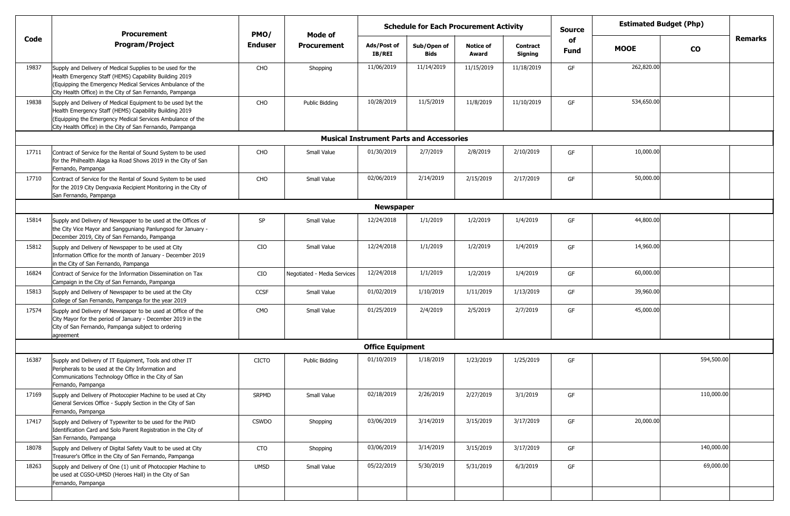|       | <b>Procurement</b>                                                                                                                                                                                                                               | PMO/           | Mode of                     | <b>Schedule for Each Procurement Activity</b> |                                                 |                           |                            | <b>Source</b>     |             | <b>Estimated Budget (Php)</b> |         |
|-------|--------------------------------------------------------------------------------------------------------------------------------------------------------------------------------------------------------------------------------------------------|----------------|-----------------------------|-----------------------------------------------|-------------------------------------------------|---------------------------|----------------------------|-------------------|-------------|-------------------------------|---------|
| Code  | <b>Program/Project</b>                                                                                                                                                                                                                           | <b>Enduser</b> | <b>Procurement</b>          | Ads/Post of<br>IB/REI                         | Sub/Open of<br><b>Bids</b>                      | <b>Notice of</b><br>Award | <b>Contract</b><br>Signing | of<br><b>Fund</b> | <b>MOOE</b> | <b>CO</b>                     | Remarks |
| 19837 | Supply and Delivery of Medical Supplies to be used for the<br>Health Emergency Staff (HEMS) Capability Building 2019<br>(Equipping the Emergency Medical Services Ambulance of the<br>City Health Office) in the City of San Fernando, Pampanga  | CHO            | Shopping                    | 11/06/2019                                    | 11/14/2019                                      | 11/15/2019                | 11/18/2019                 | GF                | 262,820.00  |                               |         |
| 19838 | Supply and Delivery of Medical Equipment to be used byt the<br>Health Emergency Staff (HEMS) Capability Building 2019<br>(Equipping the Emergency Medical Services Ambulance of the<br>City Health Office) in the City of San Fernando, Pampanga | CHO            | Public Bidding              | 10/28/2019                                    | 11/5/2019                                       | 11/8/2019                 | 11/10/2019                 | GF                | 534,650.00  |                               |         |
|       |                                                                                                                                                                                                                                                  |                |                             |                                               | <b>Musical Instrument Parts and Accessories</b> |                           |                            |                   |             |                               |         |
| 17711 | Contract of Service for the Rental of Sound System to be used<br>for the Philhealth Alaga ka Road Shows 2019 in the City of San<br>Fernando, Pampanga                                                                                            | CHO            | Small Value                 | 01/30/2019                                    | 2/7/2019                                        | 2/8/2019                  | 2/10/2019                  | GF                | 10,000.00   |                               |         |
| 17710 | Contract of Service for the Rental of Sound System to be used<br>for the 2019 City Dengvaxia Recipient Monitoring in the City of<br>San Fernando, Pampanga                                                                                       | CHO            | Small Value                 | 02/06/2019                                    | 2/14/2019                                       | 2/15/2019                 | 2/17/2019                  | GF                | 50,000.00   |                               |         |
|       |                                                                                                                                                                                                                                                  |                |                             | <b>Newspaper</b>                              |                                                 |                           |                            |                   |             |                               |         |
| 15814 | Supply and Delivery of Newspaper to be used at the Offices of<br>the City Vice Mayor and Sangguniang Panlungsod for January -<br>December 2019, City of San Fernando, Pampanga                                                                   | SP             | Small Value                 | 12/24/2018                                    | 1/1/2019                                        | 1/2/2019                  | 1/4/2019                   | GF                | 44,800.00   |                               |         |
| 15812 | Supply and Delivery of Newspaper to be used at City<br>Information Office for the month of January - December 2019<br>in the City of San Fernando, Pampanga                                                                                      | CIO            | Small Value                 | 12/24/2018                                    | 1/1/2019                                        | 1/2/2019                  | 1/4/2019                   | GF                | 14,960.00   |                               |         |
| 16824 | Contract of Service for the Information Dissemination on Tax<br>Campaign in the City of San Fernando, Pampanga                                                                                                                                   | CIO            | Negotiated - Media Services | 12/24/2018                                    | 1/1/2019                                        | 1/2/2019                  | 1/4/2019                   | GF                | 60,000.00   |                               |         |
| 15813 | Supply and Delivery of Newspaper to be used at the City<br>College of San Fernando, Pampanga for the year 2019                                                                                                                                   | CCSF           | Small Value                 | 01/02/2019                                    | 1/10/2019                                       | 1/11/2019                 | 1/13/2019                  | GF                | 39,960.00   |                               |         |
| 17574 | Supply and Delivery of Newspaper to be used at Office of the<br>City Mayor for the period of January - December 2019 in the<br>City of San Fernando, Pampanga subject to ordering<br>agreement                                                   | <b>CMO</b>     | Small Value                 | 01/25/2019                                    | 2/4/2019                                        | 2/5/2019                  | 2/7/2019                   | GF                | 45,000.00   |                               |         |
|       |                                                                                                                                                                                                                                                  |                |                             | <b>Office Equipment</b>                       |                                                 |                           |                            |                   |             |                               |         |
| 16387 | Supply and Delivery of IT Equipment, Tools and other IT<br>Peripherals to be used at the City Information and<br>Communications Technology Office in the City of San<br>Fernando, Pampanga                                                       | <b>CICTO</b>   | Public Bidding              | 01/10/2019                                    | 1/18/2019                                       | 1/23/2019                 | 1/25/2019                  | GF                |             | 594,500.00                    |         |
| 17169 | Supply and Delivery of Photocopier Machine to be used at City<br>General Services Office - Supply Section in the City of San<br>Fernando, Pampanga                                                                                               | <b>SRPMD</b>   | Small Value                 | 02/18/2019                                    | 2/26/2019                                       | 2/27/2019                 | 3/1/2019                   | GF                |             | 110,000.00                    |         |
| 17417 | Supply and Delivery of Typewriter to be used for the PWD<br>Identification Card and Solo Parent Registration in the City of<br>San Fernando, Pampanga                                                                                            | <b>CSWDO</b>   | Shopping                    | 03/06/2019                                    | 3/14/2019                                       | 3/15/2019                 | 3/17/2019                  | GF                | 20,000.00   |                               |         |
| 18078 | Supply and Delivery of Digital Safety Vault to be used at City<br>Treasurer's Office in the City of San Fernando, Pampanga                                                                                                                       | CTO            | Shopping                    | 03/06/2019                                    | 3/14/2019                                       | 3/15/2019                 | 3/17/2019                  | GF                |             | 140,000.00                    |         |
| 18263 | Supply and Delivery of One (1) unit of Photocopier Machine to<br>be used at CGSO-UMSD (Heroes Hall) in the City of San<br>Fernando, Pampanga                                                                                                     | <b>UMSD</b>    | Small Value                 | 05/22/2019                                    | 5/30/2019                                       | 5/31/2019                 | 6/3/2019                   | GF                |             | 69,000.00                     |         |
|       |                                                                                                                                                                                                                                                  |                |                             |                                               |                                                 |                           |                            |                   |             |                               |         |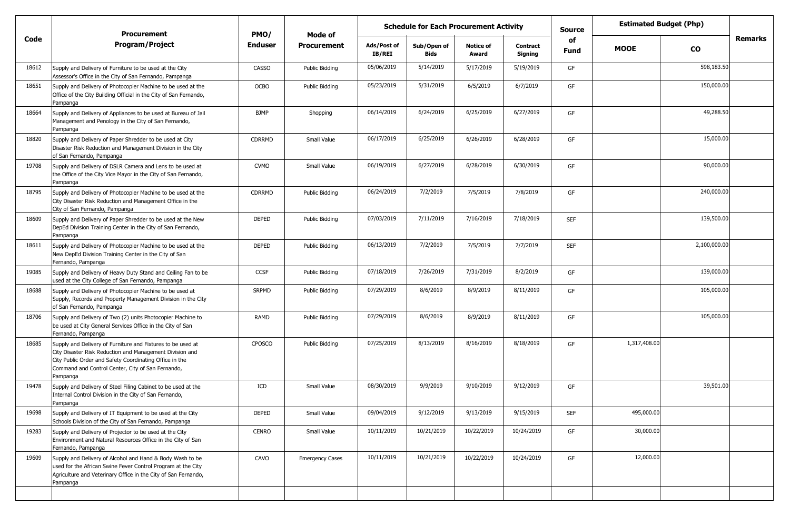|       | <b>Procurement</b>                                                                                                                                                                                                                                  | PMO/           | Mode of                |                              | <b>Schedule for Each Procurement Activity</b> |                           |                            | <b>Source</b> |              | <b>Estimated Budget (Php)</b> |         |
|-------|-----------------------------------------------------------------------------------------------------------------------------------------------------------------------------------------------------------------------------------------------------|----------------|------------------------|------------------------------|-----------------------------------------------|---------------------------|----------------------------|---------------|--------------|-------------------------------|---------|
| Code  | <b>Program/Project</b>                                                                                                                                                                                                                              | <b>Enduser</b> | Procurement            | Ads/Post of<br><b>IB/REI</b> | Sub/Open of<br>Bids                           | <b>Notice of</b><br>Award | <b>Contract</b><br>Signing | of<br>Fund    | <b>MOOE</b>  | <b>CO</b>                     | Remarks |
| 18612 | Supply and Delivery of Furniture to be used at the City<br>Assessor's Office in the City of San Fernando, Pampanga                                                                                                                                  | <b>CASSO</b>   | Public Bidding         | 05/06/2019                   | 5/14/2019                                     | 5/17/2019                 | 5/19/2019                  | GF            |              | 598,183.50                    |         |
| 18651 | Supply and Delivery of Photocopier Machine to be used at the<br>Office of the City Building Official in the City of San Fernando,<br>Pampanga                                                                                                       | <b>OCBO</b>    | Public Bidding         | 05/23/2019                   | 5/31/2019                                     | 6/5/2019                  | 6/7/2019                   | GF            |              | 150,000.00                    |         |
| 18664 | Supply and Delivery of Appliances to be used at Bureau of Jail<br>Management and Penology in the City of San Fernando,<br>Pampanga                                                                                                                  | <b>BJMP</b>    | Shopping               | 06/14/2019                   | 6/24/2019                                     | 6/25/2019                 | 6/27/2019                  | GF            |              | 49,288.50                     |         |
| 18820 | Supply and Delivery of Paper Shredder to be used at City<br>Disaster Risk Reduction and Management Division in the City<br>of San Fernando, Pampanga                                                                                                | <b>CDRRMD</b>  | Small Value            | 06/17/2019                   | 6/25/2019                                     | 6/26/2019                 | 6/28/2019                  | GF            |              | 15,000.00                     |         |
| 19708 | Supply and Delivery of DSLR Camera and Lens to be used at<br>the Office of the City Vice Mayor in the City of San Fernando,<br>Pampanga                                                                                                             | <b>CVMO</b>    | Small Value            | 06/19/2019                   | 6/27/2019                                     | 6/28/2019                 | 6/30/2019                  | GF            |              | 90,000.00                     |         |
| 18795 | Supply and Delivery of Photocopier Machine to be used at the<br>City Disaster Risk Reduction and Management Office in the<br>City of San Fernando, Pampanga                                                                                         | <b>CDRRMD</b>  | Public Bidding         | 06/24/2019                   | 7/2/2019                                      | 7/5/2019                  | 7/8/2019                   | GF            |              | 240,000.00                    |         |
| 18609 | Supply and Delivery of Paper Shredder to be used at the New<br>DepEd Division Training Center in the City of San Fernando,<br>Pampanga                                                                                                              | <b>DEPED</b>   | Public Bidding         | 07/03/2019                   | 7/11/2019                                     | 7/16/2019                 | 7/18/2019                  | <b>SEF</b>    |              | 139,500.00                    |         |
| 18611 | Supply and Delivery of Photocopier Machine to be used at the<br>New DepEd Division Training Center in the City of San<br>Fernando, Pampanga                                                                                                         | <b>DEPED</b>   | Public Bidding         | 06/13/2019                   | 7/2/2019                                      | 7/5/2019                  | 7/7/2019                   | <b>SEF</b>    |              | 2,100,000.00                  |         |
| 19085 | Supply and Delivery of Heavy Duty Stand and Ceiling Fan to be<br>used at the City College of San Fernando, Pampanga                                                                                                                                 | <b>CCSF</b>    | Public Bidding         | 07/18/2019                   | 7/26/2019                                     | 7/31/2019                 | 8/2/2019                   | GF            |              | 139,000.00                    |         |
| 18688 | Supply and Delivery of Photocopier Machine to be used at<br>Supply, Records and Property Management Division in the City<br>of San Fernando, Pampanga                                                                                               | <b>SRPMD</b>   | Public Bidding         | 07/29/2019                   | 8/6/2019                                      | 8/9/2019                  | 8/11/2019                  | GF            |              | 105,000.00                    |         |
| 18706 | Supply and Delivery of Two (2) units Photocopier Machine to<br>be used at City General Services Office in the City of San<br>Fernando, Pampanga                                                                                                     | <b>RAMD</b>    | Public Bidding         | 07/29/2019                   | 8/6/2019                                      | 8/9/2019                  | 8/11/2019                  | GF            |              | 105,000.00                    |         |
| 18685 | Supply and Delivery of Furniture and Fixtures to be used at<br>City Disaster Risk Reduction and Management Division and<br>City Public Order and Safety Coordinating Office in the<br>Command and Control Center, City of San Fernando,<br>Pampanga | CPOSCO         | Public Bidding         | 07/25/2019                   | 8/13/2019                                     | 8/16/2019                 | 8/18/2019                  | GF            | 1,317,408.00 |                               |         |
| 19478 | Supply and Delivery of Steel Filing Cabinet to be used at the<br>Internal Control Division in the City of San Fernando,<br>Pampanga                                                                                                                 | ICD            | Small Value            | 08/30/2019                   | 9/9/2019                                      | 9/10/2019                 | 9/12/2019                  | GF            |              | 39,501.00                     |         |
| 19698 | Supply and Delivery of IT Equipment to be used at the City<br>Schools Division of the City of San Fernando, Pampanga                                                                                                                                | <b>DEPED</b>   | Small Value            | 09/04/2019                   | 9/12/2019                                     | 9/13/2019                 | 9/15/2019                  | <b>SEF</b>    | 495,000.00   |                               |         |
| 19283 | Supply and Delivery of Projector to be used at the City<br>Environment and Natural Resources Office in the City of San<br>Fernando, Pampanga                                                                                                        | <b>CENRO</b>   | Small Value            | 10/11/2019                   | 10/21/2019                                    | 10/22/2019                | 10/24/2019                 | GF            | 30,000.00    |                               |         |
| 19609 | Supply and Delivery of Alcohol and Hand & Body Wash to be<br>used for the African Swine Fever Control Program at the City<br>Agriculture and Veterinary Office in the City of San Fernando,<br>Pampanga                                             | CAVO           | <b>Emergency Cases</b> | 10/11/2019                   | 10/21/2019                                    | 10/22/2019                | 10/24/2019                 | GF            | 12,000.00    |                               |         |
|       |                                                                                                                                                                                                                                                     |                |                        |                              |                                               |                           |                            |               |              |                               |         |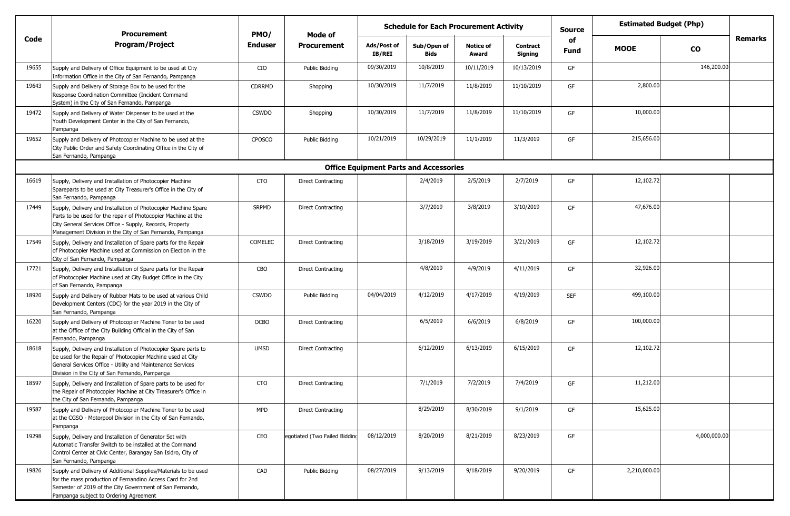|       | Procurement                                                                                                                                                                                                                                              | PMO/           | Mode of                       | <b>Schedule for Each Procurement Activity</b> |                                               |                           |                            | Source            |              | <b>Estimated Budget (Php)</b> |  |
|-------|----------------------------------------------------------------------------------------------------------------------------------------------------------------------------------------------------------------------------------------------------------|----------------|-------------------------------|-----------------------------------------------|-----------------------------------------------|---------------------------|----------------------------|-------------------|--------------|-------------------------------|--|
| Code  | <b>Program/Project</b>                                                                                                                                                                                                                                   | <b>Enduser</b> | <b>Procurement</b>            | Ads/Post of<br><b>IB/REI</b>                  | Sub/Open of<br>Bids                           | <b>Notice of</b><br>Award | <b>Contract</b><br>Signing | of<br><b>Fund</b> | <b>MOOE</b>  | Remarks<br>$\mathbf{co}$      |  |
| 19655 | Supply and Delivery of Office Equipment to be used at City<br>Information Office in the City of San Fernando, Pampanga                                                                                                                                   | CIO            | Public Bidding                | 09/30/2019                                    | 10/8/2019                                     | 10/11/2019                | 10/13/2019                 | GF                |              | 146,200.00                    |  |
| 19643 | Supply and Delivery of Storage Box to be used for the<br>Response Coordination Committee (Incident Command<br>System) in the City of San Fernando, Pampanga                                                                                              | <b>CDRRMD</b>  | Shopping                      | 10/30/2019                                    | 11/7/2019                                     | 11/8/2019                 | 11/10/2019                 | GF                | 2,800.00     |                               |  |
| 19472 | Supply and Delivery of Water Dispenser to be used at the<br>Youth Development Center in the City of San Fernando,<br>Pampanga                                                                                                                            | <b>CSWDO</b>   | Shopping                      | 10/30/2019                                    | 11/7/2019                                     | 11/8/2019                 | 11/10/2019                 | GF                | 10,000.00    |                               |  |
| 19652 | Supply and Delivery of Photocopier Machine to be used at the<br>City Public Order and Safety Coordinating Office in the City of<br>San Fernando, Pampanga                                                                                                | <b>CPOSCO</b>  | Public Bidding                | 10/21/2019                                    | 10/29/2019                                    | 11/1/2019                 | 11/3/2019                  | GF                | 215,656.00   |                               |  |
|       |                                                                                                                                                                                                                                                          |                |                               |                                               | <b>Office Equipment Parts and Accessories</b> |                           |                            |                   |              |                               |  |
| 16619 | Supply, Delivery and Installation of Photocopier Machine<br>Spareparts to be used at City Treasurer's Office in the City of<br>San Fernando, Pampanga                                                                                                    | <b>CTO</b>     | Direct Contracting            |                                               | 2/4/2019                                      | 2/5/2019                  | 2/7/2019                   | GF                | 12,102.72    |                               |  |
| 17449 | Supply, Delivery and Installation of Photocopier Machine Spare<br>Parts to be used for the repair of Photocopier Machine at the<br>City General Services Office - Supply, Records, Property<br>Management Division in the City of San Fernando, Pampanga | <b>SRPMD</b>   | <b>Direct Contracting</b>     |                                               | 3/7/2019                                      | 3/8/2019                  | 3/10/2019                  | GF                | 47,676.00    |                               |  |
| 17549 | Supply, Delivery and Installation of Spare parts for the Repair<br>of Photocopier Machine used at Commission on Election in the<br>City of San Fernando, Pampanga                                                                                        | <b>COMELEC</b> | Direct Contracting            |                                               | 3/18/2019                                     | 3/19/2019                 | 3/21/2019                  | GF                | 12,102.72    |                               |  |
| 17721 | Supply, Delivery and Installation of Spare parts for the Repair<br>of Photocopier Machine used at City Budget Office in the City<br>of San Fernando, Pampanga                                                                                            | CBO            | Direct Contracting            |                                               | 4/8/2019                                      | 4/9/2019                  | 4/11/2019                  | GF                | 32,926.00    |                               |  |
| 18920 | Supply and Delivery of Rubber Mats to be used at various Child<br>Development Centers (CDC) for the year 2019 in the City of<br>San Fernando, Pampanga                                                                                                   | <b>CSWDO</b>   | Public Bidding                | 04/04/2019                                    | 4/12/2019                                     | 4/17/2019                 | 4/19/2019                  | <b>SEF</b>        | 499,100.00   |                               |  |
| 16220 | Supply and Delivery of Photocopier Machine Toner to be used<br>at the Office of the City Building Official in the City of San<br>Fernando, Pampanga                                                                                                      | OCBO           | Direct Contracting            |                                               | 6/5/2019                                      | 6/6/2019                  | 6/8/2019                   | GF                | 100,000.00   |                               |  |
| 18618 | Supply, Delivery and Installation of Photocopier Spare parts to<br>be used for the Repair of Photocopier Machine used at City<br>General Services Office - Utility and Maintenance Services<br>Division in the City of San Fernando, Pampanga            | <b>UMSD</b>    | Direct Contracting            |                                               | 6/12/2019                                     | 6/13/2019                 | 6/15/2019                  | GF                | 12,102.72    |                               |  |
| 18597 | Supply, Delivery and Installation of Spare parts to be used for<br>the Repair of Photocopier Machine at City Treasurer's Office in<br>the City of San Fernando, Pampanga                                                                                 | <b>CTO</b>     | Direct Contracting            |                                               | 7/1/2019                                      | 7/2/2019                  | 7/4/2019                   | GF                | 11,212.00    |                               |  |
| 19587 | Supply and Delivery of Photocopier Machine Toner to be used<br>at the CGSO - Motorpool Division in the City of San Fernando,<br>Pampanga                                                                                                                 | <b>MPD</b>     | Direct Contracting            |                                               | 8/29/2019                                     | 8/30/2019                 | 9/1/2019                   | GF                | 15,625.00    |                               |  |
| 19298 | Supply, Delivery and Installation of Generator Set with<br>Automatic Transfer Switch to be installed at the Command<br>Control Center at Civic Center, Barangay San Isidro, City of<br>San Fernando, Pampanga                                            | CEO            | egotiated (Two Failed Bidding | 08/12/2019                                    | 8/20/2019                                     | 8/21/2019                 | 8/23/2019                  | GF                |              | 4,000,000.00                  |  |
| 19826 | Supply and Delivery of Additional Supplies/Materials to be used<br>for the mass production of Fernandino Access Card for 2nd<br>Semester of 2019 of the City Government of San Fernando,<br>Pampanga subject to Ordering Agreement                       | CAD            | Public Bidding                | 08/27/2019                                    | 9/13/2019                                     | 9/18/2019                 | 9/20/2019                  | GF                | 2,210,000.00 |                               |  |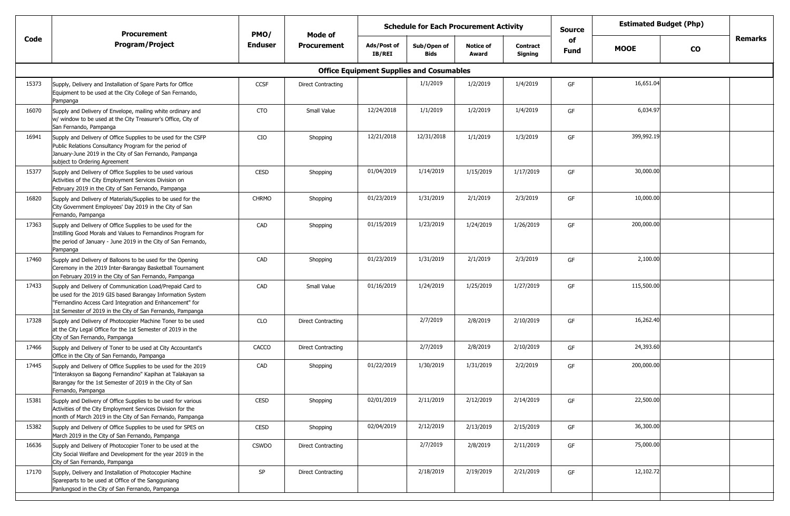|       | <b>Procurement</b>                                                                                                                                                                                                                                | PMO/           | Mode of            |                                                 | <b>Schedule for Each Procurement Activity</b> |                           |                            | <b>Source</b>     | <b>Estimated Budget (Php)</b> |           |         |
|-------|---------------------------------------------------------------------------------------------------------------------------------------------------------------------------------------------------------------------------------------------------|----------------|--------------------|-------------------------------------------------|-----------------------------------------------|---------------------------|----------------------------|-------------------|-------------------------------|-----------|---------|
| Code  | Program/Project                                                                                                                                                                                                                                   | <b>Enduser</b> | <b>Procurement</b> | Ads/Post of<br><b>IB/REI</b>                    | Sub/Open of<br>Bids                           | <b>Notice of</b><br>Award | <b>Contract</b><br>Signing | of<br><b>Fund</b> | <b>MOOE</b>                   | <b>CO</b> | Remarks |
|       |                                                                                                                                                                                                                                                   |                |                    | <b>Office Equipment Supplies and Cosumables</b> |                                               |                           |                            |                   |                               |           |         |
| 15373 | Supply, Delivery and Installation of Spare Parts for Office<br>Equipment to be used at the City College of San Fernando,<br>Pampanga                                                                                                              | CCSF           | Direct Contracting |                                                 | 1/1/2019                                      | 1/2/2019                  | 1/4/2019                   | GF                | 16,651.04                     |           |         |
| 16070 | Supply and Delivery of Envelope, mailing white ordinary and<br>w/ window to be used at the City Treasurer's Office, City of<br>San Fernando, Pampanga                                                                                             | <b>CTO</b>     | Small Value        | 12/24/2018                                      | 1/1/2019                                      | 1/2/2019                  | 1/4/2019                   | GF                | 6,034.97                      |           |         |
| 16941 | Supply and Delivery of Office Supplies to be used for the CSFP<br>Public Relations Consultancy Program for the period of<br>January-June 2019 in the City of San Fernando, Pampanga<br>subject to Ordering Agreement                              | CIO            | Shopping           | 12/21/2018                                      | 12/31/2018                                    | 1/1/2019                  | 1/3/2019                   | GF                | 399,992.19                    |           |         |
| 15377 | Supply and Delivery of Office Supplies to be used various<br>Activities of the City Employment Services Division on<br>February 2019 in the City of San Fernando, Pampanga                                                                        | <b>CESD</b>    | Shopping           | 01/04/2019                                      | 1/14/2019                                     | 1/15/2019                 | 1/17/2019                  | GF                | 30,000.00                     |           |         |
| 16820 | Supply and Delivery of Materials/Supplies to be used for the<br>City Government Employees' Day 2019 in the City of San<br>Fernando, Pampanga                                                                                                      | <b>CHRMO</b>   | Shopping           | 01/23/2019                                      | 1/31/2019                                     | 2/1/2019                  | 2/3/2019                   | GF                | 10,000.00                     |           |         |
| 17363 | Supply and Delivery of Office Supplies to be used for the<br>Instilling Good Morals and Values to Fernandinos Program for<br>the period of January - June 2019 in the City of San Fernando,<br>Pampanga                                           | CAD            | Shopping           | 01/15/2019                                      | 1/23/2019                                     | 1/24/2019                 | 1/26/2019                  | GF                | 200,000.00                    |           |         |
| 17460 | Supply and Delivery of Balloons to be used for the Opening<br>Ceremony in the 2019 Inter-Barangay Basketball Tournament<br>on February 2019 in the City of San Fernando, Pampanga                                                                 | CAD            | Shopping           | 01/23/2019                                      | 1/31/2019                                     | 2/1/2019                  | 2/3/2019                   | GF                | 2,100.00                      |           |         |
| 17433 | Supply and Delivery of Communication Load/Prepaid Card to<br>be used for the 2019 GIS based Barangay Information System<br>"Fernandino Access Card Integration and Enhancement" for<br>1st Semester of 2019 in the City of San Fernando, Pampanga | CAD            | Small Value        | 01/16/2019                                      | 1/24/2019                                     | 1/25/2019                 | 1/27/2019                  | GF                | 115,500.00                    |           |         |
| 17328 | Supply and Delivery of Photocopier Machine Toner to be used<br>at the City Legal Office for the 1st Semester of 2019 in the<br>City of San Fernando, Pampanga                                                                                     | CLO            | Direct Contracting |                                                 | 2/7/2019                                      | 2/8/2019                  | 2/10/2019                  | GF                | 16,262.40                     |           |         |
| 17466 | Supply and Delivery of Toner to be used at City Accountant's<br>Office in the City of San Fernando, Pampanga                                                                                                                                      | CACCO          | Direct Contracting |                                                 | 2/7/2019                                      | 2/8/2019                  | 2/10/2019                  | GF                | 24,393.60                     |           |         |
| 17445 | Supply and Delivery of Office Supplies to be used for the 2019<br>"Interaksyon sa Bagong Fernandino" Kapihan at Talakayan sa<br>Barangay for the 1st Semester of 2019 in the City of San<br>Fernando, Pampanga                                    | CAD            | Shopping           | 01/22/2019                                      | 1/30/2019                                     | 1/31/2019                 | 2/2/2019                   | GF                | 200,000.00                    |           |         |
| 15381 | Supply and Delivery of Office Supplies to be used for various<br>Activities of the City Employment Services Division for the<br>month of March 2019 in the City of San Fernando, Pampanga                                                         | <b>CESD</b>    | Shopping           | 02/01/2019                                      | 2/11/2019                                     | 2/12/2019                 | 2/14/2019                  | GF                | 22,500.00                     |           |         |
| 15382 | Supply and Delivery of Office Supplies to be used for SPES on<br>March 2019 in the City of San Fernando, Pampanga                                                                                                                                 | <b>CESD</b>    | Shopping           | 02/04/2019                                      | 2/12/2019                                     | 2/13/2019                 | 2/15/2019                  | GF                | 36,300.00                     |           |         |
| 16636 | Supply and Delivery of Photocopier Toner to be used at the<br>City Social Welfare and Development for the year 2019 in the<br>City of San Fernando, Pampanga                                                                                      | <b>CSWDO</b>   | Direct Contracting |                                                 | 2/7/2019                                      | 2/8/2019                  | 2/11/2019                  | GF                | 75,000.00                     |           |         |
| 17170 | Supply, Delivery and Installation of Photocopier Machine<br>Spareparts to be used at Office of the Sangguniang<br>Panlungsod in the City of San Fernando, Pampanga                                                                                | SP             | Direct Contracting |                                                 | 2/18/2019                                     | 2/19/2019                 | 2/21/2019                  | GF                | 12,102.72                     |           |         |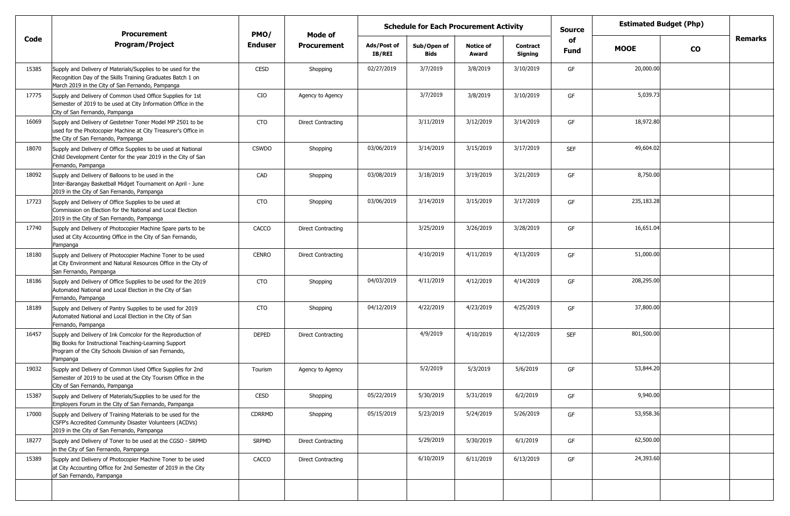|       | <b>Procurement</b>                                                                                                                                                                        | PMO/           | Mode of                   |                       | <b>Schedule for Each Procurement Activity</b> |                           |                            | <b>Estimated Budget (Php)</b><br><b>Source</b> |             |           |                |
|-------|-------------------------------------------------------------------------------------------------------------------------------------------------------------------------------------------|----------------|---------------------------|-----------------------|-----------------------------------------------|---------------------------|----------------------------|------------------------------------------------|-------------|-----------|----------------|
| Code  | <b>Program/Project</b>                                                                                                                                                                    | <b>Enduser</b> | <b>Procurement</b>        | Ads/Post of<br>IB/REI | Sub/Open of<br>Bids                           | <b>Notice of</b><br>Award | <b>Contract</b><br>Signing | of<br>Fund                                     | <b>MOOE</b> | <b>CO</b> | <b>Remarks</b> |
| 15385 | Supply and Delivery of Materials/Supplies to be used for the<br>Recognition Day of the Skills Training Graduates Batch 1 on<br>March 2019 in the City of San Fernando, Pampanga           | <b>CESD</b>    | Shopping                  | 02/27/2019            | 3/7/2019                                      | 3/8/2019                  | 3/10/2019                  | GF                                             | 20,000.00   |           |                |
| 17775 | Supply and Delivery of Common Used Office Supplies for 1st<br>Semester of 2019 to be used at City Information Office in the<br>City of San Fernando, Pampanga                             | CIO            | Agency to Agency          |                       | 3/7/2019                                      | 3/8/2019                  | 3/10/2019                  | GF                                             | 5,039.73    |           |                |
| 16069 | Supply and Delivery of Gestetner Toner Model MP 2501 to be<br>used for the Photocopier Machine at City Treasurer's Office in<br>the City of San Fernando, Pampanga                        | <b>CTO</b>     | <b>Direct Contracting</b> |                       | 3/11/2019                                     | 3/12/2019                 | 3/14/2019                  | GF                                             | 18,972.80   |           |                |
| 18070 | Supply and Delivery of Office Supplies to be used at National<br>Child Development Center for the year 2019 in the City of San<br>Fernando, Pampanga                                      | <b>CSWDO</b>   | Shopping                  | 03/06/2019            | 3/14/2019                                     | 3/15/2019                 | 3/17/2019                  | <b>SEF</b>                                     | 49,604.02   |           |                |
| 18092 | Supply and Delivery of Balloons to be used in the<br>Inter-Barangay Basketball Midget Tournament on April - June<br>2019 in the City of San Fernando, Pampanga                            | CAD            | Shopping                  | 03/08/2019            | 3/18/2019                                     | 3/19/2019                 | 3/21/2019                  | GF                                             | 8,750.00    |           |                |
| 17723 | Supply and Delivery of Office Supplies to be used at<br>Commission on Election for the National and Local Election<br>2019 in the City of San Fernando, Pampanga                          | <b>CTO</b>     | Shopping                  | 03/06/2019            | 3/14/2019                                     | 3/15/2019                 | 3/17/2019                  | GF                                             | 235,183.28  |           |                |
| 17740 | Supply and Delivery of Photocopier Machine Spare parts to be<br>used at City Accounting Office in the City of San Fernando,<br>Pampanga                                                   | CACCO          | <b>Direct Contracting</b> |                       | 3/25/2019                                     | 3/26/2019                 | 3/28/2019                  | GF                                             | 16,651.04   |           |                |
| 18180 | Supply and Delivery of Photocopier Machine Toner to be used<br>at City Environment and Natural Resources Office in the City of<br>San Fernando, Pampanga                                  | <b>CENRO</b>   | <b>Direct Contracting</b> |                       | 4/10/2019                                     | 4/11/2019                 | 4/13/2019                  | GF                                             | 51,000.00   |           |                |
| 18186 | Supply and Delivery of Office Supplies to be used for the 2019<br>Automated National and Local Election in the City of San<br>Fernando, Pampanga                                          | <b>CTO</b>     | Shopping                  | 04/03/2019            | 4/11/2019                                     | 4/12/2019                 | 4/14/2019                  | GF                                             | 208,295.00  |           |                |
| 18189 | Supply and Delivery of Pantry Supplies to be used for 2019<br>Automated National and Local Election in the City of San<br>Fernando, Pampanga                                              | <b>CTO</b>     | Shopping                  | 04/12/2019            | 4/22/2019                                     | 4/23/2019                 | 4/25/2019                  | GF                                             | 37,800.00   |           |                |
| 16457 | Supply and Delivery of Ink Comcolor for the Reproduction of<br>Big Books for Instructional Teaching-Learning Support<br>Program of the City Schools Division of san Fernando,<br>Pampanga | <b>DEPED</b>   | <b>Direct Contracting</b> |                       | 4/9/2019                                      | 4/10/2019                 | 4/12/2019                  | <b>SEF</b>                                     | 801,500.00  |           |                |
| 19032 | Supply and Delivery of Common Used Office Supplies for 2nd<br>Semester of 2019 to be used at the City Tourism Office in the<br>City of San Fernando, Pampanga                             | Tourism        | Agency to Agency          |                       | 5/2/2019                                      | 5/3/2019                  | 5/6/2019                   | GF                                             | 53,844.20   |           |                |
| 15387 | Supply and Delivery of Materials/Supplies to be used for the<br>Employers Forum in the City of San Fernando, Pampanga                                                                     | CESD           | Shopping                  | 05/22/2019            | 5/30/2019                                     | 5/31/2019                 | 6/2/2019                   | GF                                             | 9,940.00    |           |                |
| 17000 | Supply and Delivery of Training Materials to be used for the<br>CSFP's Accredited Community Disaster Volunteers (ACDVs)<br>2019 in the City of San Fernando, Pampanga                     | <b>CDRRMD</b>  | Shopping                  | 05/15/2019            | 5/23/2019                                     | 5/24/2019                 | 5/26/2019                  | GF                                             | 53,958.36   |           |                |
| 18277 | Supply and Delivery of Toner to be used at the CGSO - SRPMD<br>in the City of San Fernando, Pampanga                                                                                      | <b>SRPMD</b>   | <b>Direct Contracting</b> |                       | 5/29/2019                                     | 5/30/2019                 | 6/1/2019                   | GF                                             | 62,500.00   |           |                |
| 15389 | Supply and Delivery of Photocopier Machine Toner to be used<br>at City Accounting Office for 2nd Semester of 2019 in the City<br>of San Fernando, Pampanga                                | CACCO          | <b>Direct Contracting</b> |                       | 6/10/2019                                     | 6/11/2019                 | 6/13/2019                  | GF                                             | 24,393.60   |           |                |
|       |                                                                                                                                                                                           |                |                           |                       |                                               |                           |                            |                                                |             |           |                |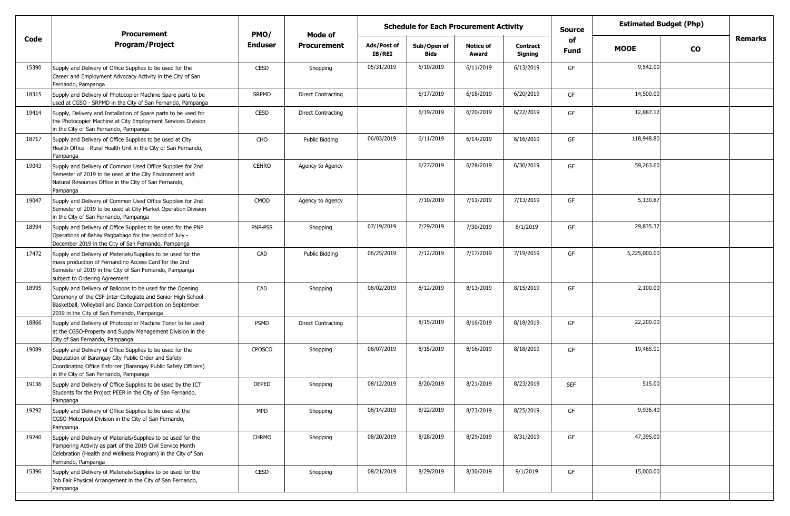|       | <b>Procurement</b>                                                                                                                                                                                                                   | PMO/           | Mode of            |                              | <b>Schedule for Each Procurement Activity</b> |                           |                     | <b>Source</b>     | <b>Estimated Budget (Php)</b> |           |                |
|-------|--------------------------------------------------------------------------------------------------------------------------------------------------------------------------------------------------------------------------------------|----------------|--------------------|------------------------------|-----------------------------------------------|---------------------------|---------------------|-------------------|-------------------------------|-----------|----------------|
| Code  | <b>Program/Project</b>                                                                                                                                                                                                               | <b>Enduser</b> | <b>Procurement</b> | Ads/Post of<br><b>IB/REI</b> | Sub/Open of<br><b>Bids</b>                    | <b>Notice of</b><br>Award | Contract<br>Signing | of<br><b>Fund</b> | <b>MOOE</b>                   | <b>CO</b> | <b>Remarks</b> |
| 15390 | Supply and Delivery of Office Supplies to be used for the<br>Career and Employment Advocacy Activity in the City of San<br>Fernando, Pampanga                                                                                        | CESD           | Shopping           | 05/31/2019                   | 6/10/2019                                     | 6/11/2019                 | 6/13/2019           | GF                | 9,542.00                      |           |                |
| 18315 | Supply and Delivery of Photocopier Machine Spare parts to be<br>used at CGSO - SRPMD in the City of San Fernando, Pampanga                                                                                                           | <b>SRPMD</b>   | Direct Contracting |                              | 6/17/2019                                     | 6/18/2019                 | 6/20/2019           | GF                | 14,500.00                     |           |                |
| 19414 | Supply, Delivery and Installation of Spare parts to be used for<br>the Photocopier Machine at City Employment Services Division<br>in the City of San Fernando, Pampanga                                                             | <b>CESD</b>    | Direct Contracting |                              | 6/19/2019                                     | 6/20/2019                 | 6/22/2019           | GF                | 12,887.12                     |           |                |
| 18717 | Supply and Delivery of Office Supplies to be used at City<br>Health Office - Rural Health Unit in the City of San Fernando,<br>Pampanga                                                                                              | CHO            | Public Bidding     | 06/03/2019                   | 6/11/2019                                     | 6/14/2019                 | 6/16/2019           | GF                | 118,948.80                    |           |                |
| 19043 | Supply and Delivery of Common Used Office Supplies for 2nd<br>Semester of 2019 to be used at the City Environment and<br>Natural Resources Office in the City of San Fernando,<br>Pampanga                                           | <b>CENRO</b>   | Agency to Agency   |                              | 6/27/2019                                     | 6/28/2019                 | 6/30/2019           | GF                | 59,263.60                     |           |                |
| 19047 | Supply and Delivery of Common Used Office Supplies for 2nd<br>Semester of 2019 to be used at City Market Operation Division<br>in the City of San Fernando, Pampanga                                                                 | CMOD           | Agency to Agency   |                              | 7/10/2019                                     | 7/11/2019                 | 7/13/2019           | GF                | 5,130.87                      |           |                |
| 18994 | Supply and Delivery of Office Supplies to be used for the PNP<br>Operations of Bahay Pagbabago for the period of July -<br>December 2019 in the City of San Fernando, Pampanga                                                       | PNP-PSS        | Shopping           | 07/19/2019                   | 7/29/2019                                     | 7/30/2019                 | 8/1/2019            | GF                | 29,835.32                     |           |                |
| 17472 | Supply and Delivery of Materials/Supplies to be used for the<br>mass production of Fernandino Access Card for the 2nd<br>Semester of 2019 in the City of San Fernando, Pampanga<br>subject to Ordering Agreement                     | CAD            | Public Bidding     | 06/25/2019                   | 7/12/2019                                     | 7/17/2019                 | 7/19/2019           | GF                | 5,225,000.00                  |           |                |
| 18995 | Supply and Delivery of Balloons to be used for the Opening<br>Ceremony of the CSF Inter-Collegiate and Senior High School<br>Basketball, Volleyball and Dance Competition on September<br>2019 in the City of San Fernando, Pampanga | CAD            | Shopping           | 08/02/2019                   | 8/12/2019                                     | 8/13/2019                 | 8/15/2019           | GF                | 2,100.00                      |           |                |
| 18866 | Supply and Delivery of Photocopier Machine Toner to be used<br>at the CGSO-Property and Supply Management Division in the<br>City of San Fernando, Pampanga                                                                          | PSMD           | Direct Contracting |                              | 8/15/2019                                     | 8/16/2019                 | 8/18/2019           | GF                | 22,200.00                     |           |                |
| 19089 | Supply and Delivery of Office Supplies to be used for the<br>Deputation of Barangay City Public Order and Safety<br>Coordinating Office Enforcer (Barangay Public Safety Officers)<br>in the City of San Fernando, Pampanga          | <b>CPOSCO</b>  | Shopping           | 08/07/2019                   | 8/15/2019                                     | 8/16/2019                 | 8/18/2019           | GF                | 19,465.91                     |           |                |
| 19136 | Supply and Delivery of Office Supplies to be used by the ICT<br>Students for the Project PEER in the City of San Fernando,<br>Pampanga                                                                                               | <b>DEPED</b>   | Shopping           | 08/12/2019                   | 8/20/2019                                     | 8/21/2019                 | 8/23/2019           | <b>SEF</b>        | 515.00                        |           |                |
| 19292 | Supply and Delivery of Office Supplies to be used at the<br>CGSO-Motorpool Division in the City of San Fernando,<br>Pampanga                                                                                                         | <b>MPD</b>     | Shopping           | 08/14/2019                   | 8/22/2019                                     | 8/23/2019                 | 8/25/2019           | GF                | 9,936.40                      |           |                |
| 19240 | Supply and Delivery of Materials/Supplies to be used for the<br>Pampering Activity as part of the 2019 Civil Service Month<br>Celebration (Health and Wellness Program) in the City of San<br>Fernando, Pampanga                     | <b>CHRMO</b>   | Shopping           | 08/20/2019                   | 8/28/2019                                     | 8/29/2019                 | 8/31/2019           | GF                | 47,395.00                     |           |                |
| 15396 | Supply and Delivery of Materials/Supplies to be used for the<br>Job Fair Physical Arrangement in the City of San Fernando,<br>Pampanga                                                                                               | CESD           | Shopping           | 08/21/2019                   | 8/29/2019                                     | 8/30/2019                 | 9/1/2019            | GF                | 15,000.00                     |           |                |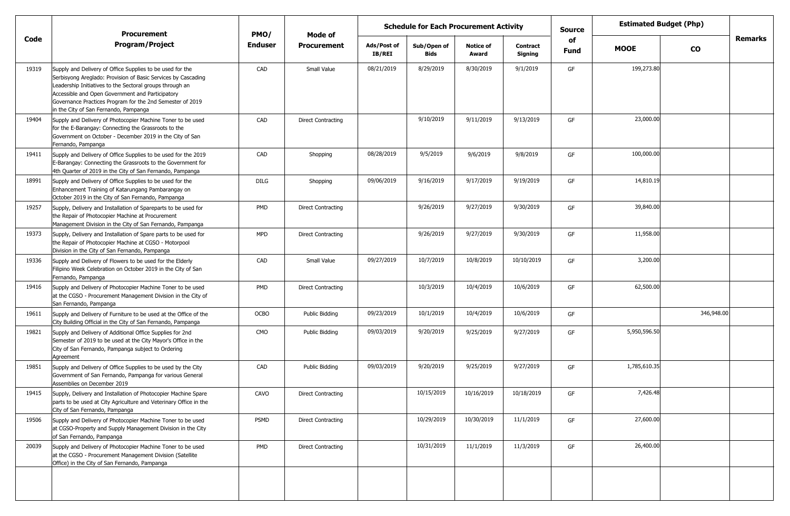|       | <b>Procurement</b>                                                                                                                                                                                                                                                                                                                               | PMO/           | Mode of                   | <b>Schedule for Each Procurement Activity</b> |                            |                           |                            |                   | <b>Estimated Budget (Php)</b> |            |                |
|-------|--------------------------------------------------------------------------------------------------------------------------------------------------------------------------------------------------------------------------------------------------------------------------------------------------------------------------------------------------|----------------|---------------------------|-----------------------------------------------|----------------------------|---------------------------|----------------------------|-------------------|-------------------------------|------------|----------------|
| Code  | <b>Program/Project</b>                                                                                                                                                                                                                                                                                                                           | <b>Enduser</b> | Procurement               | Ads/Post of<br><b>IB/REI</b>                  | Sub/Open of<br><b>Bids</b> | <b>Notice of</b><br>Award | <b>Contract</b><br>Signing | of<br><b>Fund</b> | <b>MOOE</b>                   | <b>CO</b>  | <b>Remarks</b> |
| 19319 | Supply and Delivery of Office Supplies to be used for the<br>Serbisyong Areglado: Provision of Basic Services by Cascading<br>Leadership Initiatives to the Sectoral groups through an<br>Accessible and Open Government and Participatory<br>Governance Practices Program for the 2nd Semester of 2019<br>in the City of San Fernando, Pampanga | CAD            | Small Value               | 08/21/2019                                    | 8/29/2019                  | 8/30/2019                 | 9/1/2019                   | GF                | 199,273.80                    |            |                |
| 19404 | Supply and Delivery of Photocopier Machine Toner to be used<br>for the E-Barangay: Connecting the Grassroots to the<br>Government on October - December 2019 in the City of San<br>Fernando, Pampanga                                                                                                                                            | CAD            | <b>Direct Contracting</b> |                                               | 9/10/2019                  | 9/11/2019                 | 9/13/2019                  | GF                | 23,000.00                     |            |                |
| 19411 | Supply and Delivery of Office Supplies to be used for the 2019<br>E-Barangay: Connecting the Grassroots to the Government for<br>4th Quarter of 2019 in the City of San Fernando, Pampanga                                                                                                                                                       | CAD            | Shopping                  | 08/28/2019                                    | 9/5/2019                   | 9/6/2019                  | 9/8/2019                   | GF                | 100,000.00                    |            |                |
| 18991 | Supply and Delivery of Office Supplies to be used for the<br>Enhancement Training of Katarungang Pambarangay on<br>October 2019 in the City of San Fernando, Pampanga                                                                                                                                                                            | DILG           | Shopping                  | 09/06/2019                                    | 9/16/2019                  | 9/17/2019                 | 9/19/2019                  | GF                | 14,810.19                     |            |                |
| 19257 | Supply, Delivery and Installation of Spareparts to be used for<br>the Repair of Photocopier Machine at Procurement<br>Management Division in the City of San Fernando, Pampanga                                                                                                                                                                  | PMD            | <b>Direct Contracting</b> |                                               | 9/26/2019                  | 9/27/2019                 | 9/30/2019                  | GF                | 39,840.00                     |            |                |
| 19373 | Supply, Delivery and Installation of Spare parts to be used for<br>the Repair of Photocopier Machine at CGSO - Motorpool<br>Division in the City of San Fernando, Pampanga                                                                                                                                                                       | MPD            | <b>Direct Contracting</b> |                                               | 9/26/2019                  | 9/27/2019                 | 9/30/2019                  | GF                | 11,958.00                     |            |                |
| 19336 | Supply and Delivery of Flowers to be used for the Elderly<br>Filipino Week Celebration on October 2019 in the City of San<br>Fernando, Pampanga                                                                                                                                                                                                  | CAD            | Small Value               | 09/27/2019                                    | 10/7/2019                  | 10/8/2019                 | 10/10/2019                 | GF                | 3,200.00                      |            |                |
| 19416 | Supply and Delivery of Photocopier Machine Toner to be used<br>at the CGSO - Procurement Management Division in the City of<br>San Fernando, Pampanga                                                                                                                                                                                            | PMD            | <b>Direct Contracting</b> |                                               | 10/3/2019                  | 10/4/2019                 | 10/6/2019                  | GF                | 62,500.00                     |            |                |
| 19611 | Supply and Delivery of Furniture to be used at the Office of the<br>City Building Official in the City of San Fernando, Pampanga                                                                                                                                                                                                                 | <b>OCBO</b>    | Public Bidding            | 09/23/2019                                    | 10/1/2019                  | 10/4/2019                 | 10/6/2019                  | GF                |                               | 346,948.00 |                |
| 19821 | Supply and Delivery of Additional Office Supplies for 2nd<br>Semester of 2019 to be used at the City Mayor's Office in the<br>City of San Fernando, Pampanga subject to Ordering<br>Agreement                                                                                                                                                    | CMO            | Public Bidding            | 09/03/2019                                    | 9/20/2019                  | 9/25/2019                 | 9/27/2019                  | GF                | 5,950,596.50                  |            |                |
| 19851 | Supply and Delivery of Office Supplies to be used by the City<br>Government of San Fernando, Pampanga for various General<br>Assemblies on December 2019                                                                                                                                                                                         | CAD            | <b>Public Bidding</b>     | 09/03/2019                                    | 9/20/2019                  | 9/25/2019                 | 9/27/2019                  | GF                | 1,785,610.35                  |            |                |
| 19415 | Supply, Delivery and Installation of Photocopier Machine Spare<br>parts to be used at City Agriculture and Veterinary Office in the<br>City of San Fernando, Pampanga                                                                                                                                                                            | CAVO           | <b>Direct Contracting</b> |                                               | 10/15/2019                 | 10/16/2019                | 10/18/2019                 | GF                | 7,426.48                      |            |                |
| 19506 | Supply and Delivery of Photocopier Machine Toner to be used<br>at CGSO-Property and Supply Management Division in the City<br>of San Fernando, Pampanga                                                                                                                                                                                          | PSMD           | <b>Direct Contracting</b> |                                               | 10/29/2019                 | 10/30/2019                | 11/1/2019                  | GF                | 27,600.00                     |            |                |
| 20039 | Supply and Delivery of Photocopier Machine Toner to be used<br>at the CGSO - Procurement Management Division (Satellite<br>Office) in the City of San Fernando, Pampanga                                                                                                                                                                         | PMD            | <b>Direct Contracting</b> |                                               | 10/31/2019                 | 11/1/2019                 | 11/3/2019                  | GF                | 26,400.00                     |            |                |
|       |                                                                                                                                                                                                                                                                                                                                                  |                |                           |                                               |                            |                           |                            |                   |                               |            |                |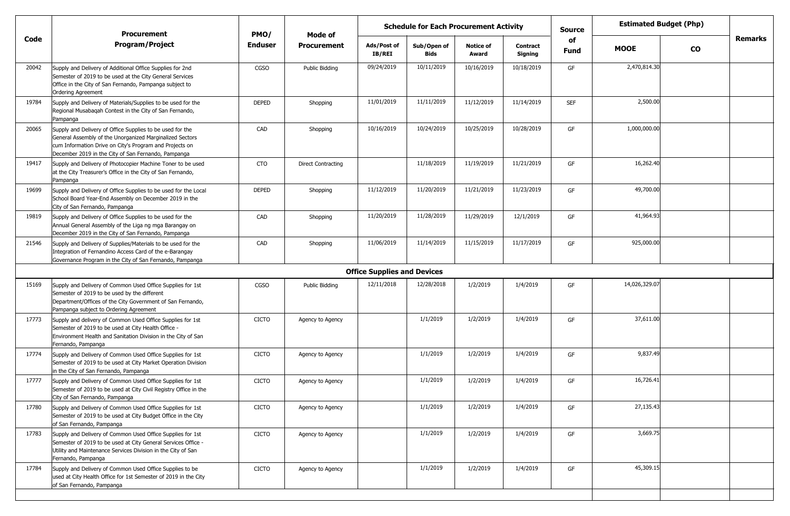|       | <b>Procurement</b>                                                                                                                                                                                                                      | PMO/           | <b>Mode of</b>            |                                    | <b>Schedule for Each Procurement Activity</b> |                           |                            | <b>Source</b> | <b>Estimated Budget (Php)</b> |           |                |
|-------|-----------------------------------------------------------------------------------------------------------------------------------------------------------------------------------------------------------------------------------------|----------------|---------------------------|------------------------------------|-----------------------------------------------|---------------------------|----------------------------|---------------|-------------------------------|-----------|----------------|
| Code  | <b>Program/Project</b>                                                                                                                                                                                                                  | <b>Enduser</b> | <b>Procurement</b>        | Ads/Post of<br>IB/REI              | Sub/Open of<br><b>Bids</b>                    | <b>Notice of</b><br>Award | <b>Contract</b><br>Signing | of<br>Fund    | <b>MOOE</b>                   | <b>CO</b> | <b>Remarks</b> |
| 20042 | Supply and Delivery of Additional Office Supplies for 2nd<br>Semester of 2019 to be used at the City General Services<br>Office in the City of San Fernando, Pampanga subject to<br>Ordering Agreement                                  | CGSO           | <b>Public Bidding</b>     | 09/24/2019                         | 10/11/2019                                    | 10/16/2019                | 10/18/2019                 | GF            | 2,470,814.30                  |           |                |
| 19784 | Supply and Delivery of Materials/Supplies to be used for the<br>Regional Musabagah Contest in the City of San Fernando,<br>Pampanga                                                                                                     | <b>DEPED</b>   | Shopping                  | 11/01/2019                         | 11/11/2019                                    | 11/12/2019                | 11/14/2019                 | <b>SEF</b>    | 2,500.00                      |           |                |
| 20065 | Supply and Delivery of Office Supplies to be used for the<br>General Assembly of the Unorganized Marginalized Sectors<br>cum Information Drive on City's Program and Projects on<br>December 2019 in the City of San Fernando, Pampanga | CAD            | Shopping                  | 10/16/2019                         | 10/24/2019                                    | 10/25/2019                | 10/28/2019                 | GF            | 1,000,000.00                  |           |                |
| 19417 | Supply and Delivery of Photocopier Machine Toner to be used<br>at the City Treasurer's Office in the City of San Fernando,<br>Pampanga                                                                                                  | <b>CTO</b>     | <b>Direct Contracting</b> |                                    | 11/18/2019                                    | 11/19/2019                | 11/21/2019                 | GF            | 16,262.40                     |           |                |
| 19699 | Supply and Delivery of Office Supplies to be used for the Local<br>School Board Year-End Assembly on December 2019 in the<br>City of San Fernando, Pampanga                                                                             | <b>DEPED</b>   | Shopping                  | 11/12/2019                         | 11/20/2019                                    | 11/21/2019                | 11/23/2019                 | GF            | 49,700.00                     |           |                |
| 19819 | Supply and Delivery of Office Supplies to be used for the<br>Annual General Assembly of the Liga ng mga Barangay on<br>December 2019 in the City of San Fernando, Pampanga                                                              | CAD            | Shopping                  | 11/20/2019                         | 11/28/2019                                    | 11/29/2019                | 12/1/2019                  | GF            | 41,964.93                     |           |                |
| 21546 | Supply and Delivery of Supplies/Materials to be used for the<br>Integration of Fernandino Access Card of the e-Barangay<br>Governance Program in the City of San Fernando, Pampanga                                                     | CAD            | Shopping                  | 11/06/2019                         | 11/14/2019                                    | 11/15/2019                | 11/17/2019                 | GF            | 925,000.00                    |           |                |
|       |                                                                                                                                                                                                                                         |                |                           | <b>Office Supplies and Devices</b> |                                               |                           |                            |               |                               |           |                |
| 15169 | Supply and Delivery of Common Used Office Supplies for 1st<br>Semester of 2019 to be used by the different<br>Department/Offices of the City Government of San Fernando,<br>Pampanga subject to Ordering Agreement                      | CGSO           | Public Bidding            | 12/11/2018                         | 12/28/2018                                    | 1/2/2019                  | 1/4/2019                   | GF            | 14,026,329.07                 |           |                |
| 17773 | Supply and delivery of Common Used Office Supplies for 1st<br>Semester of 2019 to be used at City Health Office -<br>Environment Health and Sanitation Division in the City of San<br>Fernando, Pampanga                                | <b>CICTO</b>   | Agency to Agency          |                                    | 1/1/2019                                      | 1/2/2019                  | 1/4/2019                   | GF            | 37,611.00                     |           |                |
| 17774 | Supply and Delivery of Common Used Office Supplies for 1st<br>Semester of 2019 to be used at City Market Operation Division<br>in the City of San Fernando, Pampanga                                                                    | <b>CICTO</b>   | Agency to Agency          |                                    | 1/1/2019                                      | 1/2/2019                  | 1/4/2019                   | GF            | 9,837.49                      |           |                |
| 17777 | Supply and Delivery of Common Used Office Supplies for 1st<br>Semester of 2019 to be used at City Civil Registry Office in the<br>City of San Fernando, Pampanga                                                                        | <b>CICTO</b>   | Agency to Agency          |                                    | 1/1/2019                                      | 1/2/2019                  | 1/4/2019                   | GF            | 16,726.41                     |           |                |
| 17780 | Supply and Delivery of Common Used Office Supplies for 1st<br>Semester of 2019 to be used at City Budget Office in the City<br>of San Fernando, Pampanga                                                                                | <b>CICTO</b>   | Agency to Agency          |                                    | 1/1/2019                                      | 1/2/2019                  | 1/4/2019                   | GF            | 27,135.43                     |           |                |
| 17783 | Supply and Delivery of Common Used Office Supplies for 1st<br>Semester of 2019 to be used at City General Services Office -<br>Utility and Maintenance Services Division in the City of San<br>Fernando, Pampanga                       | <b>CICTO</b>   | Agency to Agency          |                                    | 1/1/2019                                      | 1/2/2019                  | 1/4/2019                   | GF            | 3,669.75                      |           |                |
| 17784 | Supply and Delivery of Common Used Office Supplies to be<br>used at City Health Office for 1st Semester of 2019 in the City<br>of San Fernando, Pampanga                                                                                | <b>CICTO</b>   | Agency to Agency          |                                    | 1/1/2019                                      | 1/2/2019                  | 1/4/2019                   | GF            | 45,309.15                     |           |                |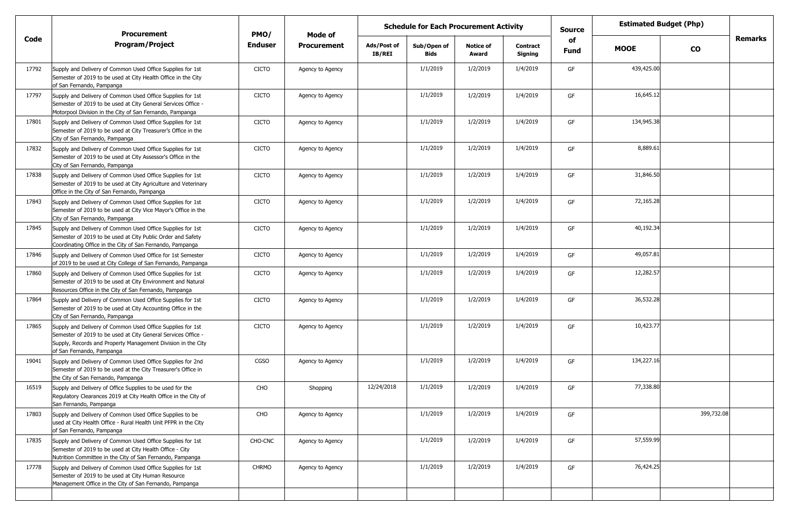|       | <b>Procurement</b>                                                                                                                                                                                                       | PMO/           | Mode of            |                       | <b>Schedule for Each Procurement Activity</b> |                           |                            | <b>Source</b>     | <b>Estimated Budget (Php)</b> |            |                |
|-------|--------------------------------------------------------------------------------------------------------------------------------------------------------------------------------------------------------------------------|----------------|--------------------|-----------------------|-----------------------------------------------|---------------------------|----------------------------|-------------------|-------------------------------|------------|----------------|
| Code  | <b>Program/Project</b>                                                                                                                                                                                                   | <b>Enduser</b> | <b>Procurement</b> | Ads/Post of<br>IB/REI | Sub/Open of<br><b>Bids</b>                    | <b>Notice of</b><br>Award | <b>Contract</b><br>Signing | of<br><b>Fund</b> | <b>MOOE</b>                   | <b>CO</b>  | <b>Remarks</b> |
| 17792 | Supply and Delivery of Common Used Office Supplies for 1st<br>Semester of 2019 to be used at City Health Office in the City<br>of San Fernando, Pampanga                                                                 | <b>CICTO</b>   | Agency to Agency   |                       | 1/1/2019                                      | 1/2/2019                  | 1/4/2019                   | GF                | 439,425.00                    |            |                |
| 17797 | Supply and Delivery of Common Used Office Supplies for 1st<br>Semester of 2019 to be used at City General Services Office -<br>Motorpool Division in the City of San Fernando, Pampanga                                  | <b>CICTO</b>   | Agency to Agency   |                       | 1/1/2019                                      | 1/2/2019                  | 1/4/2019                   | GF                | 16,645.12                     |            |                |
| 17801 | Supply and Delivery of Common Used Office Supplies for 1st<br>Semester of 2019 to be used at City Treasurer's Office in the<br>City of San Fernando, Pampanga                                                            | <b>CICTO</b>   | Agency to Agency   |                       | 1/1/2019                                      | 1/2/2019                  | 1/4/2019                   | GF                | 134,945.38                    |            |                |
| 17832 | Supply and Delivery of Common Used Office Supplies for 1st<br>Semester of 2019 to be used at City Assessor's Office in the<br>City of San Fernando, Pampanga                                                             | <b>CICTO</b>   | Agency to Agency   |                       | 1/1/2019                                      | 1/2/2019                  | 1/4/2019                   | GF                | 8,889.61                      |            |                |
| 17838 | Supply and Delivery of Common Used Office Supplies for 1st<br>Semester of 2019 to be used at City Agriculture and Veterinary<br>Office in the City of San Fernando, Pampanga                                             | <b>CICTO</b>   | Agency to Agency   |                       | 1/1/2019                                      | 1/2/2019                  | 1/4/2019                   | GF                | 31,846.50                     |            |                |
| 17843 | Supply and Delivery of Common Used Office Supplies for 1st<br>Semester of 2019 to be used at City Vice Mayor's Office in the<br>City of San Fernando, Pampanga                                                           | <b>CICTO</b>   | Agency to Agency   |                       | 1/1/2019                                      | 1/2/2019                  | 1/4/2019                   | GF                | 72,165.28                     |            |                |
| 17845 | Supply and Delivery of Common Used Office Supplies for 1st<br>Semester of 2019 to be used at City Public Order and Safety<br>Coordinating Office in the City of San Fernando, Pampanga                                   | <b>CICTO</b>   | Agency to Agency   |                       | 1/1/2019                                      | 1/2/2019                  | 1/4/2019                   | GF                | 40,192.34                     |            |                |
| 17846 | Supply and Delivery of Common Used Office for 1st Semester<br>of 2019 to be used at City College of San Fernando, Pampanga                                                                                               | <b>CICTO</b>   | Agency to Agency   |                       | 1/1/2019                                      | 1/2/2019                  | 1/4/2019                   | GF                | 49,057.81                     |            |                |
| 17860 | Supply and Delivery of Common Used Office Supplies for 1st<br>Semester of 2019 to be used at City Environment and Natural<br>Resources Office in the City of San Fernando, Pampanga                                      | <b>CICTO</b>   | Agency to Agency   |                       | 1/1/2019                                      | 1/2/2019                  | 1/4/2019                   | GF                | 12,282.57                     |            |                |
| 17864 | Supply and Delivery of Common Used Office Supplies for 1st<br>Semester of 2019 to be used at City Accounting Office in the<br>City of San Fernando, Pampanga                                                             | <b>CICTO</b>   | Agency to Agency   |                       | 1/1/2019                                      | 1/2/2019                  | 1/4/2019                   | GF                | 36,532.28                     |            |                |
| 17865 | Supply and Delivery of Common Used Office Supplies for 1st<br>Semester of 2019 to be used at City General Services Office -<br>Supply, Records and Property Management Division in the City<br>of San Fernando, Pampanga | <b>CICTO</b>   | Agency to Agency   |                       | 1/1/2019                                      | 1/2/2019                  | 1/4/2019                   | GF                | 10,423.77                     |            |                |
| 19041 | Supply and Delivery of Common Used Office Supplies for 2nd<br>Semester of 2019 to be used at the City Treasurer's Office in<br>the City of San Fernando, Pampanga                                                        | CGSO           | Agency to Agency   |                       | 1/1/2019                                      | 1/2/2019                  | 1/4/2019                   | GF                | 134,227.16                    |            |                |
| 16519 | Supply and Delivery of Office Supplies to be used for the<br>Regulatory Clearances 2019 at City Health Office in the City of<br>San Fernando, Pampanga                                                                   | CHO            | Shopping           | 12/24/2018            | 1/1/2019                                      | 1/2/2019                  | 1/4/2019                   | GF                | 77,338.80                     |            |                |
| 17803 | Supply and Delivery of Common Used Office Supplies to be<br>used at City Health Office - Rural Health Unit PFPR in the City<br>of San Fernando, Pampanga                                                                 | CHO            | Agency to Agency   |                       | 1/1/2019                                      | 1/2/2019                  | 1/4/2019                   | GF                |                               | 399,732.08 |                |
| 17835 | Supply and Delivery of Common Used Office Supplies for 1st<br>Semester of 2019 to be used at City Health Office - City<br>Nutrition Committee in the City of San Fernando, Pampanga                                      | CHO-CNC        | Agency to Agency   |                       | 1/1/2019                                      | 1/2/2019                  | 1/4/2019                   | GF                | 57,559.99                     |            |                |
| 17778 | Supply and Delivery of Common Used Office Supplies for 1st<br>Semester of 2019 to be used at City Human Resource<br>Management Office in the City of San Fernando, Pampanga                                              | <b>CHRMO</b>   | Agency to Agency   |                       | 1/1/2019                                      | 1/2/2019                  | 1/4/2019                   | GF                | 76,424.25                     |            |                |
|       |                                                                                                                                                                                                                          |                |                    |                       |                                               |                           |                            |                   |                               |            |                |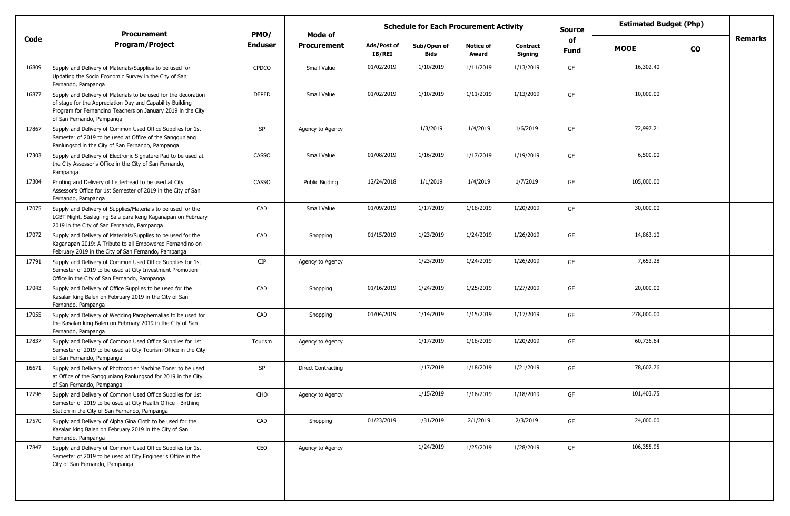|       | <b>Procurement</b>                                                                                                                                                                                                      | PMO/           | Mode of                   | <b>Schedule for Each Procurement Activity</b> |                            |                           |                            |            | <b>Estimated Budget (Php)</b> |    |                |
|-------|-------------------------------------------------------------------------------------------------------------------------------------------------------------------------------------------------------------------------|----------------|---------------------------|-----------------------------------------------|----------------------------|---------------------------|----------------------------|------------|-------------------------------|----|----------------|
| Code  | <b>Program/Project</b>                                                                                                                                                                                                  | <b>Enduser</b> | <b>Procurement</b>        | Ads/Post of<br><b>IB/REI</b>                  | Sub/Open of<br><b>Bids</b> | <b>Notice of</b><br>Award | <b>Contract</b><br>Signing | of<br>Fund | <b>MOOE</b>                   | CO | <b>Remarks</b> |
| 16809 | Supply and Delivery of Materials/Supplies to be used for<br>Updating the Socio Economic Survey in the City of San<br>Fernando, Pampanga                                                                                 | <b>CPDCO</b>   | Small Value               | 01/02/2019                                    | 1/10/2019                  | 1/11/2019                 | 1/13/2019                  | GF         | 16,302.40                     |    |                |
| 16877 | Supply and Delivery of Materials to be used for the decoration<br>of stage for the Appreciation Day and Capability Building<br>Program for Fernandino Teachers on January 2019 in the City<br>of San Fernando, Pampanga | <b>DEPED</b>   | Small Value               | 01/02/2019                                    | 1/10/2019                  | 1/11/2019                 | 1/13/2019                  | GF         | 10,000.00                     |    |                |
| 17867 | Supply and Delivery of Common Used Office Supplies for 1st<br>Semester of 2019 to be used at Office of the Sangguniang<br>Panlungsod in the City of San Fernando, Pampanga                                              | SP             | Agency to Agency          |                                               | 1/3/2019                   | 1/4/2019                  | 1/6/2019                   | GF         | 72,997.21                     |    |                |
| 17303 | Supply and Delivery of Electronic Signature Pad to be used at<br>the City Assessor's Office in the City of San Fernando,<br>Pampanga                                                                                    | <b>CASSO</b>   | Small Value               | 01/08/2019                                    | 1/16/2019                  | 1/17/2019                 | 1/19/2019                  | GF         | 6,500.00                      |    |                |
| 17304 | Printing and Delivery of Letterhead to be used at City<br>Assessor's Office for 1st Semester of 2019 in the City of San<br>Fernando, Pampanga                                                                           | <b>CASSO</b>   | <b>Public Bidding</b>     | 12/24/2018                                    | 1/1/2019                   | 1/4/2019                  | 1/7/2019                   | GF         | 105,000.00                    |    |                |
| 17075 | Supply and Delivery of Supplies/Materials to be used for the<br>LGBT Night, Saslag ing Sala para keng Kaganapan on February<br>2019 in the City of San Fernando, Pampanga                                               | CAD            | Small Value               | 01/09/2019                                    | 1/17/2019                  | 1/18/2019                 | 1/20/2019                  | GF         | 30,000.00                     |    |                |
| 17072 | Supply and Delivery of Materials/Supplies to be used for the<br>Kaganapan 2019: A Tribute to all Empowered Fernandino on<br>February 2019 in the City of San Fernando, Pampanga                                         | CAD            | Shopping                  | 01/15/2019                                    | 1/23/2019                  | 1/24/2019                 | 1/26/2019                  | GF         | 14,863.10                     |    |                |
| 17791 | Supply and Delivery of Common Used Office Supplies for 1st<br>Semester of 2019 to be used at City Investment Promotion<br>Office in the City of San Fernando, Pampanga                                                  | <b>CIP</b>     | Agency to Agency          |                                               | 1/23/2019                  | 1/24/2019                 | 1/26/2019                  | GF         | 7,653.28                      |    |                |
| 17043 | Supply and Delivery of Office Supplies to be used for the<br>Kasalan king Balen on February 2019 in the City of San<br>Fernando, Pampanga                                                                               | CAD            | Shopping                  | 01/16/2019                                    | 1/24/2019                  | 1/25/2019                 | 1/27/2019                  | GF         | 20,000.00                     |    |                |
| 17055 | Supply and Delivery of Wedding Paraphernalias to be used for<br>the Kasalan king Balen on February 2019 in the City of San<br>Fernando, Pampanga                                                                        | CAD            | Shopping                  | 01/04/2019                                    | 1/14/2019                  | 1/15/2019                 | 1/17/2019                  | GF         | 278,000.00                    |    |                |
| 17837 | Supply and Delivery of Common Used Office Supplies for 1st<br>Semester of 2019 to be used at City Tourism Office in the City<br>of San Fernando, Pampanga                                                               | Tourism        | Agency to Agency          |                                               | 1/17/2019                  | 1/18/2019                 | 1/20/2019                  | GF         | 60,736.64                     |    |                |
| 16671 | Supply and Delivery of Photocopier Machine Toner to be used<br>at Office of the Sangguniang Panlungsod for 2019 in the City<br>of San Fernando, Pampanga                                                                | SP             | <b>Direct Contracting</b> |                                               | 1/17/2019                  | 1/18/2019                 | 1/21/2019                  | GF         | 78,602.76                     |    |                |
| 17796 | Supply and Delivery of Common Used Office Supplies for 1st<br>Semester of 2019 to be used at City Health Office - Birthing<br>Station in the City of San Fernando, Pampanga                                             | CHO            | Agency to Agency          |                                               | 1/15/2019                  | 1/16/2019                 | 1/18/2019                  | GF         | 101,403.75                    |    |                |
| 17570 | Supply and Delivery of Alpha Gina Cloth to be used for the<br>Kasalan king Balen on February 2019 in the City of San<br>Fernando, Pampanga                                                                              | CAD            | Shopping                  | 01/23/2019                                    | 1/31/2019                  | 2/1/2019                  | 2/3/2019                   | GF         | 24,000.00                     |    |                |
| 17847 | Supply and Delivery of Common Used Office Supplies for 1st<br>Semester of 2019 to be used at City Engineer's Office in the<br>City of San Fernando, Pampanga                                                            | CEO            | Agency to Agency          |                                               | 1/24/2019                  | 1/25/2019                 | 1/28/2019                  | GF         | 106,355.95                    |    |                |
|       |                                                                                                                                                                                                                         |                |                           |                                               |                            |                           |                            |            |                               |    |                |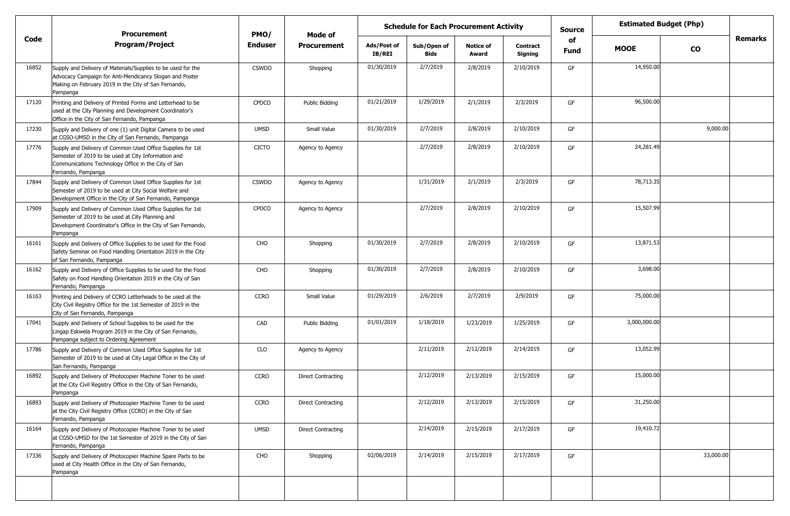|       | <b>Procurement</b>                                                                                                                                                                             | PMO/         | <b>Estimated Budget (Php)</b><br><b>Schedule for Each Procurement Activity</b><br><b>Source</b><br>Mode of<br>of |                       |                            |                           |                            |             |              |               |                |
|-------|------------------------------------------------------------------------------------------------------------------------------------------------------------------------------------------------|--------------|------------------------------------------------------------------------------------------------------------------|-----------------------|----------------------------|---------------------------|----------------------------|-------------|--------------|---------------|----------------|
| Code  | <b>Program/Project</b>                                                                                                                                                                         | Enduser      | <b>Procurement</b>                                                                                               | Ads/Post of<br>IB/REI | Sub/Open of<br><b>Bids</b> | <b>Notice of</b><br>Award | <b>Contract</b><br>Signing | <b>Fund</b> | <b>MOOE</b>  | $\mathbf{co}$ | <b>Remarks</b> |
| 16852 | Supply and Delivery of Materials/Supplies to be used for the<br>Advocacy Campaign for Anti-Mendicancy Slogan and Poster<br>Making on February 2019 in the City of San Fernando,<br>Pampanga    | <b>CSWDO</b> | Shopping                                                                                                         | 01/30/2019            | 2/7/2019                   | 2/8/2019                  | 2/10/2019                  | GF          | 14,950.00    |               |                |
| 17120 | Printing and Delivery of Printed Forms and Letterhead to be<br>used at the City Planning and Development Coordinator's<br>Office in the City of San Fernando, Pampanga                         | <b>CPDCO</b> | Public Bidding                                                                                                   | 01/21/2019            | 1/29/2019                  | 2/1/2019                  | 2/3/2019                   | GF          | 96,500.00    |               |                |
| 17230 | Supply and Delivery of one (1) unit Digital Camera to be used<br>at CGSO-UMSD in the City of San Fernando, Pampanga                                                                            | <b>UMSD</b>  | Small Value                                                                                                      | 01/30/2019            | 2/7/2019                   | 2/8/2019                  | 2/10/2019                  | GF          |              | 9,000.00      |                |
| 17776 | Supply and Delivery of Common Used Office Supplies for 1st<br>Semester of 2019 to be used at City Information and<br>Communications Technology Office in the City of San<br>Fernando, Pampanga | <b>CICTO</b> | Agency to Agency                                                                                                 |                       | 2/7/2019                   | 2/8/2019                  | 2/10/2019                  | GF          | 24,281.49    |               |                |
| 17844 | Supply and Delivery of Common Used Office Supplies for 1st<br>Semester of 2019 to be used at City Social Welfare and<br>Development Office in the City of San Fernando, Pampanga               | <b>CSWDO</b> | Agency to Agency                                                                                                 |                       | 1/31/2019                  | 2/1/2019                  | 2/3/2019                   | GF          | 78,713.35    |               |                |
| 17909 | Supply and Delivery of Common Used Office Supplies for 1st<br>Semester of 2019 to be used at City Planning and<br>Development Coordinator's Office in the City of San Fernando,<br>Pampanga    | <b>CPDCO</b> | Agency to Agency                                                                                                 |                       | 2/7/2019                   | 2/8/2019                  | 2/10/2019                  | GF          | 15,507.99    |               |                |
| 16161 | Supply and Delivery of Office Supplies to be used for the Food<br>Safety Seminar on Food Handling Orientation 2019 in the City<br>of San Fernando, Pampanga                                    | CHO          | Shopping                                                                                                         | 01/30/2019            | 2/7/2019                   | 2/8/2019                  | 2/10/2019                  | GF          | 13,871.53    |               |                |
| 16162 | Supply and Delivery of Office Supplies to be used for the Food<br>Safety on Food Handling Orientation 2019 in the City of San<br>Fernando, Pampanga                                            | CHO          | Shopping                                                                                                         | 01/30/2019            | 2/7/2019                   | 2/8/2019                  | 2/10/2019                  | GF          | 3,698.00     |               |                |
| 16163 | Printing and Delivery of CCRO Letterheads to be used at the<br>City Civil Registry Office for the 1st Semester of 2019 in the<br>City of San Fernando, Pampanga                                | <b>CCRO</b>  | Small Value                                                                                                      | 01/29/2019            | 2/6/2019                   | 2/7/2019                  | 2/9/2019                   | GF          | 75,000.00    |               |                |
| 17041 | Supply and Delivery of School Supplies to be used for the<br>Lingap Eskwela Program 2019 in the City of San Fernando,<br>Pampanga subject to Ordering Agreement                                | CAD          | Public Bidding                                                                                                   | 01/01/2019            | 1/18/2019                  | 1/23/2019                 | 1/25/2019                  | GF          | 3,000,000.00 |               |                |
| 17786 | Supply and Delivery of Common Used Office Supplies for 1st<br>Semester of 2019 to be used at City Legal Office in the City of<br>San Fernando, Pampanga                                        | <b>CLO</b>   | Agency to Agency                                                                                                 |                       | 2/11/2019                  | 2/12/2019                 | 2/14/2019                  | GF          | 13,052.99    |               |                |
| 16892 | Supply and Delivery of Photocopier Machine Toner to be used<br>at the City Civil Registry Office in the City of San Fernando,<br>Pampanga                                                      | <b>CCRO</b>  | <b>Direct Contracting</b>                                                                                        |                       | 2/12/2019                  | 2/13/2019                 | 2/15/2019                  | GF          | 15,000.00    |               |                |
| 16893 | Supply and Delivery of Photocopier Machine Toner to be used<br>at the City Civil Registry Office (CCRO) in the City of San<br>Fernando, Pampanga                                               | <b>CCRO</b>  | <b>Direct Contracting</b>                                                                                        |                       | 2/12/2019                  | 2/13/2019                 | 2/15/2019                  | GF          | 31,250.00    |               |                |
| 16164 | Supply and Delivery of Photocopier Machine Toner to be used<br>at CGSO-UMSD for the 1st Semester of 2019 in the City of San<br>Fernando, Pampanga                                              | <b>UMSD</b>  | <b>Direct Contracting</b>                                                                                        |                       | 2/14/2019                  | 2/15/2019                 | 2/17/2019                  | GF          | 19,410.72    |               |                |
| 17336 | Supply and Delivery of Photocopier Machine Spare Parts to be<br>used at City Health Office in the City of San Fernando,<br>Pampanga                                                            | CHO          | Shopping                                                                                                         | 02/06/2019            | 2/14/2019                  | 2/15/2019                 | 2/17/2019                  | GF          |              | 33,000.00     |                |
|       |                                                                                                                                                                                                |              |                                                                                                                  |                       |                            |                           |                            |             |              |               |                |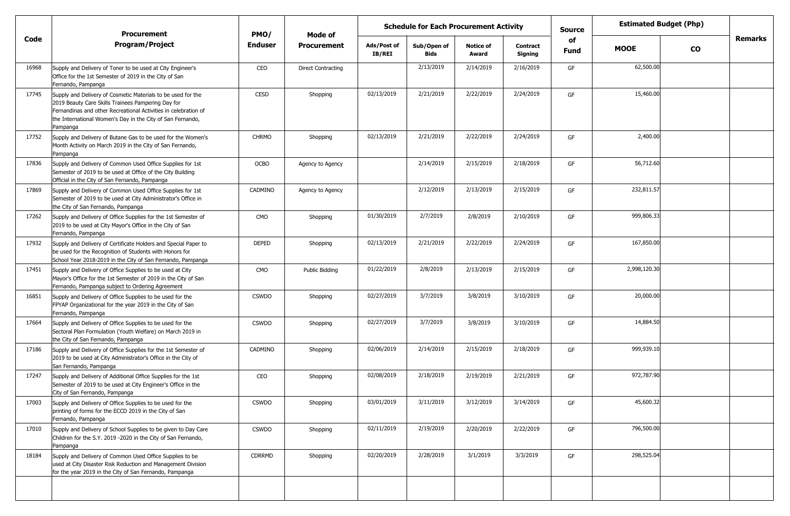|       | <b>Procurement</b>                                                                                                                                                                                                                                              | PMO/           | Mode of            |                              | <b>Estimated Budget (Php)</b><br><b>Schedule for Each Procurement Activity</b><br><b>Source</b><br>of |                           |                            |      |              |               |                |
|-------|-----------------------------------------------------------------------------------------------------------------------------------------------------------------------------------------------------------------------------------------------------------------|----------------|--------------------|------------------------------|-------------------------------------------------------------------------------------------------------|---------------------------|----------------------------|------|--------------|---------------|----------------|
| Code  | <b>Program/Project</b>                                                                                                                                                                                                                                          | <b>Enduser</b> | <b>Procurement</b> | Ads/Post of<br><b>IB/REI</b> | Sub/Open of<br><b>Bids</b>                                                                            | <b>Notice of</b><br>Award | <b>Contract</b><br>Signing | Fund | <b>MOOE</b>  | $\mathbf{co}$ | <b>Remarks</b> |
| 16968 | Supply and Delivery of Toner to be used at City Engineer's<br>Office for the 1st Semester of 2019 in the City of San<br>Fernando, Pampanga                                                                                                                      | CEO            | Direct Contracting |                              | 2/13/2019                                                                                             | 2/14/2019                 | 2/16/2019                  | GF   | 62,500.00    |               |                |
| 17745 | Supply and Delivery of Cosmetic Materials to be used for the<br>2019 Beauty Care Skills Trainees Pampering Day for<br>Fernandinas and other Recreational Activities in celebration of<br>the International Women's Day in the City of San Fernando,<br>Pampanga | <b>CESD</b>    | Shopping           | 02/13/2019                   | 2/21/2019                                                                                             | 2/22/2019                 | 2/24/2019                  | GF   | 15,460.00    |               |                |
| 17752 | Supply and Delivery of Butane Gas to be used for the Women's<br>Month Activity on March 2019 in the City of San Fernando,<br>Pampanga                                                                                                                           | <b>CHRMO</b>   | Shopping           | 02/13/2019                   | 2/21/2019                                                                                             | 2/22/2019                 | 2/24/2019                  | GF   | 2,400.00     |               |                |
| 17836 | Supply and Delivery of Common Used Office Supplies for 1st<br>Semester of 2019 to be used at Office of the City Building<br>Official in the City of San Fernando, Pampanga                                                                                      | OCBO           | Agency to Agency   |                              | 2/14/2019                                                                                             | 2/15/2019                 | 2/18/2019                  | GF   | 56,712.60    |               |                |
| 17869 | Supply and Delivery of Common Used Office Supplies for 1st<br>Semester of 2019 to be used at City Administrator's Office in<br>the City of San Fernando, Pampanga                                                                                               | CADMINO        | Agency to Agency   |                              | 2/12/2019                                                                                             | 2/13/2019                 | 2/15/2019                  | GF   | 232,811.57   |               |                |
| 17262 | Supply and Delivery of Office Supplies for the 1st Semester of<br>2019 to be used at City Mayor's Office in the City of San<br>Fernando, Pampanga                                                                                                               | CMO            | Shopping           | 01/30/2019                   | 2/7/2019                                                                                              | 2/8/2019                  | 2/10/2019                  | GF   | 999,806.33   |               |                |
| 17932 | Supply and Delivery of Certificate Holders and Special Paper to<br>be used for the Recognition of Students with Honors for<br>School Year 2018-2019 in the City of San Fernando, Pampanga                                                                       | <b>DEPED</b>   | Shopping           | 02/13/2019                   | 2/21/2019                                                                                             | 2/22/2019                 | 2/24/2019                  | GF   | 167,850.00   |               |                |
| 17451 | Supply and Delivery of Office Supplies to be used at City<br>Mayor's Office for the 1st Semester of 2019 in the City of San<br>Fernando, Pampanga subject to Ordering Agreement                                                                                 | <b>CMO</b>     | Public Bidding     | 01/22/2019                   | 2/8/2019                                                                                              | 2/13/2019                 | 2/15/2019                  | GF   | 2,998,120.30 |               |                |
| 16851 | Supply and Delivery of Office Supplies to be used for the<br>FPYAP Organizational for the year 2019 in the City of San<br>Fernando, Pampanga                                                                                                                    | <b>CSWDO</b>   | Shopping           | 02/27/2019                   | 3/7/2019                                                                                              | 3/8/2019                  | 3/10/2019                  | GF   | 20,000.00    |               |                |
| 17664 | Supply and Delivery of Office Supplies to be used for the<br>Sectoral Plan Formulation (Youth Welfare) on March 2019 in<br>the City of San Fernando, Pampanga                                                                                                   | <b>CSWDO</b>   | Shopping           | 02/27/2019                   | 3/7/2019                                                                                              | 3/8/2019                  | 3/10/2019                  | GF   | 14,884.50    |               |                |
| 17186 | Supply and Delivery of Office Supplies for the 1st Semester of<br>2019 to be used at City Administrator's Office in the City of<br>San Fernando, Pampanga                                                                                                       | CADMINO        | Shopping           | 02/06/2019                   | 2/14/2019                                                                                             | 2/15/2019                 | 2/18/2019                  | GF   | 999,939.10   |               |                |
| 17247 | Supply and Delivery of Additional Office Supplies for the 1st<br>Semester of 2019 to be used at City Engineer's Office in the<br>City of San Fernando, Pampanga                                                                                                 | CEO            | Shopping           | 02/08/2019                   | 2/18/2019                                                                                             | 2/19/2019                 | 2/21/2019                  | GF   | 972,787.90   |               |                |
| 17003 | Supply and Delivery of Office Supplies to be used for the<br>printing of forms for the ECCD 2019 in the City of San<br>Fernando, Pampanga                                                                                                                       | <b>CSWDO</b>   | Shopping           | 03/01/2019                   | 3/11/2019                                                                                             | 3/12/2019                 | 3/14/2019                  | GF   | 45,600.32    |               |                |
| 17010 | Supply and Delivery of School Supplies to be given to Day Care<br>Children for the S.Y. 2019 -2020 in the City of San Fernando,<br>Pampanga                                                                                                                     | <b>CSWDO</b>   | Shopping           | 02/11/2019                   | 2/19/2019                                                                                             | 2/20/2019                 | 2/22/2019                  | GF   | 796,500.00   |               |                |
| 18184 | Supply and Delivery of Common Used Office Supplies to be<br>used at City Disaster Risk Reduction and Management Division<br>for the year 2019 in the City of San Fernando, Pampanga                                                                             | CDRRMD         | Shopping           | 02/20/2019                   | 2/28/2019                                                                                             | 3/1/2019                  | 3/3/2019                   | GF   | 298,525.04   |               |                |
|       |                                                                                                                                                                                                                                                                 |                |                    |                              |                                                                                                       |                           |                            |      |              |               |                |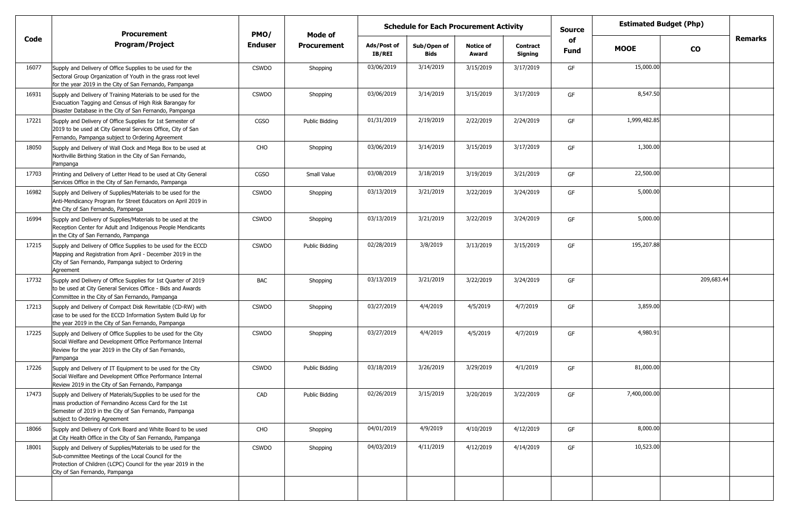|       | <b>Procurement</b>                                                                                                                                                                                                      | PMO/           | Mode of            |                       | <b>Schedule for Each Procurement Activity</b> |                           |                     | <b>Estimated Budget (Php)</b><br>Source<br>of |              |               |                |
|-------|-------------------------------------------------------------------------------------------------------------------------------------------------------------------------------------------------------------------------|----------------|--------------------|-----------------------|-----------------------------------------------|---------------------------|---------------------|-----------------------------------------------|--------------|---------------|----------------|
| Code  | <b>Program/Project</b>                                                                                                                                                                                                  | <b>Enduser</b> | <b>Procurement</b> | Ads/Post of<br>IB/REI | Sub/Open of<br>Bids                           | <b>Notice of</b><br>Award | Contract<br>Signing | Fund                                          | <b>MOOE</b>  | $\mathbf{co}$ | <b>Remarks</b> |
| 16077 | Supply and Delivery of Office Supplies to be used for the<br>Sectoral Group Organization of Youth in the grass root level<br>for the year 2019 in the City of San Fernando, Pampanga                                    | <b>CSWDO</b>   | Shopping           | 03/06/2019            | 3/14/2019                                     | 3/15/2019                 | 3/17/2019           | GF                                            | 15,000.00    |               |                |
| 16931 | Supply and Delivery of Training Materials to be used for the<br>Evacuation Tagging and Census of High Risk Barangay for<br>Disaster Database in the City of San Fernando, Pampanga                                      | <b>CSWDO</b>   | Shopping           | 03/06/2019            | 3/14/2019                                     | 3/15/2019                 | 3/17/2019           | GF                                            | 8,547.50     |               |                |
| 17221 | Supply and Delivery of Office Supplies for 1st Semester of<br>2019 to be used at City General Services Office, City of San<br>Fernando, Pampanga subject to Ordering Agreement                                          | <b>CGSO</b>    | Public Bidding     | 01/31/2019            | 2/19/2019                                     | 2/22/2019                 | 2/24/2019           | GF                                            | 1,999,482.85 |               |                |
| 18050 | Supply and Delivery of Wall Clock and Mega Box to be used at<br>Northville Birthing Station in the City of San Fernando,<br>Pampanga                                                                                    | CHO            | Shopping           | 03/06/2019            | 3/14/2019                                     | 3/15/2019                 | 3/17/2019           | GF                                            | 1,300.00     |               |                |
| 17703 | Printing and Delivery of Letter Head to be used at City General<br>Services Office in the City of San Fernando, Pampanga                                                                                                | CGSO           | Small Value        | 03/08/2019            | 3/18/2019                                     | 3/19/2019                 | 3/21/2019           | GF                                            | 22,500.00    |               |                |
| 16982 | Supply and Delivery of Supplies/Materials to be used for the<br>Anti-Mendicancy Program for Street Educators on April 2019 in<br>the City of San Fernando, Pampanga                                                     | <b>CSWDO</b>   | Shopping           | 03/13/2019            | 3/21/2019                                     | 3/22/2019                 | 3/24/2019           | GF                                            | 5,000.00     |               |                |
| 16994 | Supply and Delivery of Supplies/Materials to be used at the<br>Reception Center for Adult and Indigenous People Mendicants<br>in the City of San Fernando, Pampanga                                                     | <b>CSWDO</b>   | Shopping           | 03/13/2019            | 3/21/2019                                     | 3/22/2019                 | 3/24/2019           | GF                                            | 5,000.00     |               |                |
| 17215 | Supply and Delivery of Office Supplies to be used for the ECCD<br>Mapping and Registration from April - December 2019 in the<br>City of San Fernando, Pampanga subject to Ordering<br>Agreement                         | <b>CSWDO</b>   | Public Bidding     | 02/28/2019            | 3/8/2019                                      | 3/13/2019                 | 3/15/2019           | GF                                            | 195,207.88   |               |                |
| 17732 | Supply and Delivery of Office Supplies for 1st Quarter of 2019<br>to be used at City General Services Office - Bids and Awards<br>Committee in the City of San Fernando, Pampanga                                       | BAC            | Shopping           | 03/13/2019            | 3/21/2019                                     | 3/22/2019                 | 3/24/2019           | GF                                            |              | 209,683.44    |                |
| 17213 | Supply and Delivery of Compact Disk Rewritable (CD-RW) with<br>case to be used for the ECCD Information System Build Up for<br>the year 2019 in the City of San Fernando, Pampanga                                      | <b>CSWDO</b>   | Shopping           | 03/27/2019            | 4/4/2019                                      | 4/5/2019                  | 4/7/2019            | GF                                            | 3,859.00     |               |                |
| 17225 | Supply and Delivery of Office Supplies to be used for the City<br>Social Welfare and Development Office Performance Internal<br>Review for the year 2019 in the City of San Fernando,<br>Pampanga                       | <b>CSWDO</b>   | Shopping           | 03/27/2019            | 4/4/2019                                      | 4/5/2019                  | 4/7/2019            | GF                                            | 4,980.91     |               |                |
| 17226 | Supply and Delivery of IT Equipment to be used for the City<br>Social Welfare and Development Office Performance Internal<br>Review 2019 in the City of San Fernando, Pampanga                                          | <b>CSWDO</b>   | Public Bidding     | 03/18/2019            | 3/26/2019                                     | 3/29/2019                 | 4/1/2019            | GF                                            | 81,000.00    |               |                |
| 17473 | Supply and Delivery of Materials/Supplies to be used for the<br>mass production of Fernandino Access Card for the 1st<br>Semester of 2019 in the City of San Fernando, Pampanga<br>subject to Ordering Agreement        | CAD            | Public Bidding     | 02/26/2019            | 3/15/2019                                     | 3/20/2019                 | 3/22/2019           | GF                                            | 7,400,000.00 |               |                |
| 18066 | Supply and Delivery of Cork Board and White Board to be used<br>at City Health Office in the City of San Fernando, Pampanga                                                                                             | CHO            | Shopping           | 04/01/2019            | 4/9/2019                                      | 4/10/2019                 | 4/12/2019           | GF                                            | 8,000.00     |               |                |
| 18001 | Supply and Delivery of Supplies/Materials to be used for the<br>Sub-committee Meetings of the Local Council for the<br>Protection of Children (LCPC) Council for the year 2019 in the<br>City of San Fernando, Pampanga | <b>CSWDO</b>   | Shopping           | 04/03/2019            | 4/11/2019                                     | 4/12/2019                 | 4/14/2019           | GF                                            | 10,523.00    |               |                |
|       |                                                                                                                                                                                                                         |                |                    |                       |                                               |                           |                     |                                               |              |               |                |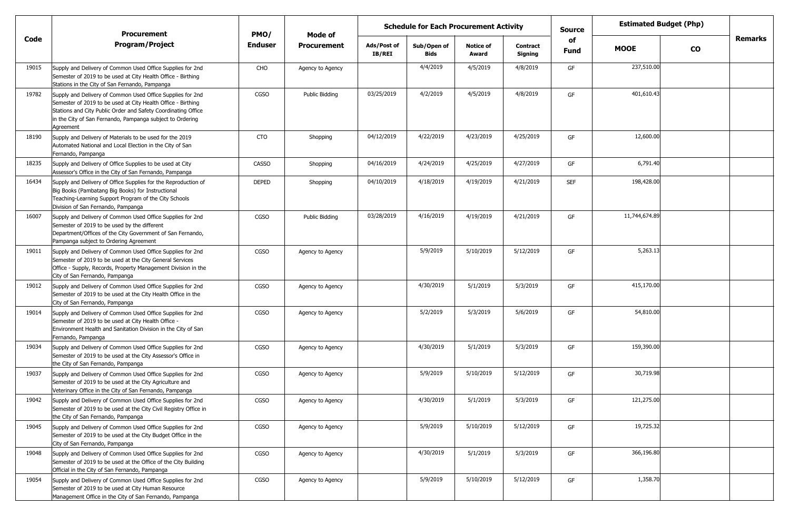|       | <b>Procurement</b>                                                                                                                                                                                                                                                    | PMO/           | Mode of            |                       | <b>Estimated Budget (Php)</b><br><b>Schedule for Each Procurement Activity</b><br><b>Source</b> |                           |                            |                   |               |               |                |
|-------|-----------------------------------------------------------------------------------------------------------------------------------------------------------------------------------------------------------------------------------------------------------------------|----------------|--------------------|-----------------------|-------------------------------------------------------------------------------------------------|---------------------------|----------------------------|-------------------|---------------|---------------|----------------|
| Code  | <b>Program/Project</b>                                                                                                                                                                                                                                                | <b>Enduser</b> | <b>Procurement</b> | Ads/Post of<br>IB/REI | Sub/Open of<br><b>Bids</b>                                                                      | <b>Notice of</b><br>Award | <b>Contract</b><br>Signing | of<br><b>Fund</b> | <b>MOOE</b>   | $\mathbf{co}$ | <b>Remarks</b> |
| 19015 | Supply and Delivery of Common Used Office Supplies for 2nd<br>Semester of 2019 to be used at City Health Office - Birthing<br>Stations in the City of San Fernando, Pampanga                                                                                          | CHO            | Agency to Agency   |                       | 4/4/2019                                                                                        | 4/5/2019                  | 4/8/2019                   | GF                | 237,510.00    |               |                |
| 19782 | Supply and Delivery of Common Used Office Supplies for 2nd<br>Semester of 2019 to be used at City Health Office - Birthing<br>Stations and City Public Order and Safety Coordinating Office<br>in the City of San Fernando, Pampanga subject to Ordering<br>Agreement | <b>CGSO</b>    | Public Bidding     | 03/25/2019            | 4/2/2019                                                                                        | 4/5/2019                  | 4/8/2019                   | GF                | 401,610.43    |               |                |
| 18190 | Supply and Delivery of Materials to be used for the 2019<br>Automated National and Local Election in the City of San<br>Fernando, Pampanga                                                                                                                            | <b>CTO</b>     | Shopping           | 04/12/2019            | 4/22/2019                                                                                       | 4/23/2019                 | 4/25/2019                  | GF                | 12,600.00     |               |                |
| 18235 | Supply and Delivery of Office Supplies to be used at City<br>Assessor's Office in the City of San Fernando, Pampanga                                                                                                                                                  | <b>CASSO</b>   | Shopping           | 04/16/2019            | 4/24/2019                                                                                       | 4/25/2019                 | 4/27/2019                  | GF                | 6,791.40      |               |                |
| 16434 | Supply and Delivery of Office Supplies for the Reproduction of<br>Big Books (Pambatang Big Books) for Instructional<br>Teaching-Learning Support Program of the City Schools<br>Division of San Fernando, Pampanga                                                    | <b>DEPED</b>   | Shopping           | 04/10/2019            | 4/18/2019                                                                                       | 4/19/2019                 | 4/21/2019                  | <b>SEF</b>        | 198,428.00    |               |                |
| 16007 | Supply and Delivery of Common Used Office Supplies for 2nd<br>Semester of 2019 to be used by the different<br>Department/Offices of the City Government of San Fernando,<br>Pampanga subject to Ordering Agreement                                                    | <b>CGSO</b>    | Public Bidding     | 03/28/2019            | 4/16/2019                                                                                       | 4/19/2019                 | 4/21/2019                  | GF                | 11,744,674.89 |               |                |
| 19011 | Supply and Delivery of Common Used Office Supplies for 2nd<br>Semester of 2019 to be used at the City General Services<br>Office - Supply, Records, Property Management Division in the<br>City of San Fernando, Pampanga                                             | CGSO           | Agency to Agency   |                       | 5/9/2019                                                                                        | 5/10/2019                 | 5/12/2019                  | GF                | 5,263.13      |               |                |
| 19012 | Supply and Delivery of Common Used Office Supplies for 2nd<br>Semester of 2019 to be used at the City Health Office in the<br>City of San Fernando, Pampanga                                                                                                          | CGSO           | Agency to Agency   |                       | 4/30/2019                                                                                       | 5/1/2019                  | 5/3/2019                   | GF                | 415,170.00    |               |                |
| 19014 | Supply and Delivery of Common Used Office Supplies for 2nd<br>Semester of 2019 to be used at City Health Office -<br>Environment Health and Sanitation Division in the City of San<br>Fernando, Pampanga                                                              | CGSO           | Agency to Agency   |                       | 5/2/2019                                                                                        | 5/3/2019                  | 5/6/2019                   | GF                | 54,810.00     |               |                |
| 19034 | Supply and Delivery of Common Used Office Supplies for 2nd<br>Semester of 2019 to be used at the City Assessor's Office in<br>the City of San Fernando, Pampanga                                                                                                      | CGSO           | Agency to Agency   |                       | 4/30/2019                                                                                       | 5/1/2019                  | 5/3/2019                   | GF                | 159,390.00    |               |                |
| 19037 | Supply and Delivery of Common Used Office Supplies for 2nd<br>Semester of 2019 to be used at the City Agriculture and<br>Veterinary Office in the City of San Fernando, Pampanga                                                                                      | <b>CGSO</b>    | Agency to Agency   |                       | 5/9/2019                                                                                        | 5/10/2019                 | 5/12/2019                  | GF                | 30,719.98     |               |                |
| 19042 | Supply and Delivery of Common Used Office Supplies for 2nd<br>Semester of 2019 to be used at the City Civil Registry Office in<br>the City of San Fernando, Pampanga                                                                                                  | CGSO           | Agency to Agency   |                       | 4/30/2019                                                                                       | 5/1/2019                  | 5/3/2019                   | GF                | 121,275.00    |               |                |
| 19045 | Supply and Delivery of Common Used Office Supplies for 2nd<br>Semester of 2019 to be used at the City Budget Office in the<br>City of San Fernando, Pampanga                                                                                                          | CGSO           | Agency to Agency   |                       | 5/9/2019                                                                                        | 5/10/2019                 | 5/12/2019                  | GF                | 19,725.32     |               |                |
| 19048 | Supply and Delivery of Common Used Office Supplies for 2nd<br>Semester of 2019 to be used at the Office of the City Building<br>Official in the City of San Fernando, Pampanga                                                                                        | CGSO           | Agency to Agency   |                       | 4/30/2019                                                                                       | 5/1/2019                  | 5/3/2019                   | GF                | 366,196.80    |               |                |
| 19054 | Supply and Delivery of Common Used Office Supplies for 2nd<br>Semester of 2019 to be used at City Human Resource<br>Management Office in the City of San Fernando, Pampanga                                                                                           | CGSO           | Agency to Agency   |                       | 5/9/2019                                                                                        | 5/10/2019                 | 5/12/2019                  | GF                | 1,358.70      |               |                |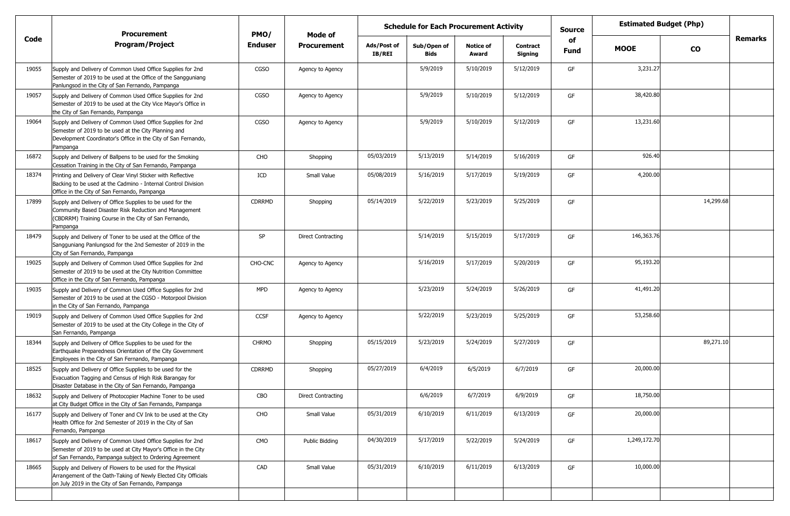|       | <b>Procurement</b>                                                                                                                                                                              | PMO/           | Mode of                   | <b>Estimated Budget (Php)</b><br><b>Schedule for Each Procurement Activity</b><br><b>Source</b> |                            |                           |                            |            |              |           |                |
|-------|-------------------------------------------------------------------------------------------------------------------------------------------------------------------------------------------------|----------------|---------------------------|-------------------------------------------------------------------------------------------------|----------------------------|---------------------------|----------------------------|------------|--------------|-----------|----------------|
| Code  | <b>Program/Project</b>                                                                                                                                                                          | <b>Enduser</b> | <b>Procurement</b>        | Ads/Post of<br>IB/REI                                                                           | Sub/Open of<br><b>Bids</b> | <b>Notice of</b><br>Award | <b>Contract</b><br>Signing | of<br>Fund | <b>MOOE</b>  | <b>CO</b> | <b>Remarks</b> |
| 19055 | Supply and Delivery of Common Used Office Supplies for 2nd<br>Semester of 2019 to be used at the Office of the Sangguniang<br>Panlungsod in the City of San Fernando, Pampanga                  | <b>CGSO</b>    | Agency to Agency          |                                                                                                 | 5/9/2019                   | 5/10/2019                 | 5/12/2019                  | GF         | 3,231.27     |           |                |
| 19057 | Supply and Delivery of Common Used Office Supplies for 2nd<br>Semester of 2019 to be used at the City Vice Mayor's Office in<br>the City of San Fernando, Pampanga                              | <b>CGSO</b>    | Agency to Agency          |                                                                                                 | 5/9/2019                   | 5/10/2019                 | 5/12/2019                  | GF         | 38,420.80    |           |                |
| 19064 | Supply and Delivery of Common Used Office Supplies for 2nd<br>Semester of 2019 to be used at the City Planning and<br>Development Coordinator's Office in the City of San Fernando,<br>Pampanga | <b>CGSO</b>    | Agency to Agency          |                                                                                                 | 5/9/2019                   | 5/10/2019                 | 5/12/2019                  | GF         | 13,231.60    |           |                |
| 16872 | Supply and Delivery of Ballpens to be used for the Smoking<br>Cessation Training in the City of San Fernando, Pampanga                                                                          | CHO            | Shopping                  | 05/03/2019                                                                                      | 5/13/2019                  | 5/14/2019                 | 5/16/2019                  | GF         | 926.40       |           |                |
| 18374 | Printing and Delivery of Clear Vinyl Sticker with Reflective<br>Backing to be used at the Cadmino - Internal Control Division<br>Office in the City of San Fernando, Pampanga                   | ICD            | Small Value               | 05/08/2019                                                                                      | 5/16/2019                  | 5/17/2019                 | 5/19/2019                  | GF         | 4,200.00     |           |                |
| 17899 | Supply and Delivery of Office Supplies to be used for the<br>Community Based Disaster Risk Reduction and Management<br>(CBDRRM) Training Course in the City of San Fernando,<br>Pampanga        | <b>CDRRMD</b>  | Shopping                  | 05/14/2019                                                                                      | 5/22/2019                  | 5/23/2019                 | 5/25/2019                  | GF         |              | 14,299.68 |                |
| 18479 | Supply and Delivery of Toner to be used at the Office of the<br>Sangguniang Panlungsod for the 2nd Semester of 2019 in the<br>City of San Fernando, Pampanga                                    | SP             | <b>Direct Contracting</b> |                                                                                                 | 5/14/2019                  | 5/15/2019                 | 5/17/2019                  | GF         | 146,363.76   |           |                |
| 19025 | Supply and Delivery of Common Used Office Supplies for 2nd<br>Semester of 2019 to be used at the City Nutrition Committee<br>Office in the City of San Fernando, Pampanga                       | CHO-CNC        | Agency to Agency          |                                                                                                 | 5/16/2019                  | 5/17/2019                 | 5/20/2019                  | GF         | 95,193.20    |           |                |
| 19035 | Supply and Delivery of Common Used Office Supplies for 2nd<br>Semester of 2019 to be used at the CGSO - Motorpool Division<br>in the City of San Fernando, Pampanga                             | <b>MPD</b>     | Agency to Agency          |                                                                                                 | 5/23/2019                  | 5/24/2019                 | 5/26/2019                  | GF         | 41,491.20    |           |                |
| 19019 | Supply and Delivery of Common Used Office Supplies for 2nd<br>Semester of 2019 to be used at the City College in the City of<br>San Fernando, Pampanga                                          | <b>CCSF</b>    | Agency to Agency          |                                                                                                 | 5/22/2019                  | 5/23/2019                 | 5/25/2019                  | GF         | 53,258.60    |           |                |
| 18344 | Supply and Delivery of Office Supplies to be used for the<br>Earthquake Preparedness Orientation of the City Government<br>Employees in the City of San Fernando, Pampanga                      | <b>CHRMO</b>   | Shopping                  | 05/15/2019                                                                                      | 5/23/2019                  | 5/24/2019                 | 5/27/2019                  | GF         |              | 89,271.10 |                |
| 18525 | Supply and Delivery of Office Supplies to be used for the<br>Evacuation Tagging and Census of High Risk Barangay for<br>Disaster Database in the City of San Fernando, Pampanga                 | <b>CDRRMD</b>  | Shopping                  | 05/27/2019                                                                                      | 6/4/2019                   | 6/5/2019                  | 6/7/2019                   | GF         | 20,000.00    |           |                |
| 18632 | Supply and Delivery of Photocopier Machine Toner to be used<br>at City Budget Office in the City of San Fernando, Pampanga                                                                      | CBO            | Direct Contracting        |                                                                                                 | 6/6/2019                   | 6/7/2019                  | 6/9/2019                   | GF         | 18,750.00    |           |                |
| 16177 | Supply and Delivery of Toner and CV Ink to be used at the City<br>Health Office for 2nd Semester of 2019 in the City of San<br>Fernando, Pampanga                                               | CHO            | Small Value               | 05/31/2019                                                                                      | 6/10/2019                  | 6/11/2019                 | 6/13/2019                  | GF         | 20,000.00    |           |                |
| 18617 | Supply and Delivery of Common Used Office Supplies for 2nd<br>Semester of 2019 to be used at City Mayor's Office in the City<br>of San Fernando, Pampanga subject to Ordering Agreement         | CMO            | Public Bidding            | 04/30/2019                                                                                      | 5/17/2019                  | 5/22/2019                 | 5/24/2019                  | GF         | 1,249,172.70 |           |                |
| 18665 | Supply and Delivery of Flowers to be used for the Physical<br>Arrangement of the Oath-Taking of Newly Elected City Officials<br>on July 2019 in the City of San Fernando, Pampanga              | CAD            | Small Value               | 05/31/2019                                                                                      | 6/10/2019                  | 6/11/2019                 | 6/13/2019                  | GF         | 10,000.00    |           |                |
|       |                                                                                                                                                                                                 |                |                           |                                                                                                 |                            |                           |                            |            |              |           |                |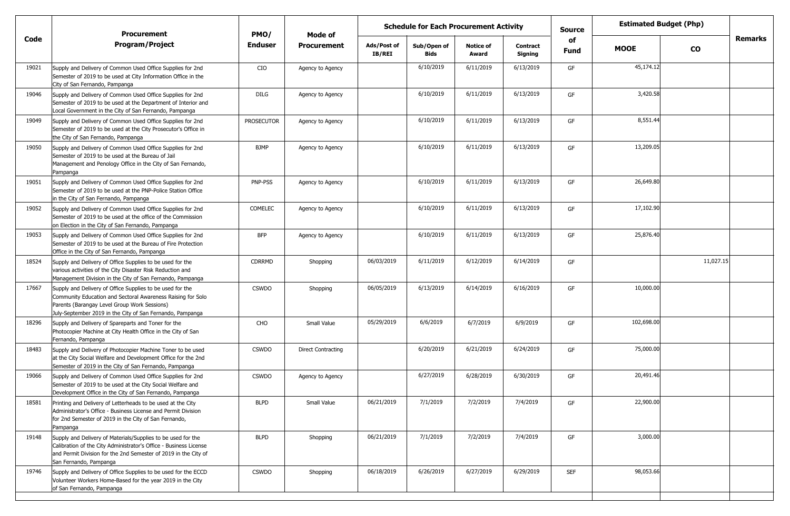|       | <b>Procurement</b>                                                                                                                                                                                                                    | PMO/              | Mode of            |                              | <b>Schedule for Each Procurement Activity</b> |                           |                            | <b>Source</b>     | <b>Estimated Budget (Php)</b> |               |         |
|-------|---------------------------------------------------------------------------------------------------------------------------------------------------------------------------------------------------------------------------------------|-------------------|--------------------|------------------------------|-----------------------------------------------|---------------------------|----------------------------|-------------------|-------------------------------|---------------|---------|
| Code  | <b>Program/Project</b>                                                                                                                                                                                                                | <b>Enduser</b>    | <b>Procurement</b> | Ads/Post of<br><b>IB/REI</b> | Sub/Open of<br><b>Bids</b>                    | <b>Notice of</b><br>Award | <b>Contract</b><br>Signing | of<br><b>Fund</b> | <b>MOOE</b>                   | $\mathbf{co}$ | Remarks |
| 19021 | Supply and Delivery of Common Used Office Supplies for 2nd<br>Semester of 2019 to be used at City Information Office in the<br>City of San Fernando, Pampanga                                                                         | CIO               | Agency to Agency   |                              | 6/10/2019                                     | 6/11/2019                 | 6/13/2019                  | GF                | 45,174.12                     |               |         |
| 19046 | Supply and Delivery of Common Used Office Supplies for 2nd<br>Semester of 2019 to be used at the Department of Interior and<br>Local Government in the City of San Fernando, Pampanga                                                 | <b>DILG</b>       | Agency to Agency   |                              | 6/10/2019                                     | 6/11/2019                 | 6/13/2019                  | GF                | 3,420.58                      |               |         |
| 19049 | Supply and Delivery of Common Used Office Supplies for 2nd<br>Semester of 2019 to be used at the City Prosecutor's Office in<br>the City of San Fernando, Pampanga                                                                    | <b>PROSECUTOR</b> | Agency to Agency   |                              | 6/10/2019                                     | 6/11/2019                 | 6/13/2019                  | GF                | 8,551.44                      |               |         |
| 19050 | Supply and Delivery of Common Used Office Supplies for 2nd<br>Semester of 2019 to be used at the Bureau of Jail<br>Management and Penology Office in the City of San Fernando,<br>Pampanga                                            | <b>BJMP</b>       | Agency to Agency   |                              | 6/10/2019                                     | 6/11/2019                 | 6/13/2019                  | GF                | 13,209.05                     |               |         |
| 19051 | Supply and Delivery of Common Used Office Supplies for 2nd<br>Semester of 2019 to be used at the PNP-Police Station Office<br>in the City of San Fernando, Pampanga                                                                   | PNP-PSS           | Agency to Agency   |                              | 6/10/2019                                     | 6/11/2019                 | 6/13/2019                  | GF                | 26,649.80                     |               |         |
| 19052 | Supply and Delivery of Common Used Office Supplies for 2nd<br>Semester of 2019 to be used at the office of the Commission<br>on Election in the City of San Fernando, Pampanga                                                        | COMELEC           | Agency to Agency   |                              | 6/10/2019                                     | 6/11/2019                 | 6/13/2019                  | GF                | 17,102.90                     |               |         |
| 19053 | Supply and Delivery of Common Used Office Supplies for 2nd<br>Semester of 2019 to be used at the Bureau of Fire Protection<br>Office in the City of San Fernando, Pampanga                                                            | <b>BFP</b>        | Agency to Agency   |                              | 6/10/2019                                     | 6/11/2019                 | 6/13/2019                  | GF                | 25,876.40                     |               |         |
| 18524 | Supply and Delivery of Office Supplies to be used for the<br>various activities of the City Disaster Risk Reduction and<br>Management Division in the City of San Fernando, Pampanga                                                  | <b>CDRRMD</b>     | Shopping           | 06/03/2019                   | 6/11/2019                                     | 6/12/2019                 | 6/14/2019                  | GF                |                               | 11,027.15     |         |
| 17667 | Supply and Delivery of Office Supplies to be used for the<br>Community Education and Sectoral Awareness Raising for Solo<br>Parents (Barangay Level Group Work Sessions)<br>July-September 2019 in the City of San Fernando, Pampanga | <b>CSWDO</b>      | Shopping           | 06/05/2019                   | 6/13/2019                                     | 6/14/2019                 | 6/16/2019                  | GF                | 10,000.00                     |               |         |
| 18296 | Supply and Delivery of Spareparts and Toner for the<br>Photocopier Machine at City Health Office in the City of San<br>Fernando, Pampanga                                                                                             | CHO               | Small Value        | 05/29/2019                   | 6/6/2019                                      | 6/7/2019                  | 6/9/2019                   | GF                | 102,698.00                    |               |         |
| 18483 | Supply and Delivery of Photocopier Machine Toner to be used<br>at the City Social Welfare and Development Office for the 2nd<br>Semester of 2019 in the City of San Fernando, Pampanga                                                | <b>CSWDO</b>      | Direct Contracting |                              | 6/20/2019                                     | 6/21/2019                 | 6/24/2019                  | GF                | 75,000.00                     |               |         |
| 19066 | Supply and Delivery of Common Used Office Supplies for 2nd<br>Semester of 2019 to be used at the City Social Welfare and<br>Development Office in the City of San Fernando, Pampanga                                                  | <b>CSWDO</b>      | Agency to Agency   |                              | 6/27/2019                                     | 6/28/2019                 | 6/30/2019                  | GF                | 20,491.46                     |               |         |
| 18581 | Printing and Delivery of Letterheads to be used at the City<br>Administrator's Office - Business License and Permit Division<br>for 2nd Semester of 2019 in the City of San Fernando,<br>Pampanga                                     | <b>BLPD</b>       | Small Value        | 06/21/2019                   | 7/1/2019                                      | 7/2/2019                  | 7/4/2019                   | GF                | 22,900.00                     |               |         |
| 19148 | Supply and Delivery of Materials/Supplies to be used for the<br>Calibration of the City Administrator's Office - Business License<br>and Permit Division for the 2nd Semester of 2019 in the City of<br>San Fernando, Pampanga        | <b>BLPD</b>       | Shopping           | 06/21/2019                   | 7/1/2019                                      | 7/2/2019                  | 7/4/2019                   | GF                | 3,000.00                      |               |         |
| 19746 | Supply and Delivery of Office Supplies to be used for the ECCD<br>Volunteer Workers Home-Based for the year 2019 in the City<br>of San Fernando, Pampanga                                                                             | <b>CSWDO</b>      | Shopping           | 06/18/2019                   | 6/26/2019                                     | 6/27/2019                 | 6/29/2019                  | <b>SEF</b>        | 98,053.66                     |               |         |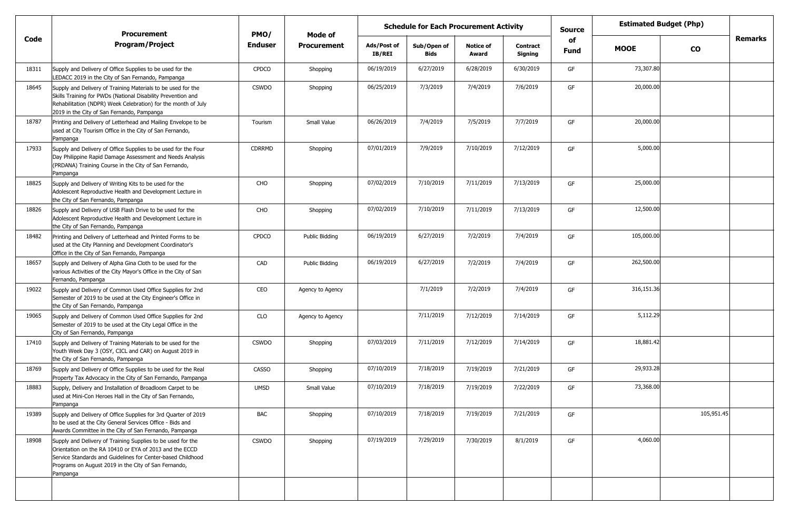|       | <b>Procurement</b>                                                                                                                                                                                                                                        | PMO/         | Mode of            |                       | <b>Schedule for Each Procurement Activity</b> |                           |                            | <b>Source</b> | <b>Estimated Budget (Php)</b> |               |                |
|-------|-----------------------------------------------------------------------------------------------------------------------------------------------------------------------------------------------------------------------------------------------------------|--------------|--------------------|-----------------------|-----------------------------------------------|---------------------------|----------------------------|---------------|-------------------------------|---------------|----------------|
| Code  | <b>Program/Project</b>                                                                                                                                                                                                                                    | Enduser      | <b>Procurement</b> | Ads/Post of<br>IB/REI | Sub/Open of<br>Bids                           | <b>Notice of</b><br>Award | <b>Contract</b><br>Signing | of<br>Fund    | <b>MOOE</b>                   | $\mathbf{co}$ | <b>Remarks</b> |
| 18311 | Supply and Delivery of Office Supplies to be used for the<br>LEDACC 2019 in the City of San Fernando, Pampanga                                                                                                                                            | <b>CPDCO</b> | Shopping           | 06/19/2019            | 6/27/2019                                     | 6/28/2019                 | 6/30/2019                  | GF            | 73,307.80                     |               |                |
| 18645 | Supply and Delivery of Training Materials to be used for the<br>Skills Training for PWDs (National Disability Prevention and<br>Rehabilitation (NDPR) Week Celebration) for the month of July<br>2019 in the City of San Fernando, Pampanga               | <b>CSWDO</b> | Shopping           | 06/25/2019            | 7/3/2019                                      | 7/4/2019                  | 7/6/2019                   | GF            | 20,000.00                     |               |                |
| 18787 | Printing and Delivery of Letterhead and Mailing Envelope to be<br>used at City Tourism Office in the City of San Fernando,<br>Pampanga                                                                                                                    | Tourism      | Small Value        | 06/26/2019            | 7/4/2019                                      | 7/5/2019                  | 7/7/2019                   | GF            | 20,000.00                     |               |                |
| 17933 | Supply and Delivery of Office Supplies to be used for the Four<br>Day Philippine Rapid Damage Assessment and Needs Analysis<br>(PRDANA) Training Course in the City of San Fernando,<br>Pampanga                                                          | CDRRMD       | Shopping           | 07/01/2019            | 7/9/2019                                      | 7/10/2019                 | 7/12/2019                  | GF            | 5,000.00                      |               |                |
| 18825 | Supply and Delivery of Writing Kits to be used for the<br>Adolescent Reproductive Health and Development Lecture in<br>the City of San Fernando, Pampanga                                                                                                 | CHO          | Shopping           | 07/02/2019            | 7/10/2019                                     | 7/11/2019                 | 7/13/2019                  | GF            | 25,000.00                     |               |                |
| 18826 | Supply and Delivery of USB Flash Drive to be used for the<br>Adolescent Reproductive Health and Development Lecture in<br>the City of San Fernando, Pampanga                                                                                              | <b>CHO</b>   | Shopping           | 07/02/2019            | 7/10/2019                                     | 7/11/2019                 | 7/13/2019                  | GF            | 12,500.00                     |               |                |
| 18482 | Printing and Delivery of Letterhead and Printed Forms to be<br>used at the City Planning and Development Coordinator's<br>Office in the City of San Fernando, Pampanga                                                                                    | CPDCO        | Public Bidding     | 06/19/2019            | 6/27/2019                                     | 7/2/2019                  | 7/4/2019                   | GF            | 105,000.00                    |               |                |
| 18657 | Supply and Delivery of Alpha Gina Cloth to be used for the<br>various Activities of the City Mayor's Office in the City of San<br>Fernando, Pampanga                                                                                                      | CAD          | Public Bidding     | 06/19/2019            | 6/27/2019                                     | 7/2/2019                  | 7/4/2019                   | GF            | 262,500.00                    |               |                |
| 19022 | Supply and Delivery of Common Used Office Supplies for 2nd<br>Semester of 2019 to be used at the City Engineer's Office in<br>the City of San Fernando, Pampanga                                                                                          | CEO          | Agency to Agency   |                       | 7/1/2019                                      | 7/2/2019                  | 7/4/2019                   | GF            | 316,151.36                    |               |                |
| 19065 | Supply and Delivery of Common Used Office Supplies for 2nd<br>Semester of 2019 to be used at the City Legal Office in the<br>City of San Fernando, Pampanga                                                                                               | <b>CLO</b>   | Agency to Agency   |                       | 7/11/2019                                     | 7/12/2019                 | 7/14/2019                  | GF            | 5,112.29                      |               |                |
| 17410 | Supply and Delivery of Training Materials to be used for the<br>Youth Week Day 3 (OSY, CICL and CAR) on August 2019 in<br>the City of San Fernando, Pampanga                                                                                              | <b>CSWDO</b> | Shopping           | 07/03/2019            | 7/11/2019                                     | 7/12/2019                 | 7/14/2019                  | GF            | 18,881.42                     |               |                |
| 18769 | Supply and Delivery of Office Supplies to be used for the Real<br>Property Tax Advocacy in the City of San Fernando, Pampanga                                                                                                                             | CASSO        | Shopping           | 07/10/2019            | 7/18/2019                                     | 7/19/2019                 | 7/21/2019                  | GF            | 29,933.28                     |               |                |
| 18883 | Supply, Delivery and Installation of Broadloom Carpet to be<br>used at Mini-Con Heroes Hall in the City of San Fernando,<br>Pampanga                                                                                                                      | <b>UMSD</b>  | Small Value        | 07/10/2019            | 7/18/2019                                     | 7/19/2019                 | 7/22/2019                  | GF            | 73,368.00                     |               |                |
| 19389 | Supply and Delivery of Office Supplies for 3rd Quarter of 2019<br>to be used at the City General Services Office - Bids and<br>Awards Committee in the City of San Fernando, Pampanga                                                                     | <b>BAC</b>   | Shopping           | 07/10/2019            | 7/18/2019                                     | 7/19/2019                 | 7/21/2019                  | GF            |                               | 105,951.45    |                |
| 18908 | Supply and Delivery of Training Supplies to be used for the<br>Orientation on the RA 10410 or EYA of 2013 and the ECCD<br>Service Standards and Guidelines for Center-based Childhood<br>Programs on August 2019 in the City of San Fernando,<br>Pampanga | <b>CSWDO</b> | Shopping           | 07/19/2019            | 7/29/2019                                     | 7/30/2019                 | 8/1/2019                   | GF            | 4,060.00                      |               |                |
|       |                                                                                                                                                                                                                                                           |              |                    |                       |                                               |                           |                            |               |                               |               |                |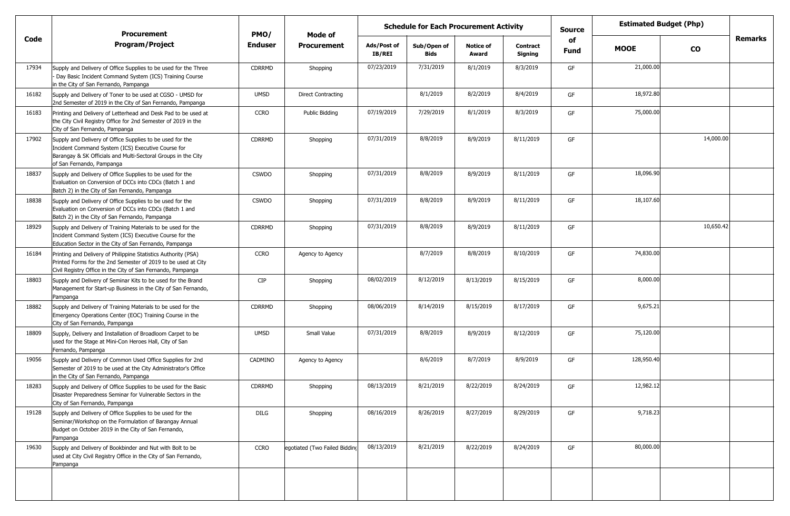|       | <b>Procurement</b>                                                                                                                                                                                            | PMO/         | Mode of                       |                       | <b>Schedule for Each Procurement Activity</b> |                           |                            | <b>Source</b> | <b>Estimated Budget (Php)</b> |               |         |
|-------|---------------------------------------------------------------------------------------------------------------------------------------------------------------------------------------------------------------|--------------|-------------------------------|-----------------------|-----------------------------------------------|---------------------------|----------------------------|---------------|-------------------------------|---------------|---------|
| Code  | <b>Program/Project</b>                                                                                                                                                                                        | Enduser      | <b>Procurement</b>            | Ads/Post of<br>IB/REI | Sub/Open of<br>Bids                           | <b>Notice of</b><br>Award | <b>Contract</b><br>Signing | of<br>Fund    | <b>MOOE</b>                   | $\mathbf{co}$ | Remarks |
| 17934 | Supply and Delivery of Office Supplies to be used for the Three<br>Day Basic Incident Command System (ICS) Training Course<br>in the City of San Fernando, Pampanga                                           | CDRRMD       | Shopping                      | 07/23/2019            | 7/31/2019                                     | 8/1/2019                  | 8/3/2019                   | GF            | 21,000.00                     |               |         |
| 16182 | Supply and Delivery of Toner to be used at CGSO - UMSD for<br>2nd Semester of 2019 in the City of San Fernando, Pampanga                                                                                      | <b>UMSD</b>  | Direct Contracting            |                       | 8/1/2019                                      | 8/2/2019                  | 8/4/2019                   | GF            | 18,972.80                     |               |         |
| 16183 | Printing and Delivery of Letterhead and Desk Pad to be used at<br>the City Civil Registry Office for 2nd Semester of 2019 in the<br>City of San Fernando, Pampanga                                            | <b>CCRO</b>  | Public Bidding                | 07/19/2019            | 7/29/2019                                     | 8/1/2019                  | 8/3/2019                   | GF            | 75,000.00                     |               |         |
| 17902 | Supply and Delivery of Office Supplies to be used for the<br>Incident Command System (ICS) Executive Course for<br>Barangay & SK Officials and Multi-Sectoral Groups in the City<br>of San Fernando, Pampanga | CDRRMD       | Shopping                      | 07/31/2019            | 8/8/2019                                      | 8/9/2019                  | 8/11/2019                  | GF            |                               | 14,000.00     |         |
| 18837 | Supply and Delivery of Office Supplies to be used for the<br>Evaluation on Conversion of DCCs into CDCs (Batch 1 and<br>Batch 2) in the City of San Fernando, Pampanga                                        | <b>CSWDO</b> | Shopping                      | 07/31/2019            | 8/8/2019                                      | 8/9/2019                  | 8/11/2019                  | GF            | 18,096.90                     |               |         |
| 18838 | Supply and Delivery of Office Supplies to be used for the<br>Evaluation on Conversion of DCCs into CDCs (Batch 1 and<br>Batch 2) in the City of San Fernando, Pampanga                                        | <b>CSWDO</b> | Shopping                      | 07/31/2019            | 8/8/2019                                      | 8/9/2019                  | 8/11/2019                  | GF            | 18,107.60                     |               |         |
| 18929 | Supply and Delivery of Training Materials to be used for the<br>Incident Command System (ICS) Executive Course for the<br>Education Sector in the City of San Fernando, Pampanga                              | CDRRMD       | Shopping                      | 07/31/2019            | 8/8/2019                                      | 8/9/2019                  | 8/11/2019                  | GF            |                               | 10,650.42     |         |
| 16184 | Printing and Delivery of Philippine Statistics Authority (PSA)<br>Printed Forms for the 2nd Semester of 2019 to be used at City<br>Civil Registry Office in the City of San Fernando, Pampanga                | <b>CCRO</b>  | Agency to Agency              |                       | 8/7/2019                                      | 8/8/2019                  | 8/10/2019                  | GF            | 74,830.00                     |               |         |
| 18803 | Supply and Delivery of Seminar Kits to be used for the Brand<br>Management for Start-up Business in the City of San Fernando,<br>Pampanga                                                                     | <b>CIP</b>   | Shopping                      | 08/02/2019            | 8/12/2019                                     | 8/13/2019                 | 8/15/2019                  | GF            | 8,000.00                      |               |         |
| 18882 | Supply and Delivery of Training Materials to be used for the<br>Emergency Operations Center (EOC) Training Course in the<br>City of San Fernando, Pampanga                                                    | CDRRMD       | Shopping                      | 08/06/2019            | 8/14/2019                                     | 8/15/2019                 | 8/17/2019                  | GF            | 9,675.21                      |               |         |
| 18809 | Supply, Delivery and Installation of Broadloom Carpet to be<br>used for the Stage at Mini-Con Heroes Hall, City of San<br>Fernando, Pampanga                                                                  | <b>UMSD</b>  | Small Value                   | 07/31/2019            | 8/8/2019                                      | 8/9/2019                  | 8/12/2019                  | GF            | 75,120.00                     |               |         |
| 19056 | Supply and Delivery of Common Used Office Supplies for 2nd<br>Semester of 2019 to be used at the City Administrator's Office<br>in the City of San Fernando, Pampanga                                         | CADMINO      | Agency to Agency              |                       | 8/6/2019                                      | 8/7/2019                  | 8/9/2019                   | GF            | 128,950.40                    |               |         |
| 18283 | Supply and Delivery of Office Supplies to be used for the Basic<br>Disaster Preparedness Seminar for Vulnerable Sectors in the<br>City of San Fernando, Pampanga                                              | CDRRMD       | Shopping                      | 08/13/2019            | 8/21/2019                                     | 8/22/2019                 | 8/24/2019                  | GF            | 12,982.12                     |               |         |
| 19128 | Supply and Delivery of Office Supplies to be used for the<br>Seminar/Workshop on the Formulation of Barangay Annual<br>Budget on October 2019 in the City of San Fernando,<br>Pampanga                        | DILG         | Shopping                      | 08/16/2019            | 8/26/2019                                     | 8/27/2019                 | 8/29/2019                  | GF            | 9,718.23                      |               |         |
| 19630 | Supply and Delivery of Bookbinder and Nut with Bolt to be<br>used at City Civil Registry Office in the City of San Fernando,<br>Pampanga                                                                      | <b>CCRO</b>  | egotiated (Two Failed Bidding | 08/13/2019            | 8/21/2019                                     | 8/22/2019                 | 8/24/2019                  | GF            | 80,000.00                     |               |         |
|       |                                                                                                                                                                                                               |              |                               |                       |                                               |                           |                            |               |                               |               |         |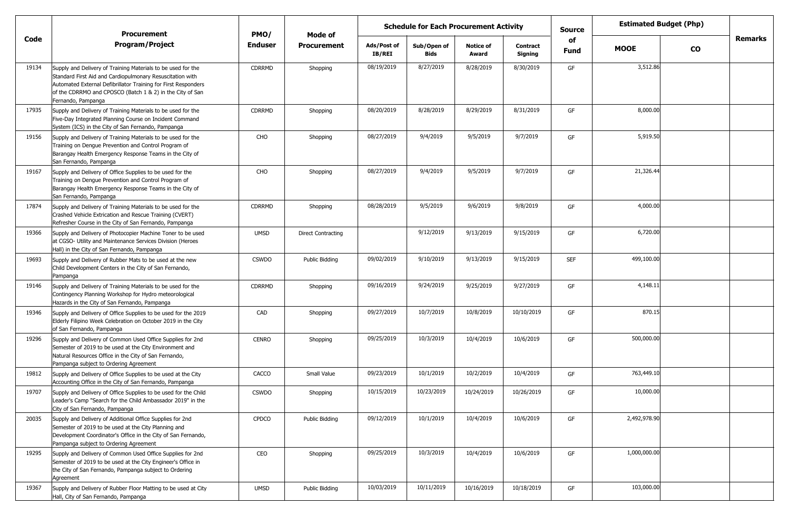|       | <b>Procurement</b>                                                                                                                                                                                                                                                             | PMO/           | <b>Mode of</b>            |                              | <b>Schedule for Each Procurement Activity</b> |                           |                            | <b>Source</b> | <b>Estimated Budget (Php)</b> |           |         |
|-------|--------------------------------------------------------------------------------------------------------------------------------------------------------------------------------------------------------------------------------------------------------------------------------|----------------|---------------------------|------------------------------|-----------------------------------------------|---------------------------|----------------------------|---------------|-------------------------------|-----------|---------|
| Code  | <b>Program/Project</b>                                                                                                                                                                                                                                                         | <b>Enduser</b> | <b>Procurement</b>        | Ads/Post of<br><b>IB/REI</b> | Sub/Open of<br><b>Bids</b>                    | <b>Notice of</b><br>Award | <b>Contract</b><br>Signing | of<br>Fund    | <b>MOOE</b>                   | <b>CO</b> | Remarks |
| 19134 | Supply and Delivery of Training Materials to be used for the<br>Standard First Aid and Cardiopulmonary Resuscitation with<br>Automated External Defibrillator Training for First Responders<br>of the CDRRMO and CPOSCO (Batch 1 & 2) in the City of San<br>Fernando, Pampanga | <b>CDRRMD</b>  | Shopping                  | 08/19/2019                   | 8/27/2019                                     | 8/28/2019                 | 8/30/2019                  | GF            | 3,512.86                      |           |         |
| 17935 | Supply and Delivery of Training Materials to be used for the<br>Five-Day Integrated Planning Course on Incident Command<br>System (ICS) in the City of San Fernando, Pampanga                                                                                                  | CDRRMD         | Shopping                  | 08/20/2019                   | 8/28/2019                                     | 8/29/2019                 | 8/31/2019                  | GF            | 8,000.00                      |           |         |
| 19156 | Supply and Delivery of Training Materials to be used for the<br>Training on Dengue Prevention and Control Program of<br>Barangay Health Emergency Response Teams in the City of<br>San Fernando, Pampanga                                                                      | CHO            | Shopping                  | 08/27/2019                   | 9/4/2019                                      | 9/5/2019                  | 9/7/2019                   | GF            | 5,919.50                      |           |         |
| 19167 | Supply and Delivery of Office Supplies to be used for the<br>Training on Dengue Prevention and Control Program of<br>Barangay Health Emergency Response Teams in the City of<br>San Fernando, Pampanga                                                                         | CHO            | Shopping                  | 08/27/2019                   | 9/4/2019                                      | 9/5/2019                  | 9/7/2019                   | GF            | 21,326.44                     |           |         |
| 17874 | Supply and Delivery of Training Materials to be used for the<br>Crashed Vehicle Extrication and Rescue Training (CVERT)<br>Refresher Course in the City of San Fernando, Pampanga                                                                                              | <b>CDRRMD</b>  | Shopping                  | 08/28/2019                   | 9/5/2019                                      | 9/6/2019                  | 9/8/2019                   | GF            | 4,000.00                      |           |         |
| 19366 | Supply and Delivery of Photocopier Machine Toner to be used<br>at CGSO- Utility and Maintenance Services Division (Heroes<br>Hall) in the City of San Fernando, Pampanga                                                                                                       | <b>UMSD</b>    | <b>Direct Contracting</b> |                              | 9/12/2019                                     | 9/13/2019                 | 9/15/2019                  | GF            | 6,720.00                      |           |         |
| 19693 | Supply and Delivery of Rubber Mats to be used at the new<br>Child Development Centers in the City of San Fernando,<br>Pampanga                                                                                                                                                 | <b>CSWDO</b>   | Public Bidding            | 09/02/2019                   | 9/10/2019                                     | 9/13/2019                 | 9/15/2019                  | <b>SEF</b>    | 499,100.00                    |           |         |
| 19146 | Supply and Delivery of Training Materials to be used for the<br>Contingency Planning Workshop for Hydro meteorological<br>Hazards in the City of San Fernando, Pampanga                                                                                                        | <b>CDRRMD</b>  | Shopping                  | 09/16/2019                   | 9/24/2019                                     | 9/25/2019                 | 9/27/2019                  | GF            | 4,148.11                      |           |         |
| 19346 | Supply and Delivery of Office Supplies to be used for the 2019<br>Elderly Filipino Week Celebration on October 2019 in the City<br>of San Fernando, Pampanga                                                                                                                   | CAD            | Shopping                  | 09/27/2019                   | 10/7/2019                                     | 10/8/2019                 | 10/10/2019                 | GF            | 870.15                        |           |         |
| 19296 | Supply and Delivery of Common Used Office Supplies for 2nd<br>Semester of 2019 to be used at the City Environment and<br>Natural Resources Office in the City of San Fernando,<br>Pampanga subject to Ordering Agreement                                                       | <b>CENRO</b>   | Shopping                  | 09/25/2019                   | 10/3/2019                                     | 10/4/2019                 | 10/6/2019                  | GF            | 500,000.00                    |           |         |
| 19812 | Supply and Delivery of Office Supplies to be used at the City<br>Accounting Office in the City of San Fernando, Pampanga                                                                                                                                                       | CACCO          | Small Value               | 09/23/2019                   | 10/1/2019                                     | 10/2/2019                 | 10/4/2019                  | GF            | 763,449.10                    |           |         |
| 19707 | Supply and Delivery of Office Supplies to be used for the Child<br>Leader's Camp "Search for the Child Ambassador 2019" in the<br>City of San Fernando, Pampanga                                                                                                               | CSWDO          | Shopping                  | 10/15/2019                   | 10/23/2019                                    | 10/24/2019                | 10/26/2019                 | GF            | 10,000.00                     |           |         |
| 20035 | Supply and Delivery of Additional Office Supplies for 2nd<br>Semester of 2019 to be used at the City Planning and<br>Development Coordinator's Office in the City of San Fernando,<br>Pampanga subject to Ordering Agreement                                                   | <b>CPDCO</b>   | <b>Public Bidding</b>     | 09/12/2019                   | 10/1/2019                                     | 10/4/2019                 | 10/6/2019                  | GF            | 2,492,978.90                  |           |         |
| 19295 | Supply and Delivery of Common Used Office Supplies for 2nd<br>Semester of 2019 to be used at the City Engineer's Office in<br>the City of San Fernando, Pampanga subject to Ordering<br>Agreement                                                                              | CEO            | Shopping                  | 09/25/2019                   | 10/3/2019                                     | 10/4/2019                 | 10/6/2019                  | GF            | 1,000,000.00                  |           |         |
| 19367 | Supply and Delivery of Rubber Floor Matting to be used at City<br>Hall, City of San Fernando, Pampanga                                                                                                                                                                         | <b>UMSD</b>    | Public Bidding            | 10/03/2019                   | 10/11/2019                                    | 10/16/2019                | 10/18/2019                 | GF            | 103,000.00                    |           |         |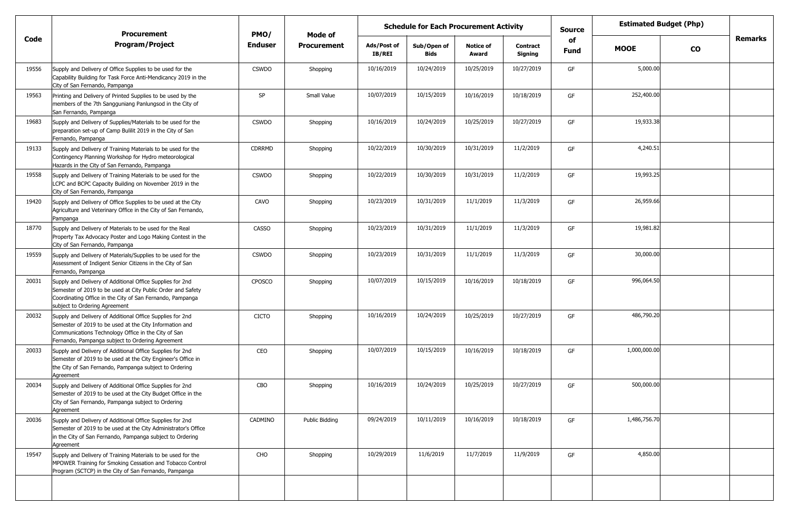|       | <b>Procurement</b>                                                                                                                                                                                                              | PMO/           | Mode of            |                              | <b>Schedule for Each Procurement Activity</b> |                           |                            | <b>Source</b> | <b>Estimated Budget (Php)</b> |           |                |
|-------|---------------------------------------------------------------------------------------------------------------------------------------------------------------------------------------------------------------------------------|----------------|--------------------|------------------------------|-----------------------------------------------|---------------------------|----------------------------|---------------|-------------------------------|-----------|----------------|
| Code  | <b>Program/Project</b>                                                                                                                                                                                                          | <b>Enduser</b> | <b>Procurement</b> | Ads/Post of<br><b>IB/REI</b> | Sub/Open of<br><b>Bids</b>                    | <b>Notice of</b><br>Award | <b>Contract</b><br>Signing | of<br>Fund    | <b>MOOE</b>                   | <b>CO</b> | <b>Remarks</b> |
| 19556 | Supply and Delivery of Office Supplies to be used for the<br>Capability Building for Task Force Anti-Mendicancy 2019 in the<br>City of San Fernando, Pampanga                                                                   | <b>CSWDO</b>   | Shopping           | 10/16/2019                   | 10/24/2019                                    | 10/25/2019                | 10/27/2019                 | GF            | 5,000.00                      |           |                |
| 19563 | Printing and Delivery of Printed Supplies to be used by the<br>members of the 7th Sangguniang Panlungsod in the City of<br>San Fernando, Pampanga                                                                               | SP             | Small Value        | 10/07/2019                   | 10/15/2019                                    | 10/16/2019                | 10/18/2019                 | GF            | 252,400.00                    |           |                |
| 19683 | Supply and Delivery of Supplies/Materials to be used for the<br>preparation set-up of Camp Bulilit 2019 in the City of San<br>Fernando, Pampanga                                                                                | <b>CSWDO</b>   | Shopping           | 10/16/2019                   | 10/24/2019                                    | 10/25/2019                | 10/27/2019                 | GF            | 19,933.38                     |           |                |
| 19133 | Supply and Delivery of Training Materials to be used for the<br>Contingency Planning Workshop for Hydro meteorological<br>Hazards in the City of San Fernando, Pampanga                                                         | <b>CDRRMD</b>  | Shopping           | 10/22/2019                   | 10/30/2019                                    | 10/31/2019                | 11/2/2019                  | GF            | 4,240.51                      |           |                |
| 19558 | Supply and Delivery of Training Materials to be used for the<br>LCPC and BCPC Capacity Building on November 2019 in the<br>City of San Fernando, Pampanga                                                                       | <b>CSWDO</b>   | Shopping           | 10/22/2019                   | 10/30/2019                                    | 10/31/2019                | 11/2/2019                  | GF            | 19,993.25                     |           |                |
| 19420 | Supply and Delivery of Office Supplies to be used at the City<br>Agriculture and Veterinary Office in the City of San Fernando,<br>Pampanga                                                                                     | CAVO           | Shopping           | 10/23/2019                   | 10/31/2019                                    | 11/1/2019                 | 11/3/2019                  | GF            | 26,959.66                     |           |                |
| 18770 | Supply and Delivery of Materials to be used for the Real<br>Property Tax Advocacy Poster and Logo Making Contest in the<br>City of San Fernando, Pampanga                                                                       | <b>CASSO</b>   | Shopping           | 10/23/2019                   | 10/31/2019                                    | 11/1/2019                 | 11/3/2019                  | GF            | 19,981.82                     |           |                |
| 19559 | Supply and Delivery of Materials/Supplies to be used for the<br>Assessment of Indigent Senior Citizens in the City of San<br>Fernando, Pampanga                                                                                 | <b>CSWDO</b>   | Shopping           | 10/23/2019                   | 10/31/2019                                    | 11/1/2019                 | 11/3/2019                  | GF            | 30,000.00                     |           |                |
| 20031 | Supply and Delivery of Additional Office Supplies for 2nd<br>Semester of 2019 to be used at City Public Order and Safety<br>Coordinating Office in the City of San Fernando, Pampanga<br>subject to Ordering Agreement          | <b>CPOSCO</b>  | Shopping           | 10/07/2019                   | 10/15/2019                                    | 10/16/2019                | 10/18/2019                 | GF            | 996,064.50                    |           |                |
| 20032 | Supply and Delivery of Additional Office Supplies for 2nd<br>Semester of 2019 to be used at the City Information and<br>Communications Technology Office in the City of San<br>Fernando, Pampanga subject to Ordering Agreement | <b>CICTO</b>   | Shopping           | 10/16/2019                   | 10/24/2019                                    | 10/25/2019                | 10/27/2019                 | GF            | 486,790.20                    |           |                |
| 20033 | Supply and Delivery of Additional Office Supplies for 2nd<br>Semester of 2019 to be used at the City Engineer's Office in<br>the City of San Fernando, Pampanga subject to Ordering<br>Agreement                                | CEO            | Shopping           | 10/07/2019                   | 10/15/2019                                    | 10/16/2019                | 10/18/2019                 | GF            | 1,000,000.00                  |           |                |
| 20034 | Supply and Delivery of Additional Office Supplies for 2nd<br>Semester of 2019 to be used at the City Budget Office in the<br>City of San Fernando, Pampanga subject to Ordering<br>Agreement                                    | CBO            | Shopping           | 10/16/2019                   | 10/24/2019                                    | 10/25/2019                | 10/27/2019                 | GF            | 500,000.00                    |           |                |
| 20036 | Supply and Delivery of Additional Office Supplies for 2nd<br>Semester of 2019 to be used at the City Administrator's Office<br>in the City of San Fernando, Pampanga subject to Ordering<br>Agreement                           | CADMINO        | Public Bidding     | 09/24/2019                   | 10/11/2019                                    | 10/16/2019                | 10/18/2019                 | GF            | 1,486,756.70                  |           |                |
| 19547 | Supply and Delivery of Training Materials to be used for the<br>MPOWER Training for Smoking Cessation and Tobacco Control<br>Program (SCTCP) in the City of San Fernando, Pampanga                                              | CHO            | Shopping           | 10/29/2019                   | 11/6/2019                                     | 11/7/2019                 | 11/9/2019                  | GF            | 4,850.00                      |           |                |
|       |                                                                                                                                                                                                                                 |                |                    |                              |                                               |                           |                            |               |                               |           |                |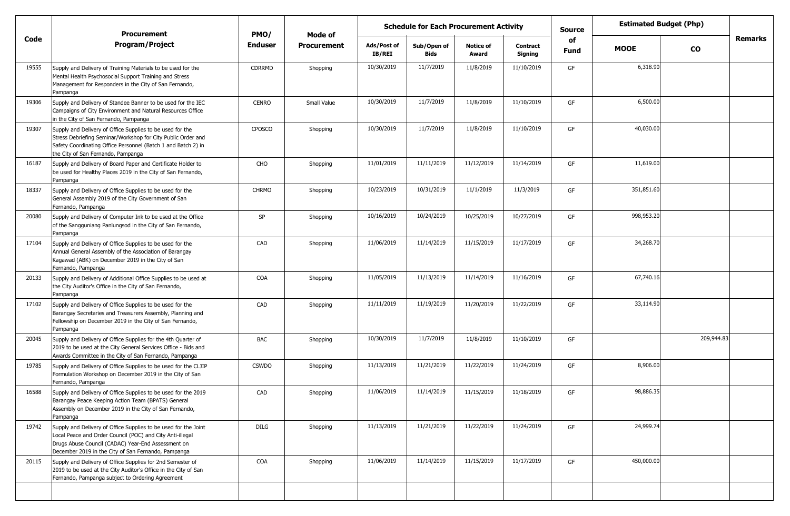|       | <b>Procurement</b>                                                                                                                                                                                                                        | PMO/           | Mode of            |                       | <b>Schedule for Each Procurement Activity</b> |                           |                            | <b>Estimated Budget (Php)</b><br><b>Source</b><br>of |             |            |         |
|-------|-------------------------------------------------------------------------------------------------------------------------------------------------------------------------------------------------------------------------------------------|----------------|--------------------|-----------------------|-----------------------------------------------|---------------------------|----------------------------|------------------------------------------------------|-------------|------------|---------|
| Code  | <b>Program/Project</b>                                                                                                                                                                                                                    | <b>Enduser</b> | <b>Procurement</b> | Ads/Post of<br>IB/REI | Sub/Open of<br><b>Bids</b>                    | <b>Notice of</b><br>Award | <b>Contract</b><br>Signing | Fund                                                 | <b>MOOE</b> | <b>CO</b>  | Remarks |
| 19555 | Supply and Delivery of Training Materials to be used for the<br>Mental Health Psychosocial Support Training and Stress<br>Management for Responders in the City of San Fernando,<br>Pampanga                                              | <b>CDRRMD</b>  | Shopping           | 10/30/2019            | 11/7/2019                                     | 11/8/2019                 | 11/10/2019                 | GF                                                   | 6,318.90    |            |         |
| 19306 | Supply and Delivery of Standee Banner to be used for the IEC<br>Campaigns of City Environment and Natural Resources Office<br>in the City of San Fernando, Pampanga                                                                       | <b>CENRO</b>   | Small Value        | 10/30/2019            | 11/7/2019                                     | 11/8/2019                 | 11/10/2019                 | GF                                                   | 6,500.00    |            |         |
| 19307 | Supply and Delivery of Office Supplies to be used for the<br>Stress Debriefing Seminar/Workshop for City Public Order and<br>Safety Coordinating Office Personnel (Batch 1 and Batch 2) in<br>the City of San Fernando, Pampanga          | CPOSCO         | Shopping           | 10/30/2019            | 11/7/2019                                     | 11/8/2019                 | 11/10/2019                 | GF                                                   | 40,030.00   |            |         |
| 16187 | Supply and Delivery of Board Paper and Certificate Holder to<br>be used for Healthy Places 2019 in the City of San Fernando,<br>Pampanga                                                                                                  | CHO            | Shopping           | 11/01/2019            | 11/11/2019                                    | 11/12/2019                | 11/14/2019                 | GF                                                   | 11,619.00   |            |         |
| 18337 | Supply and Delivery of Office Supplies to be used for the<br>General Assembly 2019 of the City Government of San<br>Fernando, Pampanga                                                                                                    | <b>CHRMO</b>   | Shopping           | 10/23/2019            | 10/31/2019                                    | 11/1/2019                 | 11/3/2019                  | GF                                                   | 351,851.60  |            |         |
| 20080 | Supply and Delivery of Computer Ink to be used at the Office<br>of the Sangguniang Panlungsod in the City of San Fernando,<br>Pampanga                                                                                                    | SP             | Shopping           | 10/16/2019            | 10/24/2019                                    | 10/25/2019                | 10/27/2019                 | GF                                                   | 998,953.20  |            |         |
| 17104 | Supply and Delivery of Office Supplies to be used for the<br>Annual General Assembly of the Association of Barangay<br>Kagawad (ABK) on December 2019 in the City of San<br>Fernando, Pampanga                                            | CAD            | Shopping           | 11/06/2019            | 11/14/2019                                    | 11/15/2019                | 11/17/2019                 | GF                                                   | 34,268.70   |            |         |
| 20133 | Supply and Delivery of Additional Office Supplies to be used at<br>the City Auditor's Office in the City of San Fernando,<br>Pampanga                                                                                                     | COA            | Shopping           | 11/05/2019            | 11/13/2019                                    | 11/14/2019                | 11/16/2019                 | GF                                                   | 67,740.16   |            |         |
| 17102 | Supply and Delivery of Office Supplies to be used for the<br>Barangay Secretaries and Treasurers Assembly, Planning and<br>Fellowship on December 2019 in the City of San Fernando,<br>Pampanga                                           | CAD            | Shopping           | 11/11/2019            | 11/19/2019                                    | 11/20/2019                | 11/22/2019                 | GF                                                   | 33,114.90   |            |         |
| 20045 | Supply and Delivery of Office Supplies for the 4th Quarter of<br>2019 to be used at the City General Services Office - Bids and<br>Awards Committee in the City of San Fernando, Pampanga                                                 | BAC            | Shopping           | 10/30/2019            | 11/7/2019                                     | 11/8/2019                 | 11/10/2019                 | GF                                                   |             | 209,944.83 |         |
| 19785 | Supply and Delivery of Office Supplies to be used for the CLJIP<br>Formulation Workshop on December 2019 in the City of San<br>Fernando, Pampanga                                                                                         | <b>CSWDO</b>   | Shopping           | 11/13/2019            | 11/21/2019                                    | 11/22/2019                | 11/24/2019                 | GF                                                   | 8,906.00    |            |         |
| 16588 | Supply and Delivery of Office Supplies to be used for the 2019<br>Barangay Peace Keeping Action Team (BPATS) General<br>Assembly on December 2019 in the City of San Fernando,<br>Pampanga                                                | CAD            | Shopping           | 11/06/2019            | 11/14/2019                                    | 11/15/2019                | 11/18/2019                 | GF                                                   | 98,886.35   |            |         |
| 19742 | Supply and Delivery of Office Supplies to be used for the Joint<br>Local Peace and Order Council (POC) and City Anti-illegal<br>Drugs Abuse Council (CADAC) Year-End Assessment on<br>December 2019 in the City of San Fernando, Pampanga | DILG           | Shopping           | 11/13/2019            | 11/21/2019                                    | 11/22/2019                | 11/24/2019                 | GF                                                   | 24,999.74   |            |         |
| 20115 | Supply and Delivery of Office Supplies for 2nd Semester of<br>2019 to be used at the City Auditor's Office in the City of San<br>Fernando, Pampanga subject to Ordering Agreement                                                         | COA            | Shopping           | 11/06/2019            | 11/14/2019                                    | 11/15/2019                | 11/17/2019                 | GF                                                   | 450,000.00  |            |         |
|       |                                                                                                                                                                                                                                           |                |                    |                       |                                               |                           |                            |                                                      |             |            |         |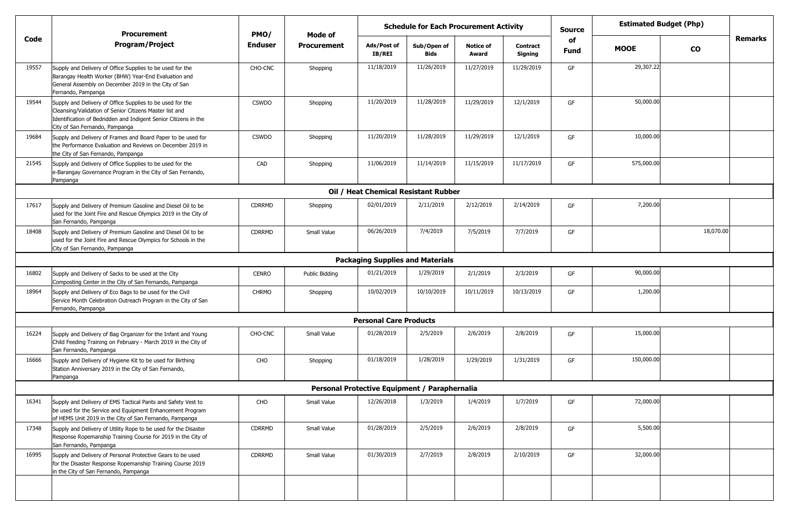|       | <b>Procurement</b>                                                                                                                                                                                                        | PMO/           | Mode of               | <b>Schedule for Each Procurement Activity</b> |                     |                           |                            | Source            | <b>Estimated Budget (Php)</b> |               |                |
|-------|---------------------------------------------------------------------------------------------------------------------------------------------------------------------------------------------------------------------------|----------------|-----------------------|-----------------------------------------------|---------------------|---------------------------|----------------------------|-------------------|-------------------------------|---------------|----------------|
| Code  | <b>Program/Project</b>                                                                                                                                                                                                    | <b>Enduser</b> | <b>Procurement</b>    | Ads/Post of<br><b>IB/REI</b>                  | Sub/Open of<br>Bids | <b>Notice of</b><br>Award | <b>Contract</b><br>Signing | of<br><b>Fund</b> | <b>MOOE</b>                   | $\mathbf{co}$ | <b>Remarks</b> |
| 19557 | Supply and Delivery of Office Supplies to be used for the<br>Barangay Health Worker (BHW) Year-End Evaluation and<br>General Assembly on December 2019 in the City of San<br>Fernando, Pampanga                           | CHO-CNC        | Shopping              | 11/18/2019                                    | 11/26/2019          | 11/27/2019                | 11/29/2019                 | GF                | 29,307.22                     |               |                |
| 19544 | Supply and Delivery of Office Supplies to be used for the<br>Cleansing/Validation of Senior Citizens Master list and<br>Identification of Bedridden and Indigent Senior Citizens in the<br>City of San Fernando, Pampanga | <b>CSWDO</b>   | Shopping              | 11/20/2019                                    | 11/28/2019          | 11/29/2019                | 12/1/2019                  | GF                | 50,000.00                     |               |                |
| 19684 | Supply and Delivery of Frames and Board Paper to be used for<br>the Performance Evaluation and Reviews on December 2019 in<br>the City of San Fernando, Pampanga                                                          | <b>CSWDO</b>   | Shopping              | 11/20/2019                                    | 11/28/2019          | 11/29/2019                | 12/1/2019                  | GF                | 10,000.00                     |               |                |
| 21545 | Supply and Delivery of Office Supplies to be used for the<br>e-Barangay Governance Program in the City of San Fernando,<br>Pampanga                                                                                       | CAD            | Shopping              | 11/06/2019                                    | 11/14/2019          | 11/15/2019                | 11/17/2019                 | GF                | 575,000.00                    |               |                |
|       |                                                                                                                                                                                                                           |                |                       | Oil / Heat Chemical Resistant Rubber          |                     |                           |                            |                   |                               |               |                |
| 17617 | Supply and Delivery of Premium Gasoline and Diesel Oil to be<br>used for the Joint Fire and Rescue Olympics 2019 in the City of<br>San Fernando, Pampanga                                                                 | CDRRMD         | Shopping              | 02/01/2019                                    | 2/11/2019           | 2/12/2019                 | 2/14/2019                  | GF                | 7,200.00                      |               |                |
| 18408 | Supply and Delivery of Premium Gasoline and Diesel Oil to be<br>used for the Joint Fire and Rescue Olympics for Schools in the<br>City of San Fernando, Pampanga                                                          | <b>CDRRMD</b>  | <b>Small Value</b>    | 06/26/2019                                    | 7/4/2019            | 7/5/2019                  | 7/7/2019                   | GF                |                               | 18,070.00     |                |
|       |                                                                                                                                                                                                                           |                |                       | <b>Packaging Supplies and Materials</b>       |                     |                           |                            |                   |                               |               |                |
| 16802 | Supply and Delivery of Sacks to be used at the City<br>Composting Center in the City of San Fernando, Pampanga                                                                                                            | <b>CENRO</b>   | <b>Public Bidding</b> | 01/21/2019                                    | 1/29/2019           | 2/1/2019                  | 2/3/2019                   | GF                | 90,000.00                     |               |                |
| 18964 | Supply and Delivery of Eco Bags to be used for the Civil<br>Service Month Celebration Outreach Program in the City of San<br>Fernando, Pampanga                                                                           | <b>CHRMO</b>   | Shopping              | 10/02/2019                                    | 10/10/2019          | 10/11/2019                | 10/13/2019                 | GF                | 1,200.00                      |               |                |
|       |                                                                                                                                                                                                                           |                |                       | <b>Personal Care Products</b>                 |                     |                           |                            |                   |                               |               |                |
| 16224 | Supply and Delivery of Bag Organizer for the Infant and Young<br>Child Feeding Training on February - March 2019 in the City of<br>San Fernando, Pampanga                                                                 | CHO-CNC        | Small Value           | 01/28/2019                                    | 2/5/2019            | 2/6/2019                  | 2/8/2019                   | GF                | 15,000.00                     |               |                |
| 16666 | Supply and Delivery of Hygiene Kit to be used for Birthing<br>Station Anniversary 2019 in the City of San Fernando,<br>Pampanga                                                                                           | CHO            | Shopping              | 01/18/2019                                    | 1/28/2019           | 1/29/2019                 | 1/31/2019                  | GF                | 150,000.00                    |               |                |
|       |                                                                                                                                                                                                                           |                |                       | Personal Protective Equipment / Paraphernalia |                     |                           |                            |                   |                               |               |                |
| 16341 | Supply and Delivery of EMS Tactical Pants and Safety Vest to<br>be used for the Service and Equipment Enhancement Program<br>of HEMS Unit 2019 in the City of San Fernando, Pampanga                                      | CHO            | Small Value           | 12/26/2018                                    | 1/3/2019            | 1/4/2019                  | 1/7/2019                   | GF                | 72,000.00                     |               |                |
| 17348 | Supply and Delivery of Utility Rope to be used for the Disaster<br>Response Ropemanship Training Course for 2019 in the City of<br>San Fernando, Pampanga                                                                 | CDRRMD         | Small Value           | 01/28/2019                                    | 2/5/2019            | 2/6/2019                  | 2/8/2019                   | GF                | 5,500.00                      |               |                |
| 16995 | Supply and Delivery of Personal Protective Gears to be used<br>for the Disaster Response Ropemanship Training Course 2019<br>in the City of San Fernando, Pampanga                                                        | CDRRMD         | Small Value           | 01/30/2019                                    | 2/7/2019            | 2/8/2019                  | 2/10/2019                  | GF                | 32,000.00                     |               |                |
|       |                                                                                                                                                                                                                           |                |                       |                                               |                     |                           |                            |                   |                               |               |                |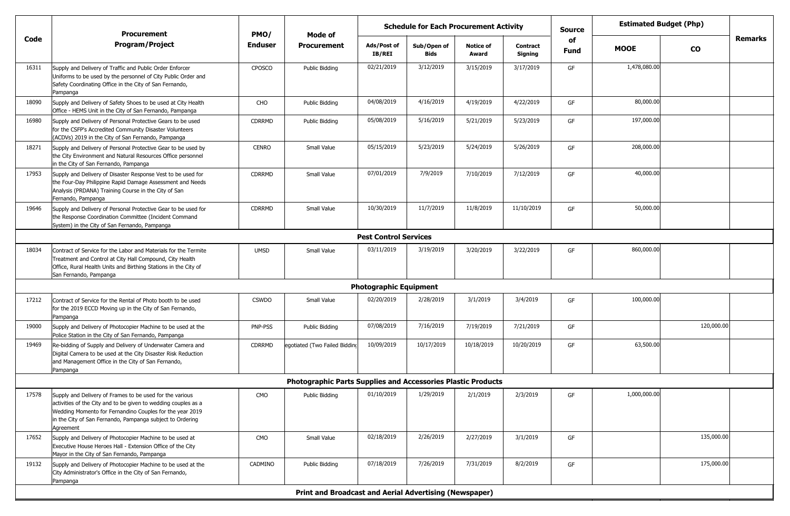|       | <b>Procurement</b>                                                                                                                                                                                                                                               | PMO/           | Mode of                                                             |                               | <b>Schedule for Each Procurement Activity</b> |                           |                            | <b>Estimated Budget (Php)</b><br>Source |              |            |         |
|-------|------------------------------------------------------------------------------------------------------------------------------------------------------------------------------------------------------------------------------------------------------------------|----------------|---------------------------------------------------------------------|-------------------------------|-----------------------------------------------|---------------------------|----------------------------|-----------------------------------------|--------------|------------|---------|
| Code  | <b>Program/Project</b>                                                                                                                                                                                                                                           | <b>Enduser</b> | <b>Procurement</b>                                                  | Ads/Post of<br>IB/REI         | Sub/Open of<br>Bids                           | <b>Notice of</b><br>Award | <b>Contract</b><br>Signing | of<br><b>Fund</b>                       | <b>MOOE</b>  | <b>CO</b>  | Remarks |
| 16311 | Supply and Delivery of Traffic and Public Order Enforcer<br>Uniforms to be used by the personnel of City Public Order and<br>Safety Coordinating Office in the City of San Fernando,<br>Pampanga                                                                 | <b>CPOSCO</b>  | <b>Public Bidding</b>                                               | 02/21/2019                    | 3/12/2019                                     | 3/15/2019                 | 3/17/2019                  | GF                                      | 1,478,080.00 |            |         |
| 18090 | Supply and Delivery of Safety Shoes to be used at City Health<br>Office - HEMS Unit in the City of San Fernando, Pampanga                                                                                                                                        | CHO            | <b>Public Bidding</b>                                               | 04/08/2019                    | 4/16/2019                                     | 4/19/2019                 | 4/22/2019                  | GF                                      | 80,000.00    |            |         |
| 16980 | Supply and Delivery of Personal Protective Gears to be used<br>for the CSFP's Accredited Community Disaster Volunteers<br>(ACDVs) 2019 in the City of San Fernando, Pampanga                                                                                     | <b>CDRRMD</b>  | <b>Public Bidding</b>                                               | 05/08/2019                    | 5/16/2019                                     | 5/21/2019                 | 5/23/2019                  | GF                                      | 197,000.00   |            |         |
| 18271 | Supply and Delivery of Personal Protective Gear to be used by<br>the City Environment and Natural Resources Office personnel<br>in the City of San Fernando, Pampanga                                                                                            | <b>CENRO</b>   | Small Value                                                         | 05/15/2019                    | 5/23/2019                                     | 5/24/2019                 | 5/26/2019                  | GF                                      | 208,000.00   |            |         |
| 17953 | Supply and Delivery of Disaster Response Vest to be used for<br>the Four-Day Philippine Rapid Damage Assessment and Needs<br>Analysis (PRDANA) Training Course in the City of San<br>Fernando, Pampanga                                                          | <b>CDRRMD</b>  | Small Value                                                         | 07/01/2019                    | 7/9/2019                                      | 7/10/2019                 | 7/12/2019                  | GF                                      | 40,000.00    |            |         |
| 19646 | Supply and Delivery of Personal Protective Gear to be used for<br>the Response Coordination Committee (Incident Command<br>System) in the City of San Fernando, Pampanga                                                                                         | <b>CDRRMD</b>  | Small Value                                                         | 10/30/2019                    | 11/7/2019                                     | 11/8/2019                 | 11/10/2019                 | GF                                      | 50,000.00    |            |         |
|       |                                                                                                                                                                                                                                                                  |                |                                                                     | <b>Pest Control Services</b>  |                                               |                           |                            |                                         |              |            |         |
| 18034 | Contract of Service for the Labor and Materials for the Termite<br>Treatment and Control at City Hall Compound, City Health<br>Office, Rural Health Units and Birthing Stations in the City of<br>San Fernando, Pampanga                                         | <b>UMSD</b>    | Small Value                                                         | 03/11/2019                    | 3/19/2019                                     | 3/20/2019                 | 3/22/2019                  | GF                                      | 860,000.00   |            |         |
|       |                                                                                                                                                                                                                                                                  |                |                                                                     | <b>Photographic Equipment</b> |                                               |                           |                            |                                         |              |            |         |
| 17212 | Contract of Service for the Rental of Photo booth to be used<br>for the 2019 ECCD Moving up in the City of San Fernando,<br>Pampanga                                                                                                                             | <b>CSWDO</b>   | Small Value                                                         | 02/20/2019                    | 2/28/2019                                     | 3/1/2019                  | 3/4/2019                   | GF                                      | 100,000.00   |            |         |
| 19000 | Supply and Delivery of Photocopier Machine to be used at the<br>Police Station in the City of San Fernando, Pampanga                                                                                                                                             | PNP-PSS        | <b>Public Bidding</b>                                               | 07/08/2019                    | 7/16/2019                                     | 7/19/2019                 | 7/21/2019                  | GF                                      |              | 120,000.00 |         |
| 19469 | Re-bidding of Supply and Delivery of Underwater Camera and<br>Digital Camera to be used at the City Disaster Risk Reduction<br>and Management Office in the City of San Fernando,<br>Pampanga                                                                    | <b>CDRRMD</b>  | egotiated (Two Failed Bidding                                       | 10/09/2019                    | 10/17/2019                                    | 10/18/2019                | 10/20/2019                 | GF                                      | 63,500.00    |            |         |
|       |                                                                                                                                                                                                                                                                  |                | <b>Photographic Parts Supplies and Accessories Plastic Products</b> |                               |                                               |                           |                            |                                         |              |            |         |
| 17578 | Supply and Delivery of Frames to be used for the various<br>activities of the City and to be given to wedding couples as a<br>Wedding Momento for Fernandino Couples for the year 2019<br>in the City of San Fernando, Pampanga subject to Ordering<br>Agreement | CMO            | Public Bidding                                                      | 01/10/2019                    | 1/29/2019                                     | 2/1/2019                  | 2/3/2019                   | GF                                      | 1,000,000.00 |            |         |
| 17652 | Supply and Delivery of Photocopier Machine to be used at<br>Executive House Heroes Hall - Extension Office of the City<br>Mayor in the City of San Fernando, Pampanga                                                                                            | CMO            | Small Value                                                         | 02/18/2019                    | 2/26/2019                                     | 2/27/2019                 | 3/1/2019                   | GF                                      |              | 135,000.00 |         |
| 19132 | Supply and Delivery of Photocopier Machine to be used at the<br>City Administrator's Office in the City of San Fernando,<br>Pampanga                                                                                                                             | CADMINO        | <b>Public Bidding</b>                                               | 07/18/2019                    | 7/26/2019                                     | 7/31/2019                 | 8/2/2019                   | GF                                      |              | 175,000.00 |         |
|       |                                                                                                                                                                                                                                                                  |                | <b>Print and Broadcast and Aerial Advertising (Newspaper)</b>       |                               |                                               |                           |                            |                                         |              |            |         |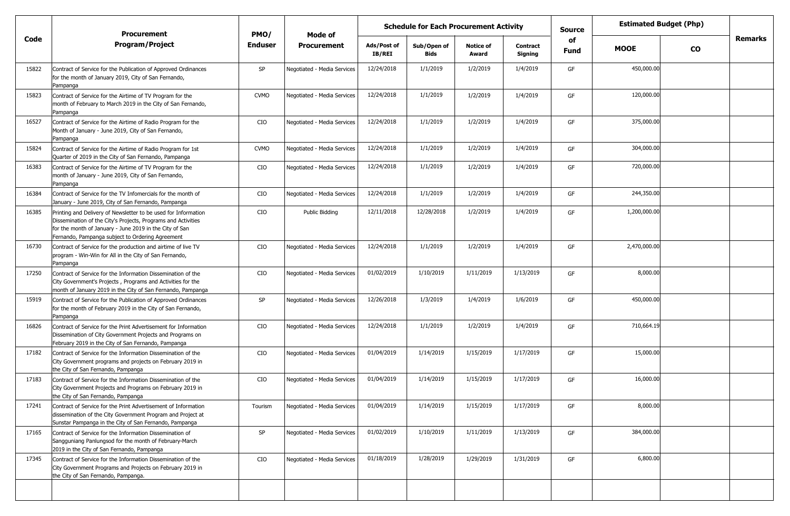|       | <b>Procurement</b>                                                                                                                                                                                                                             | PMO/           |                             | <b>Schedule for Each Procurement Activity</b><br>Mode of |                            |                           | <b>Source</b>              | <b>Estimated Budget (Php)</b> |              |           |                |
|-------|------------------------------------------------------------------------------------------------------------------------------------------------------------------------------------------------------------------------------------------------|----------------|-----------------------------|----------------------------------------------------------|----------------------------|---------------------------|----------------------------|-------------------------------|--------------|-----------|----------------|
| Code  | <b>Program/Project</b>                                                                                                                                                                                                                         | <b>Enduser</b> | <b>Procurement</b>          | Ads/Post of<br><b>IB/REI</b>                             | Sub/Open of<br><b>Bids</b> | <b>Notice of</b><br>Award | <b>Contract</b><br>Signing | of<br><b>Fund</b>             | <b>MOOE</b>  | <b>CO</b> | <b>Remarks</b> |
| 15822 | Contract of Service for the Publication of Approved Ordinances<br>for the month of January 2019, City of San Fernando,<br>Pampanga                                                                                                             | SP             | Negotiated - Media Services | 12/24/2018                                               | 1/1/2019                   | 1/2/2019                  | 1/4/2019                   | GF                            | 450,000.00   |           |                |
| 15823 | Contract of Service for the Airtime of TV Program for the<br>month of February to March 2019 in the City of San Fernando,<br>Pampanga                                                                                                          | <b>CVMO</b>    | Negotiated - Media Services | 12/24/2018                                               | 1/1/2019                   | 1/2/2019                  | 1/4/2019                   | GF                            | 120,000.00   |           |                |
| 16527 | Contract of Service for the Airtime of Radio Program for the<br>Month of January - June 2019, City of San Fernando,<br>Pampanga                                                                                                                | CIO            | Negotiated - Media Services | 12/24/2018                                               | 1/1/2019                   | 1/2/2019                  | 1/4/2019                   | GF                            | 375,000.00   |           |                |
| 15824 | Contract of Service for the Airtime of Radio Program for 1st<br>Quarter of 2019 in the City of San Fernando, Pampanga                                                                                                                          | <b>CVMO</b>    | Negotiated - Media Services | 12/24/2018                                               | 1/1/2019                   | 1/2/2019                  | 1/4/2019                   | GF                            | 304,000.00   |           |                |
| 16383 | Contract of Service for the Airtime of TV Program for the<br>month of January - June 2019, City of San Fernando,<br>Pampanga                                                                                                                   | CIO            | Negotiated - Media Services | 12/24/2018                                               | 1/1/2019                   | 1/2/2019                  | 1/4/2019                   | GF                            | 720,000.00   |           |                |
| 16384 | Contract of Service for the TV Infomercials for the month of<br>January - June 2019, City of San Fernando, Pampanga                                                                                                                            | CIO            | Negotiated - Media Services | 12/24/2018                                               | 1/1/2019                   | 1/2/2019                  | 1/4/2019                   | GF                            | 244,350.00   |           |                |
| 16385 | Printing and Delivery of Newsletter to be used for Information<br>Dissemination of the City's Projects, Programs and Activities<br>for the month of January - June 2019 in the City of San<br>Fernando, Pampanga subject to Ordering Agreement | CIO            | Public Bidding              | 12/11/2018                                               | 12/28/2018                 | 1/2/2019                  | 1/4/2019                   | GF                            | 1,200,000.00 |           |                |
| 16730 | Contract of Service for the production and airtime of live TV<br>program - Win-Win for All in the City of San Fernando,<br>Pampanga                                                                                                            | CIO            | Negotiated - Media Services | 12/24/2018                                               | 1/1/2019                   | 1/2/2019                  | 1/4/2019                   | GF                            | 2,470,000.00 |           |                |
| 17250 | Contract of Service for the Information Dissemination of the<br>City Government's Projects, Programs and Activities for the<br>month of January 2019 in the City of San Fernando, Pampanga                                                     | CIO            | Negotiated - Media Services | 01/02/2019                                               | 1/10/2019                  | 1/11/2019                 | 1/13/2019                  | GF                            | 8,000.00     |           |                |
| 15919 | Contract of Service for the Publication of Approved Ordinances<br>for the month of February 2019 in the City of San Fernando,<br>Pampanga                                                                                                      | SP             | Negotiated - Media Services | 12/26/2018                                               | 1/3/2019                   | 1/4/2019                  | 1/6/2019                   | GF                            | 450,000.00   |           |                |
| 16826 | Contract of Service for the Print Advertisement for Information<br>Dissemination of City Government Projects and Programs on<br>February 2019 in the City of San Fernando, Pampanga                                                            | CIO            | Negotiated - Media Services | 12/24/2018                                               | 1/1/2019                   | 1/2/2019                  | 1/4/2019                   | GF                            | 710,664.19   |           |                |
| 17182 | Contract of Service for the Information Dissemination of the<br>City Government programs and projects on February 2019 in<br>the City of San Fernando, Pampanga                                                                                | CIO            | Negotiated - Media Services | 01/04/2019                                               | 1/14/2019                  | 1/15/2019                 | 1/17/2019                  | GF                            | 15,000.00    |           |                |
| 17183 | Contract of Service for the Information Dissemination of the<br>City Government Projects and Programs on February 2019 in<br>the City of San Fernando, Pampanga                                                                                | CIO            | Negotiated - Media Services | 01/04/2019                                               | 1/14/2019                  | 1/15/2019                 | 1/17/2019                  | GF                            | 16,000.00    |           |                |
| 17241 | Contract of Service for the Print Advertisement of Information<br>dissemination of the City Government Program and Project at<br>Sunstar Pampanga in the City of San Fernando, Pampanga                                                        | Tourism        | Negotiated - Media Services | 01/04/2019                                               | 1/14/2019                  | 1/15/2019                 | 1/17/2019                  | GF                            | 8,000.00     |           |                |
| 17165 | Contract of Service for the Information Dissemination of<br>Sangguniang Panlungsod for the month of February-March<br>2019 in the City of San Fernando, Pampanga                                                                               | SP             | Negotiated - Media Services | 01/02/2019                                               | 1/10/2019                  | 1/11/2019                 | 1/13/2019                  | GF                            | 384,000.00   |           |                |
| 17345 | Contract of Service for the Information Dissemination of the<br>City Government Programs and Projects on February 2019 in<br>the City of San Fernando, Pampanga.                                                                               | CIO            | Negotiated - Media Services | 01/18/2019                                               | 1/28/2019                  | 1/29/2019                 | 1/31/2019                  | GF                            | 6,800.00     |           |                |
|       |                                                                                                                                                                                                                                                |                |                             |                                                          |                            |                           |                            |                               |              |           |                |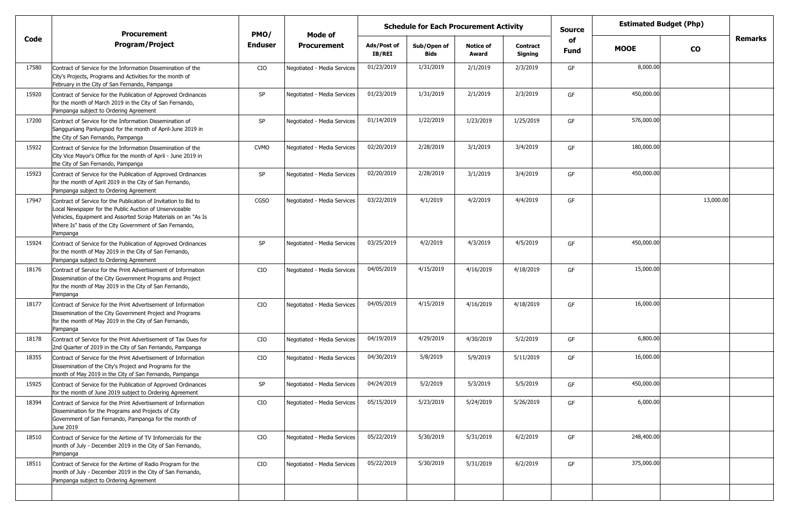|       | <b>Procurement</b>                                                                                                                                                                                                                                                 | PMO/           | Mode of                     |                       | <b>Schedule for Each Procurement Activity</b> |                           |                            | <b>Source</b>     |             | <b>Estimated Budget (Php)</b> |                |
|-------|--------------------------------------------------------------------------------------------------------------------------------------------------------------------------------------------------------------------------------------------------------------------|----------------|-----------------------------|-----------------------|-----------------------------------------------|---------------------------|----------------------------|-------------------|-------------|-------------------------------|----------------|
| Code  | <b>Program/Project</b>                                                                                                                                                                                                                                             | <b>Enduser</b> | <b>Procurement</b>          | Ads/Post of<br>IB/REI | Sub/Open of<br><b>Bids</b>                    | <b>Notice of</b><br>Award | <b>Contract</b><br>Signing | of<br><b>Fund</b> | <b>MOOE</b> | $\mathbf{co}$                 | <b>Remarks</b> |
| 17580 | Contract of Service for the Information Dissemination of the<br>City's Projects, Programs and Activities for the month of<br>February in the City of San Fernando, Pampanga                                                                                        | CIO            | Negotiated - Media Services | 01/23/2019            | 1/31/2019                                     | 2/1/2019                  | 2/3/2019                   | GF                | 8,000.00    |                               |                |
| 15920 | Contract of Service for the Publication of Approved Ordinances<br>for the month of March 2019 in the City of San Fernando,<br>Pampanga subject to Ordering Agreement                                                                                               | SP             | Negotiated - Media Services | 01/23/2019            | 1/31/2019                                     | 2/1/2019                  | 2/3/2019                   | GF                | 450,000.00  |                               |                |
| 17200 | Contract of Service for the Information Dissemination of<br>Sangguniang Panlungsod for the month of April-June 2019 in<br>the City of San Fernando, Pampanga                                                                                                       | SP             | Negotiated - Media Services | 01/14/2019            | 1/22/2019                                     | 1/23/2019                 | 1/25/2019                  | GF                | 576,000.00  |                               |                |
| 15922 | Contract of Service for the Information Dissemination of the<br>City Vice Mayor's Office for the month of April - June 2019 in<br>the City of San Fernando, Pampanga                                                                                               | <b>CVMO</b>    | Negotiated - Media Services | 02/20/2019            | 2/28/2019                                     | 3/1/2019                  | 3/4/2019                   | GF                | 180,000.00  |                               |                |
| 15923 | Contract of Service for the Publication of Approved Ordinances<br>for the month of April 2019 in the City of San Fernando,<br>Pampanga subject to Ordering Agreement                                                                                               | SP             | Negotiated - Media Services | 02/20/2019            | 2/28/2019                                     | 3/1/2019                  | 3/4/2019                   | GF                | 450,000.00  |                               |                |
| 17947 | Contract of Service for the Publication of Invitation to Bid to<br>Local Newspaper for the Public Auction of Unserviceable<br>Vehicles, Equipment and Assorted Scrap Materials on an "As Is<br>Where Is" basis of the City Government of San Fernando,<br>Pampanga | CGSO           | Negotiated - Media Services | 03/22/2019            | 4/1/2019                                      | 4/2/2019                  | 4/4/2019                   | GF                |             | 13,000.00                     |                |
| 15924 | Contract of Service for the Publication of Approved Ordinances<br>for the month of May 2019 in the City of San Fernando,<br>Pampanga subject to Ordering Agreement                                                                                                 | SP             | Negotiated - Media Services | 03/25/2019            | 4/2/2019                                      | 4/3/2019                  | 4/5/2019                   | GF                | 450,000.00  |                               |                |
| 18176 | Contract of Service for the Print Advertisement of Information<br>Dissemination of the City Government Programs and Project<br>for the month of May 2019 in the City of San Fernando,<br>Pampanga                                                                  | CIO            | Negotiated - Media Services | 04/05/2019            | 4/15/2019                                     | 4/16/2019                 | 4/18/2019                  | GF                | 15,000.00   |                               |                |
| 18177 | Contract of Service for the Print Advertisement of Information<br>Dissemination of the City Government Project and Programs<br>for the month of May 2019 in the City of San Fernando,<br>Pampanga                                                                  | CIO            | Negotiated - Media Services | 04/05/2019            | 4/15/2019                                     | 4/16/2019                 | 4/18/2019                  | GF                | 16,000.00   |                               |                |
| 18178 | Contract of Service for the Print Advertisement of Tax Dues for<br>2nd Quarter of 2019 in the City of San Fernando, Pampanga                                                                                                                                       | CIO            | Negotiated - Media Services | 04/19/2019            | 4/29/2019                                     | 4/30/2019                 | 5/2/2019                   | GF                | 6,800.00    |                               |                |
| 18355 | Contract of Service for the Print Advertisement of Information<br>Dissemination of the City's Project and Programs for the<br>month of May 2019 in the City of San Fernando, Pampanga                                                                              | CIO            | Negotiated - Media Services | 04/30/2019            | 5/8/2019                                      | 5/9/2019                  | 5/11/2019                  | GF                | 16,000.00   |                               |                |
| 15925 | Contract of Service for the Publication of Approved Ordinances<br>for the month of June 2019 subject to Ordering Agreement                                                                                                                                         | SP             | Negotiated - Media Services | 04/24/2019            | 5/2/2019                                      | 5/3/2019                  | 5/5/2019                   | GF                | 450,000.00  |                               |                |
| 18394 | Contract of Service for the Print Advertisement of Information<br>Dissemination for the Programs and Projects of City<br>Government of San Fernando, Pampanga for the month of<br>June 2019                                                                        | CIO            | Negotiated - Media Services | 05/15/2019            | 5/23/2019                                     | 5/24/2019                 | 5/26/2019                  | GF                | 6,000.00    |                               |                |
| 18510 | Contract of Service for the Airtime of TV Infomercials for the<br>month of July - December 2019 in the City of San Fernando,<br>Pampanga                                                                                                                           | CIO            | Negotiated - Media Services | 05/22/2019            | 5/30/2019                                     | 5/31/2019                 | 6/2/2019                   | GF                | 248,400.00  |                               |                |
| 18511 | Contract of Service for the Airtime of Radio Program for the<br>month of July - December 2019 in the City of San Fernando,<br>Pampanga subject to Ordering Agreement                                                                                               | CIO            | Negotiated - Media Services | 05/22/2019            | 5/30/2019                                     | 5/31/2019                 | 6/2/2019                   | GF                | 375,000.00  |                               |                |
|       |                                                                                                                                                                                                                                                                    |                |                             |                       |                                               |                           |                            |                   |             |                               |                |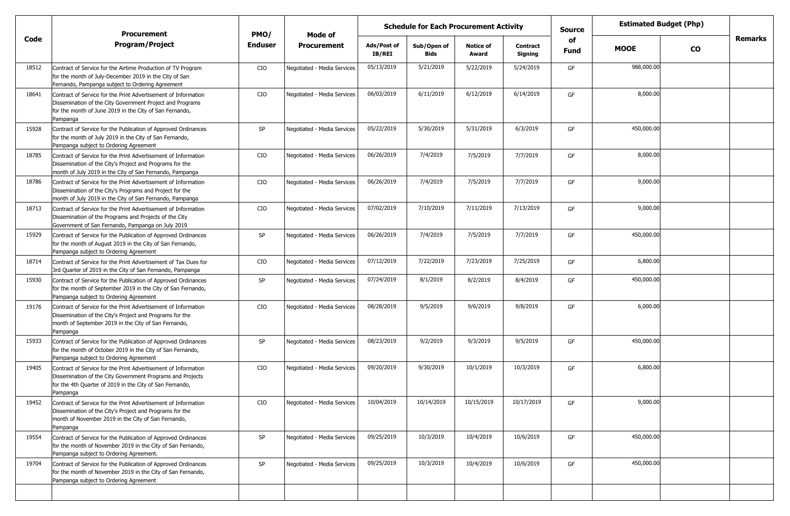|       | <b>Procurement</b>                                                                                                                                                                                   | PMO/    | Mode of                     |                              | <b>Schedule for Each Procurement Activity</b> |                           |                            | <b>Source</b>     |             | <b>Estimated Budget (Php)</b> |         |
|-------|------------------------------------------------------------------------------------------------------------------------------------------------------------------------------------------------------|---------|-----------------------------|------------------------------|-----------------------------------------------|---------------------------|----------------------------|-------------------|-------------|-------------------------------|---------|
| Code  | <b>Program/Project</b>                                                                                                                                                                               | Enduser | <b>Procurement</b>          | Ads/Post of<br><b>IB/REI</b> | Sub/Open of<br><b>Bids</b>                    | <b>Notice of</b><br>Award | <b>Contract</b><br>Signing | of<br><b>Fund</b> | <b>MOOE</b> | $\mathbf{co}$                 | Remarks |
| 18512 | Contract of Service for the Airtime Production of TV Program<br>for the month of July-December 2019 in the City of San<br>Fernando, Pampanga subject to Ordering Agreement                           | CIO     | Negotiated - Media Services | 05/13/2019                   | 5/21/2019                                     | 5/22/2019                 | 5/24/2019                  | GF                | 988,000.00  |                               |         |
| 18641 | Contract of Service for the Print Advertisement of Information<br>Dissemination of the City Government Project and Programs<br>for the month of June 2019 in the City of San Fernando,<br>Pampanga   | CIO     | Negotiated - Media Services | 06/03/2019                   | 6/11/2019                                     | 6/12/2019                 | 6/14/2019                  | GF                | 8,000.00    |                               |         |
| 15928 | Contract of Service for the Publication of Approved Ordinances<br>for the month of July 2019 in the City of San Fernando,<br>Pampanga subject to Ordering Agreement                                  | SP      | Negotiated - Media Services | 05/22/2019                   | 5/30/2019                                     | 5/31/2019                 | 6/3/2019                   | GF                | 450,000.00  |                               |         |
| 18785 | Contract of Service for the Print Advertisement of Information<br>Dissemination of the City's Project and Programs for the<br>month of July 2019 in the City of San Fernando, Pampanga               | CIO     | Negotiated - Media Services | 06/26/2019                   | 7/4/2019                                      | 7/5/2019                  | 7/7/2019                   | GF                | 8,000.00    |                               |         |
| 18786 | Contract of Service for the Print Advertisement of Information<br>Dissemination of the City's Programs and Project for the<br>month of July 2019 in the City of San Fernando, Pampanga               | CIO     | Negotiated - Media Services | 06/26/2019                   | 7/4/2019                                      | 7/5/2019                  | 7/7/2019                   | GF                | 9,000.00    |                               |         |
| 18713 | Contract of Service for the Print Advertisement of Information<br>Dissemination of the Programs and Projects of the City<br>Government of San Fernando, Pampanga on July 2019                        | CIO     | Negotiated - Media Services | 07/02/2019                   | 7/10/2019                                     | 7/11/2019                 | 7/13/2019                  | GF                | 9,000.00    |                               |         |
| 15929 | Contract of Service for the Publication of Approved Ordinances<br>for the month of August 2019 in the City of San Fernando,<br>Pampanga subject to Ordering Agreement                                | SP      | Negotiated - Media Services | 06/26/2019                   | 7/4/2019                                      | 7/5/2019                  | 7/7/2019                   | GF                | 450,000.00  |                               |         |
| 18714 | Contract of Service for the Print Advertisement of Tax Dues for<br>3rd Quarter of 2019 in the City of San Fernando, Pampanga                                                                         | CIO     | Negotiated - Media Services | 07/12/2019                   | 7/22/2019                                     | 7/23/2019                 | 7/25/2019                  | GF                | 6,800.00    |                               |         |
| 15930 | Contract of Service for the Publication of Approved Ordinances<br>for the month of September 2019 in the City of San Fernando,<br>Pampanga subject to Ordering Agreement                             | SP      | Negotiated - Media Services | 07/24/2019                   | 8/1/2019                                      | 8/2/2019                  | 8/4/2019                   | GF                | 450,000.00  |                               |         |
| 19176 | Contract of Service for the Print Advertisement of Information<br>Dissemination of the City's Project and Programs for the<br>month of September 2019 in the City of San Fernando,<br>Pampanga       | CIO     | Negotiated - Media Services | 08/28/2019                   | 9/5/2019                                      | 9/6/2019                  | 9/8/2019                   | GF                | 6,000.00    |                               |         |
| 15933 | Contract of Service for the Publication of Approved Ordinances<br>for the month of October 2019 in the City of San Fernando,<br>Pampanga subject to Ordering Agreement                               | SP      | Negotiated - Media Services | 08/23/2019                   | 9/2/2019                                      | 9/3/2019                  | 9/5/2019                   | GF                | 450,000.00  |                               |         |
| 19405 | Contract of Service for the Print Advertisement of Information<br>Dissemination of the City Government Programs and Projects<br>for the 4th Quarter of 2019 in the City of San Fernando,<br>Pampanga | CIO     | Negotiated - Media Services | 09/20/2019                   | 9/30/2019                                     | 10/1/2019                 | 10/3/2019                  | GF                | 6,800.00    |                               |         |
| 19452 | Contract of Service for the Print Advertisement of Information<br>Dissemination of the City's Project and Programs for the<br>month of November 2019 in the City of San Fernando,<br>Pampanga        | CIO     | Negotiated - Media Services | 10/04/2019                   | 10/14/2019                                    | 10/15/2019                | 10/17/2019                 | GF                | 9,000.00    |                               |         |
| 19554 | Contract of Service for the Publication of Approved Ordinances<br>for the month of November 2019 in the City of San Fernando,<br>Pampanga subject to Ordering Agreement.                             | SP      | Negotiated - Media Services | 09/25/2019                   | 10/3/2019                                     | 10/4/2019                 | 10/6/2019                  | GF                | 450,000.00  |                               |         |
| 19704 | Contract of Service for the Publication of Approved Ordinances<br>for the month of November 2019 in the City of San Fernando,<br>Pampanga subject to Ordering Agreement                              | SP      | Negotiated - Media Services | 09/25/2019                   | 10/3/2019                                     | 10/4/2019                 | 10/6/2019                  | GF                | 450,000.00  |                               |         |
|       |                                                                                                                                                                                                      |         |                             |                              |                                               |                           |                            |                   |             |                               |         |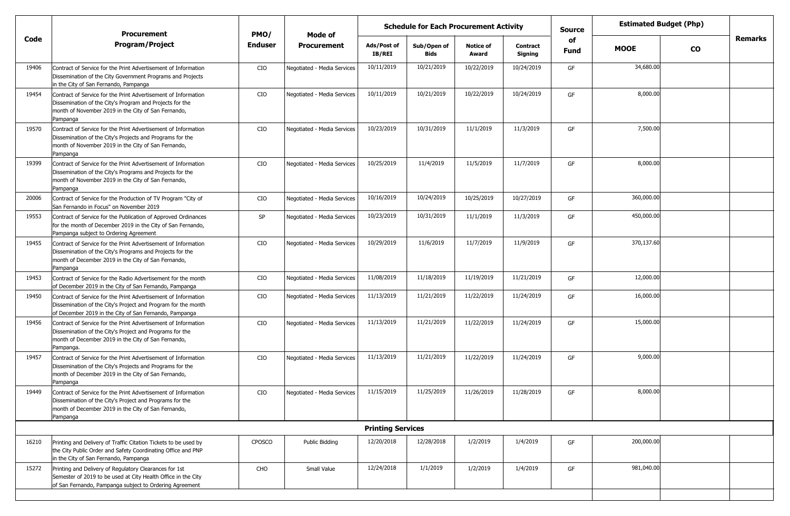|       | <b>Procurement</b>                                                                                                                                                                             | PMO/           | <b>Mode of</b>              |                              | <b>Schedule for Each Procurement Activity</b> |                           |                            | <b>Source</b>     |             | <b>Estimated Budget (Php)</b> |         |
|-------|------------------------------------------------------------------------------------------------------------------------------------------------------------------------------------------------|----------------|-----------------------------|------------------------------|-----------------------------------------------|---------------------------|----------------------------|-------------------|-------------|-------------------------------|---------|
| Code  | <b>Program/Project</b>                                                                                                                                                                         | <b>Enduser</b> | <b>Procurement</b>          | Ads/Post of<br><b>IB/REI</b> | Sub/Open of<br><b>Bids</b>                    | <b>Notice of</b><br>Award | <b>Contract</b><br>Signing | of<br><b>Fund</b> | <b>MOOE</b> | <b>CO</b>                     | Remarks |
| 19406 | Contract of Service for the Print Advertisement of Information<br>Dissemination of the City Government Programs and Projects<br>in the City of San Fernando, Pampanga                          | CIO            | Negotiated - Media Services | 10/11/2019                   | 10/21/2019                                    | 10/22/2019                | 10/24/2019                 | GF                | 34,680.00   |                               |         |
| 19454 | Contract of Service for the Print Advertisement of Information<br>Dissemination of the City's Program and Projects for the<br>month of November 2019 in the City of San Fernando,<br>Pampanga  | CIO            | Negotiated - Media Services | 10/11/2019                   | 10/21/2019                                    | 10/22/2019                | 10/24/2019                 | GF                | 8,000.00    |                               |         |
| 19570 | Contract of Service for the Print Advertisement of Information<br>Dissemination of the City's Projects and Programs for the<br>month of November 2019 in the City of San Fernando,<br>Pampanga | CIO            | Negotiated - Media Services | 10/23/2019                   | 10/31/2019                                    | 11/1/2019                 | 11/3/2019                  | GF                | 7,500.00    |                               |         |
| 19399 | Contract of Service for the Print Advertisement of Information<br>Dissemination of the City's Programs and Projects for the<br>month of November 2019 in the City of San Fernando,<br>Pampanga | CIO            | Negotiated - Media Services | 10/25/2019                   | 11/4/2019                                     | 11/5/2019                 | 11/7/2019                  | GF                | 8,000.00    |                               |         |
| 20006 | Contract of Service for the Production of TV Program "City of<br>San Fernando in Focus" on November 2019                                                                                       | CIO            | Negotiated - Media Services | 10/16/2019                   | 10/24/2019                                    | 10/25/2019                | 10/27/2019                 | GF                | 360,000.00  |                               |         |
| 19553 | Contract of Service for the Publication of Approved Ordinances<br>for the month of December 2019 in the City of San Fernando,<br>Pampanga subject to Ordering Agreement                        | SP             | Negotiated - Media Services | 10/23/2019                   | 10/31/2019                                    | 11/1/2019                 | 11/3/2019                  | GF                | 450,000.00  |                               |         |
| 19455 | Contract of Service for the Print Advertisement of Information<br>Dissemination of the City's Programs and Projects for the<br>month of December 2019 in the City of San Fernando,<br>Pampanga | CIO            | Negotiated - Media Services | 10/29/2019                   | 11/6/2019                                     | 11/7/2019                 | 11/9/2019                  | GF                | 370,137.60  |                               |         |
| 19453 | Contract of Service for the Radio Advertisement for the month<br>of December 2019 in the City of San Fernando, Pampanga                                                                        | CIO            | Negotiated - Media Services | 11/08/2019                   | 11/18/2019                                    | 11/19/2019                | 11/21/2019                 | GF                | 12,000.00   |                               |         |
| 19450 | Contract of Service for the Print Advertisement of Information<br>Dissemination of the City's Project and Program for the month<br>of December 2019 in the City of San Fernando, Pampanga      | CIO            | Negotiated - Media Services | 11/13/2019                   | 11/21/2019                                    | 11/22/2019                | 11/24/2019                 | GF                | 16,000.00   |                               |         |
| 19456 | Contract of Service for the Print Advertisement of Information<br>Dissemination of the City's Project and Programs for the<br>month of December 2019 in the City of San Fernando,<br>Pampanga. | CIO            | Negotiated - Media Services | 11/13/2019                   | 11/21/2019                                    | 11/22/2019                | 11/24/2019                 | GF                | 15,000.00   |                               |         |
| 19457 | Contract of Service for the Print Advertisement of Information<br>Dissemination of the City's Projects and Programs for the<br>month of December 2019 in the City of San Fernando,<br>Pampanga | CIO            | Negotiated - Media Services | 11/13/2019                   | 11/21/2019                                    | 11/22/2019                | 11/24/2019                 | GF                | 9,000.00    |                               |         |
| 19449 | Contract of Service for the Print Advertisement of Information<br>Dissemination of the City's Project and Programs for the<br>month of December 2019 in the City of San Fernando,<br>Pampanga  | CIO            | Negotiated - Media Services | 11/15/2019                   | 11/25/2019                                    | 11/26/2019                | 11/28/2019                 | <b>GF</b>         | 8,000.00    |                               |         |
|       |                                                                                                                                                                                                |                |                             | <b>Printing Services</b>     |                                               |                           |                            |                   |             |                               |         |
| 16210 | Printing and Delivery of Traffic Citation Tickets to be used by<br>the City Public Order and Safety Coordinating Office and PNP<br>in the City of San Fernando, Pampanga                       | CPOSCO         | Public Bidding              | 12/20/2018                   | 12/28/2018                                    | 1/2/2019                  | 1/4/2019                   | GF                | 200,000.00  |                               |         |
| 15272 | Printing and Delivery of Regulatory Clearances for 1st<br>Semester of 2019 to be used at City Health Office in the City<br>of San Fernando, Pampanga subject to Ordering Agreement             | CHO            | Small Value                 | 12/24/2018                   | 1/1/2019                                      | 1/2/2019                  | 1/4/2019                   | GF                | 981,040.00  |                               |         |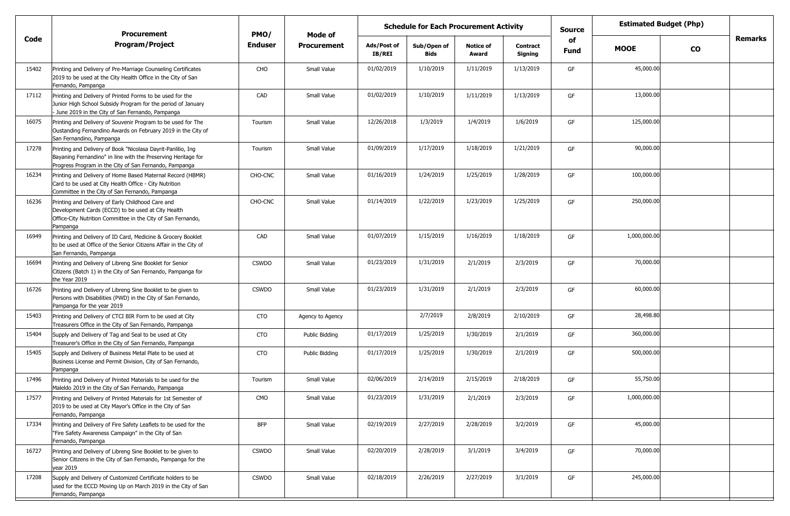|       | <b>Procurement</b>                                                                                                                                                                      | PMO/         | Mode of               | <b>Schedule for Each Procurement Activity</b> |                            |                           |                            | <b>Estimated Budget (Php)</b><br><b>Source</b> |              |           |                |
|-------|-----------------------------------------------------------------------------------------------------------------------------------------------------------------------------------------|--------------|-----------------------|-----------------------------------------------|----------------------------|---------------------------|----------------------------|------------------------------------------------|--------------|-----------|----------------|
| Code  | <b>Program/Project</b>                                                                                                                                                                  | Enduser      | <b>Procurement</b>    | Ads/Post of<br><b>IB/REI</b>                  | Sub/Open of<br><b>Bids</b> | <b>Notice of</b><br>Award | <b>Contract</b><br>Signing | of<br><b>Fund</b>                              | <b>MOOE</b>  | <b>CO</b> | <b>Remarks</b> |
| 15402 | Printing and Delivery of Pre-Marriage Counseling Certificates<br>2019 to be used at the City Health Office in the City of San<br>Fernando, Pampanga                                     | CHO          | Small Value           | 01/02/2019                                    | 1/10/2019                  | 1/11/2019                 | 1/13/2019                  | GF                                             | 45,000.00    |           |                |
| 17112 | Printing and Delivery of Printed Forms to be used for the<br>Junior High School Subsidy Program for the period of January<br>- June 2019 in the City of San Fernando, Pampanga          | CAD          | Small Value           | 01/02/2019                                    | 1/10/2019                  | 1/11/2019                 | 1/13/2019                  | GF                                             | 13,000.00    |           |                |
| 16075 | Printing and Delivery of Souvenir Program to be used for The<br>Oustanding Fernandino Awards on February 2019 in the City of<br>San Fernandino, Pampanga                                | Tourism      | Small Value           | 12/26/2018                                    | 1/3/2019                   | 1/4/2019                  | 1/6/2019                   | GF                                             | 125,000.00   |           |                |
| 17278 | Printing and Delivery of Book "Nicolasa Dayrit-Panlilio, Ing<br>Bayaning Fernandino" in line with the Preserving Heritage for<br>Progress Program in the City of San Fernando, Pampanga | Tourism      | Small Value           | 01/09/2019                                    | 1/17/2019                  | 1/18/2019                 | 1/21/2019                  | GF                                             | 90,000.00    |           |                |
| 16234 | Printing and Delivery of Home Based Maternal Record (HBMR)<br>Card to be used at City Health Office - City Nutrition<br>Committee in the City of San Fernando, Pampanga                 | CHO-CNC      | Small Value           | 01/16/2019                                    | 1/24/2019                  | 1/25/2019                 | 1/28/2019                  | GF                                             | 100,000.00   |           |                |
| 16236 | Printing and Delivery of Early Childhood Care and<br>Development Cards (ECCD) to be used at City Health<br>Office-City Nutrition Committee in the City of San Fernando,<br>Pampanga     | CHO-CNC      | Small Value           | 01/14/2019                                    | 1/22/2019                  | 1/23/2019                 | 1/25/2019                  | GF                                             | 250,000.00   |           |                |
| 16949 | Printing and Delivery of ID Card, Medicine & Grocery Booklet<br>to be used at Office of the Senior Citizens Affair in the City of<br>San Fernando, Pampanga                             | CAD          | Small Value           | 01/07/2019                                    | 1/15/2019                  | 1/16/2019                 | 1/18/2019                  | GF                                             | 1,000,000.00 |           |                |
| 16694 | Printing and Delivery of Libreng Sine Booklet for Senior<br>Citizens (Batch 1) in the City of San Fernando, Pampanga for<br>the Year 2019                                               | <b>CSWDO</b> | Small Value           | 01/23/2019                                    | 1/31/2019                  | 2/1/2019                  | 2/3/2019                   | GF                                             | 70,000.00    |           |                |
| 16726 | Printing and Delivery of Libreng Sine Booklet to be given to<br>Persons with Disabilities (PWD) in the City of San Fernando,<br>Pampanga for the year 2019                              | <b>CSWDO</b> | Small Value           | 01/23/2019                                    | 1/31/2019                  | 2/1/2019                  | 2/3/2019                   | GF                                             | 60,000.00    |           |                |
| 15403 | Printing and Delivery of CTCI BIR Form to be used at City<br>Treasurers Office in the City of San Fernando, Pampanga                                                                    | CTO          | Agency to Agency      |                                               | 2/7/2019                   | 2/8/2019                  | 2/10/2019                  | GF                                             | 28,498.80    |           |                |
| 15404 | Supply and Delivery of Tag and Seal to be used at City<br>Treasurer's Office in the City of San Fernando, Pampanga                                                                      | <b>CTO</b>   | Public Bidding        | 01/17/2019                                    | 1/25/2019                  | 1/30/2019                 | 2/1/2019                   | GF                                             | 360,000.00   |           |                |
| 15405 | Supply and Delivery of Business Metal Plate to be used at<br>Business License and Permit Division, City of San Fernando,<br>Pampanga                                                    | <b>CTO</b>   | <b>Public Bidding</b> | 01/17/2019                                    | 1/25/2019                  | 1/30/2019                 | 2/1/2019                   | GF                                             | 500,000.00   |           |                |
| 17496 | Printing and Delivery of Printed Materials to be used for the<br>Maleldo 2019 in the City of San Fernando, Pampanga                                                                     | Tourism      | Small Value           | 02/06/2019                                    | 2/14/2019                  | 2/15/2019                 | 2/18/2019                  | GF                                             | 55,750.00    |           |                |
| 17577 | Printing and Delivery of Printed Materials for 1st Semester of<br>2019 to be used at City Mayor's Office in the City of San<br>Fernando, Pampanga                                       | CMO          | Small Value           | 01/23/2019                                    | 1/31/2019                  | 2/1/2019                  | 2/3/2019                   | GF                                             | 1,000,000.00 |           |                |
| 17334 | Printing and Delivery of Fire Safety Leaflets to be used for the<br>"Fire Safety Awareness Campaign" in the City of San<br>Fernando, Pampanga                                           | <b>BFP</b>   | Small Value           | 02/19/2019                                    | 2/27/2019                  | 2/28/2019                 | 3/2/2019                   | GF                                             | 45,000.00    |           |                |
| 16727 | Printing and Delivery of Libreng Sine Booklet to be given to<br>Senior Citizens in the City of San Fernando, Pampanga for the<br>year 2019                                              | <b>CSWDO</b> | Small Value           | 02/20/2019                                    | 2/28/2019                  | 3/1/2019                  | 3/4/2019                   | GF                                             | 70,000.00    |           |                |
| 17208 | Supply and Delivery of Customized Certificate holders to be<br>used for the ECCD Moving Up on March 2019 in the City of San<br>Fernando, Pampanga                                       | <b>CSWDO</b> | Small Value           | 02/18/2019                                    | 2/26/2019                  | 2/27/2019                 | 3/1/2019                   | GF                                             | 245,000.00   |           |                |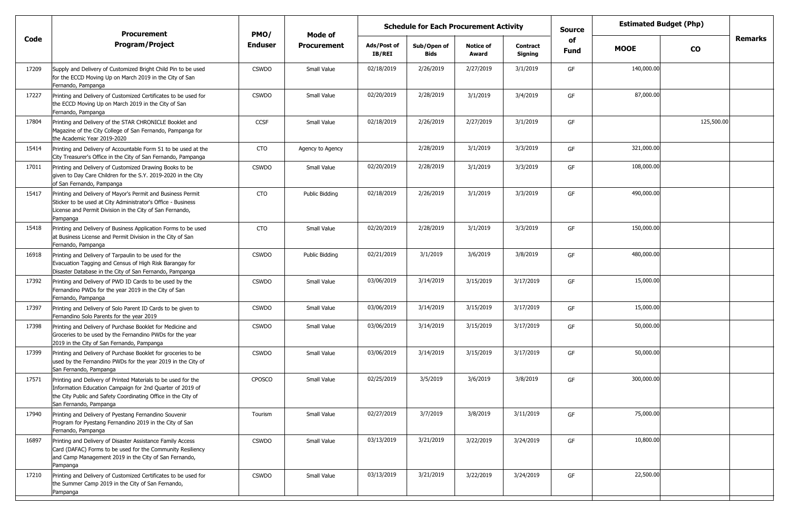|       | <b>Procurement</b>                                                                                                                                                                                                    | PMO/           |                    | <b>Schedule for Each Procurement Activity</b><br>Mode of |                     |                           |                            | <b>Source</b> | <b>Estimated Budget (Php)</b> |            |                |
|-------|-----------------------------------------------------------------------------------------------------------------------------------------------------------------------------------------------------------------------|----------------|--------------------|----------------------------------------------------------|---------------------|---------------------------|----------------------------|---------------|-------------------------------|------------|----------------|
| Code  | <b>Program/Project</b>                                                                                                                                                                                                | <b>Enduser</b> | <b>Procurement</b> | Ads/Post of<br><b>IB/REI</b>                             | Sub/Open of<br>Bids | <b>Notice of</b><br>Award | <b>Contract</b><br>Signing | of<br>Fund    | <b>MOOE</b>                   | <b>CO</b>  | <b>Remarks</b> |
| 17209 | Supply and Delivery of Customized Bright Child Pin to be used<br>for the ECCD Moving Up on March 2019 in the City of San<br>Fernando, Pampanga                                                                        | <b>CSWDO</b>   | Small Value        | 02/18/2019                                               | 2/26/2019           | 2/27/2019                 | 3/1/2019                   | GF            | 140,000.00                    |            |                |
| 17227 | Printing and Delivery of Customized Certificates to be used for<br>the ECCD Moving Up on March 2019 in the City of San<br>Fernando, Pampanga                                                                          | <b>CSWDO</b>   | Small Value        | 02/20/2019                                               | 2/28/2019           | 3/1/2019                  | 3/4/2019                   | GF            | 87,000.00                     |            |                |
| 17804 | Printing and Delivery of the STAR CHRONICLE Booklet and<br>Magazine of the City College of San Fernando, Pampanga for<br>the Academic Year 2019-2020                                                                  | <b>CCSF</b>    | Small Value        | 02/18/2019                                               | 2/26/2019           | 2/27/2019                 | 3/1/2019                   | GF            |                               | 125,500.00 |                |
| 15414 | Printing and Delivery of Accountable Form 51 to be used at the<br>City Treasurer's Office in the City of San Fernando, Pampanga                                                                                       | CTO            | Agency to Agency   |                                                          | 2/28/2019           | 3/1/2019                  | 3/3/2019                   | GF            | 321,000.00                    |            |                |
| 17011 | Printing and Delivery of Customized Drawing Books to be<br>given to Day Care Children for the S.Y. 2019-2020 in the City<br>of San Fernando, Pampanga                                                                 | <b>CSWDO</b>   | Small Value        | 02/20/2019                                               | 2/28/2019           | 3/1/2019                  | 3/3/2019                   | GF            | 108,000.00                    |            |                |
| 15417 | Printing and Delivery of Mayor's Permit and Business Permit<br>Sticker to be used at City Administrator's Office - Business<br>License and Permit Division in the City of San Fernando,<br>Pampanga                   | <b>CTO</b>     | Public Bidding     | 02/18/2019                                               | 2/26/2019           | 3/1/2019                  | 3/3/2019                   | GF            | 490,000.00                    |            |                |
| 15418 | Printing and Delivery of Business Application Forms to be used<br>at Business License and Permit Division in the City of San<br>Fernando, Pampanga                                                                    | <b>CTO</b>     | Small Value        | 02/20/2019                                               | 2/28/2019           | 3/1/2019                  | 3/3/2019                   | GF            | 150,000.00                    |            |                |
| 16918 | Printing and Delivery of Tarpaulin to be used for the<br>Evacuation Tagging and Census of High Risk Barangay for<br>Disaster Database in the City of San Fernando, Pampanga                                           | <b>CSWDO</b>   | Public Bidding     | 02/21/2019                                               | 3/1/2019            | 3/6/2019                  | 3/8/2019                   | GF            | 480,000.00                    |            |                |
| 17392 | Printing and Delivery of PWD ID Cards to be used by the<br>Fernandino PWDs for the year 2019 in the City of San<br>Fernando, Pampanga                                                                                 | <b>CSWDO</b>   | Small Value        | 03/06/2019                                               | 3/14/2019           | 3/15/2019                 | 3/17/2019                  | GF            | 15,000.00                     |            |                |
| 17397 | Printing and Delivery of Solo Parent ID Cards to be given to<br>Fernandino Solo Parents for the year 2019                                                                                                             | <b>CSWDO</b>   | Small Value        | 03/06/2019                                               | 3/14/2019           | 3/15/2019                 | 3/17/2019                  | GF            | 15,000.00                     |            |                |
| 17398 | Printing and Delivery of Purchase Booklet for Medicine and<br>Groceries to be used by the Fernandino PWDs for the year<br>2019 in the City of San Fernando, Pampanga                                                  | <b>CSWDO</b>   | Small Value        | 03/06/2019                                               | 3/14/2019           | 3/15/2019                 | 3/17/2019                  | GF            | 50,000.00                     |            |                |
| 17399 | Printing and Delivery of Purchase Booklet for groceries to be<br>used by the Fernandino PWDs for the year 2019 in the City of<br>San Fernando, Pampanga                                                               | <b>CSWDO</b>   | Small Value        | 03/06/2019                                               | 3/14/2019           | 3/15/2019                 | 3/17/2019                  | GF            | 50,000.00                     |            |                |
| 17571 | Printing and Delivery of Printed Materials to be used for the<br>Information Education Campaign for 2nd Quarter of 2019 of<br>the City Public and Safety Coordinating Office in the City of<br>San Fernando, Pampanga | <b>CPOSCO</b>  | Small Value        | 02/25/2019                                               | 3/5/2019            | 3/6/2019                  | 3/8/2019                   | GF            | 300,000.00                    |            |                |
| 17940 | Printing and Delivery of Pyestang Fernandino Souvenir<br>Program for Pyestang Fernandino 2019 in the City of San<br>Fernando, Pampanga                                                                                | Tourism        | Small Value        | 02/27/2019                                               | 3/7/2019            | 3/8/2019                  | 3/11/2019                  | GF            | 75,000.00                     |            |                |
| 16897 | Printing and Delivery of Disaster Assistance Family Access<br>Card (DAFAC) Forms to be used for the Community Resiliency<br>and Camp Management 2019 in the City of San Fernando,<br>Pampanga                         | <b>CSWDO</b>   | Small Value        | 03/13/2019                                               | 3/21/2019           | 3/22/2019                 | 3/24/2019                  | GF            | 10,800.00                     |            |                |
| 17210 | Printing and Delivery of Customized Certificates to be used for<br>the Summer Camp 2019 in the City of San Fernando,<br>Pampanga                                                                                      | <b>CSWDO</b>   | Small Value        | 03/13/2019                                               | 3/21/2019           | 3/22/2019                 | 3/24/2019                  | GF            | 22,500.00                     |            |                |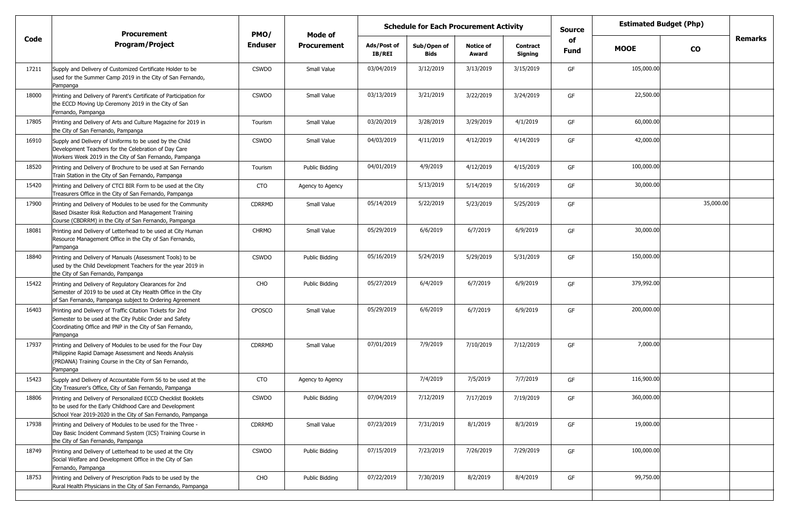|       | <b>Procurement</b>                                                                                                                                                                           | PMO/           | <b>Schedule for Each Procurement Activity</b><br>Mode of |                       |                     |                           |                            | <b>Source</b> | <b>Estimated Budget (Php)</b> |           |                |
|-------|----------------------------------------------------------------------------------------------------------------------------------------------------------------------------------------------|----------------|----------------------------------------------------------|-----------------------|---------------------|---------------------------|----------------------------|---------------|-------------------------------|-----------|----------------|
| Code  | <b>Program/Project</b>                                                                                                                                                                       | <b>Enduser</b> | <b>Procurement</b>                                       | Ads/Post of<br>IB/REI | Sub/Open of<br>Bids | <b>Notice of</b><br>Award | <b>Contract</b><br>Signing | of<br>Fund    | <b>MOOE</b>                   | <b>CO</b> | <b>Remarks</b> |
| 17211 | Supply and Delivery of Customized Certificate Holder to be<br>used for the Summer Camp 2019 in the City of San Fernando,<br>Pampanga                                                         | <b>CSWDO</b>   | Small Value                                              | 03/04/2019            | 3/12/2019           | 3/13/2019                 | 3/15/2019                  | GF            | 105,000.00                    |           |                |
| 18000 | Printing and Delivery of Parent's Certificate of Participation for<br>the ECCD Moving Up Ceremony 2019 in the City of San<br>Fernando, Pampanga                                              | <b>CSWDO</b>   | Small Value                                              | 03/13/2019            | 3/21/2019           | 3/22/2019                 | 3/24/2019                  | GF            | 22,500.00                     |           |                |
| 17805 | Printing and Delivery of Arts and Culture Magazine for 2019 in<br>the City of San Fernando, Pampanga                                                                                         | Tourism        | Small Value                                              | 03/20/2019            | 3/28/2019           | 3/29/2019                 | 4/1/2019                   | GF            | 60,000.00                     |           |                |
| 16910 | Supply and Delivery of Uniforms to be used by the Child<br>Development Teachers for the Celebration of Day Care<br>Workers Week 2019 in the City of San Fernando, Pampanga                   | <b>CSWDO</b>   | Small Value                                              | 04/03/2019            | 4/11/2019           | 4/12/2019                 | 4/14/2019                  | GF            | 42,000.00                     |           |                |
| 18520 | Printing and Delivery of Brochure to be used at San Fernando<br>Train Station in the City of San Fernando, Pampanga                                                                          | Tourism        | Public Bidding                                           | 04/01/2019            | 4/9/2019            | 4/12/2019                 | 4/15/2019                  | GF            | 100,000.00                    |           |                |
| 15420 | Printing and Delivery of CTCI BIR Form to be used at the City<br>Treasurers Office in the City of San Fernando, Pampanga                                                                     | <b>CTO</b>     | Agency to Agency                                         |                       | 5/13/2019           | 5/14/2019                 | 5/16/2019                  | GF            | 30,000.00                     |           |                |
| 17900 | Printing and Delivery of Modules to be used for the Community<br>Based Disaster Risk Reduction and Management Training<br>Course (CBDRRM) in the City of San Fernando, Pampanga              | <b>CDRRMD</b>  | Small Value                                              | 05/14/2019            | 5/22/2019           | 5/23/2019                 | 5/25/2019                  | GF            |                               | 35,000.00 |                |
| 18081 | Printing and Delivery of Letterhead to be used at City Human<br>Resource Management Office in the City of San Fernando,<br>Pampanga                                                          | <b>CHRMO</b>   | Small Value                                              | 05/29/2019            | 6/6/2019            | 6/7/2019                  | 6/9/2019                   | GF            | 30,000.00                     |           |                |
| 18840 | Printing and Delivery of Manuals (Assessment Tools) to be<br>used by the Child Development Teachers for the year 2019 in<br>the City of San Fernando, Pampanga                               | <b>CSWDO</b>   | Public Bidding                                           | 05/16/2019            | 5/24/2019           | 5/29/2019                 | 5/31/2019                  | GF            | 150,000.00                    |           |                |
| 15422 | Printing and Delivery of Regulatory Clearances for 2nd<br>Semester of 2019 to be used at City Health Office in the City<br>of San Fernando, Pampanga subject to Ordering Agreement           | CHO            | Public Bidding                                           | 05/27/2019            | 6/4/2019            | 6/7/2019                  | 6/9/2019                   | GF            | 379,992.00                    |           |                |
| 16403 | Printing and Delivery of Traffic Citation Tickets for 2nd<br>Semester to be used at the City Public Order and Safety<br>Coordinating Office and PNP in the City of San Fernando,<br>Pampanga | <b>CPOSCO</b>  | Small Value                                              | 05/29/2019            | 6/6/2019            | 6/7/2019                  | 6/9/2019                   | GF            | 200,000.00                    |           |                |
| 17937 | Printing and Delivery of Modules to be used for the Four Day<br>Philippine Rapid Damage Assessment and Needs Analysis<br>(PRDANA) Training Course in the City of San Fernando,<br>Pampanga   | <b>CDRRMD</b>  | Small Value                                              | 07/01/2019            | 7/9/2019            | 7/10/2019                 | 7/12/2019                  | GF            | 7,000.00                      |           |                |
| 15423 | Supply and Delivery of Accountable Form 56 to be used at the<br>City Treasurer's Office, City of San Fernando, Pampanga                                                                      | CTO            | Agency to Agency                                         |                       | 7/4/2019            | 7/5/2019                  | 7/7/2019                   | GF            | 116,900.00                    |           |                |
| 18806 | Printing and Delivery of Personalized ECCD Checklist Booklets<br>to be used for the Early Childhood Care and Development<br>School Year 2019-2020 in the City of San Fernando, Pampanga      | <b>CSWDO</b>   | Public Bidding                                           | 07/04/2019            | 7/12/2019           | 7/17/2019                 | 7/19/2019                  | GF            | 360,000.00                    |           |                |
| 17938 | Printing and Delivery of Modules to be used for the Three -<br>Day Basic Incident Command System (ICS) Training Course in<br>the City of San Fernando, Pampanga                              | CDRRMD         | Small Value                                              | 07/23/2019            | 7/31/2019           | 8/1/2019                  | 8/3/2019                   | GF            | 19,000.00                     |           |                |
| 18749 | Printing and Delivery of Letterhead to be used at the City<br>Social Welfare and Development Office in the City of San<br>Fernando, Pampanga                                                 | <b>CSWDO</b>   | Public Bidding                                           | 07/15/2019            | 7/23/2019           | 7/26/2019                 | 7/29/2019                  | GF            | 100,000.00                    |           |                |
| 18753 | Printing and Delivery of Prescription Pads to be used by the<br>Rural Health Physicians in the City of San Fernando, Pampanga                                                                | CHO            | Public Bidding                                           | 07/22/2019            | 7/30/2019           | 8/2/2019                  | 8/4/2019                   | GF            | 99,750.00                     |           |                |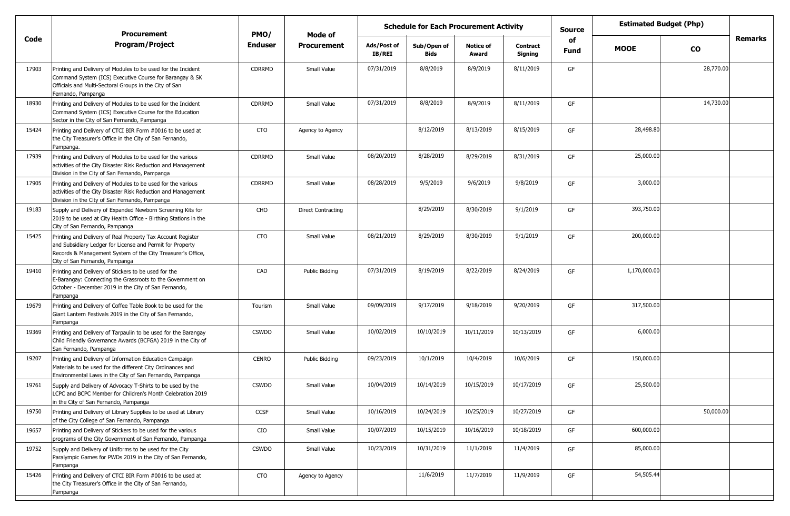|       | <b>Procurement</b>                                                                                                                                                                                                        | PMO/           | <b>Schedule for Each Procurement Activity</b><br>Mode of |                              |                            |                           |                            | <b>Source</b> | <b>Estimated Budget (Php)</b> |           |         |
|-------|---------------------------------------------------------------------------------------------------------------------------------------------------------------------------------------------------------------------------|----------------|----------------------------------------------------------|------------------------------|----------------------------|---------------------------|----------------------------|---------------|-------------------------------|-----------|---------|
| Code  | <b>Program/Project</b>                                                                                                                                                                                                    | <b>Enduser</b> | <b>Procurement</b>                                       | Ads/Post of<br><b>IB/REI</b> | Sub/Open of<br><b>Bids</b> | <b>Notice of</b><br>Award | <b>Contract</b><br>Signing | of<br>Fund    | <b>MOOE</b>                   | <b>CO</b> | Remarks |
| 17903 | Printing and Delivery of Modules to be used for the Incident<br>Command System (ICS) Executive Course for Barangay & SK<br>Officials and Multi-Sectoral Groups in the City of San<br>Fernando, Pampanga                   | <b>CDRRMD</b>  | Small Value                                              | 07/31/2019                   | 8/8/2019                   | 8/9/2019                  | 8/11/2019                  | GF            |                               | 28,770.00 |         |
| 18930 | Printing and Delivery of Modules to be used for the Incident<br>Command System (ICS) Executive Course for the Education<br>Sector in the City of San Fernando, Pampanga                                                   | <b>CDRRMD</b>  | Small Value                                              | 07/31/2019                   | 8/8/2019                   | 8/9/2019                  | 8/11/2019                  | GF            |                               | 14,730.00 |         |
| 15424 | Printing and Delivery of CTCI BIR Form #0016 to be used at<br>the City Treasurer's Office in the City of San Fernando,<br>Pampanga.                                                                                       | CTO            | Agency to Agency                                         |                              | 8/12/2019                  | 8/13/2019                 | 8/15/2019                  | GF            | 28,498.80                     |           |         |
| 17939 | Printing and Delivery of Modules to be used for the various<br>activities of the City Disaster Risk Reduction and Management<br>Division in the City of San Fernando, Pampanga                                            | CDRRMD         | Small Value                                              | 08/20/2019                   | 8/28/2019                  | 8/29/2019                 | 8/31/2019                  | GF            | 25,000.00                     |           |         |
| 17905 | Printing and Delivery of Modules to be used for the various<br>activities of the City Disaster Risk Reduction and Management<br>Division in the City of San Fernando, Pampanga                                            | <b>CDRRMD</b>  | Small Value                                              | 08/28/2019                   | 9/5/2019                   | 9/6/2019                  | 9/8/2019                   | GF            | 3,000.00                      |           |         |
| 19183 | Supply and Delivery of Expanded Newborn Screening Kits for<br>2019 to be used at City Health Office - Birthing Stations in the<br>City of San Fernando, Pampanga                                                          | CHO            | <b>Direct Contracting</b>                                |                              | 8/29/2019                  | 8/30/2019                 | 9/1/2019                   | GF            | 393,750.00                    |           |         |
| 15425 | Printing and Delivery of Real Property Tax Account Register<br>and Subsidiary Ledger for License and Permit for Property<br>Records & Management System of the City Treasurer's Office,<br>City of San Fernando, Pampanga | <b>CTO</b>     | Small Value                                              | 08/21/2019                   | 8/29/2019                  | 8/30/2019                 | 9/1/2019                   | GF            | 200,000.00                    |           |         |
| 19410 | Printing and Delivery of Stickers to be used for the<br>E-Barangay: Connecting the Grassroots to the Government on<br>October - December 2019 in the City of San Fernando,<br>Pampanga                                    | CAD            | Public Bidding                                           | 07/31/2019                   | 8/19/2019                  | 8/22/2019                 | 8/24/2019                  | GF            | 1,170,000.00                  |           |         |
| 19679 | Printing and Delivery of Coffee Table Book to be used for the<br>Giant Lantern Festivals 2019 in the City of San Fernando,<br>Pampanga                                                                                    | Tourism        | Small Value                                              | 09/09/2019                   | 9/17/2019                  | 9/18/2019                 | 9/20/2019                  | GF            | 317,500.00                    |           |         |
| 19369 | Printing and Delivery of Tarpaulin to be used for the Barangay<br>Child Friendly Governance Awards (BCFGA) 2019 in the City of<br>San Fernando, Pampanga                                                                  | <b>CSWDO</b>   | Small Value                                              | 10/02/2019                   | 10/10/2019                 | 10/11/2019                | 10/13/2019                 | GF            | 6,000.00                      |           |         |
| 19207 | Printing and Delivery of Information Education Campaign<br>Materials to be used for the different City Ordinances and<br>Environmental Laws in the City of San Fernando, Pampanga                                         | <b>CENRO</b>   | Public Bidding                                           | 09/23/2019                   | 10/1/2019                  | 10/4/2019                 | 10/6/2019                  | GF            | 150,000.00                    |           |         |
| 19761 | Supply and Delivery of Advocacy T-Shirts to be used by the<br>LCPC and BCPC Member for Children's Month Celebration 2019<br>in the City of San Fernando, Pampanga                                                         | <b>CSWDO</b>   | Small Value                                              | 10/04/2019                   | 10/14/2019                 | 10/15/2019                | 10/17/2019                 | GF            | 25,500.00                     |           |         |
| 19750 | Printing and Delivery of Library Supplies to be used at Library<br>of the City College of San Fernando, Pampanga                                                                                                          | CCSF           | Small Value                                              | 10/16/2019                   | 10/24/2019                 | 10/25/2019                | 10/27/2019                 | GF            |                               | 50,000.00 |         |
| 19657 | Printing and Delivery of Stickers to be used for the various<br>programs of the City Government of San Fernando, Pampanga                                                                                                 | CIO            | Small Value                                              | 10/07/2019                   | 10/15/2019                 | 10/16/2019                | 10/18/2019                 | GF            | 600,000.00                    |           |         |
| 19752 | Supply and Delivery of Uniforms to be used for the City<br>Paralympic Games for PWDs 2019 in the City of San Fernando,<br>Pampanga                                                                                        | <b>CSWDO</b>   | Small Value                                              | 10/23/2019                   | 10/31/2019                 | 11/1/2019                 | 11/4/2019                  | GF            | 85,000.00                     |           |         |
| 15426 | Printing and Delivery of CTCI BIR Form #0016 to be used at<br>the City Treasurer's Office in the City of San Fernando,<br>Pampanga                                                                                        | <b>CTO</b>     | Agency to Agency                                         |                              | 11/6/2019                  | 11/7/2019                 | 11/9/2019                  | GF            | 54,505.44                     |           |         |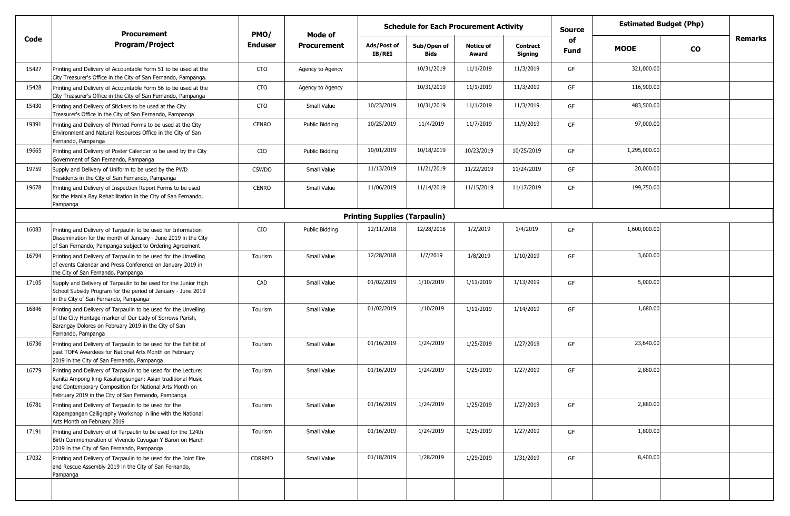|       | <b>Procurement</b>                                                                                                                                                                                                                             | PMO/           | Mode of            | <b>Schedule for Each Procurement Activity</b> |                            |                           |                            | <b>Source</b> | <b>Estimated Budget (Php)</b> |           |                |
|-------|------------------------------------------------------------------------------------------------------------------------------------------------------------------------------------------------------------------------------------------------|----------------|--------------------|-----------------------------------------------|----------------------------|---------------------------|----------------------------|---------------|-------------------------------|-----------|----------------|
| Code  | <b>Program/Project</b>                                                                                                                                                                                                                         | <b>Enduser</b> | <b>Procurement</b> | Ads/Post of<br>IB/REI                         | Sub/Open of<br><b>Bids</b> | <b>Notice of</b><br>Award | <b>Contract</b><br>Signing | of<br>Fund    | <b>MOOE</b>                   | <b>CO</b> | <b>Remarks</b> |
| 15427 | Printing and Delivery of Accountable Form 51 to be used at the<br>City Treasurer's Office in the City of San Fernando, Pampanga.                                                                                                               | CTO            | Agency to Agency   |                                               | 10/31/2019                 | 11/1/2019                 | 11/3/2019                  | GF            | 321,000.00                    |           |                |
| 15428 | Printing and Delivery of Accountable Form 56 to be used at the<br>City Treasurer's Office in the City of San Fernando, Pampanga                                                                                                                | CTO            | Agency to Agency   |                                               | 10/31/2019                 | 11/1/2019                 | 11/3/2019                  | GF            | 116,900.00                    |           |                |
| 15430 | Printing and Delivery of Stickers to be used at the City<br>Treasurer's Office in the City of San Fernando, Pampanga                                                                                                                           | <b>CTO</b>     | Small Value        | 10/23/2019                                    | 10/31/2019                 | 11/1/2019                 | 11/3/2019                  | GF            | 483,500.00                    |           |                |
| 19391 | Printing and Delivery of Printed Forms to be used at the City<br>Environment and Natural Resources Office in the City of San<br>Fernando, Pampanga                                                                                             | <b>CENRO</b>   | Public Biddina     | 10/25/2019                                    | 11/4/2019                  | 11/7/2019                 | 11/9/2019                  | GF            | 97,000.00                     |           |                |
| 19665 | Printing and Delivery of Poster Calendar to be used by the City<br>Government of San Fernando, Pampanga                                                                                                                                        | CIO            | Public Bidding     | 10/01/2019                                    | 10/18/2019                 | 10/23/2019                | 10/25/2019                 | GF            | 1,295,000.00                  |           |                |
| 19759 | Supply and Delivery of Uniform to be used by the PWD<br>Presidents in the City of San Fernando, Pampanga                                                                                                                                       | <b>CSWDO</b>   | Small Value        | 11/13/2019                                    | 11/21/2019                 | 11/22/2019                | 11/24/2019                 | GF            | 20,000.00                     |           |                |
| 19678 | Printing and Delivery of Inspection Report Forms to be used<br>for the Manila Bay Rehabilitation in the City of San Fernando,<br>Pampanga                                                                                                      | CENRO          | Small Value        | 11/06/2019                                    | 11/14/2019                 | 11/15/2019                | 11/17/2019                 | GF            | 199,750.00                    |           |                |
|       |                                                                                                                                                                                                                                                |                |                    | <b>Printing Supplies (Tarpaulin)</b>          |                            |                           |                            |               |                               |           |                |
| 16083 | Printing and Delivery of Tarpaulin to be used for Information<br>Dissemination for the month of January - June 2019 in the City<br>of San Fernando, Pampanga subject to Ordering Agreement                                                     | CIO            | Public Bidding     | 12/11/2018                                    | 12/28/2018                 | 1/2/2019                  | 1/4/2019                   | GF            | 1,600,000.00                  |           |                |
| 16794 | Printing and Delivery of Tarpaulin to be used for the Unveiling<br>of events Calendar and Press Conference on January 2019 in<br>the City of San Fernando, Pampanga                                                                            | Tourism        | Small Value        | 12/28/2018                                    | 1/7/2019                   | 1/8/2019                  | 1/10/2019                  | GF            | 3,600.00                      |           |                |
| 17105 | Supply and Delivery of Tarpaulin to be used for the Junior High<br>School Subsidy Program for the period of January - June 2019<br>in the City of San Fernando, Pampanga                                                                       | CAD            | Small Value        | 01/02/2019                                    | 1/10/2019                  | 1/11/2019                 | 1/13/2019                  | GF            | 5,000.00                      |           |                |
| 16846 | Printing and Delivery of Tarpaulin to be used for the Unveiling<br>of the City Heritage marker of Our Lady of Sorrows Parish,<br>Barangay Dolores on February 2019 in the City of San<br>Fernando, Pampanga                                    | Tourism        | Small Value        | 01/02/2019                                    | 1/10/2019                  | 1/11/2019                 | 1/14/2019                  | GF            | 1,680.00                      |           |                |
| 16736 | Printing and Delivery of Tarpaulin to be used for the Exhibit of<br>past TOFA Awardees for National Arts Month on February<br>2019 in the City of San Fernando, Pampanga                                                                       | Tourism        | Small Value        | 01/16/2019                                    | 1/24/2019                  | 1/25/2019                 | 1/27/2019                  | GF            | 23,640.00                     |           |                |
| 16779 | Printing and Delivery of Tarpaulin to be used for the Lecture:<br>Kanita Ampong king Kasalungsungan: Asian traditional Music<br>and Contemporary Composition for National Arts Month on<br>February 2019 in the City of San Fernando, Pampanga | Tourism        | Small Value        | 01/16/2019                                    | 1/24/2019                  | 1/25/2019                 | 1/27/2019                  | GF            | 2,880.00                      |           |                |
| 16781 | Printing and Delivery of Tarpaulin to be used for the<br>Kapampangan Calligraphy Workshop in line with the National<br>Arts Month on February 2019                                                                                             | Tourism        | Small Value        | 01/16/2019                                    | 1/24/2019                  | 1/25/2019                 | 1/27/2019                  | GF            | 2,880.00                      |           |                |
| 17191 | Printing and Delivery of of Tarpaulin to be used for the 124th<br>Birth Commemoration of Vivencio Cuyugan Y Baron on March<br>2019 in the City of San Fernando, Pampanga                                                                       | Tourism        | Small Value        | 01/16/2019                                    | 1/24/2019                  | 1/25/2019                 | 1/27/2019                  | GF            | 1,800.00                      |           |                |
| 17032 | Printing and Delivery of Tarpaulin to be used for the Joint Fire<br>and Rescue Assembly 2019 in the City of San Fernando,<br>Pampanga                                                                                                          | <b>CDRRMD</b>  | Small Value        | 01/18/2019                                    | 1/28/2019                  | 1/29/2019                 | 1/31/2019                  | GF            | 8,400.00                      |           |                |
|       |                                                                                                                                                                                                                                                |                |                    |                                               |                            |                           |                            |               |                               |           |                |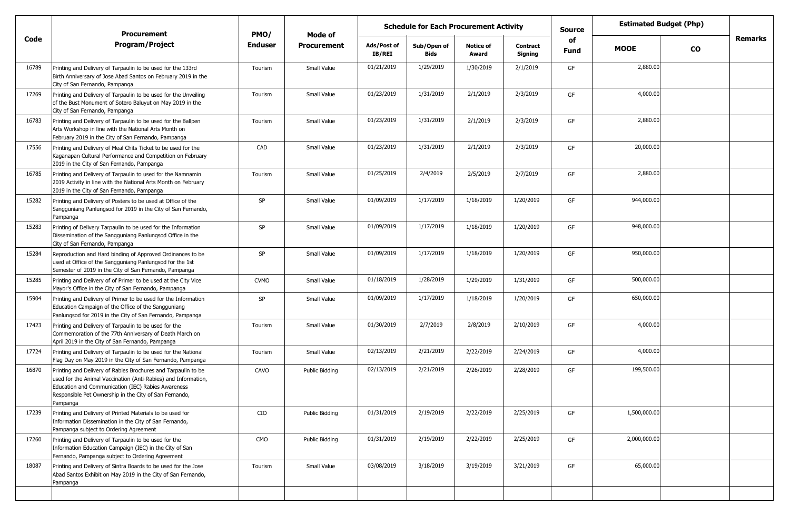|       | <b>Procurement</b>                                                                                                                                                                                                                                          | PMO/           | Mode of            |                              | <b>Schedule for Each Procurement Activity</b> |                           |                            | <b>Source</b>     |              | <b>Estimated Budget (Php)</b> |                |
|-------|-------------------------------------------------------------------------------------------------------------------------------------------------------------------------------------------------------------------------------------------------------------|----------------|--------------------|------------------------------|-----------------------------------------------|---------------------------|----------------------------|-------------------|--------------|-------------------------------|----------------|
| Code  | <b>Program/Project</b>                                                                                                                                                                                                                                      | <b>Enduser</b> | <b>Procurement</b> | Ads/Post of<br><b>IB/REI</b> | Sub/Open of<br><b>Bids</b>                    | <b>Notice of</b><br>Award | <b>Contract</b><br>Signing | of<br><b>Fund</b> | <b>MOOE</b>  | $\mathbf{co}$                 | <b>Remarks</b> |
| 16789 | Printing and Delivery of Tarpaulin to be used for the 133rd<br>Birth Anniversary of Jose Abad Santos on February 2019 in the<br>City of San Fernando, Pampanga                                                                                              | Tourism        | Small Value        | 01/21/2019                   | 1/29/2019                                     | 1/30/2019                 | 2/1/2019                   | GF                | 2,880.00     |                               |                |
| 17269 | Printing and Delivery of Tarpaulin to be used for the Unveiling<br>of the Bust Monument of Sotero Baluyut on May 2019 in the<br>City of San Fernando, Pampanga                                                                                              | Tourism        | Small Value        | 01/23/2019                   | 1/31/2019                                     | 2/1/2019                  | 2/3/2019                   | GF                | 4,000.00     |                               |                |
| 16783 | Printing and Delivery of Tarpaulin to be used for the Ballpen<br>Arts Workshop in line with the National Arts Month on<br>February 2019 in the City of San Fernando, Pampanga                                                                               | Tourism        | Small Value        | 01/23/2019                   | 1/31/2019                                     | 2/1/2019                  | 2/3/2019                   | GF                | 2,880.00     |                               |                |
| 17556 | Printing and Delivery of Meal Chits Ticket to be used for the<br>Kaganapan Cultural Performance and Competition on February<br>2019 in the City of San Fernando, Pampanga                                                                                   | CAD            | Small Value        | 01/23/2019                   | 1/31/2019                                     | 2/1/2019                  | 2/3/2019                   | GF                | 20,000.00    |                               |                |
| 16785 | Printing and Delivery of Tarpaulin to used for the Namnamin<br>2019 Activity in line with the National Arts Month on February<br>2019 in the City of San Fernando, Pampanga                                                                                 | Tourism        | Small Value        | 01/25/2019                   | 2/4/2019                                      | 2/5/2019                  | 2/7/2019                   | GF                | 2,880.00     |                               |                |
| 15282 | Printing and Delivery of Posters to be used at Office of the<br>Sangguniang Panlungsod for 2019 in the City of San Fernando,<br>Pampanga                                                                                                                    | SP             | Small Value        | 01/09/2019                   | 1/17/2019                                     | 1/18/2019                 | 1/20/2019                  | GF                | 944,000.00   |                               |                |
| 15283 | Printing of Delivery Tarpaulin to be used for the Information<br>Dissemination of the Sangguniang Panlungsod Office in the<br>City of San Fernando, Pampanga                                                                                                | SP             | Small Value        | 01/09/2019                   | 1/17/2019                                     | 1/18/2019                 | 1/20/2019                  | GF                | 948,000.00   |                               |                |
| 15284 | Reproduction and Hard binding of Approved Ordinances to be<br>used at Office of the Sangguniang Panlungsod for the 1st<br>Semester of 2019 in the City of San Fernando, Pampanga                                                                            | SP             | Small Value        | 01/09/2019                   | 1/17/2019                                     | 1/18/2019                 | 1/20/2019                  | GF                | 950,000.00   |                               |                |
| 15285 | Printing and Delivery of of Primer to be used at the City Vice<br>Mayor's Office in the City of San Fernando, Pampanga                                                                                                                                      | <b>CVMO</b>    | Small Value        | 01/18/2019                   | 1/28/2019                                     | 1/29/2019                 | 1/31/2019                  | GF                | 500,000.00   |                               |                |
| 15904 | Printing and Delivery of Primer to be used for the Information<br>Education Campaign of the Office of the Sangguniang<br>Panlungsod for 2019 in the City of San Fernando, Pampanga                                                                          | SP             | Small Value        | 01/09/2019                   | 1/17/2019                                     | 1/18/2019                 | 1/20/2019                  | GF                | 650,000.00   |                               |                |
| 17423 | Printing and Delivery of Tarpaulin to be used for the<br>Commemoration of the 77th Anniversary of Death March on<br>April 2019 in the City of San Fernando, Pampanga                                                                                        | Tourism        | Small Value        | 01/30/2019                   | 2/7/2019                                      | 2/8/2019                  | 2/10/2019                  | GF                | 4,000.00     |                               |                |
| 17724 | Printing and Delivery of Tarpaulin to be used for the National<br>Flag Day on May 2019 in the City of San Fernando, Pampanga                                                                                                                                | Tourism        | Small Value        | 02/13/2019                   | 2/21/2019                                     | 2/22/2019                 | 2/24/2019                  | GF                | 4,000.00     |                               |                |
| 16870 | Printing and Delivery of Rabies Brochures and Tarpaulin to be<br>used for the Animal Vaccination (Anti-Rabies) and Information,<br>Education and Communication (IEC) Rabies Awareness<br>Responsible Pet Ownership in the City of San Fernando,<br>Pampanga | CAVO           | Public Bidding     | 02/13/2019                   | 2/21/2019                                     | 2/26/2019                 | 2/28/2019                  | GF                | 199,500.00   |                               |                |
| 17239 | Printing and Delivery of Printed Materials to be used for<br>Information Dissemination in the City of San Fernando,<br>Pampanga subject to Ordering Agreement                                                                                               | CIO            | Public Bidding     | 01/31/2019                   | 2/19/2019                                     | 2/22/2019                 | 2/25/2019                  | GF                | 1,500,000.00 |                               |                |
| 17260 | Printing and Delivery of Tarpaulin to be used for the<br>Information Education Campaign (IEC) in the City of San<br>Fernando, Pampanga subject to Ordering Agreement                                                                                        | CMO            | Public Bidding     | 01/31/2019                   | 2/19/2019                                     | 2/22/2019                 | 2/25/2019                  | GF                | 2,000,000.00 |                               |                |
| 18087 | Printing and Delivery of Sintra Boards to be used for the Jose<br>Abad Santos Exhibit on May 2019 in the City of San Fernando,<br>Pampanga                                                                                                                  | Tourism        | Small Value        | 03/08/2019                   | 3/18/2019                                     | 3/19/2019                 | 3/21/2019                  | GF                | 65,000.00    |                               |                |
|       |                                                                                                                                                                                                                                                             |                |                    |                              |                                               |                           |                            |                   |              |                               |                |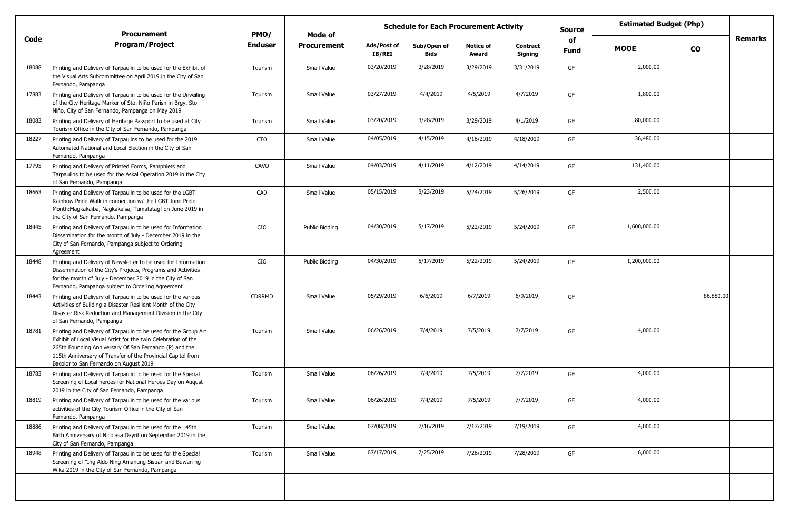|       | Procurement                                                                                                                                                                                                                                                                                           | PMO/           | Mode of            |                              | <b>Schedule for Each Procurement Activity</b> |                           |                            | <b>Source</b> |              | <b>Estimated Budget (Php)</b> |                |
|-------|-------------------------------------------------------------------------------------------------------------------------------------------------------------------------------------------------------------------------------------------------------------------------------------------------------|----------------|--------------------|------------------------------|-----------------------------------------------|---------------------------|----------------------------|---------------|--------------|-------------------------------|----------------|
| Code  | <b>Program/Project</b>                                                                                                                                                                                                                                                                                | <b>Enduser</b> | <b>Procurement</b> | Ads/Post of<br><b>IB/REI</b> | Sub/Open of<br><b>Bids</b>                    | <b>Notice of</b><br>Award | <b>Contract</b><br>Signing | of<br>Fund    | <b>MOOE</b>  | $\mathbf{co}$                 | <b>Remarks</b> |
| 18088 | Printing and Delivery of Tarpaulin to be used for the Exhibit of<br>the Visual Arts Subcommittee on April 2019 in the City of San<br>Fernando, Pampanga                                                                                                                                               | Tourism        | Small Value        | 03/20/2019                   | 3/28/2019                                     | 3/29/2019                 | 3/31/2019                  | GF            | 2,000.00     |                               |                |
| 17883 | Printing and Delivery of Tarpaulin to be used for the Unveiling<br>of the City Heritage Marker of Sto. Niño Parish in Brgy. Sto<br>Niño, City of San Fernando, Pampanga on May 2019                                                                                                                   | Tourism        | Small Value        | 03/27/2019                   | 4/4/2019                                      | 4/5/2019                  | 4/7/2019                   | GF            | 1,800.00     |                               |                |
| 18083 | Printing and Delivery of Heritage Passport to be used at City<br>Tourism Office in the City of San Fernando, Pampanga                                                                                                                                                                                 | Tourism        | Small Value        | 03/20/2019                   | 3/28/2019                                     | 3/29/2019                 | 4/1/2019                   | GF            | 80,000.00    |                               |                |
| 18227 | Printing and Delivery of Tarpaulins to be used for the 2019<br>Automated National and Local Election in the City of San<br>Fernando, Pampanga                                                                                                                                                         | CTO            | Small Value        | 04/05/2019                   | 4/15/2019                                     | 4/16/2019                 | 4/18/2019                  | GF            | 36,480.00    |                               |                |
| 17795 | Printing and Delivery of Printed Forms, Pamphlets and<br>Tarpaulins to be used for the Askal Operation 2019 in the City<br>of San Fernando, Pampanga                                                                                                                                                  | CAVO           | Small Value        | 04/03/2019                   | 4/11/2019                                     | 4/12/2019                 | 4/14/2019                  | GF            | 131,400.00   |                               |                |
| 18663 | Printing and Delivery of Tarpaulin to be used for the LGBT<br>Rainbow Pride Walk in connection w/ the LGBT June Pride<br>Month: Magkakaiba, Nagkakaisa, Tumatatag! on June 2019 in<br>the City of San Fernando, Pampanga                                                                              | CAD            | Small Value        | 05/15/2019                   | 5/23/2019                                     | 5/24/2019                 | 5/26/2019                  | GF            | 2,500.00     |                               |                |
| 18445 | Printing and Delivery of Tarpaulin to be used for Information<br>Dissemination for the month of July - December 2019 in the<br>City of San Fernando, Pampanga subject to Ordering<br>Agreement                                                                                                        | CIO            | Public Bidding     | 04/30/2019                   | 5/17/2019                                     | 5/22/2019                 | 5/24/2019                  | GF            | 1,600,000.00 |                               |                |
| 18448 | Printing and Delivery of Newsletter to be used for Information<br>Dissemination of the City's Projects, Programs and Activities<br>for the month of July - December 2019 in the City of San<br>Fernando, Pampanga subject to Ordering Agreement                                                       | CIO            | Public Bidding     | 04/30/2019                   | 5/17/2019                                     | 5/22/2019                 | 5/24/2019                  | GF            | 1,200,000.00 |                               |                |
| 18443 | Printing and Delivery of Tarpaulin to be used for the various<br>Activities of Building a Disaster-Resilient Month of the City<br>Disaster Risk Reduction and Management Division in the City<br>of San Fernando, Pampanga                                                                            | CDRRMD         | Small Value        | 05/29/2019                   | 6/6/2019                                      | 6/7/2019                  | 6/9/2019                   | GF            |              | 86,880.00                     |                |
| 18781 | Printing and Delivery of Tarpaulin to be used for the Group Art<br>Exhibit of Local Visual Artist for the twin Celebration of the<br>265th Founding Anniversary Of San Fernando (P) and the<br>115th Anniversary of Transfer of the Provincial Capitol from<br>Bacolor to San Fernando on August 2019 | Tourism        | Small Value        | 06/26/2019                   | 7/4/2019                                      | 7/5/2019                  | 7/7/2019                   | GF            | 4,000.00     |                               |                |
| 18783 | Printing and Delivery of Tarpaulin to be used for the Special<br>Screening of Local heroes for National Heroes Day on August<br>2019 in the City of San Fernando, Pampanga                                                                                                                            | Tourism        | Small Value        | 06/26/2019                   | 7/4/2019                                      | 7/5/2019                  | 7/7/2019                   | GF            | 4,000.00     |                               |                |
| 18819 | Printing and Delivery of Tarpaulin to be used for the various<br>activities of the City Tourism Office in the City of San<br>Fernando, Pampanga                                                                                                                                                       | Tourism        | Small Value        | 06/26/2019                   | 7/4/2019                                      | 7/5/2019                  | 7/7/2019                   | GF            | 4,000.00     |                               |                |
| 18886 | Printing and Delivery of Tarpaulin to be used for the 145th<br>Birth Anniversary of Nicolasa Dayrit on September 2019 in the<br>City of San Fernando, Pampanga                                                                                                                                        | Tourism        | Small Value        | 07/08/2019                   | 7/16/2019                                     | 7/17/2019                 | 7/19/2019                  | GF            | 4,000.00     |                               |                |
| 18948 | Printing and Delivery of Tarpaulin to be used for the Special<br>Screening of "Ing Aldo Ning Amanung Sisuan and Buwan ng<br>Wika 2019 in the City of San Fernando, Pampanga                                                                                                                           | Tourism        | Small Value        | 07/17/2019                   | 7/25/2019                                     | 7/26/2019                 | 7/28/2019                  | GF            | 6,000.00     |                               |                |
|       |                                                                                                                                                                                                                                                                                                       |                |                    |                              |                                               |                           |                            |               |              |                               |                |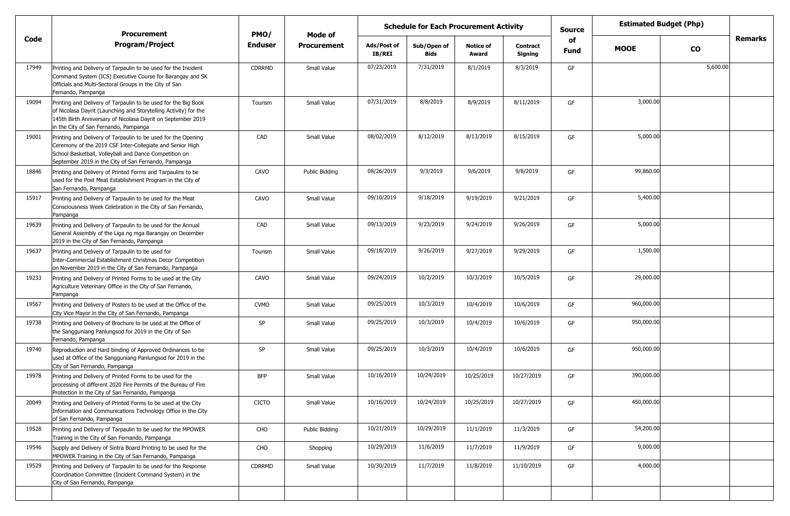|       | <b>Procurement</b>                                                                                                                                                                                                                           | PMO/           | <b>Mode of</b>     | <b>Schedule for Each Procurement Activity</b> |                     |                           |                            | <b>Source</b>     | <b>Estimated Budget (Php)</b> |               |         |
|-------|----------------------------------------------------------------------------------------------------------------------------------------------------------------------------------------------------------------------------------------------|----------------|--------------------|-----------------------------------------------|---------------------|---------------------------|----------------------------|-------------------|-------------------------------|---------------|---------|
| Code  | <b>Program/Project</b>                                                                                                                                                                                                                       | <b>Enduser</b> | <b>Procurement</b> | Ads/Post of<br><b>IB/REI</b>                  | Sub/Open of<br>Bids | <b>Notice of</b><br>Award | <b>Contract</b><br>Signing | of<br><b>Fund</b> | <b>MOOE</b>                   | $\mathbf{co}$ | Remarks |
| 17949 | Printing and Delivery of Tarpaulin to be used for the Incident<br>Command System (ICS) Executive Course for Barangay and SK<br>Officials and Multi-Sectoral Groups in the City of San<br>Fernando, Pampanga                                  | <b>CDRRMD</b>  | Small Value        | 07/23/2019                                    | 7/31/2019           | 8/1/2019                  | 8/3/2019                   | GF                |                               | 5,600.00      |         |
| 19094 | Printing and Delivery of Tarpaulin to be used for the Big Book<br>of Nicolasa Dayrit (Launching and Storytelling Activity) for the<br>145th Birth Anniversary of Nicolasa Dayrit on September 2019<br>in the City of San Fernando, Pampanga  | Tourism        | Small Value        | 07/31/2019                                    | 8/8/2019            | 8/9/2019                  | 8/11/2019                  | GF                | 3,000.00                      |               |         |
| 19001 | Printing and Delivery of Tarpaulin to be used for the Opening<br>Ceremony of the 2019 CSF Inter-Collegiate and Senior High<br>School Basketball, Volleyball and Dance Competition on<br>September 2019 in the City of San Fernando, Pampanga | CAD            | Small Value        | 08/02/2019                                    | 8/12/2019           | 8/13/2019                 | 8/15/2019                  | GF                | 5,000.00                      |               |         |
| 18846 | Printing and Delivery of Printed Forms and Tarpaulins to be<br>used for the Post Meat Establishment Program in the City of<br>San Fernando, Pampanga                                                                                         | CAVO           | Public Bidding     | 08/26/2019                                    | 9/3/2019            | 9/6/2019                  | 9/8/2019                   | GF                | 99,860.00                     |               |         |
| 15917 | Printing and Delivery of Tarpaulin to be used for the Meat<br>Consciousness Week Celebration in the City of San Fernando,<br>Pampanga                                                                                                        | CAVO           | Small Value        | 09/10/2019                                    | 9/18/2019           | 9/19/2019                 | 9/21/2019                  | GF                | 5,400.00                      |               |         |
| 19639 | Printing and Delivery of Tarpaulin to be used for the Annual<br>General Assembly of the Liga ng mga Barangay on December<br>2019 in the City of San Fernando, Pampanga                                                                       | CAD            | Small Value        | 09/13/2019                                    | 9/23/2019           | 9/24/2019                 | 9/26/2019                  | GF                | 5,000.00                      |               |         |
| 19637 | Printing and Delivery of Tarpaulin to be used for<br>Inter-Commercial Establishment Christmas Decor Competition<br>on November 2019 in the City of San Fernando, Pampanga                                                                    | Tourism        | Small Value        | 09/18/2019                                    | 9/26/2019           | 9/27/2019                 | 9/29/2019                  | GF                | 1,500.00                      |               |         |
| 19233 | Printing and Delivery of Printed Forms to be used at the City<br>Agriculture Veterinary Office in the City of San Fernando,<br>Pampanga                                                                                                      | CAVO           | Small Value        | 09/24/2019                                    | 10/2/2019           | 10/3/2019                 | 10/5/2019                  | GF                | 29,000.00                     |               |         |
| 19567 | Printing and Delivery of Posters to be used at the Office of the<br>City Vice Mayor in the City of San Fernando, Pampanga                                                                                                                    | <b>CVMO</b>    | Small Value        | 09/25/2019                                    | 10/3/2019           | 10/4/2019                 | 10/6/2019                  | GF                | 960,000.00                    |               |         |
| 19738 | Printing and Delivery of Brochure to be used at the Office of<br>the Sangguniang Panlungsod for 2019 in the City of San<br>Fernando, Pampanga                                                                                                | SP             | Small Value        | 09/25/2019                                    | 10/3/2019           | 10/4/2019                 | 10/6/2019                  | GF                | 950,000.00                    |               |         |
| 19740 | Reproduction and Hard binding of Approved Ordinances to be<br>used at Office of the Sangguniang Panlungsod for 2019 in the<br>City of San Fernando, Pampanga                                                                                 | SP             | Small Value        | 09/25/2019                                    | 10/3/2019           | 10/4/2019                 | 10/6/2019                  | GF                | 950,000.00                    |               |         |
| 19978 | Printing and Delivery of Printed Forms to be used for the<br>processing of different 2020 Fire Permits of the Bureau of Fire<br>Protection in the City of San Fernando, Pampanga                                                             | BFP            | Small Value        | 10/16/2019                                    | 10/24/2019          | 10/25/2019                | 10/27/2019                 | GF                | 390,000.00                    |               |         |
| 20049 | Printing and Delivery of Printed Forms to be used at the City<br>Information and Communications Technology Office in the City<br>of San Fernando, Pampanga                                                                                   | <b>CICTO</b>   | Small Value        | 10/16/2019                                    | 10/24/2019          | 10/25/2019                | 10/27/2019                 | GF                | 450,000.00                    |               |         |
| 19528 | Printing and Delivery of Tarpaulin to be used for the MPOWER<br>Training in the City of San Fernando, Pampanga                                                                                                                               | CHO            | Public Bidding     | 10/21/2019                                    | 10/29/2019          | 11/1/2019                 | 11/3/2019                  | GF                | 54,200.00                     |               |         |
| 19546 | Supply and Delivery of Sintra Board Printing to be used for the<br>MPOWER Training in the City of San Fernando, Pampanga                                                                                                                     | CHO            | Shopping           | 10/29/2019                                    | 11/6/2019           | 11/7/2019                 | 11/9/2019                  | GF                | 9,000.00                      |               |         |
| 19529 | Printing and Delivery of Tarpaulin to be used for the Response<br>Coordination Committee (Incident Command System) in the<br>City of San Fernando, Pampanga                                                                                  | CDRRMD         | Small Value        | 10/30/2019                                    | 11/7/2019           | 11/8/2019                 | 11/10/2019                 | GF                | 4,000.00                      |               |         |
|       |                                                                                                                                                                                                                                              |                |                    |                                               |                     |                           |                            |                   |                               |               |         |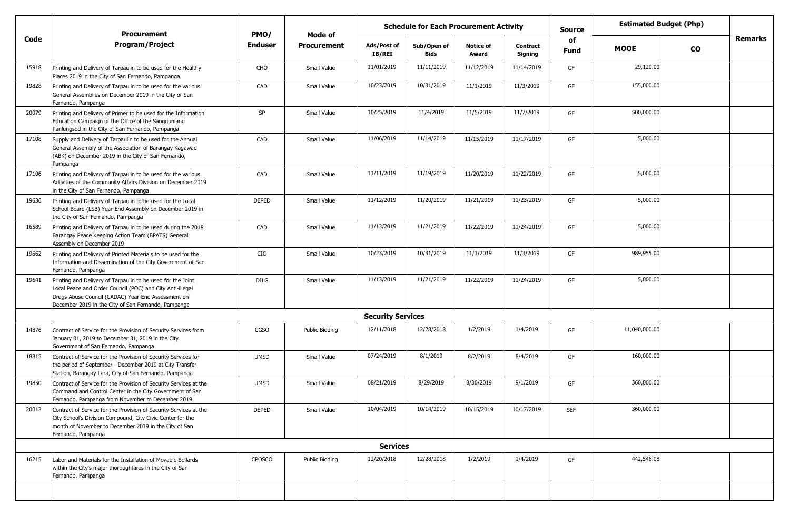|       | <b>Procurement</b>                                                                                                                                                                                                                    | PMO/           | <b>Estimated Budget (Php)</b><br><b>Schedule for Each Procurement Activity</b><br><b>Source</b><br>Mode of<br>of |                          |                     |                           |                            |             |               |           |         |
|-------|---------------------------------------------------------------------------------------------------------------------------------------------------------------------------------------------------------------------------------------|----------------|------------------------------------------------------------------------------------------------------------------|--------------------------|---------------------|---------------------------|----------------------------|-------------|---------------|-----------|---------|
| Code  | <b>Program/Project</b>                                                                                                                                                                                                                | <b>Enduser</b> | <b>Procurement</b>                                                                                               | Ads/Post of<br>IB/REI    | Sub/Open of<br>Bids | <b>Notice of</b><br>Award | <b>Contract</b><br>Signing | <b>Fund</b> | <b>MOOE</b>   | <b>CO</b> | Remarks |
| 15918 | Printing and Delivery of Tarpaulin to be used for the Healthy<br>Places 2019 in the City of San Fernando, Pampanga                                                                                                                    | CHO            | Small Value                                                                                                      | 11/01/2019               | 11/11/2019          | 11/12/2019                | 11/14/2019                 | GF          | 29,120.00     |           |         |
| 19828 | Printing and Delivery of Tarpaulin to be used for the various<br>General Assemblies on December 2019 in the City of San<br>Fernando, Pampanga                                                                                         | CAD            | Small Value                                                                                                      | 10/23/2019               | 10/31/2019          | 11/1/2019                 | 11/3/2019                  | GF          | 155,000.00    |           |         |
| 20079 | Printing and Delivery of Primer to be used for the Information<br>Education Campaign of the Office of the Sangguniang<br>Panlungsod in the City of San Fernando, Pampanga                                                             | SP             | Small Value                                                                                                      | 10/25/2019               | 11/4/2019           | 11/5/2019                 | 11/7/2019                  | GF          | 500,000.00    |           |         |
| 17108 | Supply and Delivery of Tarpaulin to be used for the Annual<br>General Assembly of the Association of Barangay Kagawad<br>(ABK) on December 2019 in the City of San Fernando,<br>Pampanga                                              | CAD            | Small Value                                                                                                      | 11/06/2019               | 11/14/2019          | 11/15/2019                | 11/17/2019                 | GF          | 5,000.00      |           |         |
| 17106 | Printing and Delivery of Tarpaulin to be used for the various<br>Activities of the Community Affairs Division on December 2019<br>in the City of San Fernando, Pampanga                                                               | CAD            | Small Value                                                                                                      | 11/11/2019               | 11/19/2019          | 11/20/2019                | 11/22/2019                 | GF          | 5,000.00      |           |         |
| 19636 | Printing and Delivery of Tarpaulin to be used for the Local<br>School Board (LSB) Year-End Assembly on December 2019 in<br>the City of San Fernando, Pampanga                                                                         | <b>DEPED</b>   | Small Value                                                                                                      | 11/12/2019               | 11/20/2019          | 11/21/2019                | 11/23/2019                 | GF          | 5,000.00      |           |         |
| 16589 | Printing and Delivery of Tarpaulin to be used during the 2018<br>Barangay Peace Keeping Action Team (BPATS) General<br>Assembly on December 2019                                                                                      | CAD            | Small Value                                                                                                      | 11/13/2019               | 11/21/2019          | 11/22/2019                | 11/24/2019                 | GF          | 5,000.00      |           |         |
| 19662 | Printing and Delivery of Printed Materials to be used for the<br>Information and Dissemination of the City Government of San<br>Fernando, Pampanga                                                                                    | CIO            | Small Value                                                                                                      | 10/23/2019               | 10/31/2019          | 11/1/2019                 | 11/3/2019                  | GF          | 989,955.00    |           |         |
| 19641 | Printing and Delivery of Tarpaulin to be used for the Joint<br>Local Peace and Order Council (POC) and City Anti-illegal<br>Drugs Abuse Council (CADAC) Year-End Assessment on<br>December 2019 in the City of San Fernando, Pampanga | DILG           | Small Value                                                                                                      | 11/13/2019               | 11/21/2019          | 11/22/2019                | 11/24/2019                 | GF          | 5,000.00      |           |         |
|       |                                                                                                                                                                                                                                       |                |                                                                                                                  | <b>Security Services</b> |                     |                           |                            |             |               |           |         |
| 14876 | Contract of Service for the Provision of Security Services from<br>January 01, 2019 to December 31, 2019 in the City<br>Government of San Fernando, Pampanga                                                                          | CGSO           | Public Bidding                                                                                                   | 12/11/2018               | 12/28/2018          | 1/2/2019                  | 1/4/2019                   | GF          | 11,040,000.00 |           |         |
| 18815 | Contract of Service for the Provision of Security Services for<br>the period of September - December 2019 at City Transfer<br>Station, Barangay Lara, City of San Fernando, Pampanga                                                  | <b>UMSD</b>    | Small Value                                                                                                      | 07/24/2019               | 8/1/2019            | 8/2/2019                  | 8/4/2019                   | GF          | 160,000.00    |           |         |
| 19850 | Contract of Service for the Provision of Security Services at the<br>Command and Control Center in the City Government of San<br>Fernando, Pampanga from November to December 2019                                                    | <b>UMSD</b>    | Small Value                                                                                                      | 08/21/2019               | 8/29/2019           | 8/30/2019                 | 9/1/2019                   | GF          | 360,000.00    |           |         |
| 20012 | Contract of Service for the Provision of Security Services at the<br>City School's Division Compound, City Civic Center for the<br>month of November to December 2019 in the City of San<br>Fernando, Pampanga                        | <b>DEPED</b>   | Small Value                                                                                                      | 10/04/2019               | 10/14/2019          | 10/15/2019                | 10/17/2019                 | <b>SEF</b>  | 360,000.00    |           |         |
|       |                                                                                                                                                                                                                                       |                |                                                                                                                  | <b>Services</b>          |                     |                           |                            |             |               |           |         |
| 16215 | Labor and Materials for the Installation of Movable Bollards<br>within the City's major thoroughfares in the City of San<br>Fernando, Pampanga                                                                                        | CPOSCO         | Public Bidding                                                                                                   | 12/20/2018               | 12/28/2018          | 1/2/2019                  | 1/4/2019                   | GF          | 442,546.08    |           |         |
|       |                                                                                                                                                                                                                                       |                |                                                                                                                  |                          |                     |                           |                            |             |               |           |         |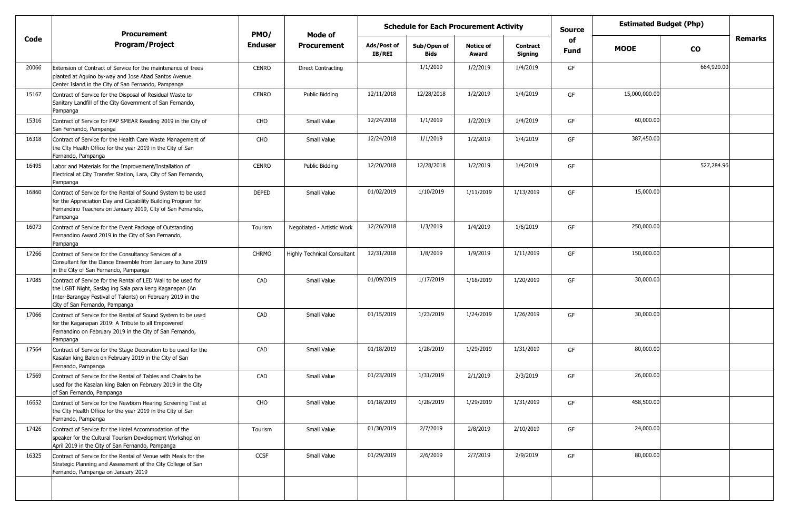|       | <b>Procurement</b>                                                                                                                                                                                                        | PMO/         |                                    | <b>Estimated Budget (Php)</b><br><b>Schedule for Each Procurement Activity</b><br><b>Source</b><br>Mode of<br>of |                            |                           |                            |             |               |               |                |
|-------|---------------------------------------------------------------------------------------------------------------------------------------------------------------------------------------------------------------------------|--------------|------------------------------------|------------------------------------------------------------------------------------------------------------------|----------------------------|---------------------------|----------------------------|-------------|---------------|---------------|----------------|
| Code  | <b>Program/Project</b>                                                                                                                                                                                                    | Enduser      | <b>Procurement</b>                 | Ads/Post of<br>IB/REI                                                                                            | Sub/Open of<br><b>Bids</b> | <b>Notice of</b><br>Award | <b>Contract</b><br>Signing | <b>Fund</b> | <b>MOOE</b>   | $\mathbf{co}$ | <b>Remarks</b> |
| 20066 | Extension of Contract of Service for the maintenance of trees<br>planted at Aquino by-way and Jose Abad Santos Avenue<br>Center Island in the City of San Fernando, Pampanga                                              | <b>CENRO</b> | <b>Direct Contracting</b>          |                                                                                                                  | 1/1/2019                   | 1/2/2019                  | 1/4/2019                   | GF          |               | 664,920.00    |                |
| 15167 | Contract of Service for the Disposal of Residual Waste to<br>Sanitary Landfill of the City Government of San Fernando,<br>Pampanga                                                                                        | <b>CENRO</b> | Public Bidding                     | 12/11/2018                                                                                                       | 12/28/2018                 | 1/2/2019                  | 1/4/2019                   | GF          | 15,000,000.00 |               |                |
| 15316 | Contract of Service for PAP SMEAR Reading 2019 in the City of<br>San Fernando, Pampanga                                                                                                                                   | CHO          | Small Value                        | 12/24/2018                                                                                                       | 1/1/2019                   | 1/2/2019                  | 1/4/2019                   | GF          | 60,000.00     |               |                |
| 16318 | Contract of Service for the Health Care Waste Management of<br>the City Health Office for the year 2019 in the City of San<br>Fernando, Pampanga                                                                          | CHO          | Small Value                        | 12/24/2018                                                                                                       | 1/1/2019                   | 1/2/2019                  | 1/4/2019                   | GF          | 387,450.00    |               |                |
| 16495 | Labor and Materials for the Improvement/Installation of<br>Electrical at City Transfer Station, Lara, City of San Fernando,<br>Pampanga                                                                                   | <b>CENRO</b> | Public Bidding                     | 12/20/2018                                                                                                       | 12/28/2018                 | 1/2/2019                  | 1/4/2019                   | GF          |               | 527,284.96    |                |
| 16860 | Contract of Service for the Rental of Sound System to be used<br>for the Appreciation Day and Capability Building Program for<br>Fernandino Teachers on January 2019, City of San Fernando,<br>Pampanga                   | <b>DEPED</b> | Small Value                        | 01/02/2019                                                                                                       | 1/10/2019                  | 1/11/2019                 | 1/13/2019                  | GF          | 15,000.00     |               |                |
| 16073 | Contract of Service for the Event Package of Outstanding<br>Fernandino Award 2019 in the City of San Fernando,<br>Pampanga                                                                                                | Tourism      | Negotiated - Artistic Work         | 12/26/2018                                                                                                       | 1/3/2019                   | 1/4/2019                  | 1/6/2019                   | GF          | 250,000.00    |               |                |
| 17266 | Contract of Service for the Consultancy Services of a<br>Consultant for the Dance Ensemble from January to June 2019<br>in the City of San Fernando, Pampanga                                                             | <b>CHRMO</b> | <b>Highly Technical Consultant</b> | 12/31/2018                                                                                                       | 1/8/2019                   | 1/9/2019                  | 1/11/2019                  | GF          | 150,000.00    |               |                |
| 17085 | Contract of Service for the Rental of LED Wall to be used for<br>the LGBT Night, Saslag ing Sala para keng Kaganapan (An<br>Inter-Barangay Festival of Talents) on February 2019 in the<br>City of San Fernando, Pampanga | CAD          | Small Value                        | 01/09/2019                                                                                                       | 1/17/2019                  | 1/18/2019                 | 1/20/2019                  | GF          | 30,000.00     |               |                |
| 17066 | Contract of Service for the Rental of Sound System to be used<br>for the Kaganapan 2019: A Tribute to all Empowered<br>Fernandino on February 2019 in the City of San Fernando,<br>Pampanga                               | CAD          | Small Value                        | 01/15/2019                                                                                                       | 1/23/2019                  | 1/24/2019                 | 1/26/2019                  | GF          | 30,000.00     |               |                |
| 17564 | Contract of Service for the Stage Decoration to be used for the<br>Kasalan king Balen on February 2019 in the City of San<br>Fernando, Pampanga                                                                           | CAD          | Small Value                        | 01/18/2019                                                                                                       | 1/28/2019                  | 1/29/2019                 | 1/31/2019                  | GF          | 80,000.00     |               |                |
| 17569 | Contract of Service for the Rental of Tables and Chairs to be<br>used for the Kasalan king Balen on February 2019 in the City<br>of San Fernando, Pampanga                                                                | CAD          | Small Value                        | 01/23/2019                                                                                                       | 1/31/2019                  | 2/1/2019                  | 2/3/2019                   | GF          | 26,000.00     |               |                |
| 16652 | Contract of Service for the Newborn Hearing Screening Test at<br>the City Health Office for the year 2019 in the City of San<br>Fernando, Pampanga                                                                        | CHO          | Small Value                        | 01/18/2019                                                                                                       | 1/28/2019                  | 1/29/2019                 | 1/31/2019                  | GF          | 458,500.00    |               |                |
| 17426 | Contract of Service for the Hotel Accommodation of the<br>speaker for the Cultural Tourism Development Workshop on<br>April 2019 in the City of San Fernando, Pampanga                                                    | Tourism      | Small Value                        | 01/30/2019                                                                                                       | 2/7/2019                   | 2/8/2019                  | 2/10/2019                  | GF          | 24,000.00     |               |                |
| 16325 | Contract of Service for the Rental of Venue with Meals for the<br>Strategic Planning and Assessment of the City College of San<br>Fernando, Pampanga on January 2019                                                      | CCSF         | Small Value                        | 01/29/2019                                                                                                       | 2/6/2019                   | 2/7/2019                  | 2/9/2019                   | GF          | 80,000.00     |               |                |
|       |                                                                                                                                                                                                                           |              |                                    |                                                                                                                  |                            |                           |                            |             |               |               |                |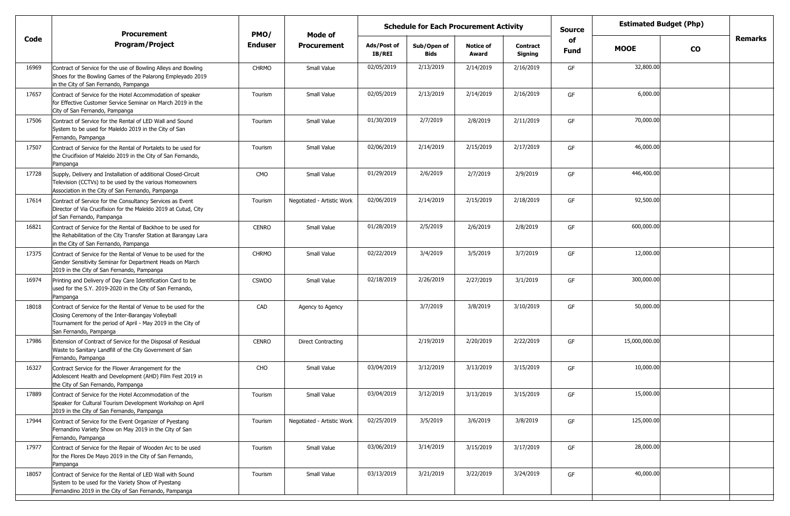|       | <b>Procurement</b>                                                                                                                                                                                            | PMO/           | <b>Mode of</b>             |                       |                            | <b>Estimated Budget (Php)</b><br><b>Schedule for Each Procurement Activity</b><br><b>Source</b><br>of |                            |      |               |           |                |
|-------|---------------------------------------------------------------------------------------------------------------------------------------------------------------------------------------------------------------|----------------|----------------------------|-----------------------|----------------------------|-------------------------------------------------------------------------------------------------------|----------------------------|------|---------------|-----------|----------------|
| Code  | <b>Program/Project</b>                                                                                                                                                                                        | <b>Enduser</b> | <b>Procurement</b>         | Ads/Post of<br>IB/REI | Sub/Open of<br><b>Bids</b> | <b>Notice of</b><br>Award                                                                             | <b>Contract</b><br>Signing | Fund | <b>MOOE</b>   | <b>CO</b> | <b>Remarks</b> |
| 16969 | Contract of Service for the use of Bowling Alleys and Bowling<br>Shoes for the Bowling Games of the Palarong Empleyado 2019<br>in the City of San Fernando, Pampanga                                          | <b>CHRMO</b>   | Small Value                | 02/05/2019            | 2/13/2019                  | 2/14/2019                                                                                             | 2/16/2019                  | GF   | 32,800.00     |           |                |
| 17657 | Contract of Service for the Hotel Accommodation of speaker<br>for Effective Customer Service Seminar on March 2019 in the<br>City of San Fernando, Pampanga                                                   | Tourism        | Small Value                | 02/05/2019            | 2/13/2019                  | 2/14/2019                                                                                             | 2/16/2019                  | GF   | 6,000.00      |           |                |
| 17506 | Contract of Service for the Rental of LED Wall and Sound<br>System to be used for Maleldo 2019 in the City of San<br>Fernando, Pampanga                                                                       | Tourism        | Small Value                | 01/30/2019            | 2/7/2019                   | 2/8/2019                                                                                              | 2/11/2019                  | GF   | 70,000.00     |           |                |
| 17507 | Contract of Service for the Rental of Portalets to be used for<br>the Crucifixion of Maleldo 2019 in the City of San Fernando,<br>Pampanga                                                                    | Tourism        | Small Value                | 02/06/2019            | 2/14/2019                  | 2/15/2019                                                                                             | 2/17/2019                  | GF   | 46,000.00     |           |                |
| 17728 | Supply, Delivery and Installation of additional Closed-Circuit<br>Television (CCTVs) to be used by the various Homeowners<br>Association in the City of San Fernando, Pampanga                                | <b>CMO</b>     | Small Value                | 01/29/2019            | 2/6/2019                   | 2/7/2019                                                                                              | 2/9/2019                   | GF   | 446,400.00    |           |                |
| 17614 | Contract of Service for the Consultancy Services as Event<br>Director of Via Crucifixion for the Maleldo 2019 at Cutud, City<br>of San Fernando, Pampanga                                                     | Tourism        | Negotiated - Artistic Work | 02/06/2019            | 2/14/2019                  | 2/15/2019                                                                                             | 2/18/2019                  | GF   | 92,500.00     |           |                |
| 16821 | Contract of Service for the Rental of Backhoe to be used for<br>the Rehabilitation of the City Transfer Station at Barangay Lara<br>in the City of San Fernando, Pampanga                                     | <b>CENRO</b>   | Small Value                | 01/28/2019            | 2/5/2019                   | 2/6/2019                                                                                              | 2/8/2019                   | GF   | 600,000.00    |           |                |
| 17375 | Contract of Service for the Rental of Venue to be used for the<br>Gender Sensitivity Seminar for Department Heads on March<br>2019 in the City of San Fernando, Pampanga                                      | <b>CHRMO</b>   | Small Value                | 02/22/2019            | 3/4/2019                   | 3/5/2019                                                                                              | 3/7/2019                   | GF   | 12,000.00     |           |                |
| 16974 | Printing and Delivery of Day Care Identification Card to be<br>used for the S.Y. 2019-2020 in the City of San Fernando,<br>Pampanga                                                                           | <b>CSWDO</b>   | Small Value                | 02/18/2019            | 2/26/2019                  | 2/27/2019                                                                                             | 3/1/2019                   | GF   | 300,000.00    |           |                |
| 18018 | Contract of Service for the Rental of Venue to be used for the<br>Closing Ceremony of the Inter-Barangay Volleyball<br>Tournament for the period of April - May 2019 in the City of<br>San Fernando, Pampanga | CAD            | Agency to Agency           |                       | 3/7/2019                   | 3/8/2019                                                                                              | 3/10/2019                  | GF   | 50,000.00     |           |                |
| 17986 | Extension of Contract of Service for the Disposal of Residual<br>Waste to Sanitary Landfill of the City Government of San<br>Fernando, Pampanga                                                               | <b>CENRO</b>   | <b>Direct Contracting</b>  |                       | 2/19/2019                  | 2/20/2019                                                                                             | 2/22/2019                  | GF   | 15,000,000.00 |           |                |
| 16327 | Contract Service for the Flower Arrangement for the<br>Adolescent Health and Development (AHD) Film Fest 2019 in<br>the City of San Fernando, Pampanga                                                        | CHO            | Small Value                | 03/04/2019            | 3/12/2019                  | 3/13/2019                                                                                             | 3/15/2019                  | GF   | 10,000.00     |           |                |
| 17889 | Contract of Service for the Hotel Accommodation of the<br>Speaker for Cultural Tourism Development Workshop on April<br>2019 in the City of San Fernando, Pampanga                                            | Tourism        | Small Value                | 03/04/2019            | 3/12/2019                  | 3/13/2019                                                                                             | 3/15/2019                  | GF   | 15,000.00     |           |                |
| 17944 | Contract of Service for the Event Organizer of Pyestang<br>Fernandino Variety Show on May 2019 in the City of San<br>Fernando, Pampanga                                                                       | Tourism        | Negotiated - Artistic Work | 02/25/2019            | 3/5/2019                   | 3/6/2019                                                                                              | 3/8/2019                   | GF   | 125,000.00    |           |                |
| 17977 | Contract of Service for the Repair of Wooden Arc to be used<br>for the Flores De Mayo 2019 in the City of San Fernando,<br>Pampanga                                                                           | Tourism        | Small Value                | 03/06/2019            | 3/14/2019                  | 3/15/2019                                                                                             | 3/17/2019                  | GF   | 28,000.00     |           |                |
| 18057 | Contract of Service for the Rental of LED Wall with Sound<br>System to be used for the Variety Show of Pyestang<br>Fernandino 2019 in the City of San Fernando, Pampanga                                      | Tourism        | Small Value                | 03/13/2019            | 3/21/2019                  | 3/22/2019                                                                                             | 3/24/2019                  | GF   | 40,000.00     |           |                |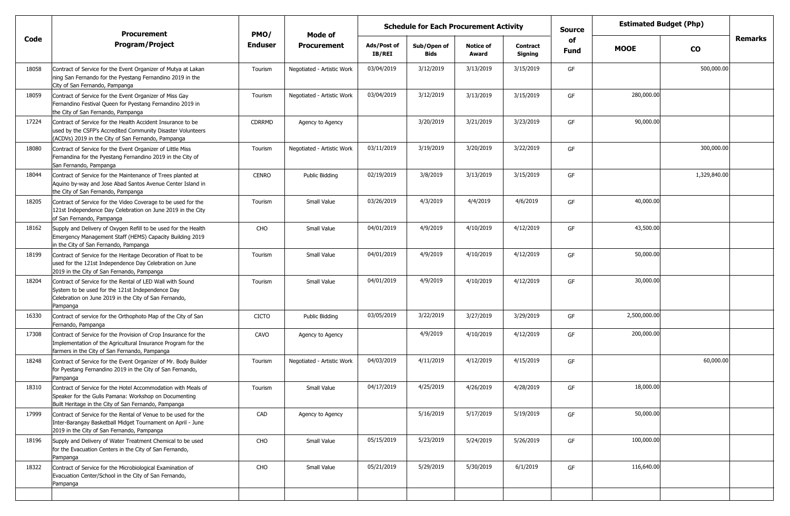|       | <b>Procurement</b>                                                                                                                                                                 | PMO/           | Mode of                    |                              | <b>Estimated Budget (Php)</b><br><b>Schedule for Each Procurement Activity</b><br><b>Source</b><br>of<br>Sub/Open of<br><b>Notice of</b><br><b>Contract</b> |           |           |             |              |              |                |
|-------|------------------------------------------------------------------------------------------------------------------------------------------------------------------------------------|----------------|----------------------------|------------------------------|-------------------------------------------------------------------------------------------------------------------------------------------------------------|-----------|-----------|-------------|--------------|--------------|----------------|
| Code  | <b>Program/Project</b>                                                                                                                                                             | <b>Enduser</b> | <b>Procurement</b>         | Ads/Post of<br><b>IB/REI</b> | Bids                                                                                                                                                        | Award     | Signing   | <b>Fund</b> | <b>MOOE</b>  | <b>CO</b>    | <b>Remarks</b> |
| 18058 | Contract of Service for the Event Organizer of Mutya at Lakan<br>ning San Fernando for the Pyestang Fernandino 2019 in the<br>City of San Fernando, Pampanga                       | Tourism        | Negotiated - Artistic Work | 03/04/2019                   | 3/12/2019                                                                                                                                                   | 3/13/2019 | 3/15/2019 | GF          |              | 500,000.00   |                |
| 18059 | Contract of Service for the Event Organizer of Miss Gay<br>Fernandino Festival Queen for Pyestang Fernandino 2019 in<br>the City of San Fernando, Pampanga                         | Tourism        | Negotiated - Artistic Work | 03/04/2019                   | 3/12/2019                                                                                                                                                   | 3/13/2019 | 3/15/2019 | GF          | 280,000.00   |              |                |
| 17224 | Contract of Service for the Health Accident Insurance to be<br>used by the CSFP's Accredited Community Disaster Volunteers<br>(ACDVs) 2019 in the City of San Fernando, Pampanga   | <b>CDRRMD</b>  | Agency to Agency           |                              | 3/20/2019                                                                                                                                                   | 3/21/2019 | 3/23/2019 | GF          | 90,000.00    |              |                |
| 18080 | Contract of Service for the Event Organizer of Little Miss<br>Fernandina for the Pyestang Fernandino 2019 in the City of<br>San Fernando, Pampanga                                 | Tourism        | Negotiated - Artistic Work | 03/11/2019                   | 3/19/2019                                                                                                                                                   | 3/20/2019 | 3/22/2019 | GF          |              | 300,000.00   |                |
| 18044 | Contract of Service for the Maintenance of Trees planted at<br>Aquino by-way and Jose Abad Santos Avenue Center Island in<br>the City of San Fernando, Pampanga                    | <b>CENRO</b>   | Public Bidding             | 02/19/2019                   | 3/8/2019                                                                                                                                                    | 3/13/2019 | 3/15/2019 | GF          |              | 1,329,840.00 |                |
| 18205 | Contract of Service for the Video Coverage to be used for the<br>121st Independence Day Celebration on June 2019 in the City<br>of San Fernando, Pampanga                          | Tourism        | Small Value                | 03/26/2019                   | 4/3/2019                                                                                                                                                    | 4/4/2019  | 4/6/2019  | GF          | 40,000.00    |              |                |
| 18162 | Supply and Delivery of Oxygen Refill to be used for the Health<br>Emergency Management Staff (HEMS) Capacity Building 2019<br>in the City of San Fernando, Pampanga                | CHO            | Small Value                | 04/01/2019                   | 4/9/2019                                                                                                                                                    | 4/10/2019 | 4/12/2019 | GF          | 43,500.00    |              |                |
| 18199 | Contract of Service for the Heritage Decoration of Float to be<br>used for the 121st Independence Day Celebration on June<br>2019 in the City of San Fernando, Pampanga            | Tourism        | Small Value                | 04/01/2019                   | 4/9/2019                                                                                                                                                    | 4/10/2019 | 4/12/2019 | GF          | 50,000.00    |              |                |
| 18204 | Contract of Service for the Rental of LED Wall with Sound<br>System to be used for the 121st Independence Day<br>Celebration on June 2019 in the City of San Fernando,<br>Pampanga | Tourism        | Small Value                | 04/01/2019                   | 4/9/2019                                                                                                                                                    | 4/10/2019 | 4/12/2019 | GF          | 30,000.00    |              |                |
| 16330 | Contract of service for the Orthophoto Map of the City of San<br>Fernando, Pampanga                                                                                                | <b>CICTO</b>   | Public Bidding             | 03/05/2019                   | 3/22/2019                                                                                                                                                   | 3/27/2019 | 3/29/2019 | GF          | 2,500,000.00 |              |                |
| 17308 | Contract of Service for the Provision of Crop Insurance for the<br>Implementation of the Agricultural Insurance Program for the<br>farmers in the City of San Fernando, Pampanga   | CAVO           | Agency to Agency           |                              | 4/9/2019                                                                                                                                                    | 4/10/2019 | 4/12/2019 | GF          | 200,000.00   |              |                |
| 18248 | Contract of Service for the Event Organizer of Mr. Body Builder<br>for Pyestang Fernandino 2019 in the City of San Fernando,<br>Pampanga                                           | Tourism        | Negotiated - Artistic Work | 04/03/2019                   | 4/11/2019                                                                                                                                                   | 4/12/2019 | 4/15/2019 | GF          |              | 60,000.00    |                |
| 18310 | Contract of Service for the Hotel Accommodation with Meals of<br>Speaker for the Gulis Pamana: Workshop on Documenting<br>Built Heritage in the City of San Fernando, Pampanga     | Tourism        | Small Value                | 04/17/2019                   | 4/25/2019                                                                                                                                                   | 4/26/2019 | 4/28/2019 | GF          | 18,000.00    |              |                |
| 17999 | Contract of Service for the Rental of Venue to be used for the<br>Inter-Barangay Basketball Midget Tournament on April - June<br>2019 in the City of San Fernando, Pampanga        | CAD            | Agency to Agency           |                              | 5/16/2019                                                                                                                                                   | 5/17/2019 | 5/19/2019 | GF          | 50,000.00    |              |                |
| 18196 | Supply and Delivery of Water Treatment Chemical to be used<br>for the Evacuation Centers in the City of San Fernando,<br>Pampanga                                                  | CHO            | Small Value                | 05/15/2019                   | 5/23/2019                                                                                                                                                   | 5/24/2019 | 5/26/2019 | GF          | 100,000.00   |              |                |
| 18322 | Contract of Service for the Microbiological Examination of<br>Evacuation Center/School in the City of San Fernando,<br>Pampanga                                                    | CHO            | Small Value                | 05/21/2019                   | 5/29/2019                                                                                                                                                   | 5/30/2019 | 6/1/2019  | GF          | 116,640.00   |              |                |
|       |                                                                                                                                                                                    |                |                            |                              |                                                                                                                                                             |           |           |             |              |              |                |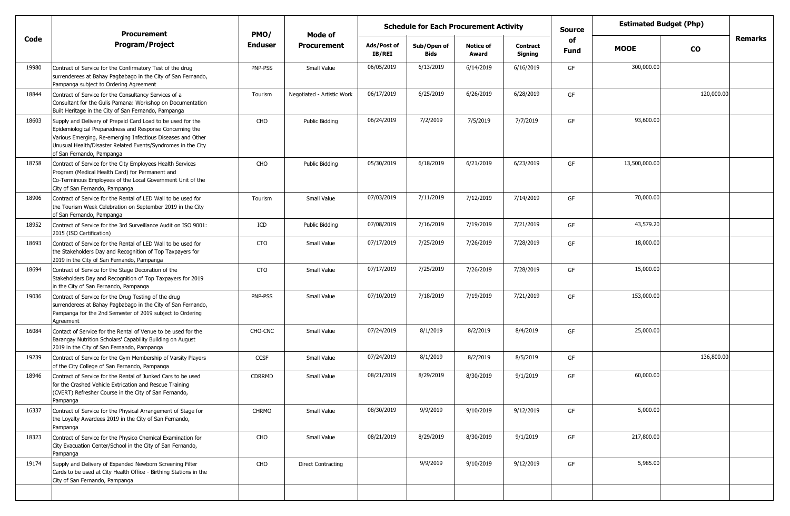|       | <b>Procurement</b>                                                                                                                                                                                                                                                                  | PMO/           | Mode of                    | <b>Schedule for Each Procurement Activity</b> |                     |                           |                            | <b>Source</b> | <b>Estimated Budget (Php)</b> |            |         |
|-------|-------------------------------------------------------------------------------------------------------------------------------------------------------------------------------------------------------------------------------------------------------------------------------------|----------------|----------------------------|-----------------------------------------------|---------------------|---------------------------|----------------------------|---------------|-------------------------------|------------|---------|
| Code  | <b>Program/Project</b>                                                                                                                                                                                                                                                              | <b>Enduser</b> | <b>Procurement</b>         | Ads/Post of<br><b>IB/REI</b>                  | Sub/Open of<br>Bids | <b>Notice of</b><br>Award | <b>Contract</b><br>Signing | of<br>Fund    | <b>MOOE</b>                   | <b>CO</b>  | Remarks |
| 19980 | Contract of Service for the Confirmatory Test of the drug<br>surrenderees at Bahay Pagbabago in the City of San Fernando,<br>Pampanga subject to Ordering Agreement                                                                                                                 | PNP-PSS        | Small Value                | 06/05/2019                                    | 6/13/2019           | 6/14/2019                 | 6/16/2019                  | GF            | 300,000.00                    |            |         |
| 18844 | Contract of Service for the Consultancy Services of a<br>Consultant for the Gulis Pamana: Workshop on Documentation<br>Built Heritage in the City of San Fernando, Pampanga                                                                                                         | Tourism        | Negotiated - Artistic Work | 06/17/2019                                    | 6/25/2019           | 6/26/2019                 | 6/28/2019                  | GF            |                               | 120,000.00 |         |
| 18603 | Supply and Delivery of Prepaid Card Load to be used for the<br>Epidemiological Preparedness and Response Concerning the<br>Various Emerging, Re-emerging Infectious Diseases and Other<br>Unusual Health/Disaster Related Events/Syndromes in the City<br>of San Fernando, Pampanga | CHO            | Public Bidding             | 06/24/2019                                    | 7/2/2019            | 7/5/2019                  | 7/7/2019                   | GF            | 93,600.00                     |            |         |
| 18758 | Contract of Service for the City Employees Health Services<br>Program (Medical Health Card) for Permanent and<br>Co-Terminous Employees of the Local Government Unit of the<br>City of San Fernando, Pampanga                                                                       | CHO            | Public Bidding             | 05/30/2019                                    | 6/18/2019           | 6/21/2019                 | 6/23/2019                  | GF            | 13,500,000.00                 |            |         |
| 18906 | Contract of Service for the Rental of LED Wall to be used for<br>the Tourism Week Celebration on September 2019 in the City<br>of San Fernando, Pampanga                                                                                                                            | Tourism        | Small Value                | 07/03/2019                                    | 7/11/2019           | 7/12/2019                 | 7/14/2019                  | GF            | 70,000.00                     |            |         |
| 18952 | Contract of Service for the 3rd Surveillance Audit on ISO 9001:<br>2015 (ISO Certification)                                                                                                                                                                                         | ICD            | Public Bidding             | 07/08/2019                                    | 7/16/2019           | 7/19/2019                 | 7/21/2019                  | GF            | 43,579.20                     |            |         |
| 18693 | Contract of Service for the Rental of LED Wall to be used for<br>the Stakeholders Day and Recognition of Top Taxpayers for<br>2019 in the City of San Fernando, Pampanga                                                                                                            | <b>CTO</b>     | Small Value                | 07/17/2019                                    | 7/25/2019           | 7/26/2019                 | 7/28/2019                  | GF            | 18,000.00                     |            |         |
| 18694 | Contract of Service for the Stage Decoration of the<br>Stakeholders Day and Recognition of Top Taxpayers for 2019<br>in the City of San Fernando, Pampanga                                                                                                                          | CTO            | Small Value                | 07/17/2019                                    | 7/25/2019           | 7/26/2019                 | 7/28/2019                  | GF            | 15,000.00                     |            |         |
| 19036 | Contract of Service for the Drug Testing of the drug<br>surrenderees at Bahay Pagbabago in the City of San Fernando,<br>Pampanga for the 2nd Semester of 2019 subject to Ordering<br>Agreement                                                                                      | PNP-PSS        | Small Value                | 07/10/2019                                    | 7/18/2019           | 7/19/2019                 | 7/21/2019                  | GF            | 153,000.00                    |            |         |
| 16084 | Contact of Service for the Rental of Venue to be used for the<br>Barangay Nutrition Scholars' Capability Building on August<br>2019 in the City of San Fernando, Pampanga                                                                                                           | CHO-CNC        | Small Value                | 07/24/2019                                    | 8/1/2019            | 8/2/2019                  | 8/4/2019                   | GF            | 25,000.00                     |            |         |
| 19239 | Contract of Service for the Gym Membership of Varsity Players<br>of the City College of San Fernando, Pampanga                                                                                                                                                                      | <b>CCSF</b>    | Small Value                | 07/24/2019                                    | 8/1/2019            | 8/2/2019                  | 8/5/2019                   | GF            |                               | 136,800.00 |         |
| 18946 | Contract of Service for the Rental of Junked Cars to be used<br>for the Crashed Vehicle Extrication and Rescue Training<br>(CVERT) Refresher Course in the City of San Fernando,<br>Pampanga                                                                                        | <b>CDRRMD</b>  | Small Value                | 08/21/2019                                    | 8/29/2019           | 8/30/2019                 | 9/1/2019                   | GF            | 60,000.00                     |            |         |
| 16337 | Contract of Service for the Physical Arrangement of Stage for<br>the Loyalty Awardees 2019 in the City of San Fernando,<br>Pampanga                                                                                                                                                 | <b>CHRMO</b>   | Small Value                | 08/30/2019                                    | 9/9/2019            | 9/10/2019                 | 9/12/2019                  | GF            | 5,000.00                      |            |         |
| 18323 | Contract of Service for the Physico Chemical Examination for<br>City Evacuation Center/School in the City of San Fernando,<br>Pampanga                                                                                                                                              | CHO            | Small Value                | 08/21/2019                                    | 8/29/2019           | 8/30/2019                 | 9/1/2019                   | GF            | 217,800.00                    |            |         |
| 19174 | Supply and Delivery of Expanded Newborn Screening Filter<br>Cards to be used at City Health Office - Birthing Stations in the<br>City of San Fernando, Pampanga                                                                                                                     | CHO            | <b>Direct Contracting</b>  |                                               | 9/9/2019            | 9/10/2019                 | 9/12/2019                  | GF            | 5,985.00                      |            |         |
|       |                                                                                                                                                                                                                                                                                     |                |                            |                                               |                     |                           |                            |               |                               |            |         |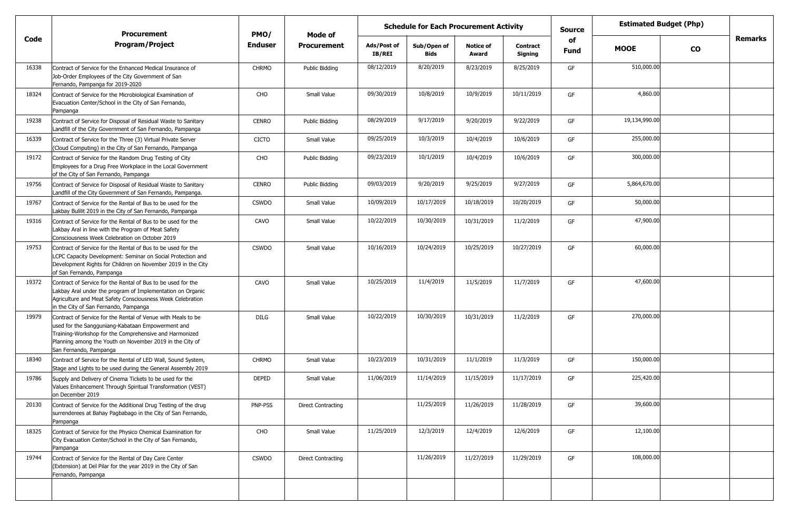|       | <b>Procurement</b>                                                                                                                                                                                                                                                | PMO/         |                           | <b>Schedule for Each Procurement Activity</b><br><b>Source</b><br>Mode of<br>of |                            |                           |                            | <b>Estimated Budget (Php)</b> |               |           |         |
|-------|-------------------------------------------------------------------------------------------------------------------------------------------------------------------------------------------------------------------------------------------------------------------|--------------|---------------------------|---------------------------------------------------------------------------------|----------------------------|---------------------------|----------------------------|-------------------------------|---------------|-----------|---------|
| Code  | <b>Program/Project</b>                                                                                                                                                                                                                                            | Enduser      | <b>Procurement</b>        | Ads/Post of<br>IB/REI                                                           | Sub/Open of<br><b>Bids</b> | <b>Notice of</b><br>Award | <b>Contract</b><br>Signing | Fund                          | <b>MOOE</b>   | <b>CO</b> | Remarks |
| 16338 | Contract of Service for the Enhanced Medical Insurance of<br>Job-Order Employees of the City Government of San<br>Fernando, Pampanga for 2019-2020                                                                                                                | <b>CHRMO</b> | Public Bidding            | 08/12/2019                                                                      | 8/20/2019                  | 8/23/2019                 | 8/25/2019                  | GF                            | 510,000.00    |           |         |
| 18324 | Contract of Service for the Microbiological Examination of<br>Evacuation Center/School in the City of San Fernando,<br>Pampanga                                                                                                                                   | CHO          | Small Value               | 09/30/2019                                                                      | 10/8/2019                  | 10/9/2019                 | 10/11/2019                 | GF                            | 4,860.00      |           |         |
| 19238 | Contract of Service for Disposal of Residual Waste to Sanitary<br>Landfill of the City Government of San Fernando, Pampanga                                                                                                                                       | <b>CENRO</b> | Public Bidding            | 08/29/2019                                                                      | 9/17/2019                  | 9/20/2019                 | 9/22/2019                  | GF                            | 19,134,990.00 |           |         |
| 16339 | Contract of Service for the Three (3) Virtual Private Server<br>Cloud Computing) in the City of San Fernando, Pampanga                                                                                                                                            | <b>CICTO</b> | Small Value               | 09/25/2019                                                                      | 10/3/2019                  | 10/4/2019                 | 10/6/2019                  | GF                            | 255,000.00    |           |         |
| 19172 | Contract of Service for the Random Drug Testing of City<br>Employees for a Drug Free Workplace in the Local Government<br>of the City of San Fernando, Pampanga                                                                                                   | CHO          | Public Bidding            | 09/23/2019                                                                      | 10/1/2019                  | 10/4/2019                 | 10/6/2019                  | GF                            | 300,000.00    |           |         |
| 19756 | Contract of Service for Disposal of Residual Waste to Sanitary<br>Landfill of the City Government of San Fernando, Pampanga.                                                                                                                                      | <b>CENRO</b> | Public Bidding            | 09/03/2019                                                                      | 9/20/2019                  | 9/25/2019                 | 9/27/2019                  | GF                            | 5,864,670.00  |           |         |
| 19767 | Contract of Service for the Rental of Bus to be used for the<br>Lakbay Bulilit 2019 in the City of San Fernando, Pampanga                                                                                                                                         | <b>CSWDO</b> | Small Value               | 10/09/2019                                                                      | 10/17/2019                 | 10/18/2019                | 10/20/2019                 | GF                            | 50,000.00     |           |         |
| 19316 | Contract of Service for the Rental of Bus to be used for the<br>Lakbay Aral in line with the Program of Meat Safety<br>Consciousness Week Celebration on October 2019                                                                                             | CAVO         | Small Value               | 10/22/2019                                                                      | 10/30/2019                 | 10/31/2019                | 11/2/2019                  | GF                            | 47,900.00     |           |         |
| 19753 | Contract of Service for the Rental of Bus to be used for the<br>LCPC Capacity Development: Seminar on Social Protection and<br>Development Rights for Children on November 2019 in the City<br>of San Fernando, Pampanga                                          | <b>CSWDO</b> | Small Value               | 10/16/2019                                                                      | 10/24/2019                 | 10/25/2019                | 10/27/2019                 | GF                            | 60,000.00     |           |         |
| 19372 | Contract of Service for the Rental of Bus to be used for the<br>Lakbay Aral under the program of Implementation on Organic<br>Agriculture and Meat Safety Consciousness Week Celebration<br>in the City of San Fernando, Pampanga                                 | CAVO         | Small Value               | 10/25/2019                                                                      | 11/4/2019                  | 11/5/2019                 | 11/7/2019                  | GF                            | 47,600.00     |           |         |
| 19979 | Contract of Service for the Rental of Venue with Meals to be<br>used for the Sangguniang-Kabataan Empowerment and<br>Training-Workshop for the Comprehensive and Harmonized<br>Planning among the Youth on November 2019 in the City of<br>San Fernando, Pampanga | <b>DILG</b>  | Small Value               | 10/22/2019                                                                      | 10/30/2019                 | 10/31/2019                | 11/2/2019                  | GF                            | 270,000.00    |           |         |
| 18340 | Contract of Service for the Rental of LED Wall, Sound System,<br>Stage and Lights to be used during the General Assembly 2019                                                                                                                                     | <b>CHRMO</b> | Small Value               | 10/23/2019                                                                      | 10/31/2019                 | 11/1/2019                 | 11/3/2019                  | GF                            | 150,000.00    |           |         |
| 19786 | Supply and Delivery of Cinema Tickets to be used for the<br>Values Enhancement Through Spiritual Transformation (VEST)<br>on December 2019                                                                                                                        | <b>DEPED</b> | Small Value               | 11/06/2019                                                                      | 11/14/2019                 | 11/15/2019                | 11/17/2019                 | GF                            | 225,420.00    |           |         |
| 20130 | Contract of Service for the Additional Drug Testing of the drug<br>surrenderees at Bahay Pagbabago in the City of San Fernando,<br>Pampanga                                                                                                                       | PNP-PSS      | <b>Direct Contracting</b> |                                                                                 | 11/25/2019                 | 11/26/2019                | 11/28/2019                 | GF                            | 39,600.00     |           |         |
| 18325 | Contract of Service for the Physico Chemical Examination for<br>City Evacuation Center/School in the City of San Fernando,<br>Pampanga                                                                                                                            | CHO          | Small Value               | 11/25/2019                                                                      | 12/3/2019                  | 12/4/2019                 | 12/6/2019                  | GF                            | 12,100.00     |           |         |
| 19744 | Contract of Service for the Rental of Day Care Center<br>(Extension) at Del Pilar for the year 2019 in the City of San<br>Fernando, Pampanga                                                                                                                      | <b>CSWDO</b> | <b>Direct Contracting</b> |                                                                                 | 11/26/2019                 | 11/27/2019                | 11/29/2019                 | GF                            | 108,000.00    |           |         |
|       |                                                                                                                                                                                                                                                                   |              |                           |                                                                                 |                            |                           |                            |                               |               |           |         |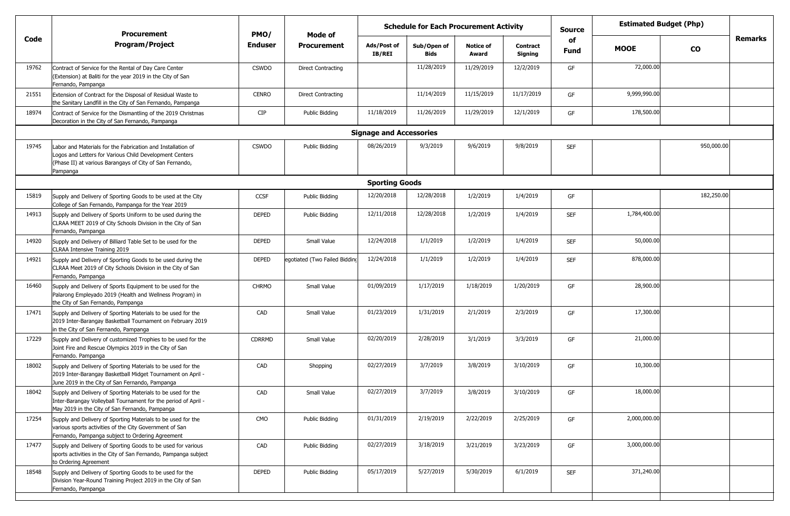|       | <b>Procurement</b>                                                                                                                                                                             | PMO/           | Mode of                       |                                | <b>Schedule for Each Procurement Activity</b> |                           |                            | <b>Source</b>     | <b>Estimated Budget (Php)</b> |            |         |
|-------|------------------------------------------------------------------------------------------------------------------------------------------------------------------------------------------------|----------------|-------------------------------|--------------------------------|-----------------------------------------------|---------------------------|----------------------------|-------------------|-------------------------------|------------|---------|
| Code  | Program/Project                                                                                                                                                                                | <b>Enduser</b> | <b>Procurement</b>            | Ads/Post of<br><b>IB/REI</b>   | Sub/Open of<br><b>Bids</b>                    | <b>Notice of</b><br>Award | <b>Contract</b><br>Signing | of<br><b>Fund</b> | <b>MOOE</b>                   | <b>CO</b>  | Remarks |
| 19762 | Contract of Service for the Rental of Day Care Center<br>(Extension) at Baliti for the year 2019 in the City of San<br>Fernando, Pampanga                                                      | <b>CSWDO</b>   | Direct Contracting            |                                | 11/28/2019                                    | 11/29/2019                | 12/2/2019                  | GF                | 72,000.00                     |            |         |
| 21551 | Extension of Contract for the Disposal of Residual Waste to<br>the Sanitary Landfill in the City of San Fernando, Pampanga                                                                     | <b>CENRO</b>   | Direct Contracting            |                                | 11/14/2019                                    | 11/15/2019                | 11/17/2019                 | GF                | 9,999,990.00                  |            |         |
| 18974 | Contract of Service for the Dismantling of the 2019 Christmas<br>Decoration in the City of San Fernando, Pampanga                                                                              | <b>CIP</b>     | Public Bidding                | 11/18/2019                     | 11/26/2019                                    | 11/29/2019                | 12/1/2019                  | GF                | 178,500.00                    |            |         |
|       |                                                                                                                                                                                                |                |                               | <b>Signage and Accessories</b> |                                               |                           |                            |                   |                               |            |         |
| 19745 | Labor and Materials for the Fabrication and Installation of<br>Logos and Letters for Various Child Development Centers<br>(Phase II) at various Barangays of City of San Fernando,<br>Pampanga | <b>CSWDO</b>   | Public Bidding                | 08/26/2019                     | 9/3/2019                                      | 9/6/2019                  | 9/8/2019                   | <b>SEF</b>        |                               | 950,000.00 |         |
|       |                                                                                                                                                                                                |                |                               | <b>Sporting Goods</b>          |                                               |                           |                            |                   |                               |            |         |
| 15819 | Supply and Delivery of Sporting Goods to be used at the City<br>College of San Fernando, Pampanga for the Year 2019                                                                            | <b>CCSF</b>    | Public Bidding                | 12/20/2018                     | 12/28/2018                                    | 1/2/2019                  | 1/4/2019                   | GF                |                               | 182,250.00 |         |
| 14913 | Supply and Delivery of Sports Uniform to be used during the<br>CLRAA MEET 2019 of City Schools Division in the City of San<br>Fernando, Pampanga                                               | <b>DEPED</b>   | Public Bidding                | 12/11/2018                     | 12/28/2018                                    | 1/2/2019                  | 1/4/2019                   | <b>SEF</b>        | 1,784,400.00                  |            |         |
| 14920 | Supply and Delivery of Billiard Table Set to be used for the<br>CLRAA Intensive Training 2019                                                                                                  | <b>DEPED</b>   | Small Value                   | 12/24/2018                     | 1/1/2019                                      | 1/2/2019                  | 1/4/2019                   | <b>SEF</b>        | 50,000.00                     |            |         |
| 14921 | Supply and Delivery of Sporting Goods to be used during the<br>CLRAA Meet 2019 of City Schools Division in the City of San<br>Fernando, Pampanga                                               | <b>DEPED</b>   | egotiated (Two Failed Bidding | 12/24/2018                     | 1/1/2019                                      | 1/2/2019                  | 1/4/2019                   | <b>SEF</b>        | 878,000.00                    |            |         |
| 16460 | Supply and Delivery of Sports Equipment to be used for the<br>Palarong Empleyado 2019 (Health and Wellness Program) in<br>the City of San Fernando, Pampanga                                   | <b>CHRMO</b>   | Small Value                   | 01/09/2019                     | 1/17/2019                                     | 1/18/2019                 | 1/20/2019                  | GF                | 28,900.00                     |            |         |
| 17471 | Supply and Delivery of Sporting Materials to be used for the<br>2019 Inter-Barangay Basketball Tournament on February 2019<br>in the City of San Fernando, Pampanga                            | CAD            | Small Value                   | 01/23/2019                     | 1/31/2019                                     | 2/1/2019                  | 2/3/2019                   | GF                | 17,300.00                     |            |         |
| 17229 | Supply and Delivery of customized Trophies to be used for the<br>Joint Fire and Rescue Olympics 2019 in the City of San<br>Fernando. Pampanga                                                  | <b>CDRRMD</b>  | Small Value                   | 02/20/2019                     | 2/28/2019                                     | 3/1/2019                  | 3/3/2019                   | GF                | 21,000.00                     |            |         |
| 18002 | Supply and Delivery of Sporting Materials to be used for the<br>2019 Inter-Barangay Basketball Midget Tournament on April -<br>June 2019 in the City of San Fernando, Pampanga                 | CAD            | Shopping                      | 02/27/2019                     | 3/7/2019                                      | 3/8/2019                  | 3/10/2019                  | GF                | 10,300.00                     |            |         |
| 18042 | Supply and Delivery of Sporting Materials to be used for the<br>Inter-Barangay Volleyball Tournament for the period of April -<br>May 2019 in the City of San Fernando, Pampanga               | CAD            | Small Value                   | 02/27/2019                     | 3/7/2019                                      | 3/8/2019                  | 3/10/2019                  | GF                | 18,000.00                     |            |         |
| 17254 | Supply and Delivery of Sporting Materials to be used for the<br>various sports activities of the City Government of San<br>Fernando, Pampanga subject to Ordering Agreement                    | CMO            | Public Bidding                | 01/31/2019                     | 2/19/2019                                     | 2/22/2019                 | 2/25/2019                  | GF                | 2,000,000.00                  |            |         |
| 17477 | Supply and Delivery of Sporting Goods to be used for various<br>sports activities in the City of San Fernando, Pampanga subject<br>to Ordering Agreement                                       | CAD            | Public Bidding                | 02/27/2019                     | 3/18/2019                                     | 3/21/2019                 | 3/23/2019                  | GF                | 3,000,000.00                  |            |         |
| 18548 | Supply and Delivery of Sporting Goods to be used for the<br>Division Year-Round Training Project 2019 in the City of San<br>Fernando, Pampanga                                                 | DEPED          | Public Bidding                | 05/17/2019                     | 5/27/2019                                     | 5/30/2019                 | 6/1/2019                   | <b>SEF</b>        | 371,240.00                    |            |         |
|       |                                                                                                                                                                                                |                |                               |                                |                                               |                           |                            |                   |                               |            |         |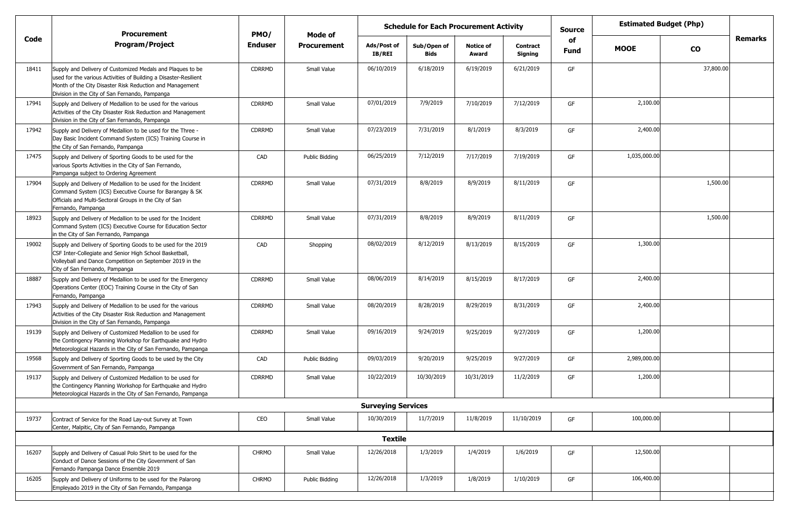| Remarks<br>Code<br>of<br><b>Program/Project</b><br><b>Enduser</b><br><b>Procurement</b><br>Ads/Post of<br>Sub/Open of<br><b>Notice of</b><br><b>Contract</b><br><b>MOOE</b><br><b>CO</b><br><b>Fund</b><br>IB/REI<br><b>Bids</b><br>Award<br>Signing<br>6/18/2019<br>37,800.00<br>06/10/2019<br>6/19/2019<br>6/21/2019<br><b>CDRRMD</b><br>Small Value<br>GF<br>Supply and Delivery of Customized Medals and Plaques to be<br>18411<br>used for the various Activities of Building a Disaster-Resilient<br>Month of the City Disaster Risk Reduction and Management<br>Division in the City of San Fernando, Pampanga<br>2,100.00<br>7/10/2019<br>7/12/2019<br>17941<br>07/01/2019<br>7/9/2019<br><b>CDRRMD</b><br>Small Value<br>GF<br>Supply and Delivery of Medallion to be used for the various<br>Activities of the City Disaster Risk Reduction and Management<br>Division in the City of San Fernando, Pampanga<br>8/3/2019<br>2,400.00<br>07/23/2019<br>7/31/2019<br>8/1/2019<br>17942<br><b>CDRRMD</b><br>Small Value<br>GF<br>Supply and Delivery of Medallion to be used for the Three -<br>Day Basic Incident Command System (ICS) Training Course in<br>the City of San Fernando, Pampanga<br>7/17/2019<br>7/19/2019<br>1,035,000.00<br>06/25/2019<br>7/12/2019<br>17475<br>CAD<br>GF<br>Public Bidding<br>Supply and Delivery of Sporting Goods to be used for the<br>various Sports Activities in the City of San Fernando,<br>Pampanga subject to Ordering Agreement<br>8/9/2019<br>1,500.00<br>07/31/2019<br>8/8/2019<br>8/11/2019<br>17904<br><b>CDRRMD</b><br>Small Value<br>GF<br>Supply and Delivery of Medallion to be used for the Incident<br>Command System (ICS) Executive Course for Barangay & SK<br>Officials and Multi-Sectoral Groups in the City of San<br>Fernando, Pampanga<br>1,500.00<br>07/31/2019<br>8/8/2019<br>8/9/2019<br>8/11/2019<br>18923<br><b>CDRRMD</b><br>Small Value<br>GF<br>Supply and Delivery of Medallion to be used for the Incident<br>Command System (ICS) Executive Course for Education Sector<br>in the City of San Fernando, Pampanga<br>1,300.00<br>08/02/2019<br>8/12/2019<br>8/13/2019<br>8/15/2019<br>19002<br>GF<br>Supply and Delivery of Sporting Goods to be used for the 2019<br>CAD<br>Shopping<br>CSF Inter-Collegiate and Senior High School Basketball,<br>Volleyball and Dance Competition on September 2019 in the<br>City of San Fernando, Pampanga<br>08/06/2019<br>2,400.00<br>8/14/2019<br><b>CDRRMD</b><br>Small Value<br>8/15/2019<br>8/17/2019<br>18887<br>Supply and Delivery of Medallion to be used for the Emergency<br>GF<br>Operations Center (EOC) Training Course in the City of San<br>Fernando, Pampanga<br>2,400.00<br>08/20/2019<br>8/28/2019<br>8/29/2019<br>17943<br>CDRRMD<br>Small Value<br>8/31/2019<br>GF<br>Supply and Delivery of Medallion to be used for the various<br>Activities of the City Disaster Risk Reduction and Management<br>Division in the City of San Fernando, Pampanga<br>09/16/2019<br>9/24/2019<br>1,200.00<br>9/25/2019<br>19139<br><b>CDRRMD</b><br>Small Value<br>9/27/2019<br>GF<br>Supply and Delivery of Customized Medallion to be used for<br>the Contingency Planning Workshop for Earthquake and Hydro<br>Meteorological Hazards in the City of San Fernando, Pampanga<br>2,989,000.00<br>09/03/2019<br>9/20/2019<br>19568<br>CAD<br>9/25/2019<br>9/27/2019<br><b>Public Bidding</b><br>GF<br>Supply and Delivery of Sporting Goods to be used by the City<br>Government of San Fernando, Pampanga<br>1,200.00<br>10/22/2019<br>10/30/2019<br>19137<br>10/31/2019<br>11/2/2019<br>Supply and Delivery of Customized Medallion to be used for<br><b>CDRRMD</b><br>GF<br>Small Value<br>the Contingency Planning Workshop for Earthquake and Hydro<br>Meteorological Hazards in the City of San Fernando, Pampanga<br><b>Surveying Services</b><br>11/7/2019<br>100,000.00<br>10/30/2019<br>11/8/2019<br>11/10/2019<br>19737<br>CEO<br>GF<br>Contract of Service for the Road Lay-out Survey at Town<br>Small Value<br>Center, Malpitic, City of San Fernando, Pampanga<br><b>Textile</b><br>1/4/2019<br>12,500.00<br>16207<br>12/26/2018<br>1/3/2019<br>1/6/2019<br><b>CHRMO</b><br>Small Value<br>GF<br>Supply and Delivery of Casual Polo Shirt to be used for the<br>Conduct of Dance Sessions of the City Government of San<br>Fernando Pampanga Dance Ensemble 2019<br>106,400.00<br>16205<br>12/26/2018<br>1/3/2019<br>1/8/2019<br>1/10/2019<br>Supply and Delivery of Uniforms to be used for the Palarong<br><b>CHRMO</b><br><b>Public Bidding</b><br>GF<br>Empleyado 2019 in the City of San Fernando, Pampanga | <b>Procurement</b> | PMO/ | Mode of | <b>Schedule for Each Procurement Activity</b> |  |  |  | <b>Source</b> | <b>Estimated Budget (Php)</b> |  |
|---------------------------------------------------------------------------------------------------------------------------------------------------------------------------------------------------------------------------------------------------------------------------------------------------------------------------------------------------------------------------------------------------------------------------------------------------------------------------------------------------------------------------------------------------------------------------------------------------------------------------------------------------------------------------------------------------------------------------------------------------------------------------------------------------------------------------------------------------------------------------------------------------------------------------------------------------------------------------------------------------------------------------------------------------------------------------------------------------------------------------------------------------------------------------------------------------------------------------------------------------------------------------------------------------------------------------------------------------------------------------------------------------------------------------------------------------------------------------------------------------------------------------------------------------------------------------------------------------------------------------------------------------------------------------------------------------------------------------------------------------------------------------------------------------------------------------------------------------------------------------------------------------------------------------------------------------------------------------------------------------------------------------------------------------------------------------------------------------------------------------------------------------------------------------------------------------------------------------------------------------------------------------------------------------------------------------------------------------------------------------------------------------------------------------------------------------------------------------------------------------------------------------------------------------------------------------------------------------------------------------------------------------------------------------------------------------------------------------------------------------------------------------------------------------------------------------------------------------------------------------------------------------------------------------------------------------------------------------------------------------------------------------------------------------------------------------------------------------------------------------------------------------------------------------------------------------------------------------------------------------------------------------------------------------------------------------------------------------------------------------------------------------------------------------------------------------------------------------------------------------------------------------------------------------------------------------------------------------------------------------------------------------------------------------------------------------------------------------------------------------------------------------------------------------------------------------------------------------------------------------------------------------------------------------------------------------------------------------------------------------------------------------------------------------------------------------------------------------------------------------------------------------------------------------------------------------------------------------------------------------------------------------------------------------------------------------------------------------------------------------------------------------------------------------------------------------------------------------------------------------------------------------------------------------------------------------------------------------------------------------------------------------------------|--------------------|------|---------|-----------------------------------------------|--|--|--|---------------|-------------------------------|--|
|                                                                                                                                                                                                                                                                                                                                                                                                                                                                                                                                                                                                                                                                                                                                                                                                                                                                                                                                                                                                                                                                                                                                                                                                                                                                                                                                                                                                                                                                                                                                                                                                                                                                                                                                                                                                                                                                                                                                                                                                                                                                                                                                                                                                                                                                                                                                                                                                                                                                                                                                                                                                                                                                                                                                                                                                                                                                                                                                                                                                                                                                                                                                                                                                                                                                                                                                                                                                                                                                                                                                                                                                                                                                                                                                                                                                                                                                                                                                                                                                                                                                                                                                                                                                                                                                                                                                                                                                                                                                                                                                                                                                                                                               |                    |      |         |                                               |  |  |  |               |                               |  |
|                                                                                                                                                                                                                                                                                                                                                                                                                                                                                                                                                                                                                                                                                                                                                                                                                                                                                                                                                                                                                                                                                                                                                                                                                                                                                                                                                                                                                                                                                                                                                                                                                                                                                                                                                                                                                                                                                                                                                                                                                                                                                                                                                                                                                                                                                                                                                                                                                                                                                                                                                                                                                                                                                                                                                                                                                                                                                                                                                                                                                                                                                                                                                                                                                                                                                                                                                                                                                                                                                                                                                                                                                                                                                                                                                                                                                                                                                                                                                                                                                                                                                                                                                                                                                                                                                                                                                                                                                                                                                                                                                                                                                                                               |                    |      |         |                                               |  |  |  |               |                               |  |
|                                                                                                                                                                                                                                                                                                                                                                                                                                                                                                                                                                                                                                                                                                                                                                                                                                                                                                                                                                                                                                                                                                                                                                                                                                                                                                                                                                                                                                                                                                                                                                                                                                                                                                                                                                                                                                                                                                                                                                                                                                                                                                                                                                                                                                                                                                                                                                                                                                                                                                                                                                                                                                                                                                                                                                                                                                                                                                                                                                                                                                                                                                                                                                                                                                                                                                                                                                                                                                                                                                                                                                                                                                                                                                                                                                                                                                                                                                                                                                                                                                                                                                                                                                                                                                                                                                                                                                                                                                                                                                                                                                                                                                                               |                    |      |         |                                               |  |  |  |               |                               |  |
|                                                                                                                                                                                                                                                                                                                                                                                                                                                                                                                                                                                                                                                                                                                                                                                                                                                                                                                                                                                                                                                                                                                                                                                                                                                                                                                                                                                                                                                                                                                                                                                                                                                                                                                                                                                                                                                                                                                                                                                                                                                                                                                                                                                                                                                                                                                                                                                                                                                                                                                                                                                                                                                                                                                                                                                                                                                                                                                                                                                                                                                                                                                                                                                                                                                                                                                                                                                                                                                                                                                                                                                                                                                                                                                                                                                                                                                                                                                                                                                                                                                                                                                                                                                                                                                                                                                                                                                                                                                                                                                                                                                                                                                               |                    |      |         |                                               |  |  |  |               |                               |  |
|                                                                                                                                                                                                                                                                                                                                                                                                                                                                                                                                                                                                                                                                                                                                                                                                                                                                                                                                                                                                                                                                                                                                                                                                                                                                                                                                                                                                                                                                                                                                                                                                                                                                                                                                                                                                                                                                                                                                                                                                                                                                                                                                                                                                                                                                                                                                                                                                                                                                                                                                                                                                                                                                                                                                                                                                                                                                                                                                                                                                                                                                                                                                                                                                                                                                                                                                                                                                                                                                                                                                                                                                                                                                                                                                                                                                                                                                                                                                                                                                                                                                                                                                                                                                                                                                                                                                                                                                                                                                                                                                                                                                                                                               |                    |      |         |                                               |  |  |  |               |                               |  |
|                                                                                                                                                                                                                                                                                                                                                                                                                                                                                                                                                                                                                                                                                                                                                                                                                                                                                                                                                                                                                                                                                                                                                                                                                                                                                                                                                                                                                                                                                                                                                                                                                                                                                                                                                                                                                                                                                                                                                                                                                                                                                                                                                                                                                                                                                                                                                                                                                                                                                                                                                                                                                                                                                                                                                                                                                                                                                                                                                                                                                                                                                                                                                                                                                                                                                                                                                                                                                                                                                                                                                                                                                                                                                                                                                                                                                                                                                                                                                                                                                                                                                                                                                                                                                                                                                                                                                                                                                                                                                                                                                                                                                                                               |                    |      |         |                                               |  |  |  |               |                               |  |
|                                                                                                                                                                                                                                                                                                                                                                                                                                                                                                                                                                                                                                                                                                                                                                                                                                                                                                                                                                                                                                                                                                                                                                                                                                                                                                                                                                                                                                                                                                                                                                                                                                                                                                                                                                                                                                                                                                                                                                                                                                                                                                                                                                                                                                                                                                                                                                                                                                                                                                                                                                                                                                                                                                                                                                                                                                                                                                                                                                                                                                                                                                                                                                                                                                                                                                                                                                                                                                                                                                                                                                                                                                                                                                                                                                                                                                                                                                                                                                                                                                                                                                                                                                                                                                                                                                                                                                                                                                                                                                                                                                                                                                                               |                    |      |         |                                               |  |  |  |               |                               |  |
|                                                                                                                                                                                                                                                                                                                                                                                                                                                                                                                                                                                                                                                                                                                                                                                                                                                                                                                                                                                                                                                                                                                                                                                                                                                                                                                                                                                                                                                                                                                                                                                                                                                                                                                                                                                                                                                                                                                                                                                                                                                                                                                                                                                                                                                                                                                                                                                                                                                                                                                                                                                                                                                                                                                                                                                                                                                                                                                                                                                                                                                                                                                                                                                                                                                                                                                                                                                                                                                                                                                                                                                                                                                                                                                                                                                                                                                                                                                                                                                                                                                                                                                                                                                                                                                                                                                                                                                                                                                                                                                                                                                                                                                               |                    |      |         |                                               |  |  |  |               |                               |  |
|                                                                                                                                                                                                                                                                                                                                                                                                                                                                                                                                                                                                                                                                                                                                                                                                                                                                                                                                                                                                                                                                                                                                                                                                                                                                                                                                                                                                                                                                                                                                                                                                                                                                                                                                                                                                                                                                                                                                                                                                                                                                                                                                                                                                                                                                                                                                                                                                                                                                                                                                                                                                                                                                                                                                                                                                                                                                                                                                                                                                                                                                                                                                                                                                                                                                                                                                                                                                                                                                                                                                                                                                                                                                                                                                                                                                                                                                                                                                                                                                                                                                                                                                                                                                                                                                                                                                                                                                                                                                                                                                                                                                                                                               |                    |      |         |                                               |  |  |  |               |                               |  |
|                                                                                                                                                                                                                                                                                                                                                                                                                                                                                                                                                                                                                                                                                                                                                                                                                                                                                                                                                                                                                                                                                                                                                                                                                                                                                                                                                                                                                                                                                                                                                                                                                                                                                                                                                                                                                                                                                                                                                                                                                                                                                                                                                                                                                                                                                                                                                                                                                                                                                                                                                                                                                                                                                                                                                                                                                                                                                                                                                                                                                                                                                                                                                                                                                                                                                                                                                                                                                                                                                                                                                                                                                                                                                                                                                                                                                                                                                                                                                                                                                                                                                                                                                                                                                                                                                                                                                                                                                                                                                                                                                                                                                                                               |                    |      |         |                                               |  |  |  |               |                               |  |
|                                                                                                                                                                                                                                                                                                                                                                                                                                                                                                                                                                                                                                                                                                                                                                                                                                                                                                                                                                                                                                                                                                                                                                                                                                                                                                                                                                                                                                                                                                                                                                                                                                                                                                                                                                                                                                                                                                                                                                                                                                                                                                                                                                                                                                                                                                                                                                                                                                                                                                                                                                                                                                                                                                                                                                                                                                                                                                                                                                                                                                                                                                                                                                                                                                                                                                                                                                                                                                                                                                                                                                                                                                                                                                                                                                                                                                                                                                                                                                                                                                                                                                                                                                                                                                                                                                                                                                                                                                                                                                                                                                                                                                                               |                    |      |         |                                               |  |  |  |               |                               |  |
|                                                                                                                                                                                                                                                                                                                                                                                                                                                                                                                                                                                                                                                                                                                                                                                                                                                                                                                                                                                                                                                                                                                                                                                                                                                                                                                                                                                                                                                                                                                                                                                                                                                                                                                                                                                                                                                                                                                                                                                                                                                                                                                                                                                                                                                                                                                                                                                                                                                                                                                                                                                                                                                                                                                                                                                                                                                                                                                                                                                                                                                                                                                                                                                                                                                                                                                                                                                                                                                                                                                                                                                                                                                                                                                                                                                                                                                                                                                                                                                                                                                                                                                                                                                                                                                                                                                                                                                                                                                                                                                                                                                                                                                               |                    |      |         |                                               |  |  |  |               |                               |  |
|                                                                                                                                                                                                                                                                                                                                                                                                                                                                                                                                                                                                                                                                                                                                                                                                                                                                                                                                                                                                                                                                                                                                                                                                                                                                                                                                                                                                                                                                                                                                                                                                                                                                                                                                                                                                                                                                                                                                                                                                                                                                                                                                                                                                                                                                                                                                                                                                                                                                                                                                                                                                                                                                                                                                                                                                                                                                                                                                                                                                                                                                                                                                                                                                                                                                                                                                                                                                                                                                                                                                                                                                                                                                                                                                                                                                                                                                                                                                                                                                                                                                                                                                                                                                                                                                                                                                                                                                                                                                                                                                                                                                                                                               |                    |      |         |                                               |  |  |  |               |                               |  |
|                                                                                                                                                                                                                                                                                                                                                                                                                                                                                                                                                                                                                                                                                                                                                                                                                                                                                                                                                                                                                                                                                                                                                                                                                                                                                                                                                                                                                                                                                                                                                                                                                                                                                                                                                                                                                                                                                                                                                                                                                                                                                                                                                                                                                                                                                                                                                                                                                                                                                                                                                                                                                                                                                                                                                                                                                                                                                                                                                                                                                                                                                                                                                                                                                                                                                                                                                                                                                                                                                                                                                                                                                                                                                                                                                                                                                                                                                                                                                                                                                                                                                                                                                                                                                                                                                                                                                                                                                                                                                                                                                                                                                                                               |                    |      |         |                                               |  |  |  |               |                               |  |
|                                                                                                                                                                                                                                                                                                                                                                                                                                                                                                                                                                                                                                                                                                                                                                                                                                                                                                                                                                                                                                                                                                                                                                                                                                                                                                                                                                                                                                                                                                                                                                                                                                                                                                                                                                                                                                                                                                                                                                                                                                                                                                                                                                                                                                                                                                                                                                                                                                                                                                                                                                                                                                                                                                                                                                                                                                                                                                                                                                                                                                                                                                                                                                                                                                                                                                                                                                                                                                                                                                                                                                                                                                                                                                                                                                                                                                                                                                                                                                                                                                                                                                                                                                                                                                                                                                                                                                                                                                                                                                                                                                                                                                                               |                    |      |         |                                               |  |  |  |               |                               |  |
|                                                                                                                                                                                                                                                                                                                                                                                                                                                                                                                                                                                                                                                                                                                                                                                                                                                                                                                                                                                                                                                                                                                                                                                                                                                                                                                                                                                                                                                                                                                                                                                                                                                                                                                                                                                                                                                                                                                                                                                                                                                                                                                                                                                                                                                                                                                                                                                                                                                                                                                                                                                                                                                                                                                                                                                                                                                                                                                                                                                                                                                                                                                                                                                                                                                                                                                                                                                                                                                                                                                                                                                                                                                                                                                                                                                                                                                                                                                                                                                                                                                                                                                                                                                                                                                                                                                                                                                                                                                                                                                                                                                                                                                               |                    |      |         |                                               |  |  |  |               |                               |  |
|                                                                                                                                                                                                                                                                                                                                                                                                                                                                                                                                                                                                                                                                                                                                                                                                                                                                                                                                                                                                                                                                                                                                                                                                                                                                                                                                                                                                                                                                                                                                                                                                                                                                                                                                                                                                                                                                                                                                                                                                                                                                                                                                                                                                                                                                                                                                                                                                                                                                                                                                                                                                                                                                                                                                                                                                                                                                                                                                                                                                                                                                                                                                                                                                                                                                                                                                                                                                                                                                                                                                                                                                                                                                                                                                                                                                                                                                                                                                                                                                                                                                                                                                                                                                                                                                                                                                                                                                                                                                                                                                                                                                                                                               |                    |      |         |                                               |  |  |  |               |                               |  |
|                                                                                                                                                                                                                                                                                                                                                                                                                                                                                                                                                                                                                                                                                                                                                                                                                                                                                                                                                                                                                                                                                                                                                                                                                                                                                                                                                                                                                                                                                                                                                                                                                                                                                                                                                                                                                                                                                                                                                                                                                                                                                                                                                                                                                                                                                                                                                                                                                                                                                                                                                                                                                                                                                                                                                                                                                                                                                                                                                                                                                                                                                                                                                                                                                                                                                                                                                                                                                                                                                                                                                                                                                                                                                                                                                                                                                                                                                                                                                                                                                                                                                                                                                                                                                                                                                                                                                                                                                                                                                                                                                                                                                                                               |                    |      |         |                                               |  |  |  |               |                               |  |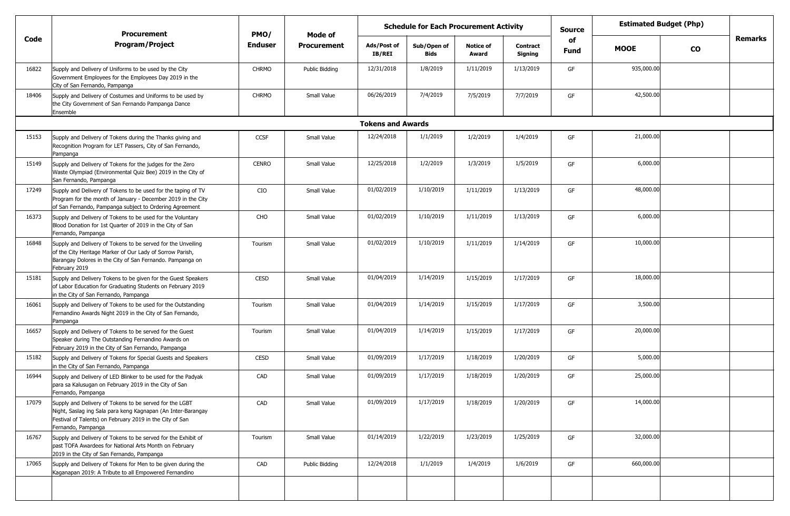|       | <b>Procurement</b>                                                                                                                                                                                        | PMO/           | Mode of        | <b>Schedule for Each Procurement Activity</b> |                            |                           |                            |            | <b>Estimated Budget (Php)</b><br><b>Source</b> |           |         |
|-------|-----------------------------------------------------------------------------------------------------------------------------------------------------------------------------------------------------------|----------------|----------------|-----------------------------------------------|----------------------------|---------------------------|----------------------------|------------|------------------------------------------------|-----------|---------|
| Code  | <b>Program/Project</b>                                                                                                                                                                                    | <b>Enduser</b> | Procurement    | Ads/Post of<br>IB/REI                         | Sub/Open of<br><b>Bids</b> | <b>Notice of</b><br>Award | <b>Contract</b><br>Signing | of<br>Fund | <b>MOOE</b>                                    | <b>CO</b> | Remarks |
| 16822 | Supply and Delivery of Uniforms to be used by the City<br>Government Employees for the Employees Day 2019 in the<br>City of San Fernando, Pampanga                                                        | <b>CHRMO</b>   | Public Bidding | 12/31/2018                                    | 1/8/2019                   | 1/11/2019                 | 1/13/2019                  | GF         | 935,000.00                                     |           |         |
| 18406 | Supply and Delivery of Costumes and Uniforms to be used by<br>the City Government of San Fernando Pampanga Dance<br>Ensemble                                                                              | <b>CHRMO</b>   | Small Value    | 06/26/2019                                    | 7/4/2019                   | 7/5/2019                  | 7/7/2019                   | GF         | 42,500.00                                      |           |         |
|       |                                                                                                                                                                                                           |                |                | <b>Tokens and Awards</b>                      |                            |                           |                            |            |                                                |           |         |
| 15153 | Supply and Delivery of Tokens during the Thanks giving and<br>Recognition Program for LET Passers, City of San Fernando,<br>Pampanga                                                                      | CCSF           | Small Value    | 12/24/2018                                    | 1/1/2019                   | 1/2/2019                  | 1/4/2019                   | GF         | 21,000.00                                      |           |         |
| 15149 | Supply and Delivery of Tokens for the judges for the Zero<br>Waste Olympiad (Environmental Quiz Bee) 2019 in the City of<br>San Fernando, Pampanga                                                        | <b>CENRO</b>   | Small Value    | 12/25/2018                                    | 1/2/2019                   | 1/3/2019                  | 1/5/2019                   | GF         | 6,000.00                                       |           |         |
| 17249 | Supply and Delivery of Tokens to be used for the taping of TV<br>Program for the month of January - December 2019 in the City<br>of San Fernando, Pampanga subject to Ordering Agreement                  | CIO            | Small Value    | 01/02/2019                                    | 1/10/2019                  | 1/11/2019                 | 1/13/2019                  | GF         | 48,000.00                                      |           |         |
| 16373 | Supply and Delivery of Tokens to be used for the Voluntary<br>Blood Donation for 1st Quarter of 2019 in the City of San<br>Fernando, Pampanga                                                             | CHO            | Small Value    | 01/02/2019                                    | 1/10/2019                  | 1/11/2019                 | 1/13/2019                  | GF         | 6,000.00                                       |           |         |
| 16848 | Supply and Delivery of Tokens to be served for the Unveiling<br>of the City Heritage Marker of Our Lady of Sorrow Parish,<br>Barangay Dolores in the City of San Fernando. Pampanga on<br>February 2019   | Tourism        | Small Value    | 01/02/2019                                    | 1/10/2019                  | 1/11/2019                 | 1/14/2019                  | GF         | 10,000.00                                      |           |         |
| 15181 | Supply and Delivery Tokens to be given for the Guest Speakers<br>of Labor Education for Graduating Students on February 2019<br>in the City of San Fernando, Pampanga                                     | <b>CESD</b>    | Small Value    | 01/04/2019                                    | 1/14/2019                  | 1/15/2019                 | 1/17/2019                  | GF         | 18,000.00                                      |           |         |
| 16061 | Supply and Delivery of Tokens to be used for the Outstanding<br>Fernandino Awards Night 2019 in the City of San Fernando,<br>Pampanga                                                                     | Tourism        | Small Value    | 01/04/2019                                    | 1/14/2019                  | 1/15/2019                 | 1/17/2019                  | GF         | 3,500.00                                       |           |         |
| 16657 | Supply and Delivery of Tokens to be served for the Guest<br>Speaker during The Outstanding Fernandino Awards on<br>February 2019 in the City of San Fernando, Pampanga                                    | Tourism        | Small Value    | 01/04/2019                                    | 1/14/2019                  | 1/15/2019                 | 1/17/2019                  | GF         | 20,000.00                                      |           |         |
| 15182 | Supply and Delivery of Tokens for Special Guests and Speakers<br>in the City of San Fernando, Pampanga                                                                                                    | CESD           | Small Value    | 01/09/2019                                    | 1/17/2019                  | 1/18/2019                 | 1/20/2019                  | GF         | 5,000.00                                       |           |         |
| 16944 | Supply and Delivery of LED Blinker to be used for the Padyak<br>para sa Kalusugan on February 2019 in the City of San<br>Fernando, Pampanga                                                               | CAD            | Small Value    | 01/09/2019                                    | 1/17/2019                  | 1/18/2019                 | 1/20/2019                  | GF         | 25,000.00                                      |           |         |
| 17079 | Supply and Delivery of Tokens to be served for the LGBT<br>Night, Saslag ing Sala para keng Kagnapan (An Inter-Barangay<br>Festival of Talents) on February 2019 in the City of San<br>Fernando, Pampanga | CAD            | Small Value    | 01/09/2019                                    | 1/17/2019                  | 1/18/2019                 | 1/20/2019                  | GF         | 14,000.00                                      |           |         |
| 16767 | Supply and Delivery of Tokens to be served for the Exhibit of<br>past TOFA Awardees for National Arts Month on February<br>2019 in the City of San Fernando, Pampanga                                     | Tourism        | Small Value    | 01/14/2019                                    | 1/22/2019                  | 1/23/2019                 | 1/25/2019                  | GF         | 32,000.00                                      |           |         |
| 17065 | Supply and Delivery of Tokens for Men to be given during the<br>Kaganapan 2019: A Tribute to all Empowered Fernandino                                                                                     | CAD            | Public Bidding | 12/24/2018                                    | 1/1/2019                   | 1/4/2019                  | 1/6/2019                   | GF         | 660,000.00                                     |           |         |
|       |                                                                                                                                                                                                           |                |                |                                               |                            |                           |                            |            |                                                |           |         |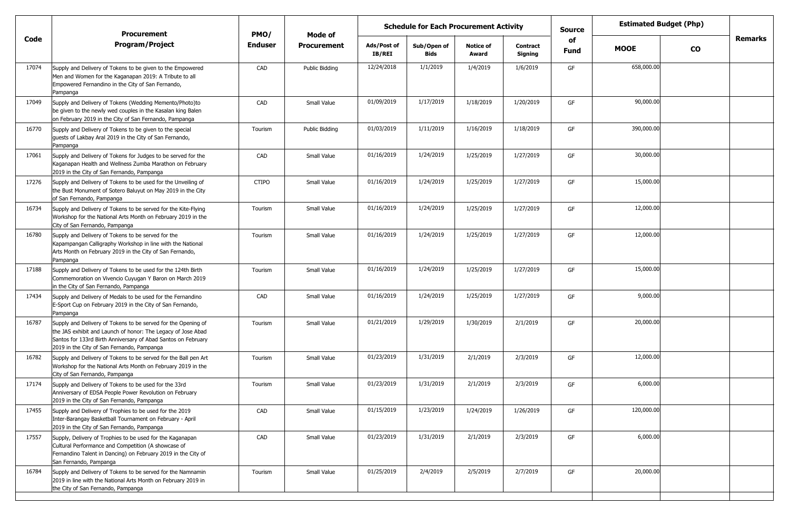|       | <b>Procurement</b>                                                                                                                                                                                                                           | PMO/           | Mode of            |                              | <b>Schedule for Each Procurement Activity</b> |                           |                            | <b>Estimated Budget (Php)</b><br><b>Source</b> |             |           |                |
|-------|----------------------------------------------------------------------------------------------------------------------------------------------------------------------------------------------------------------------------------------------|----------------|--------------------|------------------------------|-----------------------------------------------|---------------------------|----------------------------|------------------------------------------------|-------------|-----------|----------------|
| Code  | <b>Program/Project</b>                                                                                                                                                                                                                       | <b>Enduser</b> | <b>Procurement</b> | Ads/Post of<br><b>IB/REI</b> | Sub/Open of<br>Bids                           | <b>Notice of</b><br>Award | <b>Contract</b><br>Signing | of<br>Fund                                     | <b>MOOE</b> | <b>CO</b> | <b>Remarks</b> |
| 17074 | Supply and Delivery of Tokens to be given to the Empowered<br>Men and Women for the Kaganapan 2019: A Tribute to all<br>Empowered Fernandino in the City of San Fernando,<br>Pampanga                                                        | CAD            | Public Bidding     | 12/24/2018                   | 1/1/2019                                      | 1/4/2019                  | 1/6/2019                   | GF                                             | 658,000.00  |           |                |
| 17049 | Supply and Delivery of Tokens (Wedding Memento/Photo)to<br>be given to the newly wed couples in the Kasalan king Balen<br>on February 2019 in the City of San Fernando, Pampanga                                                             | CAD            | Small Value        | 01/09/2019                   | 1/17/2019                                     | 1/18/2019                 | 1/20/2019                  | GF                                             | 90,000.00   |           |                |
| 16770 | Supply and Delivery of Tokens to be given to the special<br>guests of Lakbay Aral 2019 in the City of San Fernando,<br>Pampanga                                                                                                              | Tourism        | Public Bidding     | 01/03/2019                   | 1/11/2019                                     | 1/16/2019                 | 1/18/2019                  | GF                                             | 390,000.00  |           |                |
| 17061 | Supply and Delivery of Tokens for Judges to be served for the<br>Kaganapan Health and Wellness Zumba Marathon on February<br>2019 in the City of San Fernando, Pampanga                                                                      | CAD            | Small Value        | 01/16/2019                   | 1/24/2019                                     | 1/25/2019                 | 1/27/2019                  | GF                                             | 30,000.00   |           |                |
| 17276 | Supply and Delivery of Tokens to be used for the Unveiling of<br>the Bust Monument of Sotero Baluyut on May 2019 in the City<br>of San Fernando, Pampanga                                                                                    | <b>CTIPO</b>   | Small Value        | 01/16/2019                   | 1/24/2019                                     | 1/25/2019                 | 1/27/2019                  | GF                                             | 15,000.00   |           |                |
| 16734 | Supply and Delivery of Tokens to be served for the Kite-Flying<br>Workshop for the National Arts Month on February 2019 in the<br>City of San Fernando, Pampanga                                                                             | Tourism        | Small Value        | 01/16/2019                   | 1/24/2019                                     | 1/25/2019                 | 1/27/2019                  | GF                                             | 12,000.00   |           |                |
| 16780 | Supply and Delivery of Tokens to be served for the<br>Kapampangan Calligraphy Workshop in line with the National<br>Arts Month on February 2019 in the City of San Fernando,<br>Pampanga                                                     | Tourism        | Small Value        | 01/16/2019                   | 1/24/2019                                     | 1/25/2019                 | 1/27/2019                  | GF                                             | 12,000.00   |           |                |
| 17188 | Supply and Delivery of Tokens to be used for the 124th Birth<br>Commemoration on Vivencio Cuyugan Y Baron on March 2019<br>in the City of San Fernando, Pampanga                                                                             | Tourism        | Small Value        | 01/16/2019                   | 1/24/2019                                     | 1/25/2019                 | 1/27/2019                  | GF                                             | 15,000.00   |           |                |
| 17434 | Supply and Delivery of Medals to be used for the Fernandino<br>E-Sport Cup on February 2019 in the City of San Fernando,<br>Pampanga                                                                                                         | CAD            | Small Value        | 01/16/2019                   | 1/24/2019                                     | 1/25/2019                 | 1/27/2019                  | GF                                             | 9,000.00    |           |                |
| 16787 | Supply and Delivery of Tokens to be served for the Opening of<br>the JAS exhibit and Launch of honor: The Legacy of Jose Abad<br>Santos for 133rd Birth Anniversary of Abad Santos on February<br>2019 in the City of San Fernando, Pampanga | Tourism        | Small Value        | 01/21/2019                   | 1/29/2019                                     | 1/30/2019                 | 2/1/2019                   | GF                                             | 20,000.00   |           |                |
| 16782 | Supply and Delivery of Tokens to be served for the Ball pen Art<br>Workshop for the National Arts Month on February 2019 in the<br>City of San Fernando, Pampanga                                                                            | Tourism        | Small Value        | 01/23/2019                   | 1/31/2019                                     | 2/1/2019                  | 2/3/2019                   | GF                                             | 12,000.00   |           |                |
| 17174 | Supply and Delivery of Tokens to be used for the 33rd<br>Anniversary of EDSA People Power Revolution on February<br>2019 in the City of San Fernando, Pampanga                                                                               | Tourism        | Small Value        | 01/23/2019                   | 1/31/2019                                     | 2/1/2019                  | 2/3/2019                   | GF                                             | 6,000.00    |           |                |
| 17455 | Supply and Delivery of Trophies to be used for the 2019<br>Inter-Barangay Basketball Tournament on February - April<br>2019 in the City of San Fernando, Pampanga                                                                            | CAD            | Small Value        | 01/15/2019                   | 1/23/2019                                     | 1/24/2019                 | 1/26/2019                  | GF                                             | 120,000.00  |           |                |
| 17557 | Supply, Delivery of Trophies to be used for the Kaganapan<br>Cultural Performance and Competition (A showcase of<br>Fernandino Talent in Dancing) on February 2019 in the City of<br>San Fernando, Pampanga                                  | CAD            | Small Value        | 01/23/2019                   | 1/31/2019                                     | 2/1/2019                  | 2/3/2019                   | GF                                             | 6,000.00    |           |                |
| 16784 | Supply and Delivery of Tokens to be served for the Namnamin<br>2019 in line with the National Arts Month on February 2019 in<br>the City of San Fernando, Pampanga                                                                           | Tourism        | Small Value        | 01/25/2019                   | 2/4/2019                                      | 2/5/2019                  | 2/7/2019                   | GF                                             | 20,000.00   |           |                |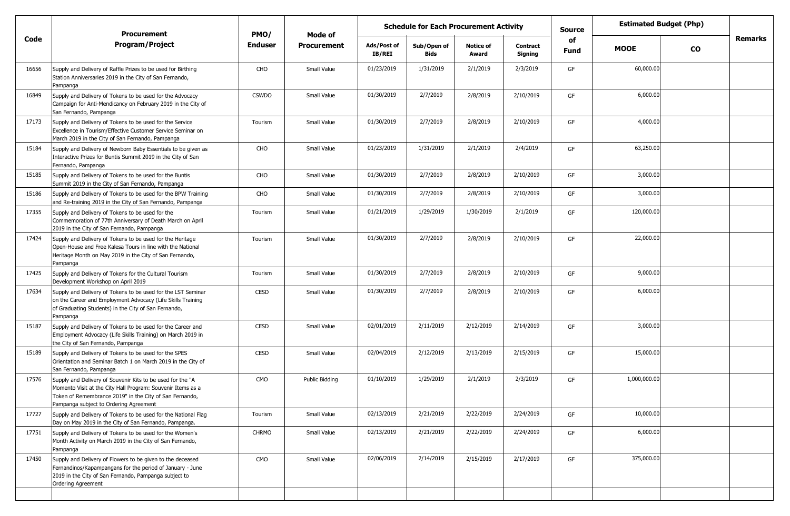|       | <b>Procurement</b>                                                                                                                                                                                                             | PMO/           | Mode of            | <b>Schedule for Each Procurement Activity</b> |                            |                           |                            | <b>Estimated Budget (Php)</b><br><b>Source</b> |              |           |                |
|-------|--------------------------------------------------------------------------------------------------------------------------------------------------------------------------------------------------------------------------------|----------------|--------------------|-----------------------------------------------|----------------------------|---------------------------|----------------------------|------------------------------------------------|--------------|-----------|----------------|
| Code  | <b>Program/Project</b>                                                                                                                                                                                                         | <b>Enduser</b> | <b>Procurement</b> | Ads/Post of<br>IB/REI                         | Sub/Open of<br><b>Bids</b> | <b>Notice of</b><br>Award | <b>Contract</b><br>Signing | of<br>Fund                                     | <b>MOOE</b>  | <b>CO</b> | <b>Remarks</b> |
| 16656 | Supply and Delivery of Raffle Prizes to be used for Birthing<br>Station Anniversaries 2019 in the City of San Fernando,<br>Pampanga                                                                                            | CHO            | Small Value        | 01/23/2019                                    | 1/31/2019                  | 2/1/2019                  | 2/3/2019                   | GF                                             | 60,000.00    |           |                |
| 16849 | Supply and Delivery of Tokens to be used for the Advocacy<br>Campaign for Anti-Mendicancy on February 2019 in the City of<br>San Fernando, Pampanga                                                                            | <b>CSWDO</b>   | Small Value        | 01/30/2019                                    | 2/7/2019                   | 2/8/2019                  | 2/10/2019                  | GF                                             | 6,000.00     |           |                |
| 17173 | Supply and Delivery of Tokens to be used for the Service<br>Excellence in Tourism/Effective Customer Service Seminar on<br>March 2019 in the City of San Fernando, Pampanga                                                    | Tourism        | Small Value        | 01/30/2019                                    | 2/7/2019                   | 2/8/2019                  | 2/10/2019                  | GF                                             | 4,000.00     |           |                |
| 15184 | Supply and Delivery of Newborn Baby Essentials to be given as<br>Interactive Prizes for Buntis Summit 2019 in the City of San<br>Fernando, Pampanga                                                                            | CHO            | Small Value        | 01/23/2019                                    | 1/31/2019                  | 2/1/2019                  | 2/4/2019                   | GF                                             | 63,250.00    |           |                |
| 15185 | Supply and Delivery of Tokens to be used for the Buntis<br>Summit 2019 in the City of San Fernando, Pampanga                                                                                                                   | CHO            | Small Value        | 01/30/2019                                    | 2/7/2019                   | 2/8/2019                  | 2/10/2019                  | GF                                             | 3,000.00     |           |                |
| 15186 | Supply and Delivery of Tokens to be used for the BPW Training<br>and Re-training 2019 in the City of San Fernando, Pampanga                                                                                                    | <b>CHO</b>     | Small Value        | 01/30/2019                                    | 2/7/2019                   | 2/8/2019                  | 2/10/2019                  | GF                                             | 3,000.00     |           |                |
| 17355 | Supply and Delivery of Tokens to be used for the<br>Commemoration of 77th Anniversary of Death March on April<br>2019 in the City of San Fernando, Pampanga                                                                    | Tourism        | Small Value        | 01/21/2019                                    | 1/29/2019                  | 1/30/2019                 | 2/1/2019                   | GF                                             | 120,000.00   |           |                |
| 17424 | Supply and Delivery of Tokens to be used for the Heritage<br>Open-House and Free Kalesa Tours in line with the National<br>Heritage Month on May 2019 in the City of San Fernando,<br>Pampanga                                 | Tourism        | Small Value        | 01/30/2019                                    | 2/7/2019                   | 2/8/2019                  | 2/10/2019                  | GF                                             | 22,000.00    |           |                |
| 17425 | Supply and Delivery of Tokens for the Cultural Tourism<br>Development Workshop on April 2019                                                                                                                                   | Tourism        | Small Value        | 01/30/2019                                    | 2/7/2019                   | 2/8/2019                  | 2/10/2019                  | GF                                             | 9,000.00     |           |                |
| 17634 | Supply and Delivery of Tokens to be used for the LST Seminar<br>on the Career and Employment Advocacy (Life Skills Training<br>of Graduating Students) in the City of San Fernando,<br>Pampanga                                | <b>CESD</b>    | Small Value        | 01/30/2019                                    | 2/7/2019                   | 2/8/2019                  | 2/10/2019                  | GF                                             | 6,000.00     |           |                |
| 15187 | Supply and Delivery of Tokens to be used for the Career and<br>Employment Advocacy (Life Skills Training) on March 2019 in<br>the City of San Fernando, Pampanga                                                               | <b>CESD</b>    | Small Value        | 02/01/2019                                    | 2/11/2019                  | 2/12/2019                 | 2/14/2019                  | GF                                             | 3,000.00     |           |                |
| 15189 | Supply and Delivery of Tokens to be used for the SPES<br>Orientation and Seminar Batch 1 on March 2019 in the City of<br>San Fernando, Pampanga                                                                                | <b>CESD</b>    | Small Value        | 02/04/2019                                    | 2/12/2019                  | 2/13/2019                 | 2/15/2019                  | GF                                             | 15,000.00    |           |                |
| 17576 | Supply and Delivery of Souvenir Kits to be used for the "A<br>Momento Visit at the City Hall Program: Souvenir Items as a<br>Token of Remembrance 2019" in the City of San Fernando,<br>Pampanga subject to Ordering Agreement | CMO            | Public Bidding     | 01/10/2019                                    | 1/29/2019                  | 2/1/2019                  | 2/3/2019                   | GF                                             | 1,000,000.00 |           |                |
| 17727 | Supply and Delivery of Tokens to be used for the National Flag<br>Day on May 2019 in the City of San Fernando, Pampanga.                                                                                                       | Tourism        | Small Value        | 02/13/2019                                    | 2/21/2019                  | 2/22/2019                 | 2/24/2019                  | GF                                             | 10,000.00    |           |                |
| 17751 | Supply and Delivery of Tokens to be used for the Women's<br>Month Activity on March 2019 in the City of San Fernando,<br>Pampanga                                                                                              | <b>CHRMO</b>   | Small Value        | 02/13/2019                                    | 2/21/2019                  | 2/22/2019                 | 2/24/2019                  | GF                                             | 6,000.00     |           |                |
| 17450 | Supply and Delivery of Flowers to be given to the deceased<br>Fernandinos/Kapampangans for the period of January - June<br>2019 in the City of San Fernando, Pampanga subject to<br>Ordering Agreement                         | CMO            | Small Value        | 02/06/2019                                    | 2/14/2019                  | 2/15/2019                 | 2/17/2019                  | GF                                             | 375,000.00   |           |                |
|       |                                                                                                                                                                                                                                |                |                    |                                               |                            |                           |                            |                                                |              |           |                |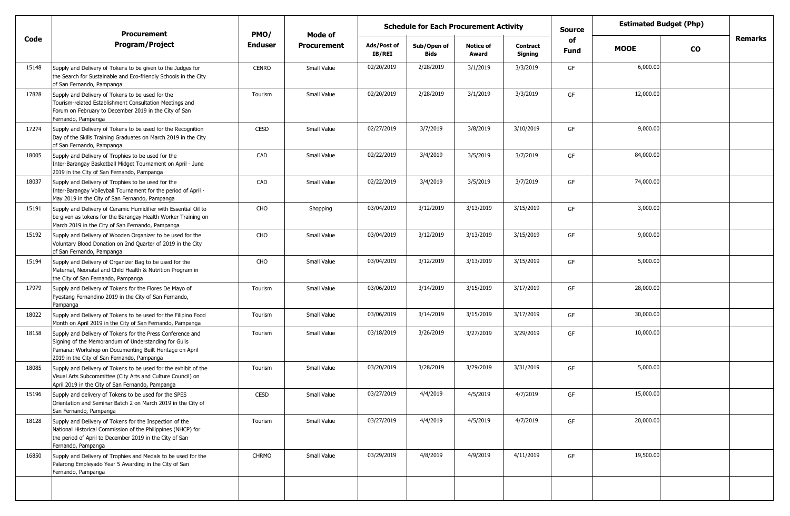|       | <b>Procurement</b>                                                                                                                                                                                                          | PMO/         | Mode of            | <b>Schedule for Each Procurement Activity</b> |                     |                           |                            | <b>Source</b> | <b>Estimated Budget (Php)</b> |           |         |
|-------|-----------------------------------------------------------------------------------------------------------------------------------------------------------------------------------------------------------------------------|--------------|--------------------|-----------------------------------------------|---------------------|---------------------------|----------------------------|---------------|-------------------------------|-----------|---------|
| Code  | <b>Program/Project</b>                                                                                                                                                                                                      | Enduser      | <b>Procurement</b> | Ads/Post of<br>IB/REI                         | Sub/Open of<br>Bids | <b>Notice of</b><br>Award | <b>Contract</b><br>Signing | of<br>Fund    | <b>MOOE</b>                   | <b>CO</b> | Remarks |
| 15148 | Supply and Delivery of Tokens to be given to the Judges for<br>the Search for Sustainable and Eco-friendly Schools in the City<br>of San Fernando, Pampanga                                                                 | <b>CENRO</b> | Small Value        | 02/20/2019                                    | 2/28/2019           | 3/1/2019                  | 3/3/2019                   | GF            | 6,000.00                      |           |         |
| 17828 | Supply and Delivery of Tokens to be used for the<br>Tourism-related Establishment Consultation Meetings and<br>Forum on February to December 2019 in the City of San<br>Fernando, Pampanga                                  | Tourism      | Small Value        | 02/20/2019                                    | 2/28/2019           | 3/1/2019                  | 3/3/2019                   | GF            | 12,000.00                     |           |         |
| 17274 | Supply and Delivery of Tokens to be used for the Recognition<br>Day of the Skills Training Graduates on March 2019 in the City<br>of San Fernando, Pampanga                                                                 | <b>CESD</b>  | Small Value        | 02/27/2019                                    | 3/7/2019            | 3/8/2019                  | 3/10/2019                  | GF            | 9,000.00                      |           |         |
| 18005 | Supply and Delivery of Trophies to be used for the<br>Inter-Barangay Basketball Midget Tournament on April - June<br>2019 in the City of San Fernando, Pampanga                                                             | CAD          | Small Value        | 02/22/2019                                    | 3/4/2019            | 3/5/2019                  | 3/7/2019                   | GF            | 84,000.00                     |           |         |
| 18037 | Supply and Delivery of Trophies to be used for the<br>Inter-Barangay Volleyball Tournament for the period of April -<br>May 2019 in the City of San Fernando, Pampanga                                                      | CAD          | Small Value        | 02/22/2019                                    | 3/4/2019            | 3/5/2019                  | 3/7/2019                   | GF            | 74,000.00                     |           |         |
| 15191 | Supply and Delivery of Ceramic Humidifier with Essential Oil to<br>be given as tokens for the Barangay Health Worker Training on<br>March 2019 in the City of San Fernando, Pampanga                                        | CHO          | Shopping           | 03/04/2019                                    | 3/12/2019           | 3/13/2019                 | 3/15/2019                  | GF            | 3,000.00                      |           |         |
| 15192 | Supply and Delivery of Wooden Organizer to be used for the<br>Voluntary Blood Donation on 2nd Quarter of 2019 in the City<br>of San Fernando, Pampanga                                                                      | CHO          | Small Value        | 03/04/2019                                    | 3/12/2019           | 3/13/2019                 | 3/15/2019                  | GF            | 9,000.00                      |           |         |
| 15194 | Supply and Delivery of Organizer Bag to be used for the<br>Maternal, Neonatal and Child Health & Nutrition Program in<br>the City of San Fernando, Pampanga                                                                 | CHO          | Small Value        | 03/04/2019                                    | 3/12/2019           | 3/13/2019                 | 3/15/2019                  | GF            | 5,000.00                      |           |         |
| 17979 | Supply and Delivery of Tokens for the Flores De Mayo of<br>Pyestang Fernandino 2019 in the City of San Fernando,<br>Pampanga                                                                                                | Tourism      | Small Value        | 03/06/2019                                    | 3/14/2019           | 3/15/2019                 | 3/17/2019                  | GF            | 28,000.00                     |           |         |
| 18022 | Supply and Delivery of Tokens to be used for the Filipino Food<br>Month on April 2019 in the City of San Fernando, Pampanga                                                                                                 | Tourism      | Small Value        | 03/06/2019                                    | 3/14/2019           | 3/15/2019                 | 3/17/2019                  | GF            | 30,000.00                     |           |         |
| 18158 | Supply and Delivery of Tokens for the Press Conference and<br>Signing of the Memorandum of Understanding for Gulis<br>Pamana: Workshop on Documenting Built Heritage on April<br>2019 in the City of San Fernando, Pampanga | Tourism      | Small Value        | 03/18/2019                                    | 3/26/2019           | 3/27/2019                 | 3/29/2019                  | GF            | 10,000.00                     |           |         |
| 18085 | Supply and Delivery of Tokens to be used for the exhibit of the<br>Visual Arts Subcommittee (City Arts and Culture Council) on<br>April 2019 in the City of San Fernando, Pampanga                                          | Tourism      | Small Value        | 03/20/2019                                    | 3/28/2019           | 3/29/2019                 | 3/31/2019                  | GF            | 5,000.00                      |           |         |
| 15196 | Supply and delivery of Tokens to be used for the SPES<br>Orientation and Seminar Batch 2 on March 2019 in the City of<br>San Fernando, Pampanga                                                                             | CESD         | Small Value        | 03/27/2019                                    | 4/4/2019            | 4/5/2019                  | 4/7/2019                   |               | 15,000.00                     |           |         |
| 18128 | Supply and Delivery of Tokens for the Inspection of the<br>National Historical Commission of the Philippines (NHCP) for<br>the period of April to December 2019 in the City of San<br>Fernando, Pampanga                    | Tourism      | Small Value        | 03/27/2019                                    | 4/4/2019            | 4/5/2019                  | 4/7/2019                   | GF            | 20,000.00                     |           |         |
| 16850 | Supply and Delivery of Trophies and Medals to be used for the<br>Palarong Empleyado Year 5 Awarding in the City of San<br>Fernando, Pampanga                                                                                | <b>CHRMO</b> | Small Value        | 03/29/2019                                    | 4/8/2019            | 4/9/2019                  | 4/11/2019                  | GF            | 19,500.00                     |           |         |
|       |                                                                                                                                                                                                                             |              |                    |                                               |                     |                           |                            |               |                               |           |         |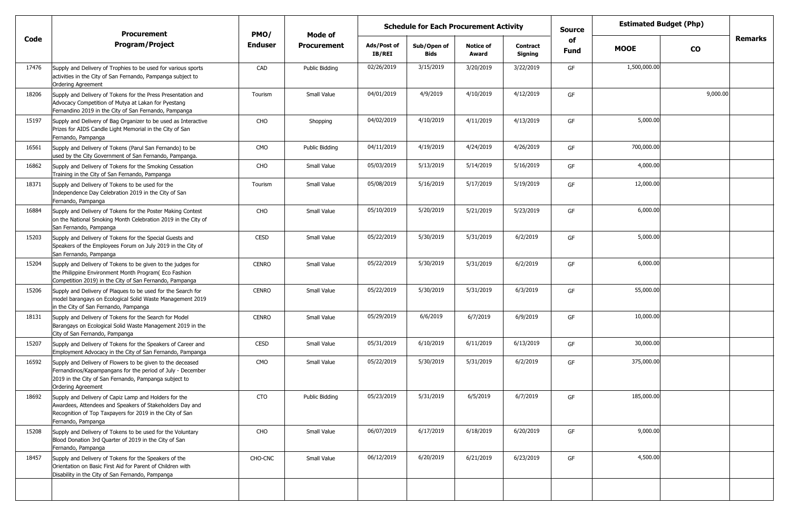|       | <b>Procurement</b>                                                                                                                                                                                      | PMO/           | Mode of            | <b>Schedule for Each Procurement Activity</b> |                            |                           |                            | <b>Source</b> | <b>Estimated Budget (Php)</b> |           |         |
|-------|---------------------------------------------------------------------------------------------------------------------------------------------------------------------------------------------------------|----------------|--------------------|-----------------------------------------------|----------------------------|---------------------------|----------------------------|---------------|-------------------------------|-----------|---------|
| Code  | <b>Program/Project</b>                                                                                                                                                                                  | <b>Enduser</b> | <b>Procurement</b> | Ads/Post of<br>IB/REI                         | Sub/Open of<br><b>Bids</b> | <b>Notice of</b><br>Award | <b>Contract</b><br>Signing | of<br>Fund    | <b>MOOE</b>                   | <b>CO</b> | Remarks |
| 17476 | Supply and Delivery of Trophies to be used for various sports<br>activities in the City of San Fernando, Pampanga subject to<br><b>Ordering Agreement</b>                                               | CAD            | Public Bidding     | 02/26/2019                                    | 3/15/2019                  | 3/20/2019                 | 3/22/2019                  | GF            | 1,500,000.00                  |           |         |
| 18206 | Supply and Delivery of Tokens for the Press Presentation and<br>Advocacy Competition of Mutya at Lakan for Pyestang<br>Fernandino 2019 in the City of San Fernando, Pampanga                            | Tourism        | Small Value        | 04/01/2019                                    | 4/9/2019                   | 4/10/2019                 | 4/12/2019                  | GF            |                               | 9,000.00  |         |
| 15197 | Supply and Delivery of Bag Organizer to be used as Interactive<br>Prizes for AIDS Candle Light Memorial in the City of San<br>Fernando, Pampanga                                                        | CHO            | Shopping           | 04/02/2019                                    | 4/10/2019                  | 4/11/2019                 | 4/13/2019                  | GF            | 5,000.00                      |           |         |
| 16561 | Supply and Delivery of Tokens (Parul San Fernando) to be<br>used by the City Government of San Fernando, Pampanga.                                                                                      | CMO            | Public Bidding     | 04/11/2019                                    | 4/19/2019                  | 4/24/2019                 | 4/26/2019                  | GF            | 700,000.00                    |           |         |
| 16862 | Supply and Delivery of Tokens for the Smoking Cessation<br>Training in the City of San Fernando, Pampanga                                                                                               | CHO            | Small Value        | 05/03/2019                                    | 5/13/2019                  | 5/14/2019                 | 5/16/2019                  | GF            | 4,000.00                      |           |         |
| 18371 | Supply and Delivery of Tokens to be used for the<br>Independence Day Celebration 2019 in the City of San<br>Fernando, Pampanga                                                                          | Tourism        | Small Value        | 05/08/2019                                    | 5/16/2019                  | 5/17/2019                 | 5/19/2019                  | GF            | 12,000.00                     |           |         |
| 16884 | Supply and Delivery of Tokens for the Poster Making Contest<br>on the National Smoking Month Celebration 2019 in the City of<br>San Fernando, Pampanga                                                  | CHO            | Small Value        | 05/10/2019                                    | 5/20/2019                  | 5/21/2019                 | 5/23/2019                  | GF            | 6,000.00                      |           |         |
| 15203 | Supply and Delivery of Tokens for the Special Guests and<br>Speakers of the Employees Forum on July 2019 in the City of<br>San Fernando, Pampanga                                                       | <b>CESD</b>    | Small Value        | 05/22/2019                                    | 5/30/2019                  | 5/31/2019                 | 6/2/2019                   | GF            | 5,000.00                      |           |         |
| 15204 | Supply and Delivery of Tokens to be given to the judges for<br>the Philippine Environment Month Program (Eco Fashion<br>Competition 2019) in the City of San Fernando, Pampanga                         | <b>CENRO</b>   | Small Value        | 05/22/2019                                    | 5/30/2019                  | 5/31/2019                 | 6/2/2019                   | GF            | 6,000.00                      |           |         |
| 15206 | Supply and Delivery of Plaques to be used for the Search for<br>model barangays on Ecological Solid Waste Management 2019<br>in the City of San Fernando, Pampanga                                      | <b>CENRO</b>   | Small Value        | 05/22/2019                                    | 5/30/2019                  | 5/31/2019                 | 6/3/2019                   | GF            | 55,000.00                     |           |         |
| 18131 | Supply and Delivery of Tokens for the Search for Model<br>Barangays on Ecological Solid Waste Management 2019 in the<br>City of San Fernando, Pampanga                                                  | <b>CENRO</b>   | Small Value        | 05/29/2019                                    | 6/6/2019                   | 6/7/2019                  | 6/9/2019                   | GF            | 10,000.00                     |           |         |
| 15207 | Supply and Delivery of Tokens for the Speakers of Career and<br>Employment Advocacy in the City of San Fernando, Pampanga                                                                               | <b>CESD</b>    | Small Value        | 05/31/2019                                    | 6/10/2019                  | 6/11/2019                 | 6/13/2019                  | GF            | 30,000.00                     |           |         |
| 16592 | Supply and Delivery of Flowers to be given to the deceased<br>Fernandinos/Kapampangans for the period of July - December<br>2019 in the City of San Fernando, Pampanga subject to<br>Ordering Agreement | <b>CMO</b>     | Small Value        | 05/22/2019                                    | 5/30/2019                  | 5/31/2019                 | 6/2/2019                   | GF            | 375,000.00                    |           |         |
| 18692 | Supply and Delivery of Capiz Lamp and Holders for the<br>Awardees, Attendees and Speakers of Stakeholders Day and<br>Recognition of Top Taxpayers for 2019 in the City of San<br>Fernando, Pampanga     | CTO            | Public Bidding     | 05/23/2019                                    | 5/31/2019                  | 6/5/2019                  | 6/7/2019                   | GF            | 185,000.00                    |           |         |
| 15208 | Supply and Delivery of Tokens to be used for the Voluntary<br>Blood Donation 3rd Quarter of 2019 in the City of San<br>Fernando, Pampanga                                                               | CHO            | Small Value        | 06/07/2019                                    | 6/17/2019                  | 6/18/2019                 | 6/20/2019                  | GF            | 9,000.00                      |           |         |
| 18457 | Supply and Delivery of Tokens for the Speakers of the<br>Orientation on Basic First Aid for Parent of Children with<br>Disability in the City of San Fernando, Pampanga                                 | CHO-CNC        | Small Value        | 06/12/2019                                    | 6/20/2019                  | 6/21/2019                 | 6/23/2019                  | GF            | 4,500.00                      |           |         |
|       |                                                                                                                                                                                                         |                |                    |                                               |                            |                           |                            |               |                               |           |         |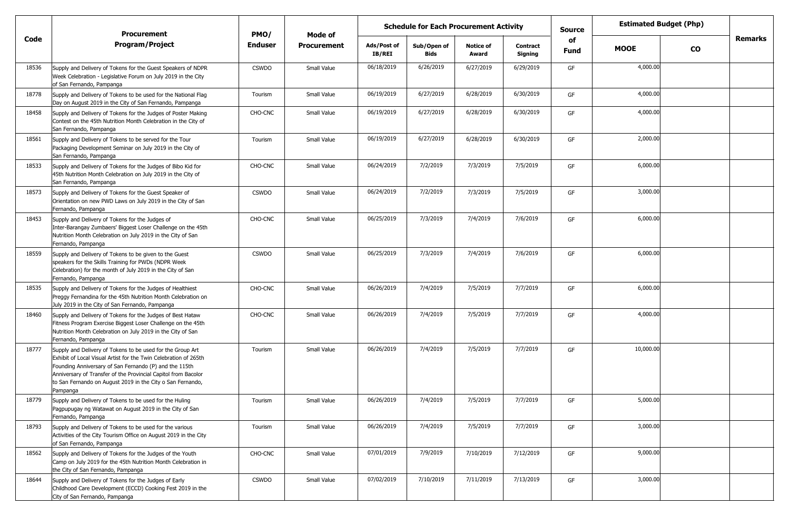|       | <b>Procurement</b>                                                                                                                                                                                                                                                                                                                   | PMO/           | Mode of            | <b>Schedule for Each Procurement Activity</b> |                     |                           |                            |                   |             | <b>Estimated Budget (Php)</b> |         |
|-------|--------------------------------------------------------------------------------------------------------------------------------------------------------------------------------------------------------------------------------------------------------------------------------------------------------------------------------------|----------------|--------------------|-----------------------------------------------|---------------------|---------------------------|----------------------------|-------------------|-------------|-------------------------------|---------|
| Code  | <b>Program/Project</b>                                                                                                                                                                                                                                                                                                               | <b>Enduser</b> | <b>Procurement</b> | Ads/Post of<br>IB/REI                         | Sub/Open of<br>Bids | <b>Notice of</b><br>Award | <b>Contract</b><br>Signing | of<br><b>Fund</b> | <b>MOOE</b> | $\mathbf{co}$                 | Remarks |
| 18536 | Supply and Delivery of Tokens for the Guest Speakers of NDPR<br>Week Celebration - Legislative Forum on July 2019 in the City<br>of San Fernando, Pampanga                                                                                                                                                                           | <b>CSWDO</b>   | Small Value        | 06/18/2019                                    | 6/26/2019           | 6/27/2019                 | 6/29/2019                  | GF                | 4,000.00    |                               |         |
| 18778 | Supply and Delivery of Tokens to be used for the National Flag<br>Day on August 2019 in the City of San Fernando, Pampanga                                                                                                                                                                                                           | Tourism        | Small Value        | 06/19/2019                                    | 6/27/2019           | 6/28/2019                 | 6/30/2019                  | GF                | 4,000.00    |                               |         |
| 18458 | Supply and Delivery of Tokens for the Judges of Poster Making<br>Contest on the 45th Nutrition Month Celebration in the City of<br>San Fernando, Pampanga                                                                                                                                                                            | CHO-CNC        | Small Value        | 06/19/2019                                    | 6/27/2019           | 6/28/2019                 | 6/30/2019                  | GF                | 4,000.00    |                               |         |
| 18561 | Supply and Delivery of Tokens to be served for the Tour<br>Packaging Development Seminar on July 2019 in the City of<br>San Fernando, Pampanga                                                                                                                                                                                       | Tourism        | Small Value        | 06/19/2019                                    | 6/27/2019           | 6/28/2019                 | 6/30/2019                  | GF                | 2,000.00    |                               |         |
| 18533 | Supply and Delivery of Tokens for the Judges of Bibo Kid for<br>45th Nutrition Month Celebration on July 2019 in the City of<br>San Fernando, Pampanga                                                                                                                                                                               | CHO-CNC        | Small Value        | 06/24/2019                                    | 7/2/2019            | 7/3/2019                  | 7/5/2019                   | GF                | 6,000.00    |                               |         |
| 18573 | Supply and Delivery of Tokens for the Guest Speaker of<br>Orientation on new PWD Laws on July 2019 in the City of San<br>Fernando, Pampanga                                                                                                                                                                                          | <b>CSWDO</b>   | Small Value        | 06/24/2019                                    | 7/2/2019            | 7/3/2019                  | 7/5/2019                   | GF                | 3,000.00    |                               |         |
| 18453 | Supply and Delivery of Tokens for the Judges of<br>Inter-Barangay Zumbaers' Biggest Loser Challenge on the 45th<br>Nutrition Month Celebration on July 2019 in the City of San<br>Fernando, Pampanga                                                                                                                                 | CHO-CNC        | Small Value        | 06/25/2019                                    | 7/3/2019            | 7/4/2019                  | 7/6/2019                   | GF                | 6,000.00    |                               |         |
| 18559 | Supply and Delivery of Tokens to be given to the Guest<br>speakers for the Skills Training for PWDs (NDPR Week<br>Celebration) for the month of July 2019 in the City of San<br>Fernando, Pampanga                                                                                                                                   | <b>CSWDO</b>   | Small Value        | 06/25/2019                                    | 7/3/2019            | 7/4/2019                  | 7/6/2019                   | GF                | 6,000.00    |                               |         |
| 18535 | Supply and Delivery of Tokens for the Judges of Healthiest<br>Preggy Fernandina for the 45th Nutrition Month Celebration on<br>July 2019 in the City of San Fernando, Pampanga                                                                                                                                                       | <b>CHO-CNC</b> | Small Value        | 06/26/2019                                    | 7/4/2019            | 7/5/2019                  | 7/7/2019                   | GF                | 6,000.00    |                               |         |
| 18460 | Supply and Delivery of Tokens for the Judges of Best Hataw<br>Fitness Program Exercise Biggest Loser Challenge on the 45th<br>Nutrition Month Celebration on July 2019 in the City of San<br>Fernando, Pampanga                                                                                                                      | CHO-CNC        | Small Value        | 06/26/2019                                    | 7/4/2019            | 7/5/2019                  | 7/7/2019                   | GF                | 4,000.00    |                               |         |
| 18777 | Supply and Delivery of Tokens to be used for the Group Art<br>Exhibit of Local Visual Artist for the Twin Celebration of 265th<br>Founding Anniversary of San Fernando (P) and the 115th<br>Anniversary of Transfer of the Provincial Capitol from Bacolor<br>to San Fernando on August 2019 in the City o San Fernando,<br>Pampanga | Tourism        | Small Value        | 06/26/2019                                    | 7/4/2019            | 7/5/2019                  | 7/7/2019                   | GF                | 10,000.00   |                               |         |
| 18779 | Supply and Delivery of Tokens to be used for the Huling<br>Pagpupugay ng Watawat on August 2019 in the City of San<br>Fernando, Pampanga                                                                                                                                                                                             | Tourism        | Small Value        | 06/26/2019                                    | 7/4/2019            | 7/5/2019                  | 7/7/2019                   | GF                | 5,000.00    |                               |         |
| 18793 | Supply and Delivery of Tokens to be used for the various<br>Activities of the City Tourism Office on August 2019 in the City<br>of San Fernando, Pampanga                                                                                                                                                                            | Tourism        | Small Value        | 06/26/2019                                    | 7/4/2019            | 7/5/2019                  | 7/7/2019                   | GF                | 3,000.00    |                               |         |
| 18562 | Supply and Delivery of Tokens for the Judges of the Youth<br>Camp on July 2019 for the 45th Nutrition Month Celebration in<br>the City of San Fernando, Pampanga                                                                                                                                                                     | CHO-CNC        | Small Value        | 07/01/2019                                    | 7/9/2019            | 7/10/2019                 | 7/12/2019                  | GF                | 9,000.00    |                               |         |
| 18644 | Supply and Delivery of Tokens for the Judges of Early<br>Childhood Care Development (ECCD) Cooking Fest 2019 in the<br>City of San Fernando, Pampanga                                                                                                                                                                                | <b>CSWDO</b>   | Small Value        | 07/02/2019                                    | 7/10/2019           | 7/11/2019                 | 7/13/2019                  | GF                | 3,000.00    |                               |         |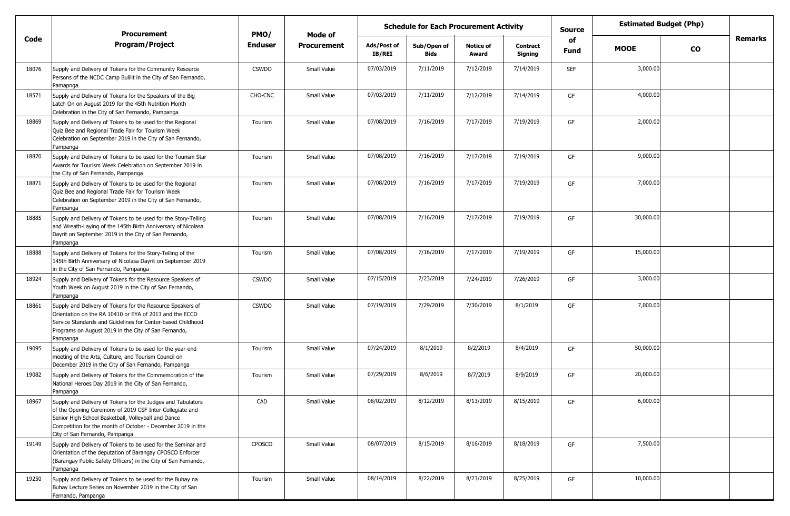|       | <b>Procurement</b>                                                                                                                                                                                                                                                              | PMO/           | Mode of            | <b>Schedule for Each Procurement Activity</b> |                            |                           |                            |                   | <b>Estimated Budget (Php)</b> |           |         |
|-------|---------------------------------------------------------------------------------------------------------------------------------------------------------------------------------------------------------------------------------------------------------------------------------|----------------|--------------------|-----------------------------------------------|----------------------------|---------------------------|----------------------------|-------------------|-------------------------------|-----------|---------|
| Code  | <b>Program/Project</b>                                                                                                                                                                                                                                                          | <b>Enduser</b> | <b>Procurement</b> | Ads/Post of<br><b>IB/REI</b>                  | Sub/Open of<br><b>Bids</b> | <b>Notice of</b><br>Award | <b>Contract</b><br>Signing | of<br><b>Fund</b> | <b>MOOE</b>                   | <b>CO</b> | Remarks |
| 18076 | Supply and Delivery of Tokens for the Community Resource<br>Persons of the NCDC Camp Bulilit in the City of San Fernando,<br>Pamapnga                                                                                                                                           | <b>CSWDO</b>   | Small Value        | 07/03/2019                                    | 7/11/2019                  | 7/12/2019                 | 7/14/2019                  | <b>SEF</b>        | 3,000.00                      |           |         |
| 18571 | Supply and Delivery of Tokens for the Speakers of the Big<br>Latch On on August 2019 for the 45th Nutrition Month<br>Celebration in the City of San Fernando, Pampanga                                                                                                          | CHO-CNC        | Small Value        | 07/03/2019                                    | 7/11/2019                  | 7/12/2019                 | 7/14/2019                  | GF                | 4,000.00                      |           |         |
| 18869 | Supply and Delivery of Tokens to be used for the Regional<br>Quiz Bee and Regional Trade Fair for Tourism Week<br>Celebration on September 2019 in the City of San Fernando,<br>Pampanga                                                                                        | Tourism        | Small Value        | 07/08/2019                                    | 7/16/2019                  | 7/17/2019                 | 7/19/2019                  | GF                | 2,000.00                      |           |         |
| 18870 | Supply and Delivery of Tokens to be used for the Tourism Star<br>Awards for Tourism Week Celebration on September 2019 in<br>the City of San Fernando, Pampanga                                                                                                                 | Tourism        | Small Value        | 07/08/2019                                    | 7/16/2019                  | 7/17/2019                 | 7/19/2019                  | GF                | 9,000.00                      |           |         |
| 18871 | Supply and Delivery of Tokens to be used for the Regional<br>Quiz Bee and Regional Trade Fair for Tourism Week<br>Celebration on September 2019 in the City of San Fernando,<br>Pampanga                                                                                        | Tourism        | Small Value        | 07/08/2019                                    | 7/16/2019                  | 7/17/2019                 | 7/19/2019                  | GF                | 7,000.00                      |           |         |
| 18885 | Supply and Delivery of Tokens to be used for the Story-Telling<br>and Wreath-Laying of the 145th Birth Anniversary of Nicolasa<br>Dayrit on September 2019 in the City of San Fernando,<br>Pampanga                                                                             | Tourism        | Small Value        | 07/08/2019                                    | 7/16/2019                  | 7/17/2019                 | 7/19/2019                  | GF                | 30,000.00                     |           |         |
| 18888 | Supply and Delivery of Tokens for the Story-Telling of the<br>145th Birth Anniversary of Nicolasa Dayrit on September 2019<br>in the City of San Fernando, Pampanga                                                                                                             | Tourism        | Small Value        | 07/08/2019                                    | 7/16/2019                  | 7/17/2019                 | 7/19/2019                  | GF                | 15,000.00                     |           |         |
| 18924 | Supply and Delivery of Tokens for the Resource Speakers of<br>Youth Week on August 2019 in the City of San Fernando,<br>Pampanga                                                                                                                                                | <b>CSWDO</b>   | Small Value        | 07/15/2019                                    | 7/23/2019                  | 7/24/2019                 | 7/26/2019                  | GF                | 3,000.00                      |           |         |
| 18861 | Supply and Delivery of Tokens for the Resource Speakers of<br>Orientation on the RA 10410 or EYA of 2013 and the ECCD<br>Service Standards and Guidelines for Center-based Childhood<br>Programs on August 2019 in the City of San Fernando,<br>Pampanga                        | <b>CSWDO</b>   | Small Value        | 07/19/2019                                    | 7/29/2019                  | 7/30/2019                 | 8/1/2019                   | GF                | 7,000.00                      |           |         |
| 19095 | Supply and Delivery of Tokens to be used for the year-end<br>meeting of the Arts, Culture, and Tourism Council on<br>December 2019 in the City of San Fernando, Pampanga                                                                                                        | Tourism        | Small Value        | 07/24/2019                                    | 8/1/2019                   | 8/2/2019                  | 8/4/2019                   | GF                | 50,000.00                     |           |         |
| 19082 | Supply and Delivery of Tokens for the Commemoration of the<br>National Heroes Day 2019 in the City of San Fernando,<br>Pampanga                                                                                                                                                 | Tourism        | Small Value        | 07/29/2019                                    | 8/6/2019                   | 8/7/2019                  | 8/9/2019                   | GF                | 20,000.00                     |           |         |
| 18967 | Supply and Delivery of Tokens for the Judges and Tabulators<br>of the Opening Ceremony of 2019 CSF Inter-Collegiate and<br>Senior High School Basketball, Volleyball and Dance<br>Competition for the month of October - December 2019 in the<br>City of San Fernando, Pampanga | CAD            | Small Value        | 08/02/2019                                    | 8/12/2019                  | 8/13/2019                 | 8/15/2019                  | GF                | 6,000.00                      |           |         |
| 19149 | Supply and Delivery of Tokens to be used for the Seminar and<br>Orientation of the deputation of Barangay CPOSCO Enforcer<br>(Barangay Public Safety Officers) in the City of San Fernando,<br>Pampanga                                                                         | <b>CPOSCO</b>  | Small Value        | 08/07/2019                                    | 8/15/2019                  | 8/16/2019                 | 8/18/2019                  | GF                | 7,500.00                      |           |         |
| 19250 | Supply and Delivery of Tokens to be used for the Buhay na<br>Buhay Lecture Series on November 2019 in the City of San<br>Fernando, Pampanga                                                                                                                                     | Tourism        | Small Value        | 08/14/2019                                    | 8/22/2019                  | 8/23/2019                 | 8/25/2019                  | GF                | 10,000.00                     |           |         |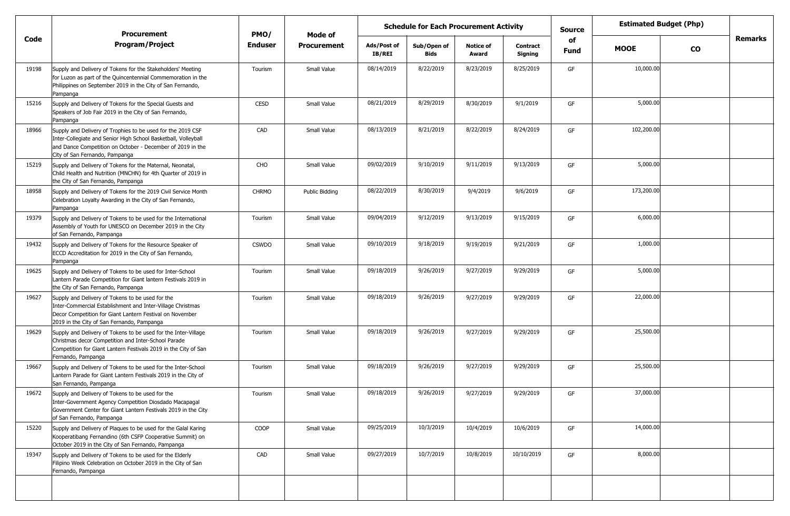|       | <b>Procurement</b>                                                                                                                                                                                                            | PMO/           | <b>Mode of</b>     | <b>Schedule for Each Procurement Activity</b> |                            |                           |                            |            | <b>Estimated Budget (Php)</b> |           |         |
|-------|-------------------------------------------------------------------------------------------------------------------------------------------------------------------------------------------------------------------------------|----------------|--------------------|-----------------------------------------------|----------------------------|---------------------------|----------------------------|------------|-------------------------------|-----------|---------|
| Code  | <b>Program/Project</b>                                                                                                                                                                                                        | <b>Enduser</b> | <b>Procurement</b> | Ads/Post of<br>IB/REI                         | Sub/Open of<br><b>Bids</b> | <b>Notice of</b><br>Award | <b>Contract</b><br>Signing | of<br>Fund | <b>MOOE</b>                   | <b>CO</b> | Remarks |
| 19198 | Supply and Delivery of Tokens for the Stakeholders' Meeting<br>for Luzon as part of the Quincentennial Commemoration in the<br>Philippines on September 2019 in the City of San Fernando,<br>Pampanga                         | Tourism        | Small Value        | 08/14/2019                                    | 8/22/2019                  | 8/23/2019                 | 8/25/2019                  | GF         | 10,000.00                     |           |         |
| 15216 | Supply and Delivery of Tokens for the Special Guests and<br>Speakers of Job Fair 2019 in the City of San Fernando,<br>Pampanga                                                                                                | CESD           | Small Value        | 08/21/2019                                    | 8/29/2019                  | 8/30/2019                 | 9/1/2019                   | GF         | 5,000.00                      |           |         |
| 18966 | Supply and Delivery of Trophies to be used for the 2019 CSF<br>Inter-Collegiate and Senior High School Basketball, Volleyball<br>and Dance Competition on October - December of 2019 in the<br>City of San Fernando, Pampanga | CAD            | Small Value        | 08/13/2019                                    | 8/21/2019                  | 8/22/2019                 | 8/24/2019                  | GF         | 102,200.00                    |           |         |
| 15219 | Supply and Delivery of Tokens for the Maternal, Neonatal,<br>Child Health and Nutrition (MNCHN) for 4th Quarter of 2019 in<br>the City of San Fernando, Pampanga                                                              | CHO            | Small Value        | 09/02/2019                                    | 9/10/2019                  | 9/11/2019                 | 9/13/2019                  | GF         | 5,000.00                      |           |         |
| 18958 | Supply and Delivery of Tokens for the 2019 Civil Service Month<br>Celebration Loyalty Awarding in the City of San Fernando,<br>Pampanga                                                                                       | <b>CHRMO</b>   | Public Bidding     | 08/22/2019                                    | 8/30/2019                  | 9/4/2019                  | 9/6/2019                   | GF         | 173,200.00                    |           |         |
| 19379 | Supply and Delivery of Tokens to be used for the International<br>Assembly of Youth for UNESCO on December 2019 in the City<br>of San Fernando, Pampanga                                                                      | Tourism        | Small Value        | 09/04/2019                                    | 9/12/2019                  | 9/13/2019                 | 9/15/2019                  | GF         | 6,000.00                      |           |         |
| 19432 | Supply and Delivery of Tokens for the Resource Speaker of<br>ECCD Accreditation for 2019 in the City of San Fernando,<br>Pampanga                                                                                             | <b>CSWDO</b>   | Small Value        | 09/10/2019                                    | 9/18/2019                  | 9/19/2019                 | 9/21/2019                  | GF         | 1,000.00                      |           |         |
| 19625 | Supply and Delivery of Tokens to be used for Inter-School<br>Lantern Parade Competition for Giant lantern Festivals 2019 in<br>the City of San Fernando, Pampanga                                                             | Tourism        | Small Value        | 09/18/2019                                    | 9/26/2019                  | 9/27/2019                 | 9/29/2019                  | GF         | 5,000.00                      |           |         |
| 19627 | Supply and Delivery of Tokens to be used for the<br>Inter-Commercial Establishment and Inter-Village Christmas<br>Decor Competition for Giant Lantern Festival on November<br>2019 in the City of San Fernando, Pampanga      | Tourism        | Small Value        | 09/18/2019                                    | 9/26/2019                  | 9/27/2019                 | 9/29/2019                  | GF         | 22,000.00                     |           |         |
| 19629 | Supply and Delivery of Tokens to be used for the Inter-Village<br>Christmas decor Competition and Inter-School Parade<br>Competition for Giant Lantern Festivals 2019 in the City of San<br>Fernando, Pampanga                | Tourism        | Small Value        | 09/18/2019                                    | 9/26/2019                  | 9/27/2019                 | 9/29/2019                  | GF         | 25,500.00                     |           |         |
| 19667 | Supply and Delivery of Tokens to be used for the Inter-School<br>Lantern Parade for Giant Lantern Festivals 2019 in the City of<br>San Fernando, Pampanga                                                                     | Tourism        | Small Value        | 09/18/2019                                    | 9/26/2019                  | 9/27/2019                 | 9/29/2019                  | GF         | 25,500.00                     |           |         |
| 19672 | Supply and Delivery of Tokens to be used for the<br>Inter-Government Agency Competition Diosdado Macapagal<br>Government Center for Giant Lantern Festivals 2019 in the City<br>of San Fernando, Pampanga                     | Tourism        | Small Value        | 09/18/2019                                    | 9/26/2019                  | 9/27/2019                 | 9/29/2019                  | GF         | 37,000.00                     |           |         |
| 15220 | Supply and Delivery of Plaques to be used for the Galal Karing<br>Kooperatibang Fernandino (6th CSFP Cooperative Summit) on<br>October 2019 in the City of San Fernando, Pampanga                                             | COOP           | Small Value        | 09/25/2019                                    | 10/3/2019                  | 10/4/2019                 | 10/6/2019                  | GF         | 14,000.00                     |           |         |
| 19347 | Supply and Delivery of Tokens to be used for the Elderly<br>Filipino Week Celebration on October 2019 in the City of San<br>Fernando, Pampanga                                                                                | CAD            | Small Value        | 09/27/2019                                    | 10/7/2019                  | 10/8/2019                 | 10/10/2019                 | GF         | 8,000.00                      |           |         |
|       |                                                                                                                                                                                                                               |                |                    |                                               |                            |                           |                            |            |                               |           |         |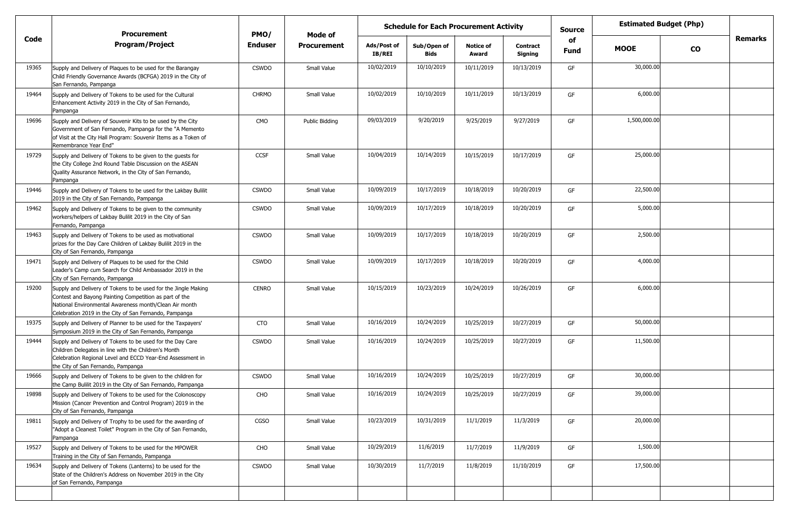|       | <b>Procurement</b>                                                                                                                                                                                                                           | PMO/         | <b>Schedule for Each Procurement Activity</b><br>Mode of |                              |                            |                           |                            | <b>Source</b>     | <b>Estimated Budget (Php)</b> |           |         |
|-------|----------------------------------------------------------------------------------------------------------------------------------------------------------------------------------------------------------------------------------------------|--------------|----------------------------------------------------------|------------------------------|----------------------------|---------------------------|----------------------------|-------------------|-------------------------------|-----------|---------|
| Code  | <b>Program/Project</b>                                                                                                                                                                                                                       | Enduser      | <b>Procurement</b>                                       | Ads/Post of<br><b>IB/REI</b> | Sub/Open of<br><b>Bids</b> | <b>Notice of</b><br>Award | <b>Contract</b><br>Signing | of<br><b>Fund</b> | <b>MOOE</b>                   | <b>CO</b> | Remarks |
| 19365 | Supply and Delivery of Plaques to be used for the Barangay<br>Child Friendly Governance Awards (BCFGA) 2019 in the City of<br>San Fernando, Pampanga                                                                                         | <b>CSWDO</b> | Small Value                                              | 10/02/2019                   | 10/10/2019                 | 10/11/2019                | 10/13/2019                 | GF                | 30,000.00                     |           |         |
| 19464 | Supply and Delivery of Tokens to be used for the Cultural<br>Enhancement Activity 2019 in the City of San Fernando,<br>Pampanga                                                                                                              | <b>CHRMO</b> | Small Value                                              | 10/02/2019                   | 10/10/2019                 | 10/11/2019                | 10/13/2019                 | GF                | 6,000.00                      |           |         |
| 19696 | Supply and Delivery of Souvenir Kits to be used by the City<br>Government of San Fernando, Pampanga for the "A Memento"<br>of Visit at the City Hall Program: Souvenir Items as a Token of<br>Remembrance Year End"                          | CMO          | Public Bidding                                           | 09/03/2019                   | 9/20/2019                  | 9/25/2019                 | 9/27/2019                  | GF                | 1,500,000.00                  |           |         |
| 19729 | Supply and Delivery of Tokens to be given to the guests for<br>the City College 2nd Round Table Discussion on the ASEAN<br>Quality Assurance Network, in the City of San Fernando,<br>Pampanga                                               | <b>CCSF</b>  | Small Value                                              | 10/04/2019                   | 10/14/2019                 | 10/15/2019                | 10/17/2019                 | GF                | 25,000.00                     |           |         |
| 19446 | Supply and Delivery of Tokens to be used for the Lakbay Bulilit<br>2019 in the City of San Fernando, Pampanga                                                                                                                                | <b>CSWDO</b> | Small Value                                              | 10/09/2019                   | 10/17/2019                 | 10/18/2019                | 10/20/2019                 | GF                | 22,500.00                     |           |         |
| 19462 | Supply and Delivery of Tokens to be given to the community<br>workers/helpers of Lakbay Bulilit 2019 in the City of San<br>Fernando, Pampanga                                                                                                | <b>CSWDO</b> | Small Value                                              | 10/09/2019                   | 10/17/2019                 | 10/18/2019                | 10/20/2019                 | GF                | 5,000.00                      |           |         |
| 19463 | Supply and Delivery of Tokens to be used as motivational<br>prizes for the Day Care Children of Lakbay Bulilit 2019 in the<br>City of San Fernando, Pampanga                                                                                 | <b>CSWDO</b> | Small Value                                              | 10/09/2019                   | 10/17/2019                 | 10/18/2019                | 10/20/2019                 | GF                | 2,500.00                      |           |         |
| 19471 | Supply and Delivery of Plaques to be used for the Child<br>Leader's Camp cum Search for Child Ambassador 2019 in the<br>City of San Fernando, Pampanga                                                                                       | <b>CSWDO</b> | Small Value                                              | 10/09/2019                   | 10/17/2019                 | 10/18/2019                | 10/20/2019                 | GF                | 4,000.00                      |           |         |
| 19200 | Supply and Delivery of Tokens to be used for the Jingle Making<br>Contest and Bayong Painting Competition as part of the<br>National Environmental Awareness month/Clean Air month<br>Celebration 2019 in the City of San Fernando, Pampanga | <b>CENRO</b> | Small Value                                              | 10/15/2019                   | 10/23/2019                 | 10/24/2019                | 10/26/2019                 | GF                | 6,000.00                      |           |         |
| 19375 | Supply and Delivery of Planner to be used for the Taxpayers'<br>Symposium 2019 in the City of San Fernando, Pampanga                                                                                                                         | <b>CTO</b>   | Small Value                                              | 10/16/2019                   | 10/24/2019                 | 10/25/2019                | 10/27/2019                 | GF                | 50,000.00                     |           |         |
| 19444 | Supply and Delivery of Tokens to be used for the Day Care<br>Children Delegates in line with the Children's Month<br>Celebration Regional Level and ECCD Year-End Assessment in<br>the City of San Fernando, Pampanga                        | <b>CSWDO</b> | Small Value                                              | 10/16/2019                   | 10/24/2019                 | 10/25/2019                | 10/27/2019                 | GF                | 11,500.00                     |           |         |
| 19666 | Supply and Delivery of Tokens to be given to the children for<br>the Camp Bulilit 2019 in the City of San Fernando, Pampanga                                                                                                                 | <b>CSWDO</b> | Small Value                                              | 10/16/2019                   | 10/24/2019                 | 10/25/2019                | 10/27/2019                 | GF                | 30,000.00                     |           |         |
| 19898 | Supply and Delivery of Tokens to be used for the Colonoscopy<br>Mission (Cancer Prevention and Control Program) 2019 in the<br>City of San Fernando, Pampanga                                                                                | CHO          | Small Value                                              | 10/16/2019                   | 10/24/2019                 | 10/25/2019                | 10/27/2019                 |                   | 39,000.00                     |           |         |
| 19811 | Supply and Delivery of Trophy to be used for the awarding of<br>"Adopt a Cleanest Toilet" Program in the City of San Fernando,<br>Pampanga                                                                                                   | CGSO         | Small Value                                              | 10/23/2019                   | 10/31/2019                 | 11/1/2019                 | 11/3/2019                  | GF                | 20,000.00                     |           |         |
| 19527 | Supply and Delivery of Tokens to be used for the MPOWER<br>Training in the City of San Fernando, Pampanga                                                                                                                                    | CHO          | Small Value                                              | 10/29/2019                   | 11/6/2019                  | 11/7/2019                 | 11/9/2019                  | GF                | 1,500.00                      |           |         |
| 19634 | Supply and Delivery of Tokens (Lanterns) to be used for the<br>State of the Children's Address on November 2019 in the City<br>of San Fernando, Pampanga                                                                                     | <b>CSWDO</b> | Small Value                                              | 10/30/2019                   | 11/7/2019                  | 11/8/2019                 | 11/10/2019                 | GF                | 17,500.00                     |           |         |
|       |                                                                                                                                                                                                                                              |              |                                                          |                              |                            |                           |                            |                   |                               |           |         |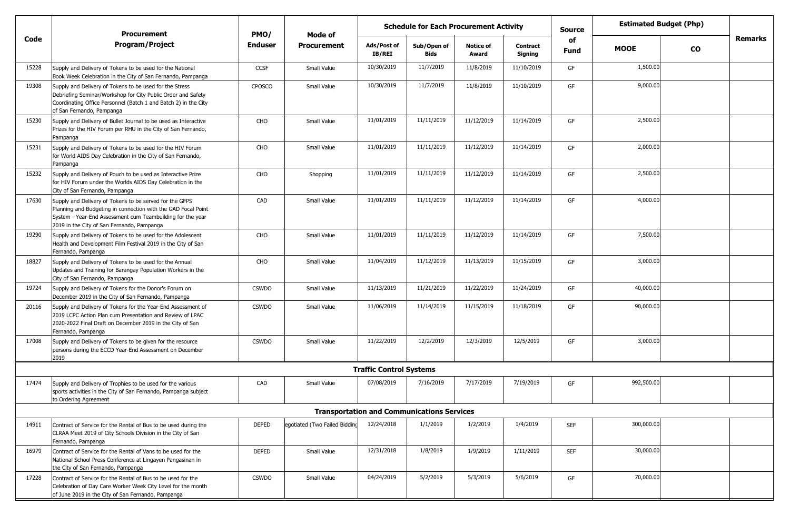|       | <b>Procurement</b>                                                                                                                                                                                                                   | PMO/           | Mode of                       | <b>Schedule for Each Procurement Activity</b> |                                                   |                           |                     | <b>Source</b>     |             | <b>Estimated Budget (Php)</b> |         |
|-------|--------------------------------------------------------------------------------------------------------------------------------------------------------------------------------------------------------------------------------------|----------------|-------------------------------|-----------------------------------------------|---------------------------------------------------|---------------------------|---------------------|-------------------|-------------|-------------------------------|---------|
| Code  | <b>Program/Project</b>                                                                                                                                                                                                               | <b>Enduser</b> | <b>Procurement</b>            | Ads/Post of<br><b>IB/REI</b>                  | Sub/Open of<br><b>Bids</b>                        | <b>Notice of</b><br>Award | Contract<br>Signing | of<br><b>Fund</b> | <b>MOOE</b> | <b>CO</b>                     | Remarks |
| 15228 | Supply and Delivery of Tokens to be used for the National<br>Book Week Celebration in the City of San Fernando, Pampanga                                                                                                             | <b>CCSF</b>    | Small Value                   | 10/30/2019                                    | 11/7/2019                                         | 11/8/2019                 | 11/10/2019          | GF                | 1,500.00    |                               |         |
| 19308 | Supply and Delivery of Tokens to be used for the Stress<br>Debriefing Seminar/Workshop for City Public Order and Safety<br>Coordinating Office Personnel (Batch 1 and Batch 2) in the City<br>of San Fernando, Pampanga              | CPOSCO         | Small Value                   | 10/30/2019                                    | 11/7/2019                                         | 11/8/2019                 | 11/10/2019          | GF                | 9,000.00    |                               |         |
| 15230 | Supply and Delivery of Bullet Journal to be used as Interactive<br>Prizes for the HIV Forum per RHU in the City of San Fernando,<br>Pampanga                                                                                         | CHO            | Small Value                   | 11/01/2019                                    | 11/11/2019                                        | 11/12/2019                | 11/14/2019          | GF                | 2,500.00    |                               |         |
| 15231 | Supply and Delivery of Tokens to be used for the HIV Forum<br>for World AIDS Day Celebration in the City of San Fernando,<br>Pampanga                                                                                                | CHO            | Small Value                   | 11/01/2019                                    | 11/11/2019                                        | 11/12/2019                | 11/14/2019          | GF                | 2,000.00    |                               |         |
| 15232 | Supply and Delivery of Pouch to be used as Interactive Prize<br>for HIV Forum under the Worlds AIDS Day Celebration in the<br>City of San Fernando, Pampanga                                                                         | CHO            | Shopping                      | 11/01/2019                                    | 11/11/2019                                        | 11/12/2019                | 11/14/2019          | GF                | 2,500.00    |                               |         |
| 17630 | Supply and Delivery of Tokens to be served for the GFPS<br>Planning and Budgeting in connection with the GAD Focal Point<br>System - Year-End Assessment cum Teambuilding for the year<br>2019 in the City of San Fernando, Pampanga | CAD            | Small Value                   | 11/01/2019                                    | 11/11/2019                                        | 11/12/2019                | 11/14/2019          | GF                | 4,000.00    |                               |         |
| 19290 | Supply and Delivery of Tokens to be used for the Adolescent<br>Health and Development Film Festival 2019 in the City of San<br>Fernando, Pampanga                                                                                    | CHO            | Small Value                   | 11/01/2019                                    | 11/11/2019                                        | 11/12/2019                | 11/14/2019          | GF                | 7,500.00    |                               |         |
| 18827 | Supply and Delivery of Tokens to be used for the Annual<br>Updates and Training for Barangay Population Workers in the<br>City of San Fernando, Pampanga                                                                             | CHO            | Small Value                   | 11/04/2019                                    | 11/12/2019                                        | 11/13/2019                | 11/15/2019          | GF                | 3,000.00    |                               |         |
| 19724 | Supply and Delivery of Tokens for the Donor's Forum on<br>December 2019 in the City of San Fernando, Pampanga                                                                                                                        | <b>CSWDO</b>   | Small Value                   | 11/13/2019                                    | 11/21/2019                                        | 11/22/2019                | 11/24/2019          | GF                | 40,000.00   |                               |         |
| 20116 | Supply and Delivery of Tokens for the Year-End Assessment of<br>2019 LCPC Action Plan cum Presentation and Review of LPAC<br>2020-2022 Final Draft on December 2019 in the City of San<br>Fernando, Pampanga                         | <b>CSWDO</b>   | Small Value                   | 11/06/2019                                    | 11/14/2019                                        | 11/15/2019                | 11/18/2019          | GF                | 90,000.00   |                               |         |
| 17008 | Supply and Delivery of Tokens to be given for the resource<br>persons during the ECCD Year-End Assessment on December<br>2019                                                                                                        | <b>CSWDO</b>   | Small Value                   | 11/22/2019                                    | 12/2/2019                                         | 12/3/2019                 | 12/5/2019           | GF                | 3,000.00    |                               |         |
|       |                                                                                                                                                                                                                                      |                |                               | <b>Traffic Control Systems</b>                |                                                   |                           |                     |                   |             |                               |         |
| 17474 | Supply and Delivery of Trophies to be used for the various<br>sports activities in the City of San Fernando, Pampanga subject<br>to Ordering Agreement                                                                               | CAD            | Small Value                   | 07/08/2019                                    | 7/16/2019                                         | 7/17/2019                 | 7/19/2019           | GF                | 992,500.00  |                               |         |
|       |                                                                                                                                                                                                                                      |                |                               |                                               | <b>Transportation and Communications Services</b> |                           |                     |                   |             |                               |         |
| 14911 | Contract of Service for the Rental of Bus to be used during the<br>CLRAA Meet 2019 of City Schools Division in the City of San<br>Fernando, Pampanga                                                                                 | <b>DEPED</b>   | egotiated (Two Failed Bidding | 12/24/2018                                    | 1/1/2019                                          | 1/2/2019                  | 1/4/2019            | <b>SEF</b>        | 300,000.00  |                               |         |
| 16979 | Contract of Service for the Rental of Vans to be used for the<br>National School Press Conference at Lingayen Pangasinan in<br>the City of San Fernando, Pampanga                                                                    | DEPED          | Small Value                   | 12/31/2018                                    | 1/8/2019                                          | 1/9/2019                  | 1/11/2019           | <b>SEF</b>        | 30,000.00   |                               |         |
| 17228 | Contract of Service for the Rental of Bus to be used for the<br>Celebration of Day Care Worker Week City Level for the month<br>of June 2019 in the City of San Fernando, Pampanga                                                   | <b>CSWDO</b>   | Small Value                   | 04/24/2019                                    | 5/2/2019                                          | 5/3/2019                  | 5/6/2019            | GF                | 70,000.00   |                               |         |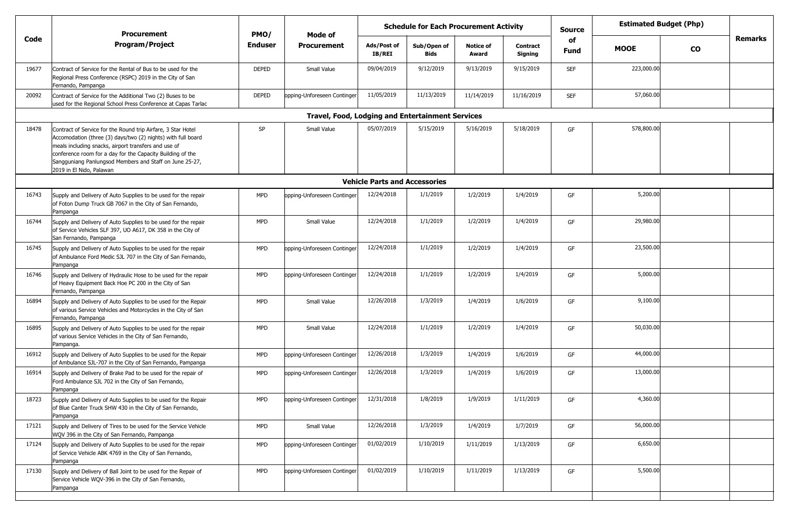|       | Procurement                                                                                                                                                                                                                                                                                                                               | PMO/           | Mode of                                                 | <b>Schedule for Each Procurement Activity</b> |                     |                           |                            | Source            | <b>Estimated Budget (Php)</b> |                             |  |
|-------|-------------------------------------------------------------------------------------------------------------------------------------------------------------------------------------------------------------------------------------------------------------------------------------------------------------------------------------------|----------------|---------------------------------------------------------|-----------------------------------------------|---------------------|---------------------------|----------------------------|-------------------|-------------------------------|-----------------------------|--|
| Code  | <b>Program/Project</b>                                                                                                                                                                                                                                                                                                                    | <b>Enduser</b> | <b>Procurement</b>                                      | Ads/Post of<br>IB/REI                         | Sub/Open of<br>Bids | <b>Notice of</b><br>Award | <b>Contract</b><br>Signing | of<br><b>Fund</b> | <b>MOOE</b>                   | <b>Remarks</b><br><b>CO</b> |  |
| 19677 | Contract of Service for the Rental of Bus to be used for the<br>Regional Press Conference (RSPC) 2019 in the City of San<br>Fernando, Pampanga                                                                                                                                                                                            | <b>DEPED</b>   | Small Value                                             | 09/04/2019                                    | 9/12/2019           | 9/13/2019                 | 9/15/2019                  | <b>SEF</b>        | 223,000.00                    |                             |  |
| 20092 | Contract of Service for the Additional Two (2) Buses to be<br>used for the Regional School Press Conference at Capas Tarlac                                                                                                                                                                                                               | <b>DEPED</b>   | opping-Unforeseen Continger                             | 11/05/2019                                    | 11/13/2019          | 11/14/2019                | 11/16/2019                 | <b>SEF</b>        | 57,060.00                     |                             |  |
|       |                                                                                                                                                                                                                                                                                                                                           |                | <b>Travel, Food, Lodging and Entertainment Services</b> |                                               |                     |                           |                            |                   |                               |                             |  |
| 18478 | Contract of Service for the Round trip Airfare, 3 Star Hotel<br>Accomodation (three (3) days/two (2) nights) with full board<br>meals including snacks, airport transfers and use of<br>conference room for a day for the Capacity Building of the<br>Sangguniang Panlungsod Members and Staff on June 25-27,<br>2019 in El Nido, Palawan | SP             | Small Value                                             | 05/07/2019                                    | 5/15/2019           | 5/16/2019                 | 5/18/2019                  | GF                | 578,800.00                    |                             |  |
|       |                                                                                                                                                                                                                                                                                                                                           |                |                                                         | <b>Vehicle Parts and Accessories</b>          |                     |                           |                            |                   |                               |                             |  |
| 16743 | Supply and Delivery of Auto Supplies to be used for the repair<br>of Foton Dump Truck GB 7067 in the City of San Fernando,<br>Pampanga                                                                                                                                                                                                    | <b>MPD</b>     | opping-Unforeseen Continger                             | 12/24/2018                                    | 1/1/2019            | 1/2/2019                  | 1/4/2019                   | GF                | 5,200.00                      |                             |  |
| 16744 | Supply and Delivery of Auto Supplies to be used for the repair<br>of Service Vehicles SLF 397, UO A617, DK 358 in the City of<br>San Fernando, Pampanga                                                                                                                                                                                   | <b>MPD</b>     | Small Value                                             | 12/24/2018                                    | 1/1/2019            | 1/2/2019                  | 1/4/2019                   | GF                | 29,980.00                     |                             |  |
| 16745 | Supply and Delivery of Auto Supplies to be used for the repair<br>of Ambulance Ford Medic SJL 707 in the City of San Fernando,<br>Pampanga                                                                                                                                                                                                | <b>MPD</b>     | opping-Unforeseen Continger                             | 12/24/2018                                    | 1/1/2019            | 1/2/2019                  | 1/4/2019                   | GF                | 23,500.00                     |                             |  |
| 16746 | Supply and Delivery of Hydraulic Hose to be used for the repair<br>of Heavy Equipment Back Hoe PC 200 in the City of San<br>Fernando, Pampanga                                                                                                                                                                                            | <b>MPD</b>     | opping-Unforeseen Continger                             | 12/24/2018                                    | 1/1/2019            | 1/2/2019                  | 1/4/2019                   | GF                | 5,000.00                      |                             |  |
| 16894 | Supply and Delivery of Auto Supplies to be used for the Repair<br>of various Service Vehicles and Motorcycles in the City of San<br>Fernando, Pampanga                                                                                                                                                                                    | <b>MPD</b>     | Small Value                                             | 12/26/2018                                    | 1/3/2019            | 1/4/2019                  | 1/6/2019                   | GF                | 9,100.00                      |                             |  |
| 16895 | Supply and Delivery of Auto Supplies to be used for the repair<br>of various Service Vehicles in the City of San Fernando,<br>Pampanga.                                                                                                                                                                                                   | <b>MPD</b>     | Small Value                                             | 12/24/2018                                    | 1/1/2019            | 1/2/2019                  | 1/4/2019                   | GF                | 50,030.00                     |                             |  |
| 16912 | Supply and Delivery of Auto Supplies to be used for the Repair<br>of Ambulance SJL-707 in the City of San Fernando, Pampanga                                                                                                                                                                                                              | <b>MPD</b>     | opping-Unforeseen Continger                             | 12/26/2018                                    | 1/3/2019            | 1/4/2019                  | 1/6/2019                   | GF                | 44,000.00                     |                             |  |
| 16914 | Supply and Delivery of Brake Pad to be used for the repair of<br>Ford Ambulance SJL 702 in the City of San Fernando,<br>Pampanga                                                                                                                                                                                                          | <b>MPD</b>     | opping-Unforeseen Continger                             | 12/26/2018                                    | 1/3/2019            | 1/4/2019                  | 1/6/2019                   | GF                | 13,000.00                     |                             |  |
| 18723 | Supply and Delivery of Auto Supplies to be used for the Repair<br>of Blue Canter Truck SHW 430 in the City of San Fernando,<br>Pampanga                                                                                                                                                                                                   | <b>MPD</b>     | ppping-Unforeseen Continger                             | 12/31/2018                                    | 1/8/2019            | 1/9/2019                  | 1/11/2019                  | GF                | 4,360.00                      |                             |  |
| 17121 | Supply and Delivery of Tires to be used for the Service Vehicle<br>WQV 396 in the City of San Fernando, Pampanga                                                                                                                                                                                                                          | MPD            | Small Value                                             | 12/26/2018                                    | 1/3/2019            | 1/4/2019                  | 1/7/2019                   | GF                | 56,000.00                     |                             |  |
| 17124 | Supply and Delivery of Auto Supplies to be used for the repair<br>of Service Vehicle ABK 4769 in the City of San Fernando,<br>Pampanga                                                                                                                                                                                                    | <b>MPD</b>     | opping-Unforeseen Continger                             | 01/02/2019                                    | 1/10/2019           | 1/11/2019                 | 1/13/2019                  | GF                | 6,650.00                      |                             |  |
| 17130 | Supply and Delivery of Ball Joint to be used for the Repair of<br>Service Vehicle WQV-396 in the City of San Fernando,<br>Pampanga                                                                                                                                                                                                        | <b>MPD</b>     | opping-Unforeseen Continger                             | 01/02/2019                                    | 1/10/2019           | 1/11/2019                 | 1/13/2019                  | GF                | 5,500.00                      |                             |  |
|       |                                                                                                                                                                                                                                                                                                                                           |                |                                                         |                                               |                     |                           |                            |                   |                               |                             |  |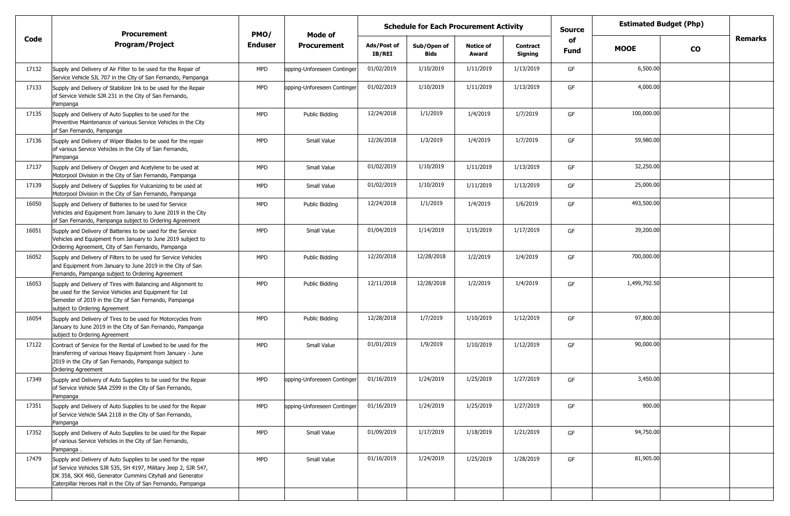|       | <b>Procurement</b>                                                                                                                                                                                                                                              | PMO/           | Mode of                     |                       | <b>Schedule for Each Procurement Activity</b> |                           |                            | <b>Source</b> |              | <b>Estimated Budget (Php)</b> |                |
|-------|-----------------------------------------------------------------------------------------------------------------------------------------------------------------------------------------------------------------------------------------------------------------|----------------|-----------------------------|-----------------------|-----------------------------------------------|---------------------------|----------------------------|---------------|--------------|-------------------------------|----------------|
| Code  | <b>Program/Project</b>                                                                                                                                                                                                                                          | <b>Enduser</b> | <b>Procurement</b>          | Ads/Post of<br>IB/REI | Sub/Open of<br><b>Bids</b>                    | <b>Notice of</b><br>Award | <b>Contract</b><br>Signing | of<br>Fund    | <b>MOOE</b>  | <b>CO</b>                     | <b>Remarks</b> |
| 17132 | Supply and Delivery of Air Filter to be used for the Repair of<br>Service Vehicle SJL 707 in the City of San Fernando, Pampanga                                                                                                                                 | <b>MPD</b>     | opping-Unforeseen Continger | 01/02/2019            | 1/10/2019                                     | 1/11/2019                 | 1/13/2019                  | GF            | 6,500.00     |                               |                |
| 17133 | Supply and Delivery of Stabilizer Ink to be used for the Repair<br>of Service Vehicle SJR 231 in the City of San Fernando,<br>Pampanga                                                                                                                          | <b>MPD</b>     | opping-Unforeseen Continger | 01/02/2019            | 1/10/2019                                     | 1/11/2019                 | 1/13/2019                  | GF            | 4,000.00     |                               |                |
| 17135 | Supply and Delivery of Auto Supplies to be used for the<br>Preventive Maintenance of various Service Vehicles in the City<br>of San Fernando, Pampanga                                                                                                          | <b>MPD</b>     | Public Bidding              | 12/24/2018            | 1/1/2019                                      | 1/4/2019                  | 1/7/2019                   | GF            | 100,000.00   |                               |                |
| 17136 | Supply and Delivery of Wiper Blades to be used for the repair<br>of various Service Vehicles in the City of San Fernando,<br>Pampanga                                                                                                                           | <b>MPD</b>     | Small Value                 | 12/26/2018            | 1/3/2019                                      | 1/4/2019                  | 1/7/2019                   | GF            | 59,980.00    |                               |                |
| 17137 | Supply and Delivery of Oxygen and Acetylene to be used at<br>Motorpool Division in the City of San Fernando, Pampanga                                                                                                                                           | <b>MPD</b>     | Small Value                 | 01/02/2019            | 1/10/2019                                     | 1/11/2019                 | 1/13/2019                  | GF            | 32,250.00    |                               |                |
| 17139 | Supply and Delivery of Supplies for Vulcanizing to be used at<br>Motorpool Division in the City of San Fernando, Pampanga                                                                                                                                       | MPD            | Small Value                 | 01/02/2019            | 1/10/2019                                     | 1/11/2019                 | 1/13/2019                  | GF            | 25,000.00    |                               |                |
| 16050 | Supply and Delivery of Batteries to be used for Service<br>Vehicles and Equipment from January to June 2019 in the City<br>of San Fernando, Pampanga subject to Ordering Agreement                                                                              | <b>MPD</b>     | Public Bidding              | 12/24/2018            | 1/1/2019                                      | 1/4/2019                  | 1/6/2019                   | GF            | 493,500.00   |                               |                |
| 16051 | Supply and Delivery of Batteries to be used for the Service<br>Vehicles and Equipment from January to June 2019 subject to<br>Ordering Agreement, City of San Fernando, Pampanga                                                                                | <b>MPD</b>     | Small Value                 | 01/04/2019            | 1/14/2019                                     | 1/15/2019                 | 1/17/2019                  | GF            | 39,200.00    |                               |                |
| 16052 | Supply and Delivery of Filters to be used for Service Vehicles<br>and Equipment from January to June 2019 in the City of San<br>Fernando, Pampanga subject to Ordering Agreement                                                                                | <b>MPD</b>     | Public Bidding              | 12/20/2018            | 12/28/2018                                    | 1/2/2019                  | 1/4/2019                   | GF            | 700,000.00   |                               |                |
| 16053 | Supply and Delivery of Tires with Balancing and Alignment to<br>be used for the Service Vehicles and Equipment for 1st<br>Semester of 2019 in the City of San Fernando, Pampanga<br>subject to Ordering Agreement                                               | <b>MPD</b>     | Public Bidding              | 12/11/2018            | 12/28/2018                                    | 1/2/2019                  | 1/4/2019                   | GF            | 1,499,792.50 |                               |                |
| 16054 | Supply and Delivery of Tires to be used for Motorcycles from<br>January to June 2019 in the City of San Fernando, Pampanga<br>subject to Ordering Agreement                                                                                                     | <b>MPD</b>     | Public Bidding              | 12/28/2018            | 1/7/2019                                      | 1/10/2019                 | 1/12/2019                  | GF            | 97,800.00    |                               |                |
| 17122 | Contract of Service for the Rental of Lowbed to be used for the<br>transferring of various Heavy Equipment from January - June<br>2019 in the City of San Fernando, Pampanga subject to<br><b>Ordering Agreement</b>                                            | MPD            | Small Value                 | 01/01/2019            | 1/9/2019                                      | 1/10/2019                 | 1/12/2019                  | GF            | 90,000.00    |                               |                |
| 17349 | Supply and Delivery of Auto Supplies to be used for the Repair<br>of Service Vehicle SAA 2599 in the City of San Fernando,<br>Pampanga                                                                                                                          | <b>MPD</b>     | opping-Unforeseen Continger | 01/16/2019            | 1/24/2019                                     | 1/25/2019                 | 1/27/2019                  | GF            | 3,450.00     |                               |                |
| 17351 | Supply and Delivery of Auto Supplies to be used for the Repair<br>of Service Vehicle SAA 2118 in the City of San Fernando,<br>Pampanga                                                                                                                          | <b>MPD</b>     | opping-Unforeseen Continger | 01/16/2019            | 1/24/2019                                     | 1/25/2019                 | 1/27/2019                  | GF            | 900.00       |                               |                |
| 17352 | Supply and Delivery of Auto Supplies to be used for the Repair<br>of various Service Vehicles in the City of San Fernando,<br>Pampanga.                                                                                                                         | <b>MPD</b>     | Small Value                 | 01/09/2019            | 1/17/2019                                     | 1/18/2019                 | 1/21/2019                  | GF            | 94,750.00    |                               |                |
| 17479 | Supply and Delivery of Auto Supplies to be used for the repair<br>of Service Vehicles SJR 535, SH 4197, Military Jeep 2, SJR 547,<br>DK 358, SKX 460, Generator Cummins Cityhall and Generator<br>Caterpillar Heroes Hall in the City of San Fernando, Pampanga | <b>MPD</b>     | Small Value                 | 01/16/2019            | 1/24/2019                                     | 1/25/2019                 | 1/28/2019                  | GF            | 81,905.00    |                               |                |
|       |                                                                                                                                                                                                                                                                 |                |                             |                       |                                               |                           |                            |               |              |                               |                |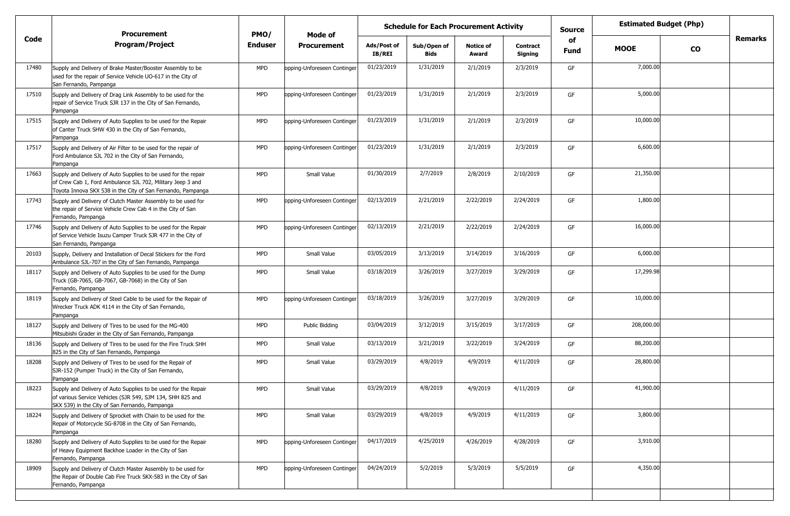|                                                                                                                                                                                |                                                                                   |                             | <b>Schedule for Each Procurement Activity</b> |                            |                           |                            | <b>Source</b> | <b>Estimated Budget (Php)</b> |           |                |
|--------------------------------------------------------------------------------------------------------------------------------------------------------------------------------|-----------------------------------------------------------------------------------|-----------------------------|-----------------------------------------------|----------------------------|---------------------------|----------------------------|---------------|-------------------------------|-----------|----------------|
| <b>Program/Project</b>                                                                                                                                                         | <b>Enduser</b>                                                                    | <b>Procurement</b>          | Ads/Post of<br><b>IB/REI</b>                  | Sub/Open of<br><b>Bids</b> | <b>Notice of</b><br>Award | <b>Contract</b><br>Signing | of<br>Fund    | <b>MOOE</b>                   | <b>CO</b> | <b>Remarks</b> |
| Supply and Delivery of Brake Master/Booster Assembly to be<br>used for the repair of Service Vehicle UO-617 in the City of<br>San Fernando, Pampanga                           | <b>MPD</b>                                                                        | opping-Unforeseen Continger | 01/23/2019                                    | 1/31/2019                  | 2/1/2019                  | 2/3/2019                   | GF            | 7,000.00                      |           |                |
| Supply and Delivery of Drag Link Assembly to be used for the<br>repair of Service Truck SJR 137 in the City of San Fernando,<br>Pampanga                                       | <b>MPD</b>                                                                        | opping-Unforeseen Continger | 01/23/2019                                    | 1/31/2019                  | 2/1/2019                  | 2/3/2019                   | GF            | 5,000.00                      |           |                |
| Supply and Delivery of Auto Supplies to be used for the Repair<br>of Canter Truck SHW 430 in the City of San Fernando,<br>Pampanga                                             | <b>MPD</b>                                                                        | opping-Unforeseen Continger | 01/23/2019                                    | 1/31/2019                  | 2/1/2019                  | 2/3/2019                   | GF            | 10,000.00                     |           |                |
| Supply and Delivery of Air Filter to be used for the repair of<br>Ford Ambulance SJL 702 in the City of San Fernando,<br>Pampanga                                              | <b>MPD</b>                                                                        | opping-Unforeseen Continger | 01/23/2019                                    | 1/31/2019                  | 2/1/2019                  | 2/3/2019                   | GF            | 6,600.00                      |           |                |
| Supply and Delivery of Auto Supplies to be used for the repair<br>of Crew Cab 1, Ford Ambulance SJL 702, Military Jeep 3 and                                                   | <b>MPD</b>                                                                        | Small Value                 | 01/30/2019                                    | 2/7/2019                   | 2/8/2019                  | 2/10/2019                  | GF            | 21,350.00                     |           |                |
| Supply and Delivery of Clutch Master Assembly to be used for<br>the repair of Service Vehicle Crew Cab 4 in the City of San<br>Fernando, Pampanga                              | <b>MPD</b>                                                                        | opping-Unforeseen Continger | 02/13/2019                                    | 2/21/2019                  | 2/22/2019                 | 2/24/2019                  | GF            | 1,800.00                      |           |                |
| Supply and Delivery of Auto Supplies to be used for the Repair<br>of Service Vehicle Isuzu Camper Truck SJR 477 in the City of<br>San Fernando, Pampanga                       | <b>MPD</b>                                                                        | opping-Unforeseen Continger | 02/13/2019                                    | 2/21/2019                  | 2/22/2019                 | 2/24/2019                  | GF            | 16,000.00                     |           |                |
| Supply, Delivery and Installation of Decal Stickers for the Ford<br>Ambulance SJL-707 in the City of San Fernando, Pampanga                                                    | <b>MPD</b>                                                                        | Small Value                 | 03/05/2019                                    | 3/13/2019                  | 3/14/2019                 | 3/16/2019                  | GF            | 6,000.00                      |           |                |
| Supply and Delivery of Auto Supplies to be used for the Dump<br>Truck (GB-7065, GB-7067, GB-7068) in the City of San<br>Fernando, Pampanga                                     | <b>MPD</b>                                                                        | Small Value                 | 03/18/2019                                    | 3/26/2019                  | 3/27/2019                 | 3/29/2019                  | GF            | 17,299.98                     |           |                |
| Supply and Delivery of Steel Cable to be used for the Repair of<br>Wrecker Truck ADK 4114 in the City of San Fernando,<br>Pampanga                                             | <b>MPD</b>                                                                        | opping-Unforeseen Continger | 03/18/2019                                    | 3/26/2019                  | 3/27/2019                 | 3/29/2019                  | GF            | 10,000.00                     |           |                |
| Supply and Delivery of Tires to be used for the MG-400<br>Mitsubishi Grader in the City of San Fernando, Pampanga                                                              | <b>MPD</b>                                                                        | Public Bidding              | 03/04/2019                                    | 3/12/2019                  | 3/15/2019                 | 3/17/2019                  | GF            | 208,000.00                    |           |                |
| Supply and Delivery of Tires to be used for the Fire Truck SHH<br>825 in the City of San Fernando, Pampanga                                                                    | <b>MPD</b>                                                                        | Small Value                 | 03/13/2019                                    | 3/21/2019                  | 3/22/2019                 | 3/24/2019                  | GF            | 88,200.00                     |           |                |
| Supply and Delivery of Tires to be used for the Repair of<br>SJR-152 (Pumper Truck) in the City of San Fernando,<br>Pampanga                                                   | <b>MPD</b>                                                                        | Small Value                 | 03/29/2019                                    | 4/8/2019                   | 4/9/2019                  | 4/11/2019                  | GF            | 28,800.00                     |           |                |
| Supply and Delivery of Auto Supplies to be used for the Repair<br>of various Service Vehicles (SJR 549, SJM 134, SHH 825 and<br>SKX 539) in the City of San Fernando, Pampanga | <b>MPD</b>                                                                        | Small Value                 | 03/29/2019                                    | 4/8/2019                   | 4/9/2019                  | 4/11/2019                  | GF            | 41,900.00                     |           |                |
| Supply and Delivery of Sprocket with Chain to be used for the<br>Repair of Motorcycle SG-8708 in the City of San Fernando,<br>Pampanga                                         | <b>MPD</b>                                                                        | Small Value                 | 03/29/2019                                    | 4/8/2019                   | 4/9/2019                  | 4/11/2019                  | GF            | 3,800.00                      |           |                |
| Supply and Delivery of Auto Supplies to be used for the Repair<br>of Heavy Equipment Backhoe Loader in the City of San<br>Fernando, Pampanga                                   | <b>MPD</b>                                                                        | opping-Unforeseen Continger | 04/17/2019                                    | 4/25/2019                  | 4/26/2019                 | 4/28/2019                  | GF            | 3,910.00                      |           |                |
| Supply and Delivery of Clutch Master Assembly to be used for<br>the Repair of Double Cab Fire Truck SKX-583 in the City of San<br>Fernando, Pampanga                           | <b>MPD</b>                                                                        | opping-Unforeseen Continger | 04/24/2019                                    | 5/2/2019                   | 5/3/2019                  | 5/5/2019                   | GF            | 4,350.00                      |           |                |
|                                                                                                                                                                                | <b>Procurement</b><br>Toyota Innova SKX 538 in the City of San Fernando, Pampanga | PMO/                        | Mode of                                       |                            |                           |                            |               |                               |           |                |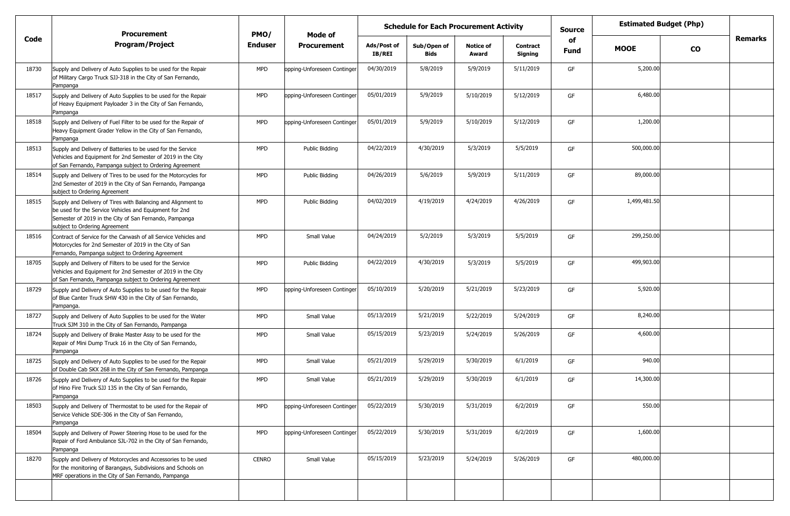|       | <b>Procurement</b>                                                                                                                                                                                                | PMO/           | Mode of                     | <b>Schedule for Each Procurement Activity</b> |                            |                           |                            |            | <b>Estimated Budget (Php)</b> |           |                |
|-------|-------------------------------------------------------------------------------------------------------------------------------------------------------------------------------------------------------------------|----------------|-----------------------------|-----------------------------------------------|----------------------------|---------------------------|----------------------------|------------|-------------------------------|-----------|----------------|
| Code  | <b>Program/Project</b>                                                                                                                                                                                            | <b>Enduser</b> | <b>Procurement</b>          | Ads/Post of<br>IB/REI                         | Sub/Open of<br><b>Bids</b> | <b>Notice of</b><br>Award | <b>Contract</b><br>Signing | of<br>Fund | <b>MOOE</b>                   | <b>CO</b> | <b>Remarks</b> |
| 18730 | Supply and Delivery of Auto Supplies to be used for the Repair<br>of Military Cargo Truck SJJ-318 in the City of San Fernando,<br>Pampanga                                                                        | <b>MPD</b>     | opping-Unforeseen Continger | 04/30/2019                                    | 5/8/2019                   | 5/9/2019                  | 5/11/2019                  | GF         | 5,200.00                      |           |                |
| 18517 | Supply and Delivery of Auto Supplies to be used for the Repair<br>of Heavy Equipment Payloader 3 in the City of San Fernando,<br>Pampanga                                                                         | <b>MPD</b>     | opping-Unforeseen Continger | 05/01/2019                                    | 5/9/2019                   | 5/10/2019                 | 5/12/2019                  | GF         | 6,480.00                      |           |                |
| 18518 | Supply and Delivery of Fuel Filter to be used for the Repair of<br>Heavy Equipment Grader Yellow in the City of San Fernando,<br>Pampanga                                                                         | <b>MPD</b>     | opping-Unforeseen Continger | 05/01/2019                                    | 5/9/2019                   | 5/10/2019                 | 5/12/2019                  | GF         | 1,200.00                      |           |                |
| 18513 | Supply and Delivery of Batteries to be used for the Service<br>Vehicles and Equipment for 2nd Semester of 2019 in the City<br>of San Fernando, Pampanga subject to Ordering Agreement                             | <b>MPD</b>     | Public Bidding              | 04/22/2019                                    | 4/30/2019                  | 5/3/2019                  | 5/5/2019                   | GF         | 500,000.00                    |           |                |
| 18514 | Supply and Delivery of Tires to be used for the Motorcycles for<br>2nd Semester of 2019 in the City of San Fernando, Pampanga<br>subject to Ordering Agreement                                                    | <b>MPD</b>     | Public Bidding              | 04/26/2019                                    | 5/6/2019                   | 5/9/2019                  | 5/11/2019                  | GF         | 89,000.00                     |           |                |
| 18515 | Supply and Delivery of Tires with Balancing and Alignment to<br>be used for the Service Vehicles and Equipment for 2nd<br>Semester of 2019 in the City of San Fernando, Pampanga<br>subject to Ordering Agreement | <b>MPD</b>     | Public Bidding              | 04/02/2019                                    | 4/19/2019                  | 4/24/2019                 | 4/26/2019                  | GF         | 1,499,481.50                  |           |                |
| 18516 | Contract of Service for the Carwash of all Service Vehicles and<br>Motorcycles for 2nd Semester of 2019 in the City of San<br>Fernando, Pampanga subject to Ordering Agreement                                    | <b>MPD</b>     | Small Value                 | 04/24/2019                                    | 5/2/2019                   | 5/3/2019                  | 5/5/2019                   | GF         | 299,250.00                    |           |                |
| 18705 | Supply and Delivery of Filters to be used for the Service<br>Vehicles and Equipment for 2nd Semester of 2019 in the City<br>of San Fernando, Pampanga subject to Ordering Agreement                               | <b>MPD</b>     | Public Bidding              | 04/22/2019                                    | 4/30/2019                  | 5/3/2019                  | 5/5/2019                   | GF         | 499,903.00                    |           |                |
| 18729 | Supply and Delivery of Auto Supplies to be used for the Repair<br>of Blue Canter Truck SHW 430 in the City of San Fernando,<br>Pampanga.                                                                          | <b>MPD</b>     | opping-Unforeseen Continger | 05/10/2019                                    | 5/20/2019                  | 5/21/2019                 | 5/23/2019                  | GF         | 5,920.00                      |           |                |
| 18727 | Supply and Delivery of Auto Supplies to be used for the Water<br>Truck SJM 310 in the City of San Fernando, Pampanga                                                                                              | MPD            | Small Value                 | 05/13/2019                                    | 5/21/2019                  | 5/22/2019                 | 5/24/2019                  | GF         | 8,240.00                      |           |                |
| 18724 | Supply and Delivery of Brake Master Assy to be used for the<br>Repair of Mini Dump Truck 16 in the City of San Fernando,<br>Pampanga                                                                              | <b>MPD</b>     | Small Value                 | 05/15/2019                                    | 5/23/2019                  | 5/24/2019                 | 5/26/2019                  | GF         | 4,600.00                      |           |                |
| 18725 | Supply and Delivery of Auto Supplies to be used for the Repair<br>of Double Cab SKX 268 in the City of San Fernando, Pampanga                                                                                     | <b>MPD</b>     | Small Value                 | 05/21/2019                                    | 5/29/2019                  | 5/30/2019                 | 6/1/2019                   | GF         | 940.00                        |           |                |
| 18726 | Supply and Delivery of Auto Supplies to be used for the Repair<br>of Hino Fire Truck SJJ 135 in the City of San Fernando,<br>Pampanga                                                                             | <b>MPD</b>     | Small Value                 | 05/21/2019                                    | 5/29/2019                  | 5/30/2019                 | 6/1/2019                   | GF         | 14,300.00                     |           |                |
| 18503 | Supply and Delivery of Thermostat to be used for the Repair of<br>Service Vehicle SDE-306 in the City of San Fernando,<br>Pampanga                                                                                | <b>MPD</b>     | opping-Unforeseen Continger | 05/22/2019                                    | 5/30/2019                  | 5/31/2019                 | 6/2/2019                   | GF         | 550.00                        |           |                |
| 18504 | Supply and Delivery of Power Steering Hose to be used for the<br>Repair of Ford Ambulance SJL-702 in the City of San Fernando,<br>Pampanga                                                                        | <b>MPD</b>     | opping-Unforeseen Continger | 05/22/2019                                    | 5/30/2019                  | 5/31/2019                 | 6/2/2019                   | GF         | 1,600.00                      |           |                |
| 18270 | Supply and Delivery of Motorcycles and Accessories to be used<br>for the monitoring of Barangays, Subdivisions and Schools on<br>MRF operations in the City of San Fernando, Pampanga                             | <b>CENRO</b>   | Small Value                 | 05/15/2019                                    | 5/23/2019                  | 5/24/2019                 | 5/26/2019                  | GF         | 480,000.00                    |           |                |
|       |                                                                                                                                                                                                                   |                |                             |                                               |                            |                           |                            |            |                               |           |                |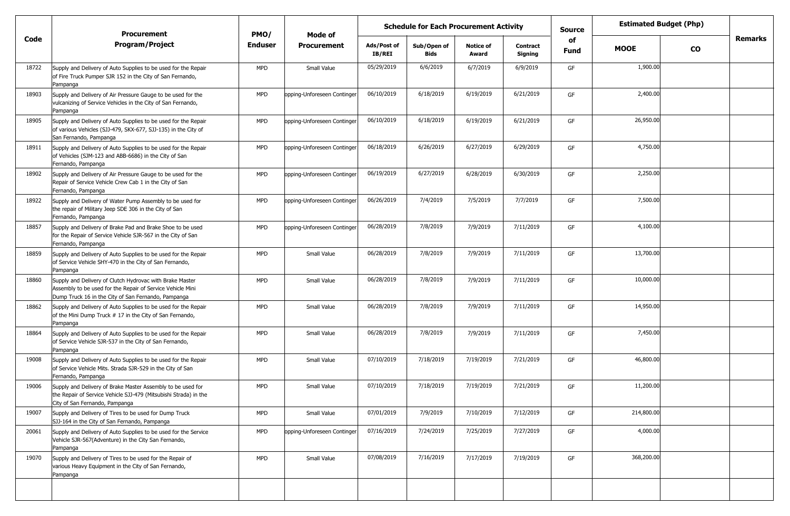|       | <b>Schedule for Each Procurement Activity</b><br><b>Procurement</b><br>PMO/<br>Mode of                                                                                        |                |                             |                       |                            |                           |                            | <b>Source</b>     | <b>Estimated Budget (Php)</b> |           |                |
|-------|-------------------------------------------------------------------------------------------------------------------------------------------------------------------------------|----------------|-----------------------------|-----------------------|----------------------------|---------------------------|----------------------------|-------------------|-------------------------------|-----------|----------------|
| Code  | <b>Program/Project</b>                                                                                                                                                        | <b>Enduser</b> | <b>Procurement</b>          | Ads/Post of<br>IB/REI | Sub/Open of<br><b>Bids</b> | <b>Notice of</b><br>Award | <b>Contract</b><br>Signing | of<br><b>Fund</b> | <b>MOOE</b>                   | <b>CO</b> | <b>Remarks</b> |
| 18722 | Supply and Delivery of Auto Supplies to be used for the Repair<br>of Fire Truck Pumper SJR 152 in the City of San Fernando,<br>Pampanga                                       | <b>MPD</b>     | Small Value                 | 05/29/2019            | 6/6/2019                   | 6/7/2019                  | 6/9/2019                   | GF                | 1,900.00                      |           |                |
| 18903 | Supply and Delivery of Air Pressure Gauge to be used for the<br>vulcanizing of Service Vehicles in the City of San Fernando,<br>Pampanga                                      | <b>MPD</b>     | opping-Unforeseen Continger | 06/10/2019            | 6/18/2019                  | 6/19/2019                 | 6/21/2019                  | GF                | 2,400.00                      |           |                |
| 18905 | Supply and Delivery of Auto Supplies to be used for the Repair<br>of various Vehicles (SJJ-479, SKX-677, SJJ-135) in the City of<br>San Fernando, Pampanga                    | <b>MPD</b>     | opping-Unforeseen Continger | 06/10/2019            | 6/18/2019                  | 6/19/2019                 | 6/21/2019                  | GF                | 26,950.00                     |           |                |
| 18911 | Supply and Delivery of Auto Supplies to be used for the Repair<br>of Vehicles (SJM-123 and ABB-6686) in the City of San<br>Fernando, Pampanga                                 | <b>MPD</b>     | opping-Unforeseen Continger | 06/18/2019            | 6/26/2019                  | 6/27/2019                 | 6/29/2019                  | GF                | 4,750.00                      |           |                |
| 18902 | Supply and Delivery of Air Pressure Gauge to be used for the<br>Repair of Service Vehicle Crew Cab 1 in the City of San<br>Fernando, Pampanga                                 | <b>MPD</b>     | opping-Unforeseen Continger | 06/19/2019            | 6/27/2019                  | 6/28/2019                 | 6/30/2019                  | GF                | 2,250.00                      |           |                |
| 18922 | Supply and Delivery of Water Pump Assembly to be used for<br>the repair of Military Jeep SDE 306 in the City of San<br>Fernando, Pampanga                                     | <b>MPD</b>     | opping-Unforeseen Continger | 06/26/2019            | 7/4/2019                   | 7/5/2019                  | 7/7/2019                   | GF                | 7,500.00                      |           |                |
| 18857 | Supply and Delivery of Brake Pad and Brake Shoe to be used<br>for the Repair of Service Vehicle SJR-567 in the City of San<br>Fernando, Pampanga                              | <b>MPD</b>     | opping-Unforeseen Continger | 06/28/2019            | 7/8/2019                   | 7/9/2019                  | 7/11/2019                  | GF                | 4,100.00                      |           |                |
| 18859 | Supply and Delivery of Auto Supplies to be used for the Repair<br>of Service Vehicle SHY-470 in the City of San Fernando,<br>Pampanga                                         | <b>MPD</b>     | Small Value                 | 06/28/2019            | 7/8/2019                   | 7/9/2019                  | 7/11/2019                  | GF                | 13,700.00                     |           |                |
| 18860 | Supply and Delivery of Clutch Hydrovac with Brake Master<br>Assembly to be used for the Repair of Service Vehicle Mini<br>Dump Truck 16 in the City of San Fernando, Pampanga | <b>MPD</b>     | Small Value                 | 06/28/2019            | 7/8/2019                   | 7/9/2019                  | 7/11/2019                  | GF                | 10,000.00                     |           |                |
| 18862 | Supply and Delivery of Auto Supplies to be used for the Repair<br>of the Mini Dump Truck # 17 in the City of San Fernando,<br>Pampanga                                        | <b>MPD</b>     | <b>Small Value</b>          | 06/28/2019            | 7/8/2019                   | 7/9/2019                  | 7/11/2019                  | GF                | 14,950.00                     |           |                |
| 18864 | Supply and Delivery of Auto Supplies to be used for the Repair<br>of Service Vehicle SJR-537 in the City of San Fernando,<br>Pampanga                                         | <b>MPD</b>     | Small Value                 | 06/28/2019            | 7/8/2019                   | 7/9/2019                  | 7/11/2019                  | GF                | 7,450.00                      |           |                |
| 19008 | Supply and Delivery of Auto Supplies to be used for the Repair<br>of Service Vehicle Mits. Strada SJR-529 in the City of San<br>Fernando, Pampanga                            | <b>MPD</b>     | Small Value                 | 07/10/2019            | 7/18/2019                  | 7/19/2019                 | 7/21/2019                  | GF                | 46,800.00                     |           |                |
| 19006 | Supply and Delivery of Brake Master Assembly to be used for<br>the Repair of Service Vehicle SJJ-479 (Mitsubishi Strada) in the<br>City of San Fernando, Pampanga             | <b>MPD</b>     | Small Value                 | 07/10/2019            | 7/18/2019                  | 7/19/2019                 | 7/21/2019                  | GF                | 11,200.00                     |           |                |
| 19007 | Supply and Delivery of Tires to be used for Dump Truck<br>SJJ-164 in the City of San Fernando, Pampanga                                                                       | <b>MPD</b>     | Small Value                 | 07/01/2019            | 7/9/2019                   | 7/10/2019                 | 7/12/2019                  | GF                | 214,800.00                    |           |                |
| 20061 | Supply and Delivery of Auto Supplies to be used for the Service<br>Vehicle SJR-567(Adventure) in the City San Fernando,<br>Pampanga                                           | <b>MPD</b>     | opping-Unforeseen Continger | 07/16/2019            | 7/24/2019                  | 7/25/2019                 | 7/27/2019                  | GF                | 4,000.00                      |           |                |
| 19070 | Supply and Delivery of Tires to be used for the Repair of<br>various Heavy Equipment in the City of San Fernando,<br>Pampanga                                                 | <b>MPD</b>     | Small Value                 | 07/08/2019            | 7/16/2019                  | 7/17/2019                 | 7/19/2019                  | GF                | 368,200.00                    |           |                |
|       |                                                                                                                                                                               |                |                             |                       |                            |                           |                            |                   |                               |           |                |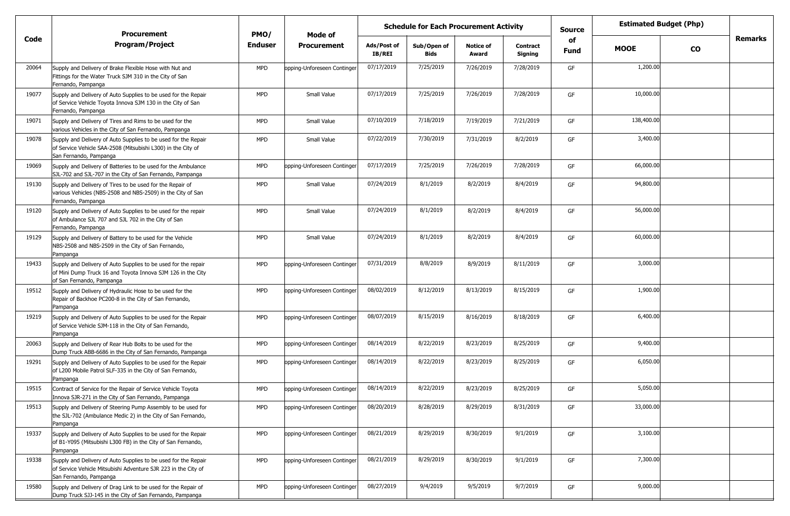|       | <b>Procurement</b>                                                                                                                                         | PMO/           | <b>Schedule for Each Procurement Activity</b><br>Mode of |                       |                     |                           |                            | <b>Source</b> | <b>Estimated Budget (Php)</b> |           |                |
|-------|------------------------------------------------------------------------------------------------------------------------------------------------------------|----------------|----------------------------------------------------------|-----------------------|---------------------|---------------------------|----------------------------|---------------|-------------------------------|-----------|----------------|
| Code  | <b>Program/Project</b>                                                                                                                                     | <b>Enduser</b> | <b>Procurement</b>                                       | Ads/Post of<br>IB/REI | Sub/Open of<br>Bids | <b>Notice of</b><br>Award | <b>Contract</b><br>Signing | of<br>Fund    | <b>MOOE</b>                   | <b>CO</b> | <b>Remarks</b> |
| 20064 | Supply and Delivery of Brake Flexible Hose with Nut and<br>Fittings for the Water Truck SJM 310 in the City of San<br>Fernando, Pampanga                   | <b>MPD</b>     | opping-Unforeseen Continger                              | 07/17/2019            | 7/25/2019           | 7/26/2019                 | 7/28/2019                  | GF            | 1,200.00                      |           |                |
| 19077 | Supply and Delivery of Auto Supplies to be used for the Repair<br>of Service Vehicle Toyota Innova SJM 130 in the City of San<br>Fernando, Pampanga        | <b>MPD</b>     | Small Value                                              | 07/17/2019            | 7/25/2019           | 7/26/2019                 | 7/28/2019                  | GF            | 10,000.00                     |           |                |
| 19071 | Supply and Delivery of Tires and Rims to be used for the<br>various Vehicles in the City of San Fernando, Pampanga                                         | <b>MPD</b>     | Small Value                                              | 07/10/2019            | 7/18/2019           | 7/19/2019                 | 7/21/2019                  | GF            | 138,400.00                    |           |                |
| 19078 | Supply and Delivery of Auto Supplies to be used for the Repair<br>of Service Vehicle SAA-2508 (Mitsubishi L300) in the City of<br>San Fernando, Pampanga   | MPD            | Small Value                                              | 07/22/2019            | 7/30/2019           | 7/31/2019                 | 8/2/2019                   | GF            | 3,400.00                      |           |                |
| 19069 | Supply and Delivery of Batteries to be used for the Ambulance<br>SJL-702 and SJL-707 in the City of San Fernando, Pampanga                                 | <b>MPD</b>     | opping-Unforeseen Continger                              | 07/17/2019            | 7/25/2019           | 7/26/2019                 | 7/28/2019                  | GF            | 66,000.00                     |           |                |
| 19130 | Supply and Delivery of Tires to be used for the Repair of<br>various Vehicles (NBS-2508 and NBS-2509) in the City of San<br>Fernando, Pampanga             | <b>MPD</b>     | Small Value                                              | 07/24/2019            | 8/1/2019            | 8/2/2019                  | 8/4/2019                   | GF            | 94,800.00                     |           |                |
| 19120 | Supply and Delivery of Auto Supplies to be used for the repair<br>of Ambulance SJL 707 and SJL 702 in the City of San<br>Fernando, Pampanga                | <b>MPD</b>     | Small Value                                              | 07/24/2019            | 8/1/2019            | 8/2/2019                  | 8/4/2019                   | GF            | 56,000.00                     |           |                |
| 19129 | Supply and Delivery of Battery to be used for the Vehicle<br>NBS-2508 and NBS-2509 in the City of San Fernando,<br>Pampanga                                | <b>MPD</b>     | Small Value                                              | 07/24/2019            | 8/1/2019            | 8/2/2019                  | 8/4/2019                   | GF            | 60,000.00                     |           |                |
| 19433 | Supply and Delivery of Auto Supplies to be used for the repair<br>of Mini Dump Truck 16 and Toyota Innova SJM 126 in the City<br>of San Fernando, Pampanga | <b>MPD</b>     | opping-Unforeseen Continger                              | 07/31/2019            | 8/8/2019            | 8/9/2019                  | 8/11/2019                  | GF            | 3,000.00                      |           |                |
| 19512 | Supply and Delivery of Hydraulic Hose to be used for the<br>Repair of Backhoe PC200-8 in the City of San Fernando,<br>Pampanga                             | <b>MPD</b>     | opping-Unforeseen Continger                              | 08/02/2019            | 8/12/2019           | 8/13/2019                 | 8/15/2019                  | GF            | 1,900.00                      |           |                |
| 19219 | Supply and Delivery of Auto Supplies to be used for the Repair<br>of Service Vehicle SJM-118 in the City of San Fernando,<br>Pampanga                      | <b>MPD</b>     | opping-Unforeseen Continger                              | 08/07/2019            | 8/15/2019           | 8/16/2019                 | 8/18/2019                  | GF            | 6,400.00                      |           |                |
| 20063 | Supply and Delivery of Rear Hub Bolts to be used for the<br>Dump Truck ABB-6686 in the City of San Fernando, Pampanga                                      | <b>MPD</b>     | opping-Unforeseen Continger                              | 08/14/2019            | 8/22/2019           | 8/23/2019                 | 8/25/2019                  | GF            | 9,400.00                      |           |                |
| 19291 | Supply and Delivery of Auto Supplies to be used for the Repair<br>of L200 Mobile Patrol SLF-335 in the City of San Fernando,<br>Pampanga                   | <b>MPD</b>     | ppping-Unforeseen Continger                              | 08/14/2019            | 8/22/2019           | 8/23/2019                 | 8/25/2019                  | GF            | 6,050.00                      |           |                |
| 19515 | Contract of Service for the Repair of Service Vehicle Toyota<br>Innova SJR-271 in the City of San Fernando, Pampanga                                       | <b>MPD</b>     | opping-Unforeseen Continger                              | 08/14/2019            | 8/22/2019           | 8/23/2019                 | 8/25/2019                  | GF            | 5,050.00                      |           |                |
| 19513 | Supply and Delivery of Steering Pump Assembly to be used for<br>the SJL-702 (Ambulance Medic 2) in the City of San Fernando,<br>Pampanga                   | <b>MPD</b>     | opping-Unforeseen Continger                              | 08/20/2019            | 8/28/2019           | 8/29/2019                 | 8/31/2019                  | GF            | 33,000.00                     |           |                |
| 19337 | Supply and Delivery of Auto Supplies to be used for the Repair<br>of B1-Y095 (Mitsubishi L300 FB) in the City of San Fernando,<br>Pampanga                 | <b>MPD</b>     | opping-Unforeseen Continger                              | 08/21/2019            | 8/29/2019           | 8/30/2019                 | 9/1/2019                   | GF            | 3,100.00                      |           |                |
| 19338 | Supply and Delivery of Auto Supplies to be used for the Repair<br>of Service Vehicle Mitsubishi Adventure SJR 223 in the City of<br>San Fernando, Pampanga | <b>MPD</b>     | opping-Unforeseen Continger                              | 08/21/2019            | 8/29/2019           | 8/30/2019                 | 9/1/2019                   | GF            | 7,300.00                      |           |                |
| 19580 | Supply and Delivery of Drag Link to be used for the Repair of<br>Dump Truck SJJ-145 in the City of San Fernando, Pampanga                                  | <b>MPD</b>     | opping-Unforeseen Continger                              | 08/27/2019            | 9/4/2019            | 9/5/2019                  | 9/7/2019                   | GF            | 9,000.00                      |           |                |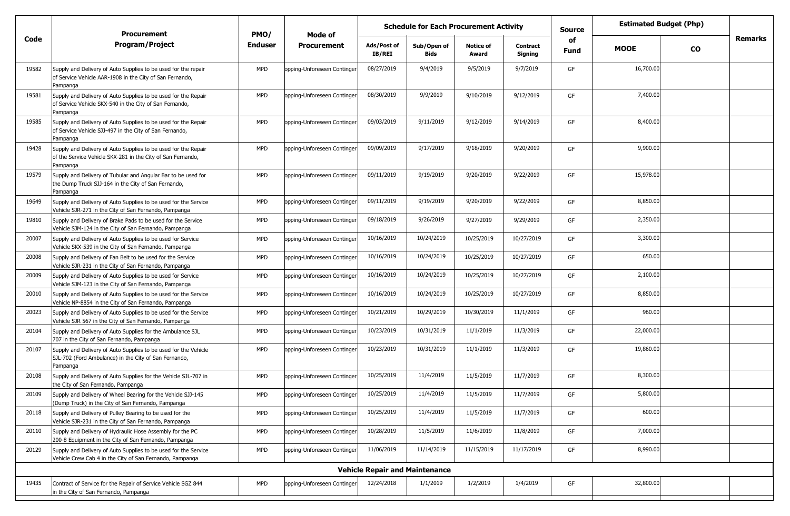| <b>Remarks</b><br>Code<br>of<br><b>Program/Project</b><br><b>Enduser</b><br><b>Procurement</b><br>Ads/Post of<br>Sub/Open of<br><b>Notice of</b><br><b>Contract</b><br><b>MOOE</b><br><b>CO</b><br>Fund<br><b>IB/REI</b><br>Award<br>Signing<br>Bids<br>9/4/2019<br>16,700.00<br>08/27/2019<br><b>MPD</b><br>9/5/2019<br>9/7/2019<br>GF<br>19582<br>opping-Unforeseen Continger<br>Supply and Delivery of Auto Supplies to be used for the repair<br>of Service Vehicle AAR-1908 in the City of San Fernando,<br>Pampanga<br>08/30/2019<br>9/9/2019<br>7,400.00<br>9/10/2019<br><b>MPD</b><br>9/12/2019<br>19581<br>Supply and Delivery of Auto Supplies to be used for the Repair<br>opping-Unforeseen Continger<br>GF<br>of Service Vehicle SKX-540 in the City of San Fernando,<br>Pampanga<br>09/03/2019<br>9/11/2019<br>8,400.00<br><b>MPD</b><br>opping-Unforeseen Continger<br>9/12/2019<br>9/14/2019<br>GF<br>19585<br>Supply and Delivery of Auto Supplies to be used for the Repair<br>of Service Vehicle SJJ-497 in the City of San Fernando,<br>Pampanga<br>9,900.00<br>09/09/2019<br>9/17/2019<br><b>MPD</b><br>9/18/2019<br>9/20/2019<br>19428<br>Supply and Delivery of Auto Supplies to be used for the Repair<br>opping-Unforeseen Continger<br>GF<br>of the Service Vehicle SKX-281 in the City of San Fernando,<br>Pampanga<br>15,978.00<br>09/11/2019<br>9/19/2019<br>9/20/2019<br>9/22/2019<br><b>MPD</b><br>opping-Unforeseen Continger<br>GF<br>19579<br>Supply and Delivery of Tubular and Angular Bar to be used for<br>the Dump Truck SJJ-164 in the City of San Fernando,<br>Pampanga<br>9/19/2019<br>8,850.00<br>09/11/2019<br><b>MPD</b><br>9/20/2019<br>9/22/2019<br>GF<br>19649<br>Supply and Delivery of Auto Supplies to be used for the Service<br>opping-Unforeseen Continger<br>Vehicle SJR-271 in the City of San Fernando, Pampanga<br>2,350.00<br>09/18/2019<br>9/26/2019<br>9/27/2019<br>9/29/2019<br>19810<br><b>MPD</b><br>GF<br>Supply and Delivery of Brake Pads to be used for the Service<br>opping-Unforeseen Continger<br>Vehicle SJM-124 in the City of San Fernando, Pampanga<br>10/16/2019<br>10/24/2019<br>10/25/2019<br>10/27/2019<br>3,300.00<br>20007<br><b>MPD</b><br>GF<br>Supply and Delivery of Auto Supplies to be used for Service<br>opping-Unforeseen Continger<br>Vehicle SKX-539 in the City of San Fernando, Pampanga<br>650.00<br>10/16/2019<br>10/24/2019<br>10/25/2019<br>10/27/2019<br>GF<br>20008<br>Supply and Delivery of Fan Belt to be used for the Service<br><b>MPD</b><br>opping-Unforeseen Continger<br>Vehicle SJR-231 in the City of San Fernando, Pampanga<br>2,100.00<br>10/16/2019<br>10/24/2019<br>10/25/2019<br>10/27/2019<br>20009<br><b>MPD</b><br>opping-Unforeseen Continger<br>GF<br>Supply and Delivery of Auto Supplies to be used for Service<br>Vehicle SJM-123 in the City of San Fernando, Pampanga<br>10/16/2019<br>10/24/2019<br>8,850.00<br>10/25/2019<br>10/27/2019<br><b>MPD</b><br>GF<br>20010<br>Supply and Delivery of Auto Supplies to be used for the Service<br>opping-Unforeseen Continger<br>Vehicle NP-8854 in the City of San Fernando, Pampanga<br>10/21/2019<br>10/29/2019<br>10/30/2019<br>11/1/2019<br>960.00<br>20023<br><b>MPD</b><br>GF<br>Supply and Delivery of Auto Supplies to be used for the Service<br>opping-Unforeseen Continger<br>Vehicle SJR 567 in the City of San Fernando, Pampanga<br>10/23/2019<br>10/31/2019<br>22,000.00<br>20104<br><b>MPD</b><br>11/1/2019<br>11/3/2019<br>Supply and Delivery of Auto Supplies for the Ambulance SJL<br>opping-Unforeseen Continger<br>GF<br>707 in the City of San Fernando, Pampanga<br>19,860.00<br>10/23/2019<br>10/31/2019<br>11/1/2019<br>11/3/2019<br>GF<br>20107<br>Supply and Delivery of Auto Supplies to be used for the Vehicle<br><b>MPD</b><br>opping-Unforeseen Continger<br>SJL-702 (Ford Ambulance) in the City of San Fernando,<br>Pampanga<br>8,300.00<br>10/25/2019<br>11/4/2019<br>11/5/2019<br>11/7/2019<br>GF<br>Supply and Delivery of Auto Supplies for the Vehicle SJL-707 in<br><b>MPD</b><br>opping-Unforeseen Continger<br>20108<br>the City of San Fernando, Pampanga<br>5,800.00<br>10/25/2019<br>11/4/2019<br>11/5/2019<br>11/7/2019<br><b>MPD</b><br>opping-Unforeseen Continger<br>20109<br>Supply and Delivery of Wheel Bearing for the Vehicle SJJ-145<br>(Dump Truck) in the City of San Fernando, Pampanga<br>600.00<br>10/25/2019<br>11/4/2019<br><b>MPD</b><br>11/5/2019<br>11/7/2019<br>Supply and Delivery of Pulley Bearing to be used for the<br>opping-Unforeseen Continger<br>GF<br>20118<br>Vehicle SJR-231 in the City of San Fernando, Pampanga<br>10/28/2019<br>11/5/2019<br>11/6/2019<br>11/8/2019<br>7,000.00<br>20110<br><b>MPD</b><br>opping-Unforeseen Continger<br>GF<br>Supply and Delivery of Hydraulic Hose Assembly for the PC<br>200-8 Equipment in the City of San Fernando, Pampanga<br>8,990.00<br>11/06/2019<br>11/14/2019<br>20129<br><b>MPD</b><br>opping-Unforeseen Continger<br>11/15/2019<br>11/17/2019<br>GF<br>Supply and Delivery of Auto Supplies to be used for the Service<br>Vehicle Crew Cab 4 in the City of San Fernando, Pampanga<br><b>Vehicle Repair and Maintenance</b><br>32,800.00<br>1/1/2019<br>12/24/2018<br>1/2/2019<br>1/4/2019<br>19435<br><b>MPD</b><br>GF<br>Contract of Service for the Repair of Service Vehicle SGZ 844<br>opping-Unforeseen Continger<br>in the City of San Fernando, Pampanga | <b>Procurement</b> | PMO/ | Mode of | <b>Schedule for Each Procurement Activity</b> |  |  |  | <b>Source</b> | <b>Estimated Budget (Php)</b> |  |
|-------------------------------------------------------------------------------------------------------------------------------------------------------------------------------------------------------------------------------------------------------------------------------------------------------------------------------------------------------------------------------------------------------------------------------------------------------------------------------------------------------------------------------------------------------------------------------------------------------------------------------------------------------------------------------------------------------------------------------------------------------------------------------------------------------------------------------------------------------------------------------------------------------------------------------------------------------------------------------------------------------------------------------------------------------------------------------------------------------------------------------------------------------------------------------------------------------------------------------------------------------------------------------------------------------------------------------------------------------------------------------------------------------------------------------------------------------------------------------------------------------------------------------------------------------------------------------------------------------------------------------------------------------------------------------------------------------------------------------------------------------------------------------------------------------------------------------------------------------------------------------------------------------------------------------------------------------------------------------------------------------------------------------------------------------------------------------------------------------------------------------------------------------------------------------------------------------------------------------------------------------------------------------------------------------------------------------------------------------------------------------------------------------------------------------------------------------------------------------------------------------------------------------------------------------------------------------------------------------------------------------------------------------------------------------------------------------------------------------------------------------------------------------------------------------------------------------------------------------------------------------------------------------------------------------------------------------------------------------------------------------------------------------------------------------------------------------------------------------------------------------------------------------------------------------------------------------------------------------------------------------------------------------------------------------------------------------------------------------------------------------------------------------------------------------------------------------------------------------------------------------------------------------------------------------------------------------------------------------------------------------------------------------------------------------------------------------------------------------------------------------------------------------------------------------------------------------------------------------------------------------------------------------------------------------------------------------------------------------------------------------------------------------------------------------------------------------------------------------------------------------------------------------------------------------------------------------------------------------------------------------------------------------------------------------------------------------------------------------------------------------------------------------------------------------------------------------------------------------------------------------------------------------------------------------------------------------------------------------------------------------------------------------------------------------------------------------------------------------------------------------------------------------------------------------------------------------------------------------------------------------------------------------------------------------------------------------------------------------------------------------------------------------------------------------------------------------------------------------------------------------------------------------------------------------------------------------------------------------------------------------------------------------------------------------------------------------------------------------------------------------------------------------------------------------------------------------------------------------|--------------------|------|---------|-----------------------------------------------|--|--|--|---------------|-------------------------------|--|
|                                                                                                                                                                                                                                                                                                                                                                                                                                                                                                                                                                                                                                                                                                                                                                                                                                                                                                                                                                                                                                                                                                                                                                                                                                                                                                                                                                                                                                                                                                                                                                                                                                                                                                                                                                                                                                                                                                                                                                                                                                                                                                                                                                                                                                                                                                                                                                                                                                                                                                                                                                                                                                                                                                                                                                                                                                                                                                                                                                                                                                                                                                                                                                                                                                                                                                                                                                                                                                                                                                                                                                                                                                                                                                                                                                                                                                                                                                                                                                                                                                                                                                                                                                                                                                                                                                                                                                                                                                                                                                                                                                                                                                                                                                                                                                                                                                                                                                                                                                                                                                                                                                                                                                                                                                                                                                                                                                                                                                                                               |                    |      |         |                                               |  |  |  |               |                               |  |
|                                                                                                                                                                                                                                                                                                                                                                                                                                                                                                                                                                                                                                                                                                                                                                                                                                                                                                                                                                                                                                                                                                                                                                                                                                                                                                                                                                                                                                                                                                                                                                                                                                                                                                                                                                                                                                                                                                                                                                                                                                                                                                                                                                                                                                                                                                                                                                                                                                                                                                                                                                                                                                                                                                                                                                                                                                                                                                                                                                                                                                                                                                                                                                                                                                                                                                                                                                                                                                                                                                                                                                                                                                                                                                                                                                                                                                                                                                                                                                                                                                                                                                                                                                                                                                                                                                                                                                                                                                                                                                                                                                                                                                                                                                                                                                                                                                                                                                                                                                                                                                                                                                                                                                                                                                                                                                                                                                                                                                                                               |                    |      |         |                                               |  |  |  |               |                               |  |
|                                                                                                                                                                                                                                                                                                                                                                                                                                                                                                                                                                                                                                                                                                                                                                                                                                                                                                                                                                                                                                                                                                                                                                                                                                                                                                                                                                                                                                                                                                                                                                                                                                                                                                                                                                                                                                                                                                                                                                                                                                                                                                                                                                                                                                                                                                                                                                                                                                                                                                                                                                                                                                                                                                                                                                                                                                                                                                                                                                                                                                                                                                                                                                                                                                                                                                                                                                                                                                                                                                                                                                                                                                                                                                                                                                                                                                                                                                                                                                                                                                                                                                                                                                                                                                                                                                                                                                                                                                                                                                                                                                                                                                                                                                                                                                                                                                                                                                                                                                                                                                                                                                                                                                                                                                                                                                                                                                                                                                                                               |                    |      |         |                                               |  |  |  |               |                               |  |
|                                                                                                                                                                                                                                                                                                                                                                                                                                                                                                                                                                                                                                                                                                                                                                                                                                                                                                                                                                                                                                                                                                                                                                                                                                                                                                                                                                                                                                                                                                                                                                                                                                                                                                                                                                                                                                                                                                                                                                                                                                                                                                                                                                                                                                                                                                                                                                                                                                                                                                                                                                                                                                                                                                                                                                                                                                                                                                                                                                                                                                                                                                                                                                                                                                                                                                                                                                                                                                                                                                                                                                                                                                                                                                                                                                                                                                                                                                                                                                                                                                                                                                                                                                                                                                                                                                                                                                                                                                                                                                                                                                                                                                                                                                                                                                                                                                                                                                                                                                                                                                                                                                                                                                                                                                                                                                                                                                                                                                                                               |                    |      |         |                                               |  |  |  |               |                               |  |
|                                                                                                                                                                                                                                                                                                                                                                                                                                                                                                                                                                                                                                                                                                                                                                                                                                                                                                                                                                                                                                                                                                                                                                                                                                                                                                                                                                                                                                                                                                                                                                                                                                                                                                                                                                                                                                                                                                                                                                                                                                                                                                                                                                                                                                                                                                                                                                                                                                                                                                                                                                                                                                                                                                                                                                                                                                                                                                                                                                                                                                                                                                                                                                                                                                                                                                                                                                                                                                                                                                                                                                                                                                                                                                                                                                                                                                                                                                                                                                                                                                                                                                                                                                                                                                                                                                                                                                                                                                                                                                                                                                                                                                                                                                                                                                                                                                                                                                                                                                                                                                                                                                                                                                                                                                                                                                                                                                                                                                                                               |                    |      |         |                                               |  |  |  |               |                               |  |
|                                                                                                                                                                                                                                                                                                                                                                                                                                                                                                                                                                                                                                                                                                                                                                                                                                                                                                                                                                                                                                                                                                                                                                                                                                                                                                                                                                                                                                                                                                                                                                                                                                                                                                                                                                                                                                                                                                                                                                                                                                                                                                                                                                                                                                                                                                                                                                                                                                                                                                                                                                                                                                                                                                                                                                                                                                                                                                                                                                                                                                                                                                                                                                                                                                                                                                                                                                                                                                                                                                                                                                                                                                                                                                                                                                                                                                                                                                                                                                                                                                                                                                                                                                                                                                                                                                                                                                                                                                                                                                                                                                                                                                                                                                                                                                                                                                                                                                                                                                                                                                                                                                                                                                                                                                                                                                                                                                                                                                                                               |                    |      |         |                                               |  |  |  |               |                               |  |
|                                                                                                                                                                                                                                                                                                                                                                                                                                                                                                                                                                                                                                                                                                                                                                                                                                                                                                                                                                                                                                                                                                                                                                                                                                                                                                                                                                                                                                                                                                                                                                                                                                                                                                                                                                                                                                                                                                                                                                                                                                                                                                                                                                                                                                                                                                                                                                                                                                                                                                                                                                                                                                                                                                                                                                                                                                                                                                                                                                                                                                                                                                                                                                                                                                                                                                                                                                                                                                                                                                                                                                                                                                                                                                                                                                                                                                                                                                                                                                                                                                                                                                                                                                                                                                                                                                                                                                                                                                                                                                                                                                                                                                                                                                                                                                                                                                                                                                                                                                                                                                                                                                                                                                                                                                                                                                                                                                                                                                                                               |                    |      |         |                                               |  |  |  |               |                               |  |
|                                                                                                                                                                                                                                                                                                                                                                                                                                                                                                                                                                                                                                                                                                                                                                                                                                                                                                                                                                                                                                                                                                                                                                                                                                                                                                                                                                                                                                                                                                                                                                                                                                                                                                                                                                                                                                                                                                                                                                                                                                                                                                                                                                                                                                                                                                                                                                                                                                                                                                                                                                                                                                                                                                                                                                                                                                                                                                                                                                                                                                                                                                                                                                                                                                                                                                                                                                                                                                                                                                                                                                                                                                                                                                                                                                                                                                                                                                                                                                                                                                                                                                                                                                                                                                                                                                                                                                                                                                                                                                                                                                                                                                                                                                                                                                                                                                                                                                                                                                                                                                                                                                                                                                                                                                                                                                                                                                                                                                                                               |                    |      |         |                                               |  |  |  |               |                               |  |
|                                                                                                                                                                                                                                                                                                                                                                                                                                                                                                                                                                                                                                                                                                                                                                                                                                                                                                                                                                                                                                                                                                                                                                                                                                                                                                                                                                                                                                                                                                                                                                                                                                                                                                                                                                                                                                                                                                                                                                                                                                                                                                                                                                                                                                                                                                                                                                                                                                                                                                                                                                                                                                                                                                                                                                                                                                                                                                                                                                                                                                                                                                                                                                                                                                                                                                                                                                                                                                                                                                                                                                                                                                                                                                                                                                                                                                                                                                                                                                                                                                                                                                                                                                                                                                                                                                                                                                                                                                                                                                                                                                                                                                                                                                                                                                                                                                                                                                                                                                                                                                                                                                                                                                                                                                                                                                                                                                                                                                                                               |                    |      |         |                                               |  |  |  |               |                               |  |
|                                                                                                                                                                                                                                                                                                                                                                                                                                                                                                                                                                                                                                                                                                                                                                                                                                                                                                                                                                                                                                                                                                                                                                                                                                                                                                                                                                                                                                                                                                                                                                                                                                                                                                                                                                                                                                                                                                                                                                                                                                                                                                                                                                                                                                                                                                                                                                                                                                                                                                                                                                                                                                                                                                                                                                                                                                                                                                                                                                                                                                                                                                                                                                                                                                                                                                                                                                                                                                                                                                                                                                                                                                                                                                                                                                                                                                                                                                                                                                                                                                                                                                                                                                                                                                                                                                                                                                                                                                                                                                                                                                                                                                                                                                                                                                                                                                                                                                                                                                                                                                                                                                                                                                                                                                                                                                                                                                                                                                                                               |                    |      |         |                                               |  |  |  |               |                               |  |
|                                                                                                                                                                                                                                                                                                                                                                                                                                                                                                                                                                                                                                                                                                                                                                                                                                                                                                                                                                                                                                                                                                                                                                                                                                                                                                                                                                                                                                                                                                                                                                                                                                                                                                                                                                                                                                                                                                                                                                                                                                                                                                                                                                                                                                                                                                                                                                                                                                                                                                                                                                                                                                                                                                                                                                                                                                                                                                                                                                                                                                                                                                                                                                                                                                                                                                                                                                                                                                                                                                                                                                                                                                                                                                                                                                                                                                                                                                                                                                                                                                                                                                                                                                                                                                                                                                                                                                                                                                                                                                                                                                                                                                                                                                                                                                                                                                                                                                                                                                                                                                                                                                                                                                                                                                                                                                                                                                                                                                                                               |                    |      |         |                                               |  |  |  |               |                               |  |
|                                                                                                                                                                                                                                                                                                                                                                                                                                                                                                                                                                                                                                                                                                                                                                                                                                                                                                                                                                                                                                                                                                                                                                                                                                                                                                                                                                                                                                                                                                                                                                                                                                                                                                                                                                                                                                                                                                                                                                                                                                                                                                                                                                                                                                                                                                                                                                                                                                                                                                                                                                                                                                                                                                                                                                                                                                                                                                                                                                                                                                                                                                                                                                                                                                                                                                                                                                                                                                                                                                                                                                                                                                                                                                                                                                                                                                                                                                                                                                                                                                                                                                                                                                                                                                                                                                                                                                                                                                                                                                                                                                                                                                                                                                                                                                                                                                                                                                                                                                                                                                                                                                                                                                                                                                                                                                                                                                                                                                                                               |                    |      |         |                                               |  |  |  |               |                               |  |
|                                                                                                                                                                                                                                                                                                                                                                                                                                                                                                                                                                                                                                                                                                                                                                                                                                                                                                                                                                                                                                                                                                                                                                                                                                                                                                                                                                                                                                                                                                                                                                                                                                                                                                                                                                                                                                                                                                                                                                                                                                                                                                                                                                                                                                                                                                                                                                                                                                                                                                                                                                                                                                                                                                                                                                                                                                                                                                                                                                                                                                                                                                                                                                                                                                                                                                                                                                                                                                                                                                                                                                                                                                                                                                                                                                                                                                                                                                                                                                                                                                                                                                                                                                                                                                                                                                                                                                                                                                                                                                                                                                                                                                                                                                                                                                                                                                                                                                                                                                                                                                                                                                                                                                                                                                                                                                                                                                                                                                                                               |                    |      |         |                                               |  |  |  |               |                               |  |
|                                                                                                                                                                                                                                                                                                                                                                                                                                                                                                                                                                                                                                                                                                                                                                                                                                                                                                                                                                                                                                                                                                                                                                                                                                                                                                                                                                                                                                                                                                                                                                                                                                                                                                                                                                                                                                                                                                                                                                                                                                                                                                                                                                                                                                                                                                                                                                                                                                                                                                                                                                                                                                                                                                                                                                                                                                                                                                                                                                                                                                                                                                                                                                                                                                                                                                                                                                                                                                                                                                                                                                                                                                                                                                                                                                                                                                                                                                                                                                                                                                                                                                                                                                                                                                                                                                                                                                                                                                                                                                                                                                                                                                                                                                                                                                                                                                                                                                                                                                                                                                                                                                                                                                                                                                                                                                                                                                                                                                                                               |                    |      |         |                                               |  |  |  |               |                               |  |
|                                                                                                                                                                                                                                                                                                                                                                                                                                                                                                                                                                                                                                                                                                                                                                                                                                                                                                                                                                                                                                                                                                                                                                                                                                                                                                                                                                                                                                                                                                                                                                                                                                                                                                                                                                                                                                                                                                                                                                                                                                                                                                                                                                                                                                                                                                                                                                                                                                                                                                                                                                                                                                                                                                                                                                                                                                                                                                                                                                                                                                                                                                                                                                                                                                                                                                                                                                                                                                                                                                                                                                                                                                                                                                                                                                                                                                                                                                                                                                                                                                                                                                                                                                                                                                                                                                                                                                                                                                                                                                                                                                                                                                                                                                                                                                                                                                                                                                                                                                                                                                                                                                                                                                                                                                                                                                                                                                                                                                                                               |                    |      |         |                                               |  |  |  |               |                               |  |
|                                                                                                                                                                                                                                                                                                                                                                                                                                                                                                                                                                                                                                                                                                                                                                                                                                                                                                                                                                                                                                                                                                                                                                                                                                                                                                                                                                                                                                                                                                                                                                                                                                                                                                                                                                                                                                                                                                                                                                                                                                                                                                                                                                                                                                                                                                                                                                                                                                                                                                                                                                                                                                                                                                                                                                                                                                                                                                                                                                                                                                                                                                                                                                                                                                                                                                                                                                                                                                                                                                                                                                                                                                                                                                                                                                                                                                                                                                                                                                                                                                                                                                                                                                                                                                                                                                                                                                                                                                                                                                                                                                                                                                                                                                                                                                                                                                                                                                                                                                                                                                                                                                                                                                                                                                                                                                                                                                                                                                                                               |                    |      |         |                                               |  |  |  |               |                               |  |
|                                                                                                                                                                                                                                                                                                                                                                                                                                                                                                                                                                                                                                                                                                                                                                                                                                                                                                                                                                                                                                                                                                                                                                                                                                                                                                                                                                                                                                                                                                                                                                                                                                                                                                                                                                                                                                                                                                                                                                                                                                                                                                                                                                                                                                                                                                                                                                                                                                                                                                                                                                                                                                                                                                                                                                                                                                                                                                                                                                                                                                                                                                                                                                                                                                                                                                                                                                                                                                                                                                                                                                                                                                                                                                                                                                                                                                                                                                                                                                                                                                                                                                                                                                                                                                                                                                                                                                                                                                                                                                                                                                                                                                                                                                                                                                                                                                                                                                                                                                                                                                                                                                                                                                                                                                                                                                                                                                                                                                                                               |                    |      |         |                                               |  |  |  |               |                               |  |
|                                                                                                                                                                                                                                                                                                                                                                                                                                                                                                                                                                                                                                                                                                                                                                                                                                                                                                                                                                                                                                                                                                                                                                                                                                                                                                                                                                                                                                                                                                                                                                                                                                                                                                                                                                                                                                                                                                                                                                                                                                                                                                                                                                                                                                                                                                                                                                                                                                                                                                                                                                                                                                                                                                                                                                                                                                                                                                                                                                                                                                                                                                                                                                                                                                                                                                                                                                                                                                                                                                                                                                                                                                                                                                                                                                                                                                                                                                                                                                                                                                                                                                                                                                                                                                                                                                                                                                                                                                                                                                                                                                                                                                                                                                                                                                                                                                                                                                                                                                                                                                                                                                                                                                                                                                                                                                                                                                                                                                                                               |                    |      |         |                                               |  |  |  |               |                               |  |
|                                                                                                                                                                                                                                                                                                                                                                                                                                                                                                                                                                                                                                                                                                                                                                                                                                                                                                                                                                                                                                                                                                                                                                                                                                                                                                                                                                                                                                                                                                                                                                                                                                                                                                                                                                                                                                                                                                                                                                                                                                                                                                                                                                                                                                                                                                                                                                                                                                                                                                                                                                                                                                                                                                                                                                                                                                                                                                                                                                                                                                                                                                                                                                                                                                                                                                                                                                                                                                                                                                                                                                                                                                                                                                                                                                                                                                                                                                                                                                                                                                                                                                                                                                                                                                                                                                                                                                                                                                                                                                                                                                                                                                                                                                                                                                                                                                                                                                                                                                                                                                                                                                                                                                                                                                                                                                                                                                                                                                                                               |                    |      |         |                                               |  |  |  |               |                               |  |
|                                                                                                                                                                                                                                                                                                                                                                                                                                                                                                                                                                                                                                                                                                                                                                                                                                                                                                                                                                                                                                                                                                                                                                                                                                                                                                                                                                                                                                                                                                                                                                                                                                                                                                                                                                                                                                                                                                                                                                                                                                                                                                                                                                                                                                                                                                                                                                                                                                                                                                                                                                                                                                                                                                                                                                                                                                                                                                                                                                                                                                                                                                                                                                                                                                                                                                                                                                                                                                                                                                                                                                                                                                                                                                                                                                                                                                                                                                                                                                                                                                                                                                                                                                                                                                                                                                                                                                                                                                                                                                                                                                                                                                                                                                                                                                                                                                                                                                                                                                                                                                                                                                                                                                                                                                                                                                                                                                                                                                                                               |                    |      |         |                                               |  |  |  |               |                               |  |
|                                                                                                                                                                                                                                                                                                                                                                                                                                                                                                                                                                                                                                                                                                                                                                                                                                                                                                                                                                                                                                                                                                                                                                                                                                                                                                                                                                                                                                                                                                                                                                                                                                                                                                                                                                                                                                                                                                                                                                                                                                                                                                                                                                                                                                                                                                                                                                                                                                                                                                                                                                                                                                                                                                                                                                                                                                                                                                                                                                                                                                                                                                                                                                                                                                                                                                                                                                                                                                                                                                                                                                                                                                                                                                                                                                                                                                                                                                                                                                                                                                                                                                                                                                                                                                                                                                                                                                                                                                                                                                                                                                                                                                                                                                                                                                                                                                                                                                                                                                                                                                                                                                                                                                                                                                                                                                                                                                                                                                                                               |                    |      |         |                                               |  |  |  |               |                               |  |
|                                                                                                                                                                                                                                                                                                                                                                                                                                                                                                                                                                                                                                                                                                                                                                                                                                                                                                                                                                                                                                                                                                                                                                                                                                                                                                                                                                                                                                                                                                                                                                                                                                                                                                                                                                                                                                                                                                                                                                                                                                                                                                                                                                                                                                                                                                                                                                                                                                                                                                                                                                                                                                                                                                                                                                                                                                                                                                                                                                                                                                                                                                                                                                                                                                                                                                                                                                                                                                                                                                                                                                                                                                                                                                                                                                                                                                                                                                                                                                                                                                                                                                                                                                                                                                                                                                                                                                                                                                                                                                                                                                                                                                                                                                                                                                                                                                                                                                                                                                                                                                                                                                                                                                                                                                                                                                                                                                                                                                                                               |                    |      |         |                                               |  |  |  |               |                               |  |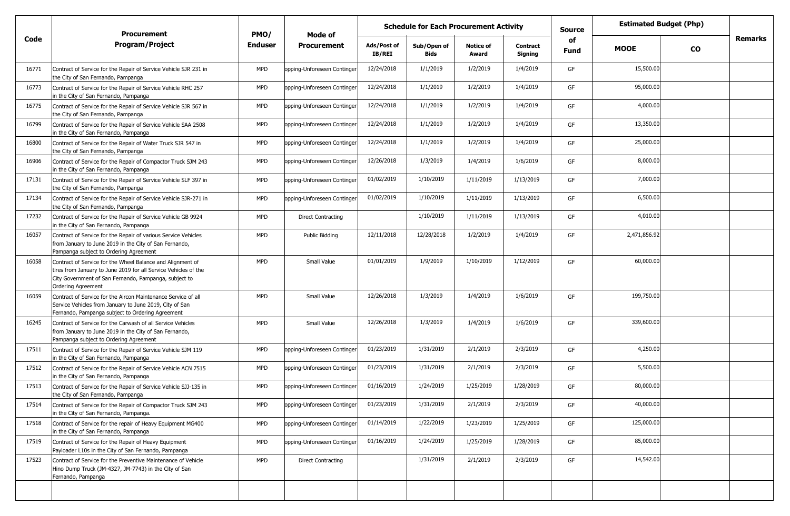|       | <b>Procurement</b>                                                                                                                                                                                                  | PMO/           | Mode of                     |                       | <b>Schedule for Each Procurement Activity</b> |                           |                            | <b>Source</b>     |              | <b>Estimated Budget (Php)</b> |                |
|-------|---------------------------------------------------------------------------------------------------------------------------------------------------------------------------------------------------------------------|----------------|-----------------------------|-----------------------|-----------------------------------------------|---------------------------|----------------------------|-------------------|--------------|-------------------------------|----------------|
| Code  | <b>Program/Project</b>                                                                                                                                                                                              | <b>Enduser</b> | <b>Procurement</b>          | Ads/Post of<br>IB/REI | Sub/Open of<br>Bids                           | <b>Notice of</b><br>Award | <b>Contract</b><br>Signing | of<br><b>Fund</b> | <b>MOOE</b>  | CO                            | <b>Remarks</b> |
| 16771 | Contract of Service for the Repair of Service Vehicle SJR 231 in<br>the City of San Fernando, Pampanga                                                                                                              | <b>MPD</b>     | opping-Unforeseen Continger | 12/24/2018            | 1/1/2019                                      | 1/2/2019                  | 1/4/2019                   | GF                | 15,500.00    |                               |                |
| 16773 | Contract of Service for the Repair of Service Vehicle RHC 257<br>in the City of San Fernando, Pampanga                                                                                                              | <b>MPD</b>     | opping-Unforeseen Continger | 12/24/2018            | 1/1/2019                                      | 1/2/2019                  | 1/4/2019                   | GF                | 95,000.00    |                               |                |
| 16775 | Contract of Service for the Repair of Service Vehicle SJR 567 in<br>the City of San Fernando, Pampanga                                                                                                              | <b>MPD</b>     | opping-Unforeseen Continger | 12/24/2018            | 1/1/2019                                      | 1/2/2019                  | 1/4/2019                   | GF                | 4,000.00     |                               |                |
| 16799 | Contract of Service for the Repair of Service Vehicle SAA 2508<br>in the City of San Fernando, Pampanga                                                                                                             | <b>MPD</b>     | opping-Unforeseen Continger | 12/24/2018            | 1/1/2019                                      | 1/2/2019                  | 1/4/2019                   | GF                | 13,350.00    |                               |                |
| 16800 | Contract of Service for the Repair of Water Truck SJR 547 in<br>the City of San Fernando, Pampanga                                                                                                                  | <b>MPD</b>     | opping-Unforeseen Continger | 12/24/2018            | 1/1/2019                                      | 1/2/2019                  | 1/4/2019                   | GF                | 25,000.00    |                               |                |
| 16906 | Contract of Service for the Repair of Compactor Truck SJM 243<br>in the City of San Fernando, Pampanga                                                                                                              | <b>MPD</b>     | opping-Unforeseen Continger | 12/26/2018            | 1/3/2019                                      | 1/4/2019                  | 1/6/2019                   | GF                | 8,000.00     |                               |                |
| 17131 | Contract of Service for the Repair of Service Vehicle SLF 397 in<br>the City of San Fernando, Pampanga                                                                                                              | <b>MPD</b>     | opping-Unforeseen Continger | 01/02/2019            | 1/10/2019                                     | 1/11/2019                 | 1/13/2019                  | GF                | 7,000.00     |                               |                |
| 17134 | Contract of Service for the Repair of Service Vehicle SJR-271 in<br>the City of San Fernando, Pampanga                                                                                                              | <b>MPD</b>     | opping-Unforeseen Continger | 01/02/2019            | 1/10/2019                                     | 1/11/2019                 | 1/13/2019                  | GF                | 6,500.00     |                               |                |
| 17232 | Contract of Service for the Repair of Service Vehicle GB 9924<br>in the City of San Fernando, Pampanga                                                                                                              | <b>MPD</b>     | Direct Contracting          |                       | 1/10/2019                                     | 1/11/2019                 | 1/13/2019                  | GF                | 4,010.00     |                               |                |
| 16057 | Contract of Service for the Repair of various Service Vehicles<br>from January to June 2019 in the City of San Fernando,<br>Pampanga subject to Ordering Agreement                                                  | <b>MPD</b>     | Public Bidding              | 12/11/2018            | 12/28/2018                                    | 1/2/2019                  | 1/4/2019                   | GF                | 2,471,856.92 |                               |                |
| 16058 | Contract of Service for the Wheel Balance and Alignment of<br>tires from January to June 2019 for all Service Vehicles of the<br>City Government of San Fernando, Pampanga, subject to<br><b>Ordering Agreement</b> | <b>MPD</b>     | Small Value                 | 01/01/2019            | 1/9/2019                                      | 1/10/2019                 | 1/12/2019                  | GF                | 60,000.00    |                               |                |
| 16059 | Contract of Service for the Aircon Maintenance Service of all<br>Service Vehicles from January to June 2019, City of San<br>Fernando, Pampanga subject to Ordering Agreement                                        | <b>MPD</b>     | Small Value                 | 12/26/2018            | 1/3/2019                                      | 1/4/2019                  | 1/6/2019                   | GF                | 199,750.00   |                               |                |
| 16245 | Contract of Service for the Carwash of all Service Vehicles<br>from January to June 2019 in the City of San Fernando,<br>Pampanga subject to Ordering Agreement                                                     | <b>MPD</b>     | Small Value                 | 12/26/2018            | 1/3/2019                                      | 1/4/2019                  | 1/6/2019                   | GF                | 339,600.00   |                               |                |
| 17511 | Contract of Service for the Repair of Service Vehicle SJM 119<br>in the City of San Fernando, Pampanga                                                                                                              | <b>MPD</b>     | opping-Unforeseen Continger | 01/23/2019            | 1/31/2019                                     | 2/1/2019                  | 2/3/2019                   | GF                | 4,250.00     |                               |                |
| 17512 | Contract of Service for the Repair of Service Vehicle ACN 7515<br>in the City of San Fernando, Pampanga                                                                                                             | <b>MPD</b>     | opping-Unforeseen Continger | 01/23/2019            | 1/31/2019                                     | 2/1/2019                  | 2/3/2019                   | GF                | 5,500.00     |                               |                |
| 17513 | Contract of Service for the Repair of Service Vehicle SJJ-135 in<br>the City of San Fernando, Pampanga                                                                                                              | <b>MPD</b>     | opping-Unforeseen Continger | 01/16/2019            | 1/24/2019                                     | 1/25/2019                 | 1/28/2019                  | GF                | 80,000.00    |                               |                |
| 17514 | Contract of Service for the Repair of Compactor Truck SJM 243<br>in the City of San Fernando, Pampanga.                                                                                                             | <b>MPD</b>     | opping-Unforeseen Continger | 01/23/2019            | 1/31/2019                                     | 2/1/2019                  | 2/3/2019                   | GF                | 40,000.00    |                               |                |
| 17518 | Contract of Service for the repair of Heavy Equipment MG400<br>in the City of San Fernando, Pampanga                                                                                                                | <b>MPD</b>     | opping-Unforeseen Continger | 01/14/2019            | 1/22/2019                                     | 1/23/2019                 | 1/25/2019                  | GF                | 125,000.00   |                               |                |
| 17519 | Contract of Service for the Repair of Heavy Equipment<br>Payloader L10s in the City of San Fernando, Pampanga                                                                                                       | <b>MPD</b>     | opping-Unforeseen Continger | 01/16/2019            | 1/24/2019                                     | 1/25/2019                 | 1/28/2019                  | GF                | 85,000.00    |                               |                |
| 17523 | Contract of Service for the Preventive Maintenance of Vehicle<br>Hino Dump Truck (JM-4327, JM-7743) in the City of San<br>Fernando, Pampanga                                                                        | <b>MPD</b>     | <b>Direct Contracting</b>   |                       | 1/31/2019                                     | 2/1/2019                  | 2/3/2019                   | GF                | 14,542.00    |                               |                |
|       |                                                                                                                                                                                                                     |                |                             |                       |                                               |                           |                            |                   |              |                               |                |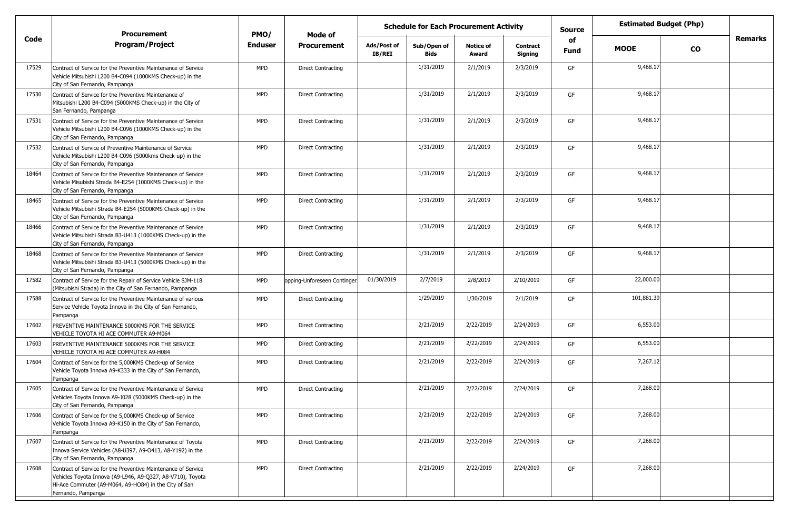|       | <b>Procurement</b>                                                                                                                                                                                         | PMO/           | Mode of                     | <b>Schedule for Each Procurement Activity</b> |                            |                           |                            | <b>Source</b>     | <b>Estimated Budget (Php)</b> |           |                |
|-------|------------------------------------------------------------------------------------------------------------------------------------------------------------------------------------------------------------|----------------|-----------------------------|-----------------------------------------------|----------------------------|---------------------------|----------------------------|-------------------|-------------------------------|-----------|----------------|
| Code  | <b>Program/Project</b>                                                                                                                                                                                     | <b>Enduser</b> | <b>Procurement</b>          | Ads/Post of<br><b>IB/REI</b>                  | Sub/Open of<br><b>Bids</b> | <b>Notice of</b><br>Award | <b>Contract</b><br>Signing | of<br><b>Fund</b> | <b>MOOE</b>                   | <b>CO</b> | <b>Remarks</b> |
| 17529 | Contract of Service for the Preventive Maintenance of Service<br>Vehicle Mitsubishi L200 B4-C094 (1000KMS Check-up) in the<br>City of San Fernando, Pampanga                                               | <b>MPD</b>     | <b>Direct Contracting</b>   |                                               | 1/31/2019                  | 2/1/2019                  | 2/3/2019                   | GF                | 9,468.17                      |           |                |
| 17530 | Contract of Service for the Preventive Maintenance of<br>Mitsubishi L200 B4-C094 (5000KMS Check-up) in the City of<br>San Fernando, Pampanga                                                               | <b>MPD</b>     | <b>Direct Contracting</b>   |                                               | 1/31/2019                  | 2/1/2019                  | 2/3/2019                   | GF                | 9,468.17                      |           |                |
| 17531 | Contract of Service for the Preventive Maintenance of Service<br>Vehicle Mitsubishi L200 B4-C096 (1000KMS Check-up) in the<br>City of San Fernando, Pampanga                                               | <b>MPD</b>     | <b>Direct Contracting</b>   |                                               | 1/31/2019                  | 2/1/2019                  | 2/3/2019                   | GF                | 9,468.17                      |           |                |
| 17532 | Contract of Service of Preventive Maintenance of Service<br>Vehicle Mitsubishi L200 B4-C096 (5000kms Check-up) in the<br>City of San Fernando, Pampanga                                                    | <b>MPD</b>     | <b>Direct Contracting</b>   |                                               | 1/31/2019                  | 2/1/2019                  | 2/3/2019                   | GF                | 9,468.17                      |           |                |
| 18464 | Contract of Service for the Preventive Maintenance of Service<br>Vehicle Misubishi Strada B4-E254 (1000KMS Check-up) in the<br>City of San Fernando, Pampanga                                              | <b>MPD</b>     | <b>Direct Contracting</b>   |                                               | 1/31/2019                  | 2/1/2019                  | 2/3/2019                   | GF                | 9,468.17                      |           |                |
| 18465 | Contract of Service for the Preventive Maintenance of Service<br>Vehicle Mitsubishi Strada B4-E254 (5000KMS Check-up) in the<br>City of San Fernando, Pampanga                                             | <b>MPD</b>     | <b>Direct Contracting</b>   |                                               | 1/31/2019                  | 2/1/2019                  | 2/3/2019                   | GF                | 9,468.17                      |           |                |
| 18466 | Contract of Service for the Preventive Maintenance of Service<br>Vehicle Mitsubishi Strada B3-U413 (1000KMS Check-up) in the<br>City of San Fernando, Pampanga                                             | <b>MPD</b>     | <b>Direct Contracting</b>   |                                               | 1/31/2019                  | 2/1/2019                  | 2/3/2019                   | GF                | 9,468.17                      |           |                |
| 18468 | Contract of Service for the Preventive Maintenance of Service<br>Vehicle Mitsubishi Strada B3-U413 (5000KMS Check-up) in the<br>City of San Fernando, Pampanga                                             | <b>MPD</b>     | <b>Direct Contracting</b>   |                                               | 1/31/2019                  | 2/1/2019                  | 2/3/2019                   | GF                | 9,468.17                      |           |                |
| 17582 | Contract of Service for the Repair of Service Vehicle SJM-118<br>(Mitsubishi Strada) in the City of San Fernando, Pampanga                                                                                 | <b>MPD</b>     | opping-Unforeseen Continger | 01/30/2019                                    | 2/7/2019                   | 2/8/2019                  | 2/10/2019                  | GF                | 22,000.00                     |           |                |
| 17588 | Contract of Service for the Preventive Maintenance of various<br>Service Vehicle Toyota Innova in the City of San Fernando,<br>Pampanga                                                                    | <b>MPD</b>     | <b>Direct Contracting</b>   |                                               | 1/29/2019                  | 1/30/2019                 | 2/1/2019                   | GF                | 101,881.39                    |           |                |
| 17602 | PREVENTIVE MAINTENANCE 5000KMS FOR THE SERVICE<br>VEHICLE TOYOTA HI ACE COMMUTER A9-M064                                                                                                                   | <b>MPD</b>     | <b>Direct Contracting</b>   |                                               | 2/21/2019                  | 2/22/2019                 | 2/24/2019                  | GF                | 6,553.00                      |           |                |
| 17603 | PREVENTIVE MAINTENANCE 5000KMS FOR THE SERVICE<br>VEHICLE TOYOTA HI ACE COMMUTER A9-H084                                                                                                                   | <b>MPD</b>     | <b>Direct Contracting</b>   |                                               | 2/21/2019                  | 2/22/2019                 | 2/24/2019                  | GF                | 6,553.00                      |           |                |
| 17604 | Contract of Service for the 5,000KMS Check-up of Service<br>Vehicle Toyota Innova A9-K333 in the City of San Fernando,<br>Pampanga                                                                         | <b>MPD</b>     | <b>Direct Contracting</b>   |                                               | 2/21/2019                  | 2/22/2019                 | 2/24/2019                  | GF                | 7,267.12                      |           |                |
| 17605 | Contract of Service for the Preventive Maintenance of Service<br>Vehicles Toyota Innova A9-J028 (5000KMS Check-up) in the<br>City of San Fernando, Pampanga                                                | <b>MPD</b>     | <b>Direct Contracting</b>   |                                               | 2/21/2019                  | 2/22/2019                 | 2/24/2019                  | GF                | 7,268.00                      |           |                |
| 17606 | Contract of Service for the 5,000KMS Check-up of Service<br>Vehicle Toyota Innova A9-K150 in the City of San Fernando,<br>Pampanga                                                                         | <b>MPD</b>     | <b>Direct Contracting</b>   |                                               | 2/21/2019                  | 2/22/2019                 | 2/24/2019                  | GF                | 7,268.00                      |           |                |
| 17607 | Contract of Service for the Preventive Maintenance of Toyota<br>Innova Service Vehicles (A8-U397, A9-O413, A8-Y192) in the<br>City of San Fernando, Pampanga                                               | MPD            | <b>Direct Contracting</b>   |                                               | 2/21/2019                  | 2/22/2019                 | 2/24/2019                  | GF                | 7,268.00                      |           |                |
| 17608 | Contract of Service for the Preventive Maintenance of Service<br>Vehicles Toyota Innova (A9-L946, A9-Q327, A8-V710), Toyota<br>Hi-Ace Commuter (A9-M064, A9-HO84) in the City of San<br>Fernando, Pampanga | MPD            | <b>Direct Contracting</b>   |                                               | 2/21/2019                  | 2/22/2019                 | 2/24/2019                  | GF                | 7,268.00                      |           |                |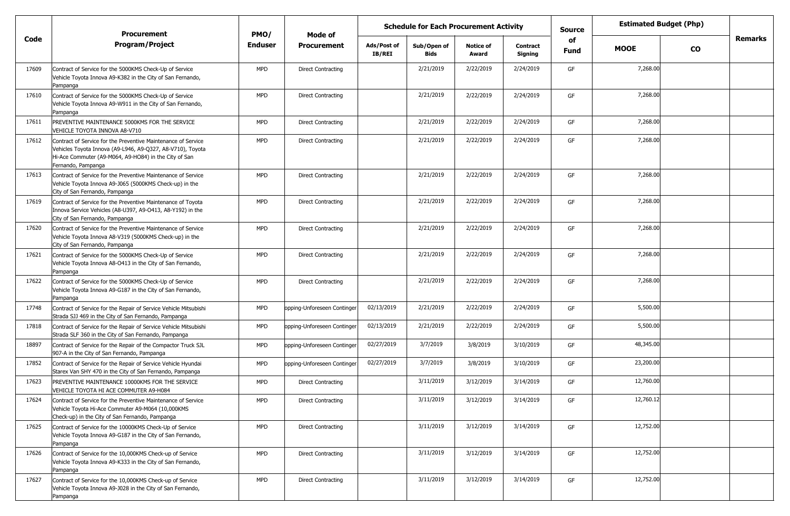|       | <b>Procurement</b>                                                                                                                                                                                         | PMO/           | <b>Schedule for Each Procurement Activity</b><br>Mode of |                       |                            |                           |                            | <b>Source</b> | <b>Estimated Budget (Php)</b> |           |                |
|-------|------------------------------------------------------------------------------------------------------------------------------------------------------------------------------------------------------------|----------------|----------------------------------------------------------|-----------------------|----------------------------|---------------------------|----------------------------|---------------|-------------------------------|-----------|----------------|
| Code  | <b>Program/Project</b>                                                                                                                                                                                     | <b>Enduser</b> | <b>Procurement</b>                                       | Ads/Post of<br>IB/REI | Sub/Open of<br><b>Bids</b> | <b>Notice of</b><br>Award | <b>Contract</b><br>Signing | of<br>Fund    | <b>MOOE</b>                   | <b>CO</b> | <b>Remarks</b> |
| 17609 | Contract of Service for the 5000KMS Check-Up of Service<br>Vehicle Toyota Innova A9-K382 in the City of San Fernando,<br>Pampanga                                                                          | MPD            | <b>Direct Contracting</b>                                |                       | 2/21/2019                  | 2/22/2019                 | 2/24/2019                  | GF            | 7,268.00                      |           |                |
| 17610 | Contract of Service for the 5000KMS Check-Up of Service<br>Vehicle Toyota Innova A9-W911 in the City of San Fernando,<br>Pampanga                                                                          | <b>MPD</b>     | Direct Contracting                                       |                       | 2/21/2019                  | 2/22/2019                 | 2/24/2019                  | GF            | 7,268.00                      |           |                |
| 17611 | PREVENTIVE MAINTENANCE 5000KMS FOR THE SERVICE<br>VEHICLE TOYOTA INNOVA A8-V710                                                                                                                            | <b>MPD</b>     | <b>Direct Contracting</b>                                |                       | 2/21/2019                  | 2/22/2019                 | 2/24/2019                  | GF            | 7,268.00                      |           |                |
| 17612 | Contract of Service for the Preventive Maintenance of Service<br>Vehicles Toyota Innova (A9-L946, A9-Q327, A8-V710), Toyota<br>Hi-Ace Commuter (A9-M064, A9-HO84) in the City of San<br>Fernando, Pampanga | MPD            | <b>Direct Contracting</b>                                |                       | 2/21/2019                  | 2/22/2019                 | 2/24/2019                  | GF            | 7,268.00                      |           |                |
| 17613 | Contract of Service for the Preventive Maintenance of Service<br>Vehicle Toyota Innova A9-J065 (5000KMS Check-up) in the<br>City of San Fernando, Pampanga                                                 | <b>MPD</b>     | <b>Direct Contracting</b>                                |                       | 2/21/2019                  | 2/22/2019                 | 2/24/2019                  | GF            | 7,268.00                      |           |                |
| 17619 | Contract of Service for the Preventive Maintenance of Toyota<br>Innova Service Vehicles (A8-U397, A9-O413, A8-Y192) in the<br>City of San Fernando, Pampanga                                               | <b>MPD</b>     | Direct Contracting                                       |                       | 2/21/2019                  | 2/22/2019                 | 2/24/2019                  | GF            | 7,268.00                      |           |                |
| 17620 | Contract of Service for the Preventive Maintenance of Service<br>Vehicle Toyota Innova A8-V319 (5000KMS Check-up) in the<br>City of San Fernando, Pampanga                                                 | <b>MPD</b>     | <b>Direct Contracting</b>                                |                       | 2/21/2019                  | 2/22/2019                 | 2/24/2019                  | GF            | 7,268.00                      |           |                |
| 17621 | Contract of Service for the 5000KMS Check-Up of Service<br>Vehicle Toyota Innova A8-0413 in the City of San Fernando,<br>Pampanga                                                                          | <b>MPD</b>     | <b>Direct Contracting</b>                                |                       | 2/21/2019                  | 2/22/2019                 | 2/24/2019                  | GF            | 7,268.00                      |           |                |
| 17622 | Contract of Service for the 5000KMS Check-Up of Service<br>Vehicle Toyota Innova A9-G187 in the City of San Fernando,<br>Pampanga                                                                          | MPD            | <b>Direct Contracting</b>                                |                       | 2/21/2019                  | 2/22/2019                 | 2/24/2019                  | GF            | 7,268.00                      |           |                |
| 17748 | Contract of Service for the Repair of Service Vehicle Mitsubishi<br>Strada SJJ 469 in the City of San Fernando, Pampanga                                                                                   | <b>MPD</b>     | opping-Unforeseen Continger                              | 02/13/2019            | 2/21/2019                  | 2/22/2019                 | 2/24/2019                  | GF            | 5,500.00                      |           |                |
| 17818 | Contract of Service for the Repair of Service Vehicle Mitsubishi<br>Strada SLF 360 in the City of San Fernando, Pampanga                                                                                   | <b>MPD</b>     | opping-Unforeseen Continger                              | 02/13/2019            | 2/21/2019                  | 2/22/2019                 | 2/24/2019                  | GF            | 5,500.00                      |           |                |
| 18897 | Contract of Service for the Repair of the Compactor Truck SJL<br>907-A in the City of San Fernando, Pampanga                                                                                               | <b>MPD</b>     | opping-Unforeseen Continger                              | 02/27/2019            | 3/7/2019                   | 3/8/2019                  | 3/10/2019                  | GF            | 48,345.00                     |           |                |
| 17852 | Contract of Service for the Repair of Service Vehicle Hyundai<br>Starex Van SHY 470 in the City of San Fernando, Pampanga                                                                                  | <b>MPD</b>     | opping-Unforeseen Continger                              | 02/27/2019            | 3/7/2019                   | 3/8/2019                  | 3/10/2019                  | GF            | 23,200.00                     |           |                |
| 17623 | PREVENTIVE MAINTENANCE 10000KMS FOR THE SERVICE<br>VEHICLE TOYOTA HI ACE COMMUTER A9-H084                                                                                                                  | MPD            | <b>Direct Contracting</b>                                |                       | 3/11/2019                  | 3/12/2019                 | 3/14/2019                  | GF            | 12,760.00                     |           |                |
| 17624 | Contract of Service for the Preventive Maintenance of Service<br>Vehicle Toyota Hi-Ace Commuter A9-M064 (10,000KMS<br>Check-up) in the City of San Fernando, Pampanga                                      | <b>MPD</b>     | <b>Direct Contracting</b>                                |                       | 3/11/2019                  | 3/12/2019                 | 3/14/2019                  | GF            | 12,760.12                     |           |                |
| 17625 | Contract of Service for the 10000KMS Check-Up of Service<br>Vehicle Toyota Innova A9-G187 in the City of San Fernando,<br>Pampanga                                                                         | <b>MPD</b>     | <b>Direct Contracting</b>                                |                       | 3/11/2019                  | 3/12/2019                 | 3/14/2019                  | GF            | 12,752.00                     |           |                |
| 17626 | Contract of Service for the 10,000KMS Check-up of Service<br>Vehicle Toyota Innova A9-K333 in the City of San Fernando,<br>Pampanga                                                                        | <b>MPD</b>     | <b>Direct Contracting</b>                                |                       | 3/11/2019                  | 3/12/2019                 | 3/14/2019                  | GF            | 12,752.00                     |           |                |
| 17627 | Contract of Service for the 10,000KMS Check-up of Service<br>Vehicle Toyota Innova A9-J028 in the City of San Fernando,<br>Pampanga                                                                        | <b>MPD</b>     | <b>Direct Contracting</b>                                |                       | 3/11/2019                  | 3/12/2019                 | 3/14/2019                  | GF            | 12,752.00                     |           |                |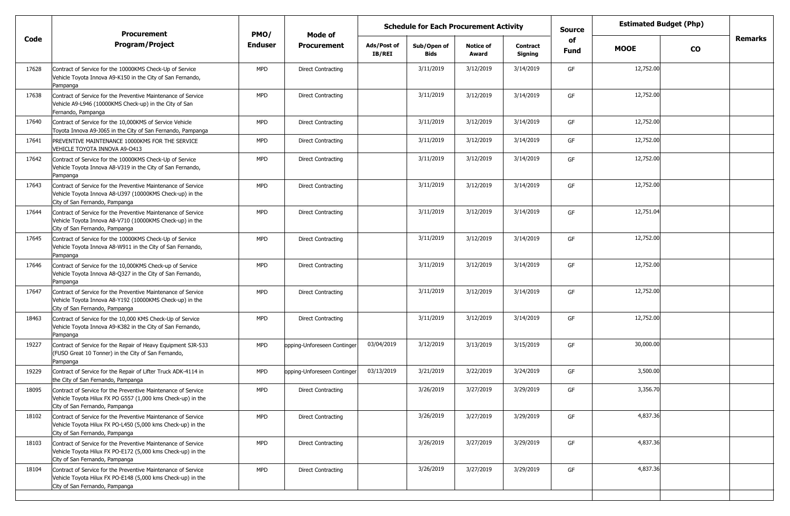| <b>Procurement</b><br>PMO/<br>Mode of |                                                                                                                                                                |                |                             |                       | <b>Schedule for Each Procurement Activity</b> |                           |                            | <b>Source</b> | <b>Estimated Budget (Php)</b> |               |                |
|---------------------------------------|----------------------------------------------------------------------------------------------------------------------------------------------------------------|----------------|-----------------------------|-----------------------|-----------------------------------------------|---------------------------|----------------------------|---------------|-------------------------------|---------------|----------------|
| Code                                  | <b>Program/Project</b>                                                                                                                                         | <b>Enduser</b> | <b>Procurement</b>          | Ads/Post of<br>IB/REI | Sub/Open of<br><b>Bids</b>                    | <b>Notice of</b><br>Award | <b>Contract</b><br>Signing | of<br>Fund    | <b>MOOE</b>                   | $\mathbf{co}$ | <b>Remarks</b> |
| 17628                                 | Contract of Service for the 10000KMS Check-Up of Service<br>Vehicle Toyota Innova A9-K150 in the City of San Fernando,<br>Pampanga                             | MPD            | <b>Direct Contracting</b>   |                       | 3/11/2019                                     | 3/12/2019                 | 3/14/2019                  | GF            | 12,752.00                     |               |                |
| 17638                                 | Contract of Service for the Preventive Maintenance of Service<br>Vehicle A9-L946 (10000KMS Check-up) in the City of San<br>Fernando, Pampanga                  | <b>MPD</b>     | Direct Contracting          |                       | 3/11/2019                                     | 3/12/2019                 | 3/14/2019                  | GF            | 12,752.00                     |               |                |
| 17640                                 | Contract of Service for the 10,000KMS of Service Vehicle<br>Toyota Innova A9-J065 in the City of San Fernando, Pampanga                                        | <b>MPD</b>     | <b>Direct Contracting</b>   |                       | 3/11/2019                                     | 3/12/2019                 | 3/14/2019                  | GF            | 12,752.00                     |               |                |
| 17641                                 | PREVENTIVE MAINTENANCE 10000KMS FOR THE SERVICE<br>VEHICLE TOYOTA INNOVA A9-0413                                                                               | <b>MPD</b>     | Direct Contracting          |                       | 3/11/2019                                     | 3/12/2019                 | 3/14/2019                  | GF            | 12,752.00                     |               |                |
| 17642                                 | Contract of Service for the 10000KMS Check-Up of Service<br>Vehicle Toyota Innova A8-V319 in the City of San Fernando,<br>Pampanga                             | <b>MPD</b>     | <b>Direct Contracting</b>   |                       | 3/11/2019                                     | 3/12/2019                 | 3/14/2019                  | GF            | 12,752.00                     |               |                |
| 17643                                 | Contract of Service for the Preventive Maintenance of Service<br>Vehicle Toyota Innova A8-U397 (10000KMS Check-up) in the<br>City of San Fernando, Pampanga    | <b>MPD</b>     | <b>Direct Contracting</b>   |                       | 3/11/2019                                     | 3/12/2019                 | 3/14/2019                  | GF            | 12,752.00                     |               |                |
| 17644                                 | Contract of Service for the Preventive Maintenance of Service<br>Vehicle Toyota Innova A8-V710 (10000KMS Check-up) in the<br>City of San Fernando, Pampanga    | <b>MPD</b>     | <b>Direct Contracting</b>   |                       | 3/11/2019                                     | 3/12/2019                 | 3/14/2019                  | GF            | 12,751.04                     |               |                |
| 17645                                 | Contract of Service for the 10000KMS Check-Up of Service<br>Vehicle Toyota Innova A8-W911 in the City of San Fernando,<br>Pampanga                             | <b>MPD</b>     | <b>Direct Contracting</b>   |                       | 3/11/2019                                     | 3/12/2019                 | 3/14/2019                  | GF            | 12,752.00                     |               |                |
| 17646                                 | Contract of Service for the 10,000KMS Check-up of Service<br>Vehicle Toyota Innova A8-Q327 in the City of San Fernando,<br>Pampanga                            | <b>MPD</b>     | <b>Direct Contracting</b>   |                       | 3/11/2019                                     | 3/12/2019                 | 3/14/2019                  | GF            | 12,752.00                     |               |                |
| 17647                                 | Contract of Service for the Preventive Maintenance of Service<br>Vehicle Toyota Innova A8-Y192 (10000KMS Check-up) in the<br>City of San Fernando, Pampanga    | <b>MPD</b>     | <b>Direct Contracting</b>   |                       | 3/11/2019                                     | 3/12/2019                 | 3/14/2019                  | GF            | 12,752.00                     |               |                |
| 18463                                 | Contract of Service for the 10,000 KMS Check-Up of Service<br>Vehicle Toyota Innova A9-K382 in the City of San Fernando,<br>Pampanga                           | <b>MPD</b>     | <b>Direct Contracting</b>   |                       | 3/11/2019                                     | 3/12/2019                 | 3/14/2019                  | GF            | 12,752.00                     |               |                |
| 19227                                 | Contract of Service for the Repair of Heavy Equipment SJR-533<br>(FUSO Great 10 Tonner) in the City of San Fernando,<br>Pampanga                               | <b>MPD</b>     | opping-Unforeseen Continger | 03/04/2019            | 3/12/2019                                     | 3/13/2019                 | 3/15/2019                  | GF            | 30,000.00                     |               |                |
| 19229                                 | Contract of Service for the Repair of Lifter Truck ADK-4114 in<br>the City of San Fernando, Pampanga                                                           | <b>MPD</b>     | opping-Unforeseen Continger | 03/13/2019            | 3/21/2019                                     | 3/22/2019                 | 3/24/2019                  | GF            | 3,500.00                      |               |                |
| 18095                                 | Contract of Service for the Preventive Maintenance of Service<br>Vehicle Toyota Hilux FX PO G557 (1,000 kms Check-up) in the<br>City of San Fernando, Pampanga | <b>MPD</b>     | <b>Direct Contracting</b>   |                       | 3/26/2019                                     | 3/27/2019                 | 3/29/2019                  | GF            | 3,356.70                      |               |                |
| 18102                                 | Contract of Service for the Preventive Maintenance of Service<br>Vehicle Toyota Hilux FX PO-L450 (5,000 kms Check-up) in the<br>City of San Fernando, Pampanga | <b>MPD</b>     | <b>Direct Contracting</b>   |                       | 3/26/2019                                     | 3/27/2019                 | 3/29/2019                  | GF            | 4,837.36                      |               |                |
| 18103                                 | Contract of Service for the Preventive Maintenance of Service<br>Vehicle Toyota Hilux FX PO-E172 (5,000 kms Check-up) in the<br>City of San Fernando, Pampanga | <b>MPD</b>     | <b>Direct Contracting</b>   |                       | 3/26/2019                                     | 3/27/2019                 | 3/29/2019                  | GF            | 4,837.36                      |               |                |
| 18104                                 | Contract of Service for the Preventive Maintenance of Service<br>Vehicle Toyota Hilux FX PO-E148 (5,000 kms Check-up) in the<br>City of San Fernando, Pampanga | <b>MPD</b>     | <b>Direct Contracting</b>   |                       | 3/26/2019                                     | 3/27/2019                 | 3/29/2019                  | GF            | 4,837.36                      |               |                |
|                                       |                                                                                                                                                                |                |                             |                       |                                               |                           |                            |               |                               |               |                |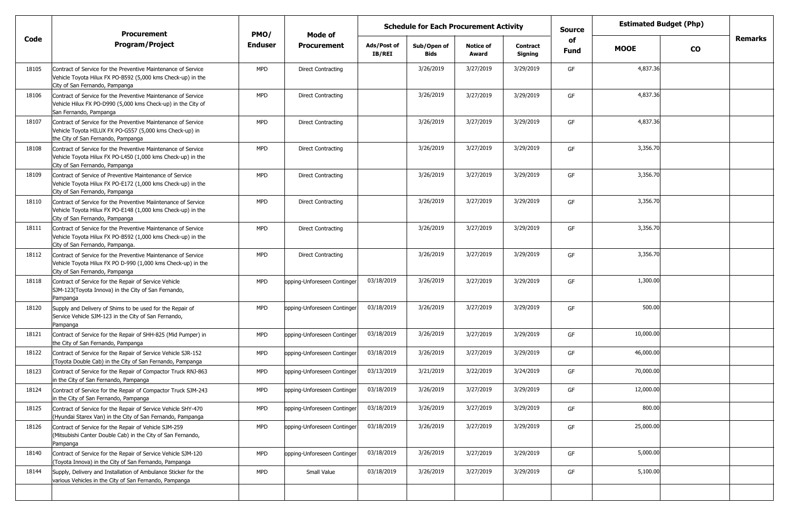| <b>Procurement</b><br>PMO/<br>Mode of |                                                                                                                                                                 |                |                             |                              | <b>Schedule for Each Procurement Activity</b> |                           |                            |                   | <b>Estimated Budget (Php)</b> |           |                |
|---------------------------------------|-----------------------------------------------------------------------------------------------------------------------------------------------------------------|----------------|-----------------------------|------------------------------|-----------------------------------------------|---------------------------|----------------------------|-------------------|-------------------------------|-----------|----------------|
| Code                                  | <b>Program/Project</b>                                                                                                                                          | <b>Enduser</b> | <b>Procurement</b>          | Ads/Post of<br><b>IB/REI</b> | Sub/Open of<br><b>Bids</b>                    | <b>Notice of</b><br>Award | <b>Contract</b><br>Signing | of<br><b>Fund</b> | <b>MOOE</b>                   | <b>CO</b> | <b>Remarks</b> |
| 18105                                 | Contract of Service for the Preventive Maintenance of Service<br>Vehicle Toyota Hilux FX PO-B592 (5,000 kms Check-up) in the<br>City of San Fernando, Pampanga  | <b>MPD</b>     | <b>Direct Contracting</b>   |                              | 3/26/2019                                     | 3/27/2019                 | 3/29/2019                  | GF                | 4,837.36                      |           |                |
| 18106                                 | Contract of Service for the Preventive Maintenance of Service<br>Vehicle Hilux FX PO-D990 (5,000 kms Check-up) in the City of<br>San Fernando, Pampanga         | <b>MPD</b>     | <b>Direct Contracting</b>   |                              | 3/26/2019                                     | 3/27/2019                 | 3/29/2019                  | GF                | 4,837.36                      |           |                |
| 18107                                 | Contract of Service for the Preventive Maintenance of Service<br>Vehicle Toyota HILUX FX PO-G557 (5,000 kms Check-up) in<br>the City of San Fernando, Pampanga  | <b>MPD</b>     | <b>Direct Contracting</b>   |                              | 3/26/2019                                     | 3/27/2019                 | 3/29/2019                  | GF                | 4,837.36                      |           |                |
| 18108                                 | Contract of Service for the Preventive Maintenance of Service<br>Vehicle Toyota Hilux FX PO-L450 (1,000 kms Check-up) in the<br>City of San Fernando, Pampanga  | <b>MPD</b>     | <b>Direct Contracting</b>   |                              | 3/26/2019                                     | 3/27/2019                 | 3/29/2019                  | GF                | 3,356.70                      |           |                |
| 18109                                 | Contract of Service of Preventive Maintenance of Service<br>Vehicle Toyota Hilux FX PO-E172 (1,000 kms Check-up) in the<br>City of San Fernando, Pampanga       | <b>MPD</b>     | <b>Direct Contracting</b>   |                              | 3/26/2019                                     | 3/27/2019                 | 3/29/2019                  | GF                | 3,356.70                      |           |                |
| 18110                                 | Contract of Service for the Preventive Maiintenance of Service<br>Vehicle Toyota Hilux FX PO-E148 (1,000 kms Check-up) in the<br>City of San Fernando, Pampanga | <b>MPD</b>     | <b>Direct Contracting</b>   |                              | 3/26/2019                                     | 3/27/2019                 | 3/29/2019                  | GF                | 3,356.70                      |           |                |
| 18111                                 | Contract of Service for the Preventive Maintenance of Service<br>Vehicle Toyota Hilux FX PO-B592 (1,000 kms Check-up) in the<br>City of San Fernando, Pampanga. | <b>MPD</b>     | <b>Direct Contracting</b>   |                              | 3/26/2019                                     | 3/27/2019                 | 3/29/2019                  | GF                | 3,356.70                      |           |                |
| 18112                                 | Contract of Service for the Preventive Maintenance of Service<br>Vehicle Toyota Hilux FX PO D-990 (1,000 kms Check-up) in the<br>City of San Fernando, Pampanga | <b>MPD</b>     | <b>Direct Contracting</b>   |                              | 3/26/2019                                     | 3/27/2019                 | 3/29/2019                  | GF                | 3,356.70                      |           |                |
| 18118                                 | Contract of Service for the Repair of Service Vehicle<br>SJM-123(Toyota Innova) in the City of San Fernando,<br>Pampanga                                        | <b>MPD</b>     | opping-Unforeseen Continger | 03/18/2019                   | 3/26/2019                                     | 3/27/2019                 | 3/29/2019                  | GF                | 1,300.00                      |           |                |
| 18120                                 | Supply and Delivery of Shims to be used for the Repair of<br>Service Vehicle SJM-123 in the City of San Fernando,<br>Pampanga                                   | <b>MPD</b>     | opping-Unforeseen Continger | 03/18/2019                   | 3/26/2019                                     | 3/27/2019                 | 3/29/2019                  | GF                | 500.00                        |           |                |
| 18121                                 | Contract of Service for the Repair of SHH-825 (Mid Pumper) in<br>the City of San Fernando, Pampanga                                                             | <b>MPD</b>     | opping-Unforeseen Continger | 03/18/2019                   | 3/26/2019                                     | 3/27/2019                 | 3/29/2019                  | GF                | 10,000.00                     |           |                |
| 18122                                 | Contract of Service for the Repair of Service Vehicle SJR-152<br>(Toyota Double Cab) in the City of San Fernando, Pampanga                                      | <b>MPD</b>     | opping-Unforeseen Continger | 03/18/2019                   | 3/26/2019                                     | 3/27/2019                 | 3/29/2019                  | GF                | 46,000.00                     |           |                |
| 18123                                 | Contract of Service for the Repair of Compactor Truck RNJ-863<br>in the City of San Fernando, Pampanga                                                          | <b>MPD</b>     | opping-Unforeseen Continger | 03/13/2019                   | 3/21/2019                                     | 3/22/2019                 | 3/24/2019                  | GF                | 70,000.00                     |           |                |
| 18124                                 | Contract of Service for the Repair of Compactor Truck SJM-243<br>in the City of San Fernando, Pampanga                                                          | <b>MPD</b>     | opping-Unforeseen Continger | 03/18/2019                   | 3/26/2019                                     | 3/27/2019                 | 3/29/2019                  | GF                | 12,000.00                     |           |                |
| 18125                                 | Contract of Service for the Repair of Service Vehicle SHY-470<br>(Hyundai Starex Van) in the City of San Fernando, Pampanga                                     | <b>MPD</b>     | opping-Unforeseen Continger | 03/18/2019                   | 3/26/2019                                     | 3/27/2019                 | 3/29/2019                  | GF                | 800.00                        |           |                |
| 18126                                 | Contract of Service for the Repair of Vehicle SJM-259<br>(Mitsubishi Canter Double Cab) in the City of San Fernando,<br>Pampanga                                | <b>MPD</b>     | opping-Unforeseen Continger | 03/18/2019                   | 3/26/2019                                     | 3/27/2019                 | 3/29/2019                  | GF                | 25,000.00                     |           |                |
| 18140                                 | Contract of Service for the Repair of Service Vehicle SJM-120<br>(Toyota Innova) in the City of San Fernando, Pampanga                                          | <b>MPD</b>     | opping-Unforeseen Continger | 03/18/2019                   | 3/26/2019                                     | 3/27/2019                 | 3/29/2019                  | GF                | 5,000.00                      |           |                |
| 18144                                 | Supply, Delivery and Installation of Ambulance Sticker for the<br>various Vehicles in the City of San Fernando, Pampanga                                        | <b>MPD</b>     | Small Value                 | 03/18/2019                   | 3/26/2019                                     | 3/27/2019                 | 3/29/2019                  | GF                | 5,100.00                      |           |                |
|                                       |                                                                                                                                                                 |                |                             |                              |                                               |                           |                            |                   |                               |           |                |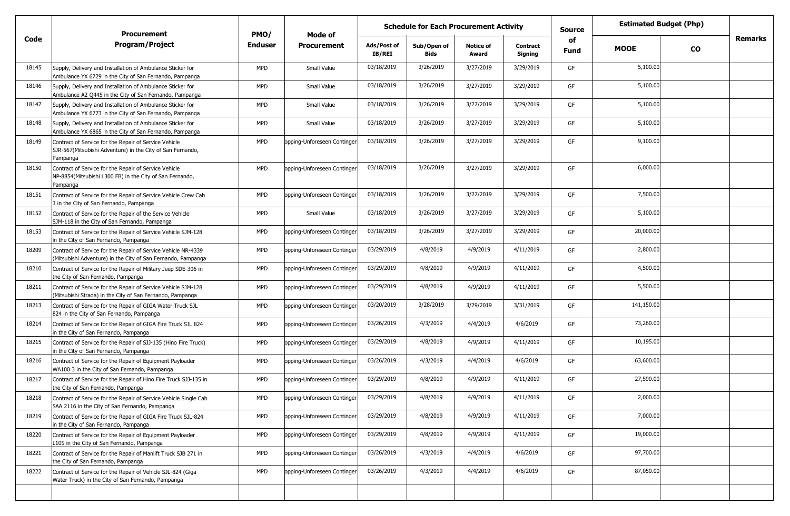|       | <b>Procurement</b>                                                                                                              |                        | <b>Schedule for Each Procurement Activity</b><br>Mode of |                              |                            |                           |                            | <b>Estimated Budget (Php)</b> |             |           |                |
|-------|---------------------------------------------------------------------------------------------------------------------------------|------------------------|----------------------------------------------------------|------------------------------|----------------------------|---------------------------|----------------------------|-------------------------------|-------------|-----------|----------------|
| Code  | <b>Program/Project</b>                                                                                                          | PMO/<br><b>Enduser</b> | <b>Procurement</b>                                       | Ads/Post of<br><b>IB/REI</b> | Sub/Open of<br><b>Bids</b> | <b>Notice of</b><br>Award | <b>Contract</b><br>Signing | of<br><b>Fund</b>             | <b>MOOE</b> | <b>CO</b> | <b>Remarks</b> |
| 18145 | Supply, Delivery and Installation of Ambulance Sticker for<br>Ambulance YX 6729 in the City of San Fernando, Pampanga           | <b>MPD</b>             | Small Value                                              | 03/18/2019                   | 3/26/2019                  | 3/27/2019                 | 3/29/2019                  | GF                            | 5,100.00    |           |                |
| 18146 | Supply, Delivery and Installation of Ambulance Sticker for<br>Ambulance A2 Q445 in the City of San Fernando, Pampanga           | <b>MPD</b>             | Small Value                                              | 03/18/2019                   | 3/26/2019                  | 3/27/2019                 | 3/29/2019                  | GF                            | 5,100.00    |           |                |
| 18147 | Supply, Delivery and Installation of Ambulance Sticker for<br>Ambulance YX 6773 in the City of San Fernando, Pampanga           | <b>MPD</b>             | Small Value                                              | 03/18/2019                   | 3/26/2019                  | 3/27/2019                 | 3/29/2019                  | GF                            | 5,100.00    |           |                |
| 18148 | Supply, Delivery and Installation of Ambulance Sticker for<br>Ambulance YX 6865 in the City of San Fernando, Pampanga           | <b>MPD</b>             | Small Value                                              | 03/18/2019                   | 3/26/2019                  | 3/27/2019                 | 3/29/2019                  | GF                            | 5,100.00    |           |                |
| 18149 | Contract of Service for the Repair of Service Vehicle<br>SJR-567(Mitsubishi Adventure) in the City of San Fernando,<br>Pampanga | <b>MPD</b>             | opping-Unforeseen Continger                              | 03/18/2019                   | 3/26/2019                  | 3/27/2019                 | 3/29/2019                  | GF                            | 9,100.00    |           |                |
| 18150 | Contract of Service for the Repair of Service Vehicle<br>NP-8854(Mitsubishi L300 FB) in the City of San Fernando,<br>Pampanga   | <b>MPD</b>             | opping-Unforeseen Continger                              | 03/18/2019                   | 3/26/2019                  | 3/27/2019                 | 3/29/2019                  | GF                            | 6,000.00    |           |                |
| 18151 | Contract of Service for the Repair of Service Vehicle Crew Cab<br>3 in the City of San Fernando, Pampanga                       | <b>MPD</b>             | opping-Unforeseen Continger                              | 03/18/2019                   | 3/26/2019                  | 3/27/2019                 | 3/29/2019                  | GF                            | 7,500.00    |           |                |
| 18152 | Contract of Service for the Repair of the Service Vehicle<br>SJM-118 in the City of San Fernando, Pampanga                      | <b>MPD</b>             | Small Value                                              | 03/18/2019                   | 3/26/2019                  | 3/27/2019                 | 3/29/2019                  | GF                            | 5,100.00    |           |                |
| 18153 | Contract of Service for the Repair of Service Vehicle SJM-128<br>in the City of San Fernando, Pampanga                          | <b>MPD</b>             | opping-Unforeseen Continger                              | 03/18/2019                   | 3/26/2019                  | 3/27/2019                 | 3/29/2019                  | GF                            | 20,000.00   |           |                |
| 18209 | Contract of Service for the Repair of Service Vehicle NR-4339<br>Mitsubishi Adventure) in the City of San Fernando, Pampanga    | <b>MPD</b>             | opping-Unforeseen Continger                              | 03/29/2019                   | 4/8/2019                   | 4/9/2019                  | 4/11/2019                  | GF                            | 2,800.00    |           |                |
| 18210 | Contract of Service for the Repair of Military Jeep SDE-306 in<br>the City of San Fernando, Pampanga                            | <b>MPD</b>             | opping-Unforeseen Continger                              | 03/29/2019                   | 4/8/2019                   | 4/9/2019                  | 4/11/2019                  | GF                            | 4,500.00    |           |                |
| 18211 | Contract of Service for the Repair of Service Vehicle SJM-128<br>Mitsubishi Strada) in the City of San Fernando, Pampanga       | <b>MPD</b>             | opping-Unforeseen Continger                              | 03/29/2019                   | 4/8/2019                   | 4/9/2019                  | 4/11/2019                  | GF                            | 5,500.00    |           |                |
| 18213 | Contract of Service for the Repair of GIGA Water Truck SJL<br>824 in the City of San Fernando, Pampanga                         | <b>MPD</b>             | opping-Unforeseen Continger                              | 03/20/2019                   | 3/28/2019                  | 3/29/2019                 | 3/31/2019                  | GF                            | 141,150.00  |           |                |
| 18214 | Contract of Service for the Repair of GIGA Fire Truck SJL 824<br>in the City of San Fernando, Pampanga                          | <b>MPD</b>             | opping-Unforeseen Continger                              | 03/26/2019                   | 4/3/2019                   | 4/4/2019                  | 4/6/2019                   | GF                            | 73,260.00   |           |                |
| 18215 | Contract of Service for the Repair of SJJ-135 (Hino Fire Truck)<br>in the City of San Fernando, Pampanga                        | <b>MPD</b>             | ppping-Unforeseen Continger                              | 03/29/2019                   | 4/8/2019                   | 4/9/2019                  | 4/11/2019                  | GF                            | 10,195.00   |           |                |
| 18216 | Contract of Service for the Repair of Equipment Payloader<br>WA100 3 in the City of San Fernando, Pampanga                      | <b>MPD</b>             | opping-Unforeseen Continger                              | 03/26/2019                   | 4/3/2019                   | 4/4/2019                  | 4/6/2019                   | GF                            | 63,600.00   |           |                |
| 18217 | Contract of Service for the Repair of Hino Fire Truck SJJ-135 in<br>the City of San Fernando, Pampanga                          | <b>MPD</b>             | opping-Unforeseen Continger                              | 03/29/2019                   | 4/8/2019                   | 4/9/2019                  | 4/11/2019                  | GF                            | 27,590.00   |           |                |
| 18218 | Contract of Service for the Repair of Service Vehicle Single Cab<br>SAA 2116 in the City of San Fernando, Pampanga              | <b>MPD</b>             | ppping-Unforeseen Continger                              | 03/29/2019                   | 4/8/2019                   | 4/9/2019                  | 4/11/2019                  | GF                            | 2,000.00    |           |                |
| 18219 | Contract of Service for the Repair of GIGA Fire Truck SJL-824<br>in the City of San Fernando, Pampanga                          | <b>MPD</b>             | opping-Unforeseen Continger                              | 03/29/2019                   | 4/8/2019                   | 4/9/2019                  | 4/11/2019                  | GF                            | 7,000.00    |           |                |
| 18220 | Contract of Service for the Repair of Equipment Payloader<br>L10S in the City of San Fernando, Pampanga                         | <b>MPD</b>             | opping-Unforeseen Continger                              | 03/29/2019                   | 4/8/2019                   | 4/9/2019                  | 4/11/2019                  | GF                            | 19,000.00   |           |                |
| 18221 | Contract of Service for the Repair of Manlift Truck SJB 271 in<br>the City of San Fernando, Pampanga                            | <b>MPD</b>             | opping-Unforeseen Continger                              | 03/26/2019                   | 4/3/2019                   | 4/4/2019                  | 4/6/2019                   | GF                            | 97,700.00   |           |                |
| 18222 | Contract of Service for the Repair of Vehicle SJL-824 (Giga<br>Water Truck) in the City of San Fernando, Pampanga               | <b>MPD</b>             | opping-Unforeseen Continger                              | 03/26/2019                   | 4/3/2019                   | 4/4/2019                  | 4/6/2019                   | GF                            | 87,050.00   |           |                |
|       |                                                                                                                                 |                        |                                                          |                              |                            |                           |                            |                               |             |           |                |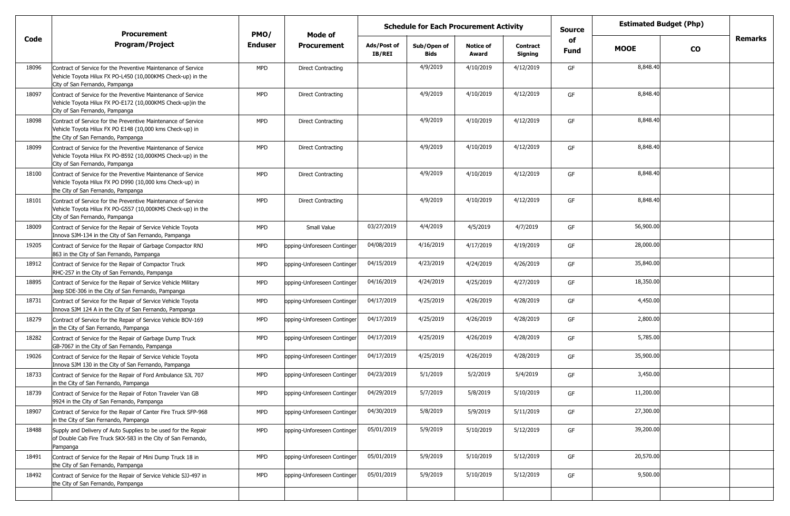|       | <b>Procurement</b>                                                                                                                                              | PMO/           | Mode of                     |                       | <b>Schedule for Each Procurement Activity</b> |                           |                            | <b>Source</b> | <b>Estimated Budget (Php)</b> |           |         |
|-------|-----------------------------------------------------------------------------------------------------------------------------------------------------------------|----------------|-----------------------------|-----------------------|-----------------------------------------------|---------------------------|----------------------------|---------------|-------------------------------|-----------|---------|
| Code  | <b>Program/Project</b>                                                                                                                                          | <b>Enduser</b> | <b>Procurement</b>          | Ads/Post of<br>IB/REI | Sub/Open of<br><b>Bids</b>                    | <b>Notice of</b><br>Award | <b>Contract</b><br>Signing | of<br>Fund    | <b>MOOE</b>                   | <b>CO</b> | Remarks |
| 18096 | Contract of Service for the Preventive Maintenance of Service<br>Vehicle Toyota Hilux FX PO-L450 (10,000KMS Check-up) in the<br>City of San Fernando, Pampanga  | MPD            | <b>Direct Contracting</b>   |                       | 4/9/2019                                      | 4/10/2019                 | 4/12/2019                  | GF            | 8,848.40                      |           |         |
| 18097 | Contract of Service for the Preventive Maintenance of Service<br>Vehicle Toyota Hilux FX PO-E172 (10,000KMS Check-up)in the<br>City of San Fernando, Pampanga   | <b>MPD</b>     | <b>Direct Contracting</b>   |                       | 4/9/2019                                      | 4/10/2019                 | 4/12/2019                  | GF            | 8,848.40                      |           |         |
| 18098 | Contract of Service for the Preventive Maintenance of Service<br>Vehicle Toyota Hilux FX PO E148 (10,000 kms Check-up) in<br>the City of San Fernando, Pampanga | <b>MPD</b>     | <b>Direct Contracting</b>   |                       | 4/9/2019                                      | 4/10/2019                 | 4/12/2019                  | GF            | 8,848.40                      |           |         |
| 18099 | Contract of Service for the Preventive Maintenance of Service<br>Vehicle Toyota Hilux FX PO-B592 (10,000KMS Check-up) in the<br>City of San Fernando, Pampanga  | <b>MPD</b>     | <b>Direct Contracting</b>   |                       | 4/9/2019                                      | 4/10/2019                 | 4/12/2019                  | GF            | 8,848.40                      |           |         |
| 18100 | Contract of Service for the Preventive Maintenance of Service<br>Vehicle Toyota Hilux FX PO D990 (10,000 kms Check-up) in<br>the City of San Fernando, Pampanga | <b>MPD</b>     | <b>Direct Contracting</b>   |                       | 4/9/2019                                      | 4/10/2019                 | 4/12/2019                  | GF            | 8,848.40                      |           |         |
| 18101 | Contract of Service for the Preventive Maintenance of Service<br>Vehicle Toyota Hilux FX PO-G557 (10,000KMS Check-up) in the<br>City of San Fernando, Pampanga  | <b>MPD</b>     | <b>Direct Contracting</b>   |                       | 4/9/2019                                      | 4/10/2019                 | 4/12/2019                  | GF            | 8,848.40                      |           |         |
| 18009 | Contract of Service for the Repair of Service Vehicle Toyota<br>Innova SJM-134 in the City of San Fernando, Pampanga                                            | <b>MPD</b>     | Small Value                 | 03/27/2019            | 4/4/2019                                      | 4/5/2019                  | 4/7/2019                   | GF            | 56,900.00                     |           |         |
| 19205 | Contract of Service for the Repair of Garbage Compactor RNJ<br>863 in the City of San Fernando, Pampanga                                                        | <b>MPD</b>     | opping-Unforeseen Continger | 04/08/2019            | 4/16/2019                                     | 4/17/2019                 | 4/19/2019                  | GF            | 28,000.00                     |           |         |
| 18912 | Contract of Service for the Repair of Compactor Truck<br>RHC-257 in the City of San Fernando, Pampanga                                                          | <b>MPD</b>     | opping-Unforeseen Continger | 04/15/2019            | 4/23/2019                                     | 4/24/2019                 | 4/26/2019                  | GF            | 35,840.00                     |           |         |
| 18895 | Contract of Service for the Repair of Service Vehicle Military<br>Jeep SDE-306 in the City of San Fernando, Pampanga                                            | <b>MPD</b>     | opping-Unforeseen Continger | 04/16/2019            | 4/24/2019                                     | 4/25/2019                 | 4/27/2019                  | GF            | 18,350.00                     |           |         |
| 18731 | Contract of Service for the Repair of Service Vehicle Toyota<br>Innova SJM 124 A in the City of San Fernando, Pampanga                                          | <b>MPD</b>     | opping-Unforeseen Continger | 04/17/2019            | 4/25/2019                                     | 4/26/2019                 | 4/28/2019                  | GF            | 4,450.00                      |           |         |
| 18279 | Contract of Service for the Repair of Service Vehicle BOV-169<br>in the City of San Fernando, Pampanga                                                          | <b>MPD</b>     | opping-Unforeseen Continger | 04/17/2019            | 4/25/2019                                     | 4/26/2019                 | 4/28/2019                  | GF            | 2,800.00                      |           |         |
| 18282 | Contract of Service for the Repair of Garbage Dump Truck<br>GB-7067 in the City of San Fernando, Pampanga                                                       | <b>MPD</b>     | opping-Unforeseen Continger | 04/17/2019            | 4/25/2019                                     | 4/26/2019                 | 4/28/2019                  | GF            | 5,785.00                      |           |         |
| 19026 | Contract of Service for the Repair of Service Vehicle Toyota<br>Innova SJM 130 in the City of San Fernando, Pampanga                                            | <b>MPD</b>     | opping-Unforeseen Continger | 04/17/2019            | 4/25/2019                                     | 4/26/2019                 | 4/28/2019                  | GF            | 35,900.00                     |           |         |
| 18733 | Contract of Service for the Repair of Ford Ambulance SJL 707<br>in the City of San Fernando, Pampanga                                                           | <b>MPD</b>     | opping-Unforeseen Continger | 04/23/2019            | 5/1/2019                                      | 5/2/2019                  | 5/4/2019                   | GF            | 3,450.00                      |           |         |
| 18739 | Contract of Service for the Repair of Foton Traveler Van GB<br>9924 in the City of San Fernando, Pampanga                                                       | <b>MPD</b>     | opping-Unforeseen Continger | 04/29/2019            | 5/7/2019                                      | 5/8/2019                  | 5/10/2019                  | GF            | 11,200.00                     |           |         |
| 18907 | Contract of Service for the Repair of Canter Fire Truck SFP-968<br>in the City of San Fernando, Pampanga                                                        | <b>MPD</b>     | opping-Unforeseen Continger | 04/30/2019            | 5/8/2019                                      | 5/9/2019                  | 5/11/2019                  | GF            | 27,300.00                     |           |         |
| 18488 | Supply and Delivery of Auto Supplies to be used for the Repair<br>of Double Cab Fire Truck SKX-583 in the City of San Fernando,<br>Pampanga                     | <b>MPD</b>     | opping-Unforeseen Continger | 05/01/2019            | 5/9/2019                                      | 5/10/2019                 | 5/12/2019                  | GF            | 39,200.00                     |           |         |
| 18491 | Contract of Service for the Repair of Mini Dump Truck 18 in<br>the City of San Fernando, Pampanga                                                               | <b>MPD</b>     | opping-Unforeseen Continger | 05/01/2019            | 5/9/2019                                      | 5/10/2019                 | 5/12/2019                  | GF            | 20,570.00                     |           |         |
| 18492 | Contract of Service for the Repair of Service Vehicle SJJ-497 in<br>the City of San Fernando, Pampanga                                                          | <b>MPD</b>     | opping-Unforeseen Continger | 05/01/2019            | 5/9/2019                                      | 5/10/2019                 | 5/12/2019                  | GF            | 9,500.00                      |           |         |
|       |                                                                                                                                                                 |                |                             |                       |                                               |                           |                            |               |                               |           |         |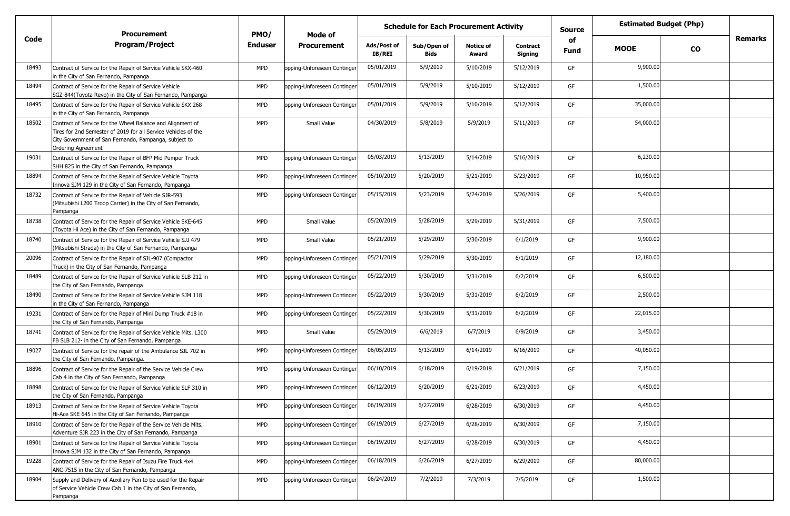|       | <b>Procurement</b><br><b>Program/Project</b>                                                                                                                                                                | PMO/       | Mode of                     |                              | <b>Schedule for Each Procurement Activity</b> |                           |                            | <b>Source</b>     | <b>Estimated Budget (Php)</b> |           |                |
|-------|-------------------------------------------------------------------------------------------------------------------------------------------------------------------------------------------------------------|------------|-----------------------------|------------------------------|-----------------------------------------------|---------------------------|----------------------------|-------------------|-------------------------------|-----------|----------------|
| Code  |                                                                                                                                                                                                             | Enduser    | <b>Procurement</b>          | Ads/Post of<br><b>IB/REI</b> | Sub/Open of<br><b>Bids</b>                    | <b>Notice of</b><br>Award | <b>Contract</b><br>Signing | of<br><b>Fund</b> | <b>MOOE</b>                   | <b>CO</b> | <b>Remarks</b> |
| 18493 | Contract of Service for the Repair of Service Vehicle SKX-460<br>in the City of San Fernando, Pampanga                                                                                                      | <b>MPD</b> | opping-Unforeseen Continger | 05/01/2019                   | 5/9/2019                                      | 5/10/2019                 | 5/12/2019                  | GF                | 9,900.00                      |           |                |
| 18494 | Contract of Service for the Repair of Service Vehicle<br>SGZ-844(Toyota Revo) in the City of San Fernando, Pampanga                                                                                         | <b>MPD</b> | opping-Unforeseen Continger | 05/01/2019                   | 5/9/2019                                      | 5/10/2019                 | 5/12/2019                  | GF                | 1,500.00                      |           |                |
| 18495 | Contract of Service for the Repair of Service Vehicle SKX 268<br>in the City of San Fernando, Pampanga                                                                                                      | <b>MPD</b> | opping-Unforeseen Continger | 05/01/2019                   | 5/9/2019                                      | 5/10/2019                 | 5/12/2019                  | GF                | 35,000.00                     |           |                |
| 18502 | Contract of Service for the Wheel Balance and Alignment of<br>Tires for 2nd Semester of 2019 for all Service Vehicles of the<br>City Government of San Fernando, Pampanga, subject to<br>Ordering Agreement | <b>MPD</b> | Small Value                 | 04/30/2019                   | 5/8/2019                                      | 5/9/2019                  | 5/11/2019                  | GF                | 54,000.00                     |           |                |
| 19031 | Contract of Service for the Repair of BFP Mid Pumper Truck<br>SHH 825 in the City of San Fernando, Pampanga                                                                                                 | <b>MPD</b> | opping-Unforeseen Continger | 05/03/2019                   | 5/13/2019                                     | 5/14/2019                 | 5/16/2019                  | GF                | 6,230.00                      |           |                |
| 18894 | Contract of Service for the Repair of Service Vehicle Toyota<br>Innova SJM 129 in the City of San Fernando, Pampanga                                                                                        | <b>MPD</b> | opping-Unforeseen Continger | 05/10/2019                   | 5/20/2019                                     | 5/21/2019                 | 5/23/2019                  | GF                | 10,950.00                     |           |                |
| 18732 | Contract of Service for the Repair of Vehicle SJR-593<br>Mitsubishi L200 Troop Carrier) in the City of San Fernando,<br>Pampanga                                                                            | <b>MPD</b> | opping-Unforeseen Continger | 05/15/2019                   | 5/23/2019                                     | 5/24/2019                 | 5/26/2019                  | GF                | 5,400.00                      |           |                |
| 18738 | Contract of Service for the Repair of Service Vehicle SKE-645<br>(Toyota Hi Ace) in the City of San Fernando, Pampanga                                                                                      | <b>MPD</b> | Small Value                 | 05/20/2019                   | 5/28/2019                                     | 5/29/2019                 | 5/31/2019                  | GF                | 7,500.00                      |           |                |
| 18740 | Contract of Service for the Repair of Service Vehicle SJJ 479<br>Mitsubishi Strada) in the City of San Fernando, Pampanga                                                                                   | <b>MPD</b> | Small Value                 | 05/21/2019                   | 5/29/2019                                     | 5/30/2019                 | 6/1/2019                   | GF                | 9,900.00                      |           |                |
| 20096 | Contract of Service for the Repair of SJL-907 (Compactor<br>Truck) in the City of San Fernando, Pampanga                                                                                                    | <b>MPD</b> | opping-Unforeseen Continger | 05/21/2019                   | 5/29/2019                                     | 5/30/2019                 | 6/1/2019                   | GF                | 12,180.00                     |           |                |
| 18489 | Contract of Service for the Repair of Service Vehicle SLB-212 in<br>the City of San Fernando, Pampanga                                                                                                      | <b>MPD</b> | opping-Unforeseen Continger | 05/22/2019                   | 5/30/2019                                     | 5/31/2019                 | 6/2/2019                   | GF                | 6,500.00                      |           |                |
| 18490 | Contract of Service for the Repair of Service Vehicle SJM 118<br>in the City of San Fernando, Pampanga                                                                                                      | <b>MPD</b> | opping-Unforeseen Continger | 05/22/2019                   | 5/30/2019                                     | 5/31/2019                 | 6/2/2019                   | GF                | 2,500.00                      |           |                |
| 19231 | Contract of Service for the Repair of Mini Dump Truck #18 in<br>the City of San Fernando, Pampanga                                                                                                          | <b>MPD</b> | opping-Unforeseen Continger | 05/22/2019                   | 5/30/2019                                     | 5/31/2019                 | 6/2/2019                   | GF                | 22,015.00                     |           |                |
| 18741 | Contract of Service for the Repair of Service Vehicle Mits. L300<br>FB SLB 212- in the City of San Fernando, Pampanga                                                                                       | <b>MPD</b> | Small Value                 | 05/29/2019                   | 6/6/2019                                      | 6/7/2019                  | 6/9/2019                   | GF                | 3,450.00                      |           |                |
| 19027 | Contract of Service for the repair of the Ambulance SJL 702 in<br>the City of San Fernando, Pampanga.                                                                                                       | <b>MPD</b> | opping-Unforeseen Continger | 06/05/2019                   | 6/13/2019                                     | 6/14/2019                 | 6/16/2019                  | GF                | 40,050.00                     |           |                |
| 18896 | Contract of Service for the Repair of the Service Vehicle Crew<br>Cab 4 in the City of San Fernando, Pampanga                                                                                               | <b>MPD</b> | opping-Unforeseen Continger | 06/10/2019                   | 6/18/2019                                     | 6/19/2019                 | 6/21/2019                  | GF                | 7,150.00                      |           |                |
| 18898 | Contract of Service for the Repair of Service Vehicle SLF 310 in<br>the City of San Fernando, Pampanga                                                                                                      | <b>MPD</b> | opping-Unforeseen Continger | 06/12/2019                   | 6/20/2019                                     | 6/21/2019                 | 6/23/2019                  | GF                | 4,450.00                      |           |                |
| 18913 | Contract of Service for the Repair of Service Vehicle Toyota<br>Hi-Ace SKE 645 in the City of San Fernando, Pampanga                                                                                        | <b>MPD</b> | opping-Unforeseen Continger | 06/19/2019                   | 6/27/2019                                     | 6/28/2019                 | 6/30/2019                  | GF                | 4,450.00                      |           |                |
| 18910 | Contract of Service for the Repair of the Service Vehicle Mits.<br>Adventure SJR 223 in the City of San Fernando, Pampanga                                                                                  | <b>MPD</b> | opping-Unforeseen Continger | 06/19/2019                   | 6/27/2019                                     | 6/28/2019                 | 6/30/2019                  | GF                | 7,150.00                      |           |                |
| 18901 | Contract of Service for the Repair of Service Vehicle Toyota<br>Innova SJM 132 in the City of San Fernando, Pampanga                                                                                        | <b>MPD</b> | opping-Unforeseen Continger | 06/19/2019                   | 6/27/2019                                     | 6/28/2019                 | 6/30/2019                  | GF                | 4,450.00                      |           |                |
| 19228 | Contract of Service for the Repair of Isuzu Fire Truck 4x4<br>ANC-7515 in the City of San Fernando, Pampanga                                                                                                | <b>MPD</b> | opping-Unforeseen Continger | 06/18/2019                   | 6/26/2019                                     | 6/27/2019                 | 6/29/2019                  | GF                | 80,000.00                     |           |                |
| 18904 | Supply and Delivery of Auxiliary Fan to be used for the Repair<br>of Service Vehicle Crew Cab 1 in the City of San Fernando,<br>Pampanga                                                                    | <b>MPD</b> | opping-Unforeseen Continger | 06/24/2019                   | 7/2/2019                                      | 7/3/2019                  | 7/5/2019                   | GF                | 1,500.00                      |           |                |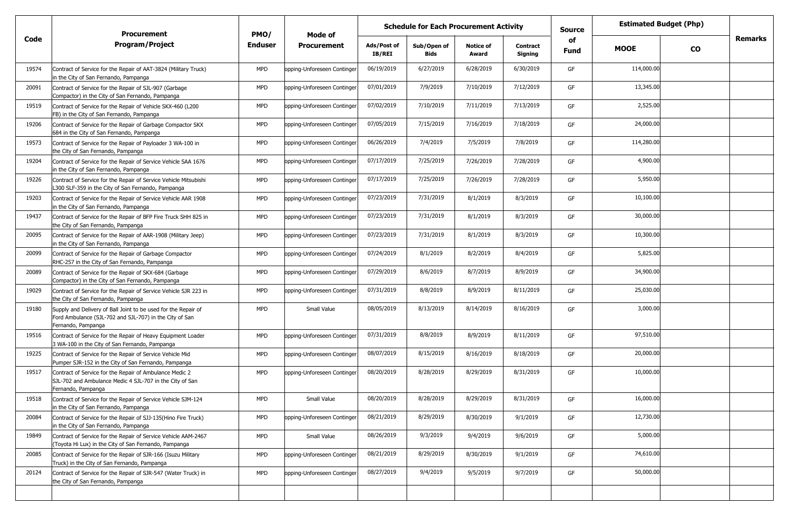|       | <b>Procurement</b>                                                                                                                              | PMO/       | Mode of                     |                              | <b>Schedule for Each Procurement Activity</b> |                           |                            | <b>Source</b>     | <b>Estimated Budget (Php)</b> |           |         |
|-------|-------------------------------------------------------------------------------------------------------------------------------------------------|------------|-----------------------------|------------------------------|-----------------------------------------------|---------------------------|----------------------------|-------------------|-------------------------------|-----------|---------|
| Code  | <b>Program/Project</b>                                                                                                                          | Enduser    | <b>Procurement</b>          | Ads/Post of<br><b>IB/REI</b> | Sub/Open of<br>Bids                           | <b>Notice of</b><br>Award | <b>Contract</b><br>Signing | of<br><b>Fund</b> | <b>MOOE</b>                   | <b>CO</b> | Remarks |
| 19574 | Contract of Service for the Repair of AAT-3824 (Military Truck)<br>in the City of San Fernando, Pampanga                                        | <b>MPD</b> | opping-Unforeseen Continger | 06/19/2019                   | 6/27/2019                                     | 6/28/2019                 | 6/30/2019                  | GF                | 114,000.00                    |           |         |
| 20091 | Contract of Service for the Repair of SJL-907 (Garbage<br>Compactor) in the City of San Fernando, Pampanga                                      | <b>MPD</b> | opping-Unforeseen Continger | 07/01/2019                   | 7/9/2019                                      | 7/10/2019                 | 7/12/2019                  | GF                | 13,345.00                     |           |         |
| 19519 | Contract of Service for the Repair of Vehicle SKX-460 (L200<br>FB) in the City of San Fernando, Pampanga                                        | <b>MPD</b> | opping-Unforeseen Continger | 07/02/2019                   | 7/10/2019                                     | 7/11/2019                 | 7/13/2019                  | GF                | 2,525.00                      |           |         |
| 19206 | Contract of Service for the Repair of Garbage Compactor SKX<br>684 in the City of San Fernando, Pampanga                                        | <b>MPD</b> | opping-Unforeseen Continger | 07/05/2019                   | 7/15/2019                                     | 7/16/2019                 | 7/18/2019                  | GF                | 24,000.00                     |           |         |
| 19573 | Contract of Service for the Repair of Payloader 3 WA-100 in<br>the City of San Fernando, Pampanga                                               | <b>MPD</b> | opping-Unforeseen Continger | 06/26/2019                   | 7/4/2019                                      | 7/5/2019                  | 7/8/2019                   | GF                | 114,280.00                    |           |         |
| 19204 | Contract of Service for the Repair of Service Vehicle SAA 1676<br>in the City of San Fernando, Pampanga                                         | <b>MPD</b> | opping-Unforeseen Continger | 07/17/2019                   | 7/25/2019                                     | 7/26/2019                 | 7/28/2019                  | GF                | 4,900.00                      |           |         |
| 19226 | Contract of Service for the Repair of Service Vehicle Mitsubishi<br>L300 SLF-359 in the City of San Fernando, Pampanga                          | <b>MPD</b> | opping-Unforeseen Continger | 07/17/2019                   | 7/25/2019                                     | 7/26/2019                 | 7/28/2019                  | GF                | 5,950.00                      |           |         |
| 19203 | Contract of Service for the Repair of Service Vehicle AAR 1908<br>in the City of San Fernando, Pampanga                                         | <b>MPD</b> | opping-Unforeseen Continger | 07/23/2019                   | 7/31/2019                                     | 8/1/2019                  | 8/3/2019                   | GF                | 10,100.00                     |           |         |
| 19437 | Contract of Service for the Repair of BFP Fire Truck SHH 825 in<br>the City of San Fernando, Pampanga                                           | <b>MPD</b> | opping-Unforeseen Continger | 07/23/2019                   | 7/31/2019                                     | 8/1/2019                  | 8/3/2019                   | GF                | 30,000.00                     |           |         |
| 20095 | Contract of Service for the Repair of AAR-1908 (Military Jeep)<br>in the City of San Fernando, Pampanga                                         | <b>MPD</b> | opping-Unforeseen Continger | 07/23/2019                   | 7/31/2019                                     | 8/1/2019                  | 8/3/2019                   | GF                | 10,300.00                     |           |         |
| 20099 | Contract of Service for the Repair of Garbage Compactor<br>RHC-257 in the City of San Fernando, Pampanga                                        | <b>MPD</b> | opping-Unforeseen Continger | 07/24/2019                   | 8/1/2019                                      | 8/2/2019                  | 8/4/2019                   | GF                | 5,825.00                      |           |         |
| 20089 | Contract of Service for the Repair of SKX-684 (Garbage<br>Compactor) in the City of San Fernando, Pampanga                                      | <b>MPD</b> | opping-Unforeseen Continger | 07/29/2019                   | 8/6/2019                                      | 8/7/2019                  | 8/9/2019                   | GF                | 34,900.00                     |           |         |
| 19029 | Contract of Service for the Repair of Service Vehicle SJR 223 in<br>the City of San Fernando, Pampanga                                          | <b>MPD</b> | opping-Unforeseen Continger | 07/31/2019                   | 8/8/2019                                      | 8/9/2019                  | 8/11/2019                  | GF                | 25,030.00                     |           |         |
| 19180 | Supply and Delivery of Ball Joint to be used for the Repair of<br>Ford Ambulance (SJL-702 and SJL-707) in the City of San<br>Fernando, Pampanga | <b>MPD</b> | Small Value                 | 08/05/2019                   | 8/13/2019                                     | 8/14/2019                 | 8/16/2019                  | GF                | 3,000.00                      |           |         |
| 19516 | Contract of Service for the Repair of Heavy Equipment Loader<br>3 WA-100 in the City of San Fernando, Pampanga                                  | <b>MPD</b> | opping-Unforeseen Continger | 07/31/2019                   | 8/8/2019                                      | 8/9/2019                  | 8/11/2019                  | GF                | 97,510.00                     |           |         |
| 19225 | Contract of Service for the Repair of Service Vehicle Mid<br>Pumper SJR-152 in the City of San Fernando, Pampanga                               | <b>MPD</b> | opping-Unforeseen Continger | 08/07/2019                   | 8/15/2019                                     | 8/16/2019                 | 8/18/2019                  | GF                | 20,000.00                     |           |         |
| 19517 | Contract of Service for the Repair of Ambulance Medic 2<br>SJL-702 and Ambulance Medic 4 SJL-707 in the City of San<br>Fernando, Pampanga       | <b>MPD</b> | opping-Unforeseen Continger | 08/20/2019                   | 8/28/2019                                     | 8/29/2019                 | 8/31/2019                  | GF                | 10,000.00                     |           |         |
| 19518 | Contract of Service for the Repair of Service Vehicle SJM-124<br>in the City of San Fernando, Pampanga                                          | <b>MPD</b> | Small Value                 | 08/20/2019                   | 8/28/2019                                     | 8/29/2019                 | 8/31/2019                  | GF                | 16,000.00                     |           |         |
| 20084 | Contract of Service for the Repair of SJJ-135(Hino Fire Truck)<br>in the City of San Fernando, Pampanga                                         | <b>MPD</b> | ppping-Unforeseen Continger | 08/21/2019                   | 8/29/2019                                     | 8/30/2019                 | 9/1/2019                   | GF                | 12,730.00                     |           |         |
| 19849 | Contract of Service for the Repair of Service Vehicle AAM-2467<br>(Toyota Hi Lux) in the City of San Fernando, Pampanga                         | <b>MPD</b> | Small Value                 | 08/26/2019                   | 9/3/2019                                      | 9/4/2019                  | 9/6/2019                   | GF                | 5,000.00                      |           |         |
| 20085 | Contract of Service for the Repair of SJR-166 (Isuzu Military<br>Truck) in the City of San Fernando, Pampanga                                   | <b>MPD</b> | opping-Unforeseen Continger | 08/21/2019                   | 8/29/2019                                     | 8/30/2019                 | 9/1/2019                   | GF                | 74,610.00                     |           |         |
| 20124 | Contract of Service for the Repair of SJR-547 (Water Truck) in<br>the City of San Fernando, Pampanga                                            | <b>MPD</b> | opping-Unforeseen Continger | 08/27/2019                   | 9/4/2019                                      | 9/5/2019                  | 9/7/2019                   | GF                | 50,000.00                     |           |         |
|       |                                                                                                                                                 |            |                             |                              |                                               |                           |                            |                   |                               |           |         |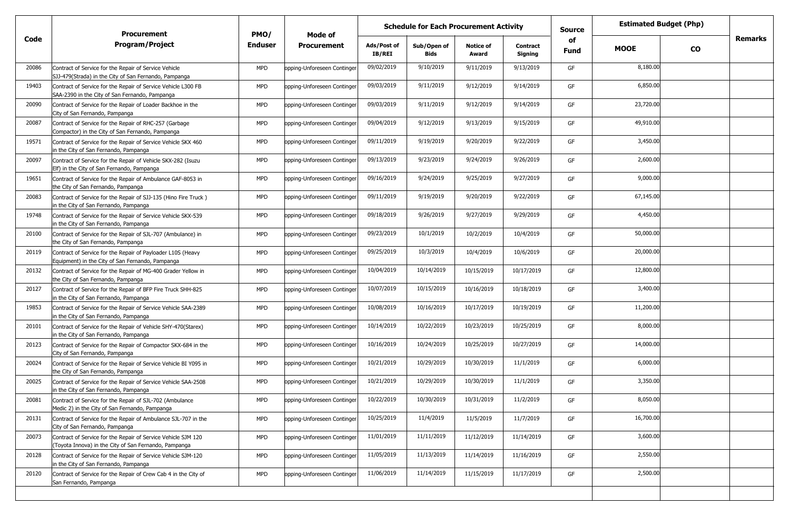|       | <b>Procurement</b><br><b>Program/Project</b>                                                                           | PMO/           | Mode of                     |                              | <b>Schedule for Each Procurement Activity</b> |                           |                                   | <b>Source</b>     | <b>Estimated Budget (Php)</b> |           |         |
|-------|------------------------------------------------------------------------------------------------------------------------|----------------|-----------------------------|------------------------------|-----------------------------------------------|---------------------------|-----------------------------------|-------------------|-------------------------------|-----------|---------|
| Code  |                                                                                                                        | <b>Enduser</b> | <b>Procurement</b>          | Ads/Post of<br><b>IB/REI</b> | Sub/Open of<br>Bids                           | <b>Notice of</b><br>Award | <b>Contract</b><br><b>Signing</b> | of<br><b>Fund</b> | <b>MOOE</b>                   | <b>CO</b> | Remarks |
| 20086 | Contract of Service for the Repair of Service Vehicle<br>SJJ-479(Strada) in the City of San Fernando, Pampanga         | <b>MPD</b>     | opping-Unforeseen Continger | 09/02/2019                   | 9/10/2019                                     | 9/11/2019                 | 9/13/2019                         | GF                | 8,180.00                      |           |         |
| 19403 | Contract of Service for the Repair of Service Vehicle L300 FB<br>SAA-2390 in the City of San Fernando, Pampanga        | <b>MPD</b>     | opping-Unforeseen Continger | 09/03/2019                   | 9/11/2019                                     | 9/12/2019                 | 9/14/2019                         | GF                | 6,850.00                      |           |         |
| 20090 | Contract of Service for the Repair of Loader Backhoe in the<br>City of San Fernando, Pampanga                          | <b>MPD</b>     | opping-Unforeseen Continger | 09/03/2019                   | 9/11/2019                                     | 9/12/2019                 | 9/14/2019                         | GF                | 23,720.00                     |           |         |
| 20087 | Contract of Service for the Repair of RHC-257 (Garbage<br>Compactor) in the City of San Fernando, Pampanga             | <b>MPD</b>     | opping-Unforeseen Continger | 09/04/2019                   | 9/12/2019                                     | 9/13/2019                 | 9/15/2019                         | GF                | 49,910.00                     |           |         |
| 19571 | Contract of Service for the Repair of Service Vehicle SKX 460<br>in the City of San Fernando, Pampanga                 | <b>MPD</b>     | opping-Unforeseen Continger | 09/11/2019                   | 9/19/2019                                     | 9/20/2019                 | 9/22/2019                         | GF                | 3,450.00                      |           |         |
| 20097 | Contract of Service for the Repair of Vehicle SKX-282 (Isuzu<br>Elf) in the City of San Fernando, Pampanga             | <b>MPD</b>     | opping-Unforeseen Continger | 09/13/2019                   | 9/23/2019                                     | 9/24/2019                 | 9/26/2019                         | GF                | 2,600.00                      |           |         |
| 19651 | Contract of Service for the Repair of Ambulance GAF-8053 in<br>the City of San Fernando, Pampanga                      | <b>MPD</b>     | opping-Unforeseen Continger | 09/16/2019                   | 9/24/2019                                     | 9/25/2019                 | 9/27/2019                         | GF                | 9,000.00                      |           |         |
| 20083 | Contract of Service for the Repair of SJJ-135 (Hino Fire Truck)<br>in the City of San Fernando, Pampanga               | <b>MPD</b>     | opping-Unforeseen Continger | 09/11/2019                   | 9/19/2019                                     | 9/20/2019                 | 9/22/2019                         | GF                | 67,145.00                     |           |         |
| 19748 | Contract of Service for the Repair of Service Vehicle SKX-539<br>in the City of San Fernando, Pampanga                 | <b>MPD</b>     | opping-Unforeseen Continger | 09/18/2019                   | 9/26/2019                                     | 9/27/2019                 | 9/29/2019                         | GF                | 4,450.00                      |           |         |
| 20100 | Contract of Service for the Repair of SJL-707 (Ambulance) in<br>the City of San Fernando, Pampanga                     | <b>MPD</b>     | opping-Unforeseen Continger | 09/23/2019                   | 10/1/2019                                     | 10/2/2019                 | 10/4/2019                         | GF                | 50,000.00                     |           |         |
| 20119 | Contract of Service for the Repair of Payloader L10S (Heavy<br>Equipment) in the City of San Fernando, Pampanga        | <b>MPD</b>     | opping-Unforeseen Continger | 09/25/2019                   | 10/3/2019                                     | 10/4/2019                 | 10/6/2019                         | GF                | 20,000.00                     |           |         |
| 20132 | Contract of Service for the Repair of MG-400 Grader Yellow in<br>the City of San Fernando, Pampanga                    | <b>MPD</b>     | opping-Unforeseen Continger | 10/04/2019                   | 10/14/2019                                    | 10/15/2019                | 10/17/2019                        | GF                | 12,800.00                     |           |         |
| 20127 | Contract of Service for the Repair of BFP Fire Truck SHH-825<br>in the City of San Fernando, Pampanga                  | <b>MPD</b>     | opping-Unforeseen Continger | 10/07/2019                   | 10/15/2019                                    | 10/16/2019                | 10/18/2019                        | GF                | 3,400.00                      |           |         |
| 19853 | Contract of Service for the Repair of Service Vehicle SAA-2389<br>in the City of San Fernando, Pampanga                | <b>MPD</b>     | opping-Unforeseen Continger | 10/08/2019                   | 10/16/2019                                    | 10/17/2019                | 10/19/2019                        | GF                | 11,200.00                     |           |         |
| 20101 | Contract of Service for the Repair of Vehicle SHY-470(Starex)<br>in the City of San Fernando, Pampanga                 | <b>MPD</b>     | opping-Unforeseen Continger | 10/14/2019                   | 10/22/2019                                    | 10/23/2019                | 10/25/2019                        | GF                | 8,000.00                      |           |         |
| 20123 | Contract of Service for the Repair of Compactor SKX-684 in the<br>City of San Fernando, Pampanga                       | <b>MPD</b>     | opping-Unforeseen Continger | 10/16/2019                   | 10/24/2019                                    | 10/25/2019                | 10/27/2019                        | GF                | 14,000.00                     |           |         |
| 20024 | Contract of Service for the Repair of Service Vehicle BI Y095 in<br>the City of San Fernando, Pampanga                 | <b>MPD</b>     | opping-Unforeseen Continger | 10/21/2019                   | 10/29/2019                                    | 10/30/2019                | 11/1/2019                         | GF                | 6,000.00                      |           |         |
| 20025 | Contract of Service for the Repair of Service Vehicle SAA-2508<br>in the City of San Fernando, Pampanga                | <b>MPD</b>     | opping-Unforeseen Continger | 10/21/2019                   | 10/29/2019                                    | 10/30/2019                | 11/1/2019                         | GF                | 3,350.00                      |           |         |
| 20081 | Contract of Service for the Repair of SJL-702 (Ambulance<br>Medic 2) in the City of San Fernando, Pampanga             | <b>MPD</b>     | opping-Unforeseen Continger | 10/22/2019                   | 10/30/2019                                    | 10/31/2019                | 11/2/2019                         | GF                | 8,050.00                      |           |         |
| 20131 | Contract of Service for the Repair of Ambulance SJL-707 in the<br>City of San Fernando, Pampanga                       | <b>MPD</b>     | opping-Unforeseen Continger | 10/25/2019                   | 11/4/2019                                     | 11/5/2019                 | 11/7/2019                         | GF                | 16,700.00                     |           |         |
| 20073 | Contract of Service for the Repair of Service Vehicle SJM 120<br>(Toyota Innova) in the City of San Fernando, Pampanga | <b>MPD</b>     | opping-Unforeseen Continger | 11/01/2019                   | 11/11/2019                                    | 11/12/2019                | 11/14/2019                        | GF                | 3,600.00                      |           |         |
| 20128 | Contract of Service for the Repair of Service Vehicle SJM-120<br>in the City of San Fernando, Pampanga                 | <b>MPD</b>     | opping-Unforeseen Continger | 11/05/2019                   | 11/13/2019                                    | 11/14/2019                | 11/16/2019                        | GF                | 2,550.00                      |           |         |
| 20120 | Contract of Service for the Repair of Crew Cab 4 in the City of<br>San Fernando, Pampanga                              | <b>MPD</b>     | opping-Unforeseen Continger | 11/06/2019                   | 11/14/2019                                    | 11/15/2019                | 11/17/2019                        | GF                | 2,500.00                      |           |         |
|       |                                                                                                                        |                |                             |                              |                                               |                           |                                   |                   |                               |           |         |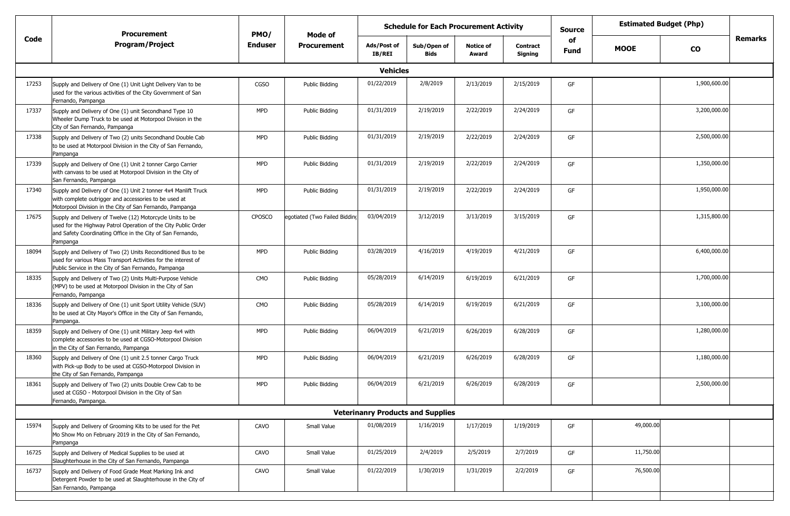|       | Procurement<br><b>Program/Project</b>                                                                                                                                                                  | PMO/           | Mode of<br><b>Procurement</b> |                              | <b>Schedule for Each Procurement Activity</b> |                           |                     | <b>Source</b>     |             | <b>Estimated Budget (Php)</b> |         |  |  |
|-------|--------------------------------------------------------------------------------------------------------------------------------------------------------------------------------------------------------|----------------|-------------------------------|------------------------------|-----------------------------------------------|---------------------------|---------------------|-------------------|-------------|-------------------------------|---------|--|--|
| Code  |                                                                                                                                                                                                        | <b>Enduser</b> |                               | Ads/Post of<br><b>IB/REI</b> | Sub/Open of<br><b>Bids</b>                    | <b>Notice of</b><br>Award | Contract<br>Signing | of<br><b>Fund</b> | <b>MOOE</b> | <b>CO</b>                     | Remarks |  |  |
|       | <b>Vehicles</b>                                                                                                                                                                                        |                |                               |                              |                                               |                           |                     |                   |             |                               |         |  |  |
| 17253 | Supply and Delivery of One (1) Unit Light Delivery Van to be<br>used for the various activities of the City Government of San<br>Fernando, Pampanga                                                    | <b>CGSO</b>    | Public Bidding                | 01/22/2019                   | 2/8/2019                                      | 2/13/2019                 | 2/15/2019           | GF                |             | 1,900,600.00                  |         |  |  |
| 17337 | Supply and Delivery of One (1) unit Secondhand Type 10<br>Wheeler Dump Truck to be used at Motorpool Division in the<br>City of San Fernando, Pampanga                                                 | <b>MPD</b>     | Public Bidding                | 01/31/2019                   | 2/19/2019                                     | 2/22/2019                 | 2/24/2019           | GF                |             | 3,200,000.00                  |         |  |  |
| 17338 | Supply and Delivery of Two (2) units Secondhand Double Cab<br>to be used at Motorpool Division in the City of San Fernando,<br>Pampanga                                                                | <b>MPD</b>     | Public Bidding                | 01/31/2019                   | 2/19/2019                                     | 2/22/2019                 | 2/24/2019           | GF                |             | 2,500,000.00                  |         |  |  |
| 17339 | Supply and Delivery of One (1) Unit 2 tonner Cargo Carrier<br>with canvass to be used at Motorpool Division in the City of<br>San Fernando, Pampanga                                                   | <b>MPD</b>     | Public Bidding                | 01/31/2019                   | 2/19/2019                                     | 2/22/2019                 | 2/24/2019           | GF                |             | 1,350,000.00                  |         |  |  |
| 17340 | Supply and Delivery of One (1) Unit 2 tonner 4x4 Manlift Truck<br>with complete outrigger and accessories to be used at<br>Motorpool Division in the City of San Fernando, Pampanga                    | <b>MPD</b>     | Public Bidding                | 01/31/2019                   | 2/19/2019                                     | 2/22/2019                 | 2/24/2019           | GF                |             | 1,950,000.00                  |         |  |  |
| 17675 | Supply and Delivery of Twelve (12) Motorcycle Units to be<br>used for the Highway Patrol Operation of the City Public Order<br>and Safety Coordinating Office in the City of San Fernando,<br>Pampanga | <b>CPOSCO</b>  | egotiated (Two Failed Bidding | 03/04/2019                   | 3/12/2019                                     | 3/13/2019                 | 3/15/2019           | GF                |             | 1,315,800.00                  |         |  |  |
| 18094 | Supply and Delivery of Two (2) Units Reconditioned Bus to be<br>used for various Mass Transport Activities for the interest of<br>Public Service in the City of San Fernando, Pampanga                 | <b>MPD</b>     | Public Bidding                | 03/28/2019                   | 4/16/2019                                     | 4/19/2019                 | 4/21/2019           | GF                |             | 6,400,000.00                  |         |  |  |
| 18335 | Supply and Delivery of Two (2) Units Multi-Purpose Vehicle<br>(MPV) to be used at Motorpool Division in the City of San<br>Fernando, Pampanga                                                          | <b>CMO</b>     | Public Bidding                | 05/28/2019                   | 6/14/2019                                     | 6/19/2019                 | 6/21/2019           | GF                |             | 1,700,000.00                  |         |  |  |
| 18336 | Supply and Delivery of One (1) unit Sport Utility Vehicle (SUV)<br>to be used at City Mayor's Office in the City of San Fernando,<br>Pampanga.                                                         | <b>CMO</b>     | Public Bidding                | 05/28/2019                   | 6/14/2019                                     | 6/19/2019                 | 6/21/2019           | GF                |             | 3,100,000.00                  |         |  |  |
| 18359 | Supply and Delivery of One (1) unit Military Jeep 4x4 with<br>complete accessories to be used at CGSO-Motorpool Division<br>in the City of San Fernando, Pampanga                                      | <b>MPD</b>     | Public Bidding                | 06/04/2019                   | 6/21/2019                                     | 6/26/2019                 | 6/28/2019           | GF                |             | 1,280,000.00                  |         |  |  |
| 18360 | Supply and Delivery of One (1) unit 2.5 tonner Cargo Truck<br>with Pick-up Body to be used at CGSO-Motorpool Division in<br>the City of San Fernando, Pampanga                                         | <b>MPD</b>     | Public Bidding                | 06/04/2019                   | 6/21/2019                                     | 6/26/2019                 | 6/28/2019           | GF                |             | 1,180,000.00                  |         |  |  |
| 18361 | Supply and Delivery of Two (2) units Double Crew Cab to be<br>used at CGSO - Motorpool Division in the City of San<br>Fernando, Pampanga.                                                              | <b>MPD</b>     | Public Bidding                | 06/04/2019                   | 6/21/2019                                     | 6/26/2019                 | 6/28/2019           | GF                |             | 2,500,000.00                  |         |  |  |
|       |                                                                                                                                                                                                        |                |                               |                              | <b>Veterinanry Products and Supplies</b>      |                           |                     |                   |             |                               |         |  |  |
| 15974 | Supply and Delivery of Grooming Kits to be used for the Pet<br>Mo Show Mo on February 2019 in the City of San Fernando,<br>Pampanga                                                                    | CAVO           | Small Value                   | 01/08/2019                   | 1/16/2019                                     | 1/17/2019                 | 1/19/2019           | GF                | 49,000.00   |                               |         |  |  |
| 16725 | Supply and Delivery of Medical Supplies to be used at<br>Slaughterhouse in the City of San Fernando, Pampanga                                                                                          | CAVO           | Small Value                   | 01/25/2019                   | 2/4/2019                                      | 2/5/2019                  | 2/7/2019            | GF                | 11,750.00   |                               |         |  |  |
| 16737 | Supply and Delivery of Food Grade Meat Marking Ink and<br>Detergent Powder to be used at Slaughterhouse in the City of<br>San Fernando, Pampanga                                                       | CAVO           | Small Value                   | 01/22/2019                   | 1/30/2019                                     | 1/31/2019                 | 2/2/2019            | GF                | 76,500.00   |                               |         |  |  |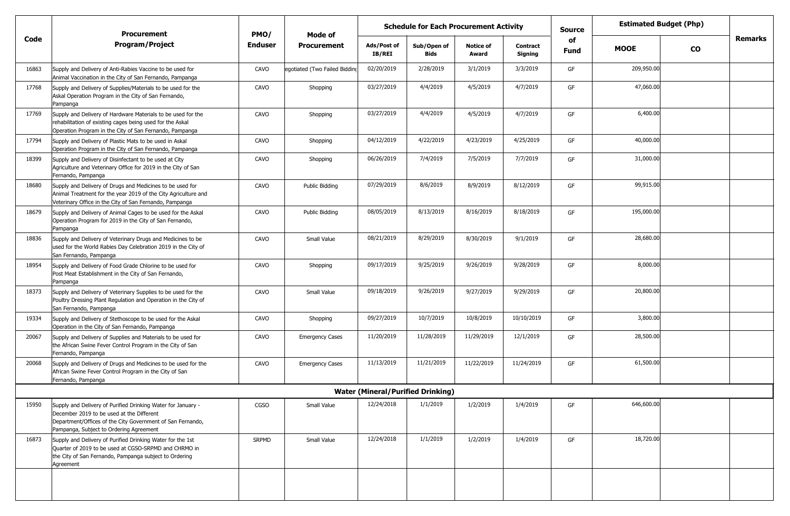|       | <b>Procurement</b><br><b>Program/Project</b>                                                                                                                                                                       | PMO/           | Mode of                       |                       | <b>Schedule for Each Procurement Activity</b> |                           |                            | <b>Source</b> | <b>Estimated Budget (Php)</b> |           |         |
|-------|--------------------------------------------------------------------------------------------------------------------------------------------------------------------------------------------------------------------|----------------|-------------------------------|-----------------------|-----------------------------------------------|---------------------------|----------------------------|---------------|-------------------------------|-----------|---------|
| Code  |                                                                                                                                                                                                                    | <b>Enduser</b> | <b>Procurement</b>            | Ads/Post of<br>IB/REI | Sub/Open of<br><b>Bids</b>                    | <b>Notice of</b><br>Award | <b>Contract</b><br>Signing | of<br>Fund    | <b>MOOE</b>                   | <b>CO</b> | Remarks |
| 16863 | Supply and Delivery of Anti-Rabies Vaccine to be used for<br>Animal Vaccination in the City of San Fernando, Pampanga                                                                                              | CAVO           | egotiated (Two Failed Bidding | 02/20/2019            | 2/28/2019                                     | 3/1/2019                  | 3/3/2019                   | GF            | 209,950.00                    |           |         |
| 17768 | Supply and Delivery of Supplies/Materials to be used for the<br>Askal Operation Program in the City of San Fernando,<br>Pampanga                                                                                   | CAVO           | Shopping                      | 03/27/2019            | 4/4/2019                                      | 4/5/2019                  | 4/7/2019                   | GF            | 47,060.00                     |           |         |
| 17769 | Supply and Delivery of Hardware Materials to be used for the<br>rehabilitation of existing cages being used for the Askal<br>Operation Program in the City of San Fernando, Pampanga                               | CAVO           | Shopping                      | 03/27/2019            | 4/4/2019                                      | 4/5/2019                  | 4/7/2019                   | GF            | 6,400.00                      |           |         |
| 17794 | Supply and Delivery of Plastic Mats to be used in Askal<br>Operation Program in the City of San Fernando, Pampanga                                                                                                 | CAVO           | Shopping                      | 04/12/2019            | 4/22/2019                                     | 4/23/2019                 | 4/25/2019                  | GF            | 40,000.00                     |           |         |
| 18399 | Supply and Delivery of Disinfectant to be used at City<br>Agriculture and Veterinary Office for 2019 in the City of San<br>Fernando, Pampanga                                                                      | CAVO           | Shopping                      | 06/26/2019            | 7/4/2019                                      | 7/5/2019                  | 7/7/2019                   | GF            | 31,000.00                     |           |         |
| 18680 | Supply and Delivery of Drugs and Medicines to be used for<br>Animal Treatment for the year 2019 of the City Agriculture and<br>Veterinary Office in the City of San Fernando, Pampanga                             | CAVO           | Public Bidding                | 07/29/2019            | 8/6/2019                                      | 8/9/2019                  | 8/12/2019                  | GF            | 99,915.00                     |           |         |
| 18679 | Supply and Delivery of Animal Cages to be used for the Askal<br>Operation Program for 2019 in the City of San Fernando,<br>Pampanga                                                                                | CAVO           | Public Bidding                | 08/05/2019            | 8/13/2019                                     | 8/16/2019                 | 8/18/2019                  | GF            | 195,000.00                    |           |         |
| 18836 | Supply and Delivery of Veterinary Drugs and Medicines to be<br>used for the World Rabies Day Celebration 2019 in the City of<br>San Fernando, Pampanga                                                             | CAVO           | Small Value                   | 08/21/2019            | 8/29/2019                                     | 8/30/2019                 | 9/1/2019                   | GF            | 28,680.00                     |           |         |
| 18954 | Supply and Delivery of Food Grade Chlorine to be used for<br>Post Meat Establishment in the City of San Fernando,<br>Pampanga                                                                                      | CAVO           | Shopping                      | 09/17/2019            | 9/25/2019                                     | 9/26/2019                 | 9/28/2019                  | GF            | 8,000.00                      |           |         |
| 18373 | Supply and Delivery of Veterinary Supplies to be used for the<br>Poultry Dressing Plant Regulation and Operation in the City of<br>San Fernando, Pampanga                                                          | CAVO           | Small Value                   | 09/18/2019            | 9/26/2019                                     | 9/27/2019                 | 9/29/2019                  | GF            | 20,800.00                     |           |         |
| 19334 | Supply and Delivery of Stethoscope to be used for the Askal<br>Operation in the City of San Fernando, Pampanga                                                                                                     | CAVO           | Shopping                      | 09/27/2019            | 10/7/2019                                     | 10/8/2019                 | 10/10/2019                 | GF            | 3,800.00                      |           |         |
| 20067 | Supply and Delivery of Supplies and Materials to be used for<br>the African Swine Fever Control Program in the City of San<br>Fernando, Pampanga                                                                   | CAVO           | <b>Emergency Cases</b>        | 11/20/2019            | 11/28/2019                                    | 11/29/2019                | 12/1/2019                  | GF            | 28,500.00                     |           |         |
| 20068 | Supply and Delivery of Drugs and Medicines to be used for the<br>African Swine Fever Control Program in the City of San<br>Fernando, Pampanga                                                                      | CAVO           | <b>Emergency Cases</b>        | 11/13/2019            | 11/21/2019                                    | 11/22/2019                | 11/24/2019                 | GF            | 61,500.00                     |           |         |
|       |                                                                                                                                                                                                                    |                |                               |                       | <b>Water (Mineral/Purified Drinking)</b>      |                           |                            |               |                               |           |         |
| 15950 | Supply and Delivery of Purified Drinking Water for January -<br>December 2019 to be used at the Different<br>Department/Offices of the City Government of San Fernando,<br>Pampanga, Subject to Ordering Agreement | CGSO           | Small Value                   | 12/24/2018            | 1/1/2019                                      | 1/2/2019                  | 1/4/2019                   | GF            | 646,600.00                    |           |         |
| 16873 | Supply and Delivery of Purified Drinking Water for the 1st<br>Quarter of 2019 to be used at CGSO-SRPMD and CHRMO in<br>the City of San Fernando, Pampanga subject to Ordering<br>Agreement                         | <b>SRPMD</b>   | Small Value                   | 12/24/2018            | 1/1/2019                                      | 1/2/2019                  | 1/4/2019                   | GF            | 18,720.00                     |           |         |
|       |                                                                                                                                                                                                                    |                |                               |                       |                                               |                           |                            |               |                               |           |         |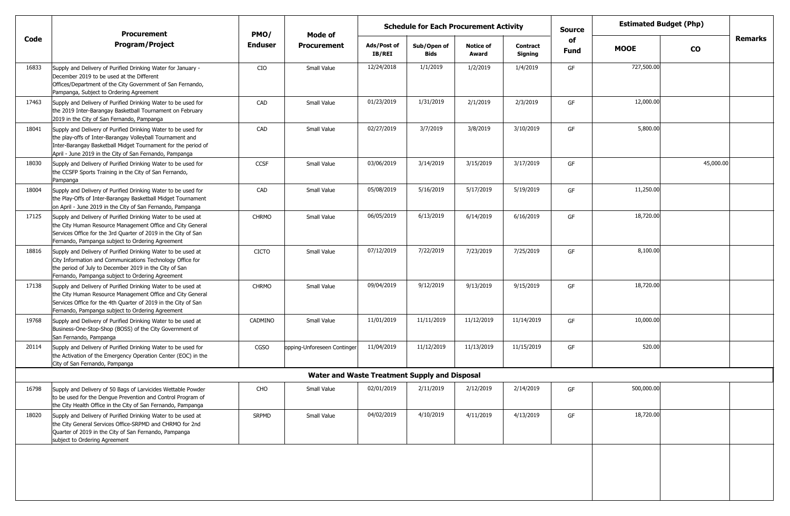|       | <b>Procurement</b>                                                                                                                                                                                                                                     | <b>Schedule for Each Procurement Activity</b><br>PMO/<br>Mode of |                                                      |                              |                            |                           |                            | <b>Source</b>     |             | <b>Estimated Budget (Php)</b> |                |
|-------|--------------------------------------------------------------------------------------------------------------------------------------------------------------------------------------------------------------------------------------------------------|------------------------------------------------------------------|------------------------------------------------------|------------------------------|----------------------------|---------------------------|----------------------------|-------------------|-------------|-------------------------------|----------------|
| Code  | <b>Program/Project</b>                                                                                                                                                                                                                                 | <b>Enduser</b>                                                   | <b>Procurement</b>                                   | Ads/Post of<br><b>IB/REI</b> | Sub/Open of<br><b>Bids</b> | <b>Notice of</b><br>Award | <b>Contract</b><br>Signing | of<br><b>Fund</b> | <b>MOOE</b> | <b>CO</b>                     | <b>Remarks</b> |
| 16833 | Supply and Delivery of Purified Drinking Water for January -<br>December 2019 to be used at the Different<br>Offices/Department of the City Government of San Fernando,<br>Pampanga, Subject to Ordering Agreement                                     | CIO                                                              | Small Value                                          | 12/24/2018                   | 1/1/2019                   | 1/2/2019                  | 1/4/2019                   | GF                | 727,500.00  |                               |                |
| 17463 | Supply and Delivery of Purified Drinking Water to be used for<br>the 2019 Inter-Barangay Basketball Tournament on February<br>2019 in the City of San Fernando, Pampanga                                                                               | CAD                                                              | Small Value                                          | 01/23/2019                   | 1/31/2019                  | 2/1/2019                  | 2/3/2019                   | GF                | 12,000.00   |                               |                |
| 18041 | Supply and Delivery of Purified Drinking Water to be used for<br>the play-offs of Inter-Barangay Volleyball Tournament and<br>Inter-Barangay Basketball Midget Tournament for the period of<br>April - June 2019 in the City of San Fernando, Pampanga | CAD                                                              | Small Value                                          | 02/27/2019                   | 3/7/2019                   | 3/8/2019                  | 3/10/2019                  | GF                | 5,800.00    |                               |                |
| 18030 | Supply and Delivery of Purified Drinking Water to be used for<br>the CCSFP Sports Training in the City of San Fernando,<br>Pampanga                                                                                                                    | CCSF                                                             | Small Value                                          | 03/06/2019                   | 3/14/2019                  | 3/15/2019                 | 3/17/2019                  | GF                |             | 45,000.00                     |                |
| 18004 | Supply and Delivery of Purified Drinking Water to be used for<br>the Play-Offs of Inter-Barangay Basketball Midget Tournament<br>on April - June 2019 in the City of San Fernando, Pampanga                                                            | CAD                                                              | Small Value                                          | 05/08/2019                   | 5/16/2019                  | 5/17/2019                 | 5/19/2019                  | GF                | 11,250.00   |                               |                |
| 17125 | Supply and Delivery of Purified Drinking Water to be used at<br>the City Human Resource Management Office and City General<br>Services Office for the 3rd Quarter of 2019 in the City of San<br>Fernando, Pampanga subject to Ordering Agreement       | <b>CHRMO</b>                                                     | Small Value                                          | 06/05/2019                   | 6/13/2019                  | 6/14/2019                 | 6/16/2019                  | GF                | 18,720.00   |                               |                |
| 18816 | Supply and Delivery of Purified Drinking Water to be used at<br>City Information and Communications Technology Office for<br>the period of July to December 2019 in the City of San<br>Fernando, Pampanga subject to Ordering Agreement                | <b>CICTO</b>                                                     | Small Value                                          | 07/12/2019                   | 7/22/2019                  | 7/23/2019                 | 7/25/2019                  | GF                | 8,100.00    |                               |                |
| 17138 | Supply and Delivery of Purified Drinking Water to be used at<br>the City Human Resource Management Office and City General<br>Services Office for the 4th Quarter of 2019 in the City of San<br>Fernando, Pampanga subject to Ordering Agreement       | <b>CHRMO</b>                                                     | Small Value                                          | 09/04/2019                   | 9/12/2019                  | 9/13/2019                 | 9/15/2019                  | GF                | 18,720.00   |                               |                |
| 19768 | Supply and Delivery of Purified Drinking Water to be used at<br>Business-One-Stop-Shop (BOSS) of the City Government of<br>San Fernando, Pampanga                                                                                                      | CADMINO                                                          | Small Value                                          | 11/01/2019                   | 11/11/2019                 | 11/12/2019                | 11/14/2019                 | GF                | 10,000.00   |                               |                |
| 20114 | Supply and Delivery of Purified Drinking Water to be used for<br>the Activation of the Emergency Operation Center (EOC) in the<br>City of San Fernando, Pampanga                                                                                       | CGSO                                                             | opping-Unforeseen Continger                          | 11/04/2019                   | 11/12/2019                 | 11/13/2019                | 11/15/2019                 | GF                | 520.00      |                               |                |
|       |                                                                                                                                                                                                                                                        |                                                                  | <b>Water and Waste Treatment Supply and Disposal</b> |                              |                            |                           |                            |                   |             |                               |                |
| 16798 | Supply and Delivery of 50 Bags of Larvicides Wettable Powder<br>to be used for the Dengue Prevention and Control Program of<br>the City Health Office in the City of San Fernando, Pampanga                                                            | CHO                                                              | Small Value                                          | 02/01/2019                   | 2/11/2019                  | 2/12/2019                 | 2/14/2019                  | GF                | 500,000.00  |                               |                |
| 18020 | Supply and Delivery of Purified Drinking Water to be used at<br>the City General Services Office-SRPMD and CHRMO for 2nd<br>Quarter of 2019 in the City of San Fernando, Pampanga<br>subject to Ordering Agreement                                     | SRPMD                                                            | Small Value                                          | 04/02/2019                   | 4/10/2019                  | 4/11/2019                 | 4/13/2019                  | GF                | 18,720.00   |                               |                |
|       |                                                                                                                                                                                                                                                        |                                                                  |                                                      |                              |                            |                           |                            |                   |             |                               |                |